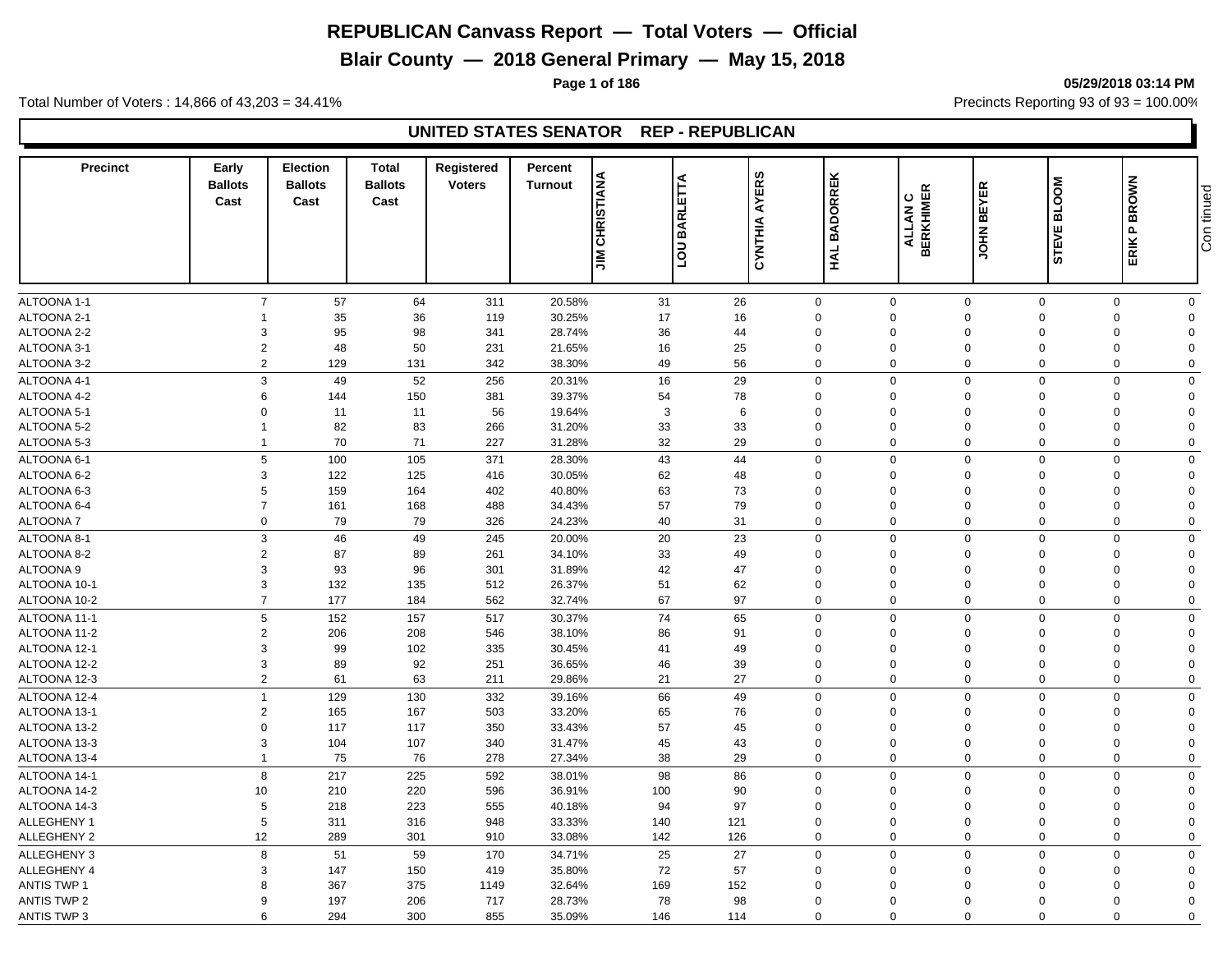**Blair County — 2018 General Primary — May 15, 2018**

Total Number of Voters : 14,866 of 43,203 = 34.41% **Precincts Reporting 93 of 93** = 100.00%

#### **UNITED STATES SENATOR REP - REPUBLICAN**

| <b>Precinct</b>              | Early<br><b>Ballots</b><br>Cast | Election<br><b>Ballots</b><br>Cast | <b>Total</b><br><b>Ballots</b><br>Cast | <b>Registered</b><br><b>Voters</b> | Percent<br><b>Turnout</b> | <b>CHRISTIANA</b><br>EΤΆ<br>BARLI<br><b>NOT</b><br>$\leq$ | <b>AYERS</b><br>CYNTHIA | <b>BADORREK</b><br>HAL     | <b>ALLAN C<br/>BERKHIMER</b> | <b>BEYER</b><br><b>NHOL</b> | <b>BLOOM</b><br>ш<br><b>STEVI</b> | <b>P BROWN</b><br>ERIK I   | Con tinued              |
|------------------------------|---------------------------------|------------------------------------|----------------------------------------|------------------------------------|---------------------------|-----------------------------------------------------------|-------------------------|----------------------------|------------------------------|-----------------------------|-----------------------------------|----------------------------|-------------------------|
|                              |                                 |                                    |                                        |                                    |                           |                                                           |                         |                            |                              |                             |                                   |                            |                         |
| ALTOONA 1-1                  | $\overline{7}$                  | 57                                 | 64                                     | 311                                | 20.58%                    | 31                                                        | 26                      | $\mathbf 0$                | $\mathsf{O}\xspace$          | $\mathsf 0$                 | $\mathbf 0$                       | $\mathsf{O}$               | $\mathbf 0$             |
| ALTOONA 2-1                  |                                 | 35                                 | 36                                     | 119                                | 30.25%                    | 17                                                        | 16                      | $\Omega$                   | $\mathbf 0$                  | $\Omega$                    | $\Omega$                          | $\mathbf 0$                | $\Omega$                |
| ALTOONA 2-2                  | 3                               | 95                                 | 98                                     | 341                                | 28.74%                    | 36                                                        | 44                      | $\mathbf 0$                | $\mathbf 0$                  | $\Omega$                    | $\mathbf 0$                       | $\mathbf 0$                | $\Omega$                |
| ALTOONA 3-1                  | $\overline{c}$                  | 48                                 | 50                                     | 231                                | 21.65%                    | 16                                                        | 25                      | $\Omega$                   | $\mathbf 0$                  | $\Omega$                    | $\Omega$                          | $\mathbf 0$                | $\Omega$                |
| ALTOONA 3-2                  | $\overline{2}$                  | 129                                | 131                                    | 342                                | 38.30%                    | 49                                                        | 56                      | $\mathbf 0$                | $\mathbf 0$                  | $\Omega$                    | $\mathbf 0$                       | $\mathbf 0$                | $\Omega$                |
| ALTOONA 4-1                  | 3                               | 49                                 | 52                                     | 256                                | 20.31%                    | 16                                                        | 29                      | $\mathbf 0$                | $\mathbf 0$                  | $\mathbf 0$                 | $\mathbf 0$                       | $\mathbf 0$                | $\Omega$                |
| ALTOONA 4-2                  | 6                               | 144                                | 150                                    | 381                                | 39.37%                    | 54                                                        | 78                      | 0                          | $\mathbf 0$                  | $\Omega$                    | $\mathbf 0$                       | $\mathbf 0$                | $\Omega$                |
| ALTOONA 5-1                  | $\Omega$                        | 11                                 | 11                                     | 56                                 | 19.64%                    | 3                                                         | 6                       | $\mathbf 0$                | $\mathbf 0$                  | $\Omega$                    | $\mathbf 0$                       | $\mathbf 0$                | $\Omega$                |
| ALTOONA 5-2                  | -1                              | 82                                 | 83                                     | 266                                | 31.20%                    | 33                                                        | 33                      | $\Omega$                   | $\mathbf 0$                  | $\Omega$                    | $\Omega$                          | $\mathbf 0$                | $\Omega$                |
| ALTOONA 5-3                  | -1                              | 70                                 | 71                                     | 227                                | 31.28%                    | 32                                                        | 29                      | $\mathbf 0$                | $\mathbf 0$                  | $\mathbf 0$                 | 0                                 | $\mathbf 0$                | $\mathbf 0$             |
| ALTOONA 6-1                  | 5                               | 100                                | 105                                    | 371                                | 28.30%                    | 43                                                        | 44                      | $\mathbf{0}$               | $\mathbf 0$                  | $\mathbf 0$                 | $\mathbf 0$                       | $\mathbf 0$                | $\Omega$                |
| ALTOONA 6-2                  | 3                               | 122                                | 125                                    | 416                                | 30.05%                    | 62                                                        | 48                      | $\mathbf 0$                | $\mathbf 0$                  | $\mathbf 0$                 | $\overline{0}$                    | $\mathbf 0$                | $\Omega$                |
| ALTOONA 6-3                  | 5                               | 159                                | 164                                    | 402                                | 40.80%                    | 63                                                        | 73                      | $\Omega$                   | $\mathbf 0$                  | $\Omega$                    | $\Omega$                          | $\mathbf 0$                | $\Omega$                |
| ALTOONA 6-4                  | $\overline{7}$                  | 161                                | 168                                    | 488                                | 34.43%                    | 57                                                        | 79                      | $\mathbf 0$                | $\mathbf 0$                  | $\Omega$                    | $\overline{0}$                    | $\mathbf 0$                | $\Omega$                |
| ALTOONA 7                    | $\mathbf 0$                     | 79                                 | 79                                     | 326                                | 24.23%                    | 40                                                        | 31                      | $\mathbf 0$                | $\mathbf 0$                  | $\mathbf 0$                 | $\mathbf 0$                       | $\mathbf 0$                | $\Omega$                |
| ALTOONA 8-1                  | 3                               | 46                                 | 49                                     | 245                                | 20.00%                    | 20                                                        | 23                      | $\mathbf 0$                | $\mathbf 0$                  | $\mathbf 0$                 | $\overline{0}$                    | $\mathbf 0$                | $\Omega$                |
| ALTOONA 8-2                  | $\overline{2}$                  | 87                                 | 89                                     | 261                                | 34.10%                    | 33                                                        | 49                      | $\mathbf 0$                | $\mathbf 0$                  | $\Omega$                    | $\Omega$                          | 0                          | $\Omega$                |
| <b>ALTOONA 9</b>             | 3                               | 93                                 | 96                                     | 301                                | 31.89%                    | 42                                                        | 47                      | $\Omega$                   | $\mathbf 0$                  | $\Omega$                    | $\mathbf 0$                       | 0                          | $\Omega$                |
| ALTOONA 10-1                 | 3                               | 132                                | 135                                    | 512                                | 26.37%                    | 51                                                        | 62                      | $\mathbf 0$                | $\mathbf 0$                  | $\Omega$                    | $\overline{0}$                    | $\mathbf 0$                | $\Omega$                |
| ALTOONA 10-2                 | $\overline{7}$                  | 177                                | 184                                    | 562                                | 32.74%                    | 67                                                        | 97                      | $\mathbf 0$                | $\mathbf 0$                  | $\mathbf 0$                 | $\mathbf 0$                       | $\mathbf 0$                | $\mathbf 0$             |
|                              | 5                               |                                    |                                        |                                    |                           | 74                                                        |                         |                            |                              |                             |                                   |                            |                         |
| ALTOONA 11-1                 | $\overline{2}$                  | 152                                | 157                                    | 517                                | 30.37%                    |                                                           | 65                      | $\mathbf 0$<br>$\mathbf 0$ | $\mathbf 0$<br>$\mathbf 0$   | $\mathbf 0$<br>$\Omega$     | $\mathbf 0$<br>$\Omega$           | $\mathbf 0$                | $\mathbf 0$<br>$\Omega$ |
| ALTOONA 11-2                 | 3                               | 206                                | 208                                    | 546                                | 38.10%                    | 86                                                        | 91                      |                            |                              |                             |                                   | 0                          |                         |
| ALTOONA 12-1                 |                                 | 99                                 | 102                                    | 335                                | 30.45%                    | 41                                                        | 49                      | 0                          | $\mathbf 0$                  | $\Omega$                    | $\Omega$                          | $\mathbf 0$                | $\Omega$<br>$\Omega$    |
| ALTOONA 12-2<br>ALTOONA 12-3 | 3<br>$\overline{2}$             | 89<br>61                           | 92<br>63                               | 251<br>211                         | 36.65%<br>29.86%          | 46<br>21                                                  | 39<br>27                | $\mathbf 0$<br>0           | $\mathbf 0$<br>$\mathbf 0$   | $\mathbf 0$<br>$\Omega$     | $\mathbf 0$<br>$\Omega$           | $\mathbf 0$<br>$\mathbf 0$ | $\Omega$                |
|                              |                                 |                                    |                                        |                                    |                           |                                                           |                         |                            |                              |                             |                                   |                            |                         |
| ALTOONA 12-4                 | $\overline{1}$                  | 129                                | 130                                    | 332                                | 39.16%                    | 66                                                        | 49                      | $\Omega$                   | $\mathbf 0$                  | $\Omega$                    | $\Omega$                          | $\mathbf 0$                | $\Omega$                |
| ALTOONA 13-1                 | $\overline{2}$                  | 165                                | 167                                    | 503                                | 33.20%                    | 65                                                        | 76                      | 0                          | $\mathbf 0$                  | $\Omega$                    | $\Omega$                          | $\mathbf 0$                | $\Omega$                |
| ALTOONA 13-2                 | $\Omega$                        | 117                                | 117                                    | 350                                | 33.43%                    | 57                                                        | 45                      | $\mathbf 0$                | $\mathbf 0$                  | $\Omega$                    | $\Omega$                          | $\Omega$                   | $\Omega$                |
| ALTOONA 13-3                 | 3                               | 104                                | 107                                    | 340                                | 31.47%                    | 45                                                        | 43                      | $\Omega$                   | $\mathbf 0$                  | $\Omega$                    | $\Omega$                          | $\mathbf 0$                | $\Omega$                |
| ALTOONA 13-4                 | 1                               | 75                                 | 76                                     | 278                                | 27.34%                    | 38                                                        | 29                      | $\mathbf 0$                | $\mathbf 0$                  | $\Omega$                    | $\mathbf 0$                       | $\mathbf 0$                | $\mathbf 0$             |
| ALTOONA 14-1                 | 8                               | 217                                | 225                                    | 592                                | 38.01%                    | 98                                                        | 86                      | $\mathbf 0$                | $\mathbf 0$                  | $\mathbf 0$                 | $\mathbf 0$                       | $\mathbf 0$                | $\Omega$                |
| ALTOONA 14-2                 | 10                              | 210                                | 220                                    | 596                                | 36.91%                    | 100                                                       | 90                      | $\mathbf 0$                | $\mathbf 0$                  | $\Omega$                    | $\Omega$                          | $\mathbf 0$                | $\Omega$                |
| ALTOONA 14-3                 | 5                               | 218                                | 223                                    | 555                                | 40.18%                    | 94                                                        | 97                      | $\Omega$                   | $\mathbf 0$                  | $\Omega$                    | $\Omega$                          | 0                          | $\Omega$                |
| ALLEGHENY 1                  | 5                               | 311                                | 316                                    | 948                                | 33.33%                    | 140                                                       | 121                     | 0                          | $\mathbf 0$                  | $\Omega$                    | $\Omega$                          | $\mathbf 0$                | $\Omega$                |
| ALLEGHENY 2                  | 12                              | 289                                | 301                                    | 910                                | 33.08%                    | 142                                                       | 126                     | 0                          | $\mathbf 0$                  | $\Omega$                    | $\mathbf 0$                       | $\mathbf 0$                | $\mathbf 0$             |
| <b>ALLEGHENY 3</b>           | 8                               | 51                                 | 59                                     | 170                                | 34.71%                    | 25                                                        | 27                      | $\mathbf{0}$               | $\mathbf 0$                  | $\mathbf 0$                 | $\mathbf 0$                       | $\mathbf 0$                | $\Omega$                |
| ALLEGHENY 4                  | 3                               | 147                                | 150                                    | 419                                | 35.80%                    | 72                                                        | 57                      | $\mathbf 0$                | $\mathbf 0$                  | $\mathbf 0$                 | $\mathbf 0$                       | $\mathbf 0$                | $\Omega$                |
| <b>ANTIS TWP 1</b>           | 8                               | 367                                | 375                                    | 1149                               | 32.64%                    | 169                                                       | 152                     | $\Omega$                   | $\mathbf 0$                  | $\Omega$                    | $\Omega$                          | $\mathbf 0$                | $\Omega$                |
| <b>ANTIS TWP 2</b>           | 9                               | 197                                | 206                                    | 717                                | 28.73%                    | 78                                                        | 98                      | $\Omega$                   | $\Omega$                     | $\Omega$                    | $\Omega$                          | $\mathbf 0$                | $\Omega$                |
| <b>ANTIS TWP 3</b>           | 6                               | 294                                | 300                                    | 855                                | 35.09%                    | 146                                                       | 114                     | $\mathbf 0$                | $\mathbf 0$                  | $\mathbf 0$                 | $\mathbf 0$                       | 0                          | $\mathbf 0$             |

**Page 1 of 186 05/29/2018 03:14 PM**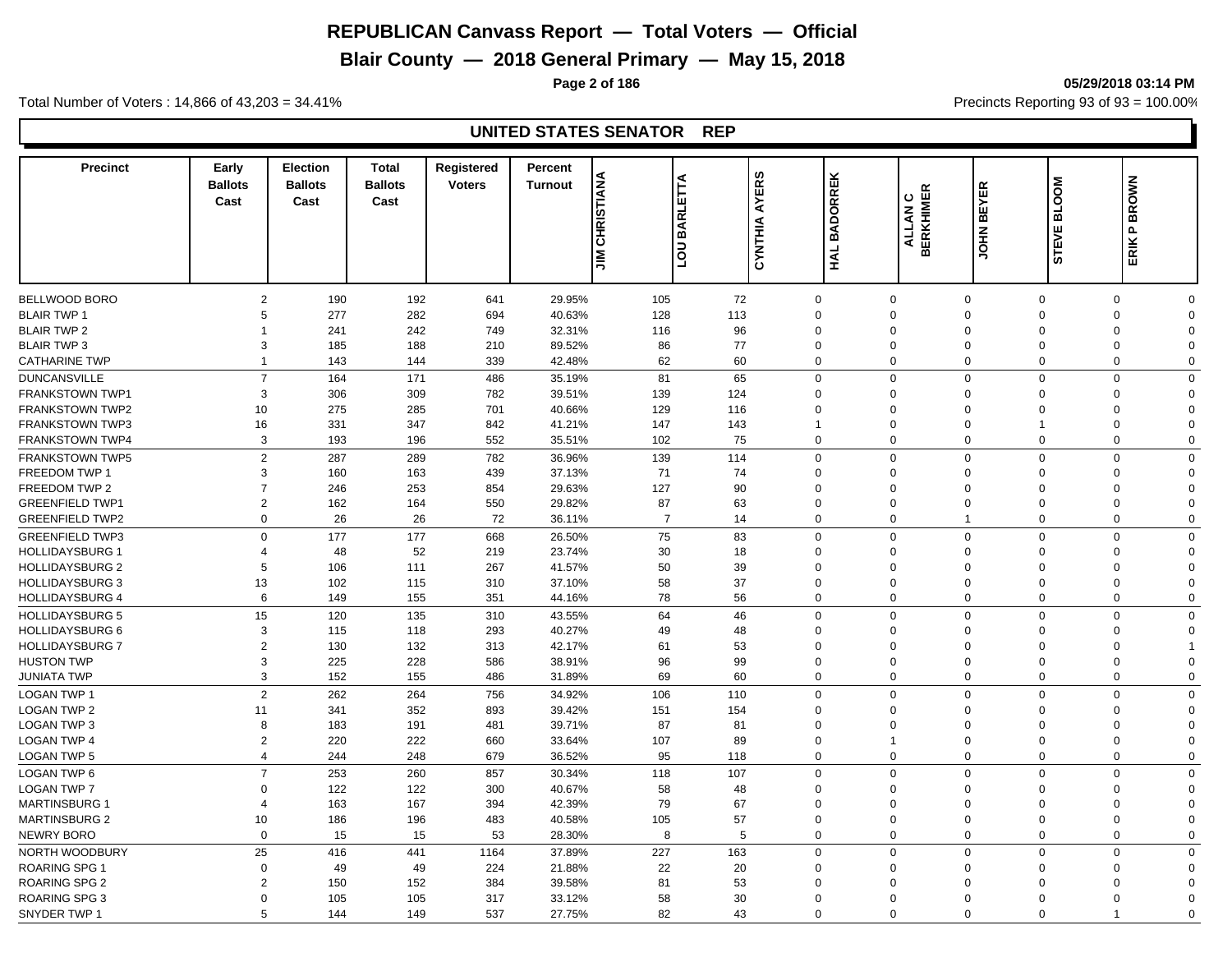# **Blair County — 2018 General Primary — May 15, 2018**

**Page 2 of 186 05/29/2018 03:14 PM**

Total Number of Voters : 14,866 of 43,203 = 34.41% **Precincts Reporting 93 of 93** = 100.00%

| <b>Precinct</b>        | Early<br><b>Ballots</b><br>Cast | <b>Election</b><br><b>Ballots</b><br>Cast | <b>Total</b><br><b>Ballots</b><br>Cast | Registered<br><b>Voters</b> | Percent<br><b>Turnout</b> | <b>CHRISTIANA</b><br>⋖<br>툐<br><b>BARL</b><br>$\overline{a}$<br><b>NIL</b> | <b>AYERS</b><br>CYNTHIA | <b>BADORREK</b><br>HAL | ALLAN C<br>BERKHIMER<br>ALLAN | <b>JOHN BEYER</b> | <b>BLOOM</b><br><b>STEVE</b> | <b>BROWN</b><br>$\mathbf{r}$<br>ERIK I |             |
|------------------------|---------------------------------|-------------------------------------------|----------------------------------------|-----------------------------|---------------------------|----------------------------------------------------------------------------|-------------------------|------------------------|-------------------------------|-------------------|------------------------------|----------------------------------------|-------------|
|                        |                                 |                                           |                                        |                             |                           |                                                                            |                         |                        |                               |                   |                              |                                        |             |
| BELLWOOD BORO          | $\overline{2}$                  | 190                                       | 192                                    | 641                         | 29.95%                    | 105                                                                        | 72                      | $\mathbf{0}$           | $\mathbf 0$                   | $\mathbf 0$       | $\Omega$                     | $\mathbf 0$                            | $\Omega$    |
| <b>BLAIR TWP 1</b>     | 5                               | 277                                       | 282                                    | 694                         | 40.63%                    | 128                                                                        | 113                     | $\Omega$               | $\mathbf 0$                   | $\Omega$          | $\Omega$                     | $\mathbf 0$                            | $\Omega$    |
| <b>BLAIR TWP 2</b>     |                                 | 241                                       | 242                                    | 749                         | 32.31%                    | 116                                                                        | 96                      | $\Omega$               | $\Omega$                      | $\Omega$          | $\Omega$                     | $\mathbf 0$                            | $\Omega$    |
| <b>BLAIR TWP 3</b>     | 3                               | 185                                       | 188                                    | 210                         | 89.52%                    | 86                                                                         | 77                      | $\Omega$               | $\mathbf 0$                   | $\Omega$          | $\Omega$                     | 0                                      | $\Omega$    |
| <b>CATHARINE TWP</b>   | 1                               | 143                                       | 144                                    | 339                         | 42.48%                    | 62                                                                         | 60                      | 0                      | $\mathbf 0$                   | $\Omega$          | $\Omega$                     | 0                                      | $\Omega$    |
| <b>DUNCANSVILLE</b>    | $\overline{7}$                  | 164                                       | 171                                    | 486                         | 35.19%                    | 81                                                                         | 65                      | 0                      | $\mathbf 0$                   | $\mathbf 0$       | $\Omega$                     | 0                                      | $\Omega$    |
| <b>FRANKSTOWN TWP1</b> | 3                               | 306                                       | 309                                    | 782                         | 39.51%                    | 139                                                                        | 124                     | $\mathbf 0$            | $\mathbf 0$                   | $\Omega$          | $\Omega$                     | 0                                      | $\Omega$    |
| <b>FRANKSTOWN TWP2</b> | 10                              | 275                                       | 285                                    | 701                         | 40.66%                    | 129                                                                        | 116                     | $\Omega$               | $\mathbf 0$                   | $\Omega$          | $\Omega$                     | $\mathbf 0$                            | $\Omega$    |
| <b>FRANKSTOWN TWP3</b> | 16                              | 331                                       | 347                                    | 842                         | 41.21%                    | 147                                                                        | 143                     | $\mathbf 1$            | $\mathbf 0$                   | $\Omega$          | $\overline{1}$               | 0                                      | $\Omega$    |
| <b>FRANKSTOWN TWP4</b> | 3                               | 193                                       | 196                                    | 552                         | 35.51%                    | 102                                                                        | 75                      | $\mathbf 0$            | $\mathbf 0$                   | $\Omega$          | $\mathbf 0$                  | $\mathbf 0$                            | $\Omega$    |
| <b>FRANKSTOWN TWP5</b> | $\overline{2}$                  | 287                                       | 289                                    | 782                         | 36.96%                    | 139                                                                        | 114                     | $\mathbf 0$            | $\mathbf 0$                   | $\mathbf 0$       | $\mathbf 0$                  | $\mathbf 0$                            | $\Omega$    |
| FREEDOM TWP 1          | 3                               | 160                                       | 163                                    | 439                         | 37.13%                    | 71                                                                         | 74                      | $\Omega$               | $\mathbf 0$                   | $\Omega$          | $\Omega$                     | $\mathbf 0$                            | $\Omega$    |
| FREEDOM TWP 2          | $\overline{7}$                  | 246                                       | 253                                    | 854                         | 29.63%                    | 127                                                                        | 90                      | $\Omega$               | $\mathbf 0$                   | $\Omega$          | $\Omega$                     | $\mathbf 0$                            | $\Omega$    |
| <b>GREENFIELD TWP1</b> | $\overline{2}$                  | 162                                       | 164                                    | 550                         | 29.82%                    | 87                                                                         | 63                      | $\mathbf 0$            | $\mathbf 0$                   | $\mathbf 0$       | $\overline{0}$               | $\mathbf 0$                            | $\Omega$    |
| <b>GREENFIELD TWP2</b> | $\mathbf 0$                     | 26                                        | 26                                     | 72                          | 36.11%                    | $\overline{7}$                                                             | 14                      | $\mathbf 0$            | $\mathbf 0$                   | $\overline{1}$    | $\mathbf 0$                  | $\mathbf 0$                            | $\Omega$    |
| <b>GREENFIELD TWP3</b> | $\Omega$                        | 177                                       | 177                                    | 668                         | 26.50%                    | 75                                                                         | 83                      | $\mathbf 0$            | $\mathbf 0$                   | $\mathbf 0$       | $\mathbf 0$                  | $\mathbf 0$                            | $\Omega$    |
| <b>HOLLIDAYSBURG 1</b> | $\overline{4}$                  | 48                                        | 52                                     | 219                         | 23.74%                    | 30                                                                         | 18                      | $\mathbf 0$            | $\mathbf 0$                   | $\Omega$          | $\mathbf 0$                  | $\mathbf 0$                            | $\Omega$    |
| <b>HOLLIDAYSBURG 2</b> | 5                               | 106                                       | 111                                    | 267                         | 41.57%                    | 50                                                                         | 39                      | $\Omega$               | $\Omega$                      | $\Omega$          | $\Omega$                     | $\mathbf 0$                            | $\Omega$    |
| <b>HOLLIDAYSBURG 3</b> | 13                              | 102                                       | 115                                    | 310                         | 37.10%                    | 58                                                                         | 37                      | 0                      | $\mathbf 0$                   | $\Omega$          | $\mathbf 0$                  | 0                                      | $\Omega$    |
| <b>HOLLIDAYSBURG 4</b> | 6                               | 149                                       | 155                                    | 351                         | 44.16%                    | 78                                                                         | 56                      | 0                      | $\mathbf 0$                   | $\mathbf 0$       | $\overline{0}$               | $\mathbf 0$                            | $\mathbf 0$ |
| <b>HOLLIDAYSBURG 5</b> | 15                              | 120                                       | 135                                    | 310                         | 43.55%                    | 64                                                                         | 46                      | $\mathbf 0$            | $\mathbf 0$                   | $\Omega$          | $\Omega$                     | $\mathbf 0$                            | $\Omega$    |
| <b>HOLLIDAYSBURG 6</b> | 3                               | 115                                       | 118                                    | 293                         | 40.27%                    | 49                                                                         | 48                      | $\Omega$               | $\mathbf 0$                   | $\Omega$          | $\Omega$                     | $\mathbf 0$                            | $\Omega$    |
| <b>HOLLIDAYSBURG 7</b> | $\overline{2}$                  | 130                                       | 132                                    | 313                         | 42.17%                    | 61                                                                         | 53                      | $\mathbf 0$            | $\mathbf 0$                   | $\Omega$          | $\Omega$                     | $\mathbf 0$                            |             |
| <b>HUSTON TWP</b>      | 3                               | 225                                       | 228                                    | 586                         | 38.91%                    | 96                                                                         | 99                      | $\Omega$               | $\mathbf 0$                   | $\Omega$          | $\Omega$                     | $\mathbf 0$                            | $\Omega$    |
| JUNIATA TWP            | 3                               | 152                                       | 155                                    | 486                         | 31.89%                    | 69                                                                         | 60                      | $\mathbf 0$            | $\mathbf 0$                   | $\mathbf 0$       | $\mathbf 0$                  | $\mathbf 0$                            | $\Omega$    |
|                        |                                 |                                           |                                        |                             |                           |                                                                            |                         |                        |                               |                   |                              |                                        | $\Omega$    |
| <b>LOGAN TWP 1</b>     | $\overline{2}$                  | 262                                       | 264                                    | 756                         | 34.92%                    | 106                                                                        | 110                     | 0                      | $\mathbf 0$                   | $\mathbf 0$       | $\mathbf 0$                  | $\mathbf 0$                            |             |
| <b>LOGAN TWP 2</b>     | 11                              | 341                                       | 352                                    | 893                         | 39.42%                    | 151                                                                        | 154                     | $\Omega$               | $\mathbf 0$                   | $\Omega$          | $\Omega$                     | $\mathbf 0$                            | $\Omega$    |
| <b>LOGAN TWP 3</b>     | 8                               | 183                                       | 191                                    | 481                         | 39.71%                    | 87                                                                         | 81                      | $\mathbf 0$            | $\mathbf 0$                   | $\Omega$          | $\Omega$                     | 0                                      | $\Omega$    |
| <b>LOGAN TWP 4</b>     | $\overline{2}$                  | 220                                       | 222                                    | 660                         | 33.64%                    | 107                                                                        | 89                      | $\mathbf 0$            | $\mathbf{1}$                  | $\mathbf 0$       | $\Omega$                     | 0                                      | $\Omega$    |
| <b>LOGAN TWP 5</b>     | $\overline{4}$                  | 244                                       | 248                                    | 679                         | 36.52%                    | 95                                                                         | 118                     | 0                      | $\mathbf 0$                   | $\Omega$          | $\mathbf 0$                  | $\mathbf 0$                            | $\Omega$    |
| LOGAN TWP 6            | $\overline{7}$                  | 253                                       | 260                                    | 857                         | 30.34%                    | 118                                                                        | 107                     | $\mathbf 0$            | $\mathbf 0$                   | $\mathbf 0$       | $\overline{0}$               | $\mathbf 0$                            | $\Omega$    |
| <b>LOGAN TWP 7</b>     | $\Omega$                        | 122                                       | 122                                    | 300                         | 40.67%                    | 58                                                                         | 48                      | $\Omega$               | $\mathbf 0$                   | $\Omega$          | $\Omega$                     | 0                                      | $\Omega$    |
| <b>MARTINSBURG 1</b>   | $\overline{4}$                  | 163                                       | 167                                    | 394                         | 42.39%                    | 79                                                                         | 67                      | $\Omega$               | $\mathbf 0$                   | $\Omega$          | $\Omega$                     | $\mathbf 0$                            | $\Omega$    |
| <b>MARTINSBURG 2</b>   | 10                              | 186                                       | 196                                    | 483                         | 40.58%                    | 105                                                                        | 57                      | $\mathbf 0$            | $\mathbf 0$                   | $\mathbf 0$       | $\Omega$                     | $\mathbf 0$                            | $\Omega$    |
| <b>NEWRY BORO</b>      | $\Omega$                        | 15                                        | 15                                     | 53                          | 28.30%                    | 8                                                                          | 5                       | $\mathbf{0}$           | $\mathbf 0$                   | $\mathbf 0$       | $\mathbf 0$                  | $\mathbf 0$                            | $\Omega$    |
| NORTH WOODBURY         | 25                              | 416                                       | 441                                    | 1164                        | 37.89%                    | 227                                                                        | 163                     | $\mathbf 0$            | $\mathbf 0$                   | $\Omega$          | $\mathbf 0$                  | $\mathbf 0$                            | $\mathbf 0$ |
| ROARING SPG 1          | $\Omega$                        | 49                                        | 49                                     | 224                         | 21.88%                    | 22                                                                         | 20                      | $\Omega$               | $\Omega$                      | $\Omega$          | $\Omega$                     | $\mathbf 0$                            | $\Omega$    |
| <b>ROARING SPG 2</b>   | $\overline{2}$                  | 150                                       | 152                                    | 384                         | 39.58%                    | 81                                                                         | 53                      | $\Omega$               | $\Omega$                      | $\Omega$          | $\Omega$                     | 0                                      | $\Omega$    |
| ROARING SPG 3          | $\Omega$                        | 105                                       | 105                                    | 317                         | 33.12%                    | 58                                                                         | 30                      | $\Omega$               | $\Omega$                      | $\Omega$          | $\Omega$                     | 0                                      | $\Omega$    |
| SNYDER TWP 1           | 5                               | 144                                       | 149                                    | 537                         | 27.75%                    | 82                                                                         | 43                      | $\Omega$               | $\Omega$                      | $\Omega$          | $\Omega$                     | 1                                      | $\Omega$    |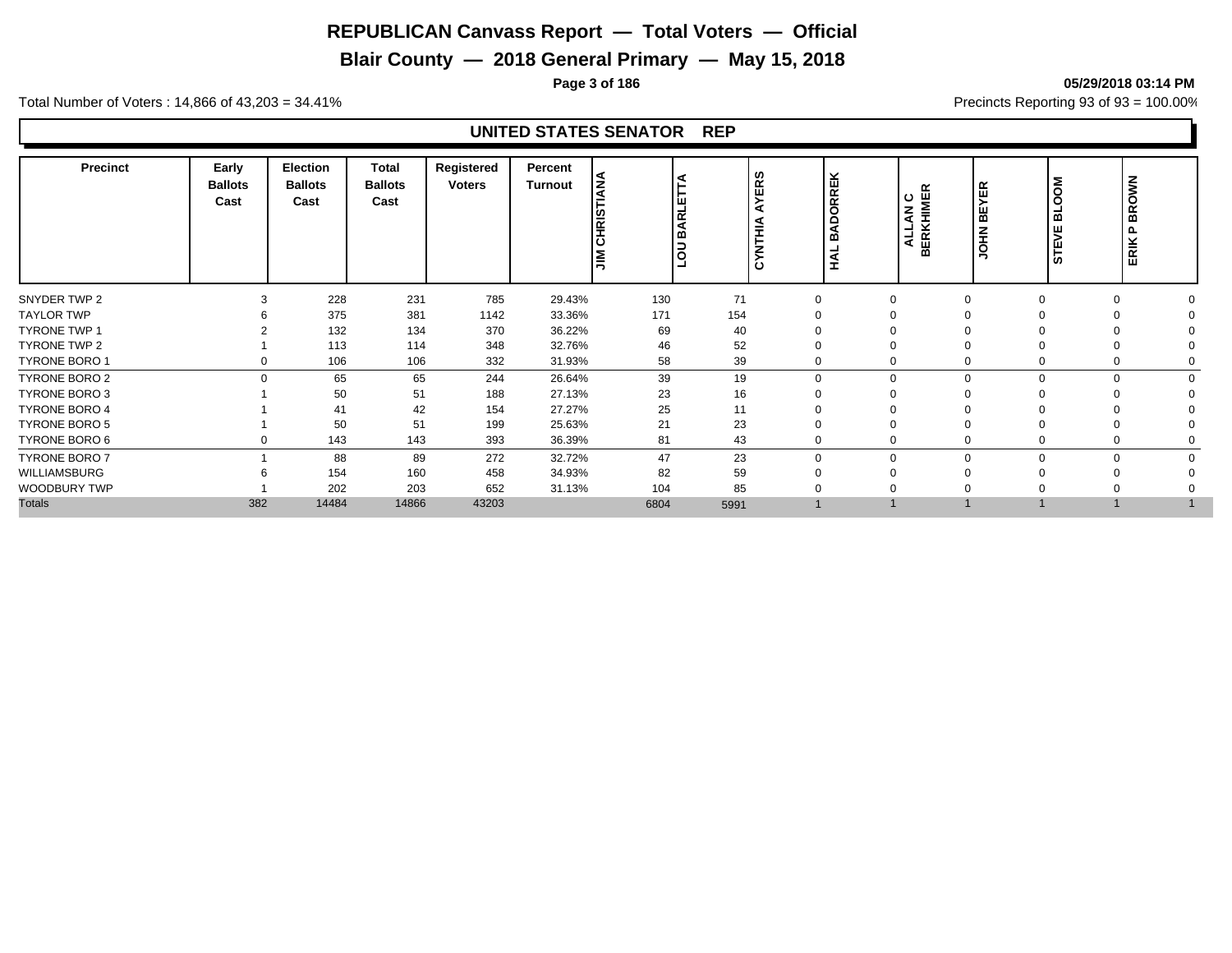# **Blair County — 2018 General Primary — May 15, 2018**

**Page 3 of 186 05/29/2018 03:14 PM**

Total Number of Voters : 14,866 of 43,203 = 34.41% **Precincts Reporting 93 of 93** = 100.00%

| <b>Precinct</b>      | Early<br><b>Ballots</b><br>Cast | Election<br><b>Ballots</b><br>Cast | Total<br><b>Ballots</b><br>Cast | Registered<br><b>Voters</b> | Percent<br><b>Turnout</b> | <b>CHRISTIANA</b><br><b>NIL</b> | ◀<br><b>BARLETTA</b> | w<br>$\alpha$<br>ш<br>⋝<br>◀<br>na<br>E<br>ż | <b>DORREK</b><br>ৰ<br>ΩÓ<br>うく | ALLAN C<br>BERKHIMER | YER<br> 닖<br><b>NHOL</b> | <b>MOO</b><br>⊒<br>≃<br>٣<br><b>STE</b> | <b>BROWN</b><br>` உ<br>ERIK |  |
|----------------------|---------------------------------|------------------------------------|---------------------------------|-----------------------------|---------------------------|---------------------------------|----------------------|----------------------------------------------|--------------------------------|----------------------|--------------------------|-----------------------------------------|-----------------------------|--|
| SNYDER TWP 2         |                                 | 228                                | 231                             | 785                         | 29.43%                    | 130                             | 71                   | $\Omega$                                     |                                |                      |                          | $\Omega$                                |                             |  |
| <b>TAYLOR TWP</b>    |                                 | 375                                | 381                             | 1142                        | 33.36%                    | 171                             | 154                  | ∩                                            |                                |                      |                          |                                         |                             |  |
| <b>TYRONE TWP 1</b>  |                                 | 132                                | 134                             | 370                         | 36.22%                    | 69                              | 40                   | ∩                                            |                                |                      |                          |                                         |                             |  |
| TYRONE TWP 2         |                                 | 113                                | 114                             | 348                         | 32.76%                    | 46                              | 52                   | $\Omega$                                     |                                |                      |                          |                                         |                             |  |
| <b>TYRONE BORO 1</b> | 0                               | 106                                | 106                             | 332                         | 31.93%                    | 58                              | 39                   | 0                                            |                                |                      |                          | $\mathbf 0$                             |                             |  |
| TYRONE BORO 2        | $\Omega$                        | 65                                 | 65                              | 244                         | 26.64%                    | 39                              | 19                   | $\mathbf{0}$                                 | $\Omega$                       |                      | 0                        | $\Omega$                                |                             |  |
| <b>TYRONE BORO 3</b> |                                 | 50                                 | 51                              | 188                         | 27.13%                    | 23                              | 16                   | $\Omega$                                     |                                |                      |                          | $\Omega$                                |                             |  |
| <b>TYRONE BORO 4</b> |                                 | 41                                 | 42                              | 154                         | 27.27%                    | 25                              | 11                   | ∩                                            |                                |                      |                          |                                         |                             |  |
| <b>TYRONE BORO 5</b> |                                 | 50                                 | 51                              | 199                         | 25.63%                    | 21                              | 23                   | $\Omega$                                     |                                |                      |                          | $\Omega$                                |                             |  |
| TYRONE BORO 6        | 0                               | 143                                | 143                             | 393                         | 36.39%                    | 81                              | 43                   | 0                                            |                                |                      |                          | 0                                       |                             |  |
| <b>TYRONE BORO 7</b> |                                 | 88                                 | 89                              | 272                         | 32.72%                    | 47                              | 23                   | $\mathbf 0$                                  | $\Omega$                       | $\Omega$             | O                        | $\Omega$                                | $\Omega$                    |  |
| WILLIAMSBURG         |                                 | 154                                | 160                             | 458                         | 34.93%                    | 82                              | 59                   | $\Omega$                                     |                                |                      |                          | $\Omega$                                |                             |  |
| <b>WOODBURY TWP</b>  |                                 | 202                                | 203                             | 652                         | 31.13%                    | 104                             | 85                   | $\Omega$                                     |                                |                      |                          |                                         |                             |  |
| <b>Totals</b>        | 382                             | 14484                              | 14866                           | 43203                       |                           | 6804                            | 5991                 |                                              |                                |                      |                          |                                         |                             |  |
|                      |                                 |                                    |                                 |                             |                           |                                 |                      |                                              |                                |                      |                          |                                         |                             |  |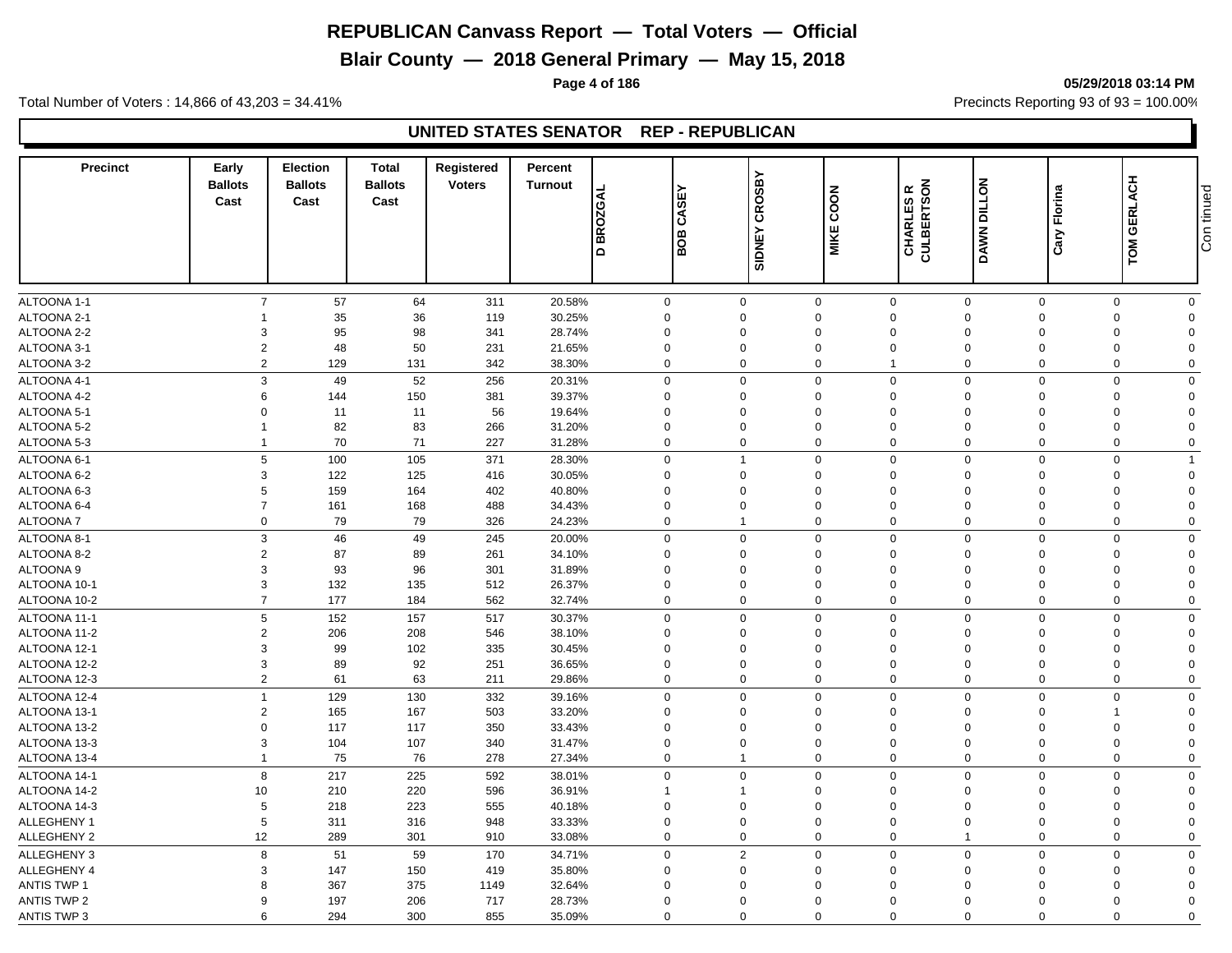**Blair County — 2018 General Primary — May 15, 2018**

**Page 4 of 186 05/29/2018 03:14 PM**

Total Number of Voters : 14,866 of 43,203 = 34.41% **Precincts Reporting 93 of 93** = 100.00%

## **UNITED STATES SENATOR REP - REPUBLICAN**

| <b>Precinct</b>      | Early<br><b>Ballots</b><br>Cast | <b>Election</b><br><b>Ballots</b><br>Cast | <b>Total</b><br><b>Ballots</b><br>Cast | Registered<br><b>Voters</b> | Percent<br><b>Turnout</b> | <b>BROZGAL</b><br>$\Omega$ | ш<br>CASI<br>BOB | <b>CROSBY</b><br><b>SIDNEY</b> | COON<br><b>MIKE</b>     | CHARLES R<br>CULBERTSON             | DAWN DILLON             | Florina<br>Cary | TOM GERLACH          | Con tinued |
|----------------------|---------------------------------|-------------------------------------------|----------------------------------------|-----------------------------|---------------------------|----------------------------|------------------|--------------------------------|-------------------------|-------------------------------------|-------------------------|-----------------|----------------------|------------|
|                      |                                 |                                           |                                        |                             |                           |                            |                  |                                |                         |                                     |                         |                 |                      |            |
| ALTOONA 1-1          | $\overline{7}$                  | 57                                        | 64                                     | 311                         | 20.58%                    | $\mathbf 0$                |                  | $\mathsf 0$                    | $\mathbf 0$             | $\mathbf 0$<br>$\mathbf 0$          | $\mathbf 0$             | $\mathbf 0$     | $\mathbf 0$          |            |
| ALTOONA 2-1          |                                 | 35                                        | 36                                     | 119                         | 30.25%                    | $\mathbf 0$                |                  | $\mathbf 0$                    | $\mathbf 0$             | $\mathbf 0$<br>$\mathbf 0$          | $\overline{0}$          | $\mathbf 0$     | $\Omega$             |            |
| ALTOONA 2-2          | 3                               | 95                                        | 98                                     | 341                         | 28.74%                    | $\mathbf 0$                |                  | $\Omega$                       | $\Omega$                | $\mathbf 0$<br>$\Omega$             | $\Omega$                | 0               | $\Omega$             |            |
| ALTOONA 3-1          | $\overline{2}$                  | 48                                        | 50                                     | 231                         | 21.65%                    | $\mathbf 0$                |                  | $\mathbf 0$                    | $\mathbf 0$             | $\mathbf 0$<br>$\mathbf 0$          | $\mathbf 0$             | 0               | $\mathbf 0$          |            |
| ALTOONA 3-2          | $\overline{2}$                  | 129                                       | 131                                    | 342                         | 38.30%                    | $\mathbf 0$                |                  | $\Omega$                       | 0                       | $\mathbf{1}$<br>$\Omega$            | $\mathbf 0$             | $\mathbf 0$     | $\Omega$             |            |
| ALTOONA 4-1          | 3                               | 49                                        | 52                                     | 256                         | 20.31%                    | $\mathbf 0$                |                  | $\Omega$                       | $\mathbf 0$             | $\mathbf 0$<br>$\Omega$             | $\mathbf 0$             | $\mathbf 0$     | $\Omega$             |            |
| ALTOONA 4-2          | 6                               | 144                                       | 150                                    | 381                         | 39.37%                    | $\mathbf 0$                |                  | $\Omega$                       | $\Omega$                | $\mathbf 0$<br>$\Omega$             | $\Omega$                | $\mathbf 0$     | $\Omega$             |            |
| ALTOONA 5-1          | $\Omega$                        | 11                                        | 11                                     | 56                          | 19.64%                    | $\mathbf 0$                | $\Omega$         |                                | $\Omega$                | $\mathbf 0$<br>$\Omega$             | $\Omega$                | $\mathbf 0$     | $\Omega$             |            |
| ALTOONA 5-2          |                                 | 82                                        | 83                                     | 266                         | 31.20%                    | $\mathbf 0$                |                  | $\Omega$                       | $\Omega$                | $\mathbf 0$<br>$\Omega$             | $\Omega$                | $\Omega$        | $\Omega$             |            |
| ALTOONA 5-3          | $\mathbf{1}$                    | 70                                        | 71                                     | 227                         | 31.28%                    | $\mathbf 0$                |                  | $\Omega$                       | $\mathbf 0$             | $\mathbf 0$<br>$\Omega$             | $\mathbf 0$             | $\mathbf 0$     | $\mathbf 0$          |            |
| ALTOONA 6-1          | 5                               | 100                                       | 105                                    | 371                         | 28.30%                    | $\mathbf 0$                |                  |                                | $\mathbf 0$             | $\mathbf 0$<br>$\mathbf 0$          | $\mathbf 0$             | $\mathbf 0$     | -1                   |            |
| ALTOONA 6-2          | 3                               | 122                                       | 125                                    | 416                         | 30.05%                    | $\mathbf 0$                |                  | $\mathbf 0$                    | $\mathbf 0$             | $\mathbf 0$<br>$\mathbf 0$          | $\overline{0}$          | $\mathbf 0$     | $\Omega$             |            |
| ALTOONA 6-3          | 5                               | 159                                       | 164                                    | 402                         | 40.80%                    | $\mathbf 0$                |                  | $\Omega$                       | $\Omega$                | $\mathbf 0$<br>$\Omega$             | $\Omega$                | $\mathbf 0$     | $\Omega$             |            |
| ALTOONA 6-4          | $\overline{7}$                  | 161                                       | 168                                    | 488                         | 34.43%                    | $\mathbf 0$                |                  | $\Omega$                       | $\mathbf 0$             | $\mathbf 0$<br>$\Omega$             | $\Omega$                | $\mathbf 0$     | $\Omega$             |            |
| ALTOONA 7            | $\mathbf 0$                     | 79                                        | 79                                     | 326                         | 24.23%                    | $\mathbf 0$                | $\overline{1}$   |                                | 0                       | $\mathbf 0$<br>$\mathbf 0$          | $\mathbf 0$             | 0               | $\Omega$             |            |
|                      | 3                               |                                           | 49                                     |                             |                           | $\mathbf 0$                |                  | $\overline{0}$                 | $\mathbf 0$             | $\mathsf 0$<br>$\mathbf 0$          | $\overline{0}$          | $\mathbf 0$     | $\mathbf 0$          |            |
| ALTOONA 8-1          |                                 | 46                                        |                                        | 245                         | 20.00%                    |                            |                  |                                |                         |                                     |                         |                 |                      |            |
| ALTOONA 8-2          | $\overline{2}$<br>3             | 87                                        | 89                                     | 261                         | 34.10%                    | $\mathbf 0$                |                  | $\Omega$                       | $\mathbf 0$<br>$\Omega$ | $\mathbf 0$<br>$\Omega$<br>$\Omega$ | $\mathbf 0$<br>$\Omega$ | 0               | $\Omega$             |            |
| ALTOONA <sub>9</sub> | 3                               | 93                                        | 96                                     | 301                         | 31.89%                    | $\mathbf 0$                |                  | $\mathbf 0$<br>$\mathbf 0$     | $\mathbf 0$             | $\mathbf 0$<br>$\mathbf 0$          | $\mathbf 0$             | $\mathbf 0$     | $\Omega$<br>$\Omega$ |            |
| ALTOONA 10-1         | $\overline{7}$                  | 132                                       | 135                                    | 512                         | 26.37%                    | $\mathbf 0$                |                  | $\Omega$                       |                         | $\mathbf 0$                         |                         | $\mathbf 0$     |                      |            |
| ALTOONA 10-2         |                                 | 177                                       | 184                                    | 562                         | 32.74%                    | $\mathbf 0$                |                  |                                | $\mathbf 0$             | $\mathbf 0$<br>$\mathbf 0$          | $\mathbf 0$             | $\mathbf 0$     | $\Omega$             |            |
| ALTOONA 11-1         | 5                               | 152                                       | 157                                    | 517                         | 30.37%                    | $\mathbf 0$                |                  | $\Omega$                       | $\mathbf 0$             | $\mathbf 0$<br>$\mathbf 0$          | $\Omega$                | $\mathbf 0$     | $\mathbf 0$          |            |
| ALTOONA 11-2         | $\overline{2}$                  | 206                                       | 208                                    | 546                         | 38.10%                    | $\mathbf 0$                |                  | $\mathbf 0$                    | $\mathbf 0$             | $\mathbf 0$<br>$\Omega$             | $\Omega$                | $\mathbf 0$     | $\Omega$             |            |
| ALTOONA 12-1         | 3                               | 99                                        | 102                                    | 335                         | 30.45%                    | $\mathbf 0$                |                  | $\mathbf 0$                    | $\mathbf 0$             | $\mathbf 0$<br>$\Omega$             | $\mathbf 0$             | 0               | $\Omega$             |            |
| ALTOONA 12-2         | 3                               | 89                                        | 92                                     | 251                         | 36.65%                    | $\mathbf 0$                |                  | $\Omega$                       | $\Omega$                | $\mathbf 0$<br>$\Omega$             | $\Omega$                | 0               | $\Omega$             |            |
| ALTOONA 12-3         | $\overline{2}$                  | 61                                        | 63                                     | 211                         | 29.86%                    | $\mathbf 0$                |                  | $\mathbf 0$                    | $\mathbf 0$             | $\mathbf 0$<br>$\mathbf 0$          | $\overline{0}$          | $\mathbf 0$     | $\mathbf 0$          |            |
| ALTOONA 12-4         | $\overline{1}$                  | 129                                       | 130                                    | 332                         | 39.16%                    | $\mathbf 0$                |                  | $\Omega$                       | $\mathbf{0}$            | $\mathbf 0$<br>$\mathbf 0$          | $\mathbf 0$             | $\mathbf 0$     | $\mathbf 0$          |            |
| ALTOONA 13-1         | $\overline{2}$                  | 165                                       | 167                                    | 503                         | 33.20%                    | $\mathbf 0$                |                  | $\Omega$                       | $\mathbf 0$             | $\mathbf 0$<br>$\Omega$             | $\mathbf 0$             | 1               | $\Omega$             |            |
| ALTOONA 13-2         | $\Omega$                        | 117                                       | 117                                    | 350                         | 33.43%                    | $\mathbf 0$                |                  | $\Omega$                       | $\Omega$                | $\mathbf 0$<br>$\Omega$             | $\Omega$                | $\mathbf 0$     | $\Omega$             |            |
| ALTOONA 13-3         | 3                               | 104                                       | 107                                    | 340                         | 31.47%                    | $\mathbf 0$                |                  | $\mathbf 0$                    | $\mathbf 0$             | $\mathbf 0$<br>$\mathbf 0$          | $\overline{0}$          | $\mathbf 0$     | $\Omega$             |            |
| ALTOONA 13-4         | 1                               | 75                                        | 76                                     | 278                         | 27.34%                    | $\mathbf 0$                | $\mathbf{1}$     |                                | $\mathbf 0$             | $\mathbf 0$<br>$\Omega$             | $\mathbf{0}$            | $\mathbf 0$     | $\Omega$             |            |
| ALTOONA 14-1         | 8                               | 217                                       | 225                                    | 592                         | 38.01%                    | $\mathbf 0$                |                  | $\Omega$                       | $\mathbf 0$             | $\mathbf 0$<br>$\mathbf 0$          | $\mathbf 0$             | $\mathbf 0$     | $\Omega$             |            |
| ALTOONA 14-2         | 10                              | 210                                       | 220                                    | 596                         | 36.91%                    | 1                          |                  |                                | 0                       | $\mathbf 0$<br>$\Omega$             | $\Omega$                | 0               | $\Omega$             |            |
| ALTOONA 14-3         | 5                               | 218                                       | 223                                    | 555                         | 40.18%                    | $\mathbf 0$                |                  | $\Omega$                       | $\mathbf 0$             | $\mathbf 0$<br>$\Omega$             | $\Omega$                | 0               | $\Omega$             |            |
| <b>ALLEGHENY 1</b>   | 5                               | 311                                       | 316                                    | 948                         | 33.33%                    | $\mathbf 0$                |                  | $\Omega$                       | $\Omega$                | $\mathbf 0$<br>$\Omega$             | $\Omega$                | $\mathbf 0$     | $\Omega$             |            |
| ALLEGHENY 2          | 12                              | 289                                       | 301                                    | 910                         | 33.08%                    | $\mathbf 0$                |                  | $\Omega$                       | 0                       | $\mathbf 0$                         | $\mathbf 0$             | $\mathbf 0$     | $\Omega$             |            |
| <b>ALLEGHENY 3</b>   | 8                               | 51                                        | 59                                     | 170                         | 34.71%                    | $\mathbf 0$                |                  | $\overline{2}$                 | $\mathbf{0}$            | $\mathbf 0$<br>$\mathbf 0$          | $\mathbf 0$             | $\mathbf 0$     | $\Omega$             |            |
| ALLEGHENY 4          | 3                               | 147                                       | 150                                    | 419                         | 35.80%                    | $\mathbf 0$                |                  | $\mathbf 0$                    | $\mathbf 0$             | $\mathbf 0$<br>$\mathbf 0$          | $\overline{0}$          | $\mathbf 0$     | $\Omega$             |            |
| <b>ANTIS TWP 1</b>   | 8                               | 367                                       | 375                                    | 1149                        | 32.64%                    | $\mathbf 0$                |                  | $\Omega$                       | $\Omega$                | $\mathbf 0$<br>$\Omega$             | $\Omega$                | $\mathbf 0$     | $\Omega$             |            |
| <b>ANTIS TWP 2</b>   | 9                               | 197                                       | 206                                    | 717                         | 28.73%                    | $\mathbf 0$                |                  | $\Omega$                       | $\Omega$                | $\Omega$<br>$\Omega$                | $\Omega$                | $\mathbf 0$     | $\Omega$             |            |
| <b>ANTIS TWP 3</b>   | 6                               | 294                                       | 300                                    | 855                         | 35.09%                    | $\mathbf 0$                |                  | $\Omega$                       | $\mathbf 0$             | $\mathbf 0$<br>$\mathbf 0$          | $\mathbf{0}$            | 0               | $\mathbf 0$          |            |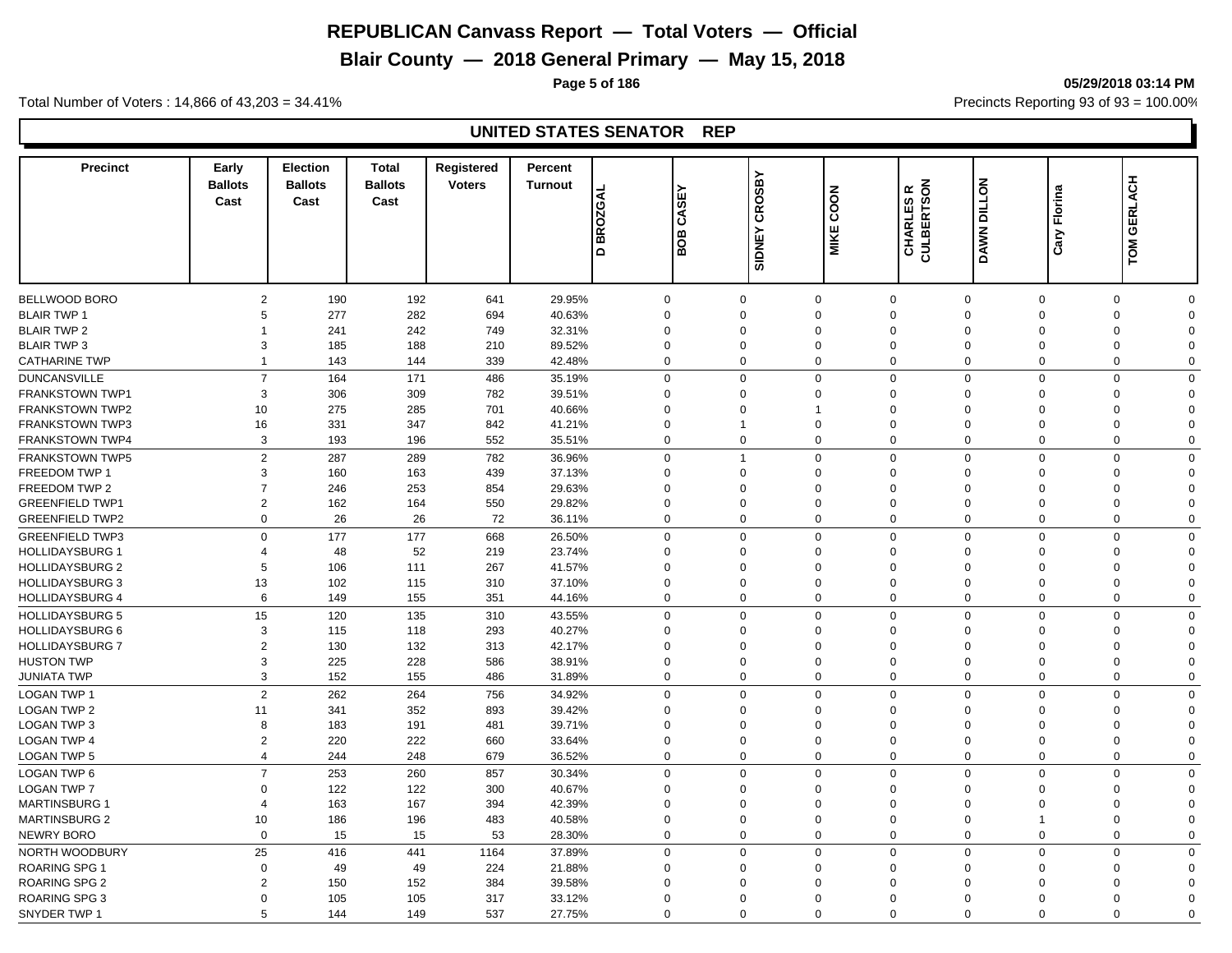# **Blair County — 2018 General Primary — May 15, 2018**

**Page 5 of 186 05/29/2018 03:14 PM**

Total Number of Voters : 14,866 of 43,203 = 34.41% **Precincts Reporting 93 of 93** = 100.00%

| <b>Precinct</b>        | Early<br><b>Ballots</b><br>Cast  | <b>Election</b><br><b>Ballots</b><br>Cast | <b>Total</b><br><b>Ballots</b><br>Cast | Registered<br><b>Voters</b> | Percent<br><b>Turnout</b> | <b>BROZGAL</b><br>$\Omega$ | 인<br>  ഗ<br>Ιš<br>BOB | CROSBY<br><b>SIDNEY</b> | COON<br><b>MIKE</b>     | <b>CHARLES R<br/>CULBERTSON</b>     | <b>DAWN DILLON</b>         | Florina<br>Cary | <b>GERLACH</b><br>TOM               |  |
|------------------------|----------------------------------|-------------------------------------------|----------------------------------------|-----------------------------|---------------------------|----------------------------|-----------------------|-------------------------|-------------------------|-------------------------------------|----------------------------|-----------------|-------------------------------------|--|
|                        |                                  |                                           |                                        |                             |                           |                            |                       |                         |                         |                                     |                            |                 |                                     |  |
| BELLWOOD BORO          | $\overline{2}$<br>5              | 190                                       | 192                                    | 641                         | 29.95%                    |                            | $\mathbf 0$           | $\Omega$<br>$\Omega$    | $\mathbf 0$             | $\mathbf 0$<br>$\mathbf 0$          | $\mathbf 0$                |                 | $\mathbf 0$<br>$\Omega$<br>$\Omega$ |  |
| <b>BLAIR TWP 1</b>     | 1                                | 277                                       | 282                                    | 694                         | 40.63%                    |                            | $\mathbf 0$           | $\Omega$                | $\Omega$<br>$\Omega$    | $\mathbf 0$<br>$\Omega$<br>$\Omega$ | $\Omega$<br>$\Omega$       |                 | $\mathbf 0$<br>$\Omega$             |  |
| <b>BLAIR TWP 2</b>     | 3                                | 241                                       | 242                                    | 749                         | 32.31%                    |                            | $\mathbf 0$           | $\Omega$                | $\Omega$                | $\mathbf 0$<br>$\Omega$             | $\Omega$                   |                 | $\mathbf 0$                         |  |
| <b>BLAIR TWP 3</b>     | $\overline{1}$                   | 185                                       | 188                                    | 210                         | 89.52%                    |                            | $\mathbf 0$           | $\Omega$                |                         | $\mathbf 0$<br>$\Omega$             |                            |                 | 0<br>$\Omega$<br>$\Omega$           |  |
| <b>CATHARINE TWP</b>   |                                  | 143                                       | 144                                    | 339                         | 42.48%                    |                            | $\mathbf 0$           |                         | $\mathbf 0$             | $\mathbf 0$                         | $\mathbf 0$                |                 | $\mathbf 0$                         |  |
| <b>DUNCANSVILLE</b>    | $\overline{7}$                   | 164                                       | 171                                    | 486                         | 35.19%                    |                            | $\mathbf 0$           | $\Omega$                | $\mathbf 0$             | $\mathbf 0$<br>$\mathbf 0$          | $\mathbf 0$                |                 | $\mathbf 0$<br>$\Omega$             |  |
| <b>FRANKSTOWN TWP1</b> | 3                                | 306                                       | 309                                    | 782                         | 39.51%                    |                            | $\mathbf 0$           | $\Omega$                | $\mathbf 0$             | $\mathbf 0$<br>$\Omega$             | $\Omega$                   |                 | $\mathbf 0$<br>$\Omega$             |  |
| <b>FRANKSTOWN TWP2</b> | 10                               | 275                                       | 285                                    | 701                         | 40.66%                    |                            | $\mathbf 0$           | $\Omega$                | $\overline{1}$          | $\mathbf 0$<br>$\Omega$             | $\Omega$                   |                 | $\mathbf 0$<br>$\Omega$             |  |
| <b>FRANKSTOWN TWP3</b> | 16                               | 331                                       | 347                                    | 842                         | 41.21%                    |                            | $\mathbf 0$           |                         | $\Omega$                | $\mathbf 0$<br>$\Omega$             | $\Omega$                   |                 | $\mathbf 0$<br>$\Omega$             |  |
| <b>FRANKSTOWN TWP4</b> | 3                                | 193                                       | 196                                    | 552                         | 35.51%                    |                            | $\mathbf 0$           | $\Omega$                | 0                       | $\mathbf 0$<br>$\Omega$             | 0                          |                 | $\mathbf 0$<br>$\Omega$             |  |
| <b>FRANKSTOWN TWP5</b> | $\overline{2}$                   | 287                                       | 289                                    | 782                         | 36.96%                    |                            | $\mathbf 0$           |                         | $\mathbf 0$             | $\mathbf 0$<br>$\mathbf 0$          | $\mathbf 0$                |                 | $\mathbf 0$<br>$\Omega$             |  |
| <b>FREEDOM TWP 1</b>   | 3                                | 160                                       | 163                                    | 439                         | 37.13%                    |                            | $\mathbf 0$           | $\Omega$                | $\Omega$                | $\mathbf 0$<br>$\Omega$             | $\Omega$                   |                 | $\mathbf 0$<br>$\Omega$             |  |
| FREEDOM TWP 2          | $\overline{7}$                   | 246                                       | 253                                    | 854                         | 29.63%                    |                            | $\mathbf 0$           | $\Omega$                | 0                       | $\mathbf 0$<br>$\Omega$             | $\mathbf 0$                |                 | $\mathbf 0$<br>$\Omega$             |  |
| <b>GREENFIELD TWP1</b> | $\overline{2}$                   | 162                                       | 164                                    | 550                         | 29.82%                    |                            | $\mathbf 0$           | $\Omega$                | $\Omega$                | $\mathbf 0$<br>$\mathbf 0$          | $\Omega$                   |                 | $\mathbf 0$<br>$\Omega$             |  |
| <b>GREENFIELD TWP2</b> | $\mathbf 0$                      | 26                                        | 26                                     | 72                          | 36.11%                    |                            | $\mathbf 0$           | $\Omega$                | $\mathbf 0$             | $\mathbf 0$<br>$\mathbf 0$          | $\mathbf 0$                |                 | $\mathbf 0$<br>$\Omega$             |  |
| <b>GREENFIELD TWP3</b> | $\Omega$                         | 177                                       | 177                                    | 668                         | 26.50%                    |                            | $\mathbf 0$           | $\Omega$                | $\mathbf 0$             | $\mathbf 0$<br>$\mathbf 0$          | $\mathbf 0$                |                 | $\mathbf 0$<br>$\mathbf 0$          |  |
| <b>HOLLIDAYSBURG 1</b> | $\overline{4}$                   | 48                                        | 52                                     | 219                         | 23.74%                    |                            | $\mathbf 0$           | $\Omega$                | $\Omega$                | $\mathbf 0$<br>$\Omega$             | $\Omega$                   |                 | 0<br>$\Omega$                       |  |
| <b>HOLLIDAYSBURG 2</b> | 5                                | 106                                       | 111                                    | 267                         | 41.57%                    |                            | $\mathbf 0$           | $\Omega$                | 0                       | $\mathbf 0$<br>$\Omega$             | $\Omega$                   |                 | 0<br>$\Omega$                       |  |
| <b>HOLLIDAYSBURG 3</b> | 13                               | 102                                       | 115                                    | 310                         | 37.10%                    |                            | $\mathbf 0$           | $\Omega$                | $\Omega$                | $\mathbf 0$<br>$\Omega$             | $\Omega$                   |                 | 0<br>$\Omega$                       |  |
| <b>HOLLIDAYSBURG 4</b> | 6                                | 149                                       | 155                                    | 351                         | 44.16%                    |                            | $\mathbf 0$           | $\mathbf 0$             | 0                       | $\mathbf 0$<br>$\mathbf 0$          | $\mathbf{0}$               |                 | 0<br>$\mathbf 0$                    |  |
| <b>HOLLIDAYSBURG 5</b> | 15                               | 120                                       | 135                                    | 310                         | 43.55%                    |                            | $\mathbf 0$           | $\Omega$                | $\mathbf 0$             | $\mathbf 0$<br>$\Omega$             | $\mathbf 0$                |                 | $\mathbf 0$<br>$\Omega$             |  |
| HOLLIDAYSBURG 6        | 3                                | 115                                       | 118                                    | 293                         | 40.27%                    |                            | $\mathbf 0$           | $\Omega$                | $\Omega$                | $\mathbf 0$<br>$\Omega$             | $\Omega$                   | $\Omega$        | $\Omega$                            |  |
| <b>HOLLIDAYSBURG 7</b> | $\overline{2}$                   | 130                                       | 132                                    | 313                         | 42.17%                    |                            | $\mathbf 0$           | $\Omega$                | $\Omega$                | $\mathbf 0$<br>$\Omega$             | $\Omega$                   |                 | $\mathbf 0$<br>$\Omega$             |  |
| <b>HUSTON TWP</b>      | 3                                | 225                                       | 228                                    | 586                         | 38.91%                    |                            | $\mathbf 0$           | $\Omega$                | $\Omega$                | $\mathbf 0$<br>$\Omega$             | $\Omega$                   |                 | $\mathbf 0$<br>$\Omega$             |  |
| JUNIATA TWP            | 3                                | 152                                       | 155                                    | 486                         | 31.89%                    |                            | $\mathbf 0$           | $\Omega$                | $\mathbf{0}$            | $\mathbf 0$<br>$\Omega$             | $\mathbf{0}$               |                 | $\mathbf 0$<br>$\Omega$             |  |
| <b>LOGAN TWP 1</b>     | $\overline{2}$                   | 262                                       | 264                                    | 756                         | 34.92%                    |                            | $\mathbf 0$           | $\mathbf 0$             | $\mathbf{0}$            | $\mathbf 0$<br>$\mathbf 0$          | $\mathbf 0$                |                 | $\mathbf 0$<br>$\Omega$             |  |
|                        |                                  |                                           |                                        |                             |                           |                            |                       | $\Omega$                | $\Omega$                | $\Omega$                            | $\Omega$                   |                 | $\Omega$                            |  |
| <b>LOGAN TWP 2</b>     | 11                               | 341                                       | 352                                    | 893                         | 39.42%                    |                            | $\mathbf 0$           | $\Omega$                |                         | $\mathbf 0$<br>$\Omega$             | $\Omega$                   |                 | $\mathbf 0$<br>$\Omega$             |  |
| <b>LOGAN TWP 3</b>     | 8                                | 183                                       | 191                                    | 481                         | 39.71%                    |                            | $\mathbf 0$           | $\Omega$                | $\mathbf 0$<br>$\Omega$ | $\mathbf 0$                         |                            |                 | 0<br>$\Omega$                       |  |
| LOGAN TWP 4            | $\overline{2}$<br>$\overline{4}$ | 220                                       | 222                                    | 660                         | 33.64%                    |                            | $\mathbf 0$           | $\Omega$                |                         | $\mathbf 0$<br>$\mathbf 0$          | $\mathbf 0$                |                 | $\mathbf 0$<br>$\Omega$             |  |
| <b>LOGAN TWP 5</b>     |                                  | 244                                       | 248                                    | 679                         | 36.52%                    |                            | $\mathbf 0$           |                         | 0                       | $\mathbf 0$                         | $\mathbf 0$<br>$\mathbf 0$ |                 | 0                                   |  |
| <b>LOGAN TWP 6</b>     | $\overline{7}$                   | 253                                       | 260                                    | 857                         | 30.34%                    |                            | $\mathbf 0$           | $\Omega$                | $\mathbf 0$             | $\mathbf 0$<br>$\mathbf 0$          | $\Omega$                   |                 | 0<br>$\mathbf 0$                    |  |
| <b>LOGAN TWP 7</b>     | $\Omega$                         | 122                                       | 122                                    | 300                         | 40.67%                    |                            | $\mathbf 0$           | $\Omega$                | $\Omega$                | $\mathbf 0$<br>$\Omega$             | $\Omega$                   |                 | 0<br>$\Omega$                       |  |
| <b>MARTINSBURG 1</b>   | 4                                | 163                                       | 167                                    | 394                         | 42.39%                    |                            | $\mathbf 0$           | $\Omega$                | $\Omega$                | $\mathbf 0$<br>$\Omega$             | $\Omega$                   |                 | 0<br>$\Omega$                       |  |
| <b>MARTINSBURG 2</b>   | 10                               | 186                                       | 196                                    | 483                         | 40.58%                    |                            | $\mathbf 0$           | $\mathbf 0$             | $\mathbf 0$             | $\mathbf 0$<br>$\mathbf 0$          | $\overline{\mathbf{1}}$    |                 | 0<br>$\Omega$                       |  |
| NEWRY BORO             | $\mathbf 0$                      | 15                                        | 15                                     | 53                          | 28.30%                    |                            | $\mathbf 0$           | $\Omega$                | $\mathbf 0$             | $\mathbf 0$<br>$\mathbf 0$          | $\Omega$                   |                 | $\mathbf 0$<br>$\mathbf 0$          |  |
| NORTH WOODBURY         | 25                               | 416                                       | 441                                    | 1164                        | 37.89%                    |                            | $\mathbf 0$           | $\Omega$                | $\mathbf{0}$            | $\mathbf 0$<br>$\mathbf 0$          | $\mathbf 0$                |                 | $\mathbf 0$<br>$\mathbf 0$          |  |
| <b>ROARING SPG 1</b>   | $\mathbf 0$                      | 49                                        | 49                                     | 224                         | 21.88%                    |                            | $\mathbf 0$           | $\Omega$                | $\mathbf 0$             | $\mathbf 0$<br>$\Omega$             | $\Omega$                   |                 | 0<br>$\Omega$                       |  |
| <b>ROARING SPG 2</b>   | $\overline{2}$                   | 150                                       | 152                                    | 384                         | 39.58%                    |                            | $\mathbf 0$           | $\Omega$                | $\Omega$                | $\Omega$<br>$\Omega$                | $\Omega$                   |                 | $\mathbf 0$<br>$\Omega$             |  |
| <b>ROARING SPG 3</b>   | $\Omega$                         | 105                                       | 105                                    | 317                         | 33.12%                    |                            | $\mathbf 0$           | $\Omega$                | $\Omega$                | $\Omega$<br>$\Omega$                | $\Omega$                   |                 | $\mathbf 0$<br>$\Omega$             |  |
| SNYDER TWP 1           | 5                                | 144                                       | 149                                    | 537                         | 27.75%                    |                            | $\Omega$              | $\Omega$                | $\Omega$                | $\Omega$<br>$\Omega$                | $\Omega$                   |                 | $\Omega$<br>$\Omega$                |  |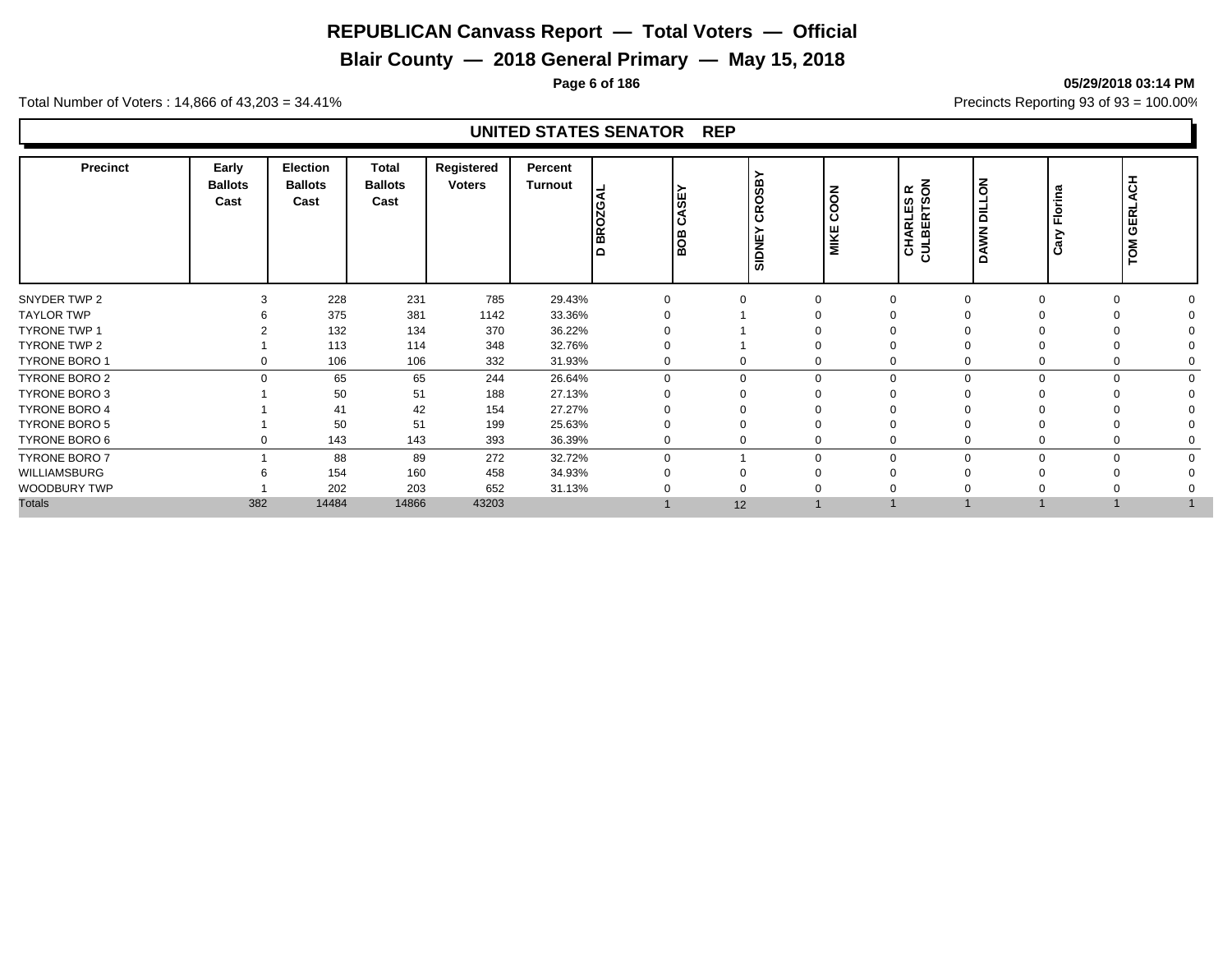# **Blair County — 2018 General Primary — May 15, 2018**

**Page 6 of 186 05/29/2018 03:14 PM**

Total Number of Voters : 14,866 of 43,203 = 34.41% **Precincts Reporting 93 of 93** = 100.00%

| <b>Precinct</b>      | Early<br><b>Ballots</b><br>Cast | <b>Election</b><br><b>Ballots</b><br>Cast | Total<br><b>Ballots</b><br>Cast | Registered<br><b>Voters</b> | Percent<br><b>Turnout</b> | k<br>ω<br>N<br><b>BRO</b><br>$\Omega$ | CASEY<br>les<br>as | ്മ<br>ഗ<br>O<br>$\alpha$<br>$\overline{\mathtt{o}}$<br>SIDNE | COON<br>MIKE | $\overline{6}$<br>$\propto$<br>CHARLES<br>CULBERTSO | lδ<br>ب<br>ਛ<br><b>DAWN</b> | Florina<br>Cary | ᆂ<br>ୁ<br><b>GERL</b><br>TOM |  |
|----------------------|---------------------------------|-------------------------------------------|---------------------------------|-----------------------------|---------------------------|---------------------------------------|--------------------|--------------------------------------------------------------|--------------|-----------------------------------------------------|-----------------------------|-----------------|------------------------------|--|
| SNYDER TWP 2         |                                 | 228                                       | 231                             | 785                         | 29.43%                    | $\Omega$                              |                    | $\Omega$                                                     |              |                                                     |                             | $\Omega$        |                              |  |
| <b>TAYLOR TWP</b>    |                                 | 375                                       | 381                             | 1142                        | 33.36%                    |                                       |                    |                                                              |              |                                                     |                             |                 |                              |  |
| <b>TYRONE TWP 1</b>  |                                 | 132                                       | 134                             | 370                         | 36.22%                    |                                       |                    |                                                              |              |                                                     |                             |                 |                              |  |
| TYRONE TWP 2         |                                 | 113                                       | 114                             | 348                         | 32.76%                    |                                       |                    |                                                              |              |                                                     |                             |                 |                              |  |
| <b>TYRONE BORO 1</b> | 0                               | 106                                       | 106                             | 332                         | 31.93%                    | $\Omega$                              |                    | 0                                                            |              |                                                     |                             | $\mathbf 0$     |                              |  |
| TYRONE BORO 2        | $\Omega$                        | 65                                        | 65                              | 244                         | 26.64%                    | $\Omega$                              |                    | $\Omega$                                                     | $\Omega$     |                                                     |                             | $\Omega$        |                              |  |
| TYRONE BORO 3        |                                 | 50                                        | 51                              | 188                         | 27.13%                    |                                       |                    |                                                              |              |                                                     |                             |                 |                              |  |
| <b>TYRONE BORO 4</b> |                                 | 41                                        | 42                              | 154                         | 27.27%                    |                                       |                    |                                                              |              |                                                     |                             |                 |                              |  |
| <b>TYRONE BORO 5</b> |                                 | 50                                        | 51                              | 199                         | 25.63%                    |                                       |                    |                                                              |              |                                                     |                             |                 |                              |  |
| TYRONE BORO 6        | 0                               | 143                                       | 143                             | 393                         | 36.39%                    |                                       |                    | 0                                                            |              |                                                     |                             | 0               |                              |  |
| <b>TYRONE BORO 7</b> |                                 | 88                                        | 89                              | 272                         | 32.72%                    | $\Omega$                              |                    | $\Omega$                                                     | $\Omega$     |                                                     |                             | $\Omega$        |                              |  |
| WILLIAMSBURG         |                                 | 154                                       | 160                             | 458                         | 34.93%                    |                                       |                    |                                                              |              |                                                     |                             |                 |                              |  |
| WOODBURY TWP         |                                 | 202                                       | 203                             | 652                         | 31.13%                    |                                       |                    |                                                              |              |                                                     |                             |                 |                              |  |
| <b>Totals</b>        | 382                             | 14484                                     | 14866                           | 43203                       |                           |                                       | 12                 |                                                              |              |                                                     |                             |                 |                              |  |
|                      |                                 |                                           |                                 |                             |                           |                                       |                    |                                                              |              |                                                     |                             |                 |                              |  |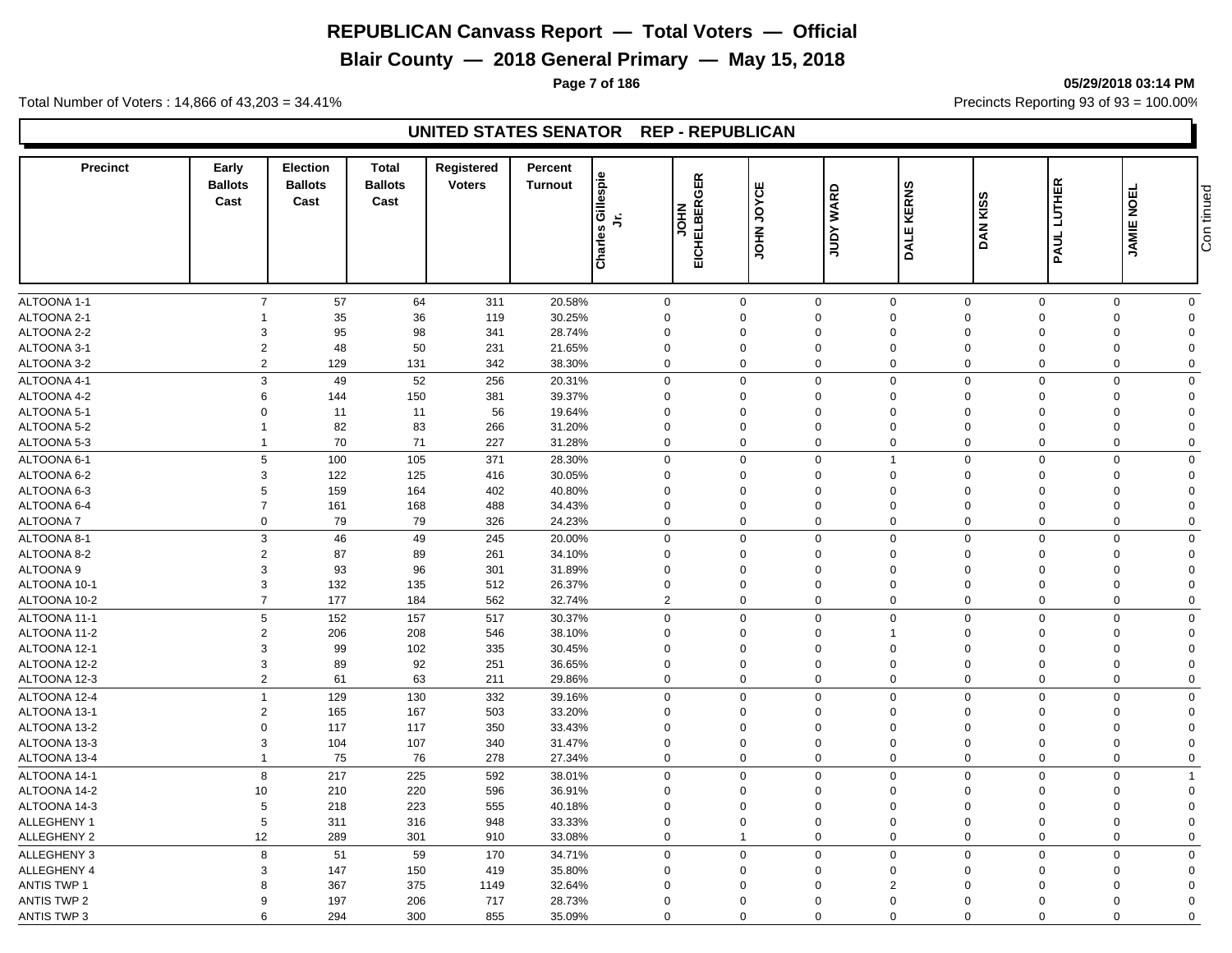**Blair County — 2018 General Primary — May 15, 2018**

**Page 7 of 186 05/29/2018 03:14 PM**

Total Number of Voters : 14,866 of 43,203 = 34.41% **Precincts Reporting 93 of 93** = 100.00%

#### **UNITED STATES SENATOR REP - REPUBLICAN**

| <b>Precinct</b>    | Early<br><b>Ballots</b><br>Cast | <b>Election</b><br><b>Ballots</b><br>Cast | <b>Total</b><br><b>Ballots</b><br>Cast | Registered<br><b>Voters</b> | Percent<br><b>Turnout</b> | Charles Gillespie<br>与 | 띥<br>ত<br>≃<br><b>NHOL</b><br>CHELBE<br>靣 | JOYCE<br><b>NHOL</b> | <b>WARD</b><br>Yanr     | <b>KERNS</b><br>DALE       | DAN KISS                                     | PAUL LUTHER | <b>JAMIE NOEL</b>                   | Con tinued |
|--------------------|---------------------------------|-------------------------------------------|----------------------------------------|-----------------------------|---------------------------|------------------------|-------------------------------------------|----------------------|-------------------------|----------------------------|----------------------------------------------|-------------|-------------------------------------|------------|
|                    |                                 |                                           |                                        |                             |                           |                        |                                           |                      |                         |                            |                                              |             |                                     |            |
| ALTOONA 1-1        | $\overline{7}$                  | 57                                        | 64                                     | 311                         | 20.58%                    |                        | $\mathbf 0$                               | $\mathbf 0$          | $\mathbf 0$             | $\mathbf 0$                | $\mathbf 0$                                  | $\mathsf 0$ | $\mathbf 0$<br>$\mathbf 0$          |            |
| ALTOONA 2-1        |                                 | 35                                        | 36                                     | 119                         | 30.25%                    |                        | $\mathbf 0$                               | $\Omega$             | $\Omega$                | $\mathbf 0$                | $\Omega$<br>$\Omega$                         |             | $\mathbf 0$<br>$\Omega$             |            |
| ALTOONA 2-2        | 3                               | 95                                        | 98                                     | 341                         | 28.74%                    |                        | $\mathbf 0$                               | $\Omega$             | $\Omega$                | $\mathbf 0$                | $\Omega$<br>$\Omega$                         |             | $\mathbf 0$<br>$\Omega$             |            |
| ALTOONA 3-1        | $\overline{2}$                  | 48                                        | 50                                     | 231                         | 21.65%                    |                        | $\mathbf 0$                               | $\mathbf 0$          | $\mathbf 0$             | $\mathbf 0$                | $\overline{0}$<br>$\mathbf 0$                |             | $\mathbf 0$<br>$\Omega$             |            |
| ALTOONA 3-2        | $\overline{2}$                  | 129                                       | 131                                    | 342                         | 38.30%                    |                        | $\mathbf 0$                               | $\Omega$             | $\mathbf 0$             | $\mathbf 0$                | $\Omega$                                     | $\mathbf 0$ | $\mathbf 0$<br>$\Omega$             |            |
| ALTOONA 4-1        |                                 | 3<br>49                                   | 52                                     | 256                         | 20.31%                    |                        | $\mathbf 0$                               | $\Omega$             | $\mathbf 0$             | $\mathbf 0$                | $\mathbf 0$                                  | $\mathbf 0$ | $\mathbf 0$<br>$\Omega$             |            |
| ALTOONA 4-2        | 6                               | 144                                       | 150                                    | 381                         | 39.37%                    |                        | $\mathbf 0$                               | $\Omega$             | 0                       | $\mathbf 0$                | $\Omega$<br>$\mathbf 0$                      |             | $\mathbf 0$<br>$\Omega$             |            |
| ALTOONA 5-1        | $\Omega$                        | 11                                        | 11                                     | 56                          | 19.64%                    |                        | $\mathbf 0$                               | $\Omega$             | $\mathbf 0$             | $\mathbf 0$                | $\Omega$<br>$\mathbf 0$                      |             | 0<br>$\Omega$                       |            |
| ALTOONA 5-2        | -1                              | 82                                        | 83                                     | 266                         | 31.20%                    |                        | $\mathbf 0$                               | $\Omega$             | $\Omega$                | $\mathbf 0$                | $\Omega$<br>$\Omega$                         |             | 0<br>$\Omega$                       |            |
| ALTOONA 5-3        | $\mathbf{1}$                    | 70                                        | 71                                     | 227                         | 31.28%                    |                        | $\mathbf 0$                               | $\Omega$             | 0                       | $\mathbf 0$                | $\Omega$                                     | $\mathbf 0$ | 0<br>$\mathbf 0$                    |            |
| ALTOONA 6-1        | 5                               | 100                                       | 105                                    | 371                         | 28.30%                    |                        | $\mathbf 0$                               | $\Omega$             | $\mathbf 0$             | $\mathbf{1}$               | $\mathbf 0$                                  | $\mathbf 0$ | $\mathbf 0$<br>$\Omega$             |            |
| ALTOONA 6-2        | 3                               | 122                                       | 125                                    | 416                         | 30.05%                    |                        | $\mathbf 0$                               | $\Omega$             | $\Omega$                | $\mathbf 0$                | $\Omega$<br>$\Omega$                         |             | $\mathbf 0$<br>$\Omega$             |            |
| ALTOONA 6-3        | 5                               | 159                                       | 164                                    | 402                         | 40.80%                    |                        | $\mathbf 0$                               | $\Omega$             | $\Omega$                | $\mathbf 0$                | $\Omega$<br>$\Omega$                         |             | 0<br>$\Omega$                       |            |
| ALTOONA 6-4        | $\overline{7}$                  | 161                                       | 168                                    | 488                         | 34.43%                    |                        | $\mathbf 0$                               | $\mathbf 0$          | $\mathbf 0$             | $\mathbf 0$                | $\mathbf 0$<br>$\overline{0}$                |             | $\mathbf 0$<br>$\Omega$             |            |
| <b>ALTOONA7</b>    |                                 | $\mathbf 0$<br>79                         | 79                                     | 326                         | 24.23%                    |                        | $\mathbf 0$                               | $\Omega$             | $\mathbf 0$             | $\mathbf 0$                | $\mathbf 0$                                  | $\mathbf 0$ | $\mathbf 0$<br>$\Omega$             |            |
| ALTOONA 8-1        | 3                               | 46                                        | 49                                     | 245                         | 20.00%                    |                        | $\mathbf 0$                               | $\Omega$             | $\mathbf 0$             | $\mathbf 0$                | $\mathbf 0$                                  | $\mathbf 0$ | $\mathbf 0$<br>$\mathbf 0$          |            |
| ALTOONA 8-2        | $\overline{2}$                  | 87                                        | 89                                     | 261                         | 34.10%                    |                        | $\mathbf 0$                               | $\mathbf 0$          | 0                       | $\mathbf 0$                | $\Omega$<br>$\mathbf 0$                      |             | $\mathbf 0$<br>$\Omega$             |            |
| <b>ALTOONA 9</b>   | 3                               | 93                                        | 96                                     | 301                         | 31.89%                    |                        | $\mathbf 0$                               | $\mathbf 0$          | $\mathbf 0$             | $\mathbf 0$                | $\Omega$<br>$\mathbf 0$                      |             | 0<br>$\Omega$                       |            |
| ALTOONA 10-1       | 3                               | 132                                       | 135                                    | 512                         | 26.37%                    |                        | $\mathbf 0$<br>$\Omega$                   |                      | $\mathbf 0$             | $\mathbf 0$                | $\Omega$<br>$\mathbf 0$                      |             | 0<br>$\Omega$                       |            |
| ALTOONA 10-2       | $\overline{7}$                  | 177                                       | 184                                    | 562                         | 32.74%                    |                        | $\overline{2}$                            | $\mathbf 0$          | $\mathbf 0$             | $\mathbf 0$                | $\mathbf 0$<br>$\overline{0}$                |             | $\mathbf 0$<br>$\mathbf 0$          |            |
| ALTOONA 11-1       | 5                               | 152                                       | 157                                    | 517                         | 30.37%                    |                        | $\mathbf 0$                               | $\Omega$             | $\mathbf 0$             | $\mathbf 0$                | $\Omega$                                     | $\mathbf 0$ | $\mathbf 0$<br>$\mathbf 0$          |            |
| ALTOONA 11-2       | $\overline{2}$                  | 206                                       | 208                                    | 546                         | 38.10%                    |                        | $\mathbf 0$                               | $\Omega$             | $\Omega$                | $\overline{1}$             | $\Omega$<br>$\Omega$                         |             | $\mathbf 0$<br>$\Omega$             |            |
| ALTOONA 12-1       | 3                               | 99                                        | 102                                    | 335                         | 30.45%                    |                        | $\mathbf 0$                               | $\Omega$             | $\Omega$                | $\mathbf 0$                | $\Omega$<br>$\Omega$                         |             | $\mathbf 0$<br>$\Omega$             |            |
| ALTOONA 12-2       | 3                               | 89                                        | 92                                     | 251                         | 36.65%                    |                        | $\mathbf 0$                               | $\mathbf 0$          | $\mathbf 0$             | $\mathbf 0$                | $\mathbf 0$<br>$\overline{0}$                |             | $\mathbf 0$<br>$\Omega$             |            |
| ALTOONA 12-3       | $\overline{2}$                  | 61                                        | 63                                     | 211                         | 29.86%                    |                        | $\mathbf 0$                               | $\Omega$             | $\mathbf 0$             | $\mathbf 0$                | $\Omega$                                     | $\mathbf 0$ | $\mathbf 0$<br>$\Omega$             |            |
| ALTOONA 12-4       | $\overline{1}$                  | 129                                       |                                        | 332                         |                           |                        | $\mathbf 0$                               | $\Omega$             |                         | $\mathbf 0$                | $\Omega$                                     | $\Omega$    | $\Omega$                            |            |
|                    |                                 |                                           | 130                                    |                             | 39.16%                    |                        |                                           |                      | $\mathbf 0$             |                            |                                              |             | $\mathbf 0$                         |            |
| ALTOONA 13-1       | $\overline{2}$                  | 165                                       | 167                                    | 503                         | 33.20%                    |                        | $\mathbf 0$                               | $\Omega$<br>$\Omega$ | 0                       | $\mathbf 0$                | $\Omega$<br>$\Omega$<br>$\Omega$<br>$\Omega$ |             | $\mathbf 0$<br>$\Omega$<br>$\Omega$ |            |
| ALTOONA 13-2       | $\mathbf 0$<br>3                | 117                                       | 117                                    | 350                         | 33.43%                    |                        | $\mathbf 0$<br>$\mathbf 0$                | $\Omega$             | 0                       | $\mathbf 0$<br>$\mathbf 0$ | $\Omega$<br>$\Omega$                         |             | 0                                   |            |
| ALTOONA 13-3       | $\mathbf{1}$                    | 104                                       | 107                                    | 340                         | 31.47%                    |                        |                                           | $\Omega$             | $\Omega$<br>$\mathbf 0$ |                            | $\Omega$                                     |             | $\mathbf 0$<br>$\Omega$             |            |
| ALTOONA 13-4       |                                 | 75                                        | 76                                     | 278                         | 27.34%                    |                        | $\mathbf 0$                               |                      |                         | $\mathbf 0$                |                                              | $\mathbf 0$ | $\mathbf 0$<br>$\mathbf 0$          |            |
| ALTOONA 14-1       | 8                               | 217                                       | 225                                    | 592                         | 38.01%                    |                        | $\mathbf 0$                               | $\Omega$             | $\mathbf 0$             | $\mathbf 0$                | $\mathbf 0$                                  | $\Omega$    | $\mathbf 0$<br>-1                   |            |
| ALTOONA 14-2       | 10                              | 210                                       | 220                                    | 596                         | 36.91%                    |                        | $\mathbf 0$                               | $\Omega$             | $\Omega$                | $\mathbf 0$                | $\Omega$<br>$\Omega$                         |             | $\mathbf 0$<br>$\Omega$             |            |
| ALTOONA 14-3       | 5                               | 218                                       | 223                                    | 555                         | 40.18%                    |                        | $\mathbf 0$                               | $\Omega$             | $\Omega$                | $\mathbf 0$                | $\Omega$<br>$\Omega$                         |             | 0<br>$\Omega$                       |            |
| ALLEGHENY 1        | 5                               | 311                                       | 316                                    | 948                         | 33.33%                    |                        | $\mathbf 0$                               | $\Omega$             | $\mathbf 0$             | $\mathbf 0$                | $\Omega$<br>$\mathbf 0$                      |             | $\mathbf 0$<br>$\Omega$             |            |
| ALLEGHENY 2        | 12                              | 289                                       | 301                                    | 910                         | 33.08%                    |                        | $\mathbf 0$<br>$\overline{1}$             |                      | $\mathbf 0$             | $\mathbf 0$                | $\mathbf 0$                                  | $\mathbf 0$ | $\mathbf 0$<br>$\Omega$             |            |
| ALLEGHENY 3        | 8                               | 51                                        | 59                                     | 170                         | 34.71%                    |                        | $\mathbf 0$                               | $\Omega$             | $\mathbf 0$             | $\mathsf{O}\xspace$        | $\mathbf 0$<br>$\Omega$                      |             | $\mathbf 0$<br>$\mathbf 0$          |            |
| ALLEGHENY 4        | 3                               | 147                                       | 150                                    | 419                         | 35.80%                    |                        | $\mathbf 0$                               | $\Omega$             | $\Omega$                | $\mathbf 0$                | $\Omega$<br>$\mathbf 0$                      |             | 0<br>$\Omega$                       |            |
| <b>ANTIS TWP 1</b> | 8                               | 367                                       | 375                                    | 1149                        | 32.64%                    |                        | $\mathbf 0$                               | $\Omega$             | $\mathbf 0$             | $\overline{2}$             | $\Omega$<br>$\mathbf 0$                      |             | 0<br>$\Omega$                       |            |
| <b>ANTIS TWP 2</b> | 9                               | 197                                       | 206                                    | 717                         | 28.73%                    |                        | $\mathbf 0$                               | $\Omega$             | $\Omega$                | $\Omega$                   | $\Omega$<br>$\Omega$                         |             | $\mathbf 0$<br>$\Omega$             |            |
| <b>ANTIS TWP 3</b> | 6                               | 294                                       | 300                                    | 855                         | 35.09%                    |                        | $\Omega$                                  | $\Omega$             | $\mathbf 0$             | $\mathbf 0$                | $\mathbf 0$                                  | $\mathbf 0$ | $\mathbf 0$<br>$\Omega$             |            |

# Con tinued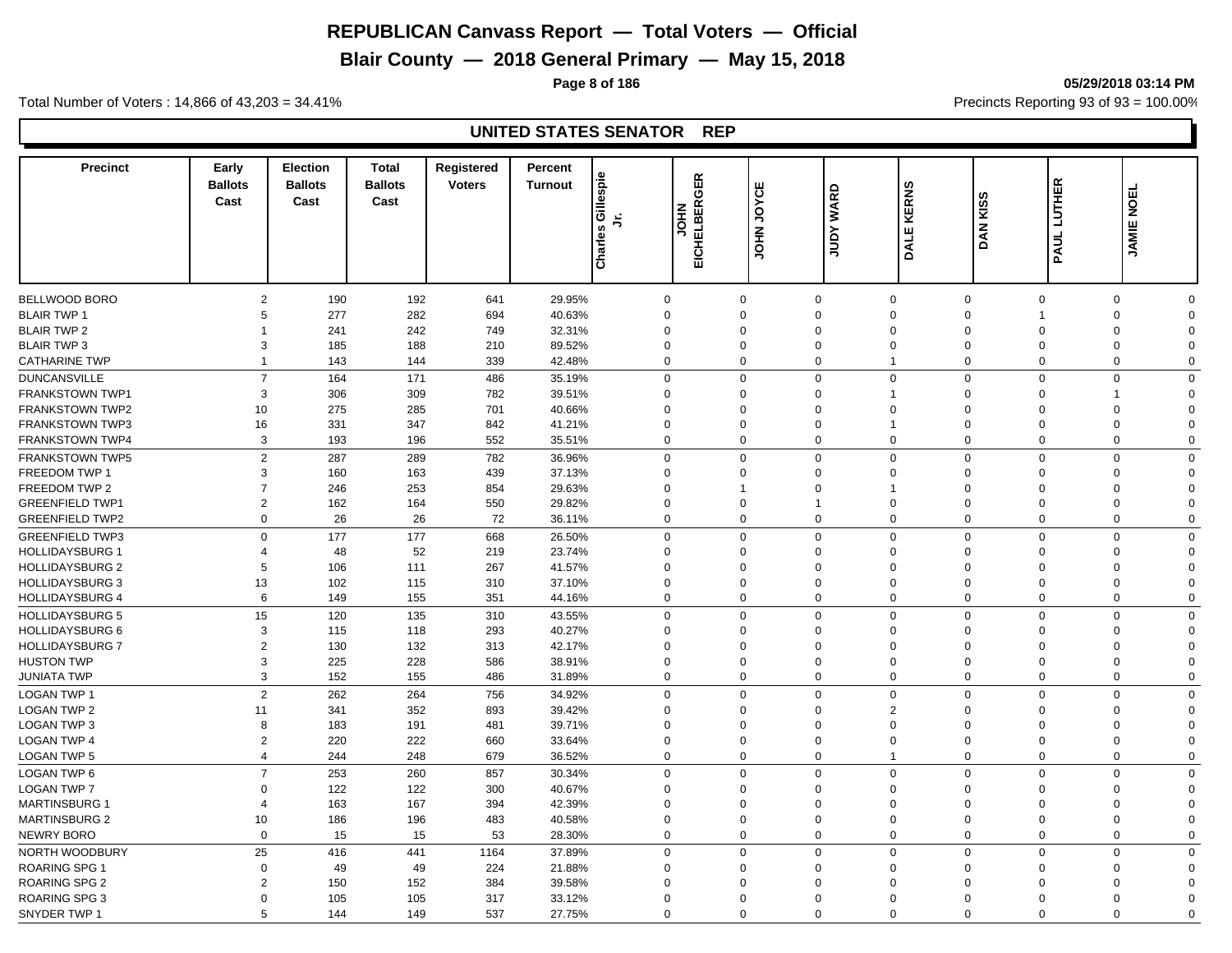# **Blair County — 2018 General Primary — May 15, 2018**

**Page 8 of 186 05/29/2018 03:14 PM**

Total Number of Voters : 14,866 of 43,203 = 34.41% **Precincts Reporting 93 of 93** = 100.00%

| <b>Precinct</b>        | Early<br><b>Ballots</b><br>Cast | <b>Election</b><br><b>Ballots</b><br>Cast | <b>Total</b><br><b>Ballots</b><br>Cast | Registered<br><b>Voters</b> | Percent<br><b>Turnout</b> | Charles Gillespie<br>ら | 띥<br>ō<br>띥<br><b>NHOL</b><br><b>ICHELBE</b><br>靣 | JOYCE<br><b>NHOT</b> | <b>WARD</b><br>Yanr | <b>KERNS</b><br><b>DALE</b> | DAN KISS    | PAUL LUTHER    | <b>JAMIE NOEL</b>          |  |
|------------------------|---------------------------------|-------------------------------------------|----------------------------------------|-----------------------------|---------------------------|------------------------|---------------------------------------------------|----------------------|---------------------|-----------------------------|-------------|----------------|----------------------------|--|
|                        |                                 |                                           |                                        |                             |                           |                        |                                                   |                      |                     |                             |             |                |                            |  |
| BELLWOOD BORO          | $\overline{2}$                  | 190                                       | 192                                    | 641                         | 29.95%                    |                        | $\mathbf 0$                                       | $\mathbf 0$          | 0                   | $\mathbf 0$                 | $\mathbf 0$ | $\mathbf 0$    | $\mathbf 0$<br>$\Omega$    |  |
| <b>BLAIR TWP 1</b>     | 5                               | 277                                       | 282                                    | 694                         | 40.63%                    |                        | $\mathbf 0$                                       | $\mathbf 0$          | $\mathbf 0$         | $\mathbf 0$                 | $\Omega$    | 1              | $\mathbf 0$<br>$\Omega$    |  |
| <b>BLAIR TWP 2</b>     |                                 | 241                                       | 242                                    | 749                         | 32.31%                    |                        | $\mathbf 0$                                       | $\Omega$             | $\Omega$            | $\mathbf 0$                 | $\Omega$    | $\Omega$       | 0<br>$\Omega$              |  |
| <b>BLAIR TWP 3</b>     | 3                               | 185                                       | 188                                    | 210                         | 89.52%                    |                        | $\mathbf 0$                                       | $\Omega$             | $\mathbf 0$         | $\mathbf 0$                 | $\Omega$    | $\mathbf 0$    | 0<br>$\Omega$              |  |
| <b>CATHARINE TWP</b>   | 1                               | 143                                       | 144                                    | 339                         | 42.48%                    |                        | $\mathbf 0$                                       | $\Omega$             | 0                   | $\mathbf{1}$                | $\Omega$    | $\Omega$       | 0<br>$\mathbf 0$           |  |
| <b>DUNCANSVILLE</b>    | $\overline{7}$                  | 164                                       | 171                                    | 486                         | 35.19%                    |                        | $\mathbf 0$                                       | $\Omega$             | $\Omega$            | $\mathsf 0$                 | $\mathbf 0$ | $\mathbf 0$    | $\mathbf 0$<br>$\Omega$    |  |
| <b>FRANKSTOWN TWP1</b> | 3                               | 306                                       | 309                                    | 782                         | 39.51%                    |                        | $\Omega$                                          | $\Omega$             | $\Omega$            | $\overline{1}$              | $\Omega$    | $\Omega$       | 1<br>$\Omega$              |  |
| <b>FRANKSTOWN TWP2</b> | 10                              | 275                                       | 285                                    | 701                         | 40.66%                    |                        | $\mathbf 0$                                       | $\Omega$             | $\Omega$            | $\mathbf 0$                 | $\Omega$    | $\Omega$       | $\mathbf 0$<br>$\Omega$    |  |
| <b>FRANKSTOWN TWP3</b> | 16                              | 331                                       | 347                                    | 842                         | 41.21%                    |                        | $\Omega$                                          | $\Omega$             | $\Omega$            | $\mathbf{1}$                | $\Omega$    | $\Omega$       | $\Omega$<br>$\Omega$       |  |
| <b>FRANKSTOWN TWP4</b> | 3                               | 193                                       | 196                                    | 552                         | 35.51%                    |                        | $\mathbf 0$                                       | $\Omega$             | $\mathbf 0$         | $\mathbf 0$                 | $\mathbf 0$ | $\mathbf 0$    | $\mathbf 0$<br>$\Omega$    |  |
| <b>FRANKSTOWN TWP5</b> | $\overline{2}$                  | 287                                       | 289                                    | 782                         | 36.96%                    |                        | $\mathbf 0$                                       | $\Omega$             | $\mathbf{0}$        | $\mathbf 0$                 | $\mathbf 0$ | $\mathbf 0$    | $\mathbf 0$<br>$\Omega$    |  |
| <b>FREEDOM TWP 1</b>   | 3                               | 160                                       | 163                                    | 439                         | 37.13%                    |                        | $\mathbf 0$                                       | $\Omega$             | $\Omega$            | $\mathbf 0$                 | $\mathbf 0$ | $\Omega$       | $\mathbf 0$<br>$\Omega$    |  |
| FREEDOM TWP 2          | $\overline{7}$                  | 246                                       | 253                                    | 854                         | 29.63%                    |                        | $\mathbf 0$                                       |                      | 0                   | $\mathbf{1}$                | $\Omega$    | $\Omega$       | $\mathbf 0$<br>$\Omega$    |  |
| <b>GREENFIELD TWP1</b> | $\overline{2}$                  | 162                                       | 164                                    | 550                         | 29.82%                    |                        | $\mathbf 0$                                       | $\Omega$             | $\overline{1}$      | $\mathbf 0$                 | $\Omega$    | $\Omega$       | $\mathbf 0$<br>$\Omega$    |  |
| <b>GREENFIELD TWP2</b> | $\mathbf 0$                     | 26                                        | 26                                     | 72                          | 36.11%                    |                        | $\mathbf 0$                                       | $\Omega$             | $\mathbf 0$         | $\mathbf 0$                 | $\mathbf 0$ | $\mathbf 0$    | $\mathbf 0$<br>$\Omega$    |  |
| <b>GREENFIELD TWP3</b> | $\mathbf 0$                     | 177                                       | 177                                    | 668                         | 26.50%                    |                        | $\mathbf 0$                                       | $\Omega$             | $\mathbf 0$         | $\mathbf 0$                 | $\mathbf 0$ | $\Omega$       | $\mathbf 0$<br>$\Omega$    |  |
| <b>HOLLIDAYSBURG 1</b> | 4                               | 48                                        | 52                                     | 219                         | 23.74%                    |                        | $\mathbf 0$                                       | $\Omega$             | $\mathbf 0$         | $\mathbf 0$                 | $\Omega$    | $\Omega$       | 0<br>$\Omega$              |  |
| <b>HOLLIDAYSBURG 2</b> | 5                               | 106                                       | 111                                    | 267                         | 41.57%                    |                        | $\mathbf 0$                                       | $\Omega$             | $\Omega$            | $\mathbf 0$                 | $\Omega$    | $\mathbf 0$    | 0<br>$\Omega$              |  |
| <b>HOLLIDAYSBURG 3</b> | 13                              | 102                                       | 115                                    | 310                         | 37.10%                    |                        | $\mathbf 0$                                       | $\Omega$             | $\Omega$            | $\mathbf 0$                 | $\Omega$    | $\mathbf 0$    | 0<br>$\Omega$              |  |
| <b>HOLLIDAYSBURG 4</b> | 6                               | 149                                       | 155                                    | 351                         | 44.16%                    |                        | $\mathbf 0$                                       | $\mathbf 0$          | $\mathbf 0$         | $\mathbf 0$                 | $\mathbf 0$ | $\overline{0}$ | $\mathbf 0$<br>$\mathbf 0$ |  |
|                        |                                 |                                           |                                        |                             |                           |                        |                                                   |                      |                     |                             |             |                |                            |  |
| <b>HOLLIDAYSBURG 5</b> | 15                              | 120                                       | 135                                    | 310                         | 43.55%                    |                        | $\mathbf 0$                                       | $\Omega$             | $\mathbf 0$         | $\mathbf 0$                 | $\mathbf 0$ | $\mathbf 0$    | $\mathbf 0$<br>$\Omega$    |  |
| <b>HOLLIDAYSBURG 6</b> | 3                               | 115                                       | 118                                    | 293                         | 40.27%                    |                        | $\mathbf 0$                                       | $\Omega$             | $\Omega$            | $\mathbf{0}$                | $\Omega$    | $\Omega$       | $\mathbf 0$<br>$\Omega$    |  |
| <b>HOLLIDAYSBURG 7</b> | $\overline{2}$                  | 130                                       | 132                                    | 313                         | 42.17%                    |                        | $\mathbf 0$                                       | $\Omega$             | $\Omega$            | $\mathbf 0$                 | $\Omega$    | $\Omega$       | $\mathbf 0$<br>$\Omega$    |  |
| <b>HUSTON TWP</b>      | 3                               | 225                                       | 228                                    | 586                         | 38.91%                    |                        | $\mathbf 0$                                       | $\Omega$             | $\Omega$            | $\mathbf 0$                 | $\Omega$    | $\Omega$       | $\mathbf 0$<br>$\Omega$    |  |
| <b>JUNIATA TWP</b>     | 3                               | 152                                       | 155                                    | 486                         | 31.89%                    |                        | $\mathbf 0$                                       | $\Omega$             | $\mathbf 0$         | $\mathbf 0$                 | $\mathbf 0$ | $\mathbf 0$    | $\mathbf 0$<br>$\Omega$    |  |
| <b>LOGAN TWP 1</b>     | 2                               | 262                                       | 264                                    | 756                         | 34.92%                    |                        | $\mathbf 0$                                       | $\Omega$             | $\mathbf 0$         | $\mathbf 0$                 | $\mathbf 0$ | $\mathbf 0$    | $\mathbf 0$<br>$\Omega$    |  |
| <b>LOGAN TWP 2</b>     | 11                              | 341                                       | 352                                    | 893                         | 39.42%                    |                        | $\mathbf 0$                                       | $\Omega$             | $\Omega$            | $\overline{2}$              | $\Omega$    | $\Omega$       | $\mathbf 0$<br>$\Omega$    |  |
| LOGAN TWP 3            | 8                               | 183                                       | 191                                    | 481                         | 39.71%                    |                        | $\mathbf 0$                                       | $\Omega$             | $\Omega$            | $\mathbf 0$                 | $\Omega$    | $\Omega$       | 0<br>$\Omega$              |  |
| <b>LOGAN TWP 4</b>     | $\overline{2}$                  | 220                                       | 222                                    | 660                         | 33.64%                    |                        | $\mathbf 0$                                       | $\Omega$             | $\mathbf 0$         | $\mathbf 0$                 | $\mathbf 0$ | $\Omega$       | $\mathbf 0$<br>$\Omega$    |  |
| LOGAN TWP 5            | $\overline{4}$                  | 244                                       | 248                                    | 679                         | 36.52%                    |                        | $\mathbf 0$                                       | $\Omega$             | $\mathbf 0$         | $\mathbf{1}$                | $\mathbf 0$ | $\mathbf 0$    | $\mathbf 0$<br>$\Omega$    |  |
| <b>LOGAN TWP 6</b>     | $\overline{7}$                  | 253                                       | 260                                    | 857                         | 30.34%                    |                        | $\mathbf 0$                                       | $\Omega$             | $\Omega$            | $\mathbf 0$                 | $\mathbf 0$ | $\Omega$       | $\mathbf 0$<br>$\Omega$    |  |
| <b>LOGAN TWP 7</b>     | $\mathbf 0$                     | 122                                       | 122                                    | 300                         | 40.67%                    |                        | $\mathbf 0$                                       | $\Omega$             | $\mathbf 0$         | $\mathbf 0$                 | $\Omega$    | $\mathbf 0$    | 0<br>$\Omega$              |  |
| <b>MARTINSBURG 1</b>   | 4                               | 163                                       | 167                                    | 394                         | 42.39%                    |                        | $\mathbf 0$                                       | $\Omega$             | $\Omega$            | $\Omega$                    | $\Omega$    | $\Omega$       | $\mathbf 0$<br>$\Omega$    |  |
| <b>MARTINSBURG 2</b>   | 10                              | 186                                       | 196                                    | 483                         | 40.58%                    |                        | $\mathbf 0$                                       | $\Omega$             | $\mathbf 0$         | $\mathbf 0$                 | $\mathbf 0$ | $\overline{0}$ | $\mathbf 0$<br>$\Omega$    |  |
| <b>NEWRY BORO</b>      | $\mathbf 0$                     | 15                                        | 15                                     | 53                          | 28.30%                    |                        | $\mathbf 0$                                       | $\Omega$             | $\mathbf 0$         | $\mathbf 0$                 | $\mathbf 0$ | $\mathbf 0$    | $\mathbf 0$<br>$\mathbf 0$ |  |
| NORTH WOODBURY         | 25                              | 416                                       | 441                                    | 1164                        | 37.89%                    |                        | $\mathbf 0$                                       | $\Omega$             | $\mathbf 0$         | $\mathbf 0$                 | $\mathbf 0$ | $\mathbf 0$    | $\mathbf 0$<br>$\mathbf 0$ |  |
| <b>ROARING SPG 1</b>   | $\overline{0}$                  | 49                                        | 49                                     | 224                         | 21.88%                    |                        | $\mathbf 0$                                       | $\Omega$             | $\mathbf 0$         | $\mathbf 0$                 | $\Omega$    | $\Omega$       | 0<br>$\Omega$              |  |
| <b>ROARING SPG 2</b>   | $\overline{2}$                  | 150                                       | 152                                    | 384                         | 39.58%                    |                        | $\mathbf 0$                                       | $\Omega$             | $\Omega$            | $\Omega$                    | $\Omega$    | $\Omega$       | $\mathbf 0$<br>$\Omega$    |  |
| <b>ROARING SPG 3</b>   | $\Omega$                        | 105                                       | 105                                    | 317                         | 33.12%                    |                        | $\mathbf 0$                                       | $\Omega$             | $\Omega$            | $\Omega$                    | $\Omega$    | $\Omega$       | $\mathbf 0$<br>$\Omega$    |  |
| SNYDER TWP 1           | 5                               | 144                                       | 149                                    | 537                         | 27.75%                    |                        | $\Omega$                                          | $\Omega$             | $\Omega$            | $\Omega$                    | $\Omega$    | $\Omega$       | $\Omega$<br>$\Omega$       |  |
|                        |                                 |                                           |                                        |                             |                           |                        |                                                   |                      |                     |                             |             |                |                            |  |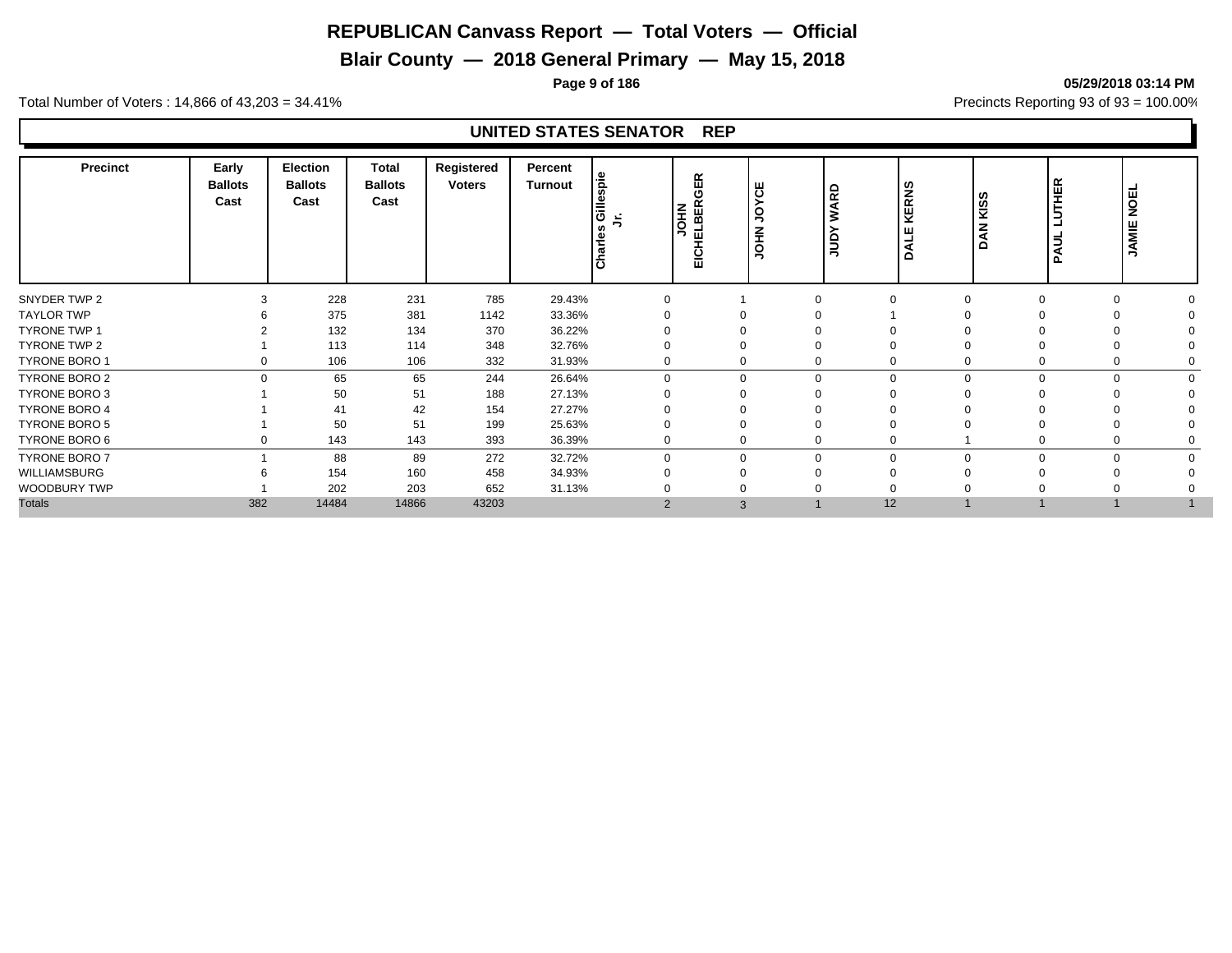# **Blair County — 2018 General Primary — May 15, 2018**

**Page 9 of 186 05/29/2018 03:14 PM**

Total Number of Voters : 14,866 of 43,203 = 34.41% **Precincts Reporting 93 of 93** = 100.00%

| 228<br>231<br>785<br>29.43%<br>$\Omega$<br>$\Omega$<br>375<br>381<br>1142<br>33.36%<br>132<br>134<br>370<br>36.22%<br>113<br>348<br>114<br>32.76%<br>332<br>106<br>106<br>31.93%<br>$\Omega$<br>$\Omega$<br>65<br>65<br>244<br>26.64%<br>$\Omega$<br>$\mathbf 0$<br>$\Omega$<br>$\Omega$<br>$\Omega$<br>50<br>51<br>188<br>27.13%<br>42<br>27.27%<br>41<br>154<br>51<br>50<br>199<br>25.63%<br>∩<br>143<br>143<br>393<br>36.39%<br>0<br>$\Omega$<br>88<br>89<br>272<br>32.72%<br>$\Omega$<br>$\mathbf{0}$<br>$\Omega$<br>$\Omega$<br>154<br>160<br>458<br>34.93%<br>$\Omega$<br>202<br>203<br>652<br>31.13%<br>382<br>14484<br>14866<br>43203<br>12<br>$\overline{2}$<br>3 | Precinct             | Early<br><b>Ballots</b><br>Cast | Election<br><b>Ballots</b><br>Cast | Total<br><b>Ballots</b><br>Cast | Registered<br><b>Voters</b> | Percent<br><b>Turnout</b> | spie<br>- 41<br>Gill<br>$\frac{1}{2}$ | œ<br>ш<br>Φ<br><b>ELBER</b><br><b>OHN</b><br>Ξ<br>ш | ш<br>$\overline{\mathbf{o}}$<br>C<br>ぅ<br>$\widetilde{\mathbf{f}}$<br>O | 읎<br>Š<br>$\epsilon$<br>∍ | <b>RNS</b><br>뀢<br>≏ | <b>KISS</b><br>z<br>≏ | <b>UTHER</b><br>┙<br>Б<br>Ā | <b>NOEL</b><br>JAMIE |  |
|----------------------------------------------------------------------------------------------------------------------------------------------------------------------------------------------------------------------------------------------------------------------------------------------------------------------------------------------------------------------------------------------------------------------------------------------------------------------------------------------------------------------------------------------------------------------------------------------------------------------------------------------------------------------------|----------------------|---------------------------------|------------------------------------|---------------------------------|-----------------------------|---------------------------|---------------------------------------|-----------------------------------------------------|-------------------------------------------------------------------------|---------------------------|----------------------|-----------------------|-----------------------------|----------------------|--|
|                                                                                                                                                                                                                                                                                                                                                                                                                                                                                                                                                                                                                                                                            | SNYDER TWP 2         |                                 |                                    |                                 |                             |                           |                                       |                                                     |                                                                         |                           |                      |                       |                             |                      |  |
|                                                                                                                                                                                                                                                                                                                                                                                                                                                                                                                                                                                                                                                                            | <b>TAYLOR TWP</b>    |                                 |                                    |                                 |                             |                           |                                       |                                                     |                                                                         |                           |                      |                       |                             |                      |  |
|                                                                                                                                                                                                                                                                                                                                                                                                                                                                                                                                                                                                                                                                            | <b>TYRONE TWP 1</b>  |                                 |                                    |                                 |                             |                           |                                       |                                                     |                                                                         |                           |                      |                       |                             |                      |  |
|                                                                                                                                                                                                                                                                                                                                                                                                                                                                                                                                                                                                                                                                            | TYRONE TWP 2         |                                 |                                    |                                 |                             |                           |                                       |                                                     |                                                                         |                           |                      |                       |                             |                      |  |
|                                                                                                                                                                                                                                                                                                                                                                                                                                                                                                                                                                                                                                                                            | TYRONE BORO 1        |                                 |                                    |                                 |                             |                           |                                       |                                                     |                                                                         |                           |                      |                       |                             |                      |  |
|                                                                                                                                                                                                                                                                                                                                                                                                                                                                                                                                                                                                                                                                            | TYRONE BORO 2        |                                 |                                    |                                 |                             |                           |                                       |                                                     |                                                                         |                           |                      |                       |                             |                      |  |
|                                                                                                                                                                                                                                                                                                                                                                                                                                                                                                                                                                                                                                                                            | TYRONE BORO 3        |                                 |                                    |                                 |                             |                           |                                       |                                                     |                                                                         |                           |                      |                       |                             |                      |  |
|                                                                                                                                                                                                                                                                                                                                                                                                                                                                                                                                                                                                                                                                            | <b>TYRONE BORO 4</b> |                                 |                                    |                                 |                             |                           |                                       |                                                     |                                                                         |                           |                      |                       |                             |                      |  |
|                                                                                                                                                                                                                                                                                                                                                                                                                                                                                                                                                                                                                                                                            | <b>TYRONE BORO 5</b> |                                 |                                    |                                 |                             |                           |                                       |                                                     |                                                                         |                           |                      |                       |                             |                      |  |
|                                                                                                                                                                                                                                                                                                                                                                                                                                                                                                                                                                                                                                                                            | TYRONE BORO 6        |                                 |                                    |                                 |                             |                           |                                       |                                                     |                                                                         |                           |                      |                       |                             |                      |  |
|                                                                                                                                                                                                                                                                                                                                                                                                                                                                                                                                                                                                                                                                            | <b>TYRONE BORO 7</b> |                                 |                                    |                                 |                             |                           |                                       |                                                     |                                                                         |                           |                      |                       |                             |                      |  |
|                                                                                                                                                                                                                                                                                                                                                                                                                                                                                                                                                                                                                                                                            | WILLIAMSBURG         |                                 |                                    |                                 |                             |                           |                                       |                                                     |                                                                         |                           |                      |                       |                             |                      |  |
|                                                                                                                                                                                                                                                                                                                                                                                                                                                                                                                                                                                                                                                                            | WOODBURY TWP         |                                 |                                    |                                 |                             |                           |                                       |                                                     |                                                                         |                           |                      |                       |                             |                      |  |
|                                                                                                                                                                                                                                                                                                                                                                                                                                                                                                                                                                                                                                                                            | <b>Totals</b>        |                                 |                                    |                                 |                             |                           |                                       |                                                     |                                                                         |                           |                      |                       |                             |                      |  |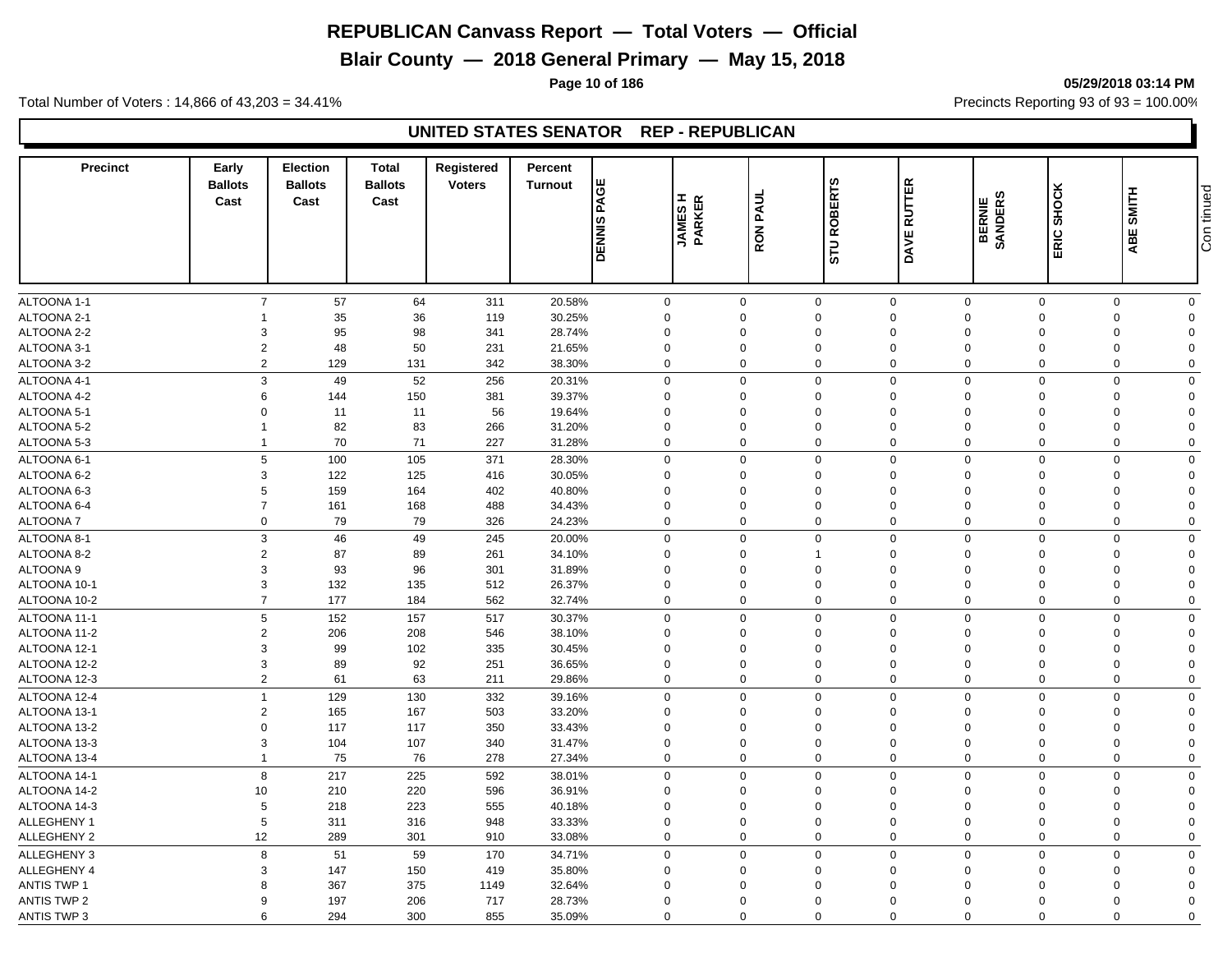**Blair County — 2018 General Primary — May 15, 2018**

Total Number of Voters : 14,866 of 43,203 = 34.41% **Precincts Reporting 93 of 93** = 100.00%

#### **UNITED STATES SENATOR REP - REPUBLICAN**

| <b>Precinct</b>    | Early<br><b>Ballots</b><br>Cast | <b>Election</b><br><b>Ballots</b><br>Cast | <b>Total</b><br><b>Ballots</b><br>Cast | Registered<br><b>Voters</b> | Percent<br><b>Turnout</b> | PAGE<br><b>DENNIS</b> | <b>JAMES H</b><br>PARKER | <b>RON PAUL</b> | <b>ROBERTS</b><br>STU | <b>RUTTER</b><br>DAVE      | ဖာ<br>BERNIE<br>SANDERS | SHOCK<br>ERIC               | SMITH<br>ABE | Con tinued |
|--------------------|---------------------------------|-------------------------------------------|----------------------------------------|-----------------------------|---------------------------|-----------------------|--------------------------|-----------------|-----------------------|----------------------------|-------------------------|-----------------------------|--------------|------------|
|                    |                                 |                                           |                                        |                             |                           |                       |                          |                 |                       |                            |                         |                             |              |            |
| ALTOONA 1-1        | $\overline{7}$                  | 57                                        | 64                                     | 311                         | 20.58%                    | $\mathbf 0$           | $\mathbf 0$              |                 | $\mathbf 0$           | $\mathbf 0$<br>$\mathbf 0$ |                         | $\mathbf 0$<br>$\mathbf 0$  | $\mathbf 0$  |            |
| ALTOONA 2-1        |                                 | 35                                        | 36                                     | 119                         | 30.25%                    | $\mathbf 0$           | $\Omega$                 |                 | $\Omega$              | $\mathbf 0$<br>$\mathbf 0$ | $\Omega$                | $\mathbf 0$                 | $\Omega$     |            |
| ALTOONA 2-2        | 3                               | 95                                        | 98                                     | 341                         | 28.74%                    | $\mathbf 0$           | $\Omega$                 |                 | $\Omega$              | $\mathbf 0$<br>$\Omega$    | $\Omega$                | 0                           | $\Omega$     |            |
| ALTOONA 3-1        | $\overline{2}$                  | 48                                        | 50                                     | 231                         | 21.65%                    | $\mathbf 0$           | $\Omega$                 |                 | 0                     | $\mathbf 0$<br>$\Omega$    | $\Omega$                | $\mathbf 0$                 | $\Omega$     |            |
| ALTOONA 3-2        | $\overline{2}$                  | 129                                       | 131                                    | 342                         | 38.30%                    | $\mathbf 0$           | $\Omega$                 |                 | 0                     | $\mathbf 0$<br>$\Omega$    |                         | $\mathbf 0$<br>$\mathbf 0$  | $\Omega$     |            |
| ALTOONA 4-1        | 3                               | 49                                        | 52                                     | 256                         | 20.31%                    | $\mathbf 0$           | $\Omega$                 |                 | $\mathbf 0$           | $\mathbf 0$<br>$\mathbf 0$ |                         | $\mathbf 0$<br>$\mathbf 0$  | $\Omega$     |            |
| ALTOONA 4-2        | 6                               | 144                                       | 150                                    | 381                         | 39.37%                    | $\mathbf 0$           | $\Omega$                 |                 | $\Omega$              | $\mathbf 0$<br>$\Omega$    | $\Omega$                | $\mathbf 0$                 | $\Omega$     |            |
| ALTOONA 5-1        | $\Omega$                        | 11                                        | 11                                     | 56                          | 19.64%                    | $\mathbf 0$           | $\Omega$                 |                 | $\Omega$              | $\mathbf 0$<br>$\mathbf 0$ | $\Omega$                | $\mathbf 0$                 | $\Omega$     |            |
| ALTOONA 5-2        | $\overline{1}$                  | 82                                        | 83                                     | 266                         | 31.20%                    | $\mathbf 0$           | $\mathbf 0$              |                 | $\mathbf 0$           | $\mathbf 0$<br>$\mathbf 0$ | $\overline{0}$          | $\mathbf 0$                 | $\Omega$     |            |
| ALTOONA 5-3        | $\overline{1}$                  | 70                                        | 71                                     | 227                         | 31.28%                    | $\mathbf 0$           | $\Omega$                 |                 | $\mathbf 0$           | $\mathbf 0$<br>$\mathbf 0$ |                         | $\mathbf 0$<br>$\mathbf{0}$ | $\Omega$     |            |
| ALTOONA 6-1        | 5                               | 100                                       | 105                                    | 371                         | 28.30%                    | $\mathbf 0$           | $\Omega$                 |                 | $\mathbf 0$           | $\mathbf 0$<br>$\mathbf 0$ | $\Omega$                | $\mathbf 0$                 | $\Omega$     |            |
| ALTOONA 6-2        | 3                               | 122                                       | 125                                    | 416                         | 30.05%                    | $\mathbf 0$           | $\Omega$                 |                 | $\mathbf 0$           | $\mathbf 0$<br>$\mathbf 0$ | $\Omega$                | 0                           | $\Omega$     |            |
| ALTOONA 6-3        | 5                               | 159                                       | 164                                    | 402                         | 40.80%                    | $\mathbf 0$           | $\mathbf 0$              |                 | $\mathbf 0$           | $\mathbf 0$<br>$\Omega$    | $\mathbf 0$             | 0                           | $\mathbf 0$  |            |
| ALTOONA 6-4        | $\overline{7}$                  | 161                                       | 168                                    | 488                         | 34.43%                    | $\mathbf 0$           | $\Omega$                 |                 | $\mathbf 0$           | $\mathbf 0$<br>$\Omega$    | $\mathbf 0$             | 0                           | $\Omega$     |            |
| <b>ALTOONA7</b>    | $\mathbf 0$                     | 79                                        | 79                                     | 326                         | 24.23%                    | $\mathbf 0$           | $\Omega$                 |                 | $\mathbf 0$           | $\mathbf 0$<br>$\mathbf 0$ |                         | $\mathbf 0$<br>$\mathbf 0$  | $\Omega$     |            |
| ALTOONA 8-1        | 3                               | 46                                        | 49                                     | 245                         | 20.00%                    | $\mathbf 0$           | $\Omega$                 |                 | $\mathbf{0}$          | $\mathbf 0$<br>$\mathbf 0$ |                         | $\mathbf 0$<br>$\mathbf 0$  | $\mathbf 0$  |            |
| ALTOONA 8-2        | $\overline{2}$                  | 87                                        | 89                                     | 261                         | 34.10%                    | $\mathbf 0$           | $\mathbf 0$              | $\mathbf{1}$    |                       | $\mathbf 0$<br>$\mathbf 0$ | $\mathbf 0$             | $\mathbf 0$                 | $\Omega$     |            |
| ALTOONA 9          | 3                               | 93                                        | 96                                     | 301                         | 31.89%                    | $\mathbf 0$           | $\Omega$                 |                 | $\Omega$              | $\mathbf 0$<br>$\Omega$    | $\Omega$                | 0                           | $\Omega$     |            |
| ALTOONA 10-1       | 3                               | 132                                       | 135                                    | 512                         | 26.37%                    | $\mathbf 0$           | $\mathbf 0$              |                 | $\mathbf 0$           | $\mathbf 0$<br>$\Omega$    | $\mathbf 0$             | 0                           | $\Omega$     |            |
| ALTOONA 10-2       | $\overline{7}$                  | 177                                       | 184                                    | 562                         | 32.74%                    | $\mathbf 0$           | $\mathbf 0$              |                 | $\mathbf 0$           | $\mathbf 0$<br>$\mathbf 0$ |                         | $\mathbf 0$<br>$\mathbf 0$  | $\mathbf 0$  |            |
| ALTOONA 11-1       | 5                               | 152                                       | 157                                    | 517                         | 30.37%                    | $\mathbf 0$           | $\Omega$                 |                 | $\mathbf 0$           | $\mathbf 0$<br>$\mathbf 0$ |                         | $\mathbf 0$<br>$\mathbf 0$  | $\mathbf 0$  |            |
| ALTOONA 11-2       | $\overline{2}$                  | 206                                       | 208                                    | 546                         | 38.10%                    | $\mathbf 0$           | $\Omega$                 |                 | $\Omega$              | $\mathbf 0$<br>$\Omega$    | $\Omega$                | $\mathbf 0$                 | $\Omega$     |            |
| ALTOONA 12-1       | 3                               | 99                                        |                                        |                             | 30.45%                    | $\mathbf 0$           | $\Omega$                 |                 | $\mathbf 0$           | $\mathbf 0$<br>$\Omega$    | $\Omega$                | $\mathbf 0$                 | $\Omega$     |            |
| ALTOONA 12-2       | 3                               | 89                                        | 102<br>92                              | 335<br>251                  | 36.65%                    | $\mathbf 0$           | $\Omega$                 |                 | $\mathbf 0$           | $\mathbf 0$<br>$\Omega$    | $\mathbf 0$             | $\mathbf 0$                 | $\Omega$     |            |
| ALTOONA 12-3       | $\overline{2}$                  | 61                                        | 63                                     | 211                         | 29.86%                    | $\mathbf 0$           | $\Omega$                 |                 | $\mathbf 0$           | $\mathbf 0$<br>$\Omega$    |                         | $\mathbf 0$<br>$\mathbf 0$  | $\Omega$     |            |
|                    |                                 |                                           |                                        |                             |                           |                       |                          |                 |                       |                            |                         |                             |              |            |
| ALTOONA 12-4       | $\overline{1}$                  | 129                                       | 130                                    | 332                         | 39.16%                    | $\mathbf 0$           | $\Omega$                 |                 | $\mathbf 0$           | $\mathbf 0$<br>$\mathbf 0$ |                         | $\mathbf 0$<br>$\mathbf 0$  | $\mathbf 0$  |            |
| ALTOONA 13-1       | $\overline{2}$                  | 165                                       | 167                                    | 503                         | 33.20%                    | $\mathbf 0$           | $\mathbf 0$              |                 | $\mathbf 0$           | $\mathbf 0$<br>$\mathbf 0$ | $\overline{0}$          | $\mathbf 0$                 | $\Omega$     |            |
| ALTOONA 13-2       | $\Omega$                        | 117                                       | 117                                    | 350                         | 33.43%                    | $\mathbf 0$           | $\Omega$                 |                 | $\Omega$              | $\mathbf 0$<br>$\Omega$    | $\Omega$                | 0                           | $\Omega$     |            |
| ALTOONA 13-3       | 3                               | 104                                       | 107                                    | 340                         | 31.47%                    | $\mathbf 0$           | $\Omega$                 |                 | $\mathbf 0$           | $\mathbf 0$<br>$\mathbf 0$ | $\Omega$                | 0                           | $\Omega$     |            |
| ALTOONA 13-4       | 1                               | 75                                        | 76                                     | 278                         | 27.34%                    | $\mathbf 0$           | $\Omega$                 |                 | 0                     | $\mathbf 0$<br>$\Omega$    |                         | $\mathbf 0$<br>$\mathbf 0$  | $\Omega$     |            |
| ALTOONA 14-1       | 8                               | 217                                       | 225                                    | 592                         | 38.01%                    | $\mathbf 0$           | $\Omega$                 |                 | $\mathbf 0$           | $\mathbf 0$<br>$\mathbf 0$ | $\overline{0}$          | $\mathbf 0$                 | $\Omega$     |            |
| ALTOONA 14-2       | 10                              | 210                                       | 220                                    | 596                         | 36.91%                    | $\mathbf 0$           | $\Omega$                 |                 | $\Omega$              | $\mathbf 0$<br>$\Omega$    | $\Omega$                | 0                           | $\Omega$     |            |
| ALTOONA 14-3       | 5                               | 218                                       | 223                                    | 555                         | 40.18%                    | $\mathbf 0$           | $\Omega$                 |                 | $\Omega$              | $\mathbf 0$<br>$\Omega$    | $\Omega$                | 0                           | $\Omega$     |            |
| ALLEGHENY 1        | 5                               | 311                                       | 316                                    | 948                         | 33.33%                    | $\mathbf 0$           | $\mathbf 0$              |                 | $\mathbf 0$           | $\mathbf 0$<br>$\mathbf 0$ | $\overline{0}$          | $\mathbf 0$                 | $\Omega$     |            |
| <b>ALLEGHENY 2</b> | 12                              | 289                                       | 301                                    | 910                         | 33.08%                    | $\mathbf 0$           | $\Omega$                 |                 | $\mathbf 0$           | $\mathbf 0$<br>$\mathbf 0$ |                         | $\mathbf 0$<br>$\mathbf 0$  | $\Omega$     |            |
| ALLEGHENY 3        | 8                               | 51                                        | 59                                     | 170                         | 34.71%                    | $\mathbf 0$           | $\Omega$                 |                 | $\mathbf 0$           | $\mathbf 0$<br>$\Omega$    | $\Omega$                | $\mathbf 0$                 | $\mathbf 0$  |            |
| ALLEGHENY 4        | 3                               | 147                                       | 150                                    | 419                         | 35.80%                    | $\mathbf 0$           | $\Omega$                 |                 | 0                     | $\mathbf 0$<br>$\Omega$    | $\Omega$                | 0                           | $\Omega$     |            |
| ANTIS TWP 1        | 8                               | 367                                       | 375                                    | 1149                        | 32.64%                    | $\mathbf 0$           | $\mathbf 0$              |                 | $\mathbf 0$           | $\mathbf 0$<br>$\Omega$    | $\mathbf 0$             | 0                           | $\Omega$     |            |
| <b>ANTIS TWP 2</b> | 9                               | 197                                       | 206                                    | 717                         | 28.73%                    | $\mathbf 0$           | $\Omega$                 |                 | $\Omega$              | $\Omega$<br>$\Omega$       | $\Omega$                | $\mathbf 0$                 | $\Omega$     |            |
| <b>ANTIS TWP 3</b> | 6                               | 294                                       | 300                                    | 855                         | 35.09%                    | $\Omega$              | $\Omega$                 |                 | $\Omega$              | $\Omega$<br>$\Omega$       | $\Omega$                | $\Omega$                    | $\Omega$     |            |

**Page 10 of 186 05/29/2018 03:14 PM**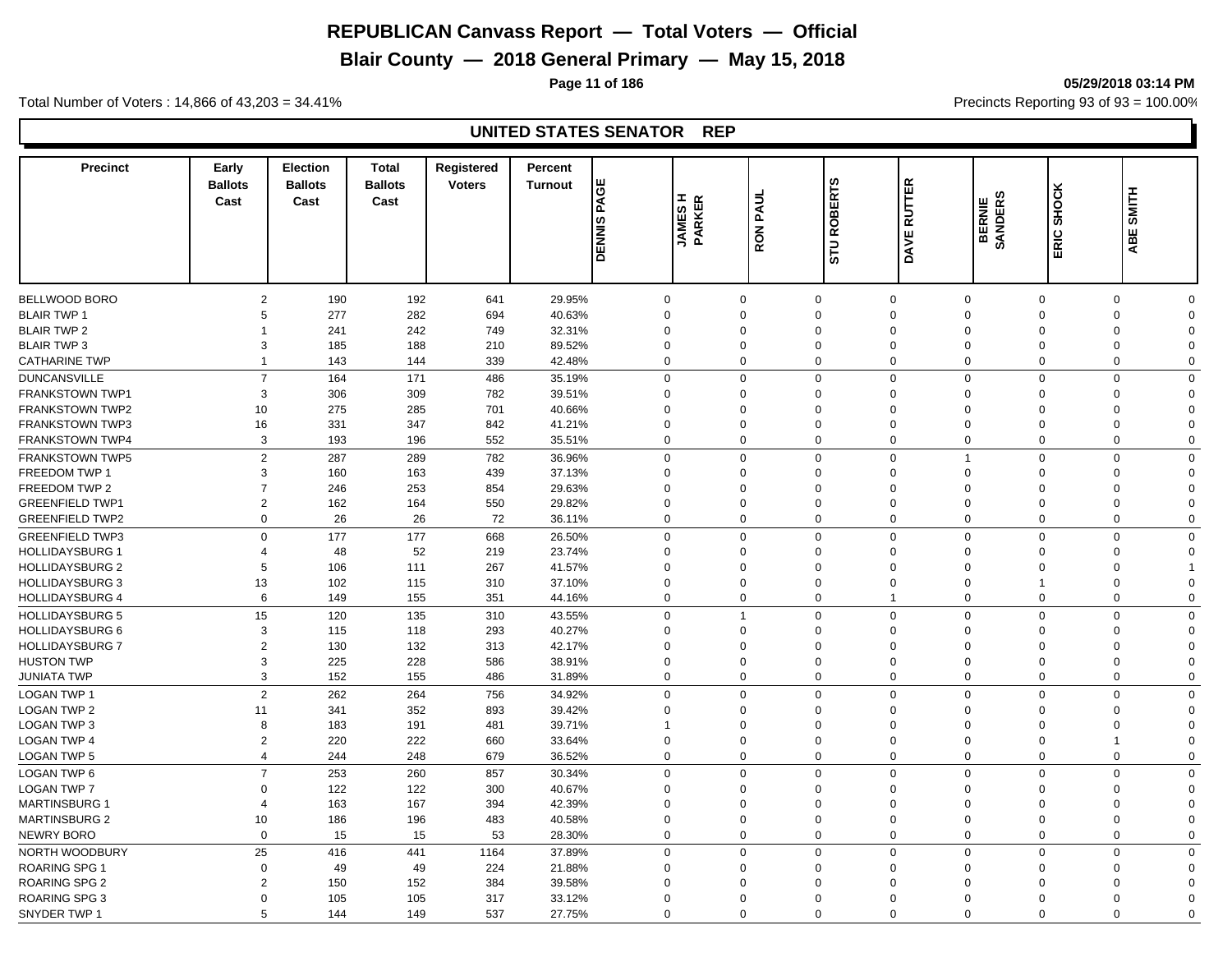# **Blair County — 2018 General Primary — May 15, 2018**

**Page 11 of 186 05/29/2018 03:14 PM**

Total Number of Voters : 14,866 of 43,203 = 34.41% **Precincts Reporting 93 of 93** = 100.00%

| <b>Precinct</b>        | Early<br><b>Ballots</b><br>Cast | <b>Election</b><br><b>Ballots</b><br>Cast | <b>Total</b><br><b>Ballots</b><br>Cast | Registered<br><b>Voters</b> | Percent<br><b>Turnout</b> | PAGE<br><b>DENNIS</b> | Iα<br><b>JAMES</b><br>PARKEI | <b>RON PAUL</b> | <b>ROBERTS</b><br><b>STU</b> | <b>RUTTER</b><br>DAVE                     | ဖာ<br>BERNIE<br>SANDERS | SHOCK<br>ERIC. | <b>SMITH</b><br>ABE              |  |
|------------------------|---------------------------------|-------------------------------------------|----------------------------------------|-----------------------------|---------------------------|-----------------------|------------------------------|-----------------|------------------------------|-------------------------------------------|-------------------------|----------------|----------------------------------|--|
|                        |                                 |                                           |                                        |                             |                           |                       |                              |                 |                              |                                           |                         |                |                                  |  |
| BELLWOOD BORO          | $\overline{2}$                  | 190                                       | 192                                    | 641                         | 29.95%                    |                       | $\mathbf 0$                  | $\mathbf 0$     | 0                            | $\mathbf 0$<br>$\mathbf{0}$               | $\Omega$                |                | $\mathbf 0$<br>$\Omega$          |  |
| <b>BLAIR TWP 1</b>     | 5                               | 277                                       | 282                                    | 694                         | 40.63%                    |                       | $\mathbf 0$                  | $\mathbf 0$     | $\mathbf 0$                  | $\mathbf 0$<br>$\Omega$                   | $\mathbf 0$             |                | $\mathbf 0$<br>$\Omega$          |  |
| <b>BLAIR TWP 2</b>     |                                 | 241                                       | 242                                    | 749                         | 32.31%                    |                       | $\mathbf 0$<br>$\Omega$      |                 | $\Omega$                     | $\Omega$<br>$\Omega$                      | $\Omega$                |                | 0<br>$\Omega$                    |  |
| <b>BLAIR TWP 3</b>     | 3                               | 185                                       | 188                                    | 210                         | 89.52%                    |                       | $\mathbf 0$                  | $\mathbf 0$     | $\mathbf 0$                  | $\mathbf 0$<br>$\Omega$                   | $\mathbf 0$             |                | 0<br>$\Omega$                    |  |
| <b>CATHARINE TWP</b>   | 1                               | 143                                       | 144                                    | 339                         | 42.48%                    |                       | $\mathbf 0$                  | $\Omega$        | 0                            | $\mathbf 0$<br>$\Omega$                   | $\Omega$                |                | 0<br>$\mathbf 0$                 |  |
|                        | $\overline{7}$                  |                                           |                                        |                             |                           |                       | $\mathbf 0$                  | $\Omega$        |                              | $\mathbf{0}$<br>$\Omega$                  | $\mathbf 0$             |                | $\mathbf 0$                      |  |
| <b>DUNCANSVILLE</b>    | 3                               | 164                                       | 171                                    | 486                         | 35.19%                    |                       | $\Omega$<br>$\Omega$         |                 | $\Omega$                     | $\Omega$                                  | $\Omega$                |                | $\Omega$<br>$\Omega$<br>$\Omega$ |  |
| <b>FRANKSTOWN TWP1</b> |                                 | 306                                       | 309                                    | 782                         | 39.51%                    |                       |                              |                 | $\Omega$                     | $\mathbf 0$                               |                         |                |                                  |  |
| <b>FRANKSTOWN TWP2</b> | 10                              | 275                                       | 285                                    | 701                         | 40.66%                    |                       | $\mathbf 0$<br>$\Omega$      |                 | $\Omega$                     | $\mathbf{0}$<br>$\Omega$                  | $\Omega$                |                | $\Omega$<br>$\Omega$             |  |
| <b>FRANKSTOWN TWP3</b> | 16                              | 331                                       | 347                                    | 842                         | 41.21%                    |                       | $\mathbf 0$                  | $\Omega$        | $\Omega$                     | $\mathbf 0$<br>$\Omega$                   | $\Omega$                |                | $\Omega$<br>$\Omega$             |  |
| <b>FRANKSTOWN TWP4</b> | 3                               | 193                                       | 196                                    | 552                         | 35.51%                    |                       | $\mathbf 0$                  | $\Omega$        | $\mathbf 0$                  | $\mathbf 0$<br>$\mathbf{0}$               | $\mathbf 0$             |                | $\mathbf 0$<br>$\Omega$          |  |
| <b>FRANKSTOWN TWP5</b> | $\overline{2}$                  | 287                                       | 289                                    | 782                         | 36.96%                    |                       | $\mathbf 0$                  | $\Omega$        | $\mathbf{0}$                 | $\mathbf 0$<br>$\mathbf{1}$               | $\mathbf 0$             |                | $\mathbf 0$<br>$\Omega$          |  |
| <b>FREEDOM TWP 1</b>   | 3                               | 160                                       | 163                                    | 439                         | 37.13%                    |                       | $\mathbf 0$                  | $\Omega$        | $\Omega$                     | $\mathbf 0$<br>$\mathbf{0}$               | $\Omega$                |                | $\mathbf 0$<br>$\Omega$          |  |
| FREEDOM TWP 2          | $\overline{7}$                  | 246                                       | 253                                    | 854                         | 29.63%                    |                       | $\mathbf 0$                  | $\Omega$        | $\mathbf 0$                  | $\mathbf 0$<br>$\Omega$                   | $\Omega$                |                | $\mathbf 0$<br>$\Omega$          |  |
| <b>GREENFIELD TWP1</b> | $\overline{2}$                  | 162                                       | 164                                    | 550                         | 29.82%                    |                       | $\mathbf 0$                  | $\Omega$        | $\Omega$                     | $\mathbf 0$<br>$\Omega$                   | $\Omega$                |                | $\mathbf 0$<br>$\Omega$          |  |
| <b>GREENFIELD TWP2</b> | $\mathbf 0$                     | 26                                        | 26                                     | 72                          | 36.11%                    |                       | $\mathbf 0$                  | $\Omega$        | $\mathbf 0$                  | $\mathbf 0$<br>$\mathbf 0$                | $\mathbf 0$             |                | $\mathbf 0$<br>$\Omega$          |  |
| <b>GREENFIELD TWP3</b> | $\mathbf 0$                     | 177                                       | 177                                    | 668                         | 26.50%                    |                       | $\mathbf 0$                  | $\Omega$        | $\mathbf 0$                  | $\mathbf 0$<br>$\mathbf 0$                | $\Omega$                |                | $\mathbf 0$<br>$\Omega$          |  |
| <b>HOLLIDAYSBURG 1</b> | 4                               | 48                                        | 52                                     | 219                         | 23.74%                    |                       | $\mathbf 0$                  | $\Omega$        | $\mathbf 0$                  | $\mathbf 0$<br>$\Omega$                   | $\Omega$                |                | 0<br>$\Omega$                    |  |
| <b>HOLLIDAYSBURG 2</b> | 5                               | 106                                       | 111                                    | 267                         | 41.57%                    |                       | $\mathbf 0$<br>$\Omega$      |                 | $\Omega$                     | $\mathbf 0$<br>$\Omega$                   | $\Omega$                |                | 0                                |  |
| <b>HOLLIDAYSBURG 3</b> | 13                              | 102                                       | 115                                    | 310                         | 37.10%                    |                       | $\mathbf 0$<br>$\Omega$      |                 | $\Omega$                     | $\mathbf 0$<br>$\Omega$                   | $\overline{1}$          |                | 0<br>$\Omega$                    |  |
| <b>HOLLIDAYSBURG 4</b> | 6                               | 149                                       | 155                                    | 351                         | 44.16%                    |                       | $\mathbf 0$                  | $\mathbf 0$     | $\mathbf 0$                  | $\mathbf{1}$<br>$\mathbf 0$               | $\overline{0}$          |                | $\mathbf 0$<br>$\mathbf 0$       |  |
| <b>HOLLIDAYSBURG 5</b> | 15                              | 120                                       | 135                                    | 310                         | 43.55%                    |                       | $\mathbf 0$                  |                 | $\mathbf 0$                  | $\mathbf 0$<br>$\mathbf 0$                | $\mathbf 0$             |                | $\mathbf 0$<br>$\Omega$          |  |
| <b>HOLLIDAYSBURG 6</b> | 3                               | 115                                       | 118                                    | 293                         | 40.27%                    |                       | $\mathbf 0$                  | $\Omega$        | $\Omega$                     | $\mathbf{0}$<br>$\Omega$                  | $\Omega$                |                | $\mathbf 0$<br>$\Omega$          |  |
| <b>HOLLIDAYSBURG 7</b> | $\overline{2}$                  | 130                                       | 132                                    | 313                         | 42.17%                    |                       | $\mathbf 0$<br>$\Omega$      |                 | $\Omega$                     | $\mathbf 0$<br>$\Omega$                   | $\Omega$                |                | $\mathbf 0$<br>$\Omega$          |  |
| <b>HUSTON TWP</b>      | 3                               | 225                                       | 228                                    | 586                         | 38.91%                    |                       | $\mathbf 0$                  | $\Omega$        | $\Omega$                     | $\mathbf 0$<br>$\Omega$                   | $\Omega$                |                | $\mathbf 0$<br>$\Omega$          |  |
| <b>JUNIATA TWP</b>     | 3                               | 152                                       | 155                                    | 486                         | 31.89%                    |                       | $\mathbf 0$                  | $\Omega$        | $\mathbf 0$                  | $\mathbf 0$<br>$\mathbf 0$                | $\mathbf 0$             |                | $\mathbf 0$<br>$\Omega$          |  |
| <b>LOGAN TWP 1</b>     | 2                               | 262                                       | 264                                    | 756                         | 34.92%                    |                       | $\mathbf 0$                  | $\Omega$        | $\mathbf 0$                  | $\mathbf 0$<br>$\mathbf 0$                | $\mathbf 0$             |                | $\mathbf 0$<br>$\Omega$          |  |
| <b>LOGAN TWP 2</b>     |                                 |                                           | 352                                    |                             | 39.42%                    |                       | $\Omega$                     |                 | $\Omega$                     | $\Omega$                                  | $\Omega$                |                | $\Omega$                         |  |
| LOGAN TWP 3            | 11<br>8                         | 341                                       |                                        | 893                         |                           | $\overline{1}$        | $\mathbf 0$                  | $\Omega$        | $\Omega$                     | $\mathbf 0$<br>$\Omega$                   | $\Omega$                |                | 0<br>$\Omega$                    |  |
| <b>LOGAN TWP 4</b>     | $\overline{2}$                  | 183                                       | 191<br>222                             | 481<br>660                  | 39.71%<br>33.64%          |                       | $\mathbf 0$                  | $\Omega$        | $\mathbf 0$                  | $\mathbf 0$<br>$\mathbf 0$<br>$\mathbf 0$ | $\Omega$                | $\overline{1}$ | 0<br>$\Omega$                    |  |
|                        | $\overline{4}$                  | 220                                       | 248                                    |                             |                           |                       | $\mathbf 0$                  | $\Omega$        | $\mathbf 0$                  | $\Omega$                                  | $\mathbf{0}$            |                | $\mathbf 0$<br>$\Omega$          |  |
| LOGAN TWP 5            |                                 | 244                                       |                                        | 679                         | 36.52%                    |                       |                              |                 |                              | $\mathbf 0$                               |                         |                |                                  |  |
| <b>LOGAN TWP 6</b>     | $\overline{7}$                  | 253                                       | 260                                    | 857                         | 30.34%                    |                       | $\mathbf 0$                  | $\Omega$        | $\Omega$                     | $\mathbf 0$<br>$\mathbf 0$                | $\Omega$                |                | $\mathbf 0$<br>$\Omega$          |  |
| <b>LOGAN TWP 7</b>     | $\mathbf 0$                     | 122                                       | 122                                    | 300                         | 40.67%                    |                       | $\mathbf 0$                  | $\Omega$        | $\mathbf 0$                  | $\mathbf 0$<br>$\Omega$                   | $\mathbf 0$             |                | 0<br>$\Omega$                    |  |
| <b>MARTINSBURG 1</b>   | 4                               | 163                                       | 167                                    | 394                         | 42.39%                    |                       | $\mathbf 0$<br>$\Omega$      |                 | $\Omega$                     | $\Omega$<br>$\Omega$                      | $\Omega$                |                | $\mathbf 0$<br>$\Omega$          |  |
| <b>MARTINSBURG 2</b>   | 10                              | 186                                       | 196                                    | 483                         | 40.58%                    |                       | $\mathbf 0$                  | $\Omega$        | $\mathbf 0$                  | $\mathbf 0$<br>$\mathbf 0$                | $\overline{0}$          |                | $\mathbf 0$<br>$\Omega$          |  |
| <b>NEWRY BORO</b>      | $\Omega$                        | 15                                        | 15                                     | 53                          | 28.30%                    |                       | $\mathbf 0$                  | $\Omega$        | $\mathbf 0$                  | $\mathbf 0$<br>$\mathbf 0$                | $\mathbf 0$             |                | $\mathbf 0$<br>$\mathbf 0$       |  |
| NORTH WOODBURY         | 25                              | 416                                       | 441                                    | 1164                        | 37.89%                    |                       | $\mathbf 0$                  | $\Omega$        | $\mathbf 0$                  | $\mathbf 0$<br>$\mathbf 0$                | $\mathbf 0$             |                | $\mathbf 0$<br>$\mathbf 0$       |  |
| <b>ROARING SPG 1</b>   | $\overline{0}$                  | 49                                        | 49                                     | 224                         | 21.88%                    |                       | $\mathbf 0$                  | $\Omega$        | $\mathbf 0$                  | $\mathbf 0$<br>$\Omega$                   | $\Omega$                |                | 0<br>$\Omega$                    |  |
| <b>ROARING SPG 2</b>   | $\overline{2}$                  | 150                                       | 152                                    | 384                         | 39.58%                    |                       | $\mathbf 0$<br>$\Omega$      |                 | $\Omega$                     | $\Omega$<br>$\Omega$                      | $\Omega$                |                | $\mathbf 0$<br>$\Omega$          |  |
| <b>ROARING SPG 3</b>   | $\Omega$                        | 105                                       | 105                                    | 317                         | 33.12%                    |                       | $\mathbf 0$                  | $\Omega$        | $\Omega$                     | $\Omega$<br>$\Omega$                      | $\Omega$                |                | $\mathbf 0$<br>$\Omega$          |  |
| SNYDER TWP 1           | 5                               | 144                                       | 149                                    | 537                         | 27.75%                    |                       | $\Omega$                     | $\Omega$        | $\Omega$                     | $\Omega$<br>$\Omega$                      | $\Omega$                |                | $\Omega$<br>$\Omega$             |  |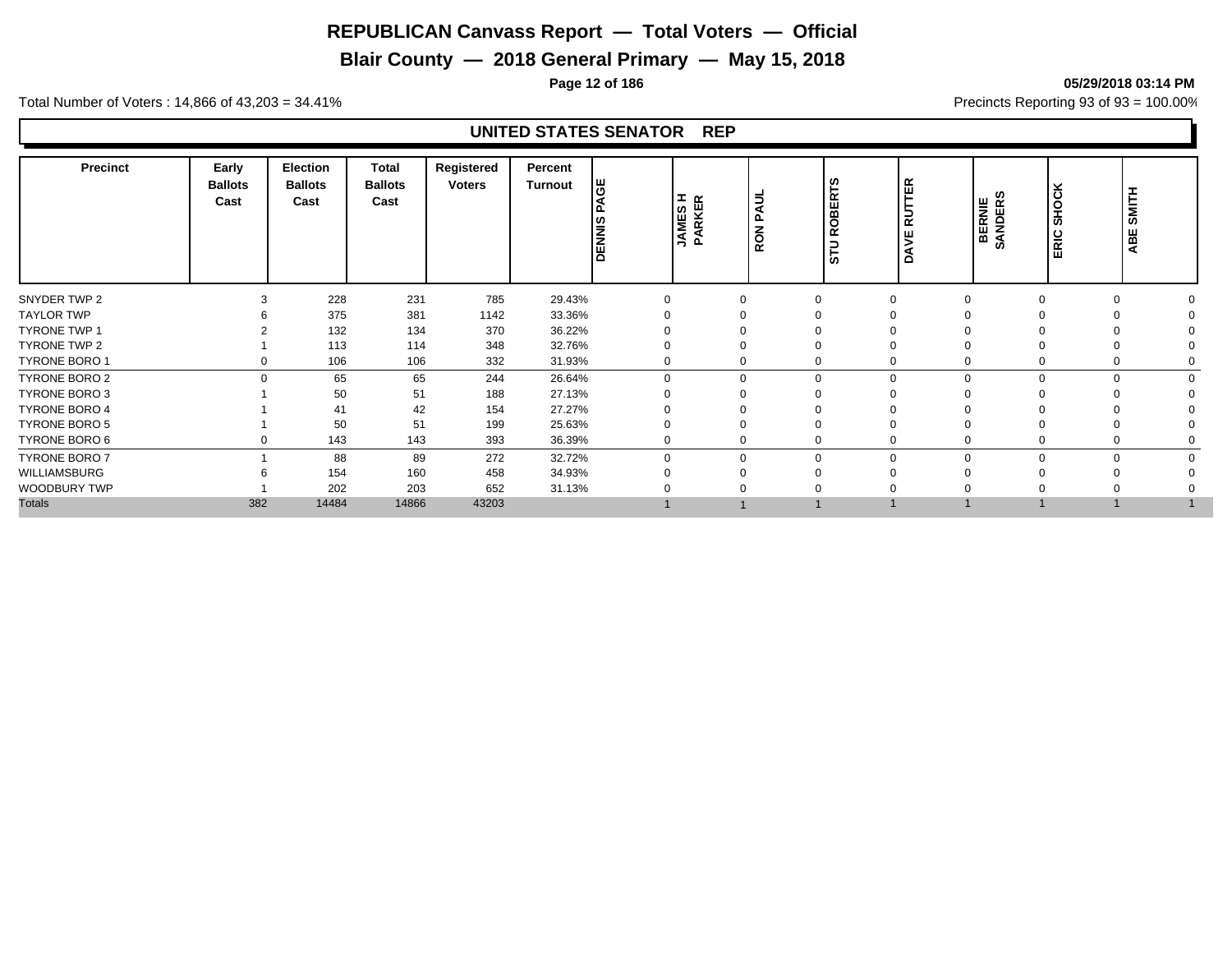# **Blair County — 2018 General Primary — May 15, 2018**

**Page 12 of 186 05/29/2018 03:14 PM**

Total Number of Voters : 14,866 of 43,203 = 34.41% **Precincts Reporting 93 of 93** = 100.00%

| <b>Precinct</b>      | Early<br><b>Ballots</b><br>Cast | Election<br><b>Ballots</b><br>Cast | <b>Total</b><br><b>Ballots</b><br>Cast | Registered<br><b>Voters</b> | Percent<br><b>Turnout</b> | ĞΕ<br>◀<br><b>DENNIS</b> | <b>JAMES H</b><br>PARKER | PAUL<br>$\overline{6}$<br>œ | <b>ROBERTS</b><br>STU | ER<br>⊏<br>$\alpha$<br>$\Omega$ | ဖာ<br>BERNIE<br>SANDERS | SHOCK<br>ERIC | <b>SMITH</b><br>ABE |  |
|----------------------|---------------------------------|------------------------------------|----------------------------------------|-----------------------------|---------------------------|--------------------------|--------------------------|-----------------------------|-----------------------|---------------------------------|-------------------------|---------------|---------------------|--|
| SNYDER TWP 2         |                                 | 228                                | 231                                    | 785                         | 29.43%                    | $\Omega$                 |                          | $\Omega$                    |                       |                                 |                         | $\Omega$      |                     |  |
| <b>TAYLOR TWP</b>    |                                 | 375                                | 381                                    | 1142                        | 33.36%                    |                          |                          |                             |                       |                                 |                         |               |                     |  |
| <b>TYRONE TWP 1</b>  |                                 | 132                                | 134                                    | 370                         | 36.22%                    |                          |                          |                             |                       |                                 |                         |               |                     |  |
| TYRONE TWP 2         |                                 | 113                                | 114                                    | 348                         | 32.76%                    |                          |                          |                             |                       |                                 |                         |               |                     |  |
| <b>TYRONE BORO 1</b> | $\Omega$                        | 106                                | 106                                    | 332                         | 31.93%                    |                          |                          | $\Omega$                    |                       |                                 |                         | $\Omega$      |                     |  |
| TYRONE BORO 2        | $\Omega$                        | 65                                 | 65                                     | 244                         | 26.64%                    | $\Omega$                 |                          | $\mathbf 0$                 | $\Omega$              |                                 |                         | $\Omega$      |                     |  |
| <b>TYRONE BORO 3</b> |                                 | 50                                 | 51                                     | 188                         | 27.13%                    |                          |                          |                             |                       |                                 |                         |               |                     |  |
| <b>TYRONE BORO 4</b> |                                 | 41                                 | 42                                     | 154                         | 27.27%                    |                          |                          |                             |                       |                                 |                         |               |                     |  |
| TYRONE BORO 5        |                                 | 50                                 | 51                                     | 199                         | 25.63%                    |                          |                          |                             |                       |                                 |                         | ∩             |                     |  |
| TYRONE BORO 6        |                                 | 143                                | 143                                    | 393                         | 36.39%                    |                          |                          | 0                           |                       |                                 |                         | $\Omega$      |                     |  |
| <b>TYRONE BORO 7</b> |                                 | 88                                 | 89                                     | 272                         | 32.72%                    | $\Omega$                 |                          | $\mathbf 0$                 | $\Omega$              |                                 |                         | $\Omega$      |                     |  |
| WILLIAMSBURG         |                                 | 154                                | 160                                    | 458                         | 34.93%                    |                          |                          | ∩                           |                       |                                 |                         |               |                     |  |
| WOODBURY TWP         |                                 | 202                                | 203                                    | 652                         | 31.13%                    |                          |                          |                             |                       |                                 |                         |               |                     |  |
| <b>Totals</b>        | 382                             | 14484                              | 14866                                  | 43203                       |                           |                          |                          |                             |                       |                                 |                         |               |                     |  |
|                      |                                 |                                    |                                        |                             |                           |                          |                          |                             |                       |                                 |                         |               |                     |  |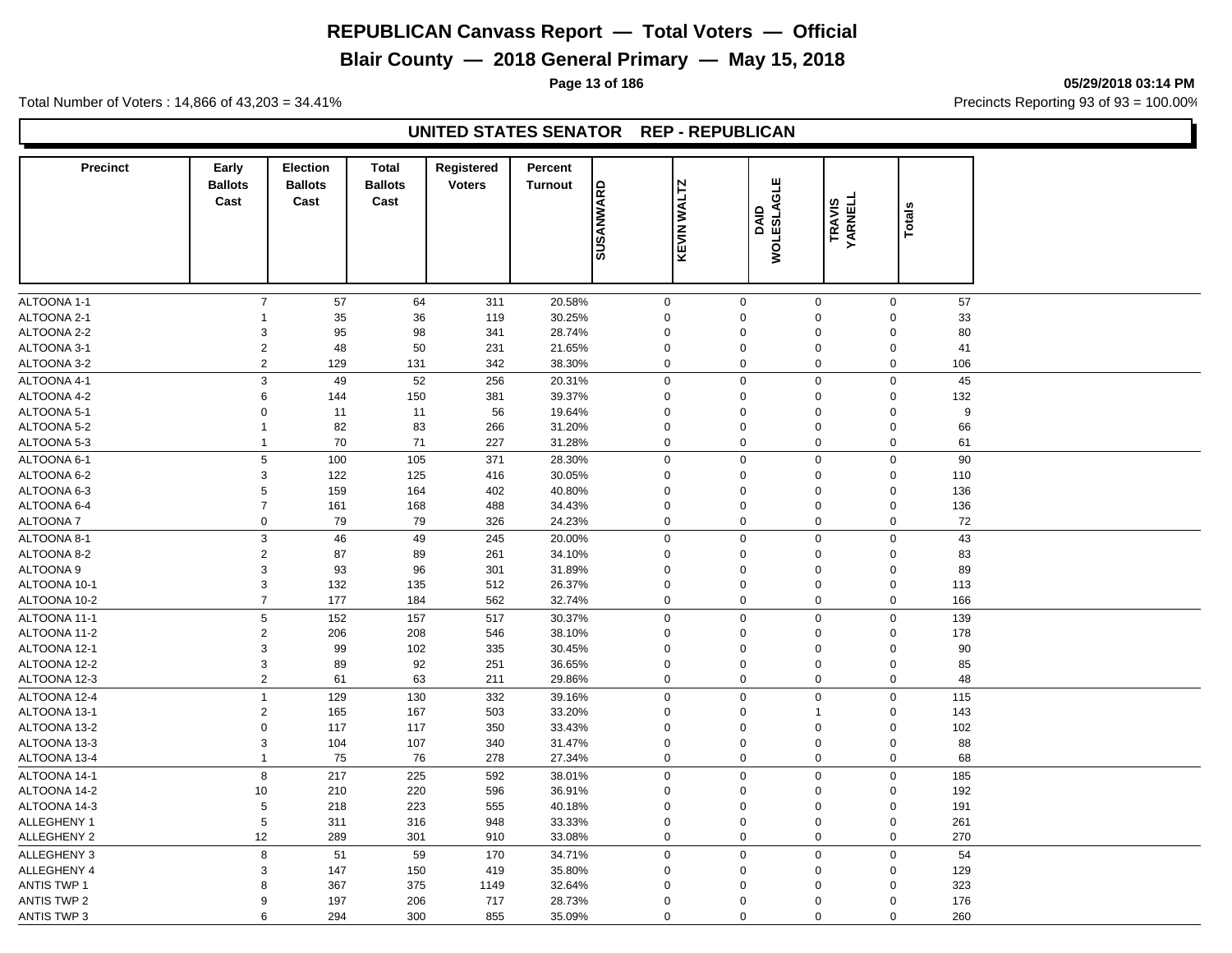# **Blair County — 2018 General Primary — May 15, 2018**

**Page 13 of 186 05/29/2018 03:14 PM**

Total Number of Voters : 14,866 of 43,203 = 34.41% **Precincts Reporting 93 of 93** = 100.00%

## **UNITED STATES SENATOR REP - REPUBLICAN**

| <b>Precinct</b>    | Early                   | <b>Election</b>        | <b>Total</b>           | Registered    | Percent        |                  |                    |                  |                                    |        |     |  |
|--------------------|-------------------------|------------------------|------------------------|---------------|----------------|------------------|--------------------|------------------|------------------------------------|--------|-----|--|
|                    | <b>Ballots</b><br>Cast  | <b>Ballots</b><br>Cast | <b>Ballots</b><br>Cast | <b>Voters</b> | <b>Turnout</b> | <b>GRAWWASUS</b> | <b>KEVIN WALTZ</b> | <b>GLE</b>       |                                    |        |     |  |
|                    |                         |                        |                        |               |                |                  |                    | DAID<br>WOLESLAK | <b>TRAVIS<br/>YARNELL</b>          | Totals |     |  |
|                    |                         |                        |                        |               |                |                  |                    |                  |                                    |        |     |  |
|                    |                         |                        |                        |               |                |                  |                    |                  |                                    |        |     |  |
|                    |                         |                        |                        |               |                |                  |                    |                  |                                    |        |     |  |
| ALTOONA 1-1        | $\overline{7}$          | 57                     | 64                     | 311           | 20.58%         | $\mathbf 0$      | $\mathbf 0$        |                  | $\mathsf{O}\xspace$<br>$\mathbf 0$ |        | 57  |  |
| ALTOONA 2-1        | 1                       | 35                     | 36                     | 119           | 30.25%         | $\Omega$         | $\Omega$           |                  | 0<br>$\mathbf 0$                   |        | 33  |  |
| ALTOONA 2-2        | 3                       | 95                     | 98                     | 341           | 28.74%         | $\mathbf 0$      | $\mathbf 0$        |                  | $\mathbf 0$<br>$\mathbf 0$         |        | 80  |  |
| ALTOONA 3-1        | $\mathbf 2$             | 48                     | 50                     | 231           | 21.65%         | $\Omega$         | $\mathbf 0$        |                  | $\boldsymbol{0}$<br>$\mathbf 0$    |        | 41  |  |
| ALTOONA 3-2        | $\overline{2}$          | 129                    | 131                    | 342           | 38.30%         | $\mathbf 0$      | $\mathbf 0$        |                  | $\mathbf 0$<br>$\mathbf 0$         |        | 106 |  |
| ALTOONA 4-1        | 3                       | 49                     | 52                     | 256           | 20.31%         | $\mathbf 0$      | $\mathbf 0$        |                  | $\mathbf 0$<br>$\mathbf 0$         |        | 45  |  |
| ALTOONA 4-2        | 6                       | 144                    | 150                    | 381           | 39.37%         | $\mathbf 0$      | $\mathbf 0$        |                  | $\boldsymbol{0}$<br>$\mathbf 0$    |        | 132 |  |
| ALTOONA 5-1        | 0                       | 11                     | 11                     | 56            | 19.64%         | $\mathbf 0$      | $\mathbf 0$        |                  | $\mathbf 0$<br>$\mathbf 0$         |        | 9   |  |
| ALTOONA 5-2        | $\mathbf{1}$            | 82                     | 83                     | 266           | 31.20%         | $\mathbf 0$      | $\mathbf 0$        |                  | 0<br>$\mathbf 0$                   |        | 66  |  |
| ALTOONA 5-3        | $\mathbf 1$             | 70                     | 71                     | 227           | 31.28%         | $\mathbf 0$      | $\mathbf 0$        |                  | $\mathbf 0$<br>$\mathbf 0$         |        | 61  |  |
| ALTOONA 6-1        | 5                       | 100                    | 105                    | 371           | 28.30%         | $\mathbf 0$      | $\mathbf 0$        |                  | $\mathsf{O}\xspace$<br>$\mathbf 0$ |        | 90  |  |
| ALTOONA 6-2        | 3                       | 122                    | 125                    | 416           | 30.05%         | $\mathbf 0$      | $\mathbf 0$        |                  | 0<br>$\mathbf 0$                   |        | 110 |  |
| ALTOONA 6-3        | 5                       | 159                    | 164                    | 402           | 40.80%         | $\mathbf 0$      | $\mathbf 0$        |                  | 0<br>$\mathbf 0$                   |        | 136 |  |
| ALTOONA 6-4        | $\overline{7}$          | 161                    | 168                    | 488           | 34.43%         | $\mathbf 0$      | $\mathbf 0$        |                  | $\mathbf 0$<br>$\mathbf 0$         |        | 136 |  |
| ALTOONA 7          | $\pmb{0}$               | 79                     | 79                     | 326           | 24.23%         | $\mathbf 0$      | $\mathbf 0$        |                  | $\mathbf 0$<br>$\mathbf 0$         |        | 72  |  |
| ALTOONA 8-1        | 3                       | 46                     | 49                     | 245           | 20.00%         | $\boldsymbol{0}$ | $\mathbf 0$        |                  | $\mathbf 0$<br>$\mathbf 0$         |        | 43  |  |
| ALTOONA 8-2        | $\overline{\mathbf{c}}$ | 87                     | 89                     | 261           | 34.10%         | $\mathbf 0$      | $\mathbf 0$        |                  | $\mathbf 0$<br>$\mathbf 0$         |        | 83  |  |
| ALTOONA 9          | 3                       | 93                     | 96                     | 301           | 31.89%         | $\mathbf 0$      | $\mathbf 0$        |                  | 0<br>$\mathbf 0$                   |        | 89  |  |
| ALTOONA 10-1       | 3                       | 132                    | 135                    | 512           | 26.37%         | $\mathbf 0$      | $\mathbf 0$        |                  | $\pmb{0}$<br>0                     |        | 113 |  |
| ALTOONA 10-2       | $\overline{7}$          | 177                    | 184                    | 562           | 32.74%         | $\mathbf 0$      | $\mathbf 0$        |                  | 0<br>$\mathbf 0$                   |        | 166 |  |
| ALTOONA 11-1       | 5                       | 152                    | 157                    | 517           | 30.37%         | $\mathbf 0$      | $\mathbf 0$        |                  | $\mathbf 0$<br>$\mathbf 0$         |        | 139 |  |
| ALTOONA 11-2       | $\overline{c}$          | 206                    | 208                    | 546           | 38.10%         | $\Omega$         | $\mathbf 0$        |                  | 0<br>$\mathbf 0$                   |        | 178 |  |
| ALTOONA 12-1       | 3                       | 99                     | 102                    | 335           | 30.45%         | $\overline{0}$   | $\mathbf 0$        |                  | 0<br>$\mathbf 0$                   |        | 90  |  |
| ALTOONA 12-2       | 3                       | 89                     | 92                     | 251           | 36.65%         | $\mathbf 0$      | $\mathbf 0$        |                  | 0<br>$\mathbf 0$                   |        | 85  |  |
| ALTOONA 12-3       | $\overline{c}$          | 61                     | 63                     | 211           | 29.86%         | $\mathbf 0$      | $\mathbf 0$        |                  | 0<br>$\mathbf 0$                   |        | 48  |  |
| ALTOONA 12-4       | $\overline{1}$          | 129                    | 130                    | 332           | 39.16%         | $\mathbf 0$      | $\mathbf 0$        |                  | $\mathbf 0$<br>$\mathbf 0$         |        | 115 |  |
| ALTOONA 13-1       | $\overline{c}$          | 165                    | 167                    | 503           | 33.20%         | $\mathbf 0$      | $\Omega$           | $\mathbf{1}$     | $\mathbf 0$                        |        | 143 |  |
| ALTOONA 13-2       | 0                       | 117                    | 117                    | 350           | 33.43%         | $\mathbf 0$      | $\mathbf 0$        |                  | $\mathbf 0$<br>$\mathbf 0$         |        | 102 |  |
| ALTOONA 13-3       | 3                       | 104                    | 107                    | 340           | 31.47%         | $\mathbf 0$      | $\mathbf 0$        |                  | $\mathbf 0$<br>$\mathbf 0$         |        | 88  |  |
| ALTOONA 13-4       | $\mathbf{1}$            | 75                     | 76                     | 278           | 27.34%         | $\mathbf 0$      | $\mathbf 0$        |                  | $\mathbf 0$<br>$\mathbf 0$         |        | 68  |  |
| ALTOONA 14-1       | 8                       | 217                    | 225                    | 592           | 38.01%         | $\mathbf 0$      | $\mathbf 0$        |                  | $\mathbf 0$<br>$\mathbf 0$         |        | 185 |  |
| ALTOONA 14-2       | 10                      | 210                    | 220                    | 596           | 36.91%         | $\mathbf 0$      | $\mathbf 0$        |                  | $\mathbf 0$<br>$\mathbf 0$         |        | 192 |  |
| ALTOONA 14-3       | 5                       | 218                    | 223                    | 555           | 40.18%         | $\mathbf 0$      | $\Omega$           |                  | $\mathbf 0$<br>$\mathbf 0$         |        | 191 |  |
| ALLEGHENY 1        | 5                       | 311                    | 316                    | 948           | 33.33%         | $\mathbf 0$      | $\mathbf 0$        |                  | $\mathbf 0$<br>$\mathbf 0$         |        | 261 |  |
| ALLEGHENY 2        | 12                      | 289                    | 301                    | 910           | 33.08%         | $\mathbf 0$      | $\mathbf 0$        |                  | $\mathbf 0$<br>$\mathbf 0$         |        | 270 |  |
| <b>ALLEGHENY 3</b> | 8                       | 51                     | 59                     | 170           | 34.71%         | $\boldsymbol{0}$ | $\mathbf 0$        |                  | $\boldsymbol{0}$<br>$\mathbf 0$    |        | 54  |  |
| ALLEGHENY 4        | 3                       | 147                    | 150                    | 419           | 35.80%         | $\mathbf 0$      | $\mathbf 0$        |                  | 0<br>$\mathbf 0$                   |        | 129 |  |
| <b>ANTIS TWP 1</b> | 8                       | 367                    | 375                    | 1149          | 32.64%         | $\mathbf 0$      | $\mathbf 0$        |                  | $\mathbf 0$<br>$\mathbf 0$         |        | 323 |  |
| ANTIS TWP 2        | 9                       | 197                    | 206                    | 717           | 28.73%         | $\Omega$         | $\Omega$           |                  | 0<br>$\mathbf 0$                   |        | 176 |  |
| ANTIS TWP 3        | 6                       | 294                    | 300                    | 855           | 35.09%         | $\Omega$         | $\Omega$           |                  | $\Omega$<br>$\mathbf 0$            |        | 260 |  |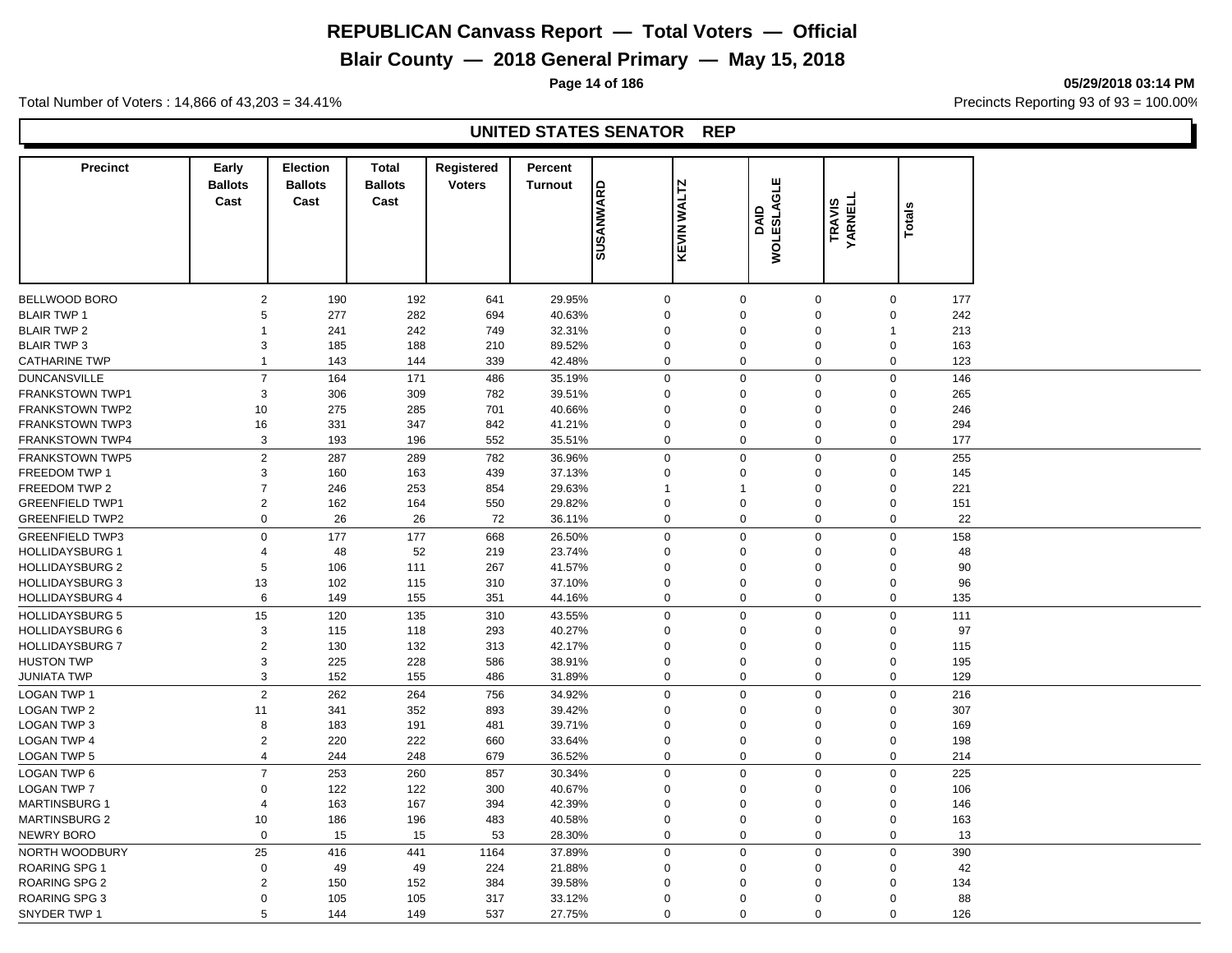# **Blair County — 2018 General Primary — May 15, 2018**

**Page 14 of 186 05/29/2018 03:14 PM**

Total Number of Voters : 14,866 of 43,203 = 34.41% **Precincts Reporting 93 of 93** = 100.00%

| <b>Precinct</b>                          | Early<br><b>Ballots</b><br>Cast | <b>Election</b><br><b>Ballots</b><br>Cast | <b>Total</b><br><b>Ballots</b><br>Cast | <b>Registered</b><br><b>Voters</b> | Percent<br><b>Turnout</b> | <b>GRAWWASUS</b> | <b>KEVIN WALTZ</b>         | <b>GLE</b><br>DAID<br>MOLESLAK | <b>TRAVIS<br/>YARNELL</b> | <b>Totals</b>               |            |
|------------------------------------------|---------------------------------|-------------------------------------------|----------------------------------------|------------------------------------|---------------------------|------------------|----------------------------|--------------------------------|---------------------------|-----------------------------|------------|
|                                          |                                 |                                           |                                        |                                    |                           |                  |                            |                                |                           |                             |            |
|                                          |                                 |                                           |                                        |                                    |                           |                  |                            |                                |                           |                             |            |
| BELLWOOD BORO                            | $\overline{c}$                  | 190                                       | 192                                    | 641                                | 29.95%                    |                  | $\mathbf 0$                | $\mathbf 0$                    | $\boldsymbol{0}$          | $\mathbf 0$                 | 177        |
| <b>BLAIR TWP 1</b>                       | 5<br>$\mathbf{1}$               | 277                                       | 282                                    | 694                                | 40.63%                    |                  | $\mathbf 0$                | $\mathbf 0$                    | $\mathbf 0$<br>$\Omega$   | $\mathbf 0$<br>$\mathbf{1}$ | 242        |
| <b>BLAIR TWP 2</b><br><b>BLAIR TWP 3</b> | 3                               | 241<br>185                                | 242<br>188                             | 749<br>210                         | 32.31%<br>89.52%          |                  | $\mathbf 0$<br>$\mathbf 0$ | $\mathbf 0$<br>$\mathbf 0$     | $\mathbf 0$               | $\mathbf 0$                 | 213<br>163 |
| <b>CATHARINE TWP</b>                     | $\mathbf{1}$                    | 143                                       | 144                                    | 339                                | 42.48%                    |                  | $\mathbf 0$                | $\mathbf 0$                    | $\mathbf 0$               | $\mathbf 0$                 | 123        |
|                                          |                                 |                                           |                                        |                                    |                           |                  |                            |                                |                           |                             |            |
| <b>DUNCANSVILLE</b>                      | $\overline{7}$                  | 164                                       | 171                                    | 486                                | 35.19%                    |                  | $\mathbf 0$                | $\mathbf 0$                    | $\mathbf 0$               | $\mathbf 0$                 | 146        |
| <b>FRANKSTOWN TWP1</b>                   | 3                               | 306                                       | 309                                    | 782                                | 39.51%                    |                  | $\mathbf 0$                | $\mathbf 0$                    | $\Omega$                  | $\Omega$                    | 265        |
| <b>FRANKSTOWN TWP2</b>                   | 10                              | 275                                       | 285                                    | 701                                | 40.66%                    |                  | $\mathbf 0$                | $\mathbf 0$                    | $\mathbf 0$               | $\mathbf 0$                 | 246        |
| <b>FRANKSTOWN TWP3</b>                   | 16                              | 331                                       | 347                                    | 842                                | 41.21%                    |                  | $\mathbf 0$                | $\mathbf 0$                    | $\Omega$                  | $\mathbf 0$                 | 294        |
| <b>FRANKSTOWN TWP4</b>                   | 3                               | 193                                       | 196                                    | 552                                | 35.51%                    |                  | $\mathbf 0$                | $\mathbf 0$                    | $\boldsymbol{0}$          | 0                           | 177        |
| <b>FRANKSTOWN TWP5</b>                   | $\overline{2}$                  | 287                                       | 289                                    | 782                                | 36.96%                    |                  | $\mathbf 0$                | $\mathbf 0$                    | $\mathbf 0$               | $\mathbf 0$                 | 255        |
| FREEDOM TWP 1                            | 3                               | 160                                       | 163                                    | 439                                | 37.13%                    |                  | $\mathbf 0$                | $\mathbf 0$                    | $\mathbf 0$               | $\Omega$                    | 145        |
| FREEDOM TWP 2                            | $\overline{7}$                  | 246                                       | 253                                    | 854                                | 29.63%                    |                  |                            | $\mathbf 1$                    | $\mathbf 0$               | $\mathbf 0$                 | 221        |
| <b>GREENFIELD TWP1</b>                   | 2                               | 162                                       | 164                                    | 550                                | 29.82%                    |                  | $\mathbf 0$                | $\mathbf 0$                    | $\mathbf 0$               | $\mathbf 0$                 | 151        |
| <b>GREENFIELD TWP2</b>                   | $\mathbf 0$                     | 26                                        | 26                                     | 72                                 | 36.11%                    |                  | $\mathbf 0$                | $\mathbf 0$                    | $\boldsymbol{0}$          | $\mathbf 0$                 | 22         |
| <b>GREENFIELD TWP3</b>                   | $\mathsf 0$                     | 177                                       | 177                                    | 668                                | 26.50%                    |                  | $\mathbf 0$                | $\mathbf 0$                    | $\Omega$                  | 0                           | 158        |
| <b>HOLLIDAYSBURG 1</b>                   | $\overline{4}$                  | 48                                        | 52                                     | 219                                | 23.74%                    |                  | $\mathbf 0$                | $\mathbf 0$                    | $\mathbf 0$               | $\mathbf 0$                 | 48         |
| <b>HOLLIDAYSBURG 2</b>                   | 5                               | 106                                       | 111                                    | 267                                | 41.57%                    |                  | $\mathbf 0$                | $\mathbf 0$                    | $\Omega$                  | $\mathbf 0$                 | 90         |
| <b>HOLLIDAYSBURG 3</b>                   | 13                              | 102                                       | 115                                    | 310                                | 37.10%                    |                  | $\mathbf 0$                | $\mathbf 0$                    | $\mathbf 0$               | $\Omega$                    | 96         |
| <b>HOLLIDAYSBURG 4</b>                   | 6                               | 149                                       | 155                                    | 351                                | 44.16%                    |                  | $\mathbf 0$                | $\mathbf 0$                    | $\mathbf 0$               | $\mathbf 0$                 | 135        |
| <b>HOLLIDAYSBURG 5</b>                   | 15                              | 120                                       | 135                                    | 310                                | 43.55%                    |                  | $\mathbf 0$                | $\mathbf 0$                    | $\mathbf 0$               | $\mathbf 0$                 | 111        |
| <b>HOLLIDAYSBURG 6</b>                   | 3                               | 115                                       | 118                                    | 293                                | 40.27%                    |                  | $\mathbf 0$                | $\mathbf 0$                    | $\mathbf 0$               | $\mathbf 0$                 | 97         |
| <b>HOLLIDAYSBURG 7</b>                   | $\sqrt{2}$                      | 130                                       | 132                                    | 313                                | 42.17%                    |                  | $\mathbf 0$                | $\mathbf 0$                    | $\mathbf 0$               | $\mathbf 0$                 | 115        |
| <b>HUSTON TWP</b>                        | $\mathsf 3$                     | 225                                       | 228                                    | 586                                | 38.91%                    |                  | $\mathbf 0$                | $\mathbf 0$                    | $\Omega$                  | $\Omega$                    | 195        |
| <b>JUNIATA TWP</b>                       | 3                               | 152                                       | 155                                    | 486                                | 31.89%                    |                  | $\mathbf 0$                | $\mathbf 0$                    | $\mathbf 0$               | 0                           | 129        |
| <b>LOGAN TWP 1</b>                       | $\overline{2}$                  | 262                                       | 264                                    | 756                                | 34.92%                    |                  | $\mathbf 0$                | $\mathbf 0$                    | $\mathbf 0$               | $\mathbf 0$                 | 216        |
| <b>LOGAN TWP 2</b>                       | 11                              | 341                                       | 352                                    | 893                                | 39.42%                    |                  | $\mathbf 0$                | $\Omega$                       | $\Omega$                  | $\Omega$                    | 307        |
| <b>LOGAN TWP 3</b>                       | 8                               | 183                                       | 191                                    | 481                                | 39.71%                    |                  | $\mathbf 0$                | $\mathbf 0$                    | $\mathbf 0$               | $\mathbf 0$                 | 169        |
| <b>LOGAN TWP 4</b>                       | $\overline{2}$                  | 220                                       | 222                                    | 660                                | 33.64%                    |                  | $\mathbf 0$                | $\mathbf 0$                    | $\mathbf 0$               | $\mathbf 0$                 | 198        |
| <b>LOGAN TWP 5</b>                       | $\overline{4}$                  | 244                                       | 248                                    | 679                                | 36.52%                    |                  | $\mathbf 0$                | $\mathbf 0$                    | $\pmb{0}$                 | $\mathbf 0$                 | 214        |
| LOGAN TWP 6                              | $\overline{7}$                  | 253                                       | 260                                    | 857                                | 30.34%                    |                  | $\mathbf 0$                | $\mathbf 0$                    | $\Omega$                  | $\mathbf 0$                 | 225        |
| <b>LOGAN TWP 7</b>                       | $\mathbf 0$                     | 122                                       | 122                                    | 300                                | 40.67%                    |                  | $\mathbf 0$                | $\mathbf 0$                    | $\mathbf 0$               | $\mathbf 0$                 | 106        |
| <b>MARTINSBURG 1</b>                     | $\overline{4}$                  | 163                                       | 167                                    | 394                                | 42.39%                    |                  | $\mathbf 0$                | $\mathbf 0$                    | $\Omega$                  | $\mathbf 0$                 | 146        |
| <b>MARTINSBURG 2</b>                     | 10                              | 186                                       | 196                                    | 483                                | 40.58%                    |                  | $\mathbf 0$                | $\mathbf 0$                    | $\mathbf 0$               | 0                           | 163        |
| NEWRY BORO                               | $\mathbf 0$                     | 15                                        | 15                                     | 53                                 | 28.30%                    |                  | $\mathbf 0$                | $\mathbf 0$                    | $\mathbf 0$               | $\mathbf 0$                 | 13         |
| NORTH WOODBURY                           | 25                              | 416                                       | 441                                    | 1164                               | 37.89%                    |                  | $\mathbf 0$                | $\mathbf 0$                    | $\mathbf 0$               | $\mathbf 0$                 | 390        |
| <b>ROARING SPG1</b>                      | $\mathbf 0$                     | 49                                        | 49                                     | 224                                | 21.88%                    |                  | $\mathbf 0$                | $\Omega$                       | $\Omega$                  | $\mathbf 0$                 | 42         |
| <b>ROARING SPG 2</b>                     | $\overline{2}$                  | 150                                       | 152                                    | 384                                | 39.58%                    |                  | $\Omega$                   | $\Omega$                       | $\Omega$                  | $\Omega$                    | 134        |
| ROARING SPG 3                            | $\mathbf 0$                     | 105                                       | 105                                    | 317                                | 33.12%                    |                  | $\Omega$                   | $\Omega$                       | $\Omega$                  | $\mathbf 0$                 | 88         |
| SNYDER TWP 1                             | 5                               | 144                                       | 149                                    | 537                                | 27.75%                    |                  | $\Omega$                   | $\Omega$                       | $\Omega$                  | $\Omega$                    | 126        |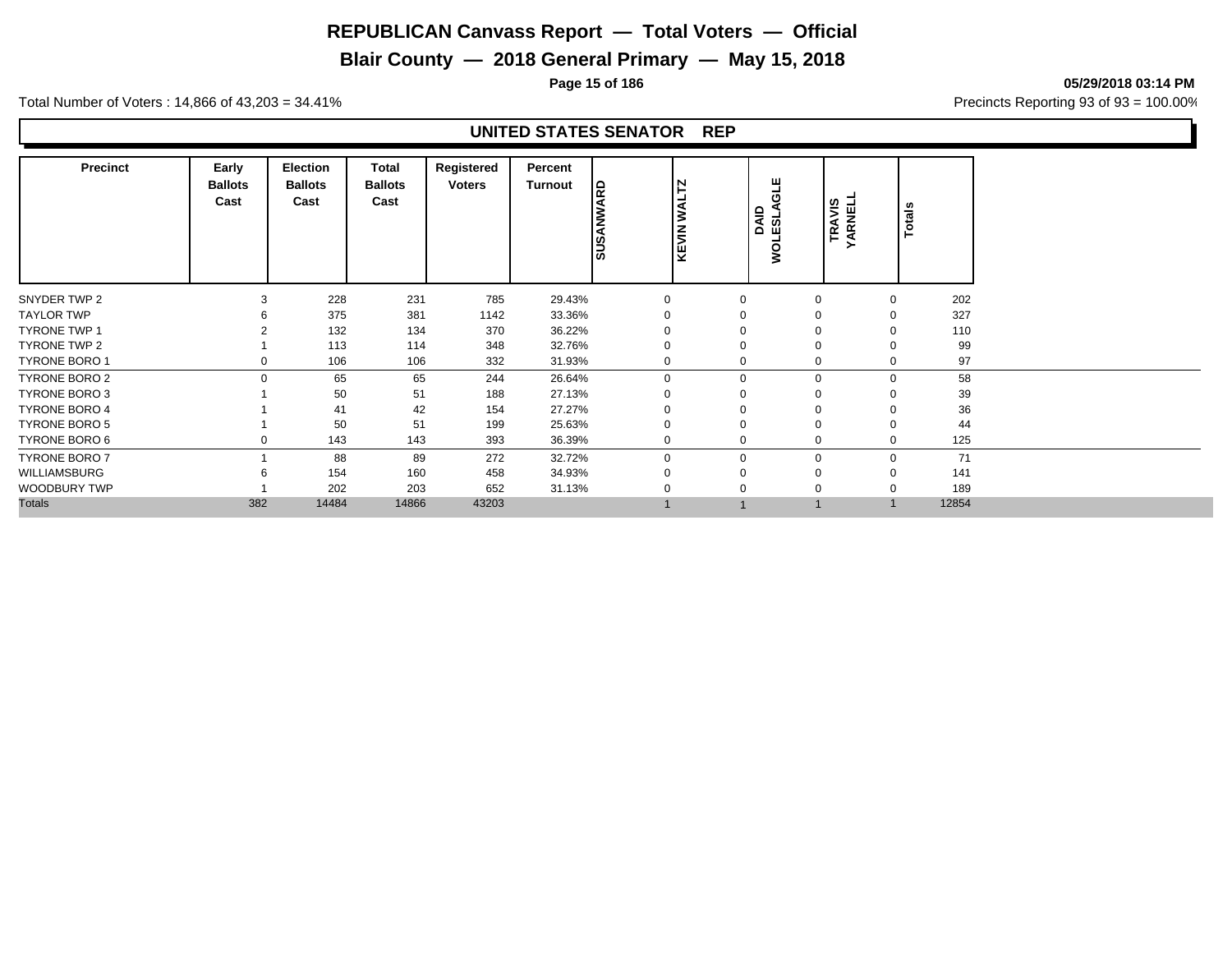# **Blair County — 2018 General Primary — May 15, 2018**

**Page 15 of 186 05/29/2018 03:14 PM**

Total Number of Voters : 14,866 of 43,203 = 34.41% **Precincts Reporting 93 of 93** = 100.00%

| <b>Precinct</b>      | Early<br><b>Ballots</b><br>Cast | <b>Election</b><br><b>Ballots</b><br>Cast | Total<br><b>Ballots</b><br>Cast | Registered<br><b>Voters</b> | Percent<br>Turnout | <b>SUSANWARD</b> | <b>WALTZ</b><br><b>KEVIN</b> | 当<br>O<br>AJS31OW<br>GIRO | <b>TRAVIS<br/>YARNELL</b> | Totals   |       |
|----------------------|---------------------------------|-------------------------------------------|---------------------------------|-----------------------------|--------------------|------------------|------------------------------|---------------------------|---------------------------|----------|-------|
| SNYDER TWP 2         | 3                               | 228                                       | 231                             | 785                         | 29.43%             | $\mathbf 0$      | $\mathbf 0$                  | $\mathbf 0$               |                           | $\Omega$ | 202   |
| <b>TAYLOR TWP</b>    |                                 | 375                                       | 381                             | 1142                        | 33.36%             | $\Omega$         |                              | $\Omega$                  |                           |          | 327   |
| <b>TYRONE TWP 1</b>  |                                 | 132                                       | 134                             | 370                         | 36.22%             | $\Omega$         |                              | $\Omega$                  |                           |          | 110   |
| TYRONE TWP 2         |                                 | 113                                       | 114                             | 348                         | 32.76%             | 0                |                              | $\mathbf 0$               |                           |          | 99    |
| <b>TYRONE BORO 1</b> |                                 | 106                                       | 106                             | 332                         | 31.93%             | $\mathbf{0}$     | $\Omega$                     | $\mathbf 0$               |                           |          | 97    |
| <b>TYRONE BORO 2</b> |                                 | 65                                        | 65                              | 244                         | 26.64%             | $\mathbf 0$      | $\mathbf 0$                  |                           | 0                         | $\Omega$ | 58    |
| TYRONE BORO 3        |                                 | 50                                        | 51                              | 188                         | 27.13%             | $\Omega$         | 0                            | $\Omega$                  |                           |          | 39    |
| <b>TYRONE BORO 4</b> |                                 | 41                                        | 42                              | 154                         | 27.27%             | $\Omega$         | 0                            | $\mathbf 0$               |                           |          | 36    |
| TYRONE BORO 5        |                                 | 50                                        | 51                              | 199                         | 25.63%             | $\mathbf 0$      | O                            | $\mathbf 0$               |                           |          | 44    |
| TYRONE BORO 6        |                                 | 143                                       | 143                             | 393                         | 36.39%             | $\mathbf 0$      | $\Omega$                     | 0                         |                           |          | 125   |
| <b>TYRONE BORO 7</b> |                                 | 88                                        | 89                              | 272                         | 32.72%             | $\Omega$         | $\Omega$                     |                           | $\mathbf 0$               | $\Omega$ | 71    |
| WILLIAMSBURG         |                                 | 154                                       | 160                             | 458                         | 34.93%             | $\Omega$         | $\Omega$                     | $\mathbf 0$               |                           |          | 141   |
| WOODBURY TWP         |                                 | 202                                       | 203                             | 652                         | 31.13%             | $\Omega$         | 0                            | $\mathbf 0$               |                           |          | 189   |
| <b>Totals</b>        | 382                             | 14484                                     | 14866                           | 43203                       |                    |                  |                              |                           |                           |          | 12854 |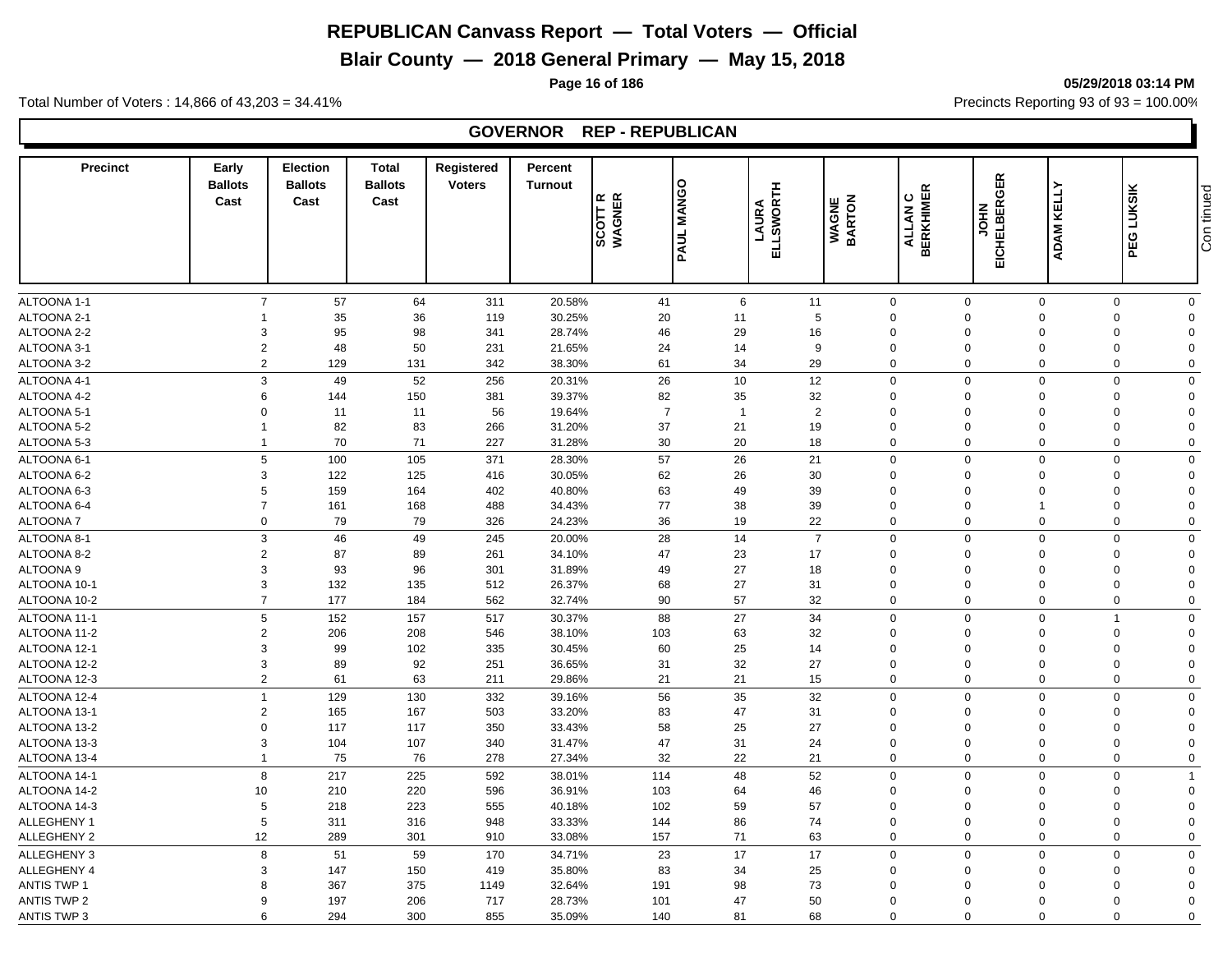# **Blair County — 2018 General Primary — May 15, 2018**

**Page 16 of 186 05/29/2018 03:14 PM**

Total Number of Voters : 14,866 of 43,203 = 34.41% **Precincts Reporting 93 of 93** = 100.00%

## **GOVERNOR REP - REPUBLICAN**

| <b>Precinct</b>            | Early<br><b>Ballots</b><br>Cast | <b>Election</b><br><b>Ballots</b><br>Cast | <b>Total</b><br><b>Ballots</b><br>Cast | Registered<br><b>Voters</b> | Percent<br><b>Turnout</b> | SCOTT R<br>WAGNER | <b>MANGO</b><br>PAUL | ELLSWORTH<br>LAURA | <b>WAGNE</b><br>BARTON | <b>BERKHIMER</b><br>ALLAN C | EICHELBERGER<br><b>NHOL</b> | KELLY<br><b>ADAM</b>       | LUKSIK<br>PEG                 | Con tinued |
|----------------------------|---------------------------------|-------------------------------------------|----------------------------------------|-----------------------------|---------------------------|-------------------|----------------------|--------------------|------------------------|-----------------------------|-----------------------------|----------------------------|-------------------------------|------------|
|                            |                                 |                                           |                                        |                             |                           |                   |                      |                    |                        |                             |                             |                            |                               |            |
| <b>ALTOONA 1-1</b>         | $\overline{7}$                  | 57                                        | 64                                     | 311                         | 20.58%                    | 41                | 6                    | 11                 |                        | $\mathbf 0$                 | $\mathbf 0$                 | $\mathbf{0}$               | $\mathbf 0$<br>$\mathbf 0$    |            |
| ALTOONA 2-1                |                                 | 35                                        | 36                                     | 119                         | 30.25%                    | 20                | 11                   | 5                  |                        | $\Omega$                    | $\Omega$                    | $\mathbf 0$                | $\mathbf 0$<br>$\Omega$       |            |
| ALTOONA 2-2                | 3                               | 95                                        | 98                                     | 341                         | 28.74%                    | 46                | 29                   | 16                 |                        | $\Omega$                    | $\Omega$                    | $\Omega$                   | $\mathbf 0$<br>$\Omega$       |            |
| ALTOONA 3-1                | $\overline{2}$                  | 48                                        | 50                                     | 231                         | 21.65%                    | 24                | 14                   | 9                  |                        | $\Omega$                    | $\Omega$                    | $\Omega$                   | $\mathbf 0$<br>$\Omega$       |            |
| ALTOONA 3-2                | $\overline{c}$                  | 129                                       | 131                                    | 342                         | 38.30%                    | 61                | 34                   | 29                 |                        | $\mathbf 0$                 | $\Omega$                    | $\mathbf 0$                | $\mathbf 0$<br>$\mathbf 0$    |            |
| ALTOONA 4-1                | 3                               | 49                                        | 52                                     | 256                         | 20.31%                    | 26                | 10                   | 12                 |                        | $\mathsf 0$                 | $\mathbf 0$                 | $\mathbf 0$                | $\mathbf 0$<br>$\Omega$       |            |
| ALTOONA 4-2                | 6                               | 144                                       | 150                                    | 381                         | 39.37%                    | 82                | 35                   | 32                 |                        | $\mathbf 0$                 | $\Omega$                    | $\mathbf 0$                | 0<br>$\Omega$                 |            |
| ALTOONA 5-1                | $\mathbf 0$                     | 11                                        | 11                                     | 56                          | 19.64%                    | $\overline{7}$    | $\overline{1}$       | 2                  |                        | $\mathbf 0$                 | $\mathbf 0$                 | $\mathbf 0$                | $\mathbf 0$<br>$\Omega$       |            |
| ALTOONA 5-2                | $\mathbf{1}$                    | 82                                        | 83                                     | 266                         | 31.20%                    | 37                | 21                   | 19                 |                        | $\mathbf 0$                 | $\Omega$                    | $\Omega$                   | 0<br>$\Omega$                 |            |
| ALTOONA 5-3                | $\overline{1}$                  | 70                                        | 71                                     | 227                         | 31.28%                    | 30                | 20                   | 18                 |                        | $\mathbf 0$                 | $\mathbf 0$                 | $\mathbf 0$                | $\mathbf 0$<br>$\mathbf 0$    |            |
| ALTOONA 6-1                | 5                               | 100                                       | 105                                    | 371                         | 28.30%                    | 57                | 26                   | 21                 |                        | $\mathsf 0$                 | $\Omega$                    | $\overline{0}$             | $\mathbf 0$<br>$\Omega$       |            |
| ALTOONA 6-2                | 3                               | 122                                       | 125                                    | 416                         | 30.05%                    | 62                | 26                   | 30                 |                        | $\mathbf 0$                 | $\Omega$                    | $\Omega$                   | 0<br>$\Omega$                 |            |
| ALTOONA 6-3                | 5                               | 159                                       | 164                                    | 402                         | 40.80%                    | 63                | 49                   | 39                 |                        | $\mathbf 0$                 | $\Omega$                    | $\mathbf 0$                | 0<br>$\Omega$                 |            |
| ALTOONA 6-4                | $\overline{7}$                  | 161                                       | 168                                    | 488                         | 34.43%                    | 77                | 38                   | 39                 |                        | $\Omega$                    | $\Omega$                    | $\overline{1}$             | $\mathbf 0$<br>$\Omega$       |            |
| <b>ALTOONA7</b>            | $\Omega$                        | 79                                        | 79                                     | 326                         | 24.23%                    | 36                | 19                   | 22                 |                        | $\mathsf 0$                 | $\mathbf 0$                 | $\Omega$                   | $\mathbf 0$<br>$\mathbf 0$    |            |
| ALTOONA 8-1                | 3                               | 46                                        | 49                                     | 245                         | 20.00%                    | 28                | 14                   | $\overline{7}$     |                        | $\mathbf 0$                 | $\Omega$                    | $\Omega$                   | $\mathbf 0$<br>$\mathbf 0$    |            |
| ALTOONA 8-2                | $\overline{2}$                  | 87                                        | 89                                     | 261                         | 34.10%                    | 47                | 23                   | 17                 |                        | $\mathbf 0$                 | $\mathbf 0$                 | $\mathbf 0$                | $\mathbf 0$<br>$\mathbf 0$    |            |
| <b>ALTOONA 9</b>           | 3                               | 93                                        | 96                                     | 301                         | 31.89%                    | 49                | 27                   | 18                 |                        | $\Omega$                    | $\Omega$                    | $\Omega$                   | 0<br>$\Omega$                 |            |
| ALTOONA 10-1               | 3                               | 132                                       | 135                                    | 512                         | 26.37%                    | 68                | 27                   | 31                 |                        | $\mathbf 0$                 | $\mathbf 0$                 | $\mathbf 0$                | 0<br>$\mathbf 0$              |            |
| ALTOONA 10-2               | $\overline{7}$                  | 177                                       | 184                                    | 562                         | 32.74%                    | 90                | 57                   | 32                 |                        | $\mathbf 0$                 | $\mathbf 0$                 | $\Omega$                   | $\mathbf 0$<br>$\Omega$       |            |
| ALTOONA 11-1               | 5                               | 152                                       | 157                                    | 517                         | 30.37%                    | 88                | 27                   | 34                 |                        | $\mathbf 0$                 | $\Omega$                    | $\Omega$<br>$\overline{1}$ | $\Omega$                      |            |
| ALTOONA 11-2               | $\overline{2}$                  | 206                                       | 208                                    | 546                         | 38.10%                    | 103               | 63                   | 32                 |                        | $\mathbf 0$                 | $\Omega$                    | $\Omega$                   | 0<br>$\Omega$                 |            |
| ALTOONA 12-1               | 3                               | 99                                        | 102                                    | 335                         | 30.45%                    | 60                | 25                   | 14                 |                        | $\Omega$                    | $\Omega$                    | $\Omega$                   | $\mathbf 0$<br>$\Omega$       |            |
| ALTOONA 12-2               | 3                               | 89                                        | 92                                     | 251                         | 36.65%                    | 31                | 32                   | 27                 |                        | $\mathbf 0$                 | $\Omega$                    | $\Omega$                   | $\mathbf 0$<br>$\Omega$       |            |
| ALTOONA 12-3               | $\overline{c}$                  | 61                                        | 63                                     | 211                         | 29.86%                    | 21                | 21                   | 15                 |                        | $\mathbf 0$                 | $\Omega$                    | $\Omega$                   | $\mathbf 0$<br>$\mathbf 0$    |            |
| ALTOONA 12-4               | $\overline{1}$                  | 129                                       | 130                                    | 332                         | 39.16%                    | 56                | 35                   | 32                 |                        | $\mathbf 0$                 | $\mathbf 0$                 | $\Omega$                   | $\mathbf 0$<br>$\Omega$       |            |
| ALTOONA 13-1               | $\overline{2}$                  | 165                                       | 167                                    | 503                         | 33.20%                    | 83                | 47                   | 31                 |                        | $\mathbf 0$                 | $\Omega$                    | $\Omega$                   | $\mathbf 0$<br>$\Omega$       |            |
| ALTOONA 13-2               | $\mathbf 0$                     | 117                                       | 117                                    | 350                         | 33.43%                    | 58                | 25                   | 27                 |                        | $\mathbf 0$                 | $\mathbf 0$                 | $\mathbf 0$                | $\mathbf 0$<br>$\Omega$       |            |
| ALTOONA 13-3               | 3                               | 104                                       | 107                                    | 340                         | 31.47%                    | 47                | 31                   | 24                 |                        | $\mathbf 0$                 | $\Omega$                    | $\Omega$                   | 0<br>$\Omega$                 |            |
| ALTOONA 13-4               | $\mathbf{1}$                    | 75                                        | 76                                     | 278                         | 27.34%                    | 32                | 22                   | 21                 |                        | $\mathbf 0$                 | $\mathbf 0$                 | $\mathbf 0$                | $\mathbf 0$<br>$\mathbf 0$    |            |
|                            |                                 |                                           |                                        |                             |                           |                   |                      |                    |                        |                             |                             |                            |                               |            |
| ALTOONA 14-1               | 8                               | 217                                       | 225                                    | 592                         | 38.01%                    | 114               | 48                   | 52                 |                        | $\mathbf 0$                 | $\mathbf 0$                 | $\mathbf 0$                | $\mathbf 0$<br>$\overline{1}$ |            |
| ALTOONA 14-2               | 10                              | 210                                       | 220                                    | 596                         | 36.91%                    | 103               | 64                   | 46                 |                        | $\mathbf 0$<br>$\mathbf 0$  | $\Omega$<br>$\Omega$        | $\mathbf 0$                | 0<br>$\Omega$<br>$\Omega$     |            |
| ALTOONA 14-3               | 5<br>5                          | 218<br>311                                | 223                                    | 555                         | 40.18%                    | 102<br>144        | 59<br>86             | 57<br>74           |                        | $\mathbf 0$                 | $\Omega$                    | $\mathbf 0$<br>$\mathbf 0$ | $\mathbf 0$<br>$\Omega$       |            |
| ALLEGHENY 1<br>ALLEGHENY 2 |                                 |                                           | 316                                    | 948                         | 33.33%                    |                   | 71                   |                    |                        | $\mathbf 0$                 | $\mathbf 0$                 | $\mathbf 0$                | 0                             |            |
|                            | 12                              | 289                                       | 301                                    | 910                         | 33.08%                    | 157               |                      | 63                 |                        |                             |                             |                            | $\mathbf 0$<br>$\mathbf 0$    |            |
| ALLEGHENY 3                | 8                               | 51                                        | 59                                     | 170                         | 34.71%                    | 23                | 17                   | 17                 |                        | $\Omega$                    | $\Omega$                    | $\Omega$                   | $\mathbf 0$<br>$\mathbf 0$    |            |
| <b>ALLEGHENY 4</b>         | 3                               | 147                                       | 150                                    | 419                         | 35.80%                    | 83                | 34                   | 25                 |                        | $\Omega$                    | $\Omega$                    | $\Omega$                   | $\mathbf 0$<br>$\Omega$       |            |
| <b>ANTIS TWP 1</b>         | 8                               | 367                                       | 375                                    | 1149                        | 32.64%                    | 191               | 98                   | 73                 |                        | $\Omega$                    | $\Omega$                    | $\Omega$                   | $\mathbf 0$<br>$\Omega$       |            |
| <b>ANTIS TWP 2</b>         | $\mathbf{Q}$                    | 197                                       | 206                                    | 717                         | 28.73%                    | 101               | 47                   | 50                 |                        | $\Omega$                    | $\Omega$                    | $\Omega$                   | $\mathbf 0$<br>$\Omega$       |            |
| <b>ANTIS TWP 3</b>         | 6                               | 294                                       | 300                                    | 855                         | 35.09%                    | 140               | 81                   | 68                 |                        | $\Omega$                    | $\Omega$                    | $\Omega$                   | $\Omega$<br>$\Omega$          |            |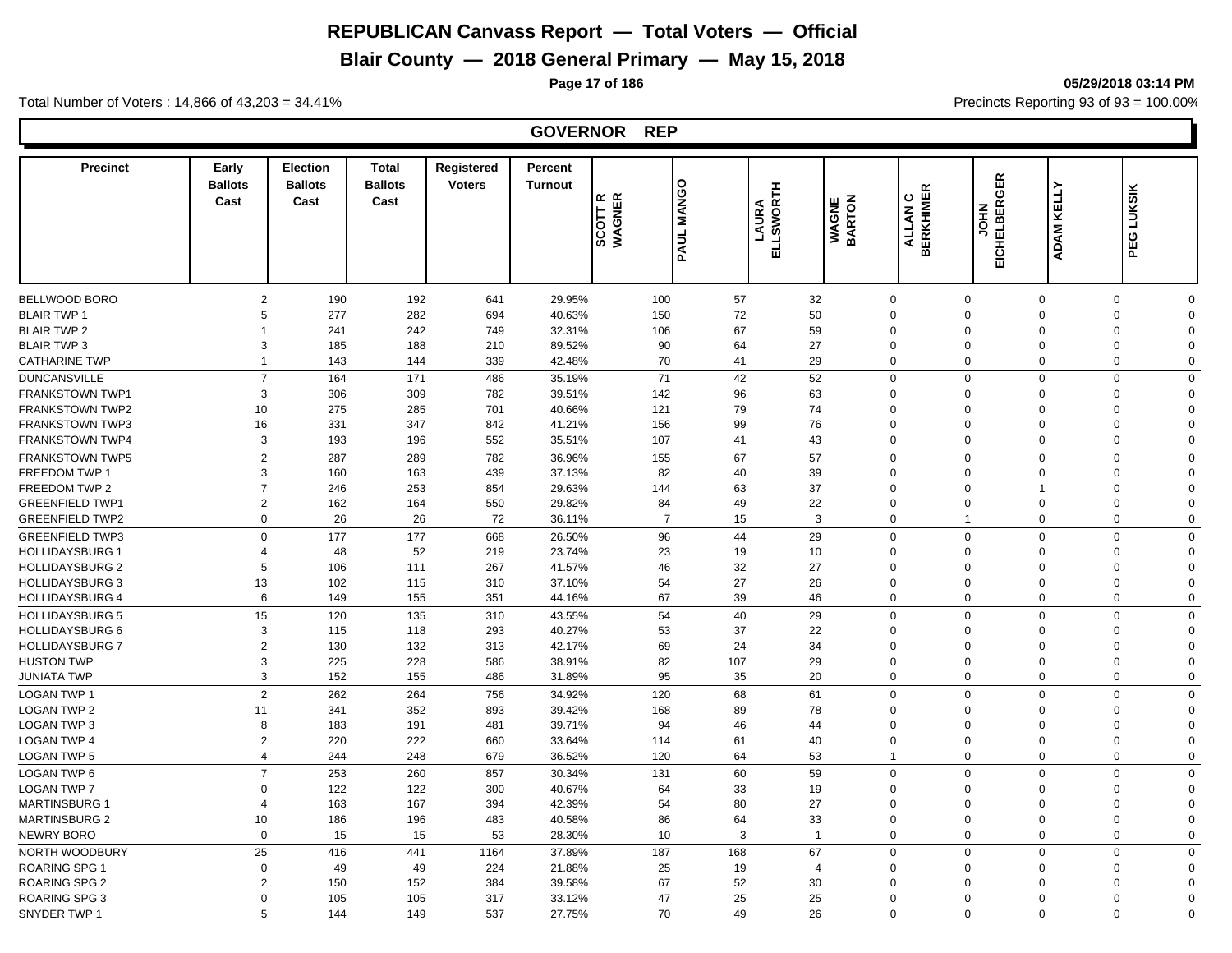# **Blair County — 2018 General Primary — May 15, 2018**

**Page 17 of 186 05/29/2018 03:14 PM**

Total Number of Voters : 14,866 of 43,203 = 34.41% **Precincts Reporting 93 of 93** = 100.00%

#### **GOVERNOR REP**

| <b>Precinct</b>        | Early<br><b>Ballots</b><br>Cast | <b>Election</b><br><b>Ballots</b><br>Cast | <b>Total</b><br><b>Ballots</b><br>Cast | Registered<br><b>Voters</b> | Percent<br><b>Turnout</b> | SCOTT R<br>WAGNER | $\circ$<br><b>MANGO</b><br>PAUL | ELLSWORTH<br>LAURA | <b>WAGNE</b><br>BARTON | <b>BERKHIMER</b><br>ပ<br>ALLAN | GER<br><b>EICHELBER</b><br><b>NHOL</b> | KELLY<br>ADAM <sub>I</sub> | <b>LUKSIK</b><br>PEG       |  |
|------------------------|---------------------------------|-------------------------------------------|----------------------------------------|-----------------------------|---------------------------|-------------------|---------------------------------|--------------------|------------------------|--------------------------------|----------------------------------------|----------------------------|----------------------------|--|
|                        |                                 |                                           |                                        |                             |                           |                   |                                 |                    |                        |                                |                                        |                            |                            |  |
| BELLWOOD BORO          | 2                               | 190                                       | 192                                    | 641                         | 29.95%                    | 100               | 57                              |                    | 32                     | $\mathbf 0$                    | $\Omega$                               | $\Omega$                   | $\mathbf 0$<br>$\Omega$    |  |
| <b>BLAIR TWP 1</b>     | 5                               | 277                                       | 282                                    | 694                         | 40.63%                    | 150               | 72                              |                    | 50                     | $\Omega$                       | $\Omega$                               | $\Omega$                   | $\mathbf 0$<br>$\Omega$    |  |
| <b>BLAIR TWP 2</b>     | $\overline{1}$                  | 241                                       | 242                                    | 749                         | 32.31%                    | 106               | 67                              |                    | 59                     | $\Omega$                       | $\Omega$                               | $\Omega$                   | $\mathbf 0$<br>$\Omega$    |  |
| <b>BLAIR TWP 3</b>     | 3                               | 185                                       | 188                                    | 210                         | 89.52%                    | 90                | 64                              |                    | 27                     | $\mathbf 0$                    | $\Omega$                               | $\mathbf 0$                | $\mathbf 0$<br>$\Omega$    |  |
| <b>CATHARINE TWP</b>   | $\overline{1}$                  | 143                                       | 144                                    | 339                         | 42.48%                    | 70                | 41                              |                    | 29                     | $\mathbf 0$                    | $\Omega$                               | $\Omega$                   | $\mathbf 0$<br>$\Omega$    |  |
| <b>DUNCANSVILLE</b>    | $\overline{7}$                  | 164                                       | 171                                    | 486                         | 35.19%                    | 71                | 42                              |                    | 52                     | $\mathbf 0$                    | $\Omega$                               | $\Omega$                   | $\mathbf 0$<br>$\Omega$    |  |
| <b>FRANKSTOWN TWP1</b> | 3                               | 306                                       | 309                                    | 782                         | 39.51%                    | 142               | 96                              |                    | 63                     | $\Omega$                       | $\Omega$                               | $\Omega$                   | $\mathbf 0$<br>$\Omega$    |  |
| <b>FRANKSTOWN TWP2</b> | 10                              | 275                                       | 285                                    | 701                         | 40.66%                    | 121               | 79                              |                    | 74                     | $\Omega$                       | $\Omega$                               | $\Omega$                   | $\mathbf 0$<br>$\Omega$    |  |
| <b>FRANKSTOWN TWP3</b> | 16                              | 331                                       | 347                                    | 842                         | 41.21%                    | 156               | 99                              |                    | 76                     | $\Omega$                       | $\Omega$                               | $\Omega$                   | $\mathbf 0$<br>$\Omega$    |  |
| FRANKSTOWN TWP4        | 3                               | 193                                       | 196                                    | 552                         | 35.51%                    | 107               | 41                              |                    | 43                     | $\mathbf 0$                    | $\Omega$                               | $\Omega$                   | $\Omega$<br>$\Omega$       |  |
| <b>FRANKSTOWN TWP5</b> | $\overline{2}$                  | 287                                       | 289                                    | 782                         | 36.96%                    | 155               | 67                              |                    | 57                     | $\mathbf 0$                    | $\Omega$                               | $\Omega$                   | $\mathbf 0$<br>$\Omega$    |  |
| FREEDOM TWP 1          | 3                               | 160                                       | 163                                    | 439                         | 37.13%                    | 82                | 40                              |                    | 39                     | $\Omega$                       | $\Omega$                               | $\Omega$                   | $\mathbf 0$<br>$\Omega$    |  |
| FREEDOM TWP 2          | $\overline{7}$                  | 246                                       | 253                                    | 854                         | 29.63%                    | 144               | 63                              |                    | 37                     | $\Omega$                       | $\Omega$                               | 1                          | $\mathbf 0$<br>$\Omega$    |  |
| <b>GREENFIELD TWP1</b> | 2                               | 162                                       | 164                                    | 550                         | 29.82%                    | 84                | 49                              |                    | 22                     | $\mathbf 0$                    | $\mathbf 0$                            | $\Omega$                   | $\mathbf 0$<br>$\Omega$    |  |
| <b>GREENFIELD TWP2</b> | $\mathbf 0$                     | 26                                        | 26                                     | 72                          | 36.11%                    | $\overline{7}$    | 15                              |                    | 3                      | $\mathbf 0$                    | $\mathbf{1}$                           | $\mathbf 0$                | $\mathbf 0$<br>$\Omega$    |  |
| <b>GREENFIELD TWP3</b> | $\mathbf 0$                     | 177                                       | 177                                    | 668                         | 26.50%                    | 96                | 44                              |                    | 29                     | $\mathbf 0$                    | $\Omega$                               | $\Omega$                   | $\mathbf 0$<br>$\mathbf 0$ |  |
| <b>HOLLIDAYSBURG 1</b> | 4                               | 48                                        | 52                                     | 219                         | 23.74%                    | 23                | 19                              |                    | 10                     | $\mathbf 0$                    | $\Omega$                               | $\mathbf 0$                | $\mathbf 0$<br>$\Omega$    |  |
| <b>HOLLIDAYSBURG 2</b> | 5                               | 106                                       | 111                                    | 267                         | 41.57%                    | 46                | 32                              |                    | 27                     | $\Omega$                       | $\Omega$                               | $\Omega$                   | $\mathbf 0$<br>$\Omega$    |  |
| <b>HOLLIDAYSBURG 3</b> | 13                              | 102                                       | 115                                    | 310                         | 37.10%                    | 54                | 27                              |                    | 26                     | $\mathbf 0$                    | $\Omega$                               | $\mathbf 0$                | $\mathbf 0$<br>$\Omega$    |  |
| <b>HOLLIDAYSBURG 4</b> | 6                               | 149                                       | 155                                    | 351                         | 44.16%                    | 67                | 39                              |                    | 46                     | $\mathbf 0$                    | $\Omega$                               | $\Omega$                   | $\mathbf 0$<br>$\Omega$    |  |
|                        |                                 |                                           |                                        |                             |                           |                   |                                 |                    |                        |                                |                                        |                            |                            |  |
| <b>HOLLIDAYSBURG 5</b> | 15                              | 120                                       | 135                                    | 310                         | 43.55%                    | 54                | 40                              |                    | 29                     | $\Omega$                       | $\Omega$                               | $\Omega$                   | $\mathbf 0$<br>$\Omega$    |  |
| <b>HOLLIDAYSBURG 6</b> | 3                               | 115                                       | 118                                    | 293                         | 40.27%                    | 53                | 37                              |                    | 22                     | $\Omega$                       | $\Omega$                               | $\Omega$                   | $\mathbf 0$<br>$\Omega$    |  |
| <b>HOLLIDAYSBURG 7</b> | 2                               | 130                                       | 132                                    | 313                         | 42.17%                    | 69                | 24                              |                    | 34                     | $\Omega$                       | $\Omega$                               | $\Omega$                   | $\mathbf 0$<br>$\Omega$    |  |
| <b>HUSTON TWP</b>      | 3                               | 225                                       | 228                                    | 586                         | 38.91%                    | 82                | 107                             |                    | 29                     | $\Omega$                       | $\Omega$                               | $\Omega$                   | $\mathbf 0$<br>$\Omega$    |  |
| <b>JUNIATA TWP</b>     | 3                               | 152                                       | 155                                    | 486                         | 31.89%                    | 95                | 35                              |                    | 20                     | $\Omega$                       | $\Omega$                               | $\Omega$                   | $\mathbf 0$<br>$\mathbf 0$ |  |
| <b>LOGAN TWP 1</b>     | $\overline{2}$                  | 262                                       | 264                                    | 756                         | 34.92%                    | 120               | 68                              | 61                 |                        | $\mathbf 0$                    | $\Omega$                               | $\Omega$                   | $\mathbf 0$<br>$\Omega$    |  |
| <b>LOGAN TWP 2</b>     | 11                              | 341                                       | 352                                    | 893                         | 39.42%                    | 168               | 89                              |                    | 78                     | $\Omega$                       | $\Omega$                               | $\Omega$                   | $\mathbf 0$<br>$\Omega$    |  |
| <b>LOGAN TWP 3</b>     | 8                               | 183                                       | 191                                    | 481                         | 39.71%                    | 94                | 46                              |                    | 44                     | $\Omega$                       | $\Omega$                               | $\Omega$                   | $\mathbf 0$<br>$\Omega$    |  |
| <b>LOGAN TWP 4</b>     | 2                               | 220                                       | 222                                    | 660                         | 33.64%                    | 114               | 61                              |                    | 40                     | $\mathbf 0$                    | $\Omega$                               | $\Omega$                   | $\mathbf 0$<br>$\Omega$    |  |
| <b>LOGAN TWP 5</b>     | 4                               | 244                                       | 248                                    | 679                         | 36.52%                    | 120               | 64                              |                    | 53                     | $\overline{1}$                 | $\Omega$                               | $\Omega$                   | $\mathbf 0$<br>$\Omega$    |  |
| LOGAN TWP 6            | $\overline{7}$                  | 253                                       | 260                                    | 857                         | 30.34%                    | 131               | 60                              |                    | 59                     | $\mathbf 0$                    | $\Omega$                               | $\Omega$                   | $\mathbf 0$<br>$\mathbf 0$ |  |
| <b>LOGAN TWP 7</b>     | $\mathbf 0$                     | 122                                       | 122                                    | 300                         | 40.67%                    | 64                | 33                              |                    | 19                     | $\mathbf 0$                    | $\Omega$                               | $\mathbf 0$                | $\mathbf 0$<br>$\Omega$    |  |
| <b>MARTINSBURG 1</b>   | 4                               | 163                                       | 167                                    | 394                         | 42.39%                    | 54                | 80                              |                    | 27                     | $\Omega$                       | $\Omega$                               | $\Omega$                   | $\mathbf 0$<br>$\Omega$    |  |
| <b>MARTINSBURG 2</b>   | 10                              | 186                                       | 196                                    | 483                         | 40.58%                    | 86                | 64                              |                    | 33                     | $\mathbf 0$                    | $\Omega$                               | $\Omega$                   | $\mathbf 0$<br>$\Omega$    |  |
| <b>NEWRY BORO</b>      | $\Omega$                        | 15                                        | 15                                     | 53                          | 28.30%                    | 10                |                                 | 3                  | $\overline{1}$         | $\mathbf 0$                    | $\Omega$                               | $\Omega$                   | $\mathbf 0$<br>$\mathbf 0$ |  |
| NORTH WOODBURY         | 25                              | 416                                       | 441                                    | 1164                        | 37.89%                    | 187               | 168                             |                    | 67                     | $\mathbf 0$                    | $\Omega$                               | $\Omega$                   | $\mathbf 0$<br>$\mathbf 0$ |  |
| <b>ROARING SPG 1</b>   | $\mathbf 0$                     | 49                                        | 49                                     | 224                         | 21.88%                    | 25                | 19                              |                    | $\overline{4}$         | $\Omega$                       | $\Omega$                               | $\Omega$                   | $\mathbf 0$<br>$\Omega$    |  |
| <b>ROARING SPG 2</b>   | $\overline{2}$                  | 150                                       | 152                                    | 384                         | 39.58%                    | 67                | 52                              |                    | 30                     | $\Omega$                       | $\Omega$                               | $\Omega$                   | $\mathbf 0$<br>$\Omega$    |  |
| <b>ROARING SPG 3</b>   | $\Omega$                        | 105                                       | 105                                    | 317                         | 33.12%                    | 47                | 25                              |                    | 25                     | $\Omega$                       | $\Omega$                               | $\Omega$                   | $\mathbf 0$<br>$\Omega$    |  |
| SNYDER TWP 1           | 5                               | 144                                       | 149                                    | 537                         | 27.75%                    | 70                | 49                              |                    | 26                     | $\Omega$                       | $\Omega$                               | $\Omega$                   | $\Omega$<br>$\Omega$       |  |
|                        |                                 |                                           |                                        |                             |                           |                   |                                 |                    |                        |                                |                                        |                            |                            |  |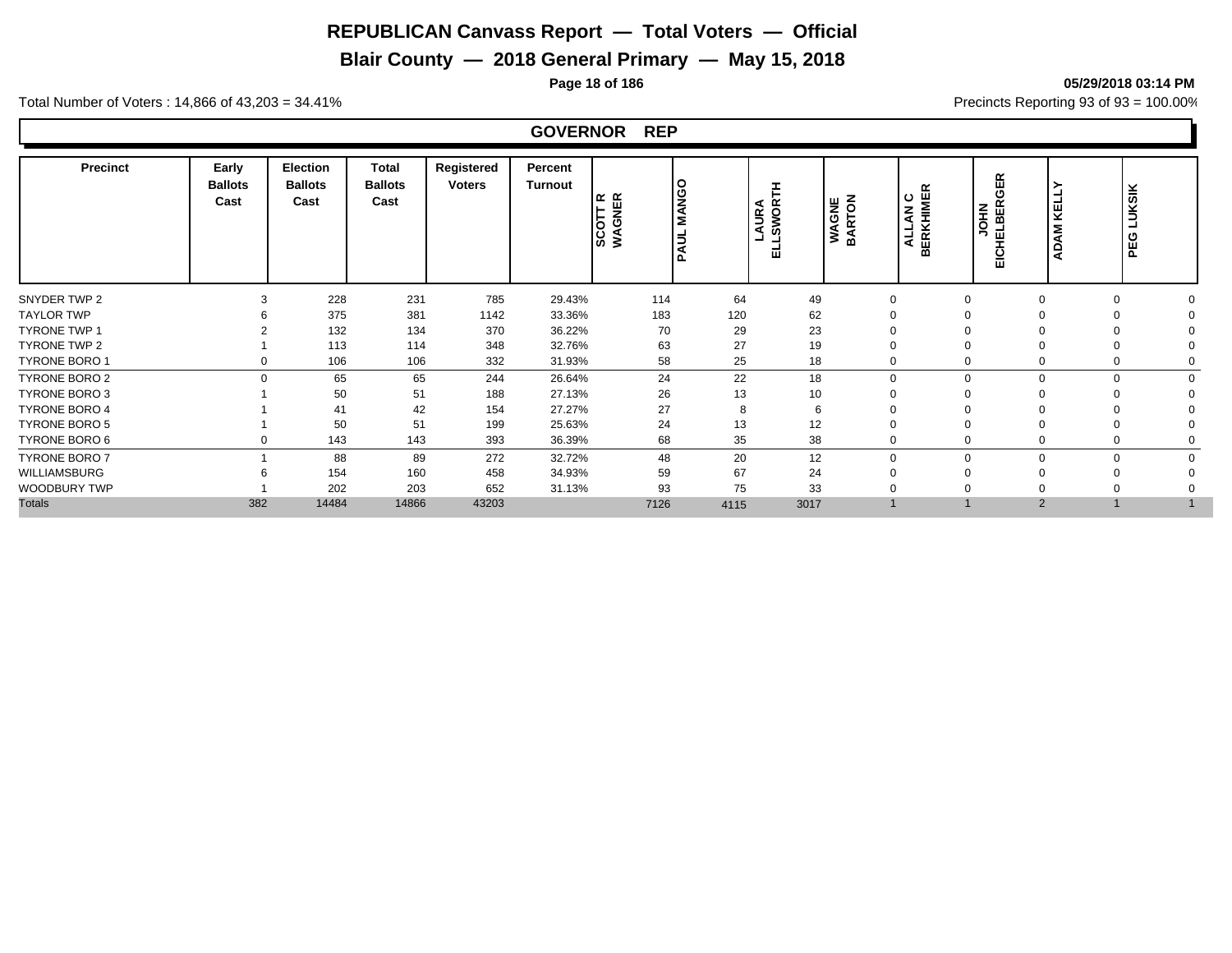# **Blair County — 2018 General Primary — May 15, 2018**

# **Page 18 of 186 05/29/2018 03:14 PM**

Total Number of Voters : 14,866 of 43,203 = 34.41% **Precincts Reporting 93 of 93** = 100.00%

#### **GOVERNOR REP**

| <b>Precinct</b>      | Early<br><b>Ballots</b><br>Cast | Election<br><b>Ballots</b><br>Cast | Total<br><b>Ballots</b><br>Cast | Registered<br><b>Voters</b> | Percent<br>Turnout | SCOTT R<br>WAGNER | <b>MANGO</b><br><b>PAUL</b> | SWOR <sup>-</sup><br><b>URA</b><br>⋖<br>ш | <b>WAGNE</b><br>BARTON | <b>ALLAN C<br/>BERKHIMER</b> | GER<br><b>HELBER</b><br><b>NHOL</b><br>ပ<br>ŵ | KELL<br><b>ADAM</b>     | <b>LUKSIK</b><br>PEG |  |
|----------------------|---------------------------------|------------------------------------|---------------------------------|-----------------------------|--------------------|-------------------|-----------------------------|-------------------------------------------|------------------------|------------------------------|-----------------------------------------------|-------------------------|----------------------|--|
| SNYDER TWP 2         | 3                               | 228                                | 231                             | 785                         | 29.43%             | 114               | 64                          | 49                                        | $\Omega$               | $\Omega$                     | $\Omega$                                      | $\Omega$                |                      |  |
| <b>TAYLOR TWP</b>    |                                 | 375                                | 381                             | 1142                        | 33.36%             | 183               | 120                         | 62                                        |                        |                              |                                               |                         |                      |  |
| <b>TYRONE TWP 1</b>  |                                 | 132                                | 134                             | 370                         | 36.22%             | 70                | 29                          | 23                                        |                        |                              |                                               |                         |                      |  |
| <b>TYRONE TWP 2</b>  |                                 | 113                                | 114                             | 348                         | 32.76%             | 63                | 27                          | 19                                        |                        |                              |                                               | $\Omega$                |                      |  |
| TYRONE BORO 1        |                                 | 106                                | 106                             | 332                         | 31.93%             | 58                | 25                          | 18                                        |                        |                              |                                               | $\Omega$                |                      |  |
| TYRONE BORO 2        | $\Omega$                        | 65                                 | 65                              | 244                         | 26.64%             | 24                | 22                          | 18                                        | $\Omega$               | $\Omega$                     |                                               | $\Omega$<br>$\mathbf 0$ |                      |  |
| TYRONE BORO 3        |                                 | 50                                 | 51                              | 188                         | 27.13%             | 26                | 13                          | 10                                        |                        |                              |                                               | n                       |                      |  |
| <b>TYRONE BORO 4</b> |                                 | 41                                 | 42                              | 154                         | 27.27%             | 27                | 8                           | 6                                         |                        |                              |                                               |                         |                      |  |
| TYRONE BORO 5        |                                 | 50                                 | 51                              | 199                         | 25.63%             | 24                | 13                          | 12                                        |                        |                              |                                               | $\Omega$                |                      |  |
| TYRONE BORO 6        |                                 | 143                                | 143                             | 393                         | 36.39%             | 68                | 35                          | 38                                        | $\Omega$               |                              |                                               | $\Omega$                |                      |  |
| <b>TYRONE BORO 7</b> |                                 | 88                                 | 89                              | 272                         | 32.72%             | 48                | 20                          | 12                                        | $\Omega$               | $\Omega$                     |                                               | $\Omega$<br>$\Omega$    | $\Omega$             |  |
| WILLIAMSBURG         |                                 | 154                                | 160                             | 458                         | 34.93%             | 59                | 67                          | 24                                        |                        |                              |                                               | $\Omega$                |                      |  |
| WOODBURY TWP         |                                 | 202                                | 203                             | 652                         | 31.13%             | 93                | 75                          | 33                                        |                        |                              |                                               |                         |                      |  |
| <b>Totals</b>        | 382                             | 14484                              | 14866                           | 43203                       |                    | 7126              | 4115                        | 3017                                      |                        |                              | $\overline{2}$                                |                         |                      |  |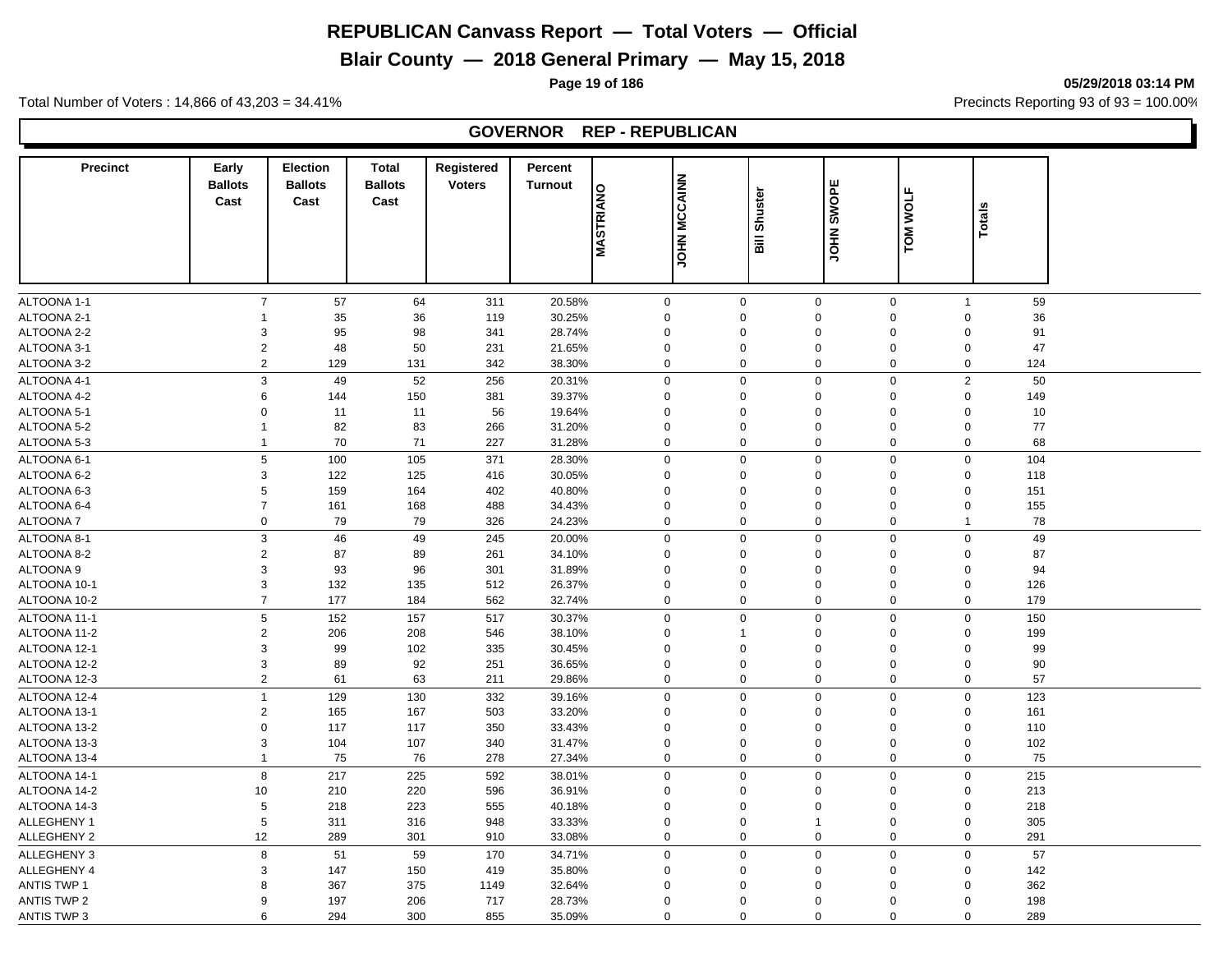# **Blair County — 2018 General Primary — May 15, 2018**

**Page 19 of 186 05/29/2018 03:14 PM**

Total Number of Voters : 14,866 of 43,203 = 34.41% **Precincts Reporting 93 of 93** = 100.00%

## **GOVERNOR REP - REPUBLICAN**

| <b>Precinct</b>    | Early<br><b>Ballots</b><br>Cast | <b>Election</b><br><b>Ballots</b><br>Cast | <b>Total</b><br><b>Ballots</b><br>Cast | Registered<br><b>Voters</b> | Percent<br><b>Turnout</b> | <b>MASTRIANO</b> | <b>JOHN MCCAINN</b> | Shuster<br><b>Bill</b> | JOHN SWOPE                    | <b>TOM WOLF</b> | <b>Totals</b>        |  |
|--------------------|---------------------------------|-------------------------------------------|----------------------------------------|-----------------------------|---------------------------|------------------|---------------------|------------------------|-------------------------------|-----------------|----------------------|--|
|                    |                                 |                                           |                                        |                             |                           |                  |                     |                        |                               |                 |                      |  |
|                    |                                 |                                           |                                        |                             |                           |                  |                     |                        |                               |                 |                      |  |
| ALTOONA 1-1        | $\overline{7}$                  | 57                                        | 64                                     | 311                         | 20.58%                    | 0                | $\mathbf 0$         |                        | $\mathbf 0$<br>$\mathbf 0$    | $\overline{1}$  | 59                   |  |
| ALTOONA 2-1        | -1                              | 35                                        | 36                                     | 119                         | 30.25%                    | 0                | $\Omega$            |                        | 0<br>$\mathbf 0$              |                 | 36<br>$\Omega$       |  |
| ALTOONA 2-2        | $\mathsf 3$                     | 95                                        | 98                                     | 341                         | 28.74%                    | 0                | $\Omega$            |                        | 0<br>$\mathbf 0$              |                 | $\mathbf 0$<br>91    |  |
| ALTOONA 3-1        | $\sqrt{2}$                      | 48                                        | 50                                     | 231                         | 21.65%                    | $\mathbf 0$      | $\Omega$            |                        | 0<br>$\mathbf 0$              |                 | 47<br>$\Omega$       |  |
| ALTOONA 3-2        | $\sqrt{2}$                      | 129                                       | 131                                    | 342                         | 38.30%                    | $\mathbf 0$      | $\mathbf 0$         |                        | $\pmb{0}$<br>$\mathbf 0$      |                 | $\mathbf 0$<br>124   |  |
| ALTOONA 4-1        | $\ensuremath{\mathsf{3}}$       | 49                                        | 52                                     | 256                         | 20.31%                    | 0                | $\mathbf 0$         |                        | $\mathbf 0$<br>$\mathbf 0$    |                 | $\overline{2}$<br>50 |  |
| ALTOONA 4-2        | 6                               | 144                                       | 150                                    | 381                         | 39.37%                    | 0                | $\mathsf 0$         |                        | 0<br>$\mathbf 0$              |                 | $\mathbf 0$<br>149   |  |
| ALTOONA 5-1        | $\mathbf 0$                     | 11                                        | 11                                     | 56                          | 19.64%                    | 0                | 0                   |                        | 0<br>$\mathbf 0$              |                 | $\Omega$<br>10       |  |
| ALTOONA 5-2        | $\mathbf{1}$                    | 82                                        | 83                                     | 266                         | 31.20%                    | 0                | $\mathbf 0$         |                        | 0<br>$\mathbf 0$              |                 | 77<br>$\mathbf 0$    |  |
| ALTOONA 5-3        | $\mathbf{1}$                    | 70                                        | 71                                     | 227                         | 31.28%                    | 0                | $\mathsf 0$         |                        | 0<br>$\mathbf 0$              |                 | $\mathbf 0$<br>68    |  |
| ALTOONA 6-1        | $\,$ 5 $\,$                     | 100                                       | 105                                    | 371                         | 28.30%                    | 0                | $\mathbf 0$         |                        | $\pmb{0}$<br>$\boldsymbol{0}$ |                 | $\mathbf 0$<br>104   |  |
| ALTOONA 6-2        | $\mathsf 3$                     | 122                                       | 125                                    | 416                         | 30.05%                    | 0                | 0                   |                        | 0<br>$\mathbf 0$              |                 | $\Omega$<br>118      |  |
| ALTOONA 6-3        | 5                               | 159                                       | 164                                    | 402                         | 40.80%                    | 0                | $\Omega$            |                        | 0<br>$\Omega$                 |                 | $\mathbf 0$<br>151   |  |
| ALTOONA 6-4        | $\overline{7}$                  | 161                                       | 168                                    | 488                         | 34.43%                    | 0                | $\mathbf 0$         |                        | $\pmb{0}$<br>$\mathbf 0$      |                 | $\mathbf 0$<br>155   |  |
| ALTOONA 7          | $\mathbf 0$                     | 79                                        | 79                                     | 326                         | 24.23%                    | $\mathbf 0$      | $\mathbf 0$         |                        | $\mathbf 0$<br>$\mathbf 0$    |                 | 78<br>$\overline{1}$ |  |
| ALTOONA 8-1        | $\mathsf 3$                     | 46                                        | 49                                     | 245                         | 20.00%                    | 0                | $\mathsf 0$         |                        | $\pmb{0}$<br>$\Omega$         |                 | 49<br>$\mathbf 0$    |  |
| ALTOONA 8-2        | $\overline{2}$                  | 87                                        | 89                                     | 261                         | 34.10%                    | 0                | $\Omega$            |                        | 0<br>0                        |                 | 87<br>$\mathbf 0$    |  |
| ALTOONA 9          | 3                               | 93                                        | 96                                     | 301                         | 31.89%                    | 0                | 0                   |                        | 0<br>$\mathbf 0$              |                 | 94<br>$\mathbf 0$    |  |
| ALTOONA 10-1       | 3                               | 132                                       | 135                                    | 512                         | 26.37%                    | 0                | $\mathbf 0$         |                        | 0<br>$\mathbf 0$              |                 | $\mathbf 0$<br>126   |  |
| ALTOONA 10-2       | $\overline{7}$                  | 177                                       | 184                                    | 562                         | 32.74%                    | 0                | 0                   |                        | 0<br>$\mathbf 0$              |                 | 0<br>179             |  |
| ALTOONA 11-1       | $\,$ 5 $\,$                     | 152                                       | 157                                    | 517                         | 30.37%                    | $\mathbf 0$      | $\mathbf 0$         |                        | $\mathbf 0$<br>$\mathbf 0$    |                 | $\Omega$<br>150      |  |
| ALTOONA 11-2       | $\sqrt{2}$                      | 206                                       | 208                                    | 546                         | 38.10%                    | 0                | 1                   |                        | 0<br>$\Omega$                 |                 | $\Omega$<br>199      |  |
| ALTOONA 12-1       | $\mathsf 3$                     | 99                                        | 102                                    | 335                         | 30.45%                    | $\Omega$         | $\mathsf 0$         |                        | 0<br>$\Omega$                 |                 | $\Omega$<br>99       |  |
| ALTOONA 12-2       | 3                               | 89                                        | 92                                     | 251                         | 36.65%                    | $\mathbf 0$      | $\mathbf 0$         |                        | $\pmb{0}$<br>$\mathbf 0$      |                 | $\Omega$<br>90       |  |
| ALTOONA 12-3       | $\overline{2}$                  | 61                                        | 63                                     | 211                         | 29.86%                    | 0                | $\mathbf 0$         |                        | 0<br>$\mathbf 0$              |                 | 57<br>$\mathbf 0$    |  |
| ALTOONA 12-4       | $\mathbf{1}$                    | 129                                       | 130                                    | 332                         | 39.16%                    | 0                | $\mathsf 0$         |                        | 0<br>$\mathbf 0$              |                 | $\mathbf 0$<br>123   |  |
| ALTOONA 13-1       | $\overline{c}$                  | 165                                       | 167                                    | 503                         | 33.20%                    | 0                | 0                   |                        | 0<br>$\mathbf 0$              |                 | 161<br>$\mathbf 0$   |  |
| ALTOONA 13-2       | $\mathbf 0$                     | 117                                       | 117                                    | 350                         | 33.43%                    | 0                | $\mathbf 0$         |                        | 0<br>$\mathbf 0$              |                 | $\Omega$<br>110      |  |
| ALTOONA 13-3       | $\mathsf 3$                     | 104                                       | 107                                    | 340                         | 31.47%                    | 0                | 0                   |                        | 0<br>$\mathbf 0$              |                 | $\mathbf 0$<br>102   |  |
| ALTOONA 13-4       | $\mathbf{1}$                    | 75                                        | 76                                     | 278                         | 27.34%                    | $\mathbf 0$      | $\mathbf 0$         |                        | 0<br>0                        |                 | $\mathbf 0$<br>75    |  |
| ALTOONA 14-1       | $\bf8$                          | 217                                       | 225                                    | 592                         | 38.01%                    | 0                | $\mathbf 0$         |                        | $\pmb{0}$<br>$\mathbf 0$      |                 | $\mathbf 0$<br>215   |  |
| ALTOONA 14-2       | 10                              | 210                                       | 220                                    | 596                         | 36.91%                    | 0                | $\mathbf 0$         |                        | 0<br>$\mathbf 0$              |                 | $\Omega$<br>213      |  |
| ALTOONA 14-3       | 5                               | 218                                       | 223                                    | 555                         | 40.18%                    | 0                | $\mathbf 0$         |                        | 0<br>$\mathbf 0$              |                 | $\mathbf 0$<br>218   |  |
| <b>ALLEGHENY 1</b> | 5                               | 311                                       | 316                                    | 948                         | 33.33%                    | 0                | 0                   | $\mathbf{1}$           | $\mathbf 0$                   |                 | $\mathbf 0$<br>305   |  |
| ALLEGHENY 2        | 12                              | 289                                       | 301                                    | 910                         | 33.08%                    | 0                | $\mathbf 0$         |                        | 0<br>$\mathbf 0$              |                 | $\mathbf 0$<br>291   |  |
| ALLEGHENY 3        | 8                               | 51                                        | 59                                     | 170                         | 34.71%                    | 0                | $\mathbf 0$         |                        | 0<br>$\mathbf 0$              |                 | 57<br>$\Omega$       |  |
| <b>ALLEGHENY 4</b> | 3                               | 147                                       | 150                                    | 419                         | 35.80%                    | 0                | $\Omega$            |                        | 0<br>$\Omega$                 |                 | $\mathbf 0$<br>142   |  |
| <b>ANTIS TWP 1</b> | 8                               | 367                                       | 375                                    | 1149                        | 32.64%                    | 0                | $\Omega$            |                        | 0<br>$\Omega$                 |                 | 362<br>0             |  |
| <b>ANTIS TWP 2</b> | 9                               | 197                                       | 206                                    | 717                         | 28.73%                    | $\mathbf 0$      | $\Omega$            |                        | $\mathbf 0$<br>$\Omega$       |                 | $\mathbf 0$<br>198   |  |
| <b>ANTIS TWP 3</b> | 6                               | 294                                       | 300                                    | 855                         | 35.09%                    | $\mathbf 0$      | $\Omega$            |                        | $\mathbf 0$<br>$\mathbf 0$    |                 | 289<br>$\mathbf 0$   |  |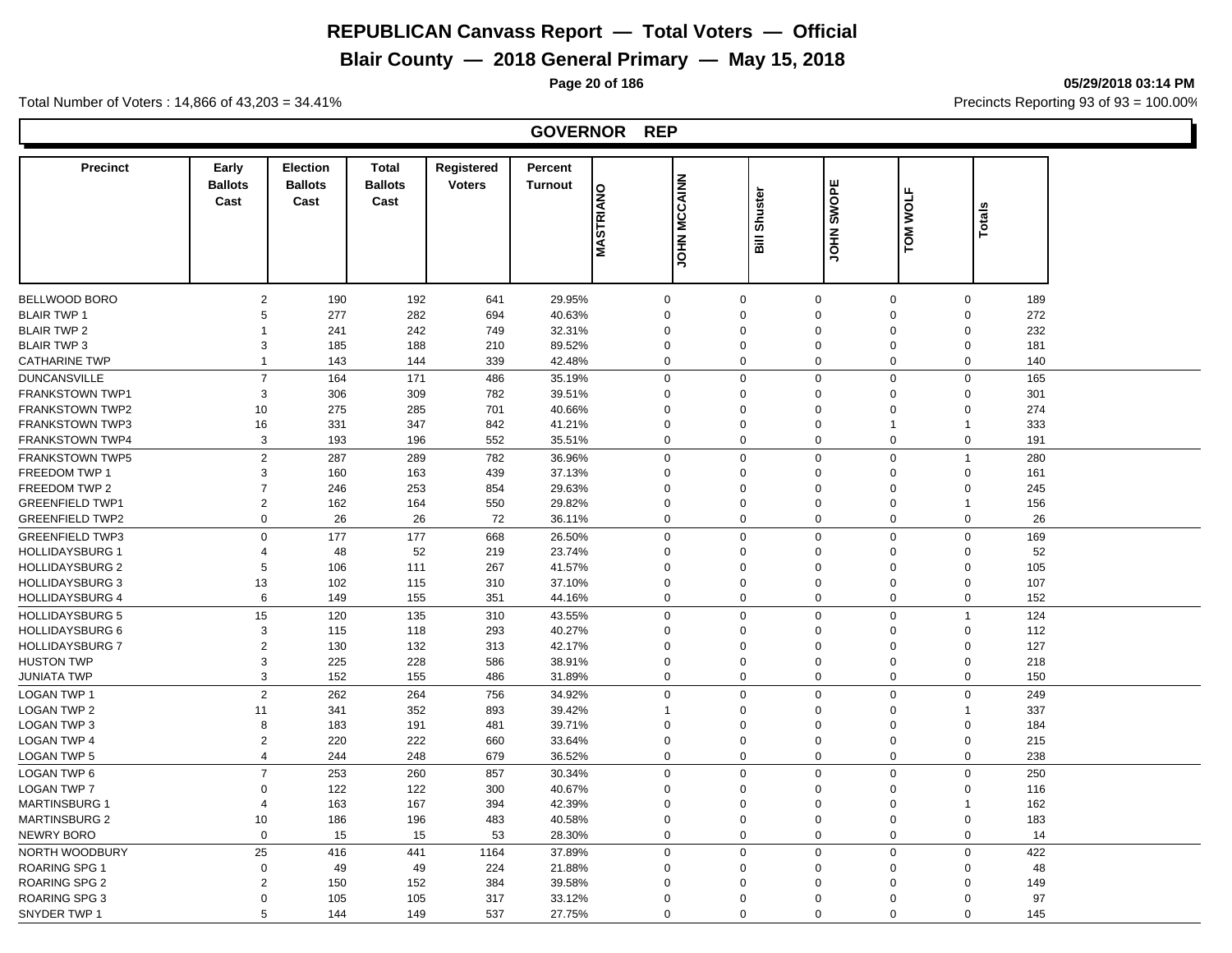# **Blair County — 2018 General Primary — May 15, 2018**

**Page 20 of 186 05/29/2018 03:14 PM**

Total Number of Voters : 14,866 of 43,203 = 34.41% **Precincts Reporting 93 of 93** = 100.00%

#### **GOVERNOR REP**

| <b>Precinct</b>        | Early            | <b>Election</b> | <b>Total</b>   | Registered    | Percent        |                         |                     |                                    |                                 |                 |                    |  |
|------------------------|------------------|-----------------|----------------|---------------|----------------|-------------------------|---------------------|------------------------------------|---------------------------------|-----------------|--------------------|--|
|                        | <b>Ballots</b>   | <b>Ballots</b>  | <b>Ballots</b> | <b>Voters</b> | <b>Turnout</b> |                         |                     |                                    |                                 |                 |                    |  |
|                        | Cast             | Cast            | Cast           |               |                | <b><i>NASTRIANO</i></b> | <b>JOHN MCCAINN</b> | Shuster                            | SWOPE                           | <b>TOM WOLF</b> |                    |  |
|                        |                  |                 |                |               |                |                         |                     |                                    |                                 |                 | <b>Totals</b>      |  |
|                        |                  |                 |                |               |                |                         |                     | $\overline{\overline{\mathbf{a}}}$ | <b>NHO</b>                      |                 |                    |  |
|                        |                  |                 |                |               |                |                         |                     |                                    |                                 |                 |                    |  |
|                        |                  |                 |                |               |                |                         |                     |                                    |                                 |                 |                    |  |
| BELLWOOD BORO          | $\overline{2}$   | 190             | 192            | 641           | 29.95%         | $\mathbf 0$             | $\mathbf 0$         |                                    | $\mathbf 0$<br>$\mathbf 0$      |                 | 189<br>$\mathbf 0$ |  |
| <b>BLAIR TWP 1</b>     | 5                | 277             | 282            | 694           | 40.63%         | $\mathbf 0$             | $\mathbf 0$         |                                    | $\Omega$<br>$\mathbf 0$         |                 | 272<br>$\mathbf 0$ |  |
| <b>BLAIR TWP 2</b>     | $\mathbf{1}$     | 241             | 242            | 749           | 32.31%         | $\mathbf 0$             | $\mathbf 0$         |                                    | $\Omega$<br>$\Omega$            |                 | $\Omega$<br>232    |  |
| <b>BLAIR TWP 3</b>     | 3                | 185             | 188            | 210           | 89.52%         | $\mathbf 0$             | $\mathbf 0$         |                                    | $\mathbf 0$<br>$\mathbf 0$      |                 | $\Omega$<br>181    |  |
| <b>CATHARINE TWP</b>   | $\mathbf{1}$     | 143             | 144            | 339           | 42.48%         | $\mathbf 0$             | $\mathbf 0$         |                                    | $\Omega$<br>$\mathbf 0$         |                 | $\mathbf 0$<br>140 |  |
| <b>DUNCANSVILLE</b>    | $\overline{7}$   | 164             | 171            | 486           | 35.19%         | $\mathbf 0$             | $\mathbf 0$         |                                    | $\mathbf 0$<br>$\mathbf 0$      |                 | $\mathbf 0$<br>165 |  |
| <b>FRANKSTOWN TWP1</b> | 3                | 306             | 309            | 782           | 39.51%         | $\Omega$                | $\Omega$            |                                    | $\mathbf 0$<br>$\Omega$         |                 | $\Omega$<br>301    |  |
| <b>FRANKSTOWN TWP2</b> | 10               | 275             | 285            | 701           | 40.66%         | $\mathbf 0$             | $\mathbf 0$         |                                    | $\mathbf 0$<br>$\Omega$         |                 | $\Omega$<br>274    |  |
| <b>FRANKSTOWN TWP3</b> | 16               | 331             | 347            | 842           | 41.21%         | $\Omega$                | $\Omega$            |                                    | $\mathbf 0$<br>$\overline{1}$   | 1               | 333                |  |
| <b>FRANKSTOWN TWP4</b> | 3                | 193             | 196            | 552           | 35.51%         | $\mathbf 0$             | $\mathbf 0$         |                                    | $\mathbf 0$<br>$\mathbf 0$      |                 | $\mathbf 0$<br>191 |  |
| <b>FRANKSTOWN TWP5</b> | $\overline{2}$   | 287             | 289            | 782           | 36.96%         | $\mathbf 0$             | $\mathbf 0$         |                                    | $\mathbf 0$<br>$\mathbf 0$      | $\overline{1}$  | 280                |  |
| <b>FREEDOM TWP 1</b>   | $\mathsf 3$      | 160             | 163            | 439           | 37.13%         | $\mathbf 0$             | $\mathbf 0$         |                                    | $\mathbf 0$<br>$\mathbf 0$      |                 | $\mathbf 0$<br>161 |  |
| FREEDOM TWP 2          | $\overline{7}$   | 246             | 253            | 854           | 29.63%         | $\mathbf 0$             | $\mathbf 0$         |                                    | $\mathbf 0$<br>$\mathbf 0$      |                 | $\mathbf 0$<br>245 |  |
| <b>GREENFIELD TWP1</b> | $\overline{2}$   | 162             | 164            | 550           | 29.82%         | $\mathbf 0$             | $\mathbf 0$         |                                    | $\Omega$<br>$\mathbf 0$         | $\overline{1}$  | 156                |  |
| <b>GREENFIELD TWP2</b> | $\boldsymbol{0}$ | 26              | 26             | 72            | 36.11%         | $\mathbf 0$             | $\mathbf 0$         |                                    | $\mathbf 0$<br>$\mathbf 0$      |                 | $\mathbf 0$<br>26  |  |
| <b>GREENFIELD TWP3</b> | $\pmb{0}$        | 177             | 177            | 668           | 26.50%         | $\mathbf 0$             | $\mathbf 0$         |                                    | $\Omega$<br>$\mathbf 0$         |                 | $\mathbf 0$<br>169 |  |
| <b>HOLLIDAYSBURG 1</b> | $\overline{4}$   | 48              | 52             | 219           | 23.74%         | $\mathbf 0$             | $\mathbf 0$         |                                    | $\mathbf 0$<br>$\Omega$         |                 | $\Omega$<br>52     |  |
| <b>HOLLIDAYSBURG 2</b> | $\,$ 5 $\,$      | 106             | 111            | 267           | 41.57%         | $\mathbf 0$             | $\mathbf 0$         |                                    | $\Omega$<br>$\mathbf 0$         |                 | $\Omega$<br>105    |  |
| <b>HOLLIDAYSBURG 3</b> | 13               | 102             | 115            | 310           | 37.10%         | $\mathbf 0$             | $\mathbf 0$         |                                    | $\mathbf 0$<br>$\Omega$         |                 | 107<br>$\Omega$    |  |
| <b>HOLLIDAYSBURG 4</b> | 6                | 149             | 155            | 351           | 44.16%         | $\mathbf 0$             | $\mathbf 0$         |                                    | $\mathbf 0$<br>$\boldsymbol{0}$ |                 | $\mathbf 0$<br>152 |  |
| <b>HOLLIDAYSBURG 5</b> | 15               | 120             | 135            | 310           | 43.55%         | $\mathbf 0$             | $\mathbf 0$         |                                    | $\mathbf 0$<br>$\mathbf 0$      | $\overline{1}$  | 124                |  |
| <b>HOLLIDAYSBURG 6</b> | 3                | 115             | 118            | 293           | 40.27%         | $\mathbf 0$             | $\mathbf 0$         |                                    | $\mathbf 0$<br>$\Omega$         |                 | $\mathbf 0$<br>112 |  |
| <b>HOLLIDAYSBURG 7</b> | $\boldsymbol{2}$ | 130             | 132            | 313           | 42.17%         | $\mathbf 0$             | $\mathbf 0$         |                                    | $\mathbf 0$<br>$\Omega$         |                 | 127<br>$\mathbf 0$ |  |
| <b>HUSTON TWP</b>      | 3                | 225             | 228            | 586           | 38.91%         | $\mathbf 0$             | $\mathbf 0$         |                                    | $\mathbf 0$<br>$\Omega$         |                 | $\Omega$<br>218    |  |
| <b>JUNIATA TWP</b>     | 3                | 152             | 155            | 486           | 31.89%         | $\mathbf 0$             | $\mathbf 0$         |                                    | $\mathbf 0$<br>$\mathbf 0$      |                 | $\mathbf 0$<br>150 |  |
| <b>LOGAN TWP 1</b>     | $\overline{2}$   | 262             | 264            | 756           | 34.92%         | $\mathbf 0$             | $\mathbf 0$         |                                    | $\mathbf 0$<br>$\Omega$         |                 | $\Omega$<br>249    |  |
| <b>LOGAN TWP 2</b>     | 11               | 341             | 352            | 893           | 39.42%         | -1                      | $\mathbf 0$         |                                    | $\mathbf 0$<br>$\Omega$         | $\overline{1}$  | 337                |  |
| <b>LOGAN TWP 3</b>     | 8                | 183             | 191            | 481           | 39.71%         | $\mathbf 0$             | $\mathbf 0$         |                                    | $\Omega$<br>$\mathbf 0$         |                 | $\mathbf 0$<br>184 |  |
| <b>LOGAN TWP 4</b>     | $\overline{2}$   | 220             | 222            | 660           | 33.64%         | $\mathbf 0$             | $\mathbf 0$         |                                    | $\mathsf 0$<br>$\mathbf 0$      |                 | $\mathbf 0$<br>215 |  |
| <b>LOGAN TWP 5</b>     | $\overline{4}$   | 244             | 248            | 679           | 36.52%         | $\mathbf 0$             | $\mathbf 0$         |                                    | $\mathbf 0$<br>$\mathbf 0$      |                 | 238<br>$\Omega$    |  |
| LOGAN TWP 6            | $\overline{7}$   | 253             | 260            | 857           | 30.34%         | $\mathbf 0$             | $\mathbf 0$         |                                    | $\mathbf 0$<br>$\mathbf 0$      |                 | $\Omega$<br>250    |  |
| <b>LOGAN TWP 7</b>     | $\mathbf 0$      | 122             | 122            | 300           | 40.67%         | $\mathbf 0$             | $\mathbf 0$         |                                    | $\Omega$<br>$\mathbf 0$         |                 | $\mathbf 0$<br>116 |  |
| <b>MARTINSBURG 1</b>   | $\overline{4}$   | 163             | 167            | 394           | 42.39%         | $\mathbf 0$             | $\mathbf 0$         |                                    | $\Omega$<br>$\Omega$            | $\overline{1}$  | 162                |  |
| <b>MARTINSBURG 2</b>   | 10               | 186             | 196            | 483           | 40.58%         | $\mathbf 0$             | $\mathbf 0$         |                                    | $\mathbf 0$<br>$\Omega$         |                 | $\mathbf 0$<br>183 |  |
| <b>NEWRY BORO</b>      | $\mathbf 0$      | 15              | 15             | 53            | 28.30%         | $\mathbf 0$             | $\mathbf 0$         |                                    | $\mathbf 0$<br>$\mathbf 0$      |                 | $\Omega$<br>14     |  |
| NORTH WOODBURY         | 25               | 416             | 441            | 1164          | 37.89%         | $\mathbf 0$             | $\mathbf 0$         |                                    | $\mathbf 0$<br>$\mathbf 0$      |                 | 422<br>$\mathbf 0$ |  |
| <b>ROARING SPG 1</b>   | $\boldsymbol{0}$ | 49              | 49             | 224           | 21.88%         | $\Omega$                | $\mathbf 0$         |                                    | $\Omega$<br>$\mathbf 0$         |                 | $\Omega$<br>48     |  |
| <b>ROARING SPG 2</b>   | $\overline{2}$   | 150             | 152            | 384           | 39.58%         | $\Omega$                | $\Omega$            |                                    | $\Omega$<br>$\Omega$            |                 | 149<br>$\Omega$    |  |
| <b>ROARING SPG 3</b>   | $\Omega$         | 105             | 105            | 317           | 33.12%         | $\Omega$                | $\mathbf 0$         |                                    | $\Omega$<br>$\Omega$            |                 | $\Omega$<br>97     |  |
| SNYDER TWP 1           | 5                | 144             | 149            | 537           | 27.75%         | $\Omega$                | $\Omega$            |                                    | $\Omega$<br>$\Omega$            |                 | $\Omega$<br>145    |  |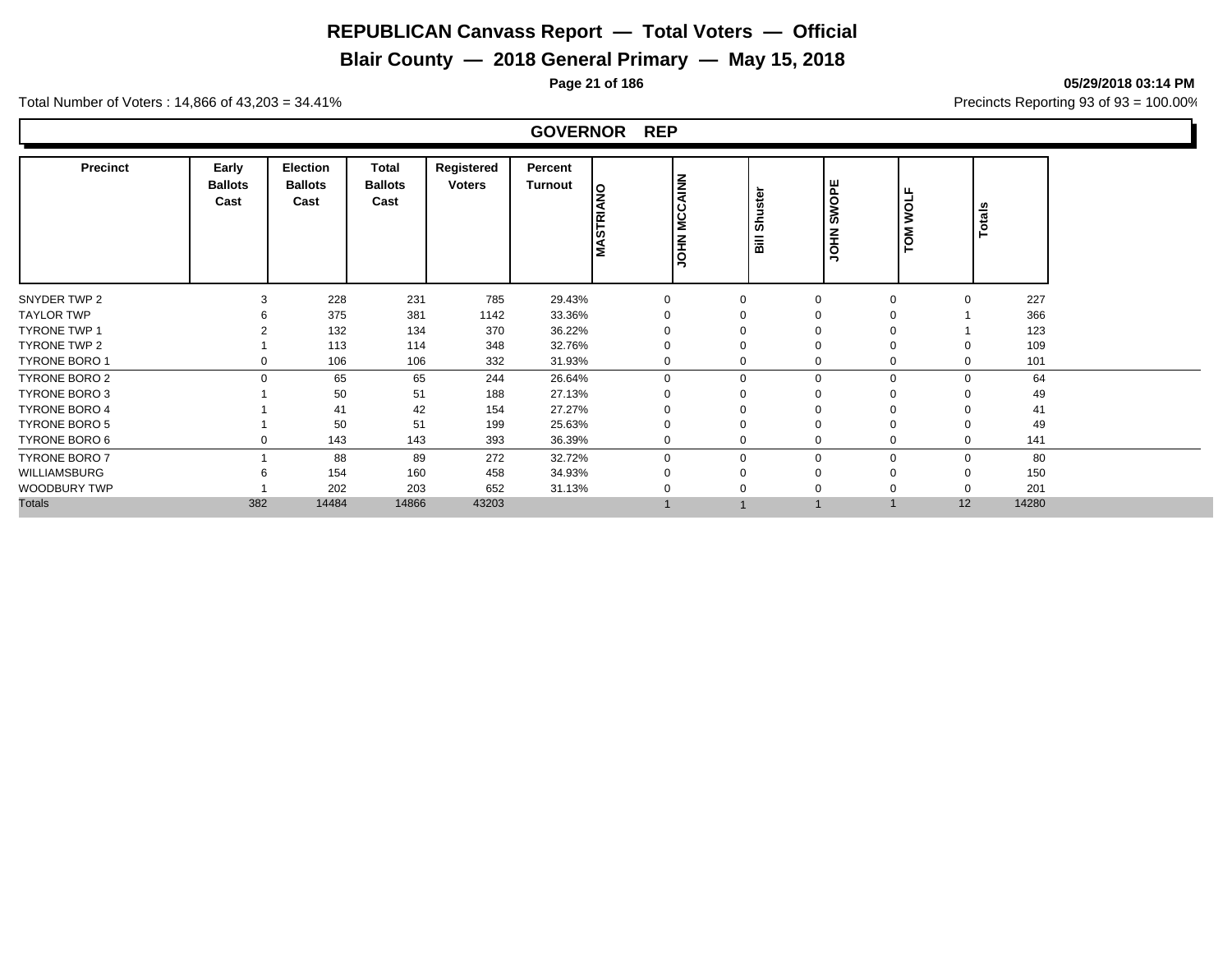# **Blair County — 2018 General Primary — May 15, 2018**

**Page 21 of 186 05/29/2018 03:14 PM**

Total Number of Voters : 14,866 of 43,203 = 34.41% **Precincts Reporting 93 of 93** = 100.00%

#### **GOVERNOR REP**

| <b>Precinct</b>      | Early<br><b>Ballots</b><br>Cast | Election<br><b>Ballots</b><br>Cast | <b>Total</b><br><b>Ballots</b><br>Cast | Registered<br><b>Voters</b> | Percent<br>Turnout | MASTRIANO | <b>MCCAINN</b><br><b>NHOL</b> | Shuste<br>$\overline{\overline{a}}$ | SWOPE<br>HOL      | <b>WOLF</b><br>TOM | Totals |
|----------------------|---------------------------------|------------------------------------|----------------------------------------|-----------------------------|--------------------|-----------|-------------------------------|-------------------------------------|-------------------|--------------------|--------|
| SNYDER TWP 2         |                                 | 228                                | 231                                    | 785                         | 29.43%             | $\Omega$  | $\Omega$                      | $\Omega$                            | $\Omega$          |                    | 227    |
| <b>TAYLOR TWP</b>    |                                 | 375                                | 381                                    | 1142                        | 33.36%             |           |                               | 0                                   |                   |                    | 366    |
| <b>TYRONE TWP 1</b>  |                                 | 132                                | 134                                    | 370                         | 36.22%             |           | $\Omega$                      | $\Omega$                            |                   |                    | 123    |
| TYRONE TWP 2         |                                 | 113                                | 114                                    | 348                         | 32.76%             |           | $\Omega$                      | $\Omega$                            |                   |                    | 109    |
| <b>TYRONE BORO 1</b> |                                 | 106                                | 106                                    | 332                         | 31.93%             | 0         | $\Omega$                      |                                     | 0<br>0            |                    | 101    |
| <b>TYRONE BORO 2</b> | $\Omega$                        | 65                                 | 65                                     | 244                         | 26.64%             | $\Omega$  | $\Omega$                      |                                     | $\mathbf 0$<br>0  | $\Omega$           | 64     |
| TYRONE BORO 3        |                                 | 50                                 | 51                                     | 188                         | 27.13%             |           |                               | $\Omega$                            |                   |                    | 49     |
| <b>TYRONE BORO 4</b> |                                 | 41                                 | 42                                     | 154                         | 27.27%             |           |                               |                                     |                   |                    | 41     |
| <b>TYRONE BORO 5</b> |                                 | 50                                 | 51                                     | 199                         | 25.63%             |           | $\Omega$                      | $\Omega$                            |                   |                    | 49     |
| TYRONE BORO 6        |                                 | 143                                | 143                                    | 393                         | 36.39%             |           | $\Omega$                      |                                     | 0<br>0            |                    | 141    |
| TYRONE BORO 7        |                                 | 88                                 | 89                                     | 272                         | 32.72%             | $\Omega$  | $\Omega$                      |                                     | $\mathbf{0}$<br>0 | $\Omega$           | 80     |
| WILLIAMSBURG         |                                 | 154                                | 160                                    | 458                         | 34.93%             |           | $\Omega$                      | $\Omega$                            | $\Omega$          |                    | 150    |
| WOODBURY TWP         |                                 | 202                                | 203                                    | 652                         | 31.13%             |           | $\Omega$                      | $\Omega$                            |                   |                    | 201    |
| <b>Totals</b>        | 382                             | 14484                              | 14866                                  | 43203                       |                    |           |                               |                                     |                   | 12                 | 14280  |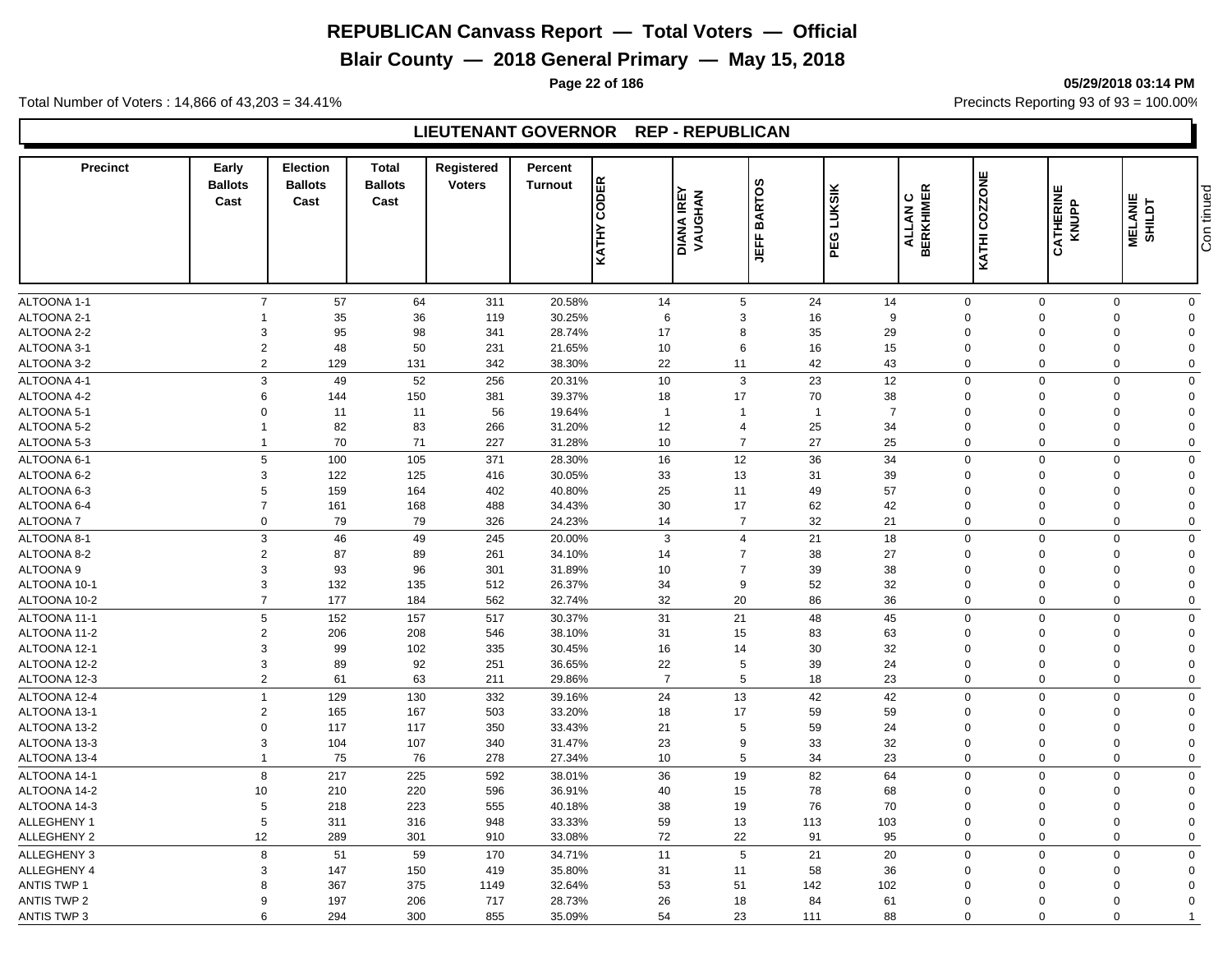# **Blair County — 2018 General Primary — May 15, 2018**

**Page 22 of 186 05/29/2018 03:14 PM**

Total Number of Voters : 14,866 of 43,203 = 34.41% **Precincts Reporting 93 of 93** = 100.00%

#### **LIEUTENANT GOVERNOR REP - REPUBLICAN**

| <b>Precinct</b>            | Early<br><b>Ballots</b><br>Cast | <b>Election</b><br><b>Ballots</b><br>Cast | <b>Total</b><br><b>Ballots</b><br>Cast | Registered<br><b>Voters</b> | Percent<br><b>Turnout</b> | <b>KATHY CODER</b> | <b>DIANA IREY<br/>VAUGHAN</b> | <b>BARTOS</b><br>ے<br>비 | <b>LUKSIK</b><br>PEG   | COZZONE<br><b>ALLAN C<br/>ALLAN C</b><br>KATHI | <b>CATHERINE</b><br>KNUPP  | <b>MELANIE</b><br><b>SHILDT</b> | Con tinued           |
|----------------------------|---------------------------------|-------------------------------------------|----------------------------------------|-----------------------------|---------------------------|--------------------|-------------------------------|-------------------------|------------------------|------------------------------------------------|----------------------------|---------------------------------|----------------------|
|                            |                                 |                                           |                                        |                             |                           |                    |                               |                         |                        |                                                |                            |                                 |                      |
| ALTOONA 1-1<br>ALTOONA 2-1 | $\overline{7}$                  | 57<br>35                                  | 64<br>36                               | 311                         | 20.58%<br>30.25%          | 14                 | 5                             | 24                      | 14<br>$\boldsymbol{9}$ | $\mathbf 0$<br>$\Omega$                        | $\mathbf 0$                | $\mathbf 0$                     | $\mathbf 0$          |
| ALTOONA 2-2                | 3                               | 95                                        | 98                                     | 119<br>341                  | 28.74%                    | 6<br>17            | 3<br>8                        | 16<br>35                | 29                     | $\mathbf 0$                                    | $\mathbf 0$<br>$\mathbf 0$ | 0<br>$\mathbf 0$                | $\Omega$<br>$\Omega$ |
| ALTOONA 3-1                | $\overline{2}$                  | 48                                        | 50                                     | 231                         | 21.65%                    | 10                 | 6                             | 16                      | 15                     | $\mathbf 0$                                    | $\mathbf 0$                | 0                               | $\Omega$             |
| ALTOONA 3-2                | $\overline{2}$                  |                                           | 131                                    | 342                         | 38.30%                    | 22                 | 11                            |                         |                        | $\mathbf 0$                                    | $\overline{0}$             | $\mathbf 0$                     | $\mathbf 0$          |
|                            |                                 | 129                                       |                                        |                             |                           |                    |                               | 42                      | 43                     |                                                |                            |                                 |                      |
| ALTOONA 4-1                | 3                               | 49                                        | 52                                     | 256                         | 20.31%                    | 10                 | 3                             | 23                      | 12                     | $\mathbf 0$                                    | $\Omega$                   | $\mathbf 0$                     | $\Omega$             |
| ALTOONA 4-2                | 6                               | 144                                       | 150                                    | 381                         | 39.37%                    | 18                 | 17                            | 70                      | 38                     | $\Omega$                                       | $\Omega$                   | 0                               | $\Omega$             |
| ALTOONA 5-1                | $\Omega$                        | 11                                        | 11                                     | 56                          | 19.64%                    | $\overline{1}$     |                               | $\mathbf{1}$            | $\overline{7}$         | $\Omega$                                       | $\Omega$                   | $\Omega$                        | $\Omega$             |
| ALTOONA 5-2                | $\overline{1}$                  | 82                                        | 83                                     | 266                         | 31.20%                    | 12                 | $\overline{4}$                | 25                      | 34                     | $\Omega$                                       | $\Omega$                   | $\Omega$                        | $\Omega$             |
| ALTOONA 5-3                | $\overline{\mathbf{1}}$         | 70                                        | 71                                     | 227                         | 31.28%                    | 10                 | $\overline{7}$                | 27                      | 25                     | $\mathbf 0$                                    | $\Omega$                   | $\mathbf 0$                     | $\Omega$             |
| ALTOONA 6-1                | 5                               | 100                                       | 105                                    | 371                         | 28.30%                    | 16                 | 12                            | 36                      | 34                     | $\mathbf 0$                                    | $\mathbf 0$                | $\mathbf 0$                     | $\Omega$             |
| ALTOONA 6-2                | 3                               | 122                                       | 125                                    | 416                         | 30.05%                    | 33                 | 13                            | 31                      | 39                     | $\mathbf 0$                                    | $\overline{0}$             | $\mathbf 0$                     | $\Omega$             |
| ALTOONA 6-3                | 5                               | 159                                       | 164                                    | 402                         | 40.80%                    | 25                 | 11                            | 49                      | 57                     | $\Omega$                                       | $\Omega$                   | 0                               | $\Omega$             |
| ALTOONA 6-4                | $\overline{7}$                  | 161                                       | 168                                    | 488                         | 34.43%                    | 30                 | 17                            | 62                      | 42                     | $\mathbf 0$                                    | $\Omega$                   | 0                               | $\Omega$             |
| ALTOONA 7                  | $\mathbf 0$                     | 79                                        | 79                                     | 326                         | 24.23%                    | 14                 | $\overline{7}$                | 32                      | 21                     | $\mathbf 0$                                    | $\mathbf 0$                | $\mathbf 0$                     | $\Omega$             |
| ALTOONA 8-1                | 3                               | 46                                        | 49                                     | 245                         | 20.00%                    | 3                  | $\overline{4}$                | 21                      | 18                     | $\mathbf 0$                                    | $\overline{0}$             | $\mathbf 0$                     | $\Omega$             |
| ALTOONA 8-2                | $\overline{2}$                  | 87                                        | 89                                     | 261                         | 34.10%                    | 14                 | $\overline{7}$                | 38                      | 27                     | $\Omega$                                       | $\Omega$                   | 0                               | $\Omega$             |
| ALTOONA <sub>9</sub>       | 3                               | 93                                        | 96                                     | 301                         | 31.89%                    | 10                 | $\overline{7}$                | 39                      | 38                     | $\Omega$                                       | $\Omega$                   | $\mathbf 0$                     | $\Omega$             |
| ALTOONA 10-1               | 3                               | 132                                       | 135                                    | 512                         | 26.37%                    | 34                 | 9                             | 52                      | 32                     | $\mathbf 0$                                    | $\Omega$                   | $\mathbf 0$                     | $\Omega$             |
| ALTOONA 10-2               | $\overline{7}$                  | 177                                       | 184                                    | 562                         | 32.74%                    | 32                 | 20                            | 86                      | 36                     | $\mathbf 0$                                    | $\mathbf 0$                | $\mathbf 0$                     | $\Omega$             |
| ALTOONA 11-1               | 5                               | 152                                       | 157                                    | 517                         | 30.37%                    | 31                 | 21                            | 48                      | 45                     | $\Omega$                                       | $\Omega$                   | 0                               | $\Omega$             |
| ALTOONA 11-2               | $\overline{2}$                  | 206                                       | 208                                    | 546                         | 38.10%                    | 31                 | 15                            | 83                      | 63                     | $\Omega$                                       | $\mathbf 0$                | 0                               | $\Omega$             |
| ALTOONA 12-1               | 3                               | 99                                        | 102                                    | 335                         | 30.45%                    | 16                 | 14                            | 30                      | 32                     | $\Omega$                                       | $\Omega$                   | 0                               | $\Omega$             |
| ALTOONA 12-2               | 3                               | 89                                        | 92                                     | 251                         | 36.65%                    | 22                 | 5                             | 39                      | 24                     | $\mathbf 0$                                    | $\overline{0}$             | $\mathbf 0$                     | $\Omega$             |
| ALTOONA 12-3               | $\overline{2}$                  | 61                                        | 63                                     | 211                         | 29.86%                    | $\overline{7}$     | 5                             | 18                      | 23                     | $\Omega$                                       | $\Omega$                   | 0                               | $\Omega$             |
| ALTOONA 12-4               | $\overline{1}$                  | 129                                       | 130                                    | 332                         | 39.16%                    | 24                 | 13                            | 42                      | 42                     | $\Omega$                                       | $\Omega$                   | $\mathbf 0$                     | $\Omega$             |
| ALTOONA 13-1               | $\overline{2}$                  | 165                                       | 167                                    | 503                         | 33.20%                    | 18                 | 17                            | 59                      | 59                     | $\Omega$                                       | $\Omega$                   | $\Omega$                        | $\Omega$             |
| ALTOONA 13-2               | $\overline{0}$                  | 117                                       | 117                                    | 350                         | 33.43%                    | 21                 | 5                             | 59                      | 24                     | $\Omega$                                       | $\Omega$                   | $\Omega$                        | $\Omega$             |
| ALTOONA 13-3               | 3                               | 104                                       | 107                                    | 340                         | 31.47%                    | 23                 | 9                             | 33                      | 32                     | $\Omega$                                       | $\Omega$                   | $\mathbf 0$                     | $\Omega$             |
| ALTOONA 13-4               | $\overline{1}$                  | 75                                        | 76                                     | 278                         | 27.34%                    | 10                 | 5                             | 34                      | 23                     | $\mathbf 0$                                    | $\mathbf 0$                | $\mathbf 0$                     | $\Omega$             |
|                            |                                 |                                           |                                        |                             |                           |                    |                               |                         |                        |                                                |                            |                                 |                      |
| ALTOONA 14-1               | 8                               | 217                                       | 225                                    | 592                         | 38.01%                    | 36                 | 19                            | 82                      | 64                     | $\mathbf 0$                                    | $\mathbf 0$                | $\mathbf 0$                     | $\Omega$             |
| ALTOONA 14-2               | 10                              | 210                                       | 220                                    | 596                         | 36.91%                    | 40                 | 15                            | 78                      | 68                     | $\Omega$                                       | $\mathbf 0$                | 0                               | $\Omega$             |
| ALTOONA 14-3               | 5                               | 218                                       | 223                                    | 555                         | 40.18%                    | 38                 | 19                            | 76                      | 70                     | $\mathbf 0$                                    | $\Omega$                   | 0                               | $\Omega$             |
| ALLEGHENY 1                | 5                               | 311                                       | 316                                    | 948                         | 33.33%                    | 59                 | 13                            | 113                     | 103                    | $\mathbf{0}$                                   | $\mathbf 0$                | 0                               | $\Omega$             |
| <b>ALLEGHENY 2</b>         | 12                              | 289                                       | 301                                    | 910                         | 33.08%                    | 72                 | 22                            | 91                      | 95                     | $\mathbf{0}$                                   | $\mathbf 0$                | $\mathbf 0$                     | $\Omega$             |
| <b>ALLEGHENY 3</b>         | 8                               | 51                                        | 59                                     | 170                         | 34.71%                    | 11                 | 5                             | 21                      | 20                     | $\Omega$                                       | $\Omega$                   | $\mathbf 0$                     | $\Omega$             |
| <b>ALLEGHENY 4</b>         | 3                               | 147                                       | 150                                    | 419                         | 35.80%                    | 31                 | 11                            | 58                      | 36                     | $\mathbf{0}$                                   | $\Omega$                   | $\mathbf 0$                     | $\Omega$             |
| <b>ANTIS TWP 1</b>         | 8                               | 367                                       | 375                                    | 1149                        | 32.64%                    | 53                 | 51                            | 142                     | 102                    | $\Omega$                                       | $\mathbf 0$                | $\mathbf 0$                     | $\Omega$             |
| <b>ANTIS TWP 2</b>         | 9                               | 197                                       | 206                                    | 717                         | 28.73%                    | 26                 | 18                            | 84                      | 61                     | $\Omega$                                       | $\Omega$                   | $\mathbf 0$                     | $\Omega$             |
| <b>ANTIS TWP 3</b>         | 6                               | 294                                       | 300                                    | 855                         | 35.09%                    | 54                 | 23                            | 111                     | 88                     | $\mathbf 0$                                    | $\Omega$                   | $\mathbf 0$                     | $\overline{1}$       |

Con tinued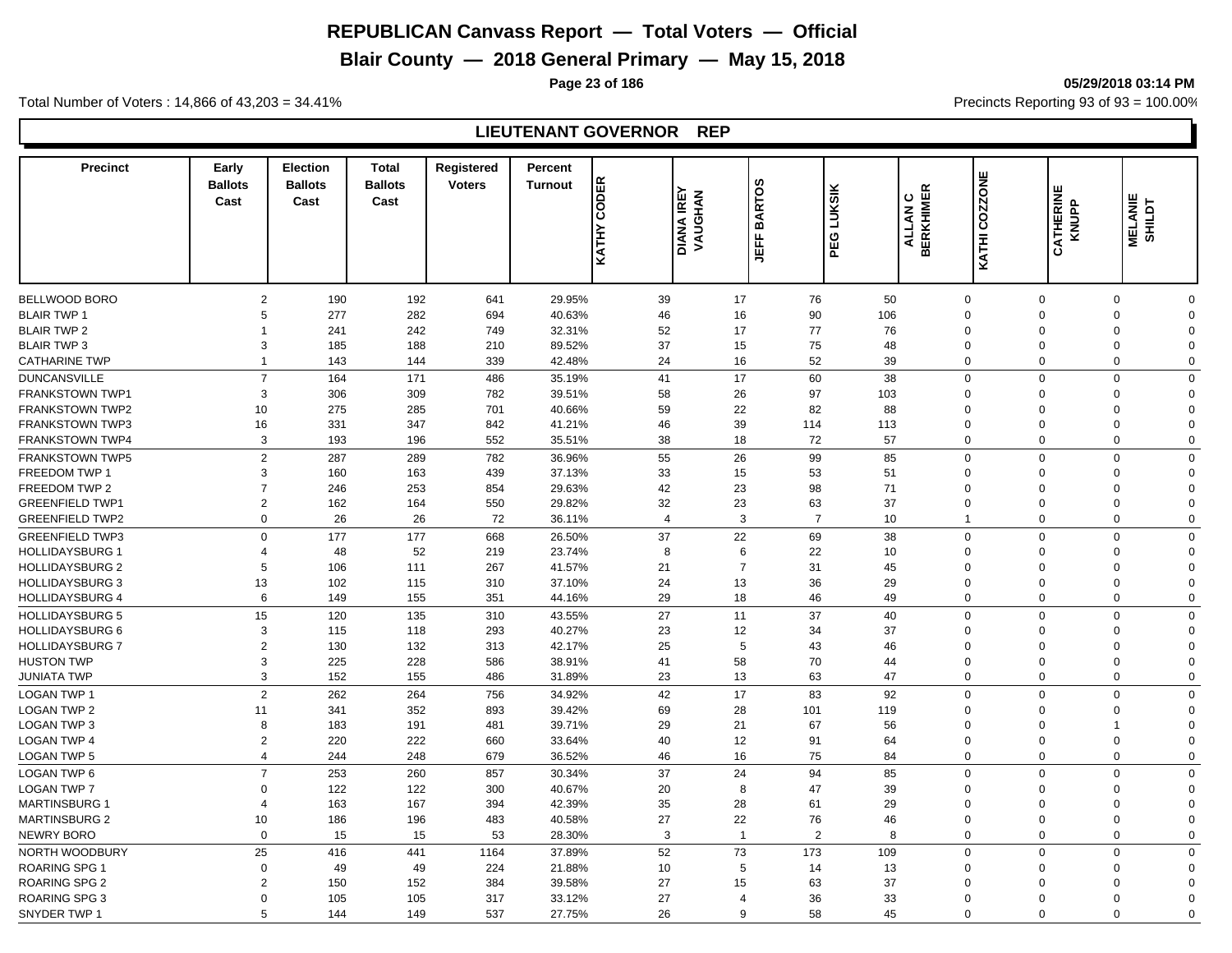# **Blair County — 2018 General Primary — May 15, 2018**

**Page 23 of 186 05/29/2018 03:14 PM**

Total Number of Voters : 14,866 of 43,203 = 34.41% **Precincts Reporting 93 of 93** = 100.00%

## **LIEUTENANT GOVERNOR REP**

| <b>Precinct</b>        | Early<br><b>Ballots</b><br>Cast | <b>Election</b><br><b>Ballots</b><br>Cast | <b>Total</b><br><b>Ballots</b><br>Cast | Registered<br><b>Voters</b> | Percent<br><b>Turnout</b> | <b>KATHY CODER</b> | <b>DIANA IREY<br/>VAUGHAN</b> | <b>BARTOS</b><br>ے<br>5 | <b>LUKSIK</b><br>PEG | ALLAN C<br>BERKHIMER | KATHI COZZONE  | CATHERINE<br>KNUPP | <b>MELANIE</b><br>SHILDT   |
|------------------------|---------------------------------|-------------------------------------------|----------------------------------------|-----------------------------|---------------------------|--------------------|-------------------------------|-------------------------|----------------------|----------------------|----------------|--------------------|----------------------------|
|                        |                                 |                                           |                                        |                             |                           |                    |                               |                         |                      |                      |                |                    |                            |
| BELLWOOD BORO          | $\overline{2}$                  | 190                                       | 192                                    | 641                         | 29.95%                    | 39                 | 17                            | 76                      | 50                   | $\mathbf 0$          | $\mathbf 0$    |                    | 0<br>$\Omega$              |
| <b>BLAIR TWP 1</b>     | 5                               | 277                                       | 282                                    | 694                         | 40.63%                    | 46                 | 16                            | 90                      | 106                  | $\Omega$             | $\Omega$       |                    | 0<br>$\Omega$              |
| <b>BLAIR TWP 2</b>     | 1                               | 241                                       | 242                                    | 749                         | 32.31%                    | 52                 | 17                            | 77                      | 76                   | $\Omega$             | $\Omega$       |                    | $\mathbf 0$<br>$\Omega$    |
| <b>BLAIR TWP 3</b>     | 3                               | 185                                       | 188                                    | 210                         | 89.52%                    | 37                 | 15                            | 75                      | 48                   | $\Omega$             | $\Omega$       |                    | 0<br>$\Omega$              |
| <b>CATHARINE TWP</b>   | $\overline{1}$                  | 143                                       | 144                                    | 339                         | 42.48%                    | 24                 | 16                            | 52                      | 39                   | $\mathbf 0$          | $\Omega$       |                    | $\mathbf 0$<br>$\Omega$    |
| <b>DUNCANSVILLE</b>    | $\overline{7}$                  | 164                                       | 171                                    | 486                         | 35.19%                    | 41                 | 17                            | 60                      | 38                   | $\mathbf 0$          | $\Omega$       |                    | $\mathbf 0$<br>$\Omega$    |
| FRANKSTOWN TWP1        | 3                               | 306                                       | 309                                    | 782                         | 39.51%                    | 58                 | 26                            | 97                      | 103                  | $\Omega$             | $\Omega$       |                    | $\mathbf 0$<br>$\Omega$    |
| FRANKSTOWN TWP2        | 10                              | 275                                       | 285                                    | 701                         | 40.66%                    | 59                 | 22                            | 82                      | 88                   | $\Omega$             | $\Omega$       |                    | $\mathbf 0$<br>$\Omega$    |
| <b>FRANKSTOWN TWP3</b> | 16                              | 331                                       | 347                                    | 842                         | 41.21%                    | 46                 | 39                            | 114                     | 113                  | $\mathbf 0$          | $\Omega$       |                    | $\mathbf 0$<br>$\Omega$    |
| <b>FRANKSTOWN TWP4</b> | 3                               | 193                                       | 196                                    | 552                         | 35.51%                    | 38                 | 18                            | 72                      | 57                   | $\Omega$             | $\Omega$       |                    | $\mathbf 0$<br>$\mathbf 0$ |
| <b>FRANKSTOWN TWP5</b> | $\overline{2}$                  | 287                                       | 289                                    | 782                         | 36.96%                    | 55                 | 26                            | 99                      | 85                   | $\Omega$             | $\Omega$       |                    | $\mathbf 0$<br>$\Omega$    |
| FREEDOM TWP 1          | 3                               | 160                                       | 163                                    | 439                         | 37.13%                    | 33                 | 15                            | 53                      | 51                   | $\Omega$             | $\Omega$       |                    | 0<br>$\Omega$              |
| FREEDOM TWP 2          | $\overline{7}$                  | 246                                       | 253                                    | 854                         | 29.63%                    | 42                 | 23                            | 98                      | 71                   | $\Omega$             | $\Omega$       |                    | $\mathbf 0$<br>$\Omega$    |
| <b>GREENFIELD TWP1</b> | $\overline{2}$                  | 162                                       | 164                                    | 550                         | 29.82%                    | 32                 | 23                            | 63                      | 37                   | $\Omega$             | $\Omega$       |                    | $\mathbf 0$<br>$\Omega$    |
| <b>GREENFIELD TWP2</b> | 0                               | 26                                        | 26                                     | 72                          | 36.11%                    | $\overline{4}$     | 3                             | $\overline{7}$          | 10                   | $\mathbf{1}$         | $\mathbf 0$    |                    | $\mathbf 0$<br>$\Omega$    |
|                        |                                 |                                           |                                        |                             |                           |                    |                               |                         |                      |                      |                |                    |                            |
| <b>GREENFIELD TWP3</b> | $\Omega$                        | 177                                       | 177                                    | 668                         | 26.50%                    | 37                 | 22                            | 69                      | 38                   | $\mathbf 0$          | $\overline{0}$ |                    | $\mathbf 0$<br>$\Omega$    |
| <b>HOLLIDAYSBURG 1</b> | $\overline{4}$                  | 48                                        | 52                                     | 219                         | 23.74%                    | 8                  | 6                             | 22                      | 10                   | $\Omega$             | $\mathbf 0$    |                    | 0<br>$\Omega$              |
| <b>HOLLIDAYSBURG 2</b> | 5                               | 106                                       | 111                                    | 267                         | 41.57%                    | 21                 | $\overline{7}$                | 31                      | 45                   | $\Omega$             | $\Omega$       |                    | $\mathbf 0$<br>$\Omega$    |
| <b>HOLLIDAYSBURG 3</b> | 13                              | 102                                       | 115                                    | 310                         | 37.10%                    | 24                 | 13                            | 36                      | 29                   | $\Omega$             | $\Omega$       |                    | 0<br>$\Omega$              |
| <b>HOLLIDAYSBURG 4</b> | 6                               | 149                                       | 155                                    | 351                         | 44.16%                    | 29                 | 18                            | 46                      | 49                   | $\mathbf 0$          | $\Omega$       |                    | $\mathbf 0$<br>$\Omega$    |
| <b>HOLLIDAYSBURG 5</b> | 15                              | 120                                       | 135                                    | 310                         | 43.55%                    | 27                 | 11                            | 37                      | 40                   | $\mathbf 0$          | $\Omega$       |                    | $\mathbf 0$<br>$\Omega$    |
| <b>HOLLIDAYSBURG 6</b> | 3                               | 115                                       | 118                                    | 293                         | 40.27%                    | 23                 | 12                            | 34                      | 37                   | $\Omega$             | $\Omega$       |                    | $\mathbf 0$<br>$\Omega$    |
| <b>HOLLIDAYSBURG 7</b> | $\overline{2}$                  | 130                                       | 132                                    | 313                         | 42.17%                    | 25                 | 5                             | 43                      | 46                   | $\Omega$             | $\Omega$       |                    | $\mathbf 0$<br>$\Omega$    |
| <b>HUSTON TWP</b>      | 3                               | 225                                       | 228                                    | 586                         | 38.91%                    | 41                 | 58                            | 70                      | 44                   | $\Omega$             | $\Omega$       |                    | $\mathbf 0$<br>$\Omega$    |
| <b>JUNIATA TWP</b>     | 3                               | 152                                       | 155                                    | 486                         | 31.89%                    | 23                 | 13                            | 63                      | 47                   | $\Omega$             | $\Omega$       |                    | $\mathbf 0$<br>$\mathbf 0$ |
| <b>LOGAN TWP 1</b>     | $\overline{2}$                  | 262                                       | 264                                    | 756                         | 34.92%                    | 42                 | 17                            | 83                      | 92                   | $\mathbf 0$          | $\Omega$       |                    | 0<br>$\mathbf 0$           |
| <b>LOGAN TWP 2</b>     | 11                              | 341                                       | 352                                    | 893                         | 39.42%                    | 69                 | 28                            | 101                     | 119                  | $\Omega$             | $\Omega$       |                    | 0<br>$\Omega$              |
| <b>LOGAN TWP 3</b>     | 8                               | 183                                       | 191                                    | 481                         | 39.71%                    | 29                 | 21                            | 67                      | 56                   | $\Omega$             | $\Omega$       |                    | $\mathbf 1$<br>$\Omega$    |
| <b>LOGAN TWP 4</b>     | $\overline{2}$                  | 220                                       | 222                                    | 660                         | 33.64%                    | 40                 | 12                            | 91                      | 64                   | $\Omega$             | $\Omega$       |                    | $\mathbf 0$<br>$\Omega$    |
| LOGAN TWP 5            | $\overline{4}$                  | 244                                       | 248                                    | 679                         | 36.52%                    | 46                 | 16                            | 75                      | 84                   | $\Omega$             | $\mathbf 0$    |                    | $\mathbf 0$<br>$\Omega$    |
| LOGAN TWP 6            | $\overline{7}$                  | 253                                       | 260                                    | 857                         | 30.34%                    | 37                 | 24                            | 94                      | 85                   | $\Omega$             | $\overline{0}$ |                    | $\mathbf 0$<br>$\Omega$    |
| <b>LOGAN TWP 7</b>     | $\Omega$                        | 122                                       | 122                                    | 300                         | 40.67%                    | 20                 | 8                             | 47                      | 39                   | $\Omega$             | $\mathbf 0$    |                    | 0<br>$\Omega$              |
| <b>MARTINSBURG 1</b>   | $\overline{4}$                  | 163                                       | 167                                    | 394                         | 42.39%                    | 35                 | 28                            | 61                      | 29                   | $\mathbf 0$          | $\mathbf 0$    |                    | $\mathbf 0$<br>$\Omega$    |
| <b>MARTINSBURG 2</b>   | 10                              | 186                                       | 196                                    | 483                         | 40.58%                    | 27                 | 22                            | 76                      | 46                   | $\Omega$             | $\Omega$       |                    | 0<br>$\Omega$              |
| <b>NEWRY BORO</b>      | $\Omega$                        | 15                                        | 15                                     | 53                          | 28.30%                    | 3                  | $\overline{1}$                | $\overline{2}$          | 8                    | $\mathbf 0$          | $\Omega$       |                    | $\Omega$<br>$\Omega$       |
| NORTH WOODBURY         | 25                              | 416                                       | 441                                    | 1164                        | 37.89%                    | 52                 | 73                            | 173                     | 109                  | $\mathbf 0$          | $\Omega$       |                    | $\mathbf 0$<br>$\mathbf 0$ |
| <b>ROARING SPG 1</b>   | $\mathbf 0$                     | 49                                        | 49                                     | 224                         | 21.88%                    | 10                 | 5                             | 14                      | 13                   | $\Omega$             | $\Omega$       |                    | $\mathbf 0$<br>$\Omega$    |
| <b>ROARING SPG 2</b>   | $\overline{2}$                  | 150                                       | 152                                    | 384                         | 39.58%                    | 27                 | 15                            | 63                      | 37                   | $\Omega$             | $\Omega$       |                    | $\mathbf 0$<br>$\Omega$    |
| <b>ROARING SPG 3</b>   | $\Omega$                        | 105                                       | 105                                    | 317                         | 33.12%                    | 27                 | $\overline{4}$                | 36                      | 33                   | $\Omega$             | $\Omega$       |                    | $\mathbf 0$<br>$\Omega$    |
| SNYDER TWP 1           | 5                               | 144                                       | 149                                    | 537                         | 27.75%                    | 26                 | 9                             | 58                      | 45                   | $\Omega$             | $\Omega$       |                    | $\Omega$<br>$\Omega$       |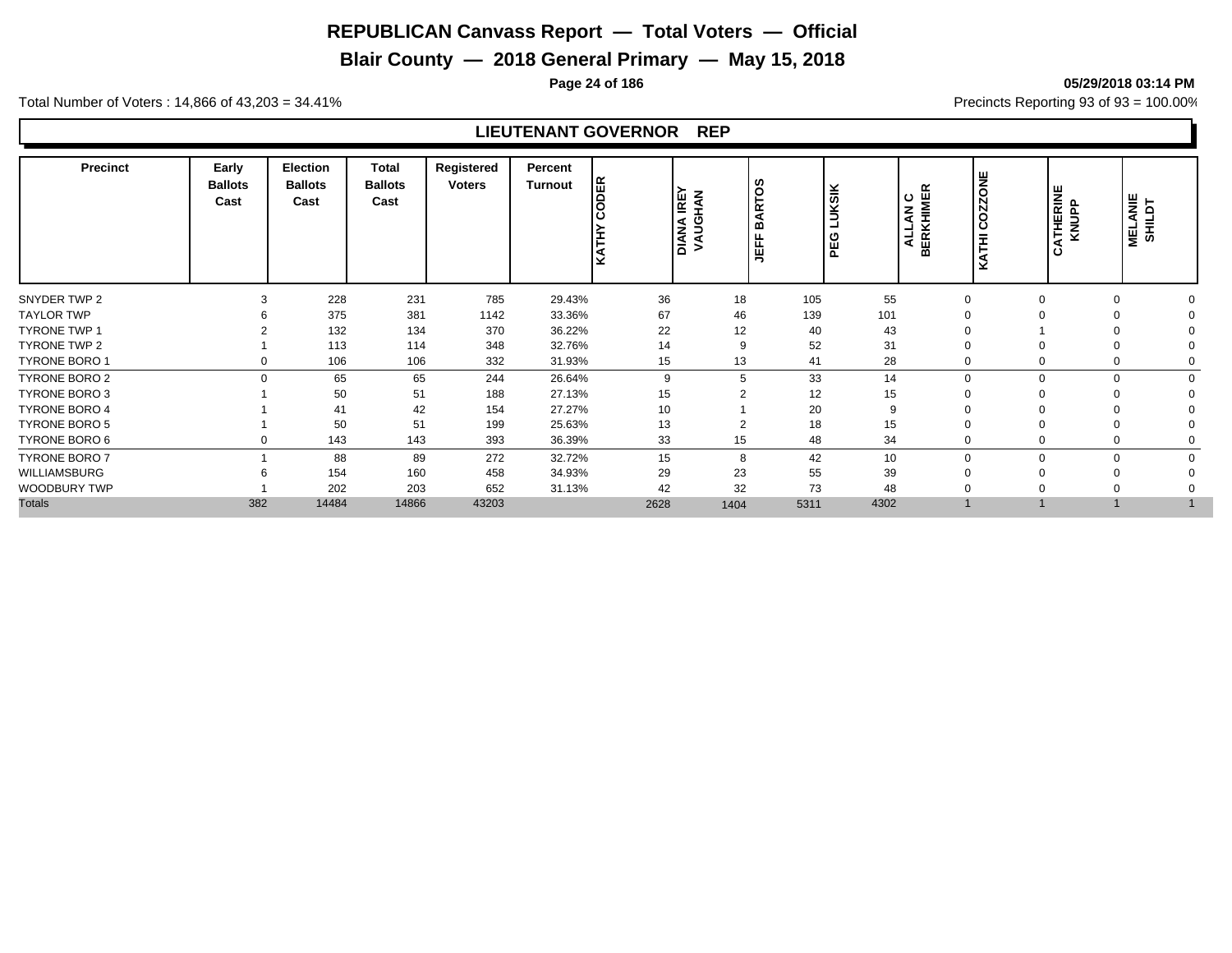# **Blair County — 2018 General Primary — May 15, 2018**

**Page 24 of 186 05/29/2018 03:14 PM**

Total Number of Voters : 14,866 of 43,203 = 34.41% **Precincts Reporting 93 of 93** = 100.00%

## **LIEUTENANT GOVERNOR REP**

| COZZONE<br><b>UKSIK</b><br>ALLAN C<br>BERKHIMER<br><b>ATHERINE</b><br>KNUPP<br><b>IREY</b><br>HAN<br>I₹<br>ت<br>ਕ<br>DIANA<br>VAUGI<br>മ<br>ᆜ<br>KATH<br><b>KATHI</b><br>PEG<br>ᄄ<br>ن<br>щ<br>⋾ | <b>MELANIE</b><br>SHILDT |
|--------------------------------------------------------------------------------------------------------------------------------------------------------------------------------------------------|--------------------------|
| 228<br>231<br>785<br>36<br>55<br>SNYDER TWP 2<br>29.43%<br>105<br>18<br>3<br>$\Omega$                                                                                                            |                          |
| 375<br>67<br>101<br><b>TAYLOR TWP</b><br>381<br>33.36%<br>46<br>139<br>1142                                                                                                                      |                          |
| 22<br>132<br>12<br>40<br>43<br><b>TYRONE TWP 1</b><br>134<br>370<br>36.22%                                                                                                                       |                          |
| 52<br>14<br>31<br>TYRONE TWP 2<br>113<br>348<br>114<br>32.76%<br>9<br>$\Omega$                                                                                                                   |                          |
| <b>TYRONE BORO 1</b><br>28<br>106<br>15<br>13<br>41<br>106<br>332<br>31.93%<br>0<br>$\mathbf 0$                                                                                                  |                          |
| 33<br>TYRONE BORO 2<br>$\Omega$<br>65<br>65<br>244<br>26.64%<br>9<br>5<br>14<br>∩<br>$\Omega$                                                                                                    | $\Omega$                 |
| <b>TYRONE BORO 3</b><br>51<br>15<br>12<br>50<br>188<br>15<br>27.13%                                                                                                                              |                          |
| 20<br><b>TYRONE BORO 4</b><br>42<br>27.27%<br>10<br>41<br>154<br>9                                                                                                                               |                          |
| 50<br>51<br>18<br><b>TYRONE BORO 5</b><br>199<br>13<br>15<br>25.63%<br>2<br>$\Omega$                                                                                                             |                          |
| 48<br>33<br>34<br>TYRONE BORO 6<br>143<br>393<br>36.39%<br>15<br>143<br>$\mathbf 0$<br>0                                                                                                         |                          |
| <b>TYRONE BORO 7</b><br>42<br>88<br>89<br>272<br>32.72%<br>15<br>10<br>8<br>$\Omega$<br>O<br>$\Omega$                                                                                            | $\Omega$                 |
| 29<br>23<br>55<br>39<br>WILLIAMSBURG<br>154<br>160<br>458<br>34.93%<br>$\Omega$                                                                                                                  |                          |
| 32<br>73<br>202<br>652<br>42<br>48<br>WOODBURY TWP<br>203<br>31.13%<br>$\Omega$                                                                                                                  |                          |
| <b>Totals</b><br>382<br>4302<br>14484<br>14866<br>43203<br>5311<br>2628<br>1404                                                                                                                  |                          |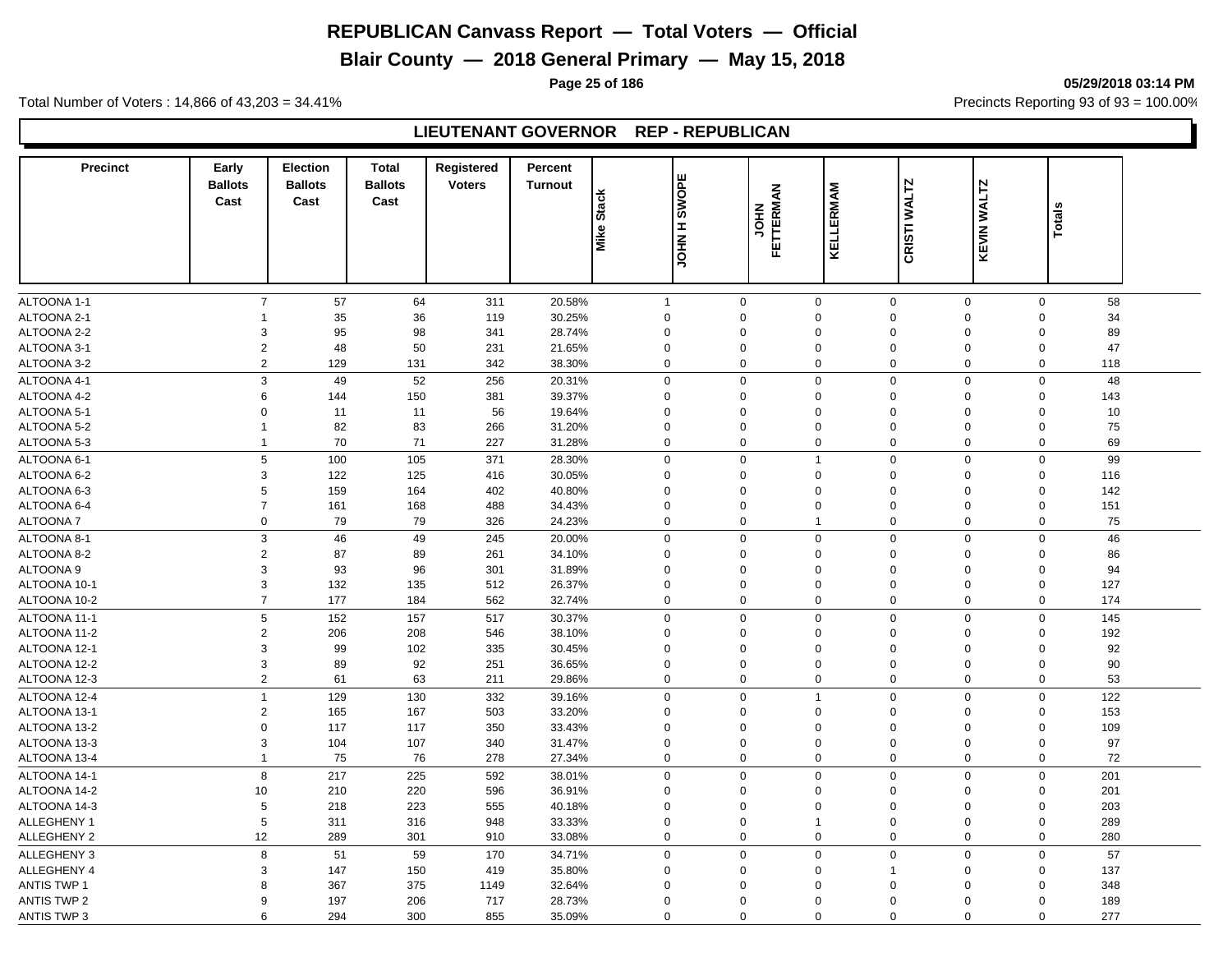# **Blair County — 2018 General Primary — May 15, 2018**

**Page 25 of 186 05/29/2018 03:14 PM**

Total Number of Voters : 14,866 of 43,203 = 34.41% **Precincts Reporting 93 of 93** = 100.00%

#### **LIEUTENANT GOVERNOR REP - REPUBLICAN**

| <b>Precinct</b>            | Early<br><b>Ballots</b><br>Cast | <b>Election</b><br><b>Ballots</b><br>Cast | <b>Total</b><br><b>Ballots</b><br>Cast | Registered<br><b>Voters</b> | <b>Percent</b><br><b>Turnout</b> | <b>Stack</b>             | <b>SWOPE</b>            |                   |                         |                         |                         |               |  |
|----------------------------|---------------------------------|-------------------------------------------|----------------------------------------|-----------------------------|----------------------------------|--------------------------|-------------------------|-------------------|-------------------------|-------------------------|-------------------------|---------------|--|
|                            |                                 |                                           |                                        |                             |                                  | Mike:                    | H NHOL                  | FETTERMAN<br>HIOL | KELLERMAM               | CRISTI WALTZ            | KEVIN WALTZ             | <b>Totals</b> |  |
|                            | $\overline{7}$                  |                                           |                                        |                             |                                  |                          |                         |                   |                         |                         |                         |               |  |
| ALTOONA 1-1<br>ALTOONA 2-1 | 1                               | 57<br>35                                  | 64<br>36                               | 311<br>119                  | 20.58%<br>30.25%                 | $\mathbf{1}$<br>$\Omega$ | $\mathbf 0$<br>$\Omega$ | 0<br>$\Omega$     | $\mathbf 0$<br>$\Omega$ | $\mathbf 0$<br>$\Omega$ | $\mathbf 0$<br>$\Omega$ | 58<br>34      |  |
| ALTOONA 2-2                | 3                               | 95                                        | 98                                     | 341                         | 28.74%                           | $\Omega$                 | $\mathbf 0$             | $\Omega$          | $\mathbf 0$             | $\Omega$                | $\Omega$                | 89            |  |
| ALTOONA 3-1                | $\sqrt{2}$                      | 48                                        | 50                                     | 231                         | 21.65%                           | $\mathbf 0$              | 0                       | $\Omega$          | $\mathbf 0$             | $\mathbf 0$             | $\mathbf 0$             | 47            |  |
| ALTOONA 3-2                | $\overline{2}$                  | 129                                       | 131                                    | 342                         | 38.30%                           | $\mathbf 0$              | 0                       | $\mathbf 0$       | $\mathbf 0$             | $\mathbf 0$             | $\mathbf 0$             | 118           |  |
| ALTOONA 4-1                | 3                               | 49                                        | 52                                     | 256                         | 20.31%                           | $\mathbf 0$              | $\mathbf 0$             | $\mathbf 0$       | $\mathbf 0$             | 0                       | $\mathbf 0$             | 48            |  |
| ALTOONA 4-2                | 6                               | 144                                       | 150                                    | 381                         | 39.37%                           | $\mathbf 0$              | $\mathbf 0$             | $\mathbf 0$       | $\mathbf 0$             | $\Omega$                | $\mathbf 0$             | 143           |  |
| ALTOONA 5-1                | $\mathbf 0$                     | 11                                        | 11                                     | 56                          | 19.64%                           | $\mathbf 0$              | $\mathbf 0$             | $\mathbf 0$       | $\mathbf 0$             | $\Omega$                | $\mathbf 0$             | 10            |  |
| ALTOONA 5-2                | $\mathbf{1}$                    | 82                                        | 83                                     | 266                         | 31.20%                           | $\mathbf 0$              | 0                       | $\mathsf 0$       | $\mathbf 0$             | $\mathbf 0$             | $\mathbf 0$             | 75            |  |
| ALTOONA 5-3                | $\mathbf{1}$                    | 70                                        | 71                                     | 227                         | 31.28%                           | $\mathbf 0$              | $\mathbf 0$             | $\mathbf 0$       | $\mathbf 0$             | $\mathbf 0$             | $\Omega$                | 69            |  |
| ALTOONA 6-1                | $\,$ 5 $\,$                     | 100                                       | 105                                    | 371                         | 28.30%                           | $\boldsymbol{0}$         | $\mathbf 0$             | $\mathbf{1}$      | $\mathbf 0$             | $\Omega$                | $\mathsf 0$             | 99            |  |
| ALTOONA 6-2                | $\ensuremath{\mathsf{3}}$       | 122                                       | 125                                    | 416                         | 30.05%                           | $\mathbf 0$              | $\mathbf 0$             | $\mathbf 0$       | $\mathbf 0$             | $\Omega$                | $\Omega$                | 116           |  |
| ALTOONA 6-3                | $\,$ 5 $\,$                     | 159                                       | 164                                    | 402                         | 40.80%                           | $\Omega$                 | 0                       | $\mathbf 0$       | $\mathbf 0$             | $\Omega$                | $\Omega$                | 142           |  |
| ALTOONA 6-4                | $\overline{7}$                  | 161                                       | 168                                    | 488                         | 34.43%                           | $\mathbf 0$              | 0                       | $\mathbf 0$       | $\mathbf 0$             | $\mathbf 0$             | $\mathsf 0$             | 151           |  |
| <b>ALTOONA7</b>            | $\mathbf 0$                     | 79                                        | 79                                     | 326                         | 24.23%                           | $\mathbf 0$              | $\mathbf 0$             | $\mathbf{1}$      | $\mathbf 0$             | $\mathbf 0$             | $\mathbf 0$             | 75            |  |
| ALTOONA 8-1                | 3                               | 46                                        | 49                                     | 245                         | 20.00%                           | $\mathbf 0$              | $\mathbf 0$             | $\Omega$          | $\mathbf 0$             | $\mathbf 0$             | $\mathbf 0$             | 46            |  |
| ALTOONA 8-2                | 2                               | 87                                        | 89                                     | 261                         | 34.10%                           | $\Omega$                 | $\mathbf 0$             | $\mathbf 0$       | $\mathbf 0$             | 0                       | $\mathbf 0$             | 86            |  |
| <b>ALTOONA 9</b>           | 3                               | 93                                        | 96                                     | 301                         | 31.89%                           | $\Omega$                 | $\mathbf 0$             | $\mathbf 0$       | $\mathbf 0$             | $\Omega$                | $\mathbf 0$             | 94            |  |
| ALTOONA 10-1               | 3                               | 132                                       | 135                                    | 512                         | 26.37%                           | $\Omega$                 | 0                       | $\Omega$          | $\Omega$                | $\Omega$                | $\Omega$                | 127           |  |
| ALTOONA 10-2               | $\overline{7}$                  | 177                                       | 184                                    | 562                         | 32.74%                           | $\mathbf 0$              | $\mathbf 0$             | $\Omega$          | $\mathbf 0$             | $\mathbf 0$             | $\mathbf 0$             | 174           |  |
| ALTOONA 11-1               | 5                               | 152                                       | 157                                    | 517                         | 30.37%                           | $\mathbf 0$              | $\mathbf 0$             | $\Omega$          | $\mathbf 0$             | $\mathbf 0$             | $\mathbf 0$             | 145           |  |
| ALTOONA 11-2               | 2                               | 206                                       | 208                                    | 546                         | 38.10%                           | $\mathbf 0$              | 0                       | $\mathbf 0$       | $\mathbf 0$             | $\Omega$                | $\Omega$                | 192           |  |
| ALTOONA 12-1               | 3                               | 99                                        | 102                                    | 335                         | 30.45%                           | $\mathbf 0$              | 0                       | $\mathsf 0$       | $\mathbf 0$             | $\mathbf 0$             | $\mathbf 0$             | 92            |  |
| ALTOONA 12-2               | 3                               | 89                                        | 92                                     | 251                         | 36.65%                           | $\mathbf 0$              | $\mathbf 0$             | $\mathbf 0$       | $\mathbf 0$             | $\Omega$                | $\Omega$                | 90            |  |
| ALTOONA 12-3               | $\overline{2}$                  | 61                                        | 63                                     | 211                         | 29.86%                           | $\mathbf 0$              | 0                       | $\Omega$          | $\mathbf 0$             | 0                       | $\Omega$                | 53            |  |
| ALTOONA 12-4               | $\mathbf{1}$                    | 129                                       | 130                                    | 332                         | 39.16%                           | $\mathbf 0$              | $\mathbf 0$             | $\overline{1}$    | $\mathbf 0$             | $\Omega$                | $\mathbf 0$             | 122           |  |
| ALTOONA 13-1               | $\overline{c}$                  | 165                                       | 167                                    | 503                         | 33.20%                           | $\Omega$                 | $\mathbf 0$             | $\Omega$          | $\mathbf 0$             | $\Omega$                | $\mathbf 0$             | 153           |  |
| ALTOONA 13-2               | $\mathbf 0$                     | 117                                       | 117                                    | 350                         | 33.43%                           | $\Omega$                 | $\Omega$                | $\mathsf 0$       | $\mathbf 0$             | $\Omega$                | $\Omega$                | 109           |  |
| ALTOONA 13-3               | 3                               | 104                                       | 107                                    | 340                         | 31.47%                           | $\mathbf 0$              | $\mathbf 0$             | $\mathbf 0$       | $\mathbf 0$             | $\Omega$                | $\mathbf 0$             | 97            |  |
| ALTOONA 13-4               | $\mathbf{1}$                    | 75                                        | 76                                     | 278                         | 27.34%                           | $\mathbf 0$              | $\mathbf 0$             | $\mathbf 0$       | $\mathbf 0$             | 0                       | 0                       | 72            |  |
| ALTOONA 14-1               | 8                               | 217                                       | 225                                    | 592                         | 38.01%                           | $\mathbf 0$              | $\mathbf 0$             | $\Omega$          | $\mathbf 0$             | $\mathbf 0$             | $\mathbf 0$             | 201           |  |
| ALTOONA 14-2               | 10                              | 210                                       | 220                                    | 596                         | 36.91%                           | $\mathbf 0$              | 0                       | $\Omega$          | $\mathbf 0$             | $\mathbf 0$             | $\mathbf 0$             | 201           |  |
| ALTOONA 14-3               | 5                               | 218                                       | 223                                    | 555                         | 40.18%                           | $\Omega$                 | $\Omega$                | $\Omega$          | $\mathbf 0$             | $\Omega$                | $\mathbf 0$             | 203           |  |
| ALLEGHENY 1                | 5                               | 311                                       | 316                                    | 948                         | 33.33%                           | $\Omega$                 | $\mathbf 0$             | $\mathbf 1$       | $\mathbf 0$             | $\Omega$                | $\mathbf 0$             | 289           |  |
| ALLEGHENY 2                | 12                              | 289                                       | 301                                    | 910                         | 33.08%                           | $\mathbf 0$              | $\mathbf 0$             | $\Omega$          | $\mathbf 0$             | 0                       | $\Omega$                | 280           |  |
| ALLEGHENY 3                | 8                               | 51                                        | 59                                     | 170                         | 34.71%                           | $\mathbf 0$              | $\mathbf 0$             | $\mathbf 0$       | $\mathbf 0$             | $\mathbf 0$             | $\mathsf 0$             | 57            |  |
| ALLEGHENY 4                | 3                               | 147                                       | 150                                    | 419                         | 35.80%                           | $\Omega$                 | $\mathbf 0$             | $\mathbf 0$       | $\overline{1}$          | $\Omega$                | $\mathbf 0$             | 137           |  |
| <b>ANTIS TWP 1</b>         | 8                               | 367                                       | 375                                    | 1149                        | 32.64%                           | $\Omega$                 | $\Omega$                | $\Omega$          | $\mathbf 0$             | $\Omega$                | $\Omega$                | 348           |  |
| <b>ANTIS TWP 2</b>         | 9                               | 197                                       | 206                                    | 717                         | 28.73%                           | $\Omega$                 | $\mathbf 0$             | $\Omega$          | $\mathbf 0$             | $\Omega$                | $\Omega$                | 189           |  |
| ANTIS TWP 3                | 6                               | 294                                       | 300                                    | 855                         | 35.09%                           | $\mathbf 0$              | $\mathbf 0$             | $\mathbf 0$       | $\mathbf 0$             | $\mathbf 0$             | $\mathbf 0$             | 277           |  |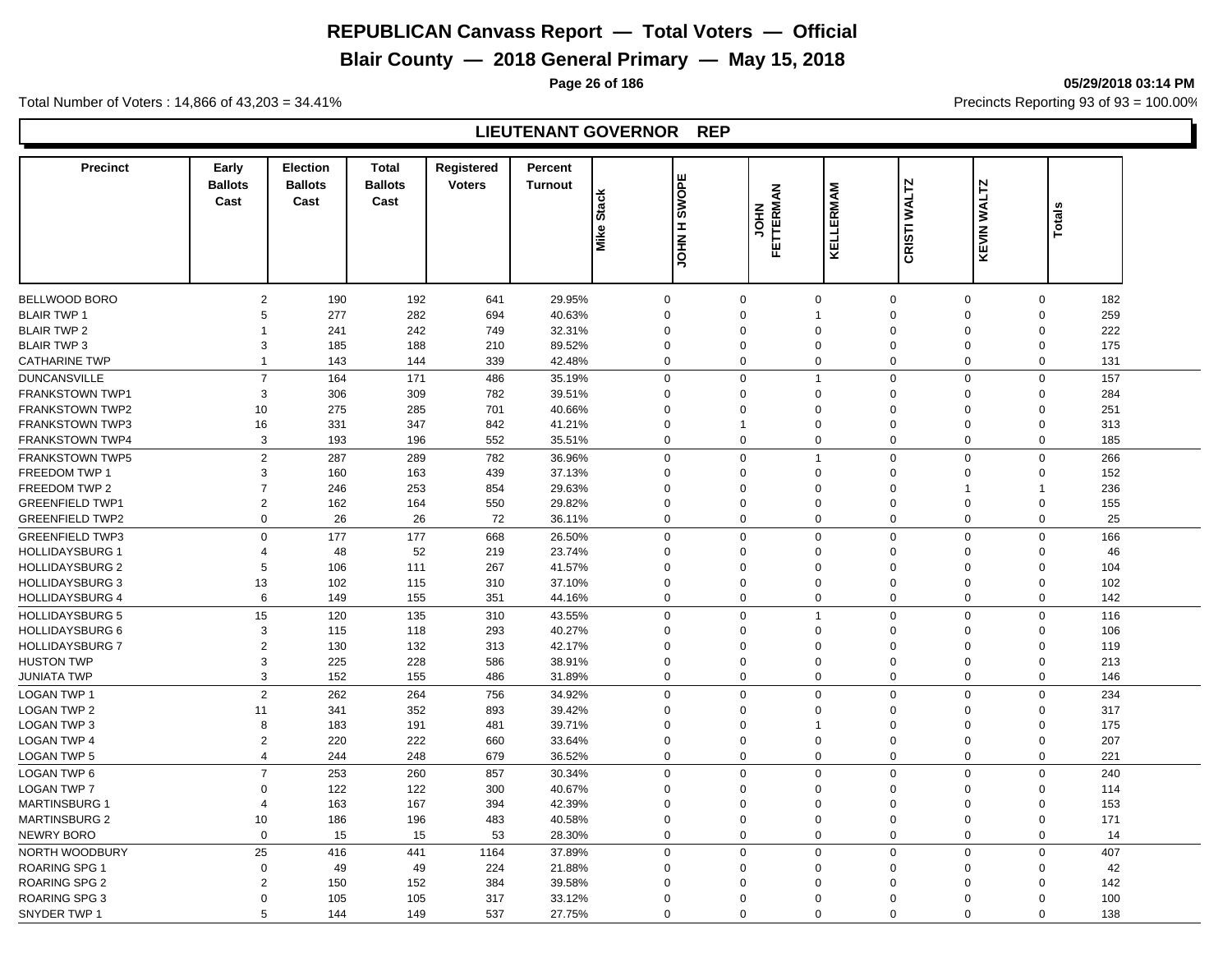# **Blair County — 2018 General Primary — May 15, 2018**

**Page 26 of 186 05/29/2018 03:14 PM**

Total Number of Voters : 14,866 of 43,203 = 34.41% **Precincts Reporting 93 of 93** = 100.00%

## **LIEUTENANT GOVERNOR REP**

| <b>Precinct</b>                   | Early<br><b>Ballots</b><br>Cast | <b>Election</b><br><b>Ballots</b><br>Cast | <b>Total</b><br><b>Ballots</b><br>Cast | Registered<br><b>Voters</b> | Percent<br><b>Turnout</b> | <b>Stack</b><br>Mike: | <b>SWOPE</b><br>H NHOL | FETTERMAN<br><b>NHOL</b> | KELLERMAM                  | CRISTI WALTZ         | <b>KEVIN WALTZ</b> | <b>Totals</b>                  |  |
|-----------------------------------|---------------------------------|-------------------------------------------|----------------------------------------|-----------------------------|---------------------------|-----------------------|------------------------|--------------------------|----------------------------|----------------------|--------------------|--------------------------------|--|
|                                   |                                 |                                           |                                        |                             |                           |                       |                        |                          |                            |                      |                    |                                |  |
| <b>BELLWOOD BORO</b>              | 2                               | 190                                       | 192                                    | 641                         | 29.95%                    | $\mathbf 0$           | 0                      | $\mathbf 0$              | $\mathbf 0$                | $\mathbf 0$          |                    | 182<br>$\mathbf 0$             |  |
| <b>BLAIR TWP 1</b>                | 5                               | 277                                       | 282                                    | 694                         | 40.63%                    | $\Omega$              | 0                      | $\overline{1}$           | $\mathbf 0$                | $\Omega$             | $\mathbf 0$        | 259                            |  |
| <b>BLAIR TWP 2</b>                | $\mathbf{1}$                    | 241                                       | 242                                    | 749                         | 32.31%                    | $\Omega$              | $\Omega$               | $\Omega$                 | $\Omega$                   | $\Omega$             | $\Omega$           | 222                            |  |
| <b>BLAIR TWP 3</b>                | 3                               | 185                                       | 188                                    | 210                         | 89.52%                    | $\mathbf 0$           | 0                      | $\mathbf 0$              | $\mathbf 0$                | 0                    | $\mathbf 0$        | 175                            |  |
| <b>CATHARINE TWP</b>              | $\mathbf{1}$                    | 143                                       | 144                                    | 339                         | 42.48%                    | $\Omega$              | 0                      | $\Omega$                 | $\Omega$                   | 0                    |                    | $\mathbf 0$<br>131             |  |
| <b>DUNCANSVILLE</b>               | $\overline{7}$                  | 164                                       | 171                                    | 486                         | 35.19%                    | $\Omega$              | $\mathbf{0}$           | $\overline{1}$           | $\mathbf 0$                | $\mathbf 0$          | $\Omega$           | 157                            |  |
| <b>FRANKSTOWN TWP1</b>            | 3                               | 306                                       | 309                                    | 782                         | 39.51%                    | $\Omega$              | $\Omega$               | $\Omega$                 | $\Omega$                   | $\Omega$             | $\Omega$           | 284                            |  |
| <b>FRANKSTOWN TWP2</b>            | 10                              | 275                                       | 285                                    | 701                         | 40.66%                    | $\Omega$              | $\Omega$               | $\Omega$                 | $\Omega$                   | $\Omega$             | $\Omega$           | 251                            |  |
| <b>FRANKSTOWN TWP3</b>            | 16                              | 331                                       | 347                                    | 842                         | 41.21%                    | $\Omega$              | 1                      | $\Omega$                 | $\Omega$                   | $\Omega$             | $\Omega$           | 313                            |  |
| <b>FRANKSTOWN TWP4</b>            | 3                               | 193                                       | 196                                    | 552                         | 35.51%                    | $\Omega$              | $\mathbf{0}$           | $\Omega$                 | $\mathbf 0$                | $\mathbf 0$          | $\Omega$           | 185                            |  |
| <b>FRANKSTOWN TWP5</b>            | $\overline{2}$                  | 287                                       | 289                                    | 782                         | 36.96%                    | $\Omega$              | $\mathbf 0$            | $\overline{1}$           | $\mathbf 0$                | $\mathbf 0$          |                    | $\mathbf 0$<br>266             |  |
| <b>FREEDOM TWP 1</b>              | 3                               | 160                                       | 163                                    | 439                         | 37.13%                    | $\Omega$              | $\mathbf 0$            | $\Omega$                 | $\mathbf 0$                | $\Omega$             |                    | 152<br>$\mathbf 0$             |  |
| FREEDOM TWP 2                     | $\overline{7}$                  | 246                                       | 253                                    | 854                         | 29.63%                    | $\Omega$              | 0                      | $\Omega$                 | $\mathbf 0$                | $\overline{1}$       | -1                 | 236                            |  |
| <b>GREENFIELD TWP1</b>            | $\overline{2}$                  | 162                                       | 164                                    | 550                         | 29.82%                    | $\Omega$              | 0                      | $\Omega$                 | $\mathbf 0$                | $\Omega$             |                    | $\mathbf 0$<br>155             |  |
| <b>GREENFIELD TWP2</b>            | $\mathbf 0$                     | 26                                        | 26                                     | 72                          | 36.11%                    | $\Omega$              | 0                      | $\mathsf 0$              | $\mathbf 0$                | 0                    |                    | $\mathbf 0$<br>25              |  |
| <b>GREENFIELD TWP3</b>            | $\Omega$                        | 177                                       | 177                                    | 668                         | 26.50%                    | $\Omega$              | 0                      | $\Omega$                 | $\mathbf 0$                | 0                    |                    | $\mathbf 0$<br>166             |  |
| <b>HOLLIDAYSBURG 1</b>            | $\overline{4}$                  | 48                                        | 52                                     | 219                         | 23.74%                    | $\Omega$              | 0                      | $\Omega$                 | $\mathbf 0$                | $\mathbf 0$          | $\Omega$           | 46                             |  |
| <b>HOLLIDAYSBURG 2</b>            | 5                               | 106                                       | 111                                    | 267                         | 41.57%                    | $\Omega$              | 0                      | $\mathbf 0$              | $\mathbf 0$                | $\Omega$             | $\mathbf 0$        | 104                            |  |
| HOLLIDAYSBURG 3                   | 13                              | 102                                       | 115                                    | 310                         | 37.10%                    | $\Omega$              | $\Omega$               | $\Omega$                 | $\Omega$                   | $\Omega$             | $\Omega$           | 102                            |  |
| <b>HOLLIDAYSBURG 4</b>            | 6                               | 149                                       | 155                                    | 351                         | 44.16%                    | $\mathbf 0$           | 0                      | $\mathbf 0$              | $\mathbf 0$                | 0                    |                    | $\mathbf 0$<br>142             |  |
| <b>HOLLIDAYSBURG 5</b>            | 15                              | 120                                       | 135                                    | 310                         | 43.55%                    | $\Omega$              | $\Omega$               | $\overline{1}$           | $\mathbf 0$                | $\Omega$             | $\Omega$           | 116                            |  |
| <b>HOLLIDAYSBURG 6</b>            | 3                               | 115                                       | 118                                    | 293                         | 40.27%                    | $\Omega$              | $\Omega$               | $\Omega$                 | $\Omega$                   | $\Omega$             | $\Omega$           | 106                            |  |
| <b>HOLLIDAYSBURG 7</b>            | $\overline{2}$                  | 130                                       | 132                                    | 313                         | 42.17%                    | $\Omega$              | $\Omega$               | $\Omega$                 | $\mathbf 0$                | $\Omega$             | $\mathbf 0$        | 119                            |  |
| <b>HUSTON TWP</b>                 | 3                               | 225                                       | 228                                    | 586                         | 38.91%                    | $\Omega$              | $\Omega$               | $\Omega$                 | $\mathbf 0$                | $\Omega$             | $\Omega$           | 213                            |  |
| <b>JUNIATA TWP</b>                | 3                               | 152                                       | 155                                    | 486                         | 31.89%                    | $\Omega$              | 0                      | $\Omega$                 | $\mathbf 0$                | 0                    | $\mathbf 0$        | 146                            |  |
| <b>LOGAN TWP 1</b>                | 2                               |                                           |                                        |                             |                           |                       | $\mathbf 0$            | $\mathbf 0$              | $\mathbf 0$                |                      |                    | $\mathbf 0$                    |  |
|                                   |                                 | 262                                       | 264                                    | 756                         | 34.92%                    | $\mathbf 0$           |                        |                          |                            | $\mathbf 0$          |                    | 234                            |  |
| <b>LOGAN TWP 2</b><br>LOGAN TWP 3 | 11<br>8                         | 341<br>183                                | 352                                    | 893                         | 39.42%                    | $\Omega$<br>$\Omega$  | 0                      | $\Omega$<br>$\mathbf{1}$ | $\mathbf 0$                | $\Omega$<br>$\Omega$ |                    | $\mathbf 0$<br>317             |  |
| <b>LOGAN TWP 4</b>                | 2                               | 220                                       | 191<br>222                             | 481<br>660                  | 39.71%<br>33.64%          | $\Omega$              | 0<br>0                 | $\Omega$                 | $\mathbf 0$<br>$\mathbf 0$ | 0                    |                    | 175<br>$\mathbf 0$<br>207<br>0 |  |
| LOGAN TWP 5                       | $\overline{4}$                  | 244                                       | 248                                    | 679                         | 36.52%                    | $\Omega$              | 0                      | $\mathbf 0$              | $\Omega$                   | $\mathbf 0$          |                    | $\mathbf 0$<br>221             |  |
|                                   |                                 |                                           |                                        |                             |                           |                       |                        |                          |                            |                      |                    |                                |  |
| <b>LOGAN TWP 6</b>                | $\overline{7}$                  | 253                                       | 260                                    | 857                         | 30.34%                    | $\Omega$              | 0                      | $\Omega$                 | $\Omega$                   | $\mathbf 0$          |                    | $\mathbf 0$<br>240             |  |
| <b>LOGAN TWP 7</b>                | $\mathbf 0$                     | 122                                       | 122                                    | 300                         | 40.67%                    | $\Omega$              | 0                      | $\mathbf 0$              | $\Omega$                   | $\Omega$             | $\Omega$           | 114                            |  |
| <b>MARTINSBURG 1</b>              | $\overline{\mathcal{A}}$        | 163                                       | 167                                    | 394                         | 42.39%                    | $\Omega$<br>$\Omega$  | $\Omega$               | $\Omega$                 | $\Omega$                   | $\Omega$             | $\Omega$           | 153                            |  |
| <b>MARTINSBURG 2</b>              | 10                              | 186                                       | 196                                    | 483                         | 40.58%                    |                       | 0                      | $\mathbf 0$              | $\mathbf 0$                | $\mathbf 0$          | $\mathbf 0$        | 171                            |  |
| <b>NEWRY BORO</b>                 | $\mathbf 0$                     | 15                                        | 15                                     | 53                          | 28.30%                    | $\Omega$              | 0                      | $\mathbf 0$              | $\Omega$                   | $\mathbf 0$          |                    | $\mathbf 0$<br>14              |  |
| NORTH WOODBURY                    | 25                              | 416                                       | 441                                    | 1164                        | 37.89%                    | $\mathbf 0$           | 0                      | $\Omega$                 | $\mathbf 0$                | $\mathbf 0$          |                    | $\mathbf 0$<br>407             |  |
| <b>ROARING SPG 1</b>              | $\Omega$                        | 49                                        | 49                                     | 224                         | 21.88%                    | $\Omega$              | $\Omega$               | $\Omega$                 | $\mathbf 0$                | $\Omega$             | $\mathbf 0$        | 42                             |  |
| <b>ROARING SPG 2</b>              | $\overline{2}$                  | 150                                       | 152                                    | 384                         | 39.58%                    | $\Omega$              | $\Omega$               | $\Omega$                 | $\Omega$                   | $\Omega$             | $\Omega$           | 142                            |  |
| ROARING SPG 3                     | $\Omega$                        | 105                                       | 105                                    | 317                         | 33.12%                    | $\Omega$              | $\Omega$               | $\Omega$                 | $\Omega$                   | $\Omega$             | $\Omega$           | 100                            |  |
| SNYDER TWP 1                      | 5                               | 144                                       | 149                                    | 537                         | 27.75%                    | $\Omega$              | $\Omega$               | $\Omega$                 | $\Omega$                   | $\Omega$             |                    | $\Omega$<br>138                |  |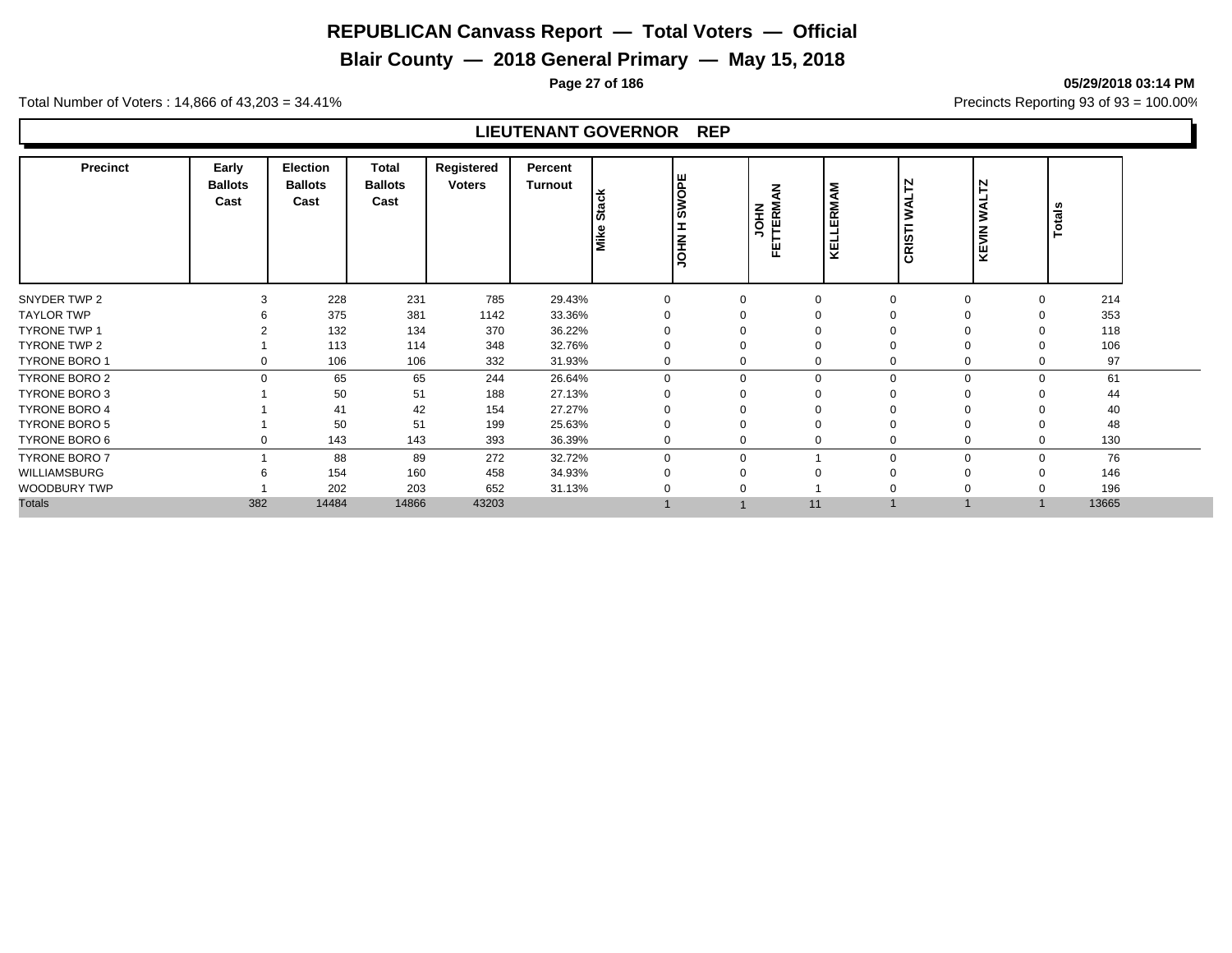# **Blair County — 2018 General Primary — May 15, 2018**

**Page 27 of 186 05/29/2018 03:14 PM**

Total Number of Voters : 14,866 of 43,203 = 34.41% **Precincts Reporting 93 of 93** = 100.00%

## **LIEUTENANT GOVERNOR REP**

| <b>Precinct</b>      | Early<br><b>Ballots</b><br>Cast | Election<br><b>Ballots</b><br>Cast | Total<br><b>Ballots</b><br>Cast | Registered<br><b>Voters</b> | Percent<br>Turnout | ack<br>ö<br>Mike | <b>SWOPE</b><br>E<br><b>NHOL</b> | <b>FETTERMAN</b><br>FETTERMAN | KELLERMAM | <b>WALTZ</b><br>CRISTI | <b>Z</b><br><b>UAW</b><br>KEVIN | Totals |
|----------------------|---------------------------------|------------------------------------|---------------------------------|-----------------------------|--------------------|------------------|----------------------------------|-------------------------------|-----------|------------------------|---------------------------------|--------|
| SNYDER TWP 2         |                                 | 228                                | 231                             | 785                         | 29.43%             | $\Omega$         | $\mathbf 0$                      |                               |           | $\Omega$               |                                 | 214    |
| <b>TAYLOR TWP</b>    |                                 | 375                                | 381                             | 1142                        | 33.36%             | $\Omega$         | $\Omega$                         |                               |           | $\Omega$               |                                 | 353    |
| <b>TYRONE TWP 1</b>  |                                 | 132                                | 134                             | 370                         | 36.22%             |                  | $\Omega$                         |                               |           | ∩                      |                                 | 118    |
| <b>TYRONE TWP 2</b>  |                                 | 113                                | 114                             | 348                         | 32.76%             |                  | 0                                |                               |           | $\Omega$               |                                 | 106    |
| <b>TYRONE BORO 1</b> |                                 | 106                                | 106                             | 332                         | 31.93%             | 0                | 0                                |                               | 0         | $\mathbf 0$            |                                 | 97     |
| <b>TYRONE BORO 2</b> | $\Omega$                        | 65                                 | 65                              | 244                         | 26.64%             | $\Omega$         | $\Omega$                         | $\Omega$                      | $\Omega$  | $\Omega$               |                                 | 61     |
| TYRONE BORO 3        |                                 | 50                                 | 51                              | 188                         | 27.13%             | $\Omega$         | $\Omega$                         |                               |           | $\Omega$               |                                 | 44     |
| <b>TYRONE BORO 4</b> |                                 | 41                                 | 42                              | 154                         | 27.27%             |                  |                                  |                               |           |                        |                                 | 40     |
| <b>TYRONE BORO 5</b> |                                 | 50                                 | 51                              | 199                         | 25.63%             |                  | 0                                |                               |           | $\Omega$               |                                 | 48     |
| TYRONE BORO 6        |                                 | 143                                | 143                             | 393                         | 36.39%             | 0                | $\mathbf 0$                      |                               |           | 0                      |                                 | 130    |
| <b>TYRONE BORO 7</b> |                                 | 88                                 | 89                              | 272                         | 32.72%             | $\Omega$         | $\Omega$                         |                               | $\Omega$  | $\Omega$               |                                 | 76     |
| WILLIAMSBURG         |                                 | 154                                | 160                             | 458                         | 34.93%             |                  | 0                                |                               |           | ∩                      |                                 | 146    |
| WOODBURY TWP         |                                 | 202                                | 203                             | 652                         | 31.13%             |                  |                                  |                               |           |                        |                                 | 196    |
| <b>Totals</b>        | 382                             | 14484                              | 14866                           | 43203                       |                    |                  |                                  | 11                            |           |                        |                                 | 13665  |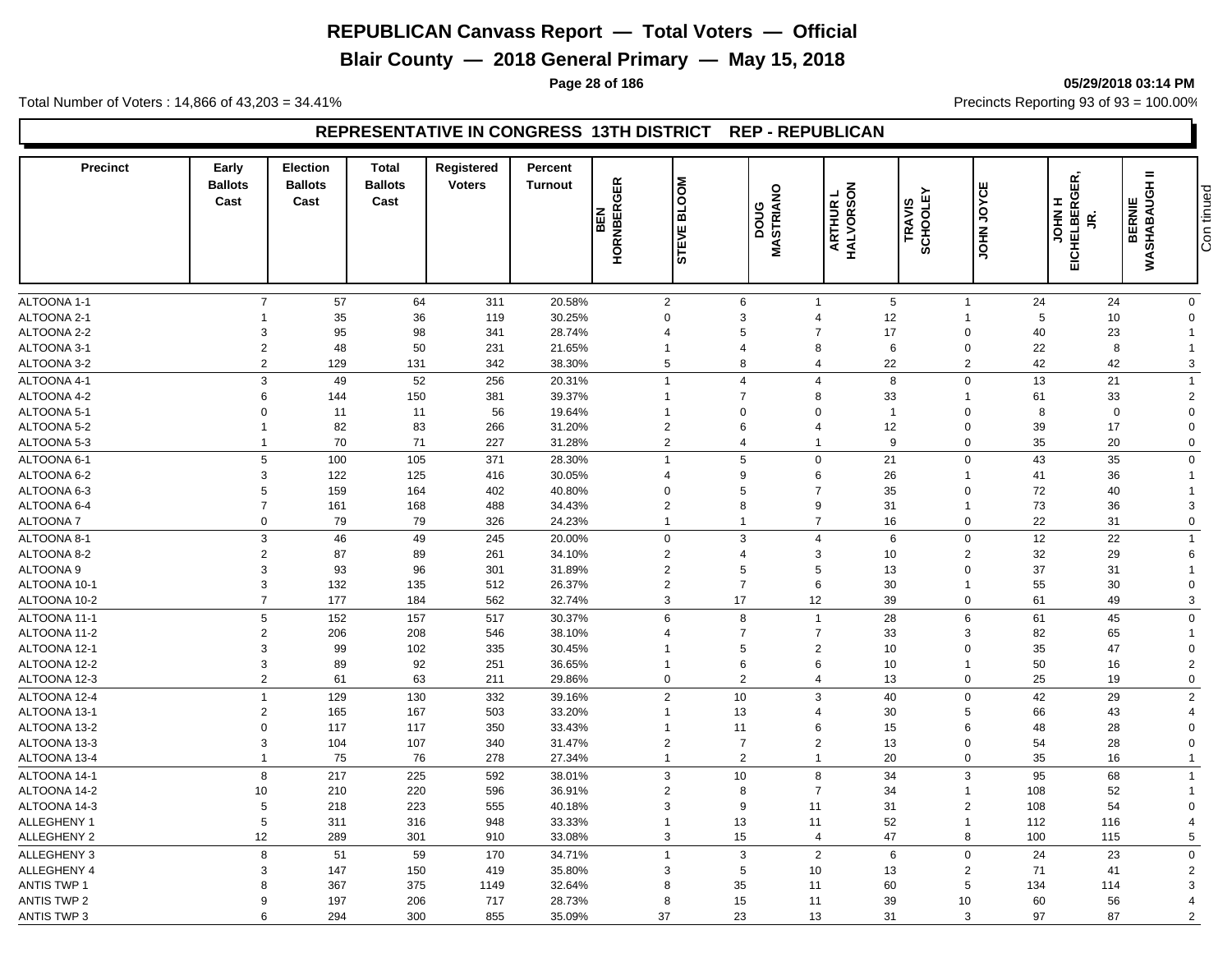**Blair County — 2018 General Primary — May 15, 2018**

**Page 28 of 186 05/29/2018 03:14 PM**

Total Number of Voters : 14,866 of 43,203 = 34.41% **Precincts Reporting 93 of 93** = 100.00%

## **REPRESENTATIVE IN CONGRESS 13TH DISTRICT REP - REPUBLICAN**

| <b>Precinct</b>              | Early<br><b>Ballots</b><br>Cast | <b>Election</b><br><b>Ballots</b><br>Cast | <b>Total</b><br><b>Ballots</b><br>Cast | <b>Registered</b><br><b>Voters</b> | Percent<br><b>Turnout</b> | <b>HORNBERGER</b><br><b>BEN</b> | <b>BLOOM</b><br>ш<br>ᄝ<br>5 | MASTRIANO<br>poug | ARTHUR L<br>HALVORSON                        | SCHOOLEY<br>TRAVIS            | JOHN JOYCE | EICHELBERGER,<br>I<br><b>NHOL</b><br>g | $=$<br>WASHABAUGH<br><b>BERNIE</b> | Con tinued |
|------------------------------|---------------------------------|-------------------------------------------|----------------------------------------|------------------------------------|---------------------------|---------------------------------|-----------------------------|-------------------|----------------------------------------------|-------------------------------|------------|----------------------------------------|------------------------------------|------------|
|                              |                                 |                                           |                                        |                                    |                           |                                 |                             |                   |                                              |                               |            |                                        |                                    |            |
|                              |                                 |                                           |                                        |                                    |                           |                                 |                             |                   |                                              |                               |            |                                        |                                    |            |
| ALTOONA 1-1                  | $\overline{7}$                  | 57                                        | 64                                     | 311                                | 20.58%                    | $\overline{2}$                  | $6\phantom{1}$              |                   | $\overline{1}$                               | $\,$ 5 $\,$<br>$\overline{1}$ | 24         | 24                                     | $\mathbf 0$                        |            |
| ALTOONA 2-1                  |                                 | 35                                        | 36                                     | 119                                | 30.25%                    | $\mathbf 0$                     | 3                           |                   | $\overline{4}$<br>$\overline{7}$             | 12<br>$\Omega$                | 5          | 10                                     | $\Omega$                           |            |
| ALTOONA 2-2                  | 3                               | 95                                        | 98                                     | 341                                | 28.74%                    | $\overline{4}$                  | 5                           |                   | 17                                           |                               | 40         | 23                                     |                                    |            |
| ALTOONA 3-1                  | $\sqrt{2}$                      | 48                                        | 50                                     | 231                                | 21.65%                    | $\mathbf{1}$                    | 4                           |                   | 8                                            | 6<br>$\Omega$                 | 22         | 8                                      |                                    |            |
| ALTOONA 3-2                  | $\overline{2}$                  | 129                                       | 131                                    | 342                                | 38.30%                    | 5                               | 8                           |                   | 22<br>4                                      |                               | 2<br>42    | 42                                     | 3                                  |            |
| ALTOONA 4-1                  | 3                               | 49                                        | 52                                     | 256                                | 20.31%                    | $\overline{1}$                  | 4                           |                   | $\overline{4}$                               | 8<br>$\mathbf 0$              | 13         | 21                                     | -1                                 |            |
| ALTOONA 4-2                  | 6                               | 144                                       | 150                                    | 381                                | 39.37%                    | $\mathbf{1}$                    | $\overline{7}$              |                   | 8<br>33                                      |                               | 61         | 33                                     | $\overline{2}$                     |            |
| ALTOONA 5-1                  | $\mathbf 0$                     | 11                                        | 11                                     | 56                                 | 19.64%                    | $\overline{1}$                  | 0                           |                   | $\mathbf 0$                                  | $\mathbf{1}$<br>$\mathbf 0$   | 8          | $\mathbf 0$                            | $\Omega$                           |            |
| ALTOONA 5-2                  | 1                               | 82                                        | 83                                     | 266                                | 31.20%                    | 2                               | 6                           |                   | 12<br>$\overline{4}$                         | $\Omega$                      | 39         | 17                                     | $\Omega$                           |            |
| ALTOONA 5-3                  | 1                               | 70                                        | 71                                     | 227                                | 31.28%                    | $\overline{2}$                  | 4                           |                   | $\mathbf 1$                                  | 9<br>$\mathbf 0$              | 35         | 20                                     | $\mathbf 0$                        |            |
| ALTOONA 6-1                  | 5                               | 100                                       | 105                                    | 371                                | 28.30%                    | $\overline{1}$                  | 5                           |                   | 21<br>$\mathbf 0$                            | $\mathbf 0$                   | 43         | 35                                     | $\mathbf 0$                        |            |
| ALTOONA 6-2                  | 3                               | 122                                       | 125                                    | 416                                | 30.05%                    | $\overline{4}$                  | 9                           |                   | 26<br>$6\phantom{1}6$                        | $\mathbf{1}$                  | 41         | 36                                     |                                    |            |
| ALTOONA 6-3                  | 5                               | 159                                       | 164                                    | 402                                | 40.80%                    | $\mathbf 0$                     | 5                           |                   | $\overline{7}$<br>35                         | $\Omega$                      | 72         | 40                                     |                                    |            |
| ALTOONA 6-4                  | $\overline{7}$                  | 161                                       | 168                                    | 488                                | 34.43%                    | 2                               | 8                           |                   | 9<br>31                                      | $\overline{1}$                | 73         | 36                                     | 3                                  |            |
| <b>ALTOONA7</b>              | 0                               | 79                                        | 79                                     | 326                                | 24.23%                    | $\mathbf{1}$                    | $\overline{1}$              |                   | $\overline{7}$<br>16                         | $\mathbf 0$                   | 22         | 31                                     | $\mathbf 0$                        |            |
| ALTOONA 8-1                  | 3                               | 46                                        | 49                                     | 245                                | 20.00%                    | $\mathbf 0$                     | 3                           |                   | $\overline{4}$                               | 6<br>$\mathbf 0$              | 12         | 22                                     | -1                                 |            |
| ALTOONA 8-2                  | $\overline{2}$                  | 87                                        | 89                                     | 261                                | 34.10%                    | $\overline{2}$                  | 4                           |                   | 3                                            | 10<br>$\overline{2}$          | 32         | 29                                     | 6                                  |            |
| <b>ALTOONA 9</b>             | 3                               | 93                                        | 96                                     | 301                                | 31.89%                    | $\sqrt{2}$                      | 5                           |                   | 5                                            | 13<br>$\Omega$                | 37         | 31                                     |                                    |            |
| ALTOONA 10-1                 | 3                               | 132                                       | 135                                    | 512                                | 26.37%                    | $\overline{2}$                  | $\overline{7}$              |                   | 30<br>6                                      |                               | 55         | 30                                     | $\Omega$                           |            |
| ALTOONA 10-2                 | $\overline{7}$                  | 177                                       | 184                                    | 562                                | 32.74%                    | 3                               | 17                          | 12                | 39                                           | $\mathbf 0$                   | 61         | 49                                     | 3                                  |            |
| ALTOONA 11-1                 | 5                               | 152                                       | 157                                    | 517                                | 30.37%                    | 6                               | 8                           |                   | 28<br>$\overline{1}$                         | 6                             | 61         | 45                                     | $\mathbf 0$                        |            |
| ALTOONA 11-2                 | $\overline{2}$                  | 206                                       | 208                                    | 546                                | 38.10%                    | $\overline{4}$                  | $\overline{7}$              |                   | $\overline{7}$<br>33                         | 3                             | 82         | 65                                     |                                    |            |
| ALTOONA 12-1                 | 3                               | 99                                        | 102                                    | 335                                | 30.45%                    | $\mathbf{1}$                    | 5                           |                   | $\overline{2}$<br>10                         | $\Omega$                      | 35         | 47                                     | $\mathbf 0$                        |            |
| ALTOONA 12-2                 | 3                               | 89                                        | 92                                     | 251                                | 36.65%                    | $\overline{1}$                  | 6                           |                   | 10<br>6                                      |                               | 50         | 16                                     | $\overline{2}$                     |            |
| ALTOONA 12-3                 | $\overline{2}$                  | 61                                        | 63                                     | 211                                | 29.86%                    | $\mathbf 0$                     | $\overline{2}$              |                   | 13<br>$\overline{4}$                         | $\mathbf 0$                   | 25         | 19                                     | $\mathbf 0$                        |            |
| ALTOONA 12-4                 | $\overline{1}$                  | 129                                       | 130                                    | 332                                | 39.16%                    | $\sqrt{2}$                      | 10                          |                   | 3<br>40                                      | $\Omega$                      | 42         | 29                                     | $\overline{2}$                     |            |
|                              |                                 | 165                                       |                                        |                                    |                           | $\overline{1}$                  |                             |                   | 30<br>$\overline{4}$                         | 5                             |            |                                        | 4                                  |            |
| ALTOONA 13-1<br>ALTOONA 13-2 | $\overline{2}$<br>$\mathbf 0$   | 117                                       | 167<br>117                             | 503<br>350                         | 33.20%<br>33.43%          | $\overline{1}$                  | 13<br>11                    |                   | 6                                            | 6                             | 66<br>48   | 43<br>28                               | $\Omega$                           |            |
|                              | 3                               |                                           |                                        | 340                                |                           |                                 | $\overline{7}$              |                   |                                              | 15<br>$\Omega$                | 54         |                                        | $\Omega$                           |            |
| ALTOONA 13-3<br>ALTOONA 13-4 | 1                               | 104<br>75                                 | 107<br>76                              | 278                                | 31.47%<br>27.34%          | $\overline{2}$<br>$\mathbf{1}$  | $\overline{2}$              |                   | $\overline{2}$<br>13<br>20<br>$\overline{1}$ | $\mathbf 0$                   | 35         | 28<br>16                               |                                    |            |
|                              |                                 |                                           |                                        |                                    |                           |                                 |                             |                   |                                              |                               |            |                                        |                                    |            |
| ALTOONA 14-1                 | 8                               | 217                                       | 225                                    | 592                                | 38.01%                    | 3                               | 10                          |                   | 8<br>34                                      |                               | 3<br>95    | 68                                     | -1                                 |            |
| ALTOONA 14-2                 | 10                              | 210                                       | 220                                    | 596                                | 36.91%                    | $\overline{2}$                  | 8                           |                   | $\overline{7}$<br>34                         |                               | 108        | 52                                     |                                    |            |
| ALTOONA 14-3                 | 5                               | 218                                       | 223                                    | 555                                | 40.18%                    | 3                               | 9                           | 11                | 31                                           | $\overline{2}$                | 108        | 54                                     | $\Omega$                           |            |
| ALLEGHENY 1                  | 5                               | 311                                       | 316                                    | 948                                | 33.33%                    | $\mathbf{1}$                    | 13                          | 11                | 52                                           | $\mathbf{1}$                  | 112        | 116                                    | 4                                  |            |
| ALLEGHENY 2                  | 12                              | 289                                       | 301                                    | 910                                | 33.08%                    | 3                               | 15                          |                   | 47<br>4                                      | 8                             | 100        | 115                                    | 5                                  |            |
| <b>ALLEGHENY 3</b>           | 8                               | 51                                        | 59                                     | 170                                | 34.71%                    | $\overline{1}$                  | 3                           |                   | $\mathbf{2}$                                 | 6<br>$\mathbf 0$              | 24         | 23                                     | $\Omega$                           |            |
| ALLEGHENY 4                  | 3                               | 147                                       | 150                                    | 419                                | 35.80%                    | 3                               | 5                           | 10                | 13                                           | $\overline{2}$                | 71         | 41                                     | $\overline{2}$                     |            |
| <b>ANTIS TWP 1</b>           | 8                               | 367                                       | 375                                    | 1149                               | 32.64%                    | 8                               | 35                          | 11                | 60                                           | 5                             | 134        | 114                                    | 3                                  |            |
| <b>ANTIS TWP 2</b>           | 9                               | 197                                       | 206                                    | 717                                | 28.73%                    | 8                               | 15                          | 11                | 39                                           | 10                            | 60         | 56                                     | 4                                  |            |
| <b>ANTIS TWP 3</b>           | 6                               | 294                                       | 300                                    | 855                                | 35.09%                    | 37                              | 23                          | 13                | 31                                           | 3                             | 97         | 87                                     | 2                                  |            |

Con tinued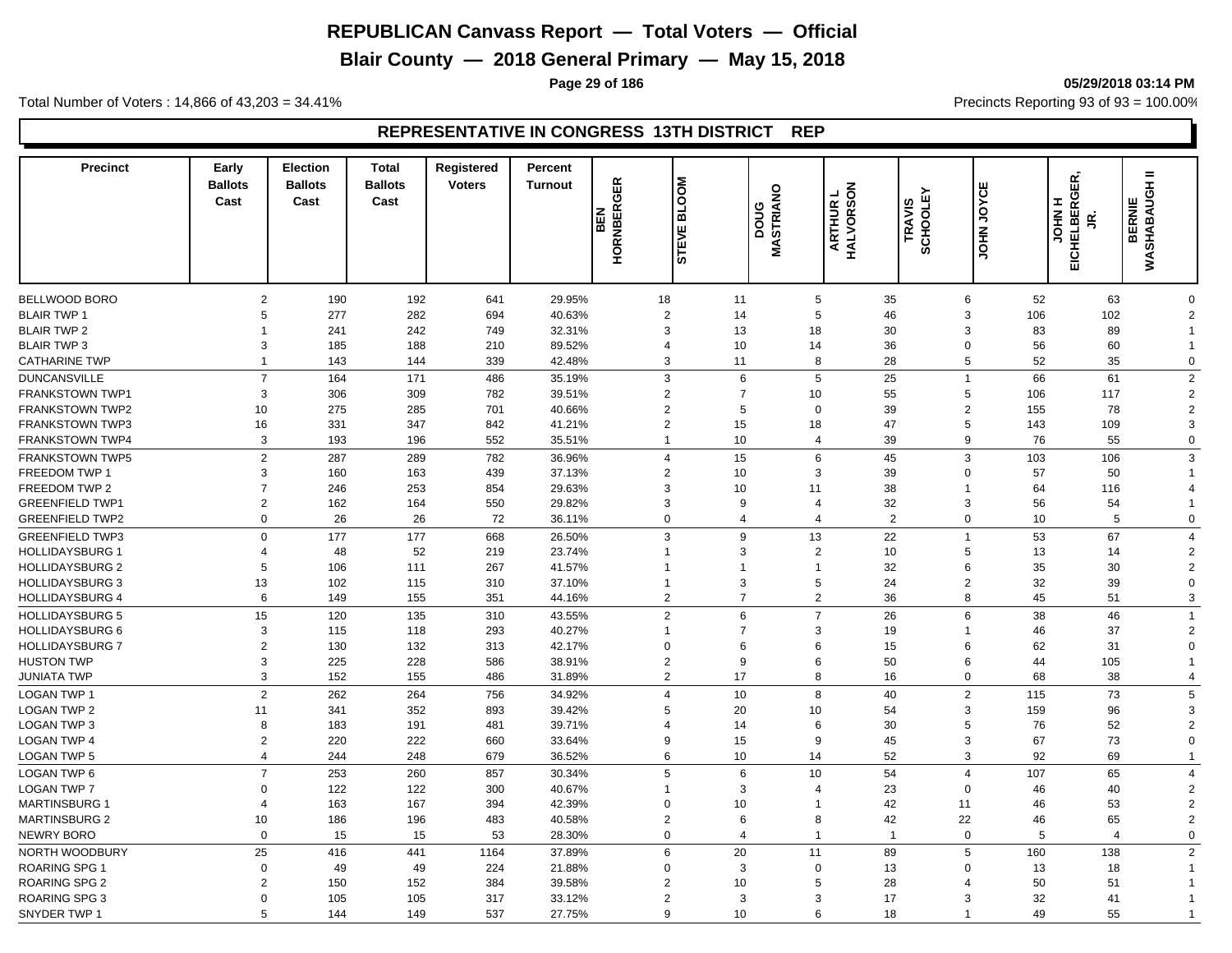**Blair County — 2018 General Primary — May 15, 2018**

**Page 29 of 186 05/29/2018 03:14 PM**

Total Number of Voters : 14,866 of 43,203 = 34.41% **Precincts Reporting 93 of 93** = 100.00%

## **REPRESENTATIVE IN CONGRESS 13TH DISTRICT REP**

| <b>Precinct</b>        | Early<br><b>Ballots</b><br>Cast | <b>Election</b><br><b>Ballots</b><br>Cast | <b>Total</b><br><b>Ballots</b><br>Cast | <b>Registered</b><br><b>Voters</b> | Percent<br><b>Turnout</b> | <b>HORNBERGER</b><br>BEN | MOO<br>긂<br>ш<br>。<br>5 | MASTRIANO<br>poug |                         | HALVORSON<br>┙<br><b>ARTHUR</b> | SCHOOLEY<br>TRAVIS | <b>JOHN JOYCE</b> | <b>JOHN H<br/>EICHELBERGER,</b><br>g | $=$<br>종<br><b>BERNIE</b><br>WASHABAU |
|------------------------|---------------------------------|-------------------------------------------|----------------------------------------|------------------------------------|---------------------------|--------------------------|-------------------------|-------------------|-------------------------|---------------------------------|--------------------|-------------------|--------------------------------------|---------------------------------------|
|                        |                                 |                                           |                                        |                                    |                           |                          |                         |                   |                         |                                 |                    |                   |                                      |                                       |
| <b>BELLWOOD BORO</b>   | $\overline{2}$                  | 190                                       | 192                                    | 641                                | 29.95%                    | 18                       |                         | 11                | 5                       | 35                              | 6                  | 52                | 63                                   | $\Omega$                              |
| <b>BLAIR TWP 1</b>     | 5                               | 277                                       | 282                                    | 694                                | 40.63%                    |                          | 2                       | 14                | 5                       | 46                              | 3                  | 106               | 102                                  | $\overline{2}$                        |
| <b>BLAIR TWP 2</b>     | 1                               | 241                                       | 242                                    | 749                                | 32.31%                    |                          | 3                       | 13                | 18                      | 30                              | 3                  | 83                | 89                                   |                                       |
| <b>BLAIR TWP 3</b>     | 3                               | 185                                       | 188                                    | 210                                | 89.52%                    |                          | $\overline{4}$          | 10                | 14                      | 36                              | $\mathbf 0$        | 56                | 60                                   |                                       |
| <b>CATHARINE TWP</b>   | $\mathbf{1}$                    | 143                                       | 144                                    | 339                                | 42.48%                    |                          | 3                       | 11                | 8                       | 28                              | 5                  | 52                | 35                                   | $\mathbf 0$                           |
| <b>DUNCANSVILLE</b>    | $\overline{7}$                  | 164                                       | 171                                    | 486                                | 35.19%                    |                          | 3                       | 6                 | 5                       | 25                              | $\overline{1}$     | 66                | 61                                   | $\overline{2}$                        |
| <b>FRANKSTOWN TWP1</b> | 3                               | 306                                       | 309                                    | 782                                | 39.51%                    |                          | $\overline{2}$          | $\overline{7}$    | 10                      | 55                              | 5                  | 106               | 117                                  | $\overline{2}$                        |
| <b>FRANKSTOWN TWP2</b> | 10                              | 275                                       | 285                                    | 701                                | 40.66%                    |                          | $\overline{2}$          | 5                 | $\mathbf 0$             | 39                              | $\overline{2}$     | 155               | 78                                   | $\overline{2}$                        |
| <b>FRANKSTOWN TWP3</b> | 16                              | 331                                       | 347                                    | 842                                | 41.21%                    |                          | $\overline{2}$          | 15                | 18                      | 47                              | 5                  | 143               | 109                                  | 3                                     |
| <b>FRANKSTOWN TWP4</b> | 3                               | 193                                       | 196                                    | 552                                | 35.51%                    |                          | $\mathbf{1}$            | 10                | 4                       | 39                              | 9                  | 76                | 55                                   | 0                                     |
| <b>FRANKSTOWN TWP5</b> | $\overline{2}$                  | 287                                       | 289                                    | 782                                | 36.96%                    |                          | $\overline{4}$          | 15                | 6                       | 45                              | 3                  | 103               | 106                                  | 3                                     |
| <b>FREEDOM TWP 1</b>   | 3                               | 160                                       | 163                                    | 439                                | 37.13%                    |                          | $\overline{2}$          | 10                | 3                       | 39                              | $\Omega$           | 57                | 50                                   |                                       |
| FREEDOM TWP 2          | $\overline{7}$                  | 246                                       | 253                                    | 854                                | 29.63%                    |                          | $\mathbf{3}$            | 10                | 11                      | 38                              |                    | 64                | 116                                  | 4                                     |
| <b>GREENFIELD TWP1</b> | $\overline{2}$                  | 162                                       | 164                                    | 550                                | 29.82%                    |                          | 3                       | 9                 | $\overline{4}$          | 32                              | 3                  | 56                | 54                                   |                                       |
| <b>GREENFIELD TWP2</b> | $\mathbf 0$                     | 26                                        | 26                                     | 72                                 | 36.11%                    |                          | $\mathbf 0$             | $\overline{4}$    | $\overline{4}$          | 2                               | $\mathbf 0$        | 10                | 5                                    | $\mathbf 0$                           |
| <b>GREENFIELD TWP3</b> | $\Omega$                        | 177                                       | 177                                    | 668                                | 26.50%                    |                          | 3                       | 9                 | 13                      | 22                              | $\overline{1}$     | 53                | 67                                   | $\overline{4}$                        |
| <b>HOLLIDAYSBURG 1</b> | $\overline{4}$                  | 48                                        | 52                                     | 219                                | 23.74%                    | $\mathbf{1}$             |                         | 3                 | $\overline{2}$          | 10                              | 5                  | 13                | 14                                   | $\overline{2}$                        |
| <b>HOLLIDAYSBURG 2</b> | 5                               | 106                                       | 111                                    | 267                                | 41.57%                    | $\mathbf{1}$             |                         | 1                 | $\mathbf 1$             | 32                              | 6                  | 35                | 30                                   | $\overline{2}$                        |
| <b>HOLLIDAYSBURG 3</b> | 13                              | 102                                       | 115                                    | 310                                | 37.10%                    | $\mathbf{1}$             |                         | 3                 | 5                       | 24                              | $\overline{2}$     | 32                | 39                                   | $\Omega$                              |
| <b>HOLLIDAYSBURG 4</b> | 6                               | 149                                       | 155                                    | 351                                | 44.16%                    |                          | 2                       | $\overline{7}$    | $\overline{2}$          | 36                              | 8                  | 45                | 51                                   | 3                                     |
| <b>HOLLIDAYSBURG 5</b> | 15                              | 120                                       | 135                                    | 310                                | 43.55%                    |                          | $\sqrt{2}$              | 6                 | $\overline{7}$          | 26                              | 6                  | 38                | 46                                   |                                       |
| <b>HOLLIDAYSBURG 6</b> | 3                               | 115                                       | 118                                    | 293                                | 40.27%                    | $\mathbf{1}$             |                         | 7                 | 3                       | 19                              |                    | 46                | 37                                   | $\overline{2}$                        |
| <b>HOLLIDAYSBURG 7</b> | $\overline{2}$                  | 130                                       | 132                                    | 313                                | 42.17%                    |                          | $\mathbf 0$             | 6                 | 6                       | 15                              | 6                  | 62                | 31                                   | $\Omega$                              |
| <b>HUSTON TWP</b>      | 3                               | 225                                       | 228                                    | 586                                | 38.91%                    |                          | $\overline{2}$          | 9                 | 6                       | 50                              | 6                  | 44                | 105                                  |                                       |
| <b>JUNIATA TWP</b>     | 3                               | 152                                       | 155                                    | 486                                | 31.89%                    |                          | 2                       | 17                | 8                       | 16                              | $\Omega$           | 68                | 38                                   | $\overline{4}$                        |
| <b>LOGAN TWP 1</b>     | $\overline{2}$                  | 262                                       | 264                                    | 756                                | 34.92%                    |                          | $\overline{4}$          | 10                | 8                       | 40                              | $\overline{2}$     | 115               | 73                                   | 5                                     |
| <b>LOGAN TWP 2</b>     | 11                              | 341                                       | 352                                    | 893                                | 39.42%                    |                          | 5                       | 20                | 10                      | 54                              | 3                  | 159               | 96                                   | 3                                     |
| <b>LOGAN TWP 3</b>     | 8                               | 183                                       | 191                                    | 481                                | 39.71%                    |                          | 4                       | 14                | 6                       | 30                              | 5                  | 76                | 52                                   | $\overline{2}$                        |
| <b>LOGAN TWP 4</b>     | $\overline{2}$                  | 220                                       | 222                                    | 660                                | 33.64%                    |                          | 9                       | 15                | 9                       | 45                              | 3                  | 67                | 73                                   | $\Omega$                              |
| <b>LOGAN TWP 5</b>     | $\overline{4}$                  | 244                                       | 248                                    | 679                                | 36.52%                    |                          | 6                       | 10                | 14                      | 52                              | 3                  | 92                | 69                                   |                                       |
|                        | $\overline{7}$                  | 253                                       | 260                                    | 857                                |                           |                          | 5                       | 6                 | 10                      | 54                              | $\overline{4}$     |                   | 65                                   | $\overline{4}$                        |
| LOGAN TWP 6            | $\Omega$                        |                                           |                                        |                                    | 30.34%                    | $\mathbf{1}$             |                         | 3                 |                         |                                 | $\Omega$           | 107               |                                      |                                       |
| LOGAN TWP 7            | $\overline{4}$                  | 122                                       | 122                                    | 300                                | 40.67%                    |                          | $\mathbf 0$             |                   | $\overline{4}$          | 23                              |                    | 46                | 40                                   | $\overline{2}$                        |
| <b>MARTINSBURG 1</b>   |                                 | 163                                       | 167                                    | 394                                | 42.39%                    |                          |                         | 10                | $\mathbf 1$             | 42                              | 11                 | 46                | 53                                   | $\overline{2}$<br>$\overline{2}$      |
| <b>MARTINSBURG 2</b>   | 10                              | 186                                       | 196                                    | 483                                | 40.58%                    |                          | $\sqrt{2}$              | 6                 | 8                       | 42                              | 22                 | 46                | 65                                   |                                       |
| <b>NEWRY BORO</b>      | $\Omega$                        | 15                                        | 15                                     | 53                                 | 28.30%                    |                          | $\mathbf 0$             | $\overline{4}$    | $\overline{\mathbf{1}}$ | $\mathbf{1}$                    | $\mathbf 0$        | 5                 | $\overline{4}$                       | $\mathbf 0$                           |
| NORTH WOODBURY         | 25                              | 416                                       | 441                                    | 1164                               | 37.89%                    |                          | 6                       | 20                | 11                      | 89                              | 5                  | 160               | 138                                  | $\overline{2}$                        |
| <b>ROARING SPG 1</b>   | $\mathbf 0$                     | 49                                        | 49                                     | 224                                | 21.88%                    |                          | $\mathbf 0$             | 3                 | $\mathbf 0$             | 13                              | $\mathbf 0$        | 13                | 18                                   |                                       |
| <b>ROARING SPG 2</b>   | $\overline{2}$                  | 150                                       | 152                                    | 384                                | 39.58%                    |                          | $\overline{2}$          | 10                | 5                       | 28                              |                    | 50                | 51                                   |                                       |
| <b>ROARING SPG 3</b>   | $\Omega$                        | 105                                       | 105                                    | 317                                | 33.12%                    |                          | $\overline{2}$          | 3                 | 3                       | 17                              | 3                  | 32                | 41                                   |                                       |
| SNYDER TWP 1           | 5                               | 144                                       | 149                                    | 537                                | 27.75%                    |                          | 9                       | 10                | 6                       | 18                              |                    | 49                | 55                                   |                                       |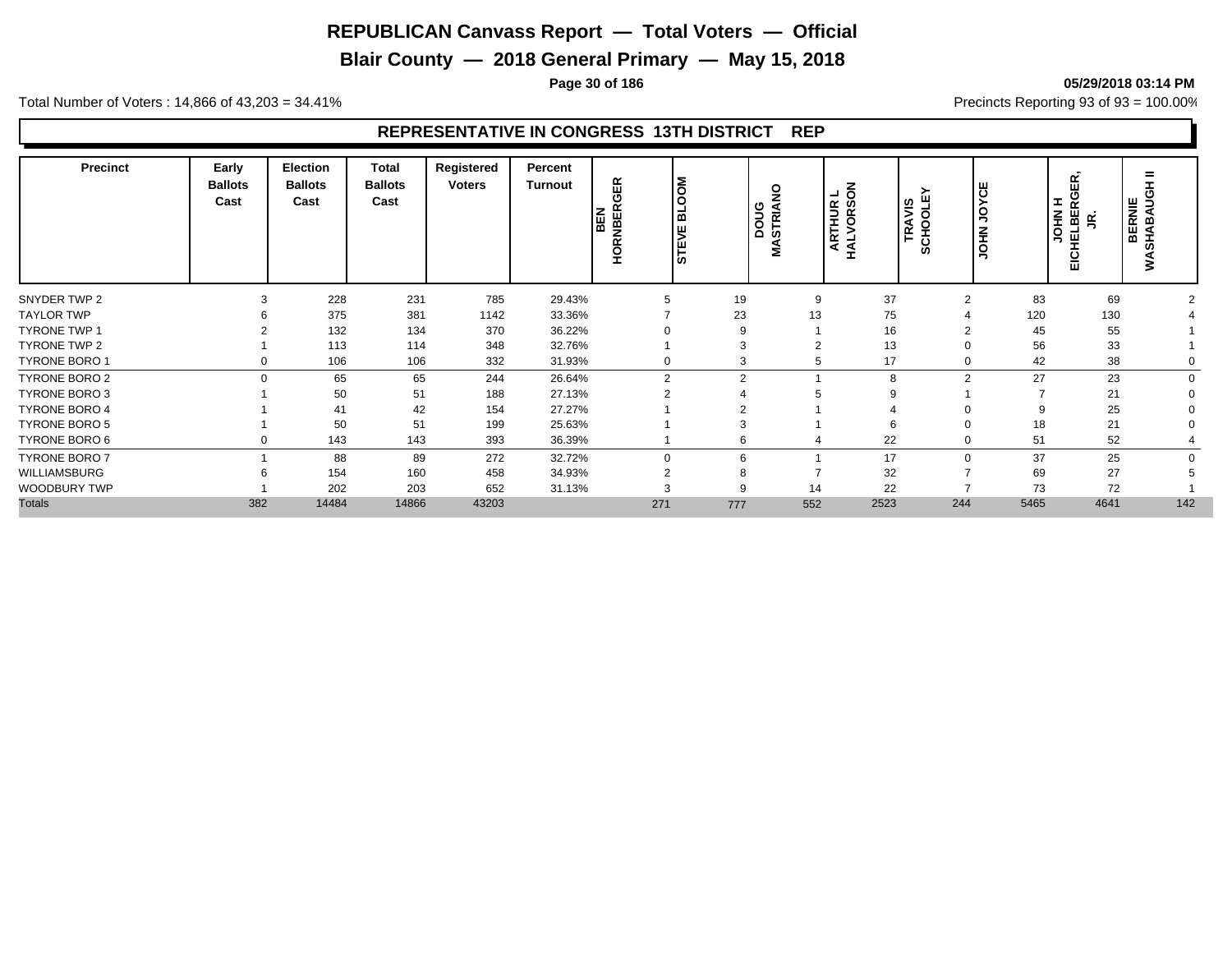**Blair County — 2018 General Primary — May 15, 2018**

**Page 30 of 186 05/29/2018 03:14 PM**

Total Number of Voters : 14,866 of 43,203 = 34.41% **Precincts Reporting 93 of 93** = 100.00%

## **REPRESENTATIVE IN CONGRESS 13TH DISTRICT REP**

| <b>Precinct</b>      | Early<br><b>Ballots</b><br>Cast | <b>Election</b><br><b>Ballots</b><br>Cast | <b>Total</b><br><b>Ballots</b><br>Cast | Registered<br><b>Voters</b> | Percent<br>Turnout | <b>HORNBERGER</b><br>BEN | <b>NOOTE</b><br><b>STEVE</b> | 9<br>poug<br>Ē<br>່ທ<br>Σ | $\overline{6}$<br>┙<br><b>ARTHUR<br/>IALVORSC</b><br>HAL | TRAVIS<br>SCHOOLEY | <b>JOYCE</b><br><b>JOHN</b> | œ<br>ш<br>ပ<br>I<br>œ<br><b>NHOL</b><br><b>HELBE</b><br>g<br>EICI | =<br><b>BERNIE</b><br>HABAUC<br>풊<br>⋧ |
|----------------------|---------------------------------|-------------------------------------------|----------------------------------------|-----------------------------|--------------------|--------------------------|------------------------------|---------------------------|----------------------------------------------------------|--------------------|-----------------------------|-------------------------------------------------------------------|----------------------------------------|
| SNYDER TWP 2         | 3                               | 228                                       | 231                                    | 785                         | 29.43%             | 5                        | 19                           | 9                         | 37                                                       | C                  | 83                          | 69                                                                |                                        |
| <b>TAYLOR TWP</b>    | 6                               | 375                                       | 381                                    | 1142                        | 33.36%             |                          | 23                           | 13                        | 75                                                       |                    | 120                         | 130                                                               |                                        |
| <b>TYRONE TWP 1</b>  |                                 | 132                                       | 134                                    | 370                         | 36.22%             |                          | 9                            |                           | 16                                                       |                    | 45                          | 55                                                                |                                        |
| <b>TYRONE TWP 2</b>  |                                 | 113                                       | 114                                    | 348                         | 32.76%             |                          | 3                            | ◠                         | 13                                                       |                    | 56                          | 33                                                                |                                        |
| <b>TYRONE BORO 1</b> | 0                               | 106                                       | 106                                    | 332                         | 31.93%             | 0                        | 3                            | 5                         | 17                                                       |                    | 42                          | 38                                                                |                                        |
| <b>TYRONE BORO 2</b> | $\Omega$                        | 65                                        | 65                                     | 244                         | 26.64%             | $\overline{2}$           | $\overline{2}$               |                           | 8                                                        | $\sim$             | 27                          | 23                                                                | $\Omega$                               |
| <b>TYRONE BORO 3</b> |                                 | 50                                        | 51                                     | 188                         | 27.13%             | $\Omega$                 |                              |                           |                                                          |                    |                             | 21                                                                |                                        |
| <b>TYRONE BORO 4</b> |                                 | 41                                        | 42                                     | 154                         | 27.27%             |                          |                              |                           |                                                          |                    |                             | 25                                                                |                                        |
| <b>TYRONE BORO 5</b> |                                 | 50                                        | 51                                     | 199                         | 25.63%             |                          |                              |                           |                                                          |                    | 18                          | 21                                                                |                                        |
| TYRONE BORO 6        | 0                               | 143                                       | 143                                    | 393                         | 36.39%             |                          | 6                            | 4                         | 22                                                       |                    | 51                          | 52                                                                |                                        |
| <b>TYRONE BORO 7</b> |                                 | 88                                        | 89                                     | 272                         | 32.72%             | $\Omega$                 | 6                            |                           | 17                                                       |                    | 37                          | 25                                                                | $\Omega$                               |
| WILLIAMSBURG         |                                 | 154                                       | 160                                    | 458                         | 34.93%             | $\overline{2}$           |                              |                           | 32                                                       |                    | 69                          | 27                                                                |                                        |
| WOODBURY TWP         |                                 | 202                                       | 203                                    | 652                         | 31.13%             |                          |                              | 14                        | 22                                                       |                    | 73                          | 72                                                                |                                        |
| <b>Totals</b>        | 382                             | 14484                                     | 14866                                  | 43203                       |                    | 271                      | 777                          | 552                       | 2523                                                     | 244                | 5465                        | 4641                                                              | 142                                    |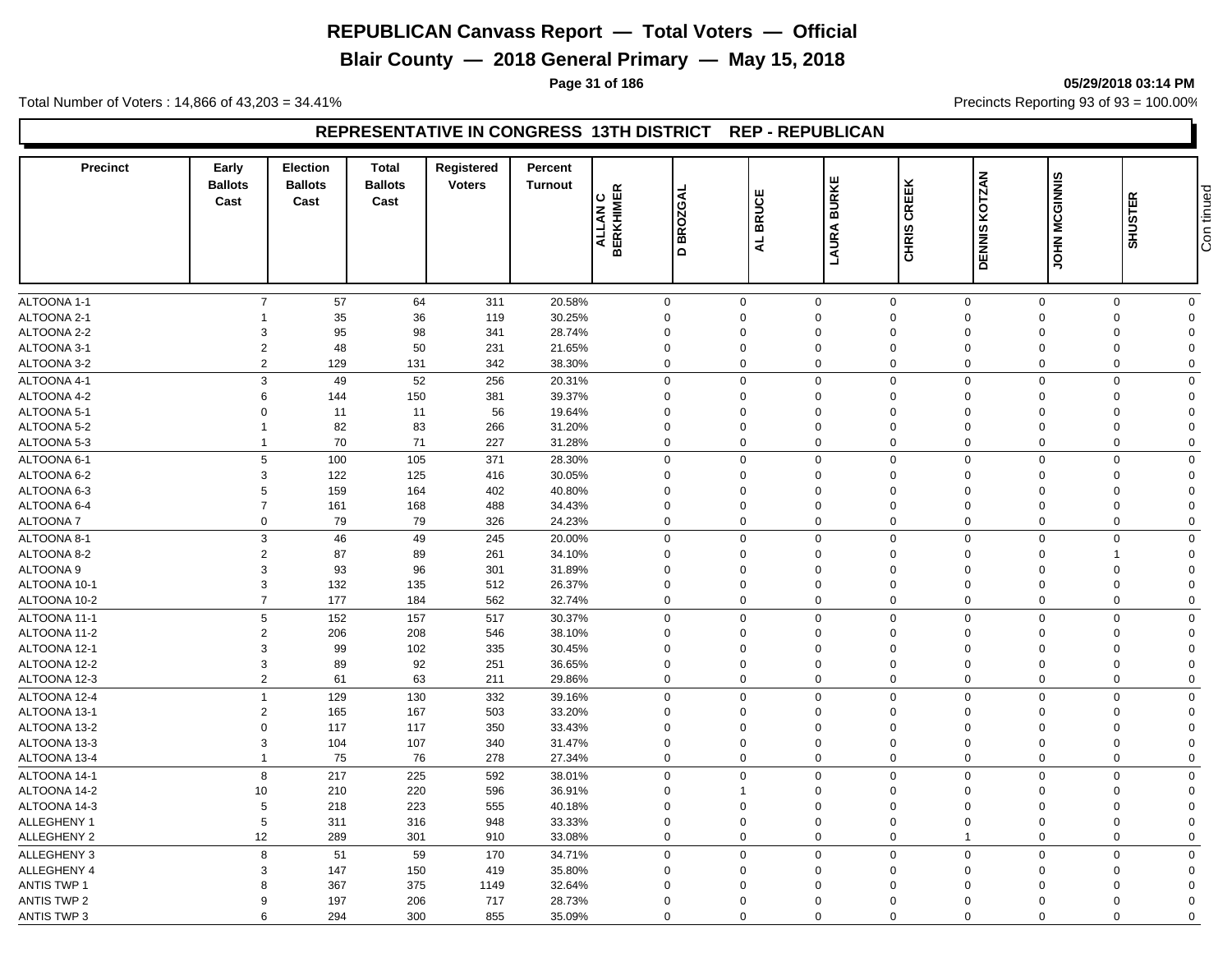**Blair County — 2018 General Primary — May 15, 2018**

**Page 31 of 186 05/29/2018 03:14 PM**

Total Number of Voters : 14,866 of 43,203 = 34.41% **Precincts Reporting 93 of 93** = 100.00%

#### **REPRESENTATIVE IN CONGRESS 13TH DISTRICT REP - REPUBLICAN**

| <b>Precinct</b>    | Early<br><b>Ballots</b><br>Cast | <b>Election</b><br><b>Ballots</b><br>Cast | <b>Total</b><br><b>Ballots</b><br>Cast | Registered<br><b>Voters</b> | Percent<br><b>Turnout</b> | <b>ALLAN C<br/>BERKHIMER</b> | ₹<br>02G<br>$\alpha$<br>ᄒ<br>$\Omega$ | <b>BRUCE</b><br>$\overline{4}$ | <b>BURKE</b><br>LAURA | CREEK<br><b>CHRIS</b>      | <b>DENNIS KOTZAN</b> | <b>JOHN MCGINNIS</b> | <b>SHUSTER</b> | Con tinued |
|--------------------|---------------------------------|-------------------------------------------|----------------------------------------|-----------------------------|---------------------------|------------------------------|---------------------------------------|--------------------------------|-----------------------|----------------------------|----------------------|----------------------|----------------|------------|
|                    |                                 |                                           |                                        |                             |                           |                              |                                       |                                |                       |                            |                      |                      |                |            |
| ALTOONA 1-1        | $\overline{7}$                  | 57                                        | 64                                     | 311                         | 20.58%                    | $\mathbf 0$                  | $\mathbf 0$                           |                                | $\mathbf 0$           | $\mathbf 0$<br>$\mathbf 0$ | $\mathbf 0$          | $\mathbf 0$          | $\mathbf 0$    |            |
| ALTOONA 2-1        | 1                               | 35                                        | 36                                     | 119                         | 30.25%                    | $\mathbf 0$                  | $\Omega$                              | $\Omega$                       |                       | $\Omega$<br>$\Omega$       | $\mathbf 0$          | $\mathbf 0$          | $\Omega$       |            |
| ALTOONA 2-2        | 3                               | 95                                        | 98                                     | 341                         | 28.74%                    | $\mathbf 0$                  | $\Omega$                              | $\Omega$                       |                       | $\Omega$<br>$\Omega$       | $\Omega$             | $\Omega$             | $\Omega$       |            |
| ALTOONA 3-1        | $\overline{2}$                  | 48                                        | 50                                     | 231                         | 21.65%                    | $\mathbf 0$                  | $\Omega$                              | $\Omega$                       |                       | $\mathbf 0$<br>$\Omega$    | $\Omega$             | $\mathbf 0$          | $\Omega$       |            |
| ALTOONA 3-2        | $\overline{2}$                  | 129                                       | 131                                    | 342                         | 38.30%                    | $\mathbf 0$                  | $\Omega$                              |                                | $\mathbf 0$           | $\mathbf 0$<br>$\Omega$    | $\mathbf 0$          | $\mathbf 0$          | $\Omega$       |            |
| ALTOONA 4-1        | 3                               | 49                                        | 52                                     | 256                         | 20.31%                    | $\mathbf 0$                  | $\Omega$                              |                                | $\mathbf 0$           | $\mathbf 0$<br>$\Omega$    | $\Omega$             | $\mathbf 0$          | $\Omega$       |            |
| ALTOONA 4-2        | 6                               | 144                                       | 150                                    | 381                         | 39.37%                    | $\mathbf 0$                  | $\Omega$                              |                                | 0                     | $\mathbf 0$<br>$\mathbf 0$ | $\mathbf 0$          | 0                    | $\Omega$       |            |
| ALTOONA 5-1        | $\Omega$                        | 11                                        | 11                                     | 56                          | 19.64%                    | $\mathbf 0$                  | $\Omega$                              | $\Omega$                       |                       | $\Omega$<br>$\Omega$       | $\Omega$             | $\mathbf 0$          | $\Omega$       |            |
| ALTOONA 5-2        | -1                              | 82                                        | 83                                     | 266                         | 31.20%                    | $\mathbf 0$                  | $\Omega$                              | 0                              |                       | $\mathbf 0$<br>$\Omega$    | $\Omega$             | $\mathbf 0$          | $\Omega$       |            |
| ALTOONA 5-3        | $\mathbf{1}$                    | 70                                        | 71                                     | 227                         | 31.28%                    | $\mathbf 0$                  | $\Omega$                              |                                | 0                     | $\mathbf 0$<br>$\Omega$    | $\mathbf 0$          | $\mathbf 0$          | $\Omega$       |            |
| ALTOONA 6-1        | 5                               | 100                                       | 105                                    | 371                         | 28.30%                    | $\mathbf 0$                  | $\Omega$                              |                                | $\mathbf 0$           | $\mathsf 0$<br>$\mathbf 0$ | $\mathbf 0$          | $\mathbf 0$          | $\Omega$       |            |
| ALTOONA 6-2        | 3                               | 122                                       | 125                                    | 416                         | 30.05%                    | $\mathbf 0$                  | $\mathbf 0$                           | $\mathbf 0$                    |                       | $\mathbf 0$<br>$\mathbf 0$ | $\mathbf 0$          | $\mathbf 0$          | $\Omega$       |            |
| ALTOONA 6-3        | 5                               | 159                                       | 164                                    | 402                         | 40.80%                    | $\mathbf 0$                  | $\Omega$                              | $\mathbf 0$                    |                       | $\Omega$<br>$\Omega$       | $\Omega$             | 0                    | $\Omega$       |            |
| ALTOONA 6-4        | $\overline{7}$                  | 161                                       | 168                                    | 488                         | 34.43%                    | $\mathbf 0$                  | $\mathbf 0$                           | $\mathbf 0$                    |                       | $\mathbf 0$<br>$\mathbf 0$ | $\mathbf 0$          | $\mathbf 0$          | $\Omega$       |            |
| <b>ALTOONA7</b>    | 0                               | 79                                        | 79                                     | 326                         | 24.23%                    | $\mathbf 0$                  | $\mathbf 0$                           |                                | 0                     | $\mathbf 0$<br>$\mathbf 0$ | $\mathbf 0$          | $\mathbf 0$          | $\Omega$       |            |
| ALTOONA 8-1        | 3                               | 46                                        | 49                                     | 245                         | 20.00%                    | $\mathbf 0$                  | $\Omega$                              |                                | $\mathbf 0$           | $\mathbf 0$<br>$\mathbf 0$ | $\mathbf 0$          | $\mathbf 0$          | $\mathbf 0$    |            |
| ALTOONA 8-2        | $\overline{2}$                  | 87                                        | 89                                     | 261                         | 34.10%                    | $\mathbf 0$                  | 0                                     | $\mathbf 0$                    |                       | $\mathbf 0$<br>$\mathbf 0$ | $\mathbf 0$          | $\overline{1}$       | $\Omega$       |            |
| ALTOONA 9          | 3                               | 93                                        | 96                                     | 301                         | 31.89%                    | $\mathbf 0$                  | $\Omega$                              | $\Omega$                       |                       | $\Omega$<br>$\Omega$       | $\Omega$             | 0                    | $\Omega$       |            |
| ALTOONA 10-1       | 3                               | 132                                       | 135                                    | 512                         | 26.37%                    | $\mathbf 0$                  | $\Omega$                              | $\mathbf 0$                    |                       | $\mathbf 0$<br>$\Omega$    | $\Omega$             | $\mathbf 0$          | $\Omega$       |            |
| ALTOONA 10-2       | $\overline{7}$                  | 177                                       | 184                                    | 562                         | 32.74%                    | $\mathbf 0$                  | $\Omega$                              |                                | $\mathbf 0$           | $\Omega$<br>$\Omega$       | $\mathbf 0$          | $\mathbf 0$          | $\Omega$       |            |
| ALTOONA 11-1       | 5                               | 152                                       | 157                                    | 517                         | 30.37%                    | $\mathbf 0$                  | $\Omega$                              |                                | $\mathbf 0$           | $\mathbf 0$<br>$\mathbf 0$ | $\mathbf 0$          | $\mathbf 0$          | $\mathbf 0$    |            |
| ALTOONA 11-2       | $\overline{2}$                  | 206                                       | 208                                    | 546                         | 38.10%                    | $\mathbf 0$                  | $\Omega$                              | $\Omega$                       |                       | $\mathbf 0$<br>$\Omega$    | $\Omega$             | 0                    | $\Omega$       |            |
| ALTOONA 12-1       | 3                               | 99                                        | 102                                    | 335                         | 30.45%                    | $\mathbf 0$                  | $\Omega$                              | 0                              |                       | $\Omega$<br>$\Omega$       | $\Omega$             | 0                    | $\Omega$       |            |
| ALTOONA 12-2       | 3                               | 89                                        |                                        |                             |                           | $\mathbf 0$                  | $\overline{0}$                        | $\mathbf 0$                    |                       | $\mathbf 0$<br>$\mathbf 0$ | $\mathbf 0$          | $\mathbf 0$          | $\Omega$       |            |
| ALTOONA 12-3       | $\overline{2}$                  | 61                                        | 92<br>63                               | 251<br>211                  | 36.65%<br>29.86%          | $\mathbf 0$                  | $\overline{0}$                        |                                | 0                     | $\mathbf 0$<br>$\mathbf 0$ | $\mathbf 0$          | 0                    | $\mathbf 0$    |            |
|                    |                                 |                                           |                                        |                             |                           |                              |                                       |                                |                       |                            |                      |                      |                |            |
| ALTOONA 12-4       | $\mathbf{1}$                    | 129                                       | 130                                    | 332                         | 39.16%                    | $\mathbf 0$                  | $\Omega$                              |                                | $\mathbf 0$           | $\mathbf 0$<br>$\Omega$    | $\Omega$             | $\mathbf 0$          | $\mathbf 0$    |            |
| ALTOONA 13-1       | $\sqrt{2}$                      | 165                                       | 167                                    | 503                         | 33.20%                    | $\mathbf 0$                  | $\Omega$                              | $\Omega$                       |                       | $\Omega$<br>$\Omega$       | $\Omega$             | $\mathbf 0$          | $\Omega$       |            |
| ALTOONA 13-2       | $\Omega$                        | 117                                       | 117                                    | 350                         | 33.43%                    | $\mathbf 0$                  | $\Omega$                              | $\Omega$                       |                       | $\Omega$<br>$\Omega$       | $\Omega$             | $\mathbf 0$          | $\Omega$       |            |
| ALTOONA 13-3       | 3                               | 104                                       | 107                                    | 340                         | 31.47%                    | $\mathbf 0$                  | $\mathbf 0$                           |                                | 0                     | $\mathbf 0$<br>$\mathbf 0$ | $\mathbf 0$          | $\mathbf 0$          | $\Omega$       |            |
| ALTOONA 13-4       | $\mathbf{1}$                    | 75                                        | 76                                     | 278                         | 27.34%                    | $\mathbf 0$                  | $\mathbf 0$                           |                                | 0                     | $\mathbf 0$<br>$\mathbf 0$ | $\mathbf 0$          | $\mathbf 0$          | $\mathbf 0$    |            |
| ALTOONA 14-1       | 8                               | 217                                       | 225                                    | 592                         | 38.01%                    | $\mathbf 0$                  | $\Omega$                              |                                | $\mathbf 0$           | $\mathbf 0$<br>$\mathbf 0$ | $\mathbf 0$          | $\mathbf 0$          | $\mathbf 0$    |            |
| ALTOONA 14-2       | 10                              | 210                                       | 220                                    | 596                         | 36.91%                    | $\mathbf 0$                  | 1                                     | $\Omega$                       |                       | $\Omega$<br>$\Omega$       | $\Omega$             | 0                    | $\Omega$       |            |
| ALTOONA 14-3       | 5                               | 218                                       | 223                                    | 555                         | 40.18%                    | $\mathbf 0$                  | 0                                     | $\Omega$                       |                       | $\Omega$<br>$\Omega$       | $\Omega$             | $\mathbf 0$          | $\Omega$       |            |
| ALLEGHENY 1        | 5                               | 311                                       | 316                                    | 948                         | 33.33%                    | $\mathbf 0$                  | $\Omega$                              | $\Omega$                       |                       | $\Omega$<br>$\Omega$       | $\Omega$             | $\mathbf 0$          | $\Omega$       |            |
| ALLEGHENY 2        | 12                              | 289                                       | 301                                    | 910                         | 33.08%                    | $\mathbf 0$                  | $\Omega$                              |                                | $\mathbf 0$           | $\mathbf 0$                | $\mathbf 0$          | $\mathbf 0$          | $\Omega$       |            |
| ALLEGHENY 3        | 8                               | 51                                        | 59                                     | 170                         | 34.71%                    | $\mathbf 0$                  | $\mathbf 0$                           |                                | $\mathbf 0$           | $\mathbf 0$<br>$\mathbf 0$ | $\mathbf 0$          | $\mathbf 0$          | $\Omega$       |            |
| <b>ALLEGHENY 4</b> | 3                               | 147                                       | 150                                    | 419                         | 35.80%                    | $\mathbf 0$                  | $\Omega$                              |                                | $\mathbf 0$           | $\mathbf 0$<br>$\Omega$    | $\Omega$             | $\mathbf 0$          | $\Omega$       |            |
| <b>ANTIS TWP 1</b> | 8                               | 367                                       | 375                                    | 1149                        | 32.64%                    | $\mathbf 0$                  | $\Omega$                              | 0                              |                       | $\Omega$<br>$\Omega$       | $\Omega$             | 0                    | $\Omega$       |            |
| <b>ANTIS TWP 2</b> | 9                               | 197                                       | 206                                    | 717                         | 28.73%                    | $\mathbf 0$                  | $\Omega$                              | $\mathbf 0$                    |                       | $\Omega$<br>$\Omega$       | $\Omega$             | $\mathbf 0$          | $\Omega$       |            |
| <b>ANTIS TWP 3</b> | 6                               | 294                                       | 300                                    | 855                         | 35.09%                    | $\Omega$                     | $\Omega$                              |                                | $\Omega$              | $\Omega$<br>$\Omega$       | $\Omega$             | $\Omega$             | $\Omega$       |            |

Con tinued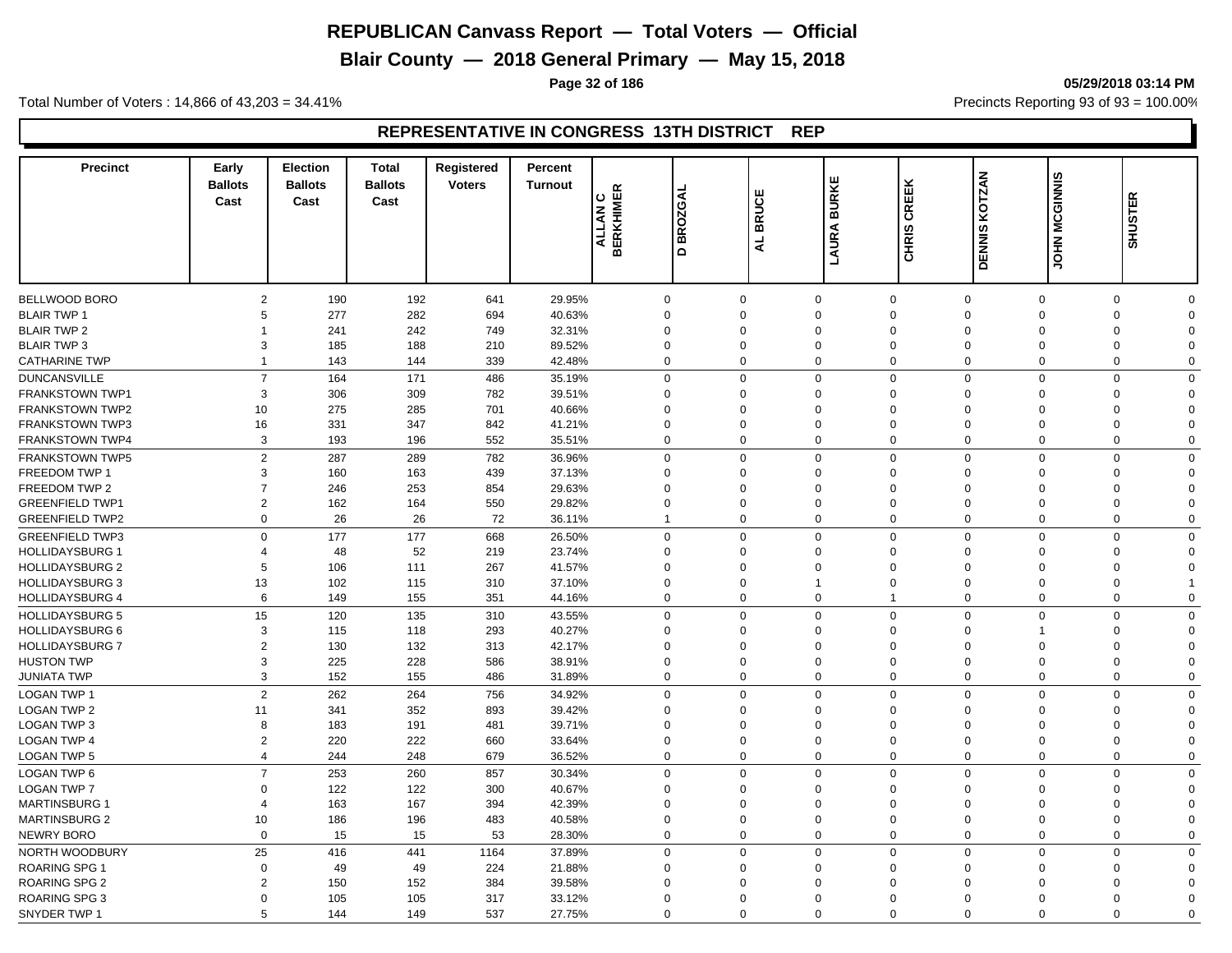**Blair County — 2018 General Primary — May 15, 2018**

**Page 32 of 186 05/29/2018 03:14 PM**

Total Number of Voters : 14,866 of 43,203 = 34.41% **Precincts Reporting 93 of 93** = 100.00%

## **REPRESENTATIVE IN CONGRESS 13TH DISTRICT REP**

| <b>Precinct</b>        | Early<br><b>Ballots</b><br>Cast | <b>Election</b><br><b>Ballots</b><br>Cast | <b>Total</b><br><b>Ballots</b><br>Cast | Registered<br><b>Voters</b> | Percent<br><b>Turnout</b> | <b>ALLAN C<br/>ALLAN C</b> | ৰ<br>BROZG<br>٥ | <b>BRUCE</b><br>$\overline{a}$ | <b>BURKE</b><br>LAURA | CREEK<br><b>CHRIS</b>       | <b>KOTZAN</b><br><b>DENNIS</b> | JOHN MCGINNIS | œ<br><b>SHUSTE</b> |  |
|------------------------|---------------------------------|-------------------------------------------|----------------------------------------|-----------------------------|---------------------------|----------------------------|-----------------|--------------------------------|-----------------------|-----------------------------|--------------------------------|---------------|--------------------|--|
|                        |                                 |                                           |                                        |                             |                           |                            |                 |                                |                       |                             |                                |               |                    |  |
| <b>BELLWOOD BORO</b>   | 2                               | 190                                       | 192                                    | 641                         | 29.95%                    | $\mathbf 0$                | $\mathbf 0$     |                                | $\mathbf 0$           | $\mathbf 0$<br>$\mathbf 0$  | $\Omega$                       | $\mathbf 0$   | $\Omega$           |  |
| <b>BLAIR TWP 1</b>     | 5                               | 277                                       | 282                                    | 694                         | 40.63%                    | $\mathbf 0$                | $\Omega$        |                                | $\Omega$              | $\mathbf 0$<br>$\Omega$     | $\overline{0}$                 | $\mathbf 0$   | $\Omega$           |  |
| <b>BLAIR TWP 2</b>     | $\overline{1}$                  | 241                                       | 242                                    | 749                         | 32.31%                    | $\mathbf 0$                | $\Omega$        | $\Omega$                       |                       | $\mathbf 0$<br>$\Omega$     | $\Omega$                       | $\mathbf 0$   | $\Omega$           |  |
| <b>BLAIR TWP 3</b>     | 3                               | 185                                       | 188                                    | 210                         | 89.52%                    | $\mathbf 0$                | $\mathbf 0$     |                                | $\mathbf 0$           | $\mathbf 0$<br>$\Omega$     | $\mathbf 0$                    | 0             | $\Omega$           |  |
| <b>CATHARINE TWP</b>   | $\overline{1}$                  | 143                                       | 144                                    | 339                         | 42.48%                    | $\mathbf 0$                | $\Omega$        |                                | $\Omega$              | $\mathbf 0$<br>$\Omega$     | $\Omega$                       | $\mathbf 0$   | $\Omega$           |  |
| <b>DUNCANSVILLE</b>    | $\overline{7}$                  | 164                                       | 171                                    | 486                         | 35.19%                    | $\mathbf 0$                | $\mathbf 0$     |                                | $\mathbf 0$           | $\mathbf 0$<br>$\mathbf 0$  | $\mathbf 0$                    | $\mathbf 0$   | $\Omega$           |  |
| <b>FRANKSTOWN TWP1</b> | 3                               | 306                                       | 309                                    | 782                         | 39.51%                    | $\mathbf 0$                | $\Omega$        | $\Omega$                       |                       | $\mathbf 0$<br>$\Omega$     | $\Omega$                       | $\mathbf 0$   | $\Omega$           |  |
| <b>FRANKSTOWN TWP2</b> | 10                              | 275                                       | 285                                    | 701                         | 40.66%                    | $\mathbf 0$                | $\Omega$        | $\Omega$                       |                       | $\mathbf 0$<br>$\Omega$     | $\Omega$                       | 0             | $\Omega$           |  |
| <b>FRANKSTOWN TWP3</b> | 16                              | 331                                       | 347                                    | 842                         | 41.21%                    | $\Omega$                   | $\Omega$        | $\Omega$                       |                       | $\mathbf 0$<br>$\Omega$     | $\Omega$                       | $\Omega$      | $\Omega$           |  |
| <b>FRANKSTOWN TWP4</b> | $\mathbf{3}$                    | 193                                       | 196                                    | 552                         | 35.51%                    | $\mathbf 0$                | $\Omega$        |                                | $\mathbf 0$           | $\mathbf 0$<br>$\Omega$     | $\overline{0}$                 | $\mathbf 0$   | $\Omega$           |  |
| <b>FRANKSTOWN TWP5</b> | $\overline{2}$                  | 287                                       | 289                                    | 782                         | 36.96%                    | $\mathbf 0$                | $\mathbf 0$     |                                | 0                     | $\mathbf 0$<br>$\mathbf 0$  | $\mathbf 0$                    | $\mathbf 0$   | $\Omega$           |  |
| FREEDOM TWP 1          | 3                               | 160                                       | 163                                    | 439                         | 37.13%                    | $\mathbf 0$                | $\Omega$        |                                | $\Omega$              | $\mathbf 0$<br>$\mathbf 0$  | $\Omega$                       | $\mathbf 0$   | $\Omega$           |  |
| FREEDOM TWP 2          | $\overline{7}$                  | 246                                       | 253                                    | 854                         | 29.63%                    | $\mathbf 0$                | $\mathbf 0$     |                                | $\mathbf 0$           | $\mathbf 0$<br>$\Omega$     | $\mathbf 0$                    | $\mathbf 0$   | $\Omega$           |  |
| <b>GREENFIELD TWP1</b> | $\overline{2}$                  | 162                                       | 164                                    | 550                         | 29.82%                    | $\mathbf 0$                | $\mathbf 0$     |                                | $\Omega$              | $\mathbf 0$<br>$\mathbf 0$  | $\Omega$                       | 0             | $\Omega$           |  |
| <b>GREENFIELD TWP2</b> | $\mathbf 0$                     | 26                                        | 26                                     | 72                          | 36.11%                    | $\mathbf{1}$               | $\mathbf 0$     |                                | 0                     | $\mathbf 0$<br>$\mathbf 0$  | $\mathbf 0$                    | $\mathbf 0$   | $\Omega$           |  |
| <b>GREENFIELD TWP3</b> | $\mathbf 0$                     | 177                                       | 177                                    | 668                         | 26.50%                    | $\mathbf 0$                | $\mathbf 0$     |                                | $\Omega$              | $\mathbf 0$<br>$\mathbf 0$  | $\Omega$                       | $\mathbf 0$   | $\Omega$           |  |
| <b>HOLLIDAYSBURG 1</b> | $\overline{4}$                  | 48                                        | 52                                     | 219                         | 23.74%                    | 0                          | $\Omega$        | $\Omega$                       |                       | $\mathbf 0$<br>$\Omega$     | $\Omega$                       | 0             | $\Omega$           |  |
| <b>HOLLIDAYSBURG 2</b> | 5                               | 106                                       | 111                                    | 267                         | 41.57%                    | $\mathbf 0$                | $\Omega$        | $\Omega$                       |                       | $\mathbf 0$<br>$\Omega$     | $\Omega$                       | 0             | $\Omega$           |  |
| <b>HOLLIDAYSBURG 3</b> | 13                              | 102                                       | 115                                    | 310                         | 37.10%                    | 0                          | $\Omega$        | $\mathbf{1}$                   |                       | $\mathbf 0$<br>$\Omega$     | $\Omega$                       | $\mathbf 0$   |                    |  |
| <b>HOLLIDAYSBURG 4</b> | 6                               | 149                                       | 155                                    | 351                         | 44.16%                    | $\mathbf 0$                | $\Omega$        |                                | $\Omega$              | $\mathbf{1}$<br>$\mathbf 0$ | $\Omega$                       | $\mathbf 0$   | $\mathbf 0$        |  |
| <b>HOLLIDAYSBURG 5</b> | 15                              | 120                                       | 135                                    |                             | 43.55%                    | $\mathbf 0$                | $\Omega$        |                                | $\mathbf 0$           | $\mathbf{0}$<br>$\mathbf 0$ | $\mathbf 0$                    | $\mathbf 0$   | $\Omega$           |  |
| <b>HOLLIDAYSBURG 6</b> | 3                               | 115                                       | 118                                    | 310<br>293                  | 40.27%                    | $\mathbf 0$                | $\mathbf 0$     |                                | $\mathbf 0$           | $\mathbf 0$<br>$\Omega$     | 1                              | 0             | $\Omega$           |  |
|                        | $\overline{2}$                  |                                           |                                        |                             |                           | $\mathbf 0$                | $\Omega$        | $\Omega$                       |                       | $\mathbf 0$<br>$\Omega$     | $\Omega$                       |               | $\Omega$           |  |
| <b>HOLLIDAYSBURG 7</b> | 3                               | 130                                       | 132                                    | 313                         | 42.17%                    |                            | $\Omega$        |                                | $\mathbf 0$           | $\Omega$                    | $\overline{0}$                 | $\mathbf 0$   | $\Omega$           |  |
| <b>HUSTON TWP</b>      |                                 | 225                                       | 228                                    | 586                         | 38.91%                    | $\mathbf 0$                |                 |                                |                       | $\mathbf 0$                 |                                | $\mathbf 0$   |                    |  |
| <b>JUNIATA TWP</b>     | 3                               | 152                                       | 155                                    | 486                         | 31.89%                    | $\mathbf 0$                | $\Omega$        |                                | $\mathbf 0$           | $\mathbf 0$<br>$\Omega$     | $\Omega$                       | $\mathbf 0$   | $\Omega$           |  |
| <b>LOGAN TWP 1</b>     | 2                               | 262                                       | 264                                    | 756                         | 34.92%                    | $\mathbf 0$                | $\mathbf 0$     |                                | $\Omega$              | $\mathbf 0$<br>$\mathbf 0$  | $\Omega$                       | $\mathbf 0$   | $\Omega$           |  |
| <b>LOGAN TWP 2</b>     | 11                              | 341                                       | 352                                    | 893                         | 39.42%                    | $\mathbf 0$                | $\Omega$        |                                | $\Omega$              | $\mathbf 0$<br>$\mathbf 0$  | $\Omega$                       | 0             | $\Omega$           |  |
| LOGAN TWP 3            | 8                               | 183                                       | 191                                    | 481                         | 39.71%                    | $\mathbf 0$                | $\Omega$        | $\Omega$                       |                       | $\mathbf 0$<br>$\Omega$     | $\Omega$                       | $\mathbf 0$   | $\Omega$           |  |
| <b>LOGAN TWP 4</b>     | $\overline{2}$                  | 220                                       | 222                                    | 660                         | 33.64%                    | $\mathbf 0$                | $\Omega$        |                                | $\Omega$              | $\mathbf 0$<br>$\mathbf 0$  | $\Omega$                       | $\mathbf 0$   | $\Omega$           |  |
| <b>LOGAN TWP 5</b>     | $\overline{4}$                  | 244                                       | 248                                    | 679                         | 36.52%                    | $\mathbf 0$                | $\Omega$        |                                | $\Omega$              | $\mathbf 0$<br>$\Omega$     | $\mathbf 0$                    | $\mathbf 0$   | $\Omega$           |  |
| <b>LOGAN TWP 6</b>     | $\overline{7}$                  | 253                                       | 260                                    | 857                         | 30.34%                    | $\mathbf 0$                | $\Omega$        |                                | $\Omega$              | $\mathbf 0$<br>$\Omega$     | $\mathbf 0$                    | $\mathbf 0$   | $\Omega$           |  |
| <b>LOGAN TWP 7</b>     | $\Omega$                        | 122                                       | 122                                    | 300                         | 40.67%                    | $\mathbf 0$                | $\Omega$        |                                | $\Omega$              | $\mathbf 0$<br>$\Omega$     | $\Omega$                       | 0             | $\Omega$           |  |
| <b>MARTINSBURG 1</b>   | $\overline{4}$                  | 163                                       | 167                                    | 394                         | 42.39%                    | $\mathbf 0$                | $\mathbf 0$     |                                | $\mathbf 0$           | $\mathbf 0$<br>$\mathbf 0$  | $\overline{0}$                 | $\mathbf 0$   | $\Omega$           |  |
| <b>MARTINSBURG 2</b>   | 10                              | 186                                       | 196                                    | 483                         | 40.58%                    | $\mathbf 0$                | $\Omega$        |                                | $\mathbf 0$           | $\mathbf 0$<br>$\mathbf 0$  | $\overline{0}$                 | 0             | $\Omega$           |  |
| <b>NEWRY BORO</b>      | $\mathbf 0$                     | 15                                        | 15                                     | 53                          | 28.30%                    | $\mathbf 0$                | $\mathbf 0$     |                                | $\mathbf 0$           | $\mathbf 0$<br>$\mathbf 0$  | $\mathbf 0$                    | $\mathbf 0$   | $\Omega$           |  |
| NORTH WOODBURY         | 25                              | 416                                       | 441                                    | 1164                        | 37.89%                    | $\mathbf 0$                | $\Omega$        |                                | $\mathbf 0$           | $\mathbf 0$<br>$\mathbf 0$  | $\overline{0}$                 | $\mathbf 0$   | $\mathbf 0$        |  |
| <b>ROARING SPG 1</b>   | $\mathbf 0$                     | 49                                        | 49                                     | 224                         | 21.88%                    | $\mathbf 0$                | $\Omega$        | $\Omega$                       |                       | $\mathbf 0$<br>$\Omega$     | $\Omega$                       | 0             | $\Omega$           |  |
| <b>ROARING SPG 2</b>   | $\overline{2}$                  | 150                                       | 152                                    | 384                         | 39.58%                    | $\mathbf 0$                | $\Omega$        | $\Omega$                       |                       | $\mathbf 0$<br>$\Omega$     | $\Omega$                       | 0             | $\Omega$           |  |
| ROARING SPG 3          | $\Omega$                        | 105                                       | 105                                    | 317                         | 33.12%                    | $\mathbf 0$                | $\Omega$        | $\Omega$                       |                       | $\Omega$<br>$\Omega$        | $\Omega$                       | $\mathbf 0$   | $\Omega$           |  |
| SNYDER TWP 1           | 5                               | 144                                       | 149                                    | 537                         | 27.75%                    | $\Omega$                   | $\Omega$        |                                | $\Omega$              | $\Omega$<br>$\Omega$        | $\Omega$                       | $\Omega$      | $\Omega$           |  |
|                        |                                 |                                           |                                        |                             |                           |                            |                 |                                |                       |                             |                                |               |                    |  |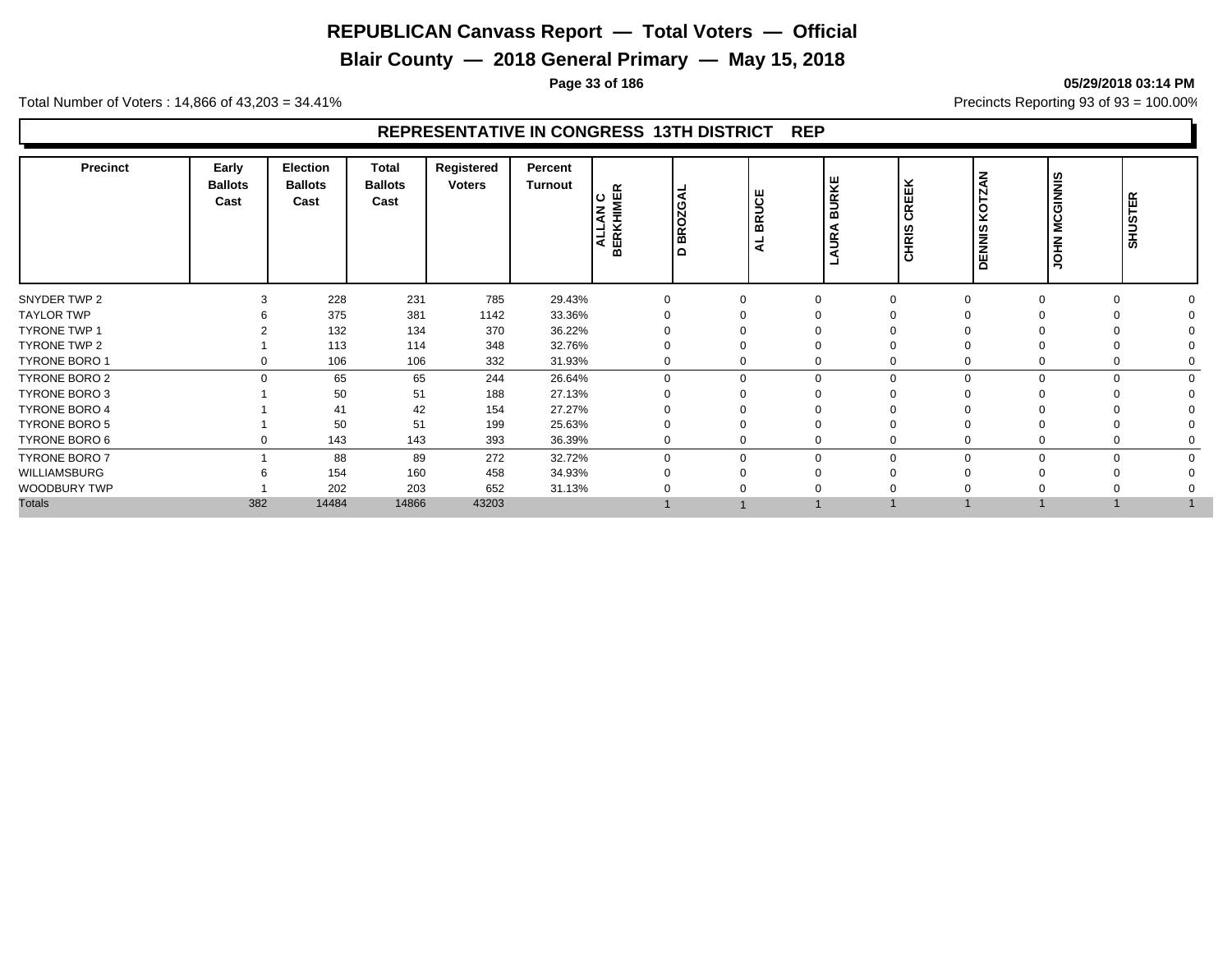**Blair County — 2018 General Primary — May 15, 2018**

**Page 33 of 186 05/29/2018 03:14 PM**

Total Number of Voters : 14,866 of 43,203 = 34.41% **Precincts Reporting 93 of 93** = 100.00%

# **REPRESENTATIVE IN CONGRESS 13TH DISTRICT REP**

| <b>Precinct</b>      | Early<br><b>Ballots</b><br>Cast | Election<br><b>Ballots</b><br>Cast | Total<br><b>Ballots</b><br>Cast | Registered<br><b>Voters</b> | Percent<br><b>Turnout</b> | <b>ALLAN C<br/>BERKHIMER</b> | <b>BROZGAI</b><br>ہ ا | <b>BRUCE</b><br>-<br>⋖ | URKE<br>$\overline{m}$<br>◀<br>S | ×<br>REEI<br>$\mathbf c$<br>HRIS<br>$\circ$ | ¥<br>KOT.<br><b>DENNIS</b> | <b>MCGINNIS</b><br><b>NHOL</b> | <b>SHUSTER</b> |  |
|----------------------|---------------------------------|------------------------------------|---------------------------------|-----------------------------|---------------------------|------------------------------|-----------------------|------------------------|----------------------------------|---------------------------------------------|----------------------------|--------------------------------|----------------|--|
| SNYDER TWP 2         | 3                               | 228                                | 231                             | 785                         | 29.43%                    | $\Omega$                     |                       | $\Omega$               |                                  |                                             |                            | $\Omega$                       |                |  |
| <b>TAYLOR TWP</b>    |                                 | 375                                | 381                             | 1142                        | 33.36%                    | $\Omega$                     |                       |                        |                                  |                                             |                            |                                |                |  |
| <b>TYRONE TWP 1</b>  |                                 | 132                                | 134                             | 370                         | 36.22%                    |                              |                       |                        |                                  |                                             |                            |                                |                |  |
| TYRONE TWP 2         |                                 | 113                                | 114                             | 348                         | 32.76%                    | $\Omega$                     |                       |                        |                                  |                                             |                            |                                |                |  |
| TYRONE BORO 1        | 0                               | 106                                | 106                             | 332                         | 31.93%                    | 0                            | 0                     | 0                      | $\Omega$                         |                                             |                            | $\mathbf 0$                    |                |  |
| <b>TYRONE BORO 2</b> | $\Omega$                        | 65                                 | 65                              | 244                         | 26.64%                    | $\Omega$                     | $\Omega$              | $\mathbf 0$            | $\Omega$                         |                                             | $\Omega$                   | $\mathbf 0$                    | $\Omega$       |  |
| <b>TYRONE BORO 3</b> |                                 | 50                                 | 51                              | 188                         | 27.13%                    | $\Omega$                     |                       | $\Omega$               |                                  |                                             |                            |                                |                |  |
| <b>TYRONE BORO 4</b> |                                 | 41                                 | 42                              | 154                         | 27.27%                    |                              |                       |                        |                                  |                                             |                            |                                |                |  |
| <b>TYRONE BORO 5</b> |                                 | 50                                 | 51                              | 199                         | 25.63%                    | $\Omega$                     |                       | $\Omega$               |                                  |                                             |                            |                                |                |  |
| TYRONE BORO 6        | 0                               | 143                                | 143                             | 393                         | 36.39%                    | $\Omega$                     | 0                     | 0                      |                                  |                                             |                            | $\mathbf 0$                    |                |  |
| <b>TYRONE BORO 7</b> |                                 | 88                                 | 89                              | 272                         | 32.72%                    | $\Omega$                     | $\Omega$              | $\Omega$               | $\Omega$                         |                                             |                            | $\Omega$                       |                |  |
| WILLIAMSBURG         |                                 | 154                                | 160                             | 458                         | 34.93%                    |                              |                       |                        |                                  |                                             |                            |                                |                |  |
| WOODBURY TWP         |                                 | 202                                | 203                             | 652                         | 31.13%                    |                              |                       |                        |                                  |                                             |                            |                                |                |  |
| <b>Totals</b>        | 382                             | 14484                              | 14866                           | 43203                       |                           |                              |                       |                        |                                  |                                             |                            |                                |                |  |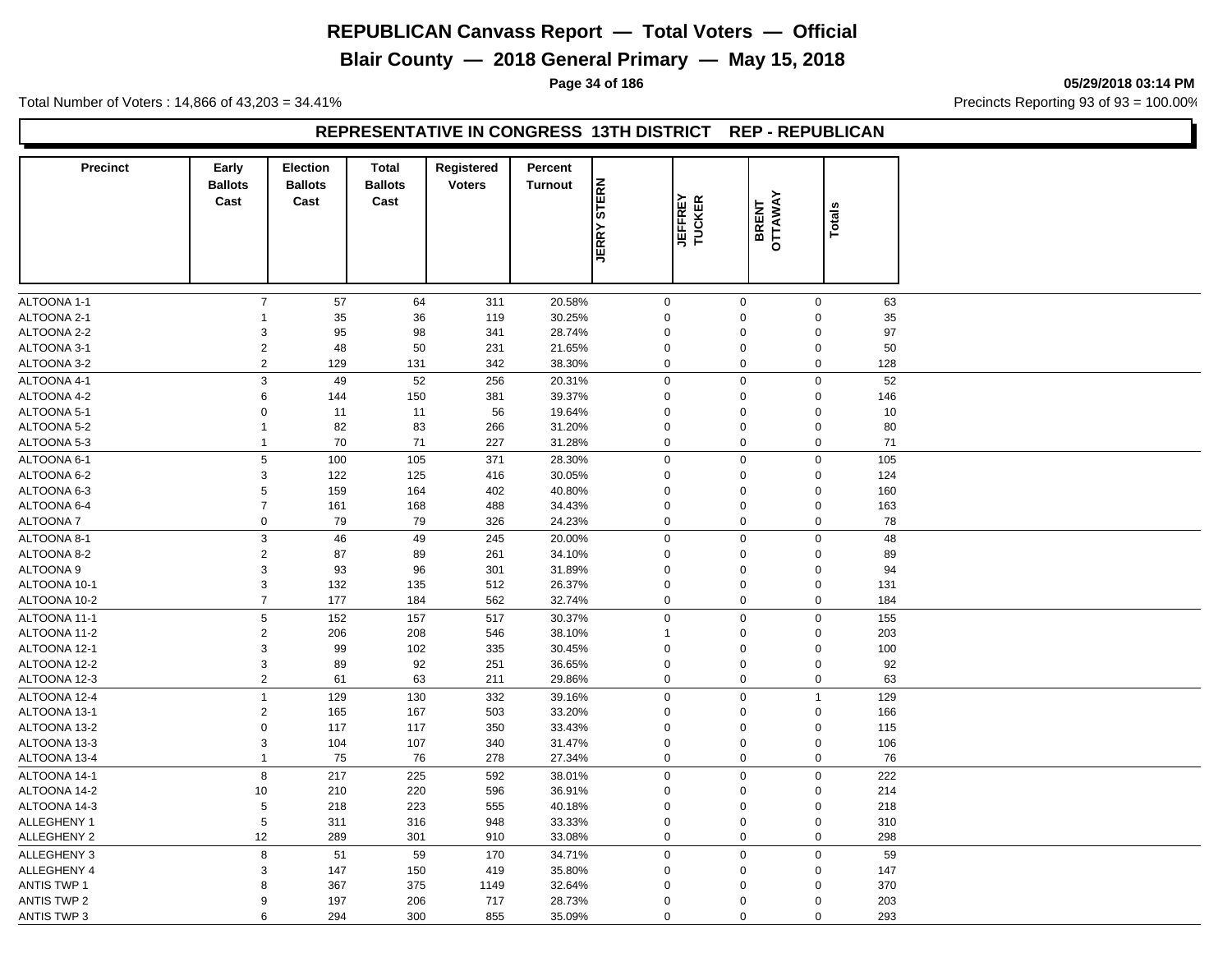**Blair County — 2018 General Primary — May 15, 2018**

**Page 34 of 186 05/29/2018 03:14 PM**

Total Number of Voters : 14,866 of 43,203 = 34.41% **Precincts Reporting 93 of 93** = 100.00%

#### **REPRESENTATIVE IN CONGRESS 13TH DISTRICT REP - REPUBLICAN**

| <b>Precinct</b>            | Early                     | <b>Election</b>        | <b>Total</b>           | Registered    | Percent          |              |                          |                  |                  |          |  |
|----------------------------|---------------------------|------------------------|------------------------|---------------|------------------|--------------|--------------------------|------------------|------------------|----------|--|
|                            | <b>Ballots</b><br>Cast    | <b>Ballots</b><br>Cast | <b>Ballots</b><br>Cast | <b>Voters</b> | <b>Turnout</b>   | <b>STERN</b> |                          |                  |                  |          |  |
|                            |                           |                        |                        |               |                  |              | <b>JEFFREY</b><br>TUCKER | BRENT<br>OTTAWAY | <b>Totals</b>    |          |  |
|                            |                           |                        |                        |               |                  | <b>JERRY</b> |                          |                  |                  |          |  |
|                            |                           |                        |                        |               |                  |              |                          |                  |                  |          |  |
|                            |                           |                        |                        |               |                  |              |                          |                  |                  |          |  |
|                            | $\overline{7}$            |                        | 64                     |               |                  |              |                          | $\mathbf 0$      | $\mathbf 0$      |          |  |
| ALTOONA 1-1<br>ALTOONA 2-1 | $\mathbf{1}$              | 57<br>35               | 36                     | 311<br>119    | 20.58%<br>30.25% | 0<br>0       |                          | $\mathbf 0$      | $\mathbf 0$      | 63<br>35 |  |
| ALTOONA 2-2                | 3                         | 95                     | 98                     | 341           | 28.74%           | 0            |                          | $\mathbf 0$      | $\boldsymbol{0}$ | 97       |  |
| ALTOONA 3-1                | $\overline{2}$            | 48                     | 50                     | 231           | 21.65%           | 0            |                          | $\mathbf 0$      | $\boldsymbol{0}$ | 50       |  |
| ALTOONA 3-2                | $\overline{2}$            | 129                    | 131                    | 342           | 38.30%           | 0            |                          | $\mathbf 0$      | $\mathbf 0$      | 128      |  |
| ALTOONA 4-1                | $\ensuremath{\mathsf{3}}$ | 49                     | 52                     | 256           | 20.31%           | 0            |                          | $\mathbf 0$      | $\pmb{0}$        | 52       |  |
| ALTOONA 4-2                | 6                         | 144                    | 150                    | 381           | 39.37%           | $\mathbf 0$  |                          | $\mathbf 0$      | $\mathbf 0$      | 146      |  |
| ALTOONA 5-1                | $\mathbf 0$               | 11                     | 11                     | 56            | 19.64%           | 0            |                          | $\mathbf 0$      | 0                | 10       |  |
| ALTOONA 5-2                | $\mathbf{1}$              | 82                     | 83                     | 266           | 31.20%           | 0            |                          | $\mathbf 0$      | $\mathsf 0$      | 80       |  |
| ALTOONA 5-3                | 1                         | 70                     | 71                     | 227           | 31.28%           | $\mathbf 0$  |                          | $\mathbf 0$      | $\mathbf 0$      | 71       |  |
| ALTOONA 6-1                | $\,$ 5 $\,$               | 100                    | 105                    | 371           | 28.30%           | 0            |                          | $\mathbf 0$      | $\boldsymbol{0}$ | 105      |  |
| ALTOONA 6-2                | 3                         | 122                    | 125                    | 416           | 30.05%           | 0            |                          | $\mathbf 0$      | 0                | 124      |  |
| ALTOONA 6-3                | 5                         | 159                    | 164                    | 402           | 40.80%           | 0            |                          | $\mathbf 0$      | $\mathbf 0$      | 160      |  |
| ALTOONA 6-4                | $\overline{7}$            | 161                    | 168                    | 488           | 34.43%           | 0            |                          | $\mathbf 0$      | $\boldsymbol{0}$ | 163      |  |
| <b>ALTOONA7</b>            | $\mathsf 0$               | 79                     | 79                     | 326           | 24.23%           | 0            |                          | $\mathbf 0$      | 0                | 78       |  |
| ALTOONA 8-1                | $\ensuremath{\mathsf{3}}$ | 46                     | 49                     | 245           | 20.00%           | 0            |                          | $\mathbf 0$      | $\pmb{0}$        | 48       |  |
| ALTOONA 8-2                | $\sqrt{2}$                | 87                     | 89                     | 261           | 34.10%           | 0            |                          | $\mathbf 0$      | $\boldsymbol{0}$ | 89       |  |
| ALTOONA 9                  | 3                         | 93                     | 96                     | 301           | 31.89%           | 0            |                          | $\mathbf 0$      | $\mathbf 0$      | 94       |  |
| ALTOONA 10-1               | $\mathbf{3}$              | 132                    | 135                    | 512           | 26.37%           | 0            |                          | $\mathbf 0$      | 0                | 131      |  |
| ALTOONA 10-2               | $\overline{7}$            | 177                    | 184                    | 562           | 32.74%           | 0            |                          | $\mathbf 0$      | $\mathbf 0$      | 184      |  |
| ALTOONA 11-1               | 5                         | 152                    | 157                    | 517           | 30.37%           | 0            |                          | $\mathbf 0$      | $\mathbf 0$      | 155      |  |
| ALTOONA 11-2               | $\overline{2}$            | 206                    | 208                    | 546           | 38.10%           | 1            |                          | $\mathbf 0$      | 0                | 203      |  |
| ALTOONA 12-1               | 3                         | 99                     | 102                    | 335           | 30.45%           | 0            |                          | $\mathbf 0$      | 0                | 100      |  |
| ALTOONA 12-2               | $\mathsf 3$               | 89                     | 92                     | 251           | 36.65%           | 0            |                          | $\mathbf 0$      | $\pmb{0}$        | 92       |  |
| ALTOONA 12-3               | $\overline{2}$            | 61                     | 63                     | 211           | 29.86%           | 0            |                          | $\mathbf 0$      | $\boldsymbol{0}$ | 63       |  |
| ALTOONA 12-4               | $\mathbf{1}$              | 129                    | 130                    | 332           | 39.16%           | 0            |                          | $\mathbf 0$      | $\mathbf{1}$     | 129      |  |
| ALTOONA 13-1               | $\sqrt{2}$                | 165                    | 167                    | 503           | 33.20%           | 0            |                          | $\mathbf 0$      | $\mathbf 0$      | 166      |  |
| ALTOONA 13-2               | $\mathbf 0$               | 117                    | 117                    | 350           | 33.43%           | 0            |                          | $\mathbf 0$      | $\mathbf 0$      | 115      |  |
| ALTOONA 13-3               | 3                         | 104                    | 107                    | 340           | 31.47%           | 0            |                          | $\mathbf 0$      | $\boldsymbol{0}$ | 106      |  |
| ALTOONA 13-4               | $\mathbf{1}$              | 75                     | 76                     | 278           | 27.34%           | 0            |                          | $\mathbf 0$      | 0                | 76       |  |
| ALTOONA 14-1               | 8                         | 217                    | 225                    | 592           | 38.01%           | 0            |                          | $\mathbf 0$      | $\mathsf 0$      | 222      |  |
| ALTOONA 14-2               | 10                        | 210                    | 220                    | 596           | 36.91%           | 0            |                          | $\mathbf 0$      | $\mathbf 0$      | 214      |  |
| ALTOONA 14-3               | 5                         | 218                    | 223                    | 555           | 40.18%           | 0            |                          | $\mathbf 0$      | $\boldsymbol{0}$ | 218      |  |
| <b>ALLEGHENY 1</b>         | $\,$ 5 $\,$               | 311                    | 316                    | 948           | 33.33%           | 0            |                          | $\mathbf 0$      | $\mathsf 0$      | 310      |  |
| <b>ALLEGHENY 2</b>         | 12                        | 289                    | 301                    | 910           | 33.08%           | $\mathbf 0$  |                          | $\mathbf 0$      | $\mathsf 0$      | 298      |  |
| ALLEGHENY 3                | 8                         | 51                     | 59                     | 170           | 34.71%           | 0            |                          | $\mathbf 0$      | $\mathsf 0$      | 59       |  |
| ALLEGHENY 4                | 3                         | 147                    | 150                    | 419           | 35.80%           | 0            |                          | $\mathbf 0$      | 0                | 147      |  |
| <b>ANTIS TWP 1</b>         | 8                         | 367                    | 375                    | 1149          | 32.64%           | 0            |                          | $\mathbf 0$      | 0                | 370      |  |
| <b>ANTIS TWP 2</b>         | 9                         | 197                    | 206                    | 717           | 28.73%           | 0            |                          | $\mathbf 0$      | $\mathbf 0$      | 203      |  |
| ANTIS TWP 3                | 6                         | 294                    | 300                    | 855           | 35.09%           | $\Omega$     |                          | $\Omega$         | $\mathbf 0$      | 293      |  |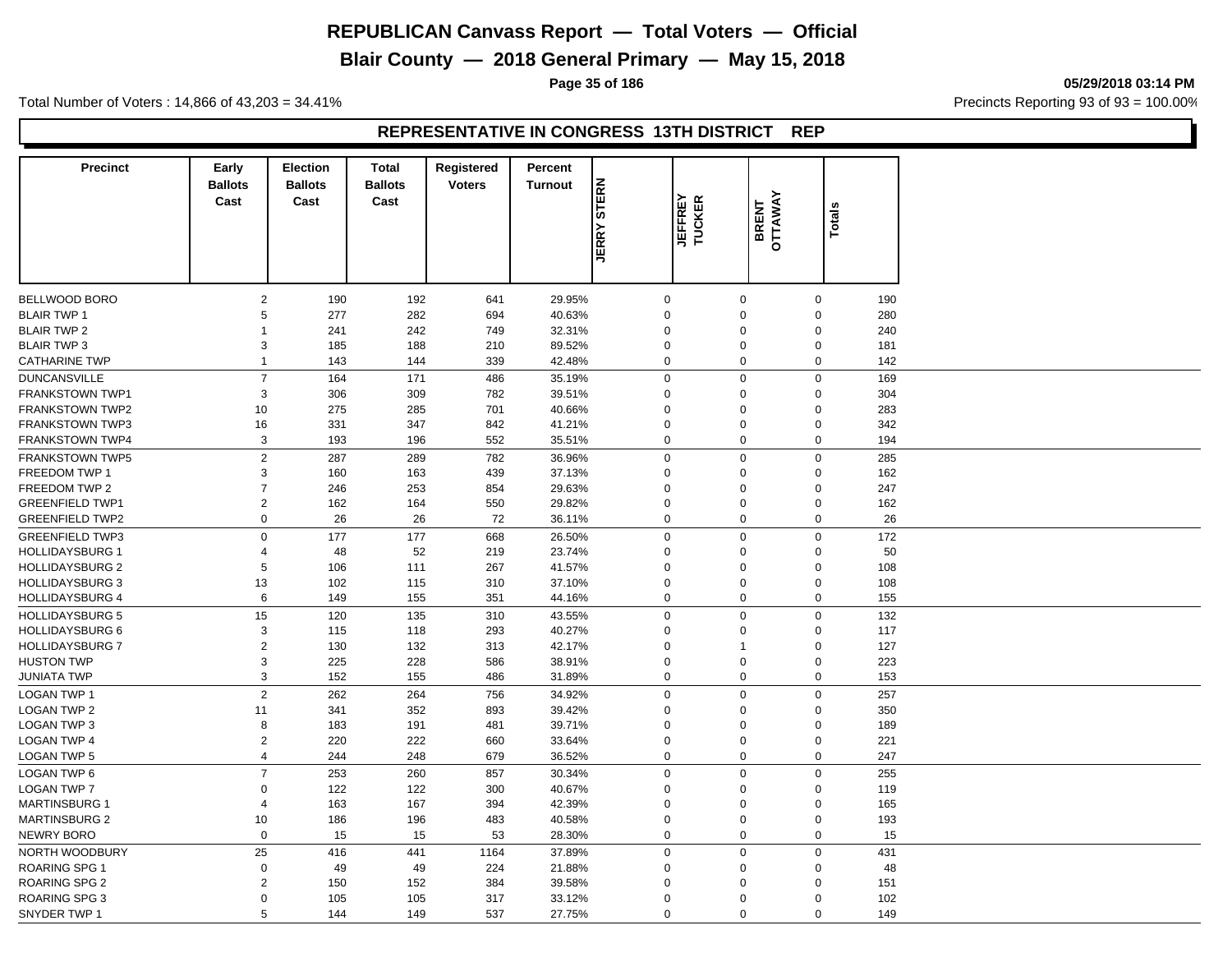# **Blair County — 2018 General Primary — May 15, 2018**

**Page 35 of 186 05/29/2018 03:14 PM**

Total Number of Voters : 14,866 of 43,203 = 34.41% **Precincts Reporting 93 of 93** = 100.00%

#### **REPRESENTATIVE IN CONGRESS 13TH DISTRICT REP**

| <b>Precinct</b>        | Early<br><b>Ballots</b>      | <b>Election</b><br><b>Ballots</b> | <b>Total</b><br><b>Ballots</b> | Registered<br><b>Voters</b> | Percent        |              |                         |                  |             |     |
|------------------------|------------------------------|-----------------------------------|--------------------------------|-----------------------------|----------------|--------------|-------------------------|------------------|-------------|-----|
|                        | Cast                         | Cast                              | Cast                           |                             | <b>Turnout</b> | <b>STERN</b> |                         |                  |             |     |
|                        |                              |                                   |                                |                             |                |              | <b>JEFREY</b><br>TUCKER | BRENT<br>OTTAWAY | Totals      |     |
|                        |                              |                                   |                                |                             |                | <b>JERRY</b> |                         |                  |             |     |
|                        |                              |                                   |                                |                             |                |              |                         |                  |             |     |
| BELLWOOD BORO          | 2                            | 190                               | 192                            | 641                         | 29.95%         | $\mathbf 0$  |                         | $\mathbf 0$      | $\mathbf 0$ | 190 |
| <b>BLAIR TWP 1</b>     | 5                            | 277                               | 282                            | 694                         | 40.63%         | $\mathbf 0$  |                         | $\mathbf 0$      | $\mathbf 0$ | 280 |
| <b>BLAIR TWP 2</b>     | 1                            | 241                               | 242                            | 749                         | 32.31%         | $\mathbf 0$  |                         | $\mathbf 0$      | $\mathbf 0$ | 240 |
| <b>BLAIR TWP 3</b>     | 3                            | 185                               | 188                            | 210                         | 89.52%         | $\mathbf 0$  |                         | $\mathbf 0$      | $\mathbf 0$ | 181 |
| <b>CATHARINE TWP</b>   | $\mathbf{1}$                 | 143                               | 144                            | 339                         | 42.48%         | $\mathbf 0$  |                         | $\mathbf 0$      | $\mathbf 0$ | 142 |
| <b>DUNCANSVILLE</b>    | $\overline{7}$               | 164                               | 171                            | 486                         | 35.19%         | $\mathbf 0$  |                         | $\mathbf 0$      | $\mathbf 0$ | 169 |
| <b>FRANKSTOWN TWP1</b> | 3                            | 306                               | 309                            | 782                         | 39.51%         | $\mathbf 0$  |                         | $\mathbf 0$      | $\mathbf 0$ | 304 |
| <b>FRANKSTOWN TWP2</b> | 10                           | 275                               | 285                            | 701                         | 40.66%         | $\mathbf 0$  |                         | $\mathbf 0$      | $\mathbf 0$ | 283 |
| <b>FRANKSTOWN TWP3</b> | 16                           | 331                               | 347                            | 842                         | 41.21%         | $\mathbf 0$  |                         | $\mathbf 0$      | $\mathbf 0$ | 342 |
| <b>FRANKSTOWN TWP4</b> | 3                            | 193                               | 196                            | 552                         | 35.51%         | $\mathbf 0$  |                         | $\mathbf 0$      | $\mathbf 0$ | 194 |
| <b>FRANKSTOWN TWP5</b> | $\overline{2}$               | 287                               | 289                            | 782                         | 36.96%         | $\mathbf 0$  |                         | $\mathbf 0$      | $\mathbf 0$ | 285 |
| FREEDOM TWP 1          | 3                            | 160                               | 163                            | 439                         | 37.13%         | $\mathbf 0$  |                         | $\mathbf 0$      | $\mathbf 0$ | 162 |
| FREEDOM TWP 2          | $\overline{7}$               | 246                               | 253                            | 854                         | 29.63%         | $\Omega$     |                         | $\mathbf 0$      | $\mathbf 0$ | 247 |
| <b>GREENFIELD TWP1</b> | $\overline{2}$               | 162                               | 164                            | 550                         | 29.82%         | $\mathbf 0$  |                         | $\mathbf 0$      | $\mathbf 0$ | 162 |
| <b>GREENFIELD TWP2</b> | 0                            | 26                                | 26                             | 72                          | 36.11%         | $\mathbf 0$  |                         | $\mathbf 0$      | $\mathbf 0$ | 26  |
| <b>GREENFIELD TWP3</b> | $\mathbf 0$                  | 177                               | 177                            | 668                         | 26.50%         | $\mathbf 0$  |                         | $\mathbf 0$      | $\mathbf 0$ | 172 |
| <b>HOLLIDAYSBURG 1</b> | $\overline{4}$               | 48                                | 52                             | 219                         | 23.74%         | $\mathbf 0$  |                         | $\mathbf 0$      | $\mathbf 0$ | 50  |
| <b>HOLLIDAYSBURG 2</b> | 5                            | 106                               | 111                            | 267                         | 41.57%         | $\mathbf 0$  |                         | $\mathbf 0$      | $\mathbf 0$ | 108 |
| <b>HOLLIDAYSBURG 3</b> | 13                           | 102                               | 115                            | 310                         | 37.10%         | $\mathbf 0$  |                         | $\mathbf 0$      | $\mathsf 0$ | 108 |
| <b>HOLLIDAYSBURG 4</b> | 6                            | 149                               | 155                            | 351                         | 44.16%         | $\mathbf 0$  |                         | $\mathbf 0$      | $\mathbf 0$ | 155 |
| <b>HOLLIDAYSBURG 5</b> | 15                           | 120                               | 135                            | 310                         | 43.55%         | $\mathbf 0$  |                         | $\mathbf 0$      | $\mathbf 0$ | 132 |
| <b>HOLLIDAYSBURG 6</b> | 3                            | 115                               | 118                            | 293                         | 40.27%         | $\mathbf 0$  |                         | $\mathbf 0$      | $\mathsf 0$ | 117 |
| <b>HOLLIDAYSBURG 7</b> |                              |                                   |                                | 313                         | 42.17%         | $\mathbf 0$  | $\overline{1}$          |                  | $\mathbf 0$ | 127 |
| <b>HUSTON TWP</b>      | $\overline{\mathbf{c}}$<br>3 | 130<br>225                        | 132<br>228                     | 586                         | 38.91%         | $\mathbf 0$  |                         | $\mathbf 0$      | $\mathsf 0$ | 223 |
|                        | 3                            | 152                               | 155                            |                             |                | $\mathbf 0$  |                         | $\mathbf 0$      | $\mathbf 0$ | 153 |
| JUNIATA TWP            |                              |                                   |                                | 486                         | 31.89%         |              |                         |                  |             |     |
| <b>LOGAN TWP 1</b>     | $\overline{2}$               | 262                               | 264                            | 756                         | 34.92%         | $\mathbf 0$  |                         | $\mathbf 0$      | $\mathbf 0$ | 257 |
| <b>LOGAN TWP 2</b>     | 11                           | 341                               | 352                            | 893                         | 39.42%         | $\mathbf 0$  |                         | $\mathbf 0$      | $\mathbf 0$ | 350 |
| <b>LOGAN TWP 3</b>     | 8                            | 183                               | 191                            | 481                         | 39.71%         | $\mathbf 0$  |                         | $\mathbf 0$      | $\mathbf 0$ | 189 |
| <b>LOGAN TWP 4</b>     | $\overline{2}$               | 220                               | 222                            | 660                         | 33.64%         | $\mathbf 0$  |                         | $\mathbf 0$      | $\mathbf 0$ | 221 |
| <b>LOGAN TWP 5</b>     | 4                            | 244                               | 248                            | 679                         | 36.52%         | $\mathbf 0$  |                         | $\mathbf 0$      | $\mathbf 0$ | 247 |
| LOGAN TWP 6            | $\overline{7}$               | 253                               | 260                            | 857                         | 30.34%         | $\mathbf 0$  |                         | $\overline{0}$   | $\pmb{0}$   | 255 |
| <b>LOGAN TWP 7</b>     | 0                            | 122                               | 122                            | 300                         | 40.67%         | $\mathbf 0$  |                         | $\mathbf 0$      | $\mathbf 0$ | 119 |
| <b>MARTINSBURG 1</b>   | $\overline{4}$               | 163                               | 167                            | 394                         | 42.39%         | $\mathbf 0$  |                         | $\mathbf 0$      | $\mathbf 0$ | 165 |
| <b>MARTINSBURG 2</b>   | 10                           | 186                               | 196                            | 483                         | 40.58%         | $\mathbf 0$  |                         | $\mathbf 0$      | $\mathbf 0$ | 193 |
| <b>NEWRY BORO</b>      | $\mathbf{0}$                 | 15                                | 15                             | 53                          | 28.30%         | $\mathbf 0$  |                         | $\mathbf 0$      | $\mathbf 0$ | 15  |
| NORTH WOODBURY         | 25                           | 416                               | 441                            | 1164                        | 37.89%         | $\mathbf 0$  |                         | $\mathbf 0$      | $\mathbf 0$ | 431 |
| <b>ROARING SPG 1</b>   | $\mathbf 0$                  | 49                                | 49                             | 224                         | 21.88%         | $\mathbf 0$  |                         | $\mathbf 0$      | $\mathbf 0$ | 48  |
| <b>ROARING SPG 2</b>   | $\overline{c}$               | 150                               | 152                            | 384                         | 39.58%         | $\mathbf 0$  |                         | $\mathbf 0$      | $\mathbf 0$ | 151 |
| <b>ROARING SPG 3</b>   | $\mathbf 0$                  | 105                               | 105                            | 317                         | 33.12%         | $\mathbf 0$  |                         | $\mathbf 0$      | $\Omega$    | 102 |
| SNYDER TWP 1           | 5                            | 144                               | 149                            | 537                         | 27.75%         | $\mathbf 0$  |                         | $\mathbf 0$      | $\mathbf 0$ | 149 |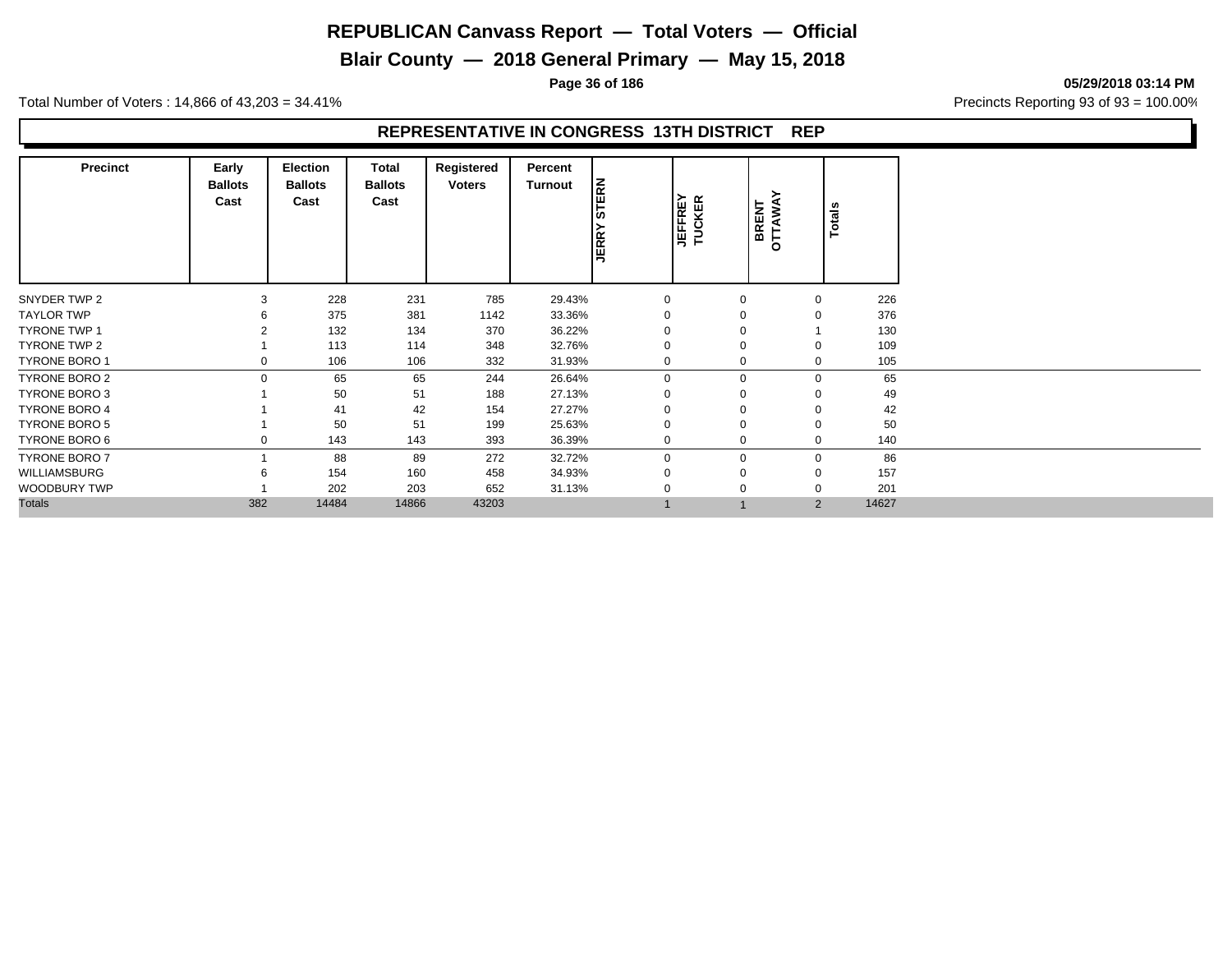# **Blair County — 2018 General Primary — May 15, 2018**

**Page 36 of 186 05/29/2018 03:14 PM**

Total Number of Voters : 14,866 of 43,203 = 34.41% **Precincts Reporting 93 of 93** = 100.00%

## **REPRESENTATIVE IN CONGRESS 13TH DISTRICT REP**

| <b>Precinct</b>      | Early<br><b>Ballots</b><br>Cast | <b>Election</b><br><b>Ballots</b><br>Cast | Total<br><b>Ballots</b><br>Cast | Registered<br><b>Voters</b> | Percent<br><b>Turnout</b> | <b>STERN</b><br><b>JERRY</b> | <b>JEFFREY</b><br>TUCKER | ≻<br>BRENT<br>OTTAWA | <b>Totals</b> |       |
|----------------------|---------------------------------|-------------------------------------------|---------------------------------|-----------------------------|---------------------------|------------------------------|--------------------------|----------------------|---------------|-------|
| SNYDER TWP 2         | 3                               | 228                                       | 231                             | 785                         | 29.43%                    | $\mathbf 0$                  | $\Omega$                 | 0                    |               | 226   |
| <b>TAYLOR TWP</b>    |                                 | 375                                       | 381                             | 1142                        | 33.36%                    | $\Omega$                     | $\Omega$                 | $\mathbf 0$          |               | 376   |
| <b>TYRONE TWP 1</b>  |                                 | 132                                       | 134                             | 370                         | 36.22%                    |                              | $\Omega$                 |                      |               | 130   |
| TYRONE TWP 2         |                                 | 113                                       | 114                             | 348                         | 32.76%                    | $\Omega$                     | $\Omega$                 | $\mathbf 0$          |               | 109   |
| <b>TYRONE BORO 1</b> | $\Omega$                        | 106                                       | 106                             | 332                         | 31.93%                    | $\Omega$                     | $\Omega$                 | 0                    |               | 105   |
| <b>TYRONE BORO 2</b> | $\Omega$                        | 65                                        | 65                              | 244                         | 26.64%                    | $\mathbf 0$                  | $\Omega$                 | 0                    |               | 65    |
| <b>TYRONE BORO 3</b> |                                 | 50                                        | 51                              | 188                         | 27.13%                    | $\Omega$                     | $\Omega$                 | $\mathbf 0$          |               | 49    |
| <b>TYRONE BORO 4</b> |                                 | 41                                        | 42                              | 154                         | 27.27%                    | $\Omega$                     | $\Omega$                 | $\mathbf 0$          |               | 42    |
| <b>TYRONE BORO 5</b> |                                 | 50                                        | 51                              | 199                         | 25.63%                    | $\Omega$                     | $\Omega$                 | $\mathbf 0$          |               | 50    |
| TYRONE BORO 6        | $\Omega$                        | 143                                       | 143                             | 393                         | 36.39%                    | $\mathbf 0$                  | $\Omega$                 | 0                    |               | 140   |
| <b>TYRONE BORO 7</b> |                                 | 88                                        | 89                              | 272                         | 32.72%                    | $\mathbf 0$                  | $\Omega$                 | 0                    |               | 86    |
| WILLIAMSBURG         | 6                               | 154                                       | 160                             | 458                         | 34.93%                    | $\mathbf 0$                  | $\Omega$                 | 0                    |               | 157   |
| <b>WOODBURY TWP</b>  |                                 | 202                                       | 203                             | 652                         | 31.13%                    | $\Omega$                     | $\Omega$                 | 0                    |               | 201   |
| <b>Totals</b>        | 382                             | 14484                                     | 14866                           | 43203                       |                           |                              |                          | 2                    |               | 14627 |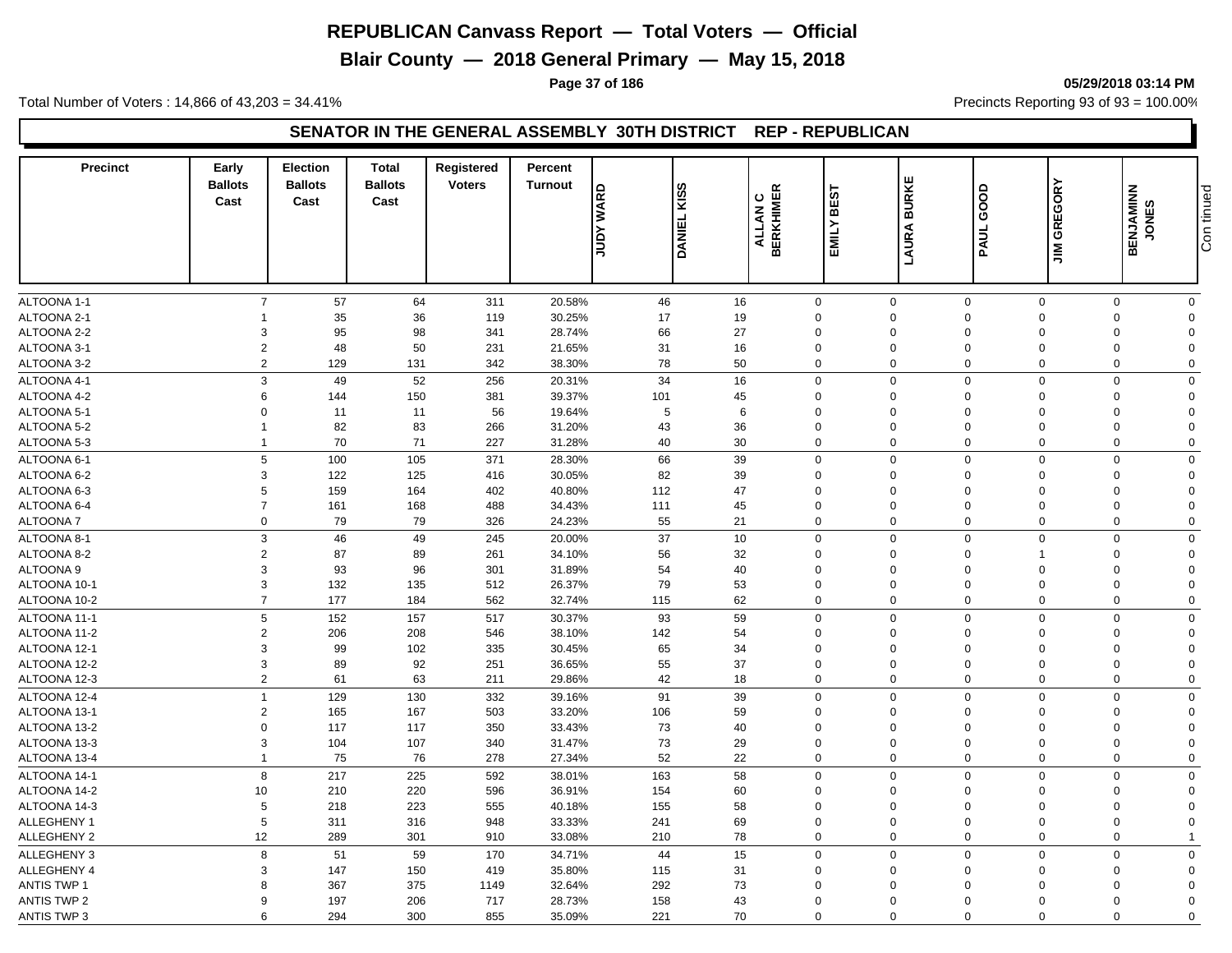**Blair County — 2018 General Primary — May 15, 2018**

**Page 37 of 186 05/29/2018 03:14 PM**

Total Number of Voters : 14,866 of 43,203 = 34.41% **Precincts Reporting 93 of 93** = 100.00%

#### **SENATOR IN THE GENERAL ASSEMBLY 30TH DISTRICT REP - REPUBLICAN**

| <b>Precinct</b>            | Early<br><b>Ballots</b><br>Cast | Election<br><b>Ballots</b><br>Cast | <b>Total</b><br><b>Ballots</b><br>Cast | <b>Registered</b><br><b>Voters</b> | Percent<br><b>Turnout</b> | <b>JUDY WARD</b> | <b>KISS</b><br><b>DANIEL</b> | <b>BERKHIMER</b><br>ပ<br><b>ALLAN</b> | BEST<br>EMILY              | ш<br><b>BURKE</b><br>LAURA | GOOD<br>PAUL            | <b>JIM GREGORY</b>      | <b>BENJAMINN</b><br>JONES | Con tinued              |  |
|----------------------------|---------------------------------|------------------------------------|----------------------------------------|------------------------------------|---------------------------|------------------|------------------------------|---------------------------------------|----------------------------|----------------------------|-------------------------|-------------------------|---------------------------|-------------------------|--|
|                            |                                 |                                    |                                        |                                    |                           |                  |                              |                                       |                            |                            |                         |                         |                           |                         |  |
|                            |                                 |                                    |                                        |                                    |                           |                  |                              |                                       |                            |                            |                         |                         |                           |                         |  |
| ALTOONA 1-1<br>ALTOONA 2-1 | $\overline{7}$                  | 57                                 | 64<br>36                               | 311                                | 20.58%<br>30.25%          | 46               | 16<br>19                     |                                       | $\mathbf 0$<br>$\mathbf 0$ | $\mathbf 0$<br>$\Omega$    | $\mathbf 0$<br>$\Omega$ | $\Omega$<br>$\Omega$    | $\mathbf 0$<br>$\Omega$   | $\mathbf 0$<br>$\Omega$ |  |
| ALTOONA 2-2                | 3                               | 35<br>95                           | 98                                     | 119<br>341                         | 28.74%                    | 17<br>66         | 27                           |                                       | $\Omega$                   | $\Omega$                   | $\Omega$                | $\mathbf 0$             | $\Omega$                  | $\mathbf 0$             |  |
| ALTOONA 3-1                | $\overline{2}$                  | 48                                 | 50                                     | 231                                | 21.65%                    | 31               | 16                           |                                       | $\mathbf 0$                | 0                          | $\mathbf 0$             | $\mathbf 0$             | $\Omega$                  | $\mathbf 0$             |  |
| ALTOONA 3-2                | $\overline{2}$                  | 129                                | 131                                    | 342                                | 38.30%                    | 78               | 50                           |                                       | $\mathbf 0$                | $\Omega$                   | $\Omega$                | $\Omega$                | $\mathbf 0$               | $\mathbf 0$             |  |
|                            |                                 |                                    |                                        |                                    |                           |                  |                              |                                       |                            |                            |                         |                         |                           |                         |  |
| ALTOONA 4-1                | 3                               | 49                                 | 52                                     | 256                                | 20.31%                    | 34               | 16                           |                                       | $\mathbf 0$                | $\mathbf 0$                | $\mathbf 0$<br>$\Omega$ | $\mathbf 0$<br>$\Omega$ | $\mathbf 0$<br>$\Omega$   | $\mathbf 0$             |  |
| ALTOONA 4-2                | 6                               | 144                                | 150                                    | 381                                | 39.37%                    | 101              | 45                           |                                       | $\mathbf 0$                | 0                          |                         | $\Omega$                |                           | $\mathbf 0$             |  |
| ALTOONA 5-1                | $\Omega$                        | 11                                 | 11                                     | 56                                 | 19.64%                    | 5                | 6                            |                                       | $\mathbf 0$                | 0                          | $\Omega$                |                         | $\Omega$                  | $\mathbf 0$             |  |
| ALTOONA 5-2                | $\mathbf{1}$                    | 82                                 | 83                                     | 266                                | 31.20%                    | 43               | 36                           |                                       | $\mathbf 0$                | 0                          | $\mathbf 0$             | $\Omega$<br>$\Omega$    | $\Omega$                  | $\mathbf 0$             |  |
| ALTOONA 5-3                | $\overline{1}$                  | 70                                 | 71                                     | 227                                | 31.28%                    | 40               | 30                           |                                       | $\mathbf 0$                | $\mathbf 0$                | $\Omega$                |                         | $\mathbf 0$               | $\mathbf 0$             |  |
| ALTOONA 6-1                | 5                               | 100                                | 105                                    | 371                                | 28.30%                    | 66               | 39                           |                                       | $\mathbf 0$                | $\mathbf 0$                | $\mathbf 0$             | $\mathbf 0$             | $\Omega$                  | $\pmb{0}$               |  |
| ALTOONA 6-2                | 3                               | 122                                | 125                                    | 416                                | 30.05%                    | 82               | 39                           |                                       | $\mathbf 0$                | 0                          | $\Omega$                | $\Omega$                | $\Omega$                  | $\mathbf 0$             |  |
| ALTOONA 6-3                | 5                               | 159                                | 164                                    | 402                                | 40.80%                    | 112              | 47                           |                                       | $\mathbf 0$                | $\mathbf 0$                | $\mathbf 0$             | $\mathbf 0$             | $\Omega$                  | $\mathbf 0$             |  |
| ALTOONA 6-4                | $\overline{7}$                  | 161                                | 168                                    | 488                                | 34.43%                    | 111              | 45                           |                                       | $\mathbf 0$                | 0                          | $\Omega$                | $\Omega$                | $\Omega$                  | $\mathbf 0$             |  |
| <b>ALTOONA7</b>            | $\mathsf 0$                     | 79                                 | 79                                     | 326                                | 24.23%                    | 55               | 21                           |                                       | $\mathbf 0$                | $\mathbf 0$                | $\mathbf 0$             | $\mathbf 0$             | $\mathbf 0$               | $\mathbf 0$             |  |
| ALTOONA 8-1                | 3                               | 46                                 | 49                                     | 245                                | 20.00%                    | 37               | 10                           |                                       | $\mathbf 0$                | $\mathbf 0$                | $\Omega$                | $\Omega$                | $\Omega$                  | $\mathbf 0$             |  |
| ALTOONA 8-2                | $\overline{2}$                  | 87                                 | 89                                     | 261                                | 34.10%                    | 56               | 32                           |                                       | $\mathbf 0$                | 0                          | $\mathbf 0$             | 1                       | $\Omega$                  | $\mathbf 0$             |  |
| ALTOONA <sub>9</sub>       | 3                               | 93                                 | 96                                     | 301                                | 31.89%                    | 54               | 40                           |                                       | $\mathbf 0$                | $\mathbf 0$                | $\mathbf 0$             | $\mathbf 0$             | $\Omega$                  | $\mathbf 0$             |  |
| ALTOONA 10-1               | 3                               | 132                                | 135                                    | 512                                | 26.37%                    | 79               | 53                           |                                       | $\mathbf 0$                | $\mathbf 0$                | $\Omega$                | $\Omega$                | $\Omega$                  | $\mathbf 0$             |  |
| ALTOONA 10-2               | $\overline{7}$                  | 177                                | 184                                    | 562                                | 32.74%                    | 115              | 62                           |                                       | $\mathbf 0$                | $\Omega$                   | $\Omega$                | $\mathbf 0$             | $\mathbf 0$               | $\mathbf 0$             |  |
| ALTOONA 11-1               | 5                               | 152                                | 157                                    | 517                                | 30.37%                    | 93               | 59                           |                                       | $\mathbf 0$                | $\mathbf 0$                | $\Omega$                | $\Omega$                | $\mathbf 0$               | $\mathbf 0$             |  |
| ALTOONA 11-2               | $\overline{2}$                  | 206                                | 208                                    | 546                                | 38.10%                    | 142              | 54                           |                                       | $\mathbf 0$                | $\mathbf 0$                | $\mathbf 0$             | $\mathbf 0$             | $\Omega$                  | $\mathbf 0$             |  |
| ALTOONA 12-1               | 3                               | 99                                 | 102                                    | 335                                | 30.45%                    | 65               | 34                           |                                       | $\mathbf 0$                | 0                          | $\mathbf 0$             | $\mathbf 0$             | $\Omega$                  | $\mathbf 0$             |  |
| ALTOONA 12-2               | 3                               | 89                                 | 92                                     | 251                                | 36.65%                    | 55               | 37                           |                                       | $\mathbf 0$                | $\mathbf 0$                | $\mathbf 0$             | $\mathbf 0$             | $\Omega$                  | $\mathbf 0$             |  |
| ALTOONA 12-3               | $\mathbf 2$                     | 61                                 | 63                                     | 211                                | 29.86%                    | 42               | 18                           |                                       | $\mathbf 0$                | $\mathbf 0$                | $\Omega$                | $\Omega$                | $\mathbf 0$               | $\mathbf 0$             |  |
| ALTOONA 12-4               | $\overline{1}$                  | 129                                | 130                                    | 332                                | 39.16%                    | 91               | 39                           |                                       | $\mathbf 0$                | $\mathbf 0$                | $\mathbf 0$             | $\Omega$                | $\mathbf 0$               | $\mathbf 0$             |  |
| ALTOONA 13-1               | $\overline{2}$                  | 165                                | 167                                    | 503                                | 33.20%                    | 106              | 59                           |                                       | $\mathbf 0$                | $\mathbf 0$                | $\mathbf 0$             | $\Omega$                | $\Omega$                  | $\mathbf 0$             |  |
| ALTOONA 13-2               | $\Omega$                        | 117                                | 117                                    | 350                                | 33.43%                    | 73               | 40                           |                                       | $\Omega$                   | $\Omega$                   | $\Omega$                | $\mathbf 0$             | $\Omega$                  | $\mathbf 0$             |  |
| ALTOONA 13-3               | 3                               | 104                                | 107                                    | 340                                | 31.47%                    | 73               | 29                           |                                       | $\mathbf 0$                | $\mathbf 0$                | $\mathbf 0$             | $\mathbf 0$             | $\Omega$                  | $\mathbf 0$             |  |
| ALTOONA 13-4               | $\overline{1}$                  | 75                                 | 76                                     | 278                                | 27.34%                    | 52               | 22                           |                                       | $\mathbf 0$                | 0                          | $\mathbf 0$             | $\Omega$                | $\mathbf 0$               | $\mathbf 0$             |  |
| ALTOONA 14-1               | 8                               | 217                                | 225                                    | 592                                | 38.01%                    | 163              | 58                           |                                       | $\mathbf 0$                | $\mathbf 0$                | $\mathbf 0$             | $\Omega$                | $\mathbf 0$               | $\mathbf 0$             |  |
| ALTOONA 14-2               | 10                              | 210                                | 220                                    | 596                                | 36.91%                    | 154              | 60                           |                                       | $\mathbf 0$                | $\mathbf 0$                | $\mathbf 0$             | $\Omega$                | $\Omega$                  | $\mathbf 0$             |  |
| ALTOONA 14-3               | 5                               | 218                                | 223                                    | 555                                | 40.18%                    | 155              | 58                           |                                       | $\Omega$                   | $\mathbf 0$                | $\Omega$                | $\Omega$                | $\Omega$                  | $\mathbf 0$             |  |
| ALLEGHENY 1                | 5                               | 311                                | 316                                    | 948                                | 33.33%                    | 241              | 69                           |                                       | $\mathbf 0$                | $\mathbf 0$                | $\mathbf 0$             | $\mathbf 0$             | $\Omega$                  | $\mathbf 0$             |  |
| ALLEGHENY 2                | 12                              | 289                                | 301                                    | 910                                | 33.08%                    | 210              | 78                           |                                       | $\mathbf 0$                | $\mathbf 0$                | $\Omega$                | $\mathbf 0$             | $\mathbf 0$               | $\overline{1}$          |  |
| ALLEGHENY 3                | 8                               | 51                                 | 59                                     | 170                                | 34.71%                    | 44               | 15                           |                                       | $\mathbf 0$                | $\mathbf 0$                | $\mathbf 0$             | $\mathbf 0$             | $\mathbf 0$               | $\pmb{0}$               |  |
| <b>ALLEGHENY 4</b>         | 3                               | 147                                | 150                                    | 419                                | 35.80%                    | 115              | 31                           |                                       | $\mathbf 0$                | $\Omega$                   | $\Omega$                | $\Omega$                | $\Omega$                  | $\mathbf 0$             |  |
| <b>ANTIS TWP 1</b>         | 8                               | 367                                | 375                                    | 1149                               | 32.64%                    | 292              | 73                           |                                       | $\Omega$                   | $\Omega$                   | $\Omega$                | $\Omega$                | $\Omega$                  | $\mathbf 0$             |  |
| <b>ANTIS TWP 2</b>         | 9                               | 197                                | 206                                    | 717                                | 28.73%                    | 158              | 43                           |                                       | $\mathbf 0$                | $\mathbf 0$                | $\mathbf 0$             | $\Omega$                | $\Omega$                  | $\mathbf 0$             |  |
|                            |                                 | 6<br>294                           | 300                                    | 855                                | 35.09%                    | 221              | 70                           |                                       | $\mathbf 0$                | $\Omega$                   | $\Omega$                | $\Omega$                | $\Omega$                  | $\Omega$                |  |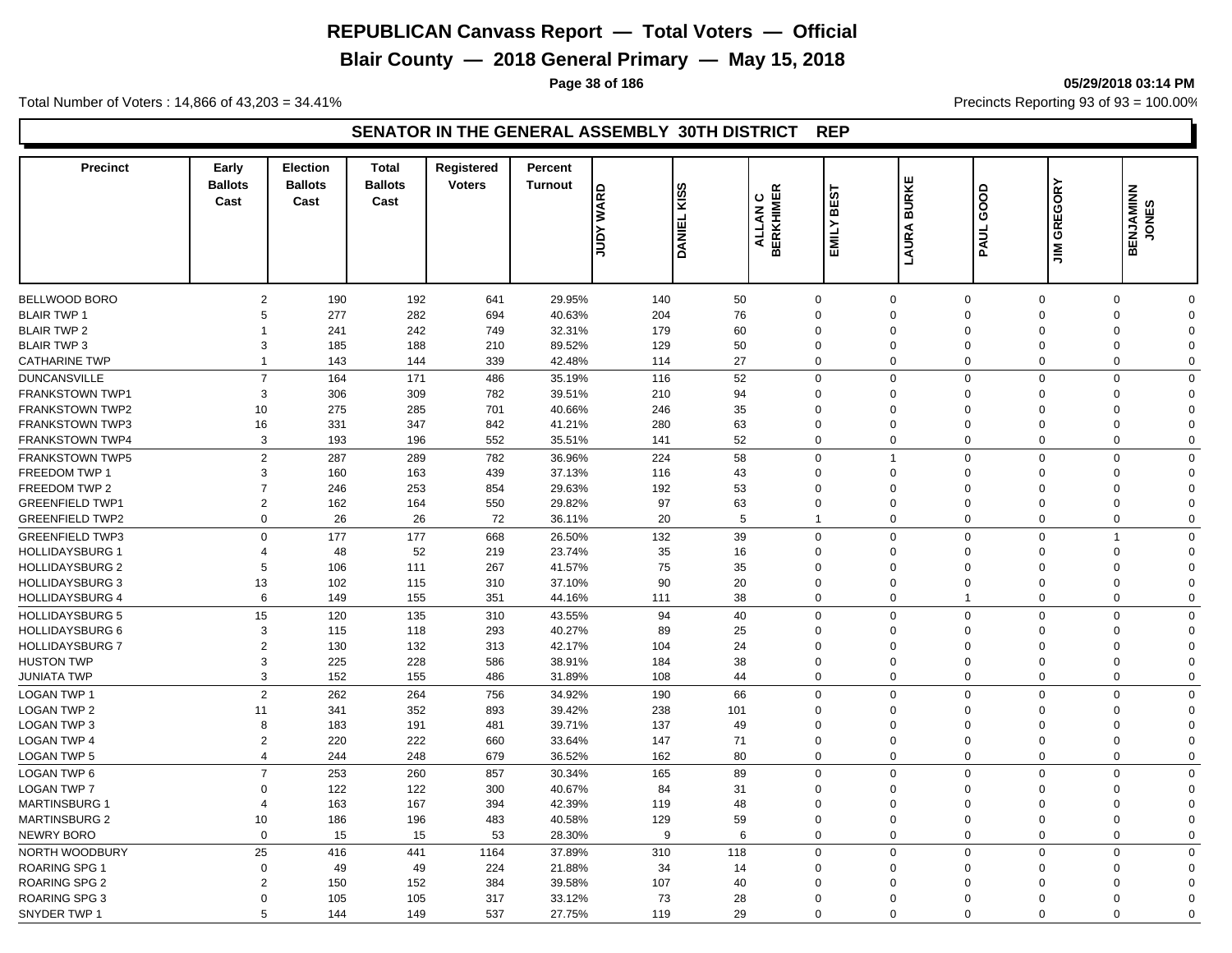**Blair County — 2018 General Primary — May 15, 2018**

**Page 38 of 186 05/29/2018 03:14 PM**

Total Number of Voters : 14,866 of 43,203 = 34.41% **Precincts Reporting 93 of 93** = 100.00%

#### **SENATOR IN THE GENERAL ASSEMBLY 30TH DISTRICT REP**

| <b>Precinct</b>        | Early<br><b>Ballots</b><br>Cast | <b>Election</b><br><b>Ballots</b><br>Cast | <b>Total</b><br><b>Ballots</b><br>Cast | <b>Registered</b><br><b>Voters</b> | Percent<br><b>Turnout</b> | <b>WARD</b><br>Nann | ဟ<br>ΙŠ<br><b>DANIEL</b> | $\propto$<br><b>BERKHIME</b><br>ပ<br>ALLAN | BEST<br>EMILY  | ш<br><b>BURKI</b><br>LAURA | GOOD<br>PAUL               | GREGORY<br>$\sum_{i=1}^{n}$ | <b>SENJAMINN</b><br>JONES<br>ᄒ |  |
|------------------------|---------------------------------|-------------------------------------------|----------------------------------------|------------------------------------|---------------------------|---------------------|--------------------------|--------------------------------------------|----------------|----------------------------|----------------------------|-----------------------------|--------------------------------|--|
|                        |                                 |                                           |                                        |                                    |                           |                     |                          |                                            |                |                            |                            |                             |                                |  |
| BELLWOOD BORO          | $\overline{2}$                  | 190                                       | 192                                    | 641                                | 29.95%                    | 140                 | 50                       | $\mathbf 0$                                |                | $\mathbf 0$                | $\mathbf 0$<br>$\mathbf 0$ |                             | $\mathbf 0$<br>$\mathbf 0$     |  |
| <b>BLAIR TWP 1</b>     | 5                               | 277                                       | 282                                    | 694                                | 40.63%                    | 204                 | 76                       | $\mathbf 0$                                |                | $\Omega$<br>$\Omega$       | $\mathbf 0$                | $\Omega$                    | $\mathbf 0$                    |  |
| <b>BLAIR TWP 2</b>     | 1                               | 241                                       | 242                                    | 749                                | 32.31%                    | 179                 | 60                       | $\mathbf 0$                                |                | $\mathbf 0$<br>$\mathbf 0$ | $\Omega$                   |                             | $\mathbf 0$<br>$\Omega$        |  |
| <b>BLAIR TWP 3</b>     | 3                               | 185                                       | 188                                    | 210                                | 89.52%                    | 129                 | 50                       | $\mathbf 0$                                |                | 0<br>$\Omega$              | $\Omega$                   | $\Omega$                    | $\mathbf 0$                    |  |
| <b>CATHARINE TWP</b>   | $\overline{1}$                  | 143                                       | 144                                    | 339                                | 42.48%                    | 114                 | 27                       | $\mathbf 0$                                |                | $\mathbf 0$<br>$\mathbf 0$ | $\Omega$                   | $\Omega$                    | $\mathbf 0$                    |  |
| <b>DUNCANSVILLE</b>    | $\overline{7}$                  | 164                                       | 171                                    | 486                                | 35.19%                    | 116                 | 52                       | $\mathbf 0$                                |                | $\mathbf 0$<br>$\Omega$    | $\Omega$                   |                             | $\mathbf 0$<br>$\mathbf 0$     |  |
| <b>FRANKSTOWN TWP1</b> | 3                               | 306                                       | 309                                    | 782                                | 39.51%                    | 210                 | 94                       | $\mathbf 0$                                |                | $\Omega$<br>$\Omega$       | $\Omega$                   | $\Omega$                    | $\mathbf 0$                    |  |
| <b>FRANKSTOWN TWP2</b> | 10                              | 275                                       | 285                                    | 701                                | 40.66%                    | 246                 | 35                       | $\Omega$                                   |                | $\Omega$<br>$\Omega$       | $\Omega$                   | $\Omega$                    | $\Omega$                       |  |
| <b>FRANKSTOWN TWP3</b> | 16                              | 331                                       | 347                                    | 842                                | 41.21%                    | 280                 | 63                       | $\Omega$                                   |                | 0<br>$\mathbf 0$           | $\Omega$                   | $\Omega$                    | $\mathbf 0$                    |  |
| <b>FRANKSTOWN TWP4</b> | 3                               | 193                                       | 196                                    | 552                                | 35.51%                    | 141                 | 52                       | $\mathbf 0$                                |                | $\mathbf 0$<br>$\Omega$    | $\Omega$                   |                             | $\mathbf 0$<br>$\mathbf 0$     |  |
|                        |                                 |                                           |                                        |                                    |                           |                     |                          |                                            |                |                            | $\Omega$                   |                             |                                |  |
| <b>FRANKSTOWN TWP5</b> | $\overline{2}$                  | 287                                       | 289                                    | 782                                | 36.96%                    | 224                 | 58                       | $\mathbf 0$                                | $\overline{1}$ |                            | $\mathbf 0$                |                             | $\mathbf 0$<br>$\mathbf 0$     |  |
| FREEDOM TWP 1          | 3                               | 160                                       | 163                                    | 439                                | 37.13%                    | 116                 | 43                       | $\mathbf 0$                                |                | $\mathbf 0$<br>$\mathbf 0$ | $\Omega$                   | $\Omega$                    | $\mathbf 0$                    |  |
| FREEDOM TWP 2          | $\overline{7}$                  | 246                                       | 253                                    | 854                                | 29.63%                    | 192                 | 53                       | $\mathbf 0$                                |                | $\mathbf 0$<br>$\Omega$    | $\Omega$                   |                             | $\mathbf 0$<br>$\Omega$        |  |
| <b>GREENFIELD TWP1</b> | $\overline{2}$                  | 162                                       | 164                                    | 550                                | 29.82%                    | 97                  | 63                       | $\mathbf 0$                                |                | 0<br>$\mathbf 0$           | $\Omega$                   | $\Omega$                    | $\mathbf 0$                    |  |
| <b>GREENFIELD TWP2</b> | $\mathbf 0$                     | 26                                        | 26                                     | 72                                 | 36.11%                    | 20                  | 5                        | $\mathbf{1}$                               |                | $\mathbf 0$                | $\Omega$<br>$\mathbf 0$    |                             | $\mathbf 0$<br>$\mathbf 0$     |  |
| <b>GREENFIELD TWP3</b> | $\Omega$                        | 177                                       | 177                                    | 668                                | 26.50%                    | 132                 | 39                       | $\mathbf 0$                                |                | $\mathbf 0$<br>$\Omega$    | $\Omega$                   | $\overline{1}$              | $\mathbf 0$                    |  |
| <b>HOLLIDAYSBURG 1</b> | $\overline{4}$                  | 48                                        | 52                                     | 219                                | 23.74%                    | 35                  | 16                       | $\mathbf 0$                                |                | $\mathbf 0$<br>$\Omega$    | $\mathbf 0$                | $\Omega$                    | $\mathbf 0$                    |  |
| <b>HOLLIDAYSBURG 2</b> | 5                               | 106                                       | 111                                    | 267                                | 41.57%                    | 75                  | 35                       | $\Omega$                                   |                | 0<br>$\Omega$              | $\Omega$                   | $\Omega$                    | $\mathbf 0$                    |  |
| <b>HOLLIDAYSBURG 3</b> | 13                              | 102                                       | 115                                    | 310                                | 37.10%                    | 90                  | 20                       | $\mathbf 0$                                |                | $\Omega$<br>$\mathbf 0$    | $\Omega$                   | $\Omega$                    | $\mathbf 0$                    |  |
| <b>HOLLIDAYSBURG 4</b> | 6                               | 149                                       | 155                                    | 351                                | 44.16%                    | 111                 | 38                       | $\mathbf 0$                                |                | 0<br>$\overline{1}$        | $\Omega$                   |                             | $\Omega$<br>$\mathbf 0$        |  |
| <b>HOLLIDAYSBURG 5</b> | 15                              | 120                                       | 135                                    | 310                                | 43.55%                    | 94                  | 40                       | $\mathbf 0$                                |                | $\mathbf 0$<br>$\Omega$    | $\Omega$                   |                             | $\Omega$<br>$\mathbf 0$        |  |
| <b>HOLLIDAYSBURG 6</b> | 3                               | 115                                       | 118                                    | 293                                | 40.27%                    | 89                  | 25                       | $\mathbf 0$                                |                | 0<br>$\Omega$              | $\Omega$                   | $\Omega$                    | $\mathbf 0$                    |  |
| <b>HOLLIDAYSBURG 7</b> | $\overline{2}$                  | 130                                       | 132                                    | 313                                | 42.17%                    | 104                 | 24                       | $\Omega$                                   |                | $\Omega$<br>$\Omega$       | $\Omega$                   |                             | $\mathbf 0$<br>$\Omega$        |  |
| <b>HUSTON TWP</b>      | 3                               | 225                                       | 228                                    | 586                                | 38.91%                    | 184                 | 38                       | $\Omega$                                   |                | 0<br>$\mathbf 0$           | $\mathbf 0$                | $\Omega$                    | $\mathbf 0$                    |  |
| <b>JUNIATA TWP</b>     | 3                               | 152                                       | 155                                    | 486                                | 31.89%                    | 108                 | 44                       | $\mathbf 0$                                |                | $\mathbf 0$<br>$\mathbf 0$ | $\Omega$                   |                             | $\mathbf 0$<br>$\mathbf 0$     |  |
| <b>LOGAN TWP 1</b>     | $\overline{2}$                  | 262                                       | 264                                    | 756                                | 34.92%                    | 190                 | 66                       | $\mathbf 0$                                |                | $\mathbf 0$                | $\mathbf 0$<br>$\Omega$    |                             | $\Omega$<br>$\Omega$           |  |
| <b>LOGAN TWP 2</b>     | 11                              | 341                                       | 352                                    | 893                                | 39.42%                    | 238                 | 101                      | $\mathbf{0}$                               |                | $\Omega$<br>$\Omega$       | $\Omega$                   | $\Omega$                    | $\Omega$                       |  |
| <b>LOGAN TWP 3</b>     | 8                               | 183                                       | 191                                    | 481                                | 39.71%                    | 137                 | 49                       | $\mathbf 0$                                |                | $\mathbf 0$<br>$\Omega$    | $\Omega$                   | $\Omega$                    | $\mathbf 0$                    |  |
| <b>LOGAN TWP 4</b>     | $\overline{2}$                  | 220                                       | 222                                    | 660                                | 33.64%                    | 147                 | 71                       | $\mathbf 0$                                |                | 0<br>$\mathbf 0$           | $\Omega$                   | $\Omega$                    | $\mathbf 0$                    |  |
| <b>LOGAN TWP 5</b>     | $\overline{4}$                  | 244                                       | 248                                    | 679                                | 36.52%                    | 162                 | 80                       | $\mathbf 0$                                |                | $\mathbf 0$<br>$\mathbf 0$ | $\Omega$                   |                             | $\mathbf 0$<br>$\mathbf 0$     |  |
| LOGAN TWP 6            | $\overline{7}$                  | 253                                       | 260                                    | 857                                | 30.34%                    | 165                 | 89                       | $\mathbf 0$                                |                | $\mathbf 0$                | $\mathbf 0$<br>$\Omega$    |                             | $\mathbf 0$<br>$\mathbf 0$     |  |
| <b>LOGAN TWP 7</b>     | $\Omega$                        | 122                                       | 122                                    | 300                                | 40.67%                    | 84                  | 31                       | $\mathbf 0$                                |                | $\mathbf 0$<br>$\Omega$    | $\Omega$                   | $\Omega$                    | $\mathbf 0$                    |  |
| <b>MARTINSBURG 1</b>   | $\overline{4}$                  | 163                                       | 167                                    | 394                                | 42.39%                    | 119                 | 48                       | $\mathbf 0$                                |                | 0<br>$\mathbf 0$           | $\Omega$                   | $\Omega$                    | $\mathbf 0$                    |  |
| <b>MARTINSBURG 2</b>   | 10                              | 186                                       | 196                                    | 483                                | 40.58%                    | 129                 | 59                       | $\mathbf 0$                                |                | $\mathbf 0$<br>$\Omega$    | $\mathbf 0$                | $\Omega$                    | $\mathbf 0$                    |  |
| <b>NEWRY BORO</b>      | $\overline{0}$                  | 15                                        | 15                                     | 53                                 | 28.30%                    | 9                   | 6                        | $\mathbf 0$                                |                | $\mathbf 0$                | $\mathbf 0$<br>$\mathbf 0$ |                             | $\mathbf 0$<br>$\mathbf 0$     |  |
|                        |                                 |                                           |                                        |                                    |                           |                     |                          |                                            |                |                            |                            |                             |                                |  |
| NORTH WOODBURY         | 25                              | 416                                       | 441                                    | 1164                               | 37.89%                    | 310                 | 118                      | $\mathbf 0$                                |                | $\mathbf 0$<br>$\mathbf 0$ | $\mathbf 0$                |                             | $\mathbf 0$<br>$\mathbf 0$     |  |
| <b>ROARING SPG 1</b>   | $\mathbf 0$                     | 49                                        | 49                                     | 224                                | 21.88%                    | 34                  | 14                       | $\mathbf 0$                                |                | $\Omega$<br>$\Omega$       | $\Omega$                   | $\Omega$                    | $\mathbf 0$                    |  |
| <b>ROARING SPG 2</b>   | $\overline{2}$                  | 150                                       | 152                                    | 384                                | 39.58%                    | 107                 | 40                       | $\Omega$                                   |                | $\Omega$<br>$\Omega$       | $\Omega$                   |                             | $\mathbf 0$<br>$\Omega$        |  |
| <b>ROARING SPG 3</b>   | $\Omega$                        | 105                                       | 105                                    | 317                                | 33.12%                    | 73                  | 28                       | $\Omega$                                   |                | $\Omega$<br>$\Omega$       | $\Omega$                   |                             | $\Omega$<br>$\Omega$           |  |
| SNYDER TWP 1           | 5                               | 144                                       | 149                                    | 537                                | 27.75%                    | 119                 | 29                       | $\Omega$                                   |                | $\Omega$<br>$\Omega$       | $\Omega$                   | $\Omega$                    | $\Omega$                       |  |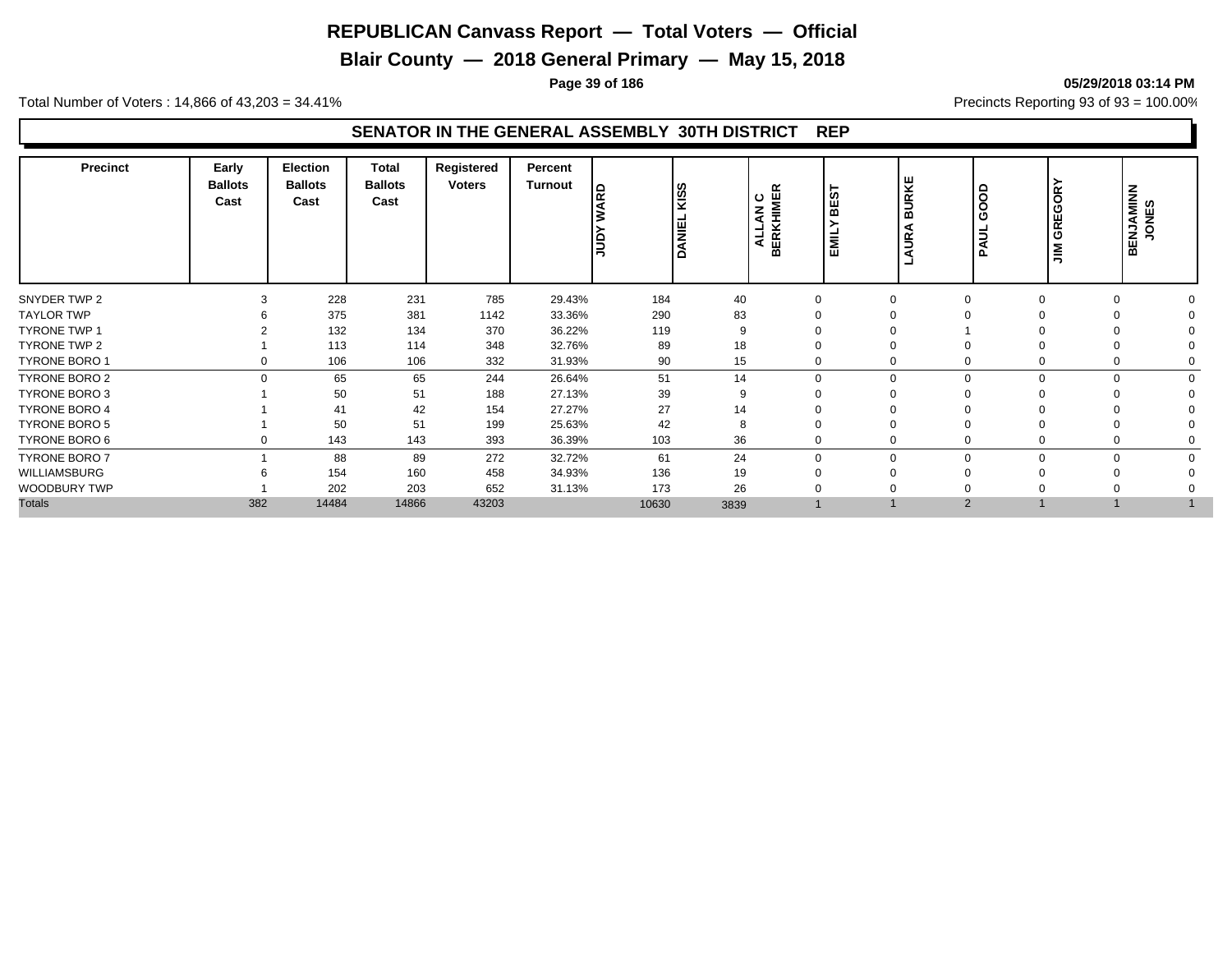**Blair County — 2018 General Primary — May 15, 2018**

**Page 39 of 186 05/29/2018 03:14 PM**

Total Number of Voters : 14,866 of 43,203 = 34.41% **Precincts Reporting 93 of 93** = 100.00%

#### **SENATOR IN THE GENERAL ASSEMBLY 30TH DISTRICT REP**

| <b>Precinct</b>      | Early<br><b>Ballots</b><br>Cast | <b>Election</b><br><b>Ballots</b><br>Cast | Total<br><b>Ballots</b><br>Cast | Registered<br><b>Voters</b> | Percent<br><b>Turnout</b> | RD<br>$\frac{1}{2}$ | <b>KISS</b><br><b>DANIEL</b> | LAN C<br>KHIMER<br>ALLAN<br>BERI | <b>ທ</b><br>볾<br>를<br>画 | URKE<br>≃<br>œ<br>5 | goo<br>ඏ<br>ЦL<br>Δ | GREGORY<br>$\sum_{i=1}^{n}$ | <b>BENJAMINN</b><br>JONES |  |
|----------------------|---------------------------------|-------------------------------------------|---------------------------------|-----------------------------|---------------------------|---------------------|------------------------------|----------------------------------|-------------------------|---------------------|---------------------|-----------------------------|---------------------------|--|
| SNYDER TWP 2         | 3                               | 228                                       | 231                             | 785                         | 29.43%                    | 184                 | 40                           | $\mathbf 0$                      |                         | $\Omega$            | $\Omega$            |                             | $\Omega$                  |  |
| <b>TAYLOR TWP</b>    |                                 | 375                                       | 381                             | 1142                        | 33.36%                    | 290                 | 83                           |                                  |                         |                     |                     |                             |                           |  |
| <b>TYRONE TWP 1</b>  |                                 | 132                                       | 134                             | 370                         | 36.22%                    | 119                 | 9                            |                                  |                         |                     |                     |                             |                           |  |
| <b>TYRONE TWP 2</b>  |                                 | 113                                       | 114                             | 348                         | 32.76%                    | 89                  | 18                           |                                  |                         |                     |                     |                             |                           |  |
| <b>TYRONE BORO 1</b> | 0                               | 106                                       | 106                             | 332                         | 31.93%                    | 90                  | 15                           | $\mathbf 0$                      |                         |                     | $\Omega$            |                             |                           |  |
| <b>TYRONE BORO 2</b> | $\Omega$                        | 65                                        | 65                              | 244                         | 26.64%                    | 51                  | 14                           | $\Omega$                         |                         | $\Omega$            | $\Omega$            |                             | $\Omega$                  |  |
| <b>TYRONE BORO 3</b> |                                 | 50                                        | 51                              | 188                         | 27.13%                    | 39                  | q                            |                                  |                         |                     |                     |                             |                           |  |
| <b>TYRONE BORO 4</b> |                                 | 41                                        | 42                              | 154                         | 27.27%                    | 27                  | 14                           |                                  |                         |                     |                     |                             |                           |  |
| <b>TYRONE BORO 5</b> |                                 | 50                                        | 51                              | 199                         | 25.63%                    | 42                  |                              |                                  |                         |                     |                     |                             |                           |  |
| TYRONE BORO 6        | 0                               | 143                                       | 143                             | 393                         | 36.39%                    | 103                 | 36                           | $\mathbf 0$                      |                         |                     | $\Omega$            |                             |                           |  |
| <b>TYRONE BORO 7</b> |                                 | 88                                        | 89                              | 272                         | 32.72%                    | 61                  | 24                           | $\mathbf 0$                      |                         | $\Omega$            | $\Omega$            |                             | $\Omega$                  |  |
| WILLIAMSBURG         |                                 | 154                                       | 160                             | 458                         | 34.93%                    | 136                 | 19                           |                                  |                         |                     |                     |                             |                           |  |
| <b>WOODBURY TWP</b>  |                                 | 202                                       | 203                             | 652                         | 31.13%                    | 173                 | 26                           |                                  |                         |                     |                     |                             |                           |  |
| <b>Totals</b>        | 382                             | 14484                                     | 14866                           | 43203                       |                           | 10630               | 3839                         |                                  |                         | $\overline{2}$      |                     |                             |                           |  |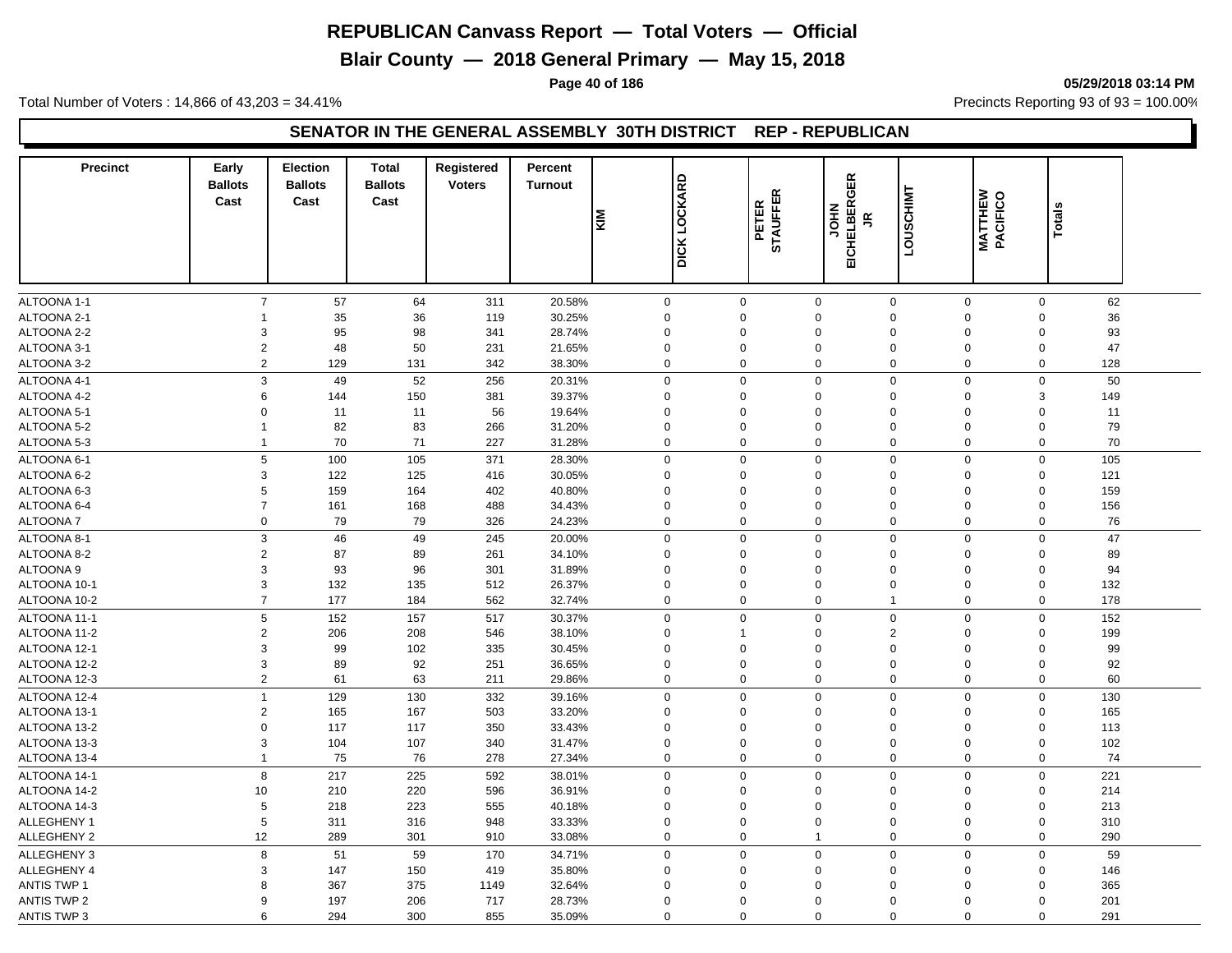**Blair County — 2018 General Primary — May 15, 2018**

**Page 40 of 186 05/29/2018 03:14 PM**

Total Number of Voters : 14,866 of 43,203 = 34.41% **Precincts Reporting 93 of 93** = 100.00%

#### **SENATOR IN THE GENERAL ASSEMBLY 30TH DISTRICT REP - REPUBLICAN**

| <b>Precinct</b>    | Early<br><b>Ballots</b><br>Cast | Election<br><b>Ballots</b><br>Cast | <b>Total</b><br><b>Ballots</b><br>Cast | Registered<br><b>Voters</b> | Percent<br><b>Turnout</b> | <b>DICK LOCKARD</b><br>KIM |              | <b>STAUFFER</b><br>PETER | EICHELBERGER<br>NHOL<br>$\leq$ | LOUSCHIMT   | <b>MATTHEW<br/>PACIFICO</b> | <b>Totals</b>      |  |
|--------------------|---------------------------------|------------------------------------|----------------------------------------|-----------------------------|---------------------------|----------------------------|--------------|--------------------------|--------------------------------|-------------|-----------------------------|--------------------|--|
| ALTOONA 1-1        | $\overline{7}$                  | 57                                 | 64                                     | 311                         | 20.58%                    | $\mathsf{O}\xspace$        | $\mathbf 0$  | $\mathbf 0$              | $\mathbf 0$                    | $\mathbf 0$ |                             | $\mathbf 0$<br>62  |  |
| ALTOONA 2-1        | -1                              | 35                                 | 36                                     | 119                         | 30.25%                    | $\Omega$                   | 0            | $\Omega$                 | $\mathbf 0$                    | $\Omega$    | $\Omega$                    | 36                 |  |
| ALTOONA 2-2        | 3                               | 95                                 | 98                                     | 341                         | 28.74%                    | $\Omega$                   | $\mathbf 0$  | $\Omega$                 | $\mathbf 0$                    | $\mathbf 0$ | $\Omega$                    | 93                 |  |
| ALTOONA 3-1        | $\overline{c}$                  | 48                                 | 50                                     | 231                         | 21.65%                    | $\Omega$                   | $\Omega$     | $\Omega$                 | $\mathbf 0$                    | 0           | $\mathbf 0$                 | 47                 |  |
| ALTOONA 3-2        | $\overline{2}$                  | 129                                | 131                                    | 342                         | 38.30%                    | $\Omega$                   | 0            | $\mathbf 0$              | $\Omega$                       | $\mathbf 0$ |                             | $\mathbf 0$<br>128 |  |
| ALTOONA 4-1        | $\mathsf 3$                     | 49                                 | 52                                     | 256                         | 20.31%                    | $\mathbf 0$                | 0            | $\mathbf 0$              | $\mathbf 0$                    | $\mathbf 0$ |                             | $\mathbf 0$<br>50  |  |
| ALTOONA 4-2        | 6                               | 144                                | 150                                    | 381                         | 39.37%                    | $\Omega$                   | 0            | $\Omega$                 | $\mathbf 0$                    | $\mathbf 0$ | 3                           | 149                |  |
| ALTOONA 5-1        | $\Omega$                        | 11                                 | 11                                     | 56                          | 19.64%                    | $\mathbf 0$                | $\Omega$     | $\mathbf 0$              | $\mathbf 0$                    | $\Omega$    | $\mathbf 0$                 | 11                 |  |
| ALTOONA 5-2        | $\mathbf{1}$                    | 82                                 | 83                                     | 266                         | 31.20%                    | $\mathbf 0$                | 0            | $\mathbf 0$              | $\mathbf 0$                    | 0           | $\mathsf 0$                 | 79                 |  |
| ALTOONA 5-3        | $\mathbf{1}$                    | 70                                 | 71                                     | 227                         | 31.28%                    | $\mathbf 0$                | 0            | $\mathbf 0$              | $\mathbf 0$                    | $\mathbf 0$ |                             | $\mathbf 0$<br>70  |  |
| ALTOONA 6-1        | $\mathbf 5$                     | 100                                | 105                                    | 371                         | 28.30%                    | $\mathbf 0$                | 0            | $\Omega$                 | $\mathbf 0$                    | $\mathbf 0$ |                             | 105<br>$\mathbf 0$ |  |
| ALTOONA 6-2        | 3                               | 122                                | 125                                    | 416                         | 30.05%                    | $\Omega$                   | 0            | $\mathbf 0$              | $\Omega$                       | $\Omega$    | $\mathbf 0$                 | 121                |  |
| ALTOONA 6-3        | 5                               | 159                                | 164                                    | 402                         | 40.80%                    | $\mathbf 0$                | 0            | $\mathbf 0$              | $\mathbf 0$                    | $\mathbf 0$ | $\mathbf 0$                 | 159                |  |
| ALTOONA 6-4        | $\overline{7}$                  | 161                                | 168                                    | 488                         | 34.43%                    | $\mathbf 0$                | $\mathbf 0$  | $\mathbf 0$              | $\mathbf 0$                    | $\mathbf 0$ | $\mathbf 0$                 | 156                |  |
| <b>ALTOONA7</b>    | $\Omega$                        | 79                                 | 79                                     | 326                         | 24.23%                    | $\Omega$                   | 0            | $\mathbf 0$              | $\mathbf 0$                    | $\mathbf 0$ |                             | $\mathbf 0$<br>76  |  |
| ALTOONA 8-1        | 3                               | 46                                 | 49                                     | 245                         | 20.00%                    | $\mathbf 0$                | 0            | $\mathbf 0$              | $\mathbf 0$                    | 0           | $\mathsf 0$                 | 47                 |  |
| ALTOONA 8-2        | 2                               | 87                                 | 89                                     | 261                         | 34.10%                    | $\Omega$                   | 0            | $\Omega$                 | $\mathbf 0$                    | 0           | $\Omega$                    | 89                 |  |
| ALTOONA 9          | 3                               | 93                                 | 96                                     | 301                         | 31.89%                    | $\mathbf 0$                | 0            | $\mathbf 0$              | $\mathbf 0$                    | $\mathbf 0$ | $\mathbf 0$                 | 94                 |  |
| ALTOONA 10-1       | 3                               | 132                                | 135                                    | 512                         | 26.37%                    | $\mathbf 0$                | 0            | $\mathbf 0$              | $\mathbf 0$                    | 0           | $\mathbf 0$                 | 132                |  |
| ALTOONA 10-2       | $\overline{7}$                  | 177                                | 184                                    | 562                         | 32.74%                    | $\Omega$                   | 0            | $\mathbf 0$              | $\overline{1}$                 | 0           | $\Omega$                    | 178                |  |
| ALTOONA 11-1       | 5                               | 152                                | 157                                    | 517                         | 30.37%                    | $\mathbf 0$                | $\mathbf 0$  | $\Omega$                 | $\mathbf 0$                    | $\mathbf 0$ | $\mathbf 0$                 | 152                |  |
| ALTOONA 11-2       | 2                               | 206                                | 208                                    | 546                         | 38.10%                    | $\Omega$                   | $\mathbf{1}$ | $\Omega$                 | $\overline{2}$                 | $\Omega$    | $\Omega$                    | 199                |  |
| ALTOONA 12-1       | 3                               | 99                                 | 102                                    | 335                         | 30.45%                    | $\Omega$                   | $\Omega$     | $\Omega$                 | $\mathbf 0$                    | $\Omega$    | $\Omega$                    | 99                 |  |
| ALTOONA 12-2       | 3                               | 89                                 | 92                                     | 251                         | 36.65%                    | $\mathbf 0$                | 0            | $\mathbf 0$              | $\mathbf 0$                    | $\mathbf 0$ | $\mathbf 0$                 | 92                 |  |
| ALTOONA 12-3       | 2                               | 61                                 | 63                                     | 211                         | 29.86%                    | $\Omega$                   | 0            | $\mathbf 0$              | $\Omega$                       | 0           |                             | 60<br>0            |  |
| ALTOONA 12-4       | $\mathbf{1}$                    | 129                                | 130                                    | 332                         | 39.16%                    | $\mathbf 0$                | 0            | $\mathbf 0$              | $\mathbf 0$                    | 0           |                             | $\mathbf 0$<br>130 |  |
| ALTOONA 13-1       | $\overline{c}$                  | 165                                | 167                                    | 503                         | 33.20%                    | $\Omega$                   | $\Omega$     | $\Omega$                 | $\Omega$                       | $\mathbf 0$ | $\mathbf 0$                 | 165                |  |
| ALTOONA 13-2       | $\Omega$                        | 117                                | 117                                    | 350                         | 33.43%                    | $\Omega$                   | $\Omega$     | $\Omega$                 | $\mathbf 0$                    | $\Omega$    | $\mathbf 0$                 | 113                |  |
| ALTOONA 13-3       | 3                               | 104                                | 107                                    | 340                         | 31.47%                    | $\mathbf 0$                | $\mathbf 0$  | $\mathbf 0$              | $\mathbf 0$                    | 0           | $\mathbf 0$                 | 102                |  |
| ALTOONA 13-4       | $\overline{1}$                  | 75                                 | 76                                     | 278                         | 27.34%                    | $\mathbf 0$                | 0            | $\mathbf 0$              | $\mathbf 0$                    | 0           |                             | 74<br>$\mathbf 0$  |  |
| ALTOONA 14-1       | 8                               | 217                                | 225                                    | 592                         | 38.01%                    | $\Omega$                   | 0            | $\mathbf 0$              | $\mathbf 0$                    | 0           |                             | 221<br>$\mathbf 0$ |  |
| ALTOONA 14-2       | 10                              | 210                                | 220                                    | 596                         | 36.91%                    | $\Omega$                   | 0            | $\Omega$                 | $\mathbf 0$                    | $\Omega$    | $\Omega$                    | 214                |  |
| ALTOONA 14-3       | 5                               | 218                                | 223                                    | 555                         | 40.18%                    | $\Omega$                   | $\Omega$     | $\Omega$                 | $\Omega$                       | $\Omega$    | $\mathbf 0$                 | 213                |  |
| ALLEGHENY 1        | $\,$ 5 $\,$                     | 311                                | 316                                    | 948                         | 33.33%                    | $\mathbf 0$                | $\mathbf 0$  | $\Omega$                 | $\Omega$                       | $\Omega$    | $\mathbf 0$                 | 310                |  |
| <b>ALLEGHENY 2</b> | 12                              | 289                                | 301                                    | 910                         | 33.08%                    | $\Omega$                   | 0            | $\overline{1}$           | $\mathbf 0$                    | 0           | $\mathbf 0$                 | 290                |  |
| ALLEGHENY 3        | 8                               | 51                                 | 59                                     | 170                         | 34.71%                    | $\mathbf 0$                | $\mathbf 0$  | $\mathbf 0$              | $\mathbf 0$                    | $\mathbf 0$ |                             | 59<br>$\mathbf 0$  |  |
| ALLEGHENY 4        | 3                               | 147                                | 150                                    | 419                         | 35.80%                    | $\Omega$                   | $\mathbf 0$  | $\mathbf 0$              | $\mathbf 0$                    | $\Omega$    | $\mathbf 0$                 | 146                |  |
| <b>ANTIS TWP 1</b> | 8                               | 367                                | 375                                    | 1149                        | 32.64%                    | $\Omega$                   | $\Omega$     | $\Omega$                 | $\mathbf 0$                    | $\Omega$    | $\Omega$                    | 365                |  |
| <b>ANTIS TWP 2</b> | 9                               | 197                                | 206                                    | 717                         | 28.73%                    | $\Omega$                   | $\mathbf 0$  | $\Omega$                 | $\mathbf 0$                    | $\Omega$    | $\Omega$                    | 201                |  |
| <b>ANTIS TWP 3</b> | 6                               | 294                                | 300                                    | 855                         | 35.09%                    | $\Omega$                   | $\mathbf 0$  | $\mathbf 0$              | $\mathbf 0$                    | 0           |                             | 291<br>$\mathbf 0$ |  |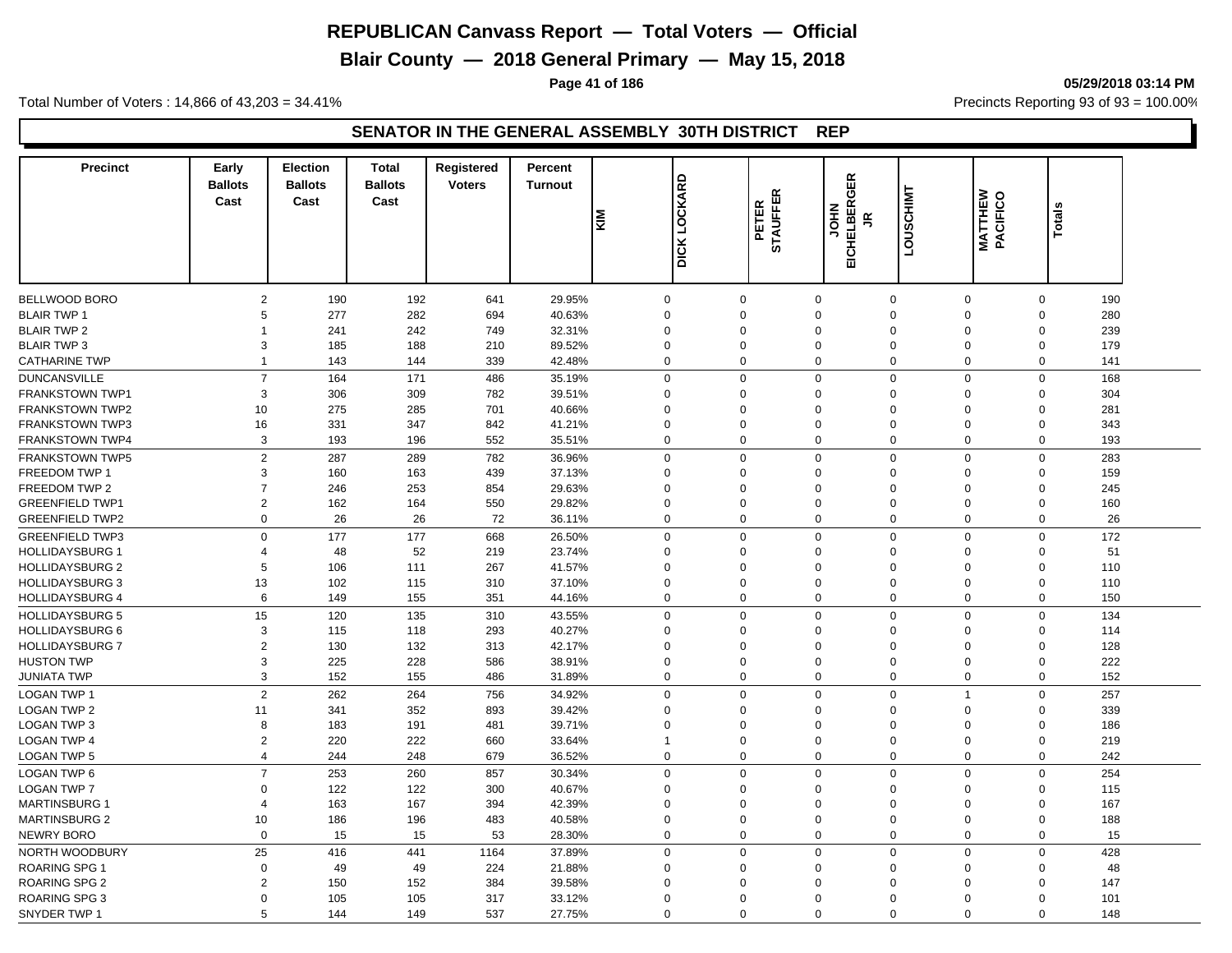**Blair County — 2018 General Primary — May 15, 2018**

**Page 41 of 186 05/29/2018 03:14 PM**

Total Number of Voters : 14,866 of 43,203 = 34.41% **Precincts Reporting 93 of 93** = 100.00%

#### **SENATOR IN THE GENERAL ASSEMBLY 30TH DISTRICT REP**

| <b>Precinct</b>                                  | Early<br><b>Ballots</b><br>Cast | <b>Election</b><br><b>Ballots</b><br>Cast | <b>Total</b><br><b>Ballots</b><br>Cast | Registered<br><b>Voters</b> | Percent<br><b>Turnout</b> | <b>MIN</b>  | <b>DICK LOCKARD</b> | <b>STAUFFER</b><br>PETER | <b>GER</b><br><b>EICHELBER</b><br><b>NHOL</b><br>$\leq$ | LOUSCHIMT      | <b>MATTHEW</b><br>PACIFICO | Totals      |           |
|--------------------------------------------------|---------------------------------|-------------------------------------------|----------------------------------------|-----------------------------|---------------------------|-------------|---------------------|--------------------------|---------------------------------------------------------|----------------|----------------------------|-------------|-----------|
|                                                  |                                 |                                           |                                        |                             |                           |             |                     |                          |                                                         |                |                            |             |           |
| <b>BELLWOOD BORO</b>                             | $\overline{2}$                  | 190                                       | 192                                    | 641                         | 29.95%                    | $\mathbf 0$ | 0                   | $\mathbf 0$              | $\mathbf 0$                                             | 0              |                            | $\mathbf 0$ | 190       |
| <b>BLAIR TWP 1</b>                               | 5                               | 277                                       | 282                                    | 694                         | 40.63%                    | $\Omega$    | $\Omega$            | $\Omega$                 | $\mathbf 0$                                             | $\Omega$       |                            | $\Omega$    | 280       |
| <b>BLAIR TWP 2</b>                               | $\overline{1}$                  | 241                                       | 242                                    | 749                         | 32.31%                    | $\Omega$    | $\mathbf 0$         | $\mathbf 0$              | $\Omega$                                                | $\Omega$       |                            | $\mathbf 0$ | 239       |
| <b>BLAIR TWP 3</b>                               | 3                               | 185                                       | 188                                    | 210                         | 89.52%                    | $\Omega$    | 0                   | $\mathbf 0$              | $\Omega$                                                | $\Omega$       |                            | $\Omega$    | 179       |
| <b>CATHARINE TWP</b>                             | $\overline{1}$                  | 143                                       | 144                                    | 339                         | 42.48%                    | $\mathbf 0$ | 0                   | $\mathbf 0$              | $\mathbf 0$                                             | 0              |                            | 0           | 141       |
| <b>DUNCANSVILLE</b>                              | $\overline{7}$                  | 164                                       | 171                                    | 486                         | 35.19%                    | $\Omega$    | $\Omega$            | $\Omega$                 | $\mathbf 0$                                             | $\mathbf 0$    |                            | $\mathsf 0$ | 168       |
| <b>FRANKSTOWN TWP1</b>                           | 3                               | 306                                       | 309                                    | 782                         | 39.51%                    | $\Omega$    | $\Omega$            | $\Omega$                 | $\mathbf 0$                                             | $\Omega$       |                            | $\Omega$    | 304       |
| <b>FRANKSTOWN TWP2</b>                           | 10                              | 275                                       | 285                                    | 701                         | 40.66%                    | $\Omega$    | $\Omega$            | $\Omega$                 | $\Omega$                                                | $\Omega$       |                            | $\mathbf 0$ | 281       |
| FRANKSTOWN TWP3                                  | 16                              | 331                                       | 347                                    | 842                         | 41.21%                    | $\Omega$    | $\Omega$            | $\Omega$                 | $\mathbf 0$                                             | $\Omega$       |                            | $\Omega$    | 343       |
| <b>FRANKSTOWN TWP4</b>                           | 3                               | 193                                       | 196                                    | 552                         | 35.51%                    | $\Omega$    | 0                   | $\Omega$                 | $\mathbf 0$                                             | 0              |                            | $\Omega$    | 193       |
| <b>FRANKSTOWN TWP5</b>                           | $\overline{2}$                  | 287                                       | 289                                    | 782                         | 36.96%                    | $\Omega$    | 0                   | $\Omega$                 | $\mathbf 0$                                             | 0              |                            | $\mathbf 0$ | 283       |
| FREEDOM TWP 1                                    | 3                               | 160                                       | 163                                    | 439                         | 37.13%                    | $\Omega$    | 0                   | $\Omega$                 | $\mathbf 0$                                             | $\Omega$       |                            | $\mathbf 0$ | 159       |
| FREEDOM TWP 2                                    | $\overline{7}$                  | 246                                       | 253                                    | 854                         | 29.63%                    | $\Omega$    | $\mathbf 0$         | $\Omega$                 | $\Omega$                                                | $\mathbf 0$    |                            | $\Omega$    | 245       |
| <b>GREENFIELD TWP1</b>                           | 2                               | 162                                       | 164                                    | 550                         | 29.82%                    | $\Omega$    | $\Omega$            | $\Omega$                 | $\Omega$                                                | $\Omega$       |                            | $\Omega$    | 160       |
| <b>GREENFIELD TWP2</b>                           | $\mathbf 0$                     | 26                                        | 26                                     | 72                          | 36.11%                    | $\Omega$    | 0                   | $\mathsf 0$              | $\Omega$                                                | 0              |                            | $\mathbf 0$ | 26        |
|                                                  | $\mathbf 0$                     |                                           |                                        |                             |                           | $\Omega$    | $\mathbf 0$         | $\mathbf 0$              | $\mathbf 0$                                             | $\mathbf 0$    |                            | $\Omega$    |           |
| <b>GREENFIELD TWP3</b>                           | $\overline{4}$                  | 177                                       | 177                                    | 668                         | 26.50%                    | $\Omega$    | $\mathbf 0$         | $\Omega$                 | $\mathbf 0$                                             | $\Omega$       |                            | $\Omega$    | 172<br>51 |
| <b>HOLLIDAYSBURG 1</b><br><b>HOLLIDAYSBURG 2</b> | 5                               | 48<br>106                                 | 52<br>111                              | 219<br>267                  | 23.74%<br>41.57%          | $\Omega$    | $\Omega$            | $\mathbf 0$              | $\mathbf 0$                                             | $\Omega$       |                            | $\mathbf 0$ | 110       |
| <b>HOLLIDAYSBURG 3</b>                           | 13                              | 102                                       | 115                                    | 310                         | 37.10%                    | $\Omega$    | 0                   | $\Omega$                 | $\mathbf 0$                                             | $\mathbf 0$    |                            | $\mathbf 0$ | 110       |
| <b>HOLLIDAYSBURG 4</b>                           | 6                               | 149                                       | 155                                    | 351                         | 44.16%                    | $\Omega$    | $\mathbf 0$         | $\mathbf 0$              | $\mathbf 0$                                             | $\mathbf 0$    |                            | $\mathbf 0$ | 150       |
|                                                  |                                 |                                           |                                        |                             |                           |             |                     |                          |                                                         |                |                            |             |           |
| <b>HOLLIDAYSBURG 5</b>                           | 15                              | 120                                       | 135                                    | 310                         | 43.55%                    | $\Omega$    | 0                   | $\Omega$                 | $\mathbf 0$                                             | 0              |                            | $\mathsf 0$ | 134       |
| <b>HOLLIDAYSBURG 6</b>                           | 3                               | 115                                       | 118                                    | 293                         | 40.27%                    | $\Omega$    | $\Omega$            | $\Omega$                 | $\Omega$                                                | $\Omega$       |                            | $\Omega$    | 114       |
| <b>HOLLIDAYSBURG 7</b>                           | $\overline{2}$                  | 130                                       | 132                                    | 313                         | 42.17%                    | $\Omega$    | $\mathbf 0$         | $\Omega$                 | $\mathbf 0$                                             | $\Omega$       |                            | $\mathbf 0$ | 128       |
| <b>HUSTON TWP</b>                                | 3                               | 225                                       | 228                                    | 586                         | 38.91%                    | $\Omega$    | $\Omega$            | $\Omega$                 | $\Omega$<br>$\Omega$                                    | $\Omega$       |                            | $\Omega$    | 222       |
| JUNIATA TWP                                      | 3                               | 152                                       | 155                                    | 486                         | 31.89%                    | $\Omega$    | 0                   | $\mathbf 0$              |                                                         | 0              |                            | $\mathbf 0$ | 152       |
| <b>LOGAN TWP 1</b>                               | $\overline{2}$                  | 262                                       | 264                                    | 756                         | 34.92%                    | $\Omega$    | 0                   | $\Omega$                 | $\mathbf 0$                                             | $\overline{1}$ |                            | $\Omega$    | 257       |
| LOGAN TWP 2                                      | 11                              | 341                                       | 352                                    | 893                         | 39.42%                    | $\Omega$    | $\Omega$            | $\Omega$                 | $\Omega$                                                | $\mathbf 0$    |                            | $\mathbf 0$ | 339       |
| LOGAN TWP 3                                      | 8                               | 183                                       | 191                                    | 481                         | 39.71%                    | $\Omega$    | $\Omega$            | $\Omega$                 | $\Omega$                                                | $\Omega$       |                            | $\Omega$    | 186       |
| <b>LOGAN TWP 4</b>                               | 2                               | 220                                       | 222                                    | 660                         | 33.64%                    |             | $\Omega$            | $\Omega$                 | $\mathbf 0$                                             | $\Omega$       |                            | $\mathbf 0$ | 219       |
| <b>LOGAN TWP 5</b>                               | $\overline{4}$                  | 244                                       | 248                                    | 679                         | 36.52%                    | $\Omega$    | 0                   | $\Omega$                 | $\mathbf 0$                                             | 0              |                            | $\mathbf 0$ | 242       |
| <b>LOGAN TWP 6</b>                               | $\overline{7}$                  | 253                                       | 260                                    | 857                         | 30.34%                    | $\Omega$    | $\mathbf 0$         | $\mathbf 0$              | $\mathbf 0$                                             | $\mathbf 0$    |                            | $\mathbf 0$ | 254       |
| <b>LOGAN TWP 7</b>                               | $\Omega$                        | 122                                       | 122                                    | 300                         | 40.67%                    | $\Omega$    | 0                   | $\Omega$                 | $\mathbf 0$                                             | $\Omega$       |                            | $\Omega$    | 115       |
| <b>MARTINSBURG 1</b>                             | $\overline{4}$                  | 163                                       | 167                                    | 394                         | 42.39%                    | $\Omega$    | 0                   | $\Omega$                 | $\mathbf 0$                                             | $\Omega$       |                            | $\mathbf 0$ | 167       |
| <b>MARTINSBURG 2</b>                             | 10                              | 186                                       | 196                                    | 483                         | 40.58%                    | $\Omega$    | 0                   | $\Omega$                 | $\mathbf 0$                                             | $\mathbf 0$    |                            | $\mathbf 0$ | 188       |
| NEWRY BORO                                       | $\mathbf 0$                     | 15                                        | 15                                     | 53                          | 28.30%                    | $\Omega$    | 0                   | $\mathbf 0$              | $\mathbf 0$                                             | $\mathbf 0$    |                            | $\mathbf 0$ | 15        |
| NORTH WOODBURY                                   | 25                              | 416                                       | 441                                    | 1164                        | 37.89%                    | $\mathbf 0$ | 0                   | $\mathbf 0$              | $\mathbf 0$                                             | 0              |                            | $\mathbf 0$ | 428       |
| ROARING SPG 1                                    | $\Omega$                        | 49                                        | 49                                     | 224                         | 21.88%                    | $\Omega$    | $\Omega$            | $\Omega$                 | $\Omega$                                                | $\Omega$       |                            | $\Omega$    | 48        |
| ROARING SPG 2                                    | $\overline{2}$                  | 150                                       | 152                                    | 384                         | 39.58%                    | $\Omega$    | $\Omega$            | $\Omega$                 | $\Omega$                                                | $\Omega$       |                            | $\Omega$    | 147       |
| ROARING SPG 3                                    | $\Omega$                        | 105                                       | 105                                    | 317                         | 33.12%                    | $\Omega$    | $\Omega$            | $\Omega$                 | $\Omega$                                                | $\Omega$       |                            | $\Omega$    | 101       |
| SNYDER TWP 1                                     | 5                               | 144                                       | 149                                    | 537                         | 27.75%                    | $\Omega$    | $\Omega$            | $\Omega$                 | $\Omega$                                                | $\Omega$       |                            | $\Omega$    | 148       |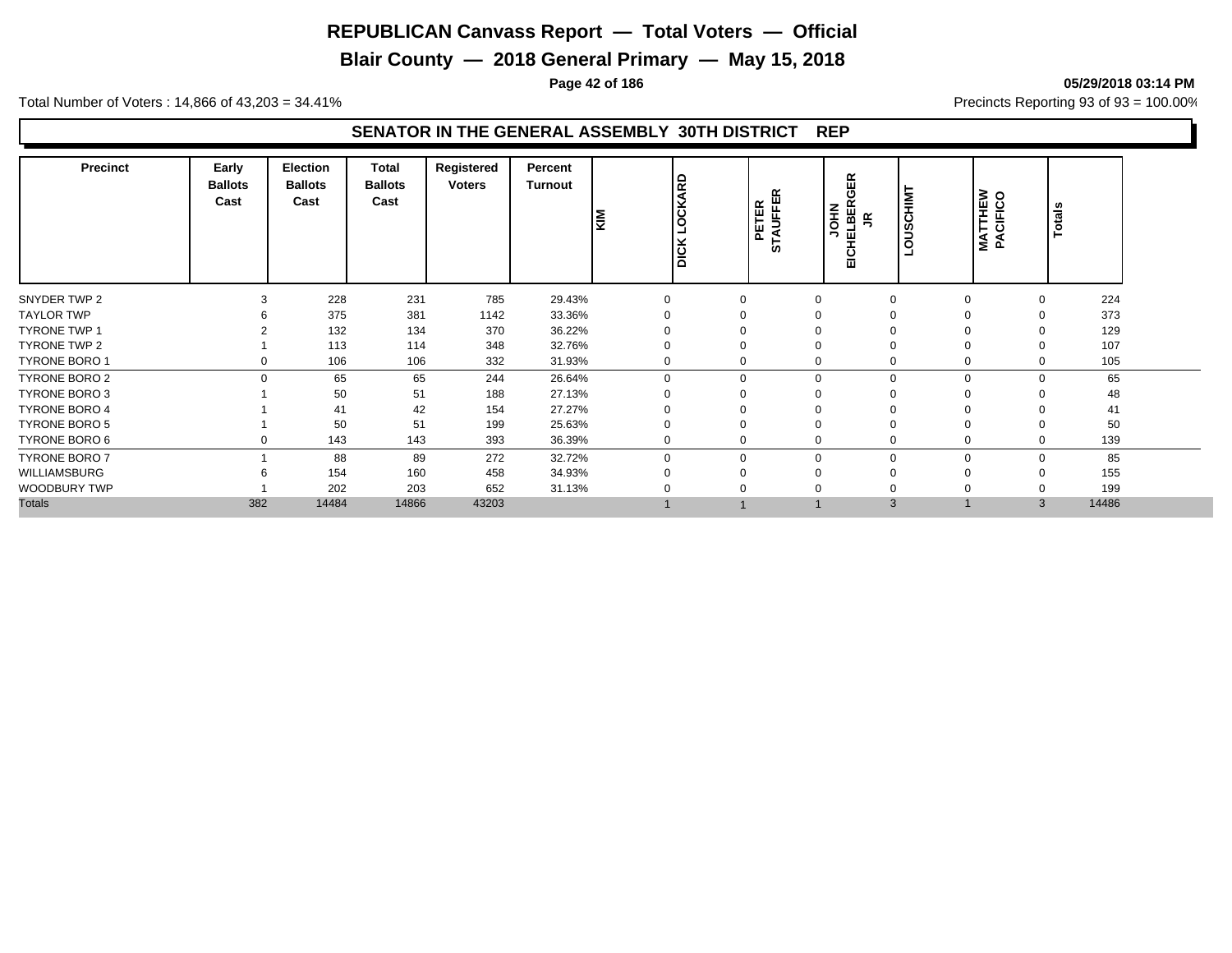**Blair County — 2018 General Primary — May 15, 2018**

**Page 42 of 186 05/29/2018 03:14 PM**

Total Number of Voters : 14,866 of 43,203 = 34.41% **Precincts Reporting 93 of 93** = 100.00%

#### **SENATOR IN THE GENERAL ASSEMBLY 30TH DISTRICT REP**

| <b>Precinct</b>      | Early<br><b>Ballots</b><br>Cast | <b>Election</b><br><b>Ballots</b><br>Cast | Total<br><b>Ballots</b><br>Cast | Registered<br><b>Voters</b> | Percent<br>Turnout | KIM      | LOCKARD<br>$\overline{DCK}$ | <b>STAUFFER</b><br>PETER | Æ<br>O<br>모터<br>새<br><b>NHOL</b><br>퓦<br>드<br>디 | <b>SCHIMT</b><br>$\Rightarrow$<br>ğ | <b>MATTHEW<br/>PACIFICO</b> | <b>Totals</b>  |
|----------------------|---------------------------------|-------------------------------------------|---------------------------------|-----------------------------|--------------------|----------|-----------------------------|--------------------------|-------------------------------------------------|-------------------------------------|-----------------------------|----------------|
| SNYDER TWP 2         | 3                               | 228                                       | 231                             | 785                         | 29.43%             |          | 0                           |                          | $\Omega$                                        | $\Omega$                            | $\Omega$                    | 224            |
| <b>TAYLOR TWP</b>    |                                 | 375                                       | 381                             | 1142                        | 33.36%             |          |                             |                          |                                                 | O                                   |                             | 373            |
| <b>TYRONE TWP 1</b>  |                                 | 132                                       | 134                             | 370                         | 36.22%             |          | $\Omega$                    |                          |                                                 | $\Omega$                            |                             | 129            |
| TYRONE TWP 2         |                                 | 113                                       | 114                             | 348                         | 32.76%             |          | 0                           |                          |                                                 | $\Omega$                            |                             | 107            |
| TYRONE BORO 1        |                                 | 106                                       | 106                             | 332                         | 31.93%             |          | 0                           |                          |                                                 | 0                                   |                             | 105            |
| TYRONE BORO 2        | $\Omega$                        | 65                                        | 65                              | 244                         | 26.64%             | $\Omega$ | $\mathbf 0$                 |                          | $\Omega$                                        | $\mathbf 0$                         | $\Omega$                    | 65             |
| TYRONE BORO 3        |                                 | 50                                        | 51                              | 188                         | 27.13%             |          | 0                           |                          |                                                 | O                                   |                             | 48             |
| <b>TYRONE BORO 4</b> |                                 | 41                                        | 42                              | 154                         | 27.27%             |          | $\Omega$                    |                          |                                                 | $\Omega$                            |                             | 41             |
| <b>TYRONE BORO 5</b> |                                 | 50                                        | 51                              | 199                         | 25.63%             |          | 0                           |                          |                                                 | $\Omega$                            |                             | 50             |
| TYRONE BORO 6        |                                 | 143                                       | 143                             | 393                         | 36.39%             |          | $\mathbf 0$                 |                          |                                                 | $\mathbf 0$                         |                             | 139            |
| <b>TYRONE BORO 7</b> |                                 | 88                                        | 89                              | 272                         | 32.72%             | $\Omega$ | $\mathbf 0$                 |                          | $\Omega$                                        | $\mathbf 0$                         |                             | 85<br>$\Omega$ |
| WILLIAMSBURG         |                                 | 154                                       | 160                             | 458                         | 34.93%             |          | 0                           |                          | $\Omega$                                        | $\Omega$                            |                             | 155            |
| <b>WOODBURY TWP</b>  |                                 | 202                                       | 203                             | 652                         | 31.13%             |          | 0                           |                          |                                                 | $\Omega$                            |                             | 199            |
| <b>Totals</b>        | 382                             | 14484                                     | 14866                           | 43203                       |                    |          |                             |                          | 3                                               |                                     |                             | 14486<br>3     |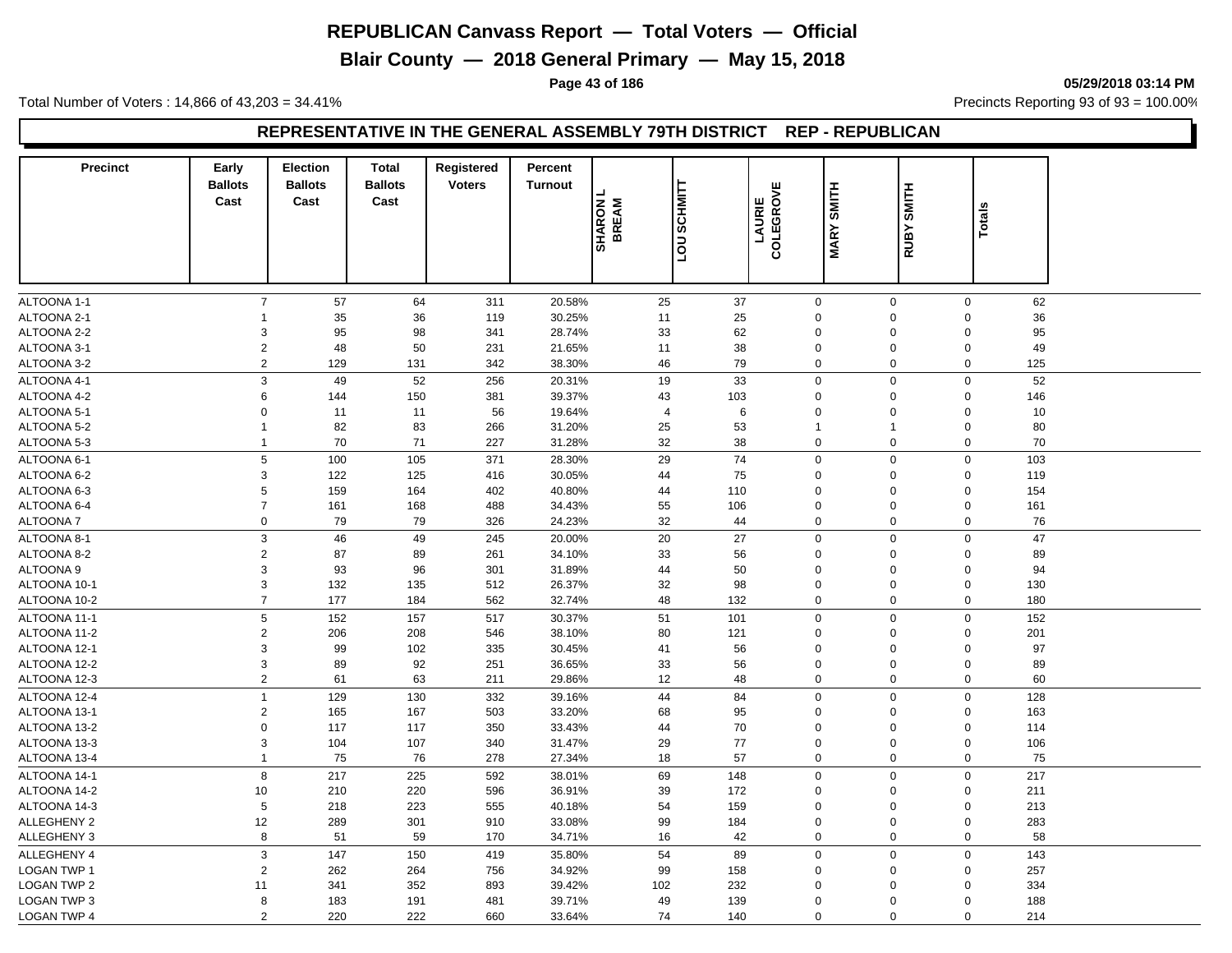## **Blair County — 2018 General Primary — May 15, 2018**

**Page 43 of 186 05/29/2018 03:14 PM**

Total Number of Voters : 14,866 of 43,203 = 34.41% **Precincts Reporting 93 of 93** = 100.00%

#### **REPRESENTATIVE IN THE GENERAL ASSEMBLY 79TH DISTRICT REP - REPUBLICAN**

| <b>Precinct</b>    | Early<br><b>Ballots</b>   | <b>Election</b><br><b>Ballots</b> | <b>Total</b><br><b>Ballots</b> | Registered<br><b>Voters</b> | Percent<br><b>Turnout</b> |                        |                                                 |           |                                 |              |                    |  |
|--------------------|---------------------------|-----------------------------------|--------------------------------|-----------------------------|---------------------------|------------------------|-------------------------------------------------|-----------|---------------------------------|--------------|--------------------|--|
|                    | Cast                      | Cast                              | Cast                           |                             |                           |                        | <b>SCHMITT</b>                                  | COLEGROVE | SMITH                           | <b>SMITH</b> |                    |  |
|                    |                           |                                   |                                |                             |                           | <b>SHARON</b><br>BREAM |                                                 | LAURIE    |                                 |              | <b>Totals</b>      |  |
|                    |                           |                                   |                                |                             |                           |                        | $\overline{\overline{\overline{\overline{C}}}}$ |           | <b>MARY</b>                     | RUBY         |                    |  |
|                    |                           |                                   |                                |                             |                           |                        |                                                 |           |                                 |              |                    |  |
| ALTOONA 1-1        | $\boldsymbol{7}$          | 57                                | 64                             | 311                         | 20.58%                    | 25                     | 37                                              |           | $\mathbf 0$                     | $\mathbf 0$  | $\mathbf 0$<br>62  |  |
| ALTOONA 2-1        | 1                         | 35                                | 36                             | 119                         | 30.25%                    | 11                     | 25                                              |           | $\mathbf 0$<br>$\mathbf 0$      | $\Omega$     | 36                 |  |
| ALTOONA 2-2        | $\mathsf 3$               | 95                                | 98                             | 341                         | 28.74%                    | 33                     | 62                                              |           | $\Omega$<br>$\boldsymbol{0}$    | $\Omega$     | 95                 |  |
| ALTOONA 3-1        | $\sqrt{2}$                | 48                                | 50                             | 231                         | 21.65%                    | 11                     | 38                                              |           | $\mathbf 0$<br>$\mathbf 0$      | $\mathbf 0$  | 49                 |  |
| ALTOONA 3-2        | $\sqrt{2}$                | 129                               | 131                            | 342                         | 38.30%                    | 46                     | 79                                              |           | $\mathbf 0$<br>$\mathbf 0$      |              | $\mathsf 0$<br>125 |  |
| ALTOONA 4-1        | 3                         | 49                                | 52                             | 256                         | 20.31%                    | 19                     | 33                                              |           | $\mathbf 0$<br>$\mathbf 0$      |              | $\mathsf 0$<br>52  |  |
| ALTOONA 4-2        | 6                         | 144                               | 150                            | 381                         | 39.37%                    | 43                     | 103                                             |           | $\mathbf 0$<br>$\mathbf 0$      | $\Omega$     | 146                |  |
| ALTOONA 5-1        | $\mathbf 0$               | 11                                | 11                             | 56                          | 19.64%                    | $\overline{4}$         | 6                                               |           | $\Omega$<br>$\mathbf 0$         | $\Omega$     | 10                 |  |
| ALTOONA 5-2        | $\mathbf{1}$              | 82                                | 83                             | 266                         | 31.20%                    | 25                     | 53                                              |           | $\mathbf{1}$<br>$\overline{1}$  | $\Omega$     | 80                 |  |
| ALTOONA 5-3        | $\mathbf{1}$              | 70                                | 71                             | 227                         | 31.28%                    | 32                     | 38                                              |           | $\mathbf 0$<br>$\mathbf 0$      | $\Omega$     | 70                 |  |
| ALTOONA 6-1        | $\,$ 5 $\,$               | 100                               | 105                            | 371                         | 28.30%                    | 29                     | 74                                              |           | $\mathbf 0$<br>$\mathbf 0$      | $\mathbf 0$  | 103                |  |
| ALTOONA 6-2        | $\mathsf 3$               | 122                               | 125                            | 416                         | 30.05%                    | 44                     | 75                                              |           | $\mathbf 0$<br>$\mathbf 0$      | $\Omega$     | 119                |  |
| ALTOONA 6-3        | 5                         | 159                               | 164                            | 402                         | 40.80%                    | 44                     | 110                                             |           | $\mathbf 0$<br>$\mathbf 0$      | $\Omega$     | 154                |  |
| ALTOONA 6-4        | $\overline{7}$            | 161                               | 168                            | 488                         | 34.43%                    | 55                     | 106                                             |           | $\mathbf 0$<br>$\mathbf 0$      | $\mathbf 0$  | 161                |  |
| <b>ALTOONA7</b>    | $\mathsf 0$               | 79                                | 79                             | 326                         | 24.23%                    | 32                     | 44                                              |           | $\mathbf 0$<br>$\mathbf 0$      |              | $\mathbf 0$<br>76  |  |
| ALTOONA 8-1        | 3                         | 46                                | 49                             | 245                         | 20.00%                    | 20                     | 27                                              |           | $\mathbf 0$<br>$\mathbf 0$      | $\Omega$     | 47                 |  |
| ALTOONA 8-2        | $\sqrt{2}$                | 87                                | 89                             | 261                         | 34.10%                    | 33                     | 56                                              |           | $\mathbf 0$<br>0                | $\Omega$     | 89                 |  |
| ALTOONA 9          | $\mathsf 3$               | 93                                | 96                             | 301                         | 31.89%                    | 44                     | 50                                              |           | $\boldsymbol{0}$<br>$\mathbf 0$ | $\mathbf 0$  | 94                 |  |
| ALTOONA 10-1       | 3                         | 132                               | 135                            | 512                         | 26.37%                    | 32                     | 98                                              |           | $\mathbf 0$<br>$\mathbf 0$      | $\Omega$     | 130                |  |
| ALTOONA 10-2       | $\overline{7}$            | 177                               | 184                            | 562                         | 32.74%                    | 48                     | 132                                             |           | $\mathbf{0}$<br>$\mathbf 0$     |              | $\mathbf 0$<br>180 |  |
| ALTOONA 11-1       | 5                         | 152                               | 157                            | 517                         | 30.37%                    | 51                     | 101                                             |           | $\mathbf 0$<br>$\mathbf 0$      |              | $\mathbf 0$<br>152 |  |
| ALTOONA 11-2       | 2                         | 206                               | 208                            | 546                         | 38.10%                    | 80                     | 121                                             |           | $\mathbf 0$<br>$\mathbf 0$      | $\Omega$     | 201                |  |
| ALTOONA 12-1       | 3                         | 99                                | 102                            | 335                         | 30.45%                    | 41                     | 56                                              |           | $\mathbf 0$<br>$\mathbf 0$      | $\mathbf 0$  | 97                 |  |
| ALTOONA 12-2       | 3                         | 89                                | 92                             | 251                         | 36.65%                    | 33                     | 56                                              |           | $\mathbf 0$<br>$\mathbf 0$      | $\Omega$     | 89                 |  |
| ALTOONA 12-3       | $\sqrt{2}$                | 61                                | 63                             | 211                         | 29.86%                    | 12                     | 48                                              |           | $\mathbf 0$<br>$\mathbf 0$      | $\mathbf 0$  | 60                 |  |
| ALTOONA 12-4       | $\overline{1}$            | 129                               | 130                            | 332                         | 39.16%                    | 44                     | 84                                              |           | $\mathbf 0$<br>$\mathbf 0$      |              | $\mathbf 0$<br>128 |  |
| ALTOONA 13-1       | $\sqrt{2}$                | 165                               | 167                            | 503                         | 33.20%                    | 68                     | 95                                              |           | $\mathbf 0$<br>$\mathbf 0$      | $\Omega$     | 163                |  |
| ALTOONA 13-2       | $\mathbf 0$               | 117                               | 117                            | 350                         | 33.43%                    | 44                     | 70                                              |           | $\mathbf 0$<br>$\Omega$         | $\Omega$     | 114                |  |
| ALTOONA 13-3       | 3                         | 104                               | 107                            | 340                         | 31.47%                    | 29                     | 77                                              |           | $\mathbf 0$<br>$\mathbf 0$      | $\mathbf 0$  | 106                |  |
| ALTOONA 13-4       | $\mathbf{1}$              | 75                                | 76                             | 278                         | 27.34%                    | 18                     | 57                                              |           | $\mathbf 0$<br>$\mathbf 0$      |              | 75<br>0            |  |
| ALTOONA 14-1       | 8                         | 217                               | 225                            | 592                         | 38.01%                    | 69                     | 148                                             |           | $\mathbf 0$<br>$\mathbf 0$      |              | $\mathbf 0$<br>217 |  |
| ALTOONA 14-2       | 10                        | 210                               | 220                            | 596                         | 36.91%                    | 39                     | 172                                             |           | $\mathbf 0$<br>$\mathbf 0$      | $\Omega$     | 211                |  |
| ALTOONA 14-3       | 5                         | 218                               | 223                            | 555                         | 40.18%                    | 54                     | 159                                             |           | $\mathbf 0$<br>$\mathbf 0$      | $\Omega$     | 213                |  |
| <b>ALLEGHENY 2</b> | 12                        | 289                               | 301                            | 910                         | 33.08%                    | 99                     | 184                                             |           | $\pmb{0}$<br>$\mathbf 0$        | $\Omega$     | 283                |  |
| ALLEGHENY 3        | 8                         | 51                                | 59                             | 170                         | 34.71%                    | 16                     | 42                                              |           | $\mathbf 0$<br>$\mathbf 0$      | $\Omega$     | 58                 |  |
| <b>ALLEGHENY 4</b> | $\ensuremath{\mathsf{3}}$ | 147                               | 150                            | 419                         | 35.80%                    | 54                     | 89                                              |           | $\mathsf 0$<br>$\mathbf 0$      | $\mathbf 0$  | 143                |  |
| <b>LOGAN TWP 1</b> | $\overline{2}$            | 262                               | 264                            | 756                         | 34.92%                    | 99                     | 158                                             |           | $\mathbf 0$<br>$\mathbf 0$      | $\Omega$     | 257                |  |
| <b>LOGAN TWP 2</b> | 11                        | 341                               | 352                            | 893                         | 39.42%                    | 102                    | 232                                             |           | $\mathbf 0$<br>$\mathbf 0$      | $\Omega$     | 334                |  |
| <b>LOGAN TWP 3</b> | 8                         | 183                               | 191                            | 481                         | 39.71%                    | 49                     | 139                                             |           | $\mathbf 0$<br>$\mathbf 0$      | $\Omega$     | 188                |  |
| <b>LOGAN TWP 4</b> | 2                         | 220                               | 222                            | 660                         | 33.64%                    | 74                     | 140                                             |           | $\pmb{0}$<br>$\mathbf 0$        | $\Omega$     | 214                |  |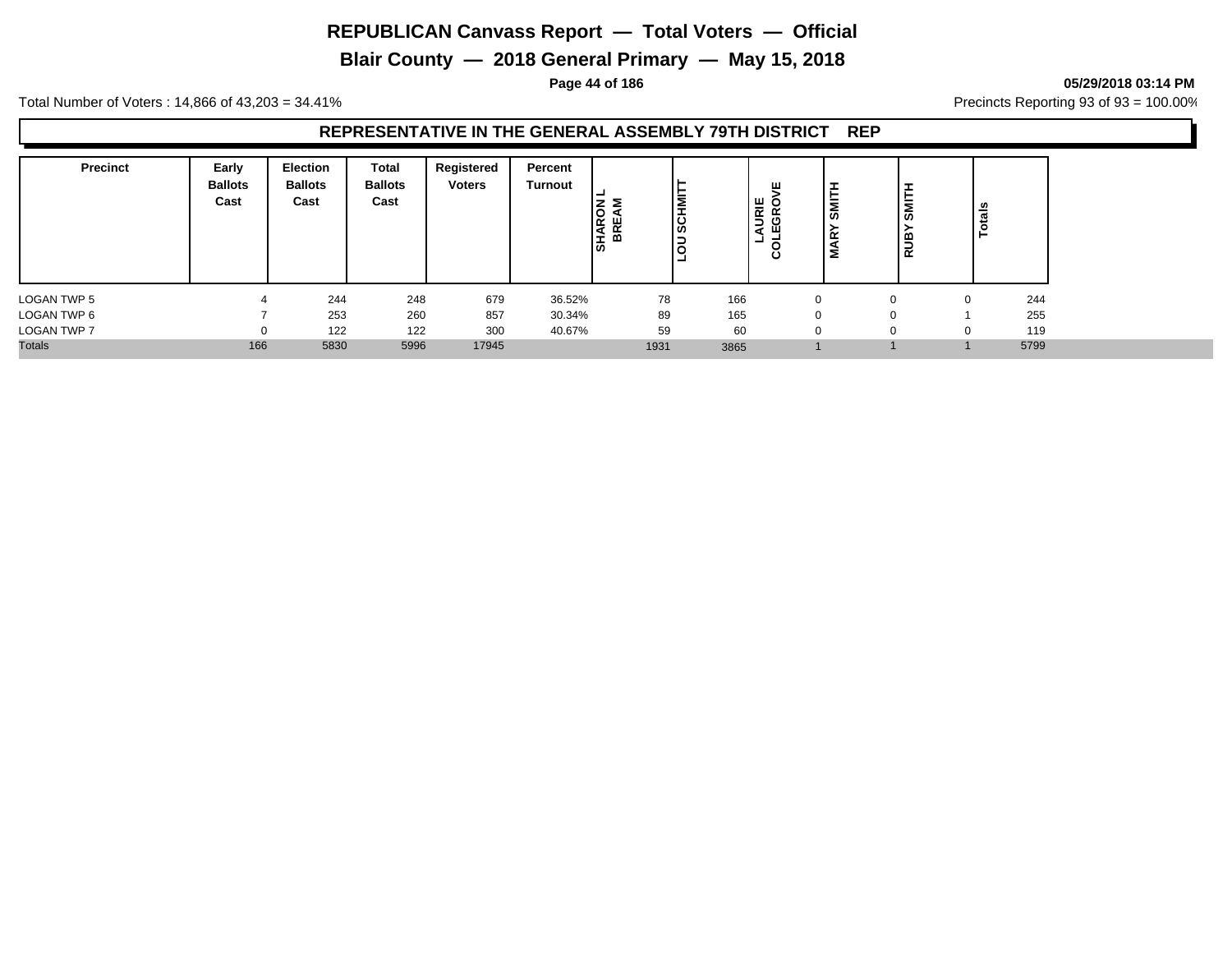**Blair County — 2018 General Primary — May 15, 2018**

#### **Page 44 of 186 05/29/2018 03:14 PM**

Total Number of Voters : 14,866 of 43,203 = 34.41% **Precincts Reporting 93 of 93** = 100.00%

#### **REPRESENTATIVE IN THE GENERAL ASSEMBLY 79TH DISTRICT REP**

| <b>Precinct</b>    | Early<br><b>Ballots</b><br>Cast | Election<br><b>Ballots</b><br>Cast | Total<br><b>Ballots</b><br>Cast | Registered<br><b>Voters</b> | Percent<br>Turnout | <b>SHARON</b><br><b>BREA</b> | lΞ<br>IRS | ш<br>URIE<br>$\circ$<br>GR<br>ш<br>a<br>-<br>ပ | ᄇ<br>SMI<br>Σ | $\overline{\mathsf{sum}}$<br>RUB' | ័ត<br>تسعد |
|--------------------|---------------------------------|------------------------------------|---------------------------------|-----------------------------|--------------------|------------------------------|-----------|------------------------------------------------|---------------|-----------------------------------|------------|
| LOGAN TWP 5        |                                 | 244                                | 248                             | 679                         | 36.52%             | 78                           | 166       |                                                | 0             | $\Omega$                          | 244<br>0   |
| LOGAN TWP 6        |                                 | 253                                | 260                             | 857                         | 30.34%             | 89                           | 165       |                                                | 0             | 0                                 | 255        |
| <b>LOGAN TWP 7</b> | 0                               | 122                                | 122                             | 300                         | 40.67%             | 59                           | 60        |                                                | 0             | 0                                 | 119<br>0   |
| <b>Totals</b>      | 166                             | 5830                               | 5996                            | 17945                       |                    | 1931                         | 3865      |                                                |               |                                   | 5799       |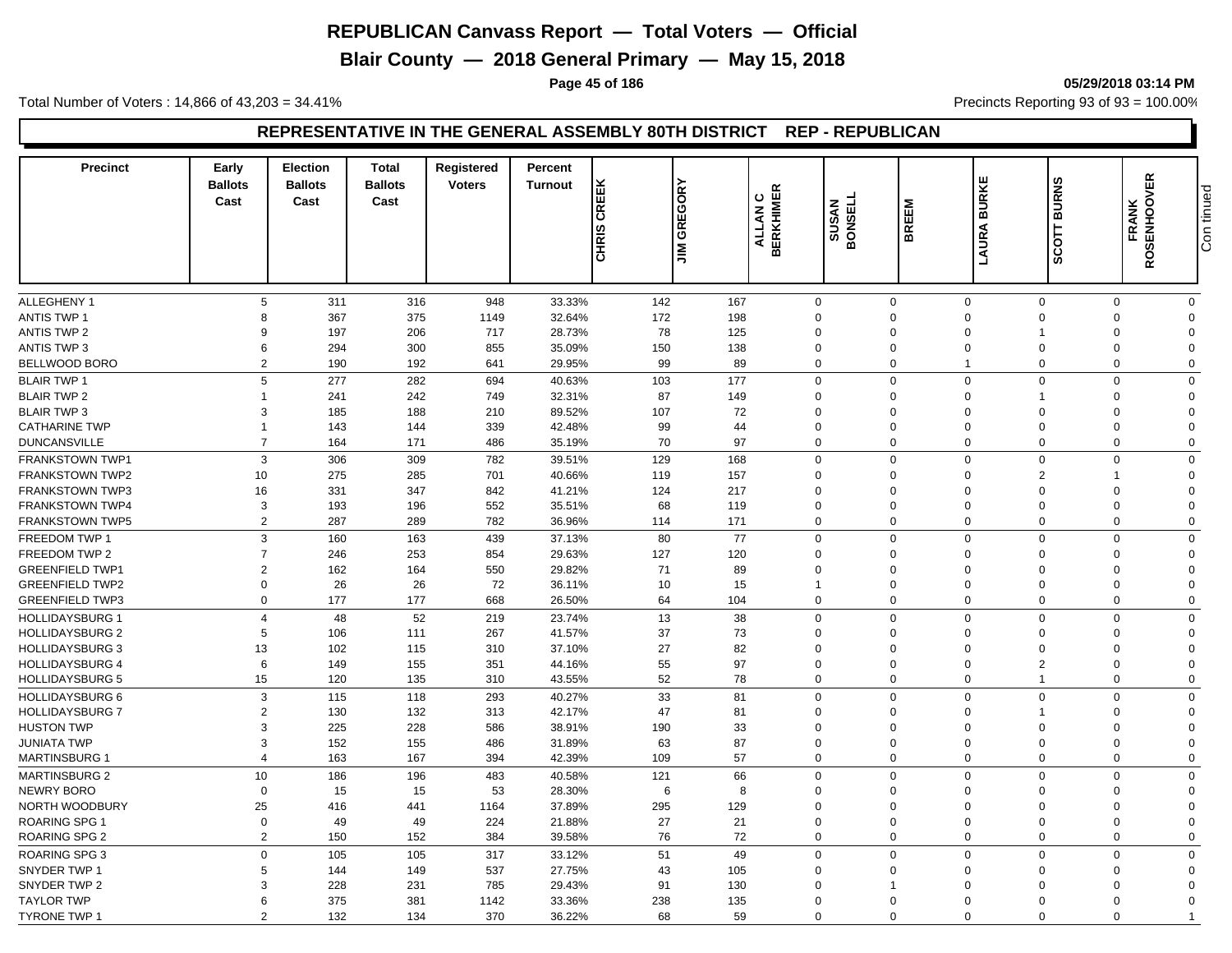**Blair County — 2018 General Primary — May 15, 2018**

**Page 45 of 186 05/29/2018 03:14 PM**

Total Number of Voters : 14,866 of 43,203 = 34.41% **Precincts Reporting 93 of 93** = 100.00%

#### **REPRESENTATIVE IN THE GENERAL ASSEMBLY 80TH DISTRICT REP - REPUBLICAN**

| <b>Precinct</b>        | Early<br><b>Ballots</b><br>Cast | <b>Election</b><br><b>Ballots</b><br>Cast | <b>Total</b><br><b>Ballots</b><br>Cast | <b>Registered</b><br><b>Voters</b> | Percent<br><b>Turnout</b> | <b>JIM GREGORY</b><br>CREEK<br><b>CHRIS</b> |     | <b>ALLAN C<br/>BERKHIMER</b> | <b>SUSAN<br/>RONSELL</b> | <b>BREEM</b> | <b>BURKE</b><br>LAURA       | <b>BURNS</b><br>$\overline{5}$<br>ន្ល | <b>FRANK<br/>ROSENHOOVER</b> | Con tinued |
|------------------------|---------------------------------|-------------------------------------------|----------------------------------------|------------------------------------|---------------------------|---------------------------------------------|-----|------------------------------|--------------------------|--------------|-----------------------------|---------------------------------------|------------------------------|------------|
|                        |                                 |                                           |                                        |                                    |                           |                                             |     |                              |                          |              |                             |                                       |                              |            |
|                        |                                 |                                           |                                        |                                    |                           |                                             |     |                              |                          |              |                             |                                       |                              |            |
| <b>ALLEGHENY 1</b>     | 5                               | 311                                       | 316                                    | 948                                | 33.33%                    | 142                                         | 167 | $\mathbf 0$                  | $\mathbf 0$              |              | $\mathbf 0$                 | $\mathbf 0$<br>$\mathbf 0$            | $\mathbf 0$                  |            |
| <b>ANTIS TWP 1</b>     | 8                               | 367                                       | 375                                    | 1149                               | 32.64%                    | 172                                         | 198 | $\mathbf 0$                  | $\Omega$                 |              | $\Omega$                    | $\Omega$<br>$\Omega$                  | $\Omega$                     |            |
| <b>ANTIS TWP 2</b>     | 9                               | 197                                       | 206                                    | 717                                | 28.73%                    | 78                                          | 125 | $\mathbf 0$                  | $\Omega$                 |              | $\Omega$                    | $\Omega$                              | $\Omega$                     |            |
| <b>ANTIS TWP 3</b>     | 6                               | 294                                       | 300                                    | 855                                | 35.09%                    | 150                                         | 138 | $\mathbf 0$                  | $\Omega$                 |              | $\mathbf 0$                 | $\mathbf 0$<br>$\Omega$               | $\Omega$                     |            |
| BELLWOOD BORO          | $\overline{2}$                  | 190                                       | 192                                    | 641                                | 29.95%                    | 99                                          | 89  | $\mathbf 0$                  | $\Omega$                 |              | $\mathbf{1}$                | $\mathbf 0$<br>$\Omega$               | $\mathbf 0$                  |            |
| <b>BLAIR TWP 1</b>     | 5                               | 277                                       | 282                                    | 694                                | 40.63%                    | 103                                         | 177 | $\mathbf 0$                  | $\Omega$                 |              | $\mathbf 0$                 | 0<br>$\Omega$                         | $\mathbf 0$                  |            |
| <b>BLAIR TWP 2</b>     | $\overline{1}$                  | 241                                       | 242                                    | 749                                | 32.31%                    | 87                                          | 149 | $\Omega$                     | $\Omega$                 |              | $\Omega$<br>1               | $\Omega$                              | $\Omega$                     |            |
| <b>BLAIR TWP 3</b>     | 3                               | 185                                       | 188                                    | 210                                | 89.52%                    | 107                                         | 72  | $\Omega$                     | $\Omega$                 |              | $\Omega$                    | $\Omega$<br>$\Omega$                  | $\Omega$                     |            |
| <b>CATHARINE TWP</b>   | $\overline{1}$                  | 143                                       | 144                                    | 339                                | 42.48%                    | 99                                          | 44  | $\overline{0}$               | $\Omega$                 |              | $\mathbf 0$                 | $\Omega$<br>$\Omega$                  | $\Omega$                     |            |
| <b>DUNCANSVILLE</b>    | $\overline{7}$                  | 164                                       | 171                                    | 486                                | 35.19%                    | 70                                          | 97  | $\Omega$                     | $\Omega$                 |              | $\Omega$                    | $\Omega$<br>$\Omega$                  | $\Omega$                     |            |
| <b>FRANKSTOWN TWP1</b> | 3                               | 306                                       | 309                                    | 782                                | 39.51%                    | 129                                         | 168 | $\mathbf 0$                  | $\Omega$                 |              | $\mathbf 0$                 | $\mathbf 0$<br>$\Omega$               | $\mathbf 0$                  |            |
| <b>FRANKSTOWN TWP2</b> | 10                              | 275                                       | 285                                    | 701                                | 40.66%                    | 119                                         | 157 | $\mathbf 0$                  | $\Omega$                 |              | $\Omega$                    | $\overline{2}$<br>$\mathbf 1$         | $\Omega$                     |            |
| <b>FRANKSTOWN TWP3</b> | 16                              | 331                                       | 347                                    | 842                                | 41.21%                    | 124                                         | 217 | $\mathbf 0$                  | $\Omega$                 |              | $\Omega$                    | $\mathbf 0$<br>$\Omega$               | $\mathbf 0$                  |            |
| <b>FRANKSTOWN TWP4</b> | 3                               | 193                                       | 196                                    | 552                                | 35.51%                    | 68                                          | 119 | $\mathbf 0$                  | 0                        |              | $\mathbf 0$                 | $\mathbf 0$<br>$\mathbf 0$            | $\mathbf 0$                  |            |
| <b>FRANKSTOWN TWP5</b> | 2                               | 287                                       | 289                                    | 782                                | 36.96%                    | 114                                         | 171 | $\overline{0}$               | $\Omega$                 |              | $\mathbf 0$                 | 0<br>$\Omega$                         | $\mathbf 0$                  |            |
| FREEDOM TWP 1          | 3                               | 160                                       | 163                                    | 439                                | 37.13%                    | 80                                          | 77  | $\Omega$                     | $\Omega$                 |              | $\Omega$                    | $\mathbf 0$<br>$\Omega$               | $\mathbf 0$                  |            |
| FREEDOM TWP 2          | $\overline{7}$                  | 246                                       | 253                                    | 854                                | 29.63%                    | 127                                         | 120 | $\overline{0}$               | $\mathbf 0$              |              | $\mathbf 0$                 | $\mathbf 0$<br>$\Omega$               | $\mathbf 0$                  |            |
| <b>GREENFIELD TWP1</b> | $\overline{2}$                  | 162                                       | 164                                    | 550                                | 29.82%                    | 71                                          | 89  | $\overline{0}$               | $\mathbf 0$              |              | $\Omega$                    | $\mathbf 0$<br>$\Omega$               | $\mathbf 0$                  |            |
| <b>GREENFIELD TWP2</b> | $\Omega$                        | 26                                        | 26                                     | 72                                 | 36.11%                    | 10                                          | 15  | $\overline{1}$               | $\Omega$                 |              | $\Omega$                    | $\Omega$<br>$\Omega$                  | $\Omega$                     |            |
| <b>GREENFIELD TWP3</b> | $\mathbf 0$                     | 177                                       | 177                                    | 668                                | 26.50%                    | 64                                          | 104 | $\overline{0}$               | $\Omega$                 |              | $\Omega$                    | $\mathbf{0}$<br>$\Omega$              | $\mathbf 0$                  |            |
| <b>HOLLIDAYSBURG 1</b> | $\overline{4}$                  | 48                                        | 52                                     | 219                                | 23.74%                    | 13                                          | 38  | $\mathbf 0$                  | $\Omega$                 |              | $\Omega$                    | $\mathbf 0$<br>$\Omega$               | $\mathbf 0$                  |            |
| <b>HOLLIDAYSBURG 2</b> | 5                               | 106                                       | 111                                    | 267                                | 41.57%                    | 37                                          | 73  | $\overline{0}$               | 0                        |              | $\mathbf 0$                 | $\mathbf 0$<br>$\mathbf 0$            | $\mathbf 0$                  |            |
| <b>HOLLIDAYSBURG 3</b> | 13                              | 102                                       | 115                                    | 310                                | 37.10%                    | 27                                          | 82  | $\mathbf 0$                  | $\Omega$                 |              | $\Omega$                    | $\mathbf 0$<br>$\Omega$               | $\Omega$                     |            |
| <b>HOLLIDAYSBURG 4</b> | 6                               | 149                                       | 155                                    | 351                                | 44.16%                    | 55                                          | 97  | $\overline{0}$               | $\Omega$                 |              | $\mathbf 0$                 | $\mathbf{2}^{\prime}$<br>$\Omega$     | $\mathbf 0$                  |            |
| <b>HOLLIDAYSBURG 5</b> | 15                              | 120                                       | 135                                    | 310                                | 43.55%                    | 52                                          | 78  | $\overline{0}$               | $\mathbf 0$              |              | $\mathbf 0$<br>$\mathbf{1}$ | $\mathbf 0$                           | $\mathbf 0$                  |            |
| <b>HOLLIDAYSBURG 6</b> | 3                               | 115                                       | 118                                    | 293                                | 40.27%                    | 33                                          | 81  | $\overline{0}$               | $\Omega$                 |              | $\Omega$                    | $\mathbf{0}$<br>$\mathbf 0$           | $\mathbf 0$                  |            |
| <b>HOLLIDAYSBURG 7</b> | $\overline{2}$                  | 130                                       | 132                                    | 313                                | 42.17%                    | 47                                          | 81  | $\overline{0}$               | $\Omega$                 |              | $\Omega$                    | $\Omega$                              | $\Omega$                     |            |
| <b>HUSTON TWP</b>      | 3                               | 225                                       | 228                                    | 586                                | 38.91%                    | 190                                         | 33  | $\overline{0}$               | $\Omega$                 |              | $\Omega$                    | $\Omega$<br>$\Omega$                  | $\Omega$                     |            |
| <b>JUNIATA TWP</b>     | 3                               | 152                                       | 155                                    | 486                                | 31.89%                    | 63                                          | 87  | $\mathbf 0$                  | $\mathbf 0$              |              | $\mathbf 0$                 | $\mathbf 0$<br>$\mathbf 0$            | $\mathbf 0$                  |            |
| <b>MARTINSBURG 1</b>   | $\overline{4}$                  | 163                                       | 167                                    | 394                                | 42.39%                    | 109                                         | 57  | $\Omega$                     | $\Omega$                 |              | $\Omega$                    | $\Omega$<br>$\Omega$                  | $\mathbf 0$                  |            |
| <b>MARTINSBURG 2</b>   | 10                              | 186                                       | 196                                    | 483                                | 40.58%                    | 121                                         | 66  | $\mathbf{0}$                 | $\Omega$                 |              | $\Omega$                    | $\Omega$<br>$\Omega$                  | $\mathbf 0$                  |            |
| <b>NEWRY BORO</b>      | $\mathbf 0$                     | 15                                        | 15                                     | 53                                 | 28.30%                    | 6                                           | 8   | $\mathbf{0}$                 | $\Omega$                 |              | $\Omega$                    | $\Omega$<br>$\Omega$                  | $\mathbf{0}$                 |            |
| NORTH WOODBURY         | 25                              | 416                                       | 441                                    | 1164                               | 37.89%                    | 295                                         | 129 | $\mathbf 0$                  | $\mathbf 0$              |              | $\mathbf 0$                 | $\mathbf 0$<br>$\Omega$               | $\Omega$                     |            |
| <b>ROARING SPG 1</b>   | $\mathbf 0$                     | 49                                        | 49                                     | 224                                | 21.88%                    | 27                                          | 21  | $\mathbf{0}$                 | $\Omega$                 |              | $\Omega$                    | $\Omega$<br>$\Omega$                  | $\Omega$                     |            |
| <b>ROARING SPG 2</b>   | $\overline{2}$                  | 150                                       | 152                                    | 384                                | 39.58%                    | 76                                          | 72  | $\overline{0}$               | $\mathbf 0$              |              | $\mathbf 0$                 | $\mathbf 0$<br>$\Omega$               | $\mathbf 0$                  |            |
|                        |                                 |                                           |                                        |                                    |                           |                                             |     |                              |                          |              |                             |                                       |                              |            |
| <b>ROARING SPG 3</b>   | $\Omega$                        | 105                                       | 105                                    | 317                                | 33.12%                    | 51                                          | 49  | $\mathbf 0$                  | $\Omega$                 |              | $\Omega$                    | $\mathbf{0}$<br>$\Omega$              | $\mathbf 0$                  |            |
| SNYDER TWP 1           | 5                               | 144                                       | 149                                    | 537                                | 27.75%                    | 43                                          | 105 | $\mathbf 0$                  | $\mathbf 0$              |              | $\Omega$                    | $\Omega$<br>$\Omega$                  | $\mathbf 0$                  |            |
| SNYDER TWP 2           | 3                               | 228                                       | 231                                    | 785                                | 29.43%                    | 91                                          | 130 | $\Omega$                     | 1                        |              | $\Omega$                    | $\Omega$<br>$\Omega$                  | $\Omega$                     |            |
| <b>TAYLOR TWP</b>      | 6                               | 375                                       | 381                                    | 1142                               | 33.36%                    | 238                                         | 135 | $\overline{0}$               | $\Omega$                 |              | $\Omega$                    | $\Omega$<br>$\Omega$                  | $\Omega$                     |            |
| <b>TYRONE TWP 1</b>    | $\mathcal{P}$                   | 132                                       | 134                                    | 370                                | 36.22%                    | 68                                          | 59  | $\Omega$                     | $\Omega$                 |              | $\Omega$                    | $\Omega$<br>$\Omega$                  | $\overline{1}$               |            |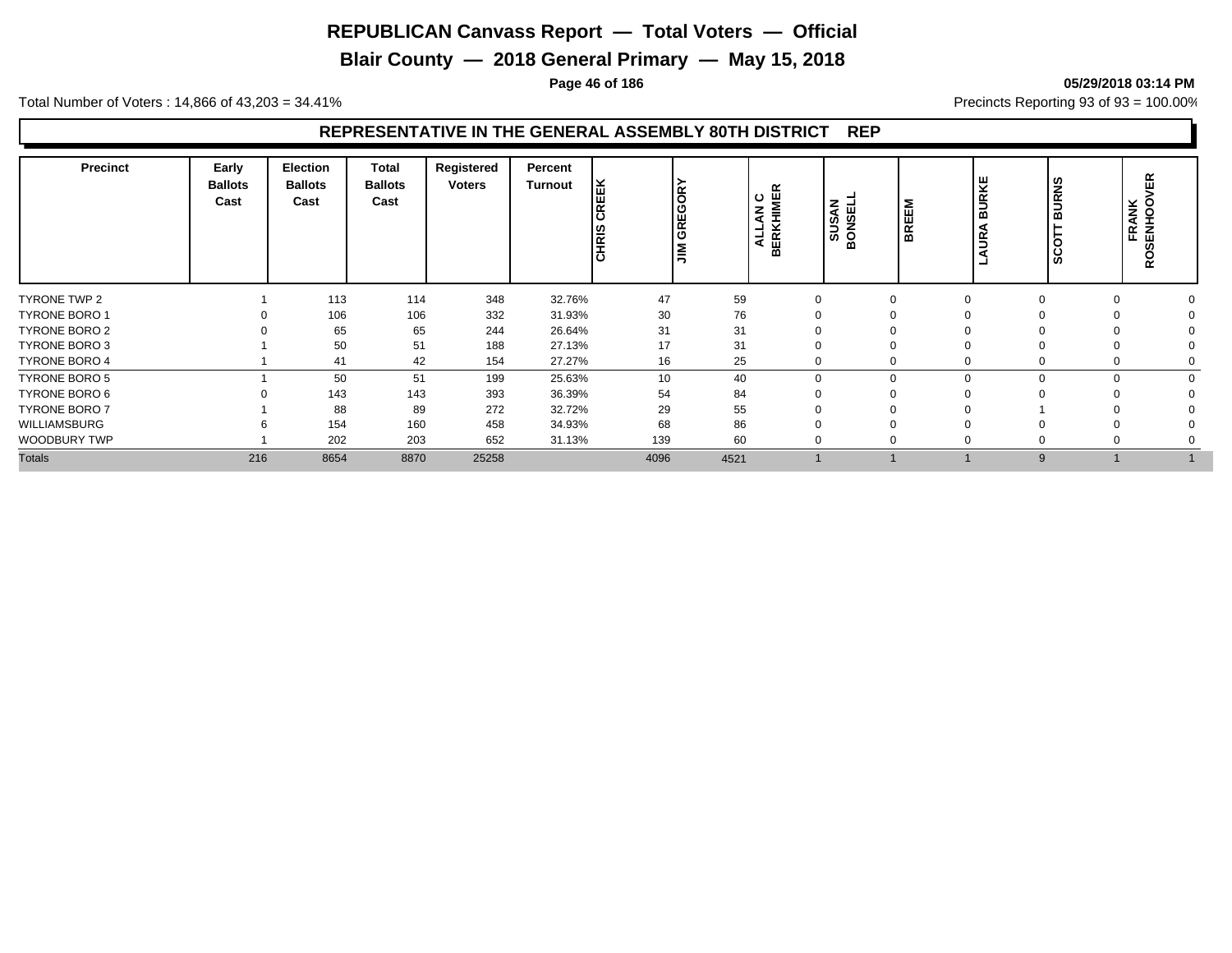**Blair County — 2018 General Primary — May 15, 2018**

**Page 46 of 186 05/29/2018 03:14 PM**

Total Number of Voters : 14,866 of 43,203 = 34.41% **Precincts Reporting 93 of 93** = 100.00%

#### **REPRESENTATIVE IN THE GENERAL ASSEMBLY 80TH DISTRICT REP**

| <b>Precinct</b>      | Early<br><b>Ballots</b><br>Cast | <b>Election</b><br><b>Ballots</b><br>Cast | <b>Total</b><br><b>Ballots</b><br>Cast | Registered<br><b>Voters</b> | Percent<br><b>Turnout</b><br>REEK<br>ن ا<br>CHRIS | <b>GREGORY</b><br>l≣ |      | ≃<br><b>LAN C<br/>KHIMEI</b><br><b>SUSAN</b><br><u> 국 떠</u><br>≃ | <b>BREEM</b><br>ш<br>ັທ<br>Ž<br>$\circ$<br>≃ | 보<br>S<br>⋒<br>≃ | ທ<br>z<br>$\overline{\alpha}$<br>∍<br>ന<br>ഗ | FRANK<br>SENHOOV | ≃<br><b>Q</b> |
|----------------------|---------------------------------|-------------------------------------------|----------------------------------------|-----------------------------|---------------------------------------------------|----------------------|------|------------------------------------------------------------------|----------------------------------------------|------------------|----------------------------------------------|------------------|---------------|
| TYRONE TWP 2         |                                 | 113                                       | 114                                    | 348                         | 32.76%                                            | 47                   | 59   |                                                                  |                                              | $\Omega$         |                                              |                  |               |
| <b>TYRONE BORO 1</b> |                                 | 106                                       | 106                                    | 332                         | 31.93%                                            | 30                   | 76   |                                                                  |                                              |                  |                                              |                  |               |
| TYRONE BORO 2        |                                 | 65                                        | 65                                     | 244                         | 26.64%                                            | 31                   | 31   |                                                                  |                                              |                  |                                              |                  |               |
| TYRONE BORO 3        |                                 | 50                                        | 51                                     | 188                         | 27.13%                                            | 17                   | 31   |                                                                  |                                              |                  |                                              |                  |               |
| <b>TYRONE BORO 4</b> |                                 | 41                                        | 42                                     | 154                         | 27.27%                                            | 16                   | 25   |                                                                  |                                              | $\Omega$         |                                              |                  |               |
| <b>TYRONE BORO 5</b> |                                 | 50                                        | 51                                     | 199                         | 25.63%                                            | 10                   | 40   |                                                                  |                                              | $\mathbf 0$      | $\Omega$                                     |                  |               |
| TYRONE BORO 6        |                                 | 143                                       | 143                                    | 393                         | 36.39%                                            | 54                   | 84   |                                                                  |                                              |                  |                                              |                  |               |
| <b>TYRONE BORO 7</b> |                                 | 88                                        | 89                                     | 272                         | 32.72%                                            | 29                   | 55   |                                                                  |                                              |                  |                                              |                  |               |
| WILLIAMSBURG         |                                 | 154                                       | 160                                    | 458                         | 34.93%                                            | 68                   | 86   |                                                                  |                                              |                  |                                              |                  |               |
| <b>WOODBURY TWP</b>  |                                 | 202                                       | 203                                    | 652                         | 31.13%                                            | 139                  | 60   |                                                                  |                                              | υ                |                                              |                  |               |
| <b>Totals</b>        | 216                             | 8654                                      | 8870                                   | 25258                       |                                                   | 4096                 | 4521 |                                                                  |                                              |                  | 9                                            |                  |               |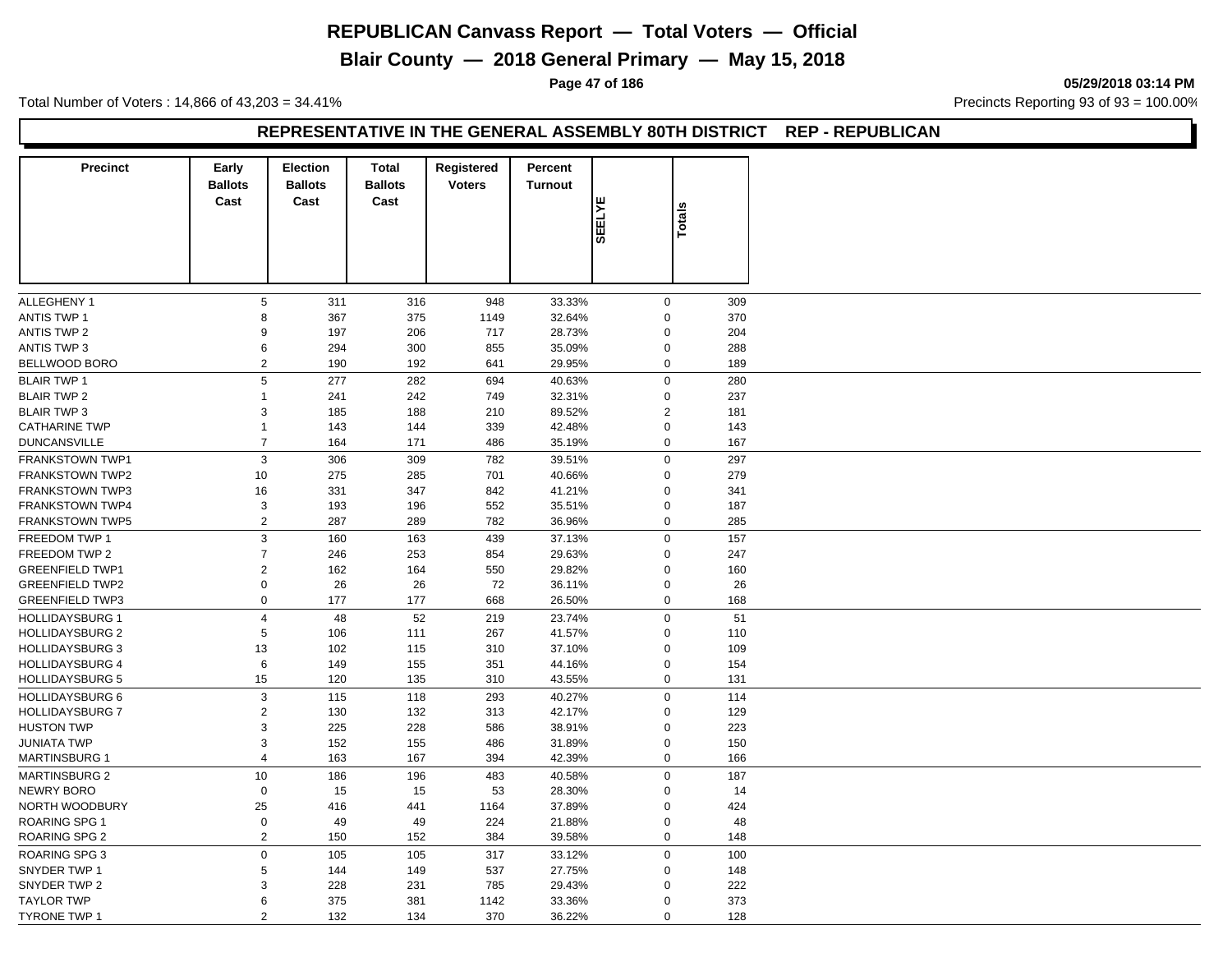## **Blair County — 2018 General Primary — May 15, 2018**

**Page 47 of 186 05/29/2018 03:14 PM**

Total Number of Voters : 14,866 of 43,203 = 34.41% **Precincts Reporting 93 of 93** = 100.00%

#### **REPRESENTATIVE IN THE GENERAL ASSEMBLY 80TH DISTRICT REP - REPUBLICAN**

| $\,$ 5 $\,$<br>$\boldsymbol{0}$<br>311<br>316<br>33.33%<br>309<br>948<br>8<br>375<br>370<br>367<br>1149<br>32.64%<br>$\mathbf 0$<br>9<br>197<br>206<br>717<br>28.73%<br>$\mathbf 0$<br>204<br>6<br>294<br>300<br>855<br>35.09%<br>$\mathbf 0$<br>288<br>2<br>190<br>192<br>29.95%<br>$\mathbf 0$<br>189<br>641<br>5<br>282<br>$\mathbf 0$<br>280<br>277<br>694<br>40.63%<br>241<br>242<br>749<br>32.31%<br>$\mathbf 0$<br>237<br>$\mathbf{1}$<br>3<br>185<br>188<br>210<br>89.52%<br>$\overline{2}$<br>181<br>$\mathbf 0$<br>$\mathbf{1}$<br>143<br>144<br>339<br>42.48%<br>143<br>$\overline{7}$<br>$\mathbf 0$<br><b>DUNCANSVILLE</b><br>164<br>171<br>486<br>35.19%<br>167<br>3<br>306<br>309<br>782<br>297<br><b>FRANKSTOWN TWP1</b><br>39.51%<br>$\mathbf 0$<br><b>FRANKSTOWN TWP2</b><br>10<br>275<br>285<br>40.66%<br>$\mathbf 0$<br>279<br>701<br><b>FRANKSTOWN TWP3</b><br>347<br>842<br>$\Omega$<br>16<br>331<br>41.21%<br>341<br><b>FRANKSTOWN TWP4</b><br>3<br>193<br>196<br>552<br>35.51%<br>$\mathbf 0$<br>187<br>2<br>287<br>289<br>782<br>36.96%<br>$\mathbf 0$<br><b>FRANKSTOWN TWP5</b><br>285<br>3<br>163<br>37.13%<br>$\mathbf 0$<br>160<br>439<br>157<br>$\overline{7}$<br>246<br>253<br>854<br>29.63%<br>$\mathbf 0$<br>247<br>$\sqrt{2}$<br>29.82%<br>162<br>164<br>550<br>$\mathbf 0$<br>160<br>$\mathbf 0$<br>26<br>26<br>72<br>36.11%<br>$\mathbf 0$<br>26<br>$\mathsf 0$<br>177<br>177<br>668<br>26.50%<br>$\mathbf 0$<br>168<br><b>HOLLIDAYSBURG 1</b><br>$\overline{4}$<br>52<br>219<br>23.74%<br>$\mathbf 0$<br>51<br>48<br><b>HOLLIDAYSBURG 2</b><br>5<br>106<br>111<br>267<br>41.57%<br>$\mathbf 0$<br>110<br><b>HOLLIDAYSBURG 3</b><br>13<br>102<br>115<br>37.10%<br>$\mathbf 0$<br>109<br>310<br><b>HOLLIDAYSBURG 4</b><br>6<br>149<br>155<br>351<br>44.16%<br>$\mathbf 0$<br>154<br>15<br>120<br>135<br>310<br>43.55%<br><b>HOLLIDAYSBURG 5</b><br>$\mathbf 0$<br>131<br>$\ensuremath{\mathsf{3}}$<br>115<br>$\mathbf 0$<br>114<br>118<br>293<br>40.27%<br>$\overline{2}$<br>130<br>132<br>313<br>42.17%<br>$\mathbf 0$<br>129<br>$\mathsf 3$<br>$\mathbf 0$<br>225<br>228<br>586<br>38.91%<br>223<br>3<br>152<br>155<br>486<br>31.89%<br>$\mathbf 0$<br>150<br>$\overline{4}$<br>$\mathbf 0$<br>163<br>167<br>394<br>42.39%<br>166<br>10<br>186<br>196<br>483<br>40.58%<br>$\mathbf 0$<br>187<br>28.30%<br>NEWRY BORO<br>$\mathbf 0$<br>15<br>15<br>53<br>$\mathbf 0$<br>14<br>25<br>NORTH WOODBURY<br>416<br>441<br>1164<br>37.89%<br>$\mathbf 0$<br>424<br>$\mathbf 0$<br><b>ROARING SPG 1</b><br>49<br>49<br>224<br>21.88%<br>$\mathbf 0$<br>48<br>$\overline{2}$<br><b>ROARING SPG 2</b><br>150<br>152<br>384<br>39.58%<br>$\mathbf 0$<br>148<br>$\mathsf 0$<br>$\boldsymbol{0}$<br><b>ROARING SPG 3</b><br>105<br>105<br>317<br>33.12%<br>100<br>SNYDER TWP 1<br>5<br>537<br>27.75%<br>144<br>149<br>$\mathbf 0$<br>148<br>3<br>228<br>231<br>785<br>29.43%<br>$\Omega$<br>222<br>6<br>375<br>381<br>1142<br>33.36%<br>373<br>$\Omega$<br>2<br>132<br>370<br>36.22%<br>$\Omega$<br>128<br>134 | <b>Precinct</b>        | Early<br><b>Ballots</b><br>Cast | <b>Election</b><br><b>Ballots</b><br>Cast | <b>Total</b><br><b>Ballots</b><br>Cast | Registered<br><b>Voters</b> | <b>Percent</b><br><b>Turnout</b> | <b>SEELYE</b> | Totals |  |
|----------------------------------------------------------------------------------------------------------------------------------------------------------------------------------------------------------------------------------------------------------------------------------------------------------------------------------------------------------------------------------------------------------------------------------------------------------------------------------------------------------------------------------------------------------------------------------------------------------------------------------------------------------------------------------------------------------------------------------------------------------------------------------------------------------------------------------------------------------------------------------------------------------------------------------------------------------------------------------------------------------------------------------------------------------------------------------------------------------------------------------------------------------------------------------------------------------------------------------------------------------------------------------------------------------------------------------------------------------------------------------------------------------------------------------------------------------------------------------------------------------------------------------------------------------------------------------------------------------------------------------------------------------------------------------------------------------------------------------------------------------------------------------------------------------------------------------------------------------------------------------------------------------------------------------------------------------------------------------------------------------------------------------------------------------------------------------------------------------------------------------------------------------------------------------------------------------------------------------------------------------------------------------------------------------------------------------------------------------------------------------------------------------------------------------------------------------------------------------------------------------------------------------------------------------------------------------------------------------------------------------------------------------------------------------------------------------------------------------------------------------------------------------------------------------------------------------------------------------------------------------------------------------------------------------------------------------------------------------------------------------------------------------------|------------------------|---------------------------------|-------------------------------------------|----------------------------------------|-----------------------------|----------------------------------|---------------|--------|--|
|                                                                                                                                                                                                                                                                                                                                                                                                                                                                                                                                                                                                                                                                                                                                                                                                                                                                                                                                                                                                                                                                                                                                                                                                                                                                                                                                                                                                                                                                                                                                                                                                                                                                                                                                                                                                                                                                                                                                                                                                                                                                                                                                                                                                                                                                                                                                                                                                                                                                                                                                                                                                                                                                                                                                                                                                                                                                                                                                                                                                                                        |                        |                                 |                                           |                                        |                             |                                  |               |        |  |
|                                                                                                                                                                                                                                                                                                                                                                                                                                                                                                                                                                                                                                                                                                                                                                                                                                                                                                                                                                                                                                                                                                                                                                                                                                                                                                                                                                                                                                                                                                                                                                                                                                                                                                                                                                                                                                                                                                                                                                                                                                                                                                                                                                                                                                                                                                                                                                                                                                                                                                                                                                                                                                                                                                                                                                                                                                                                                                                                                                                                                                        | ALLEGHENY 1            |                                 |                                           |                                        |                             |                                  |               |        |  |
|                                                                                                                                                                                                                                                                                                                                                                                                                                                                                                                                                                                                                                                                                                                                                                                                                                                                                                                                                                                                                                                                                                                                                                                                                                                                                                                                                                                                                                                                                                                                                                                                                                                                                                                                                                                                                                                                                                                                                                                                                                                                                                                                                                                                                                                                                                                                                                                                                                                                                                                                                                                                                                                                                                                                                                                                                                                                                                                                                                                                                                        | <b>ANTIS TWP 1</b>     |                                 |                                           |                                        |                             |                                  |               |        |  |
|                                                                                                                                                                                                                                                                                                                                                                                                                                                                                                                                                                                                                                                                                                                                                                                                                                                                                                                                                                                                                                                                                                                                                                                                                                                                                                                                                                                                                                                                                                                                                                                                                                                                                                                                                                                                                                                                                                                                                                                                                                                                                                                                                                                                                                                                                                                                                                                                                                                                                                                                                                                                                                                                                                                                                                                                                                                                                                                                                                                                                                        | <b>ANTIS TWP 2</b>     |                                 |                                           |                                        |                             |                                  |               |        |  |
|                                                                                                                                                                                                                                                                                                                                                                                                                                                                                                                                                                                                                                                                                                                                                                                                                                                                                                                                                                                                                                                                                                                                                                                                                                                                                                                                                                                                                                                                                                                                                                                                                                                                                                                                                                                                                                                                                                                                                                                                                                                                                                                                                                                                                                                                                                                                                                                                                                                                                                                                                                                                                                                                                                                                                                                                                                                                                                                                                                                                                                        | <b>ANTIS TWP 3</b>     |                                 |                                           |                                        |                             |                                  |               |        |  |
|                                                                                                                                                                                                                                                                                                                                                                                                                                                                                                                                                                                                                                                                                                                                                                                                                                                                                                                                                                                                                                                                                                                                                                                                                                                                                                                                                                                                                                                                                                                                                                                                                                                                                                                                                                                                                                                                                                                                                                                                                                                                                                                                                                                                                                                                                                                                                                                                                                                                                                                                                                                                                                                                                                                                                                                                                                                                                                                                                                                                                                        | <b>BELLWOOD BORO</b>   |                                 |                                           |                                        |                             |                                  |               |        |  |
|                                                                                                                                                                                                                                                                                                                                                                                                                                                                                                                                                                                                                                                                                                                                                                                                                                                                                                                                                                                                                                                                                                                                                                                                                                                                                                                                                                                                                                                                                                                                                                                                                                                                                                                                                                                                                                                                                                                                                                                                                                                                                                                                                                                                                                                                                                                                                                                                                                                                                                                                                                                                                                                                                                                                                                                                                                                                                                                                                                                                                                        | <b>BLAIR TWP 1</b>     |                                 |                                           |                                        |                             |                                  |               |        |  |
|                                                                                                                                                                                                                                                                                                                                                                                                                                                                                                                                                                                                                                                                                                                                                                                                                                                                                                                                                                                                                                                                                                                                                                                                                                                                                                                                                                                                                                                                                                                                                                                                                                                                                                                                                                                                                                                                                                                                                                                                                                                                                                                                                                                                                                                                                                                                                                                                                                                                                                                                                                                                                                                                                                                                                                                                                                                                                                                                                                                                                                        | <b>BLAIR TWP 2</b>     |                                 |                                           |                                        |                             |                                  |               |        |  |
|                                                                                                                                                                                                                                                                                                                                                                                                                                                                                                                                                                                                                                                                                                                                                                                                                                                                                                                                                                                                                                                                                                                                                                                                                                                                                                                                                                                                                                                                                                                                                                                                                                                                                                                                                                                                                                                                                                                                                                                                                                                                                                                                                                                                                                                                                                                                                                                                                                                                                                                                                                                                                                                                                                                                                                                                                                                                                                                                                                                                                                        | <b>BLAIR TWP 3</b>     |                                 |                                           |                                        |                             |                                  |               |        |  |
|                                                                                                                                                                                                                                                                                                                                                                                                                                                                                                                                                                                                                                                                                                                                                                                                                                                                                                                                                                                                                                                                                                                                                                                                                                                                                                                                                                                                                                                                                                                                                                                                                                                                                                                                                                                                                                                                                                                                                                                                                                                                                                                                                                                                                                                                                                                                                                                                                                                                                                                                                                                                                                                                                                                                                                                                                                                                                                                                                                                                                                        | <b>CATHARINE TWP</b>   |                                 |                                           |                                        |                             |                                  |               |        |  |
|                                                                                                                                                                                                                                                                                                                                                                                                                                                                                                                                                                                                                                                                                                                                                                                                                                                                                                                                                                                                                                                                                                                                                                                                                                                                                                                                                                                                                                                                                                                                                                                                                                                                                                                                                                                                                                                                                                                                                                                                                                                                                                                                                                                                                                                                                                                                                                                                                                                                                                                                                                                                                                                                                                                                                                                                                                                                                                                                                                                                                                        |                        |                                 |                                           |                                        |                             |                                  |               |        |  |
|                                                                                                                                                                                                                                                                                                                                                                                                                                                                                                                                                                                                                                                                                                                                                                                                                                                                                                                                                                                                                                                                                                                                                                                                                                                                                                                                                                                                                                                                                                                                                                                                                                                                                                                                                                                                                                                                                                                                                                                                                                                                                                                                                                                                                                                                                                                                                                                                                                                                                                                                                                                                                                                                                                                                                                                                                                                                                                                                                                                                                                        |                        |                                 |                                           |                                        |                             |                                  |               |        |  |
|                                                                                                                                                                                                                                                                                                                                                                                                                                                                                                                                                                                                                                                                                                                                                                                                                                                                                                                                                                                                                                                                                                                                                                                                                                                                                                                                                                                                                                                                                                                                                                                                                                                                                                                                                                                                                                                                                                                                                                                                                                                                                                                                                                                                                                                                                                                                                                                                                                                                                                                                                                                                                                                                                                                                                                                                                                                                                                                                                                                                                                        |                        |                                 |                                           |                                        |                             |                                  |               |        |  |
|                                                                                                                                                                                                                                                                                                                                                                                                                                                                                                                                                                                                                                                                                                                                                                                                                                                                                                                                                                                                                                                                                                                                                                                                                                                                                                                                                                                                                                                                                                                                                                                                                                                                                                                                                                                                                                                                                                                                                                                                                                                                                                                                                                                                                                                                                                                                                                                                                                                                                                                                                                                                                                                                                                                                                                                                                                                                                                                                                                                                                                        |                        |                                 |                                           |                                        |                             |                                  |               |        |  |
|                                                                                                                                                                                                                                                                                                                                                                                                                                                                                                                                                                                                                                                                                                                                                                                                                                                                                                                                                                                                                                                                                                                                                                                                                                                                                                                                                                                                                                                                                                                                                                                                                                                                                                                                                                                                                                                                                                                                                                                                                                                                                                                                                                                                                                                                                                                                                                                                                                                                                                                                                                                                                                                                                                                                                                                                                                                                                                                                                                                                                                        |                        |                                 |                                           |                                        |                             |                                  |               |        |  |
|                                                                                                                                                                                                                                                                                                                                                                                                                                                                                                                                                                                                                                                                                                                                                                                                                                                                                                                                                                                                                                                                                                                                                                                                                                                                                                                                                                                                                                                                                                                                                                                                                                                                                                                                                                                                                                                                                                                                                                                                                                                                                                                                                                                                                                                                                                                                                                                                                                                                                                                                                                                                                                                                                                                                                                                                                                                                                                                                                                                                                                        |                        |                                 |                                           |                                        |                             |                                  |               |        |  |
|                                                                                                                                                                                                                                                                                                                                                                                                                                                                                                                                                                                                                                                                                                                                                                                                                                                                                                                                                                                                                                                                                                                                                                                                                                                                                                                                                                                                                                                                                                                                                                                                                                                                                                                                                                                                                                                                                                                                                                                                                                                                                                                                                                                                                                                                                                                                                                                                                                                                                                                                                                                                                                                                                                                                                                                                                                                                                                                                                                                                                                        |                        |                                 |                                           |                                        |                             |                                  |               |        |  |
|                                                                                                                                                                                                                                                                                                                                                                                                                                                                                                                                                                                                                                                                                                                                                                                                                                                                                                                                                                                                                                                                                                                                                                                                                                                                                                                                                                                                                                                                                                                                                                                                                                                                                                                                                                                                                                                                                                                                                                                                                                                                                                                                                                                                                                                                                                                                                                                                                                                                                                                                                                                                                                                                                                                                                                                                                                                                                                                                                                                                                                        | FREEDOM TWP 1          |                                 |                                           |                                        |                             |                                  |               |        |  |
|                                                                                                                                                                                                                                                                                                                                                                                                                                                                                                                                                                                                                                                                                                                                                                                                                                                                                                                                                                                                                                                                                                                                                                                                                                                                                                                                                                                                                                                                                                                                                                                                                                                                                                                                                                                                                                                                                                                                                                                                                                                                                                                                                                                                                                                                                                                                                                                                                                                                                                                                                                                                                                                                                                                                                                                                                                                                                                                                                                                                                                        | FREEDOM TWP 2          |                                 |                                           |                                        |                             |                                  |               |        |  |
|                                                                                                                                                                                                                                                                                                                                                                                                                                                                                                                                                                                                                                                                                                                                                                                                                                                                                                                                                                                                                                                                                                                                                                                                                                                                                                                                                                                                                                                                                                                                                                                                                                                                                                                                                                                                                                                                                                                                                                                                                                                                                                                                                                                                                                                                                                                                                                                                                                                                                                                                                                                                                                                                                                                                                                                                                                                                                                                                                                                                                                        | <b>GREENFIELD TWP1</b> |                                 |                                           |                                        |                             |                                  |               |        |  |
|                                                                                                                                                                                                                                                                                                                                                                                                                                                                                                                                                                                                                                                                                                                                                                                                                                                                                                                                                                                                                                                                                                                                                                                                                                                                                                                                                                                                                                                                                                                                                                                                                                                                                                                                                                                                                                                                                                                                                                                                                                                                                                                                                                                                                                                                                                                                                                                                                                                                                                                                                                                                                                                                                                                                                                                                                                                                                                                                                                                                                                        | <b>GREENFIELD TWP2</b> |                                 |                                           |                                        |                             |                                  |               |        |  |
|                                                                                                                                                                                                                                                                                                                                                                                                                                                                                                                                                                                                                                                                                                                                                                                                                                                                                                                                                                                                                                                                                                                                                                                                                                                                                                                                                                                                                                                                                                                                                                                                                                                                                                                                                                                                                                                                                                                                                                                                                                                                                                                                                                                                                                                                                                                                                                                                                                                                                                                                                                                                                                                                                                                                                                                                                                                                                                                                                                                                                                        | <b>GREENFIELD TWP3</b> |                                 |                                           |                                        |                             |                                  |               |        |  |
|                                                                                                                                                                                                                                                                                                                                                                                                                                                                                                                                                                                                                                                                                                                                                                                                                                                                                                                                                                                                                                                                                                                                                                                                                                                                                                                                                                                                                                                                                                                                                                                                                                                                                                                                                                                                                                                                                                                                                                                                                                                                                                                                                                                                                                                                                                                                                                                                                                                                                                                                                                                                                                                                                                                                                                                                                                                                                                                                                                                                                                        |                        |                                 |                                           |                                        |                             |                                  |               |        |  |
|                                                                                                                                                                                                                                                                                                                                                                                                                                                                                                                                                                                                                                                                                                                                                                                                                                                                                                                                                                                                                                                                                                                                                                                                                                                                                                                                                                                                                                                                                                                                                                                                                                                                                                                                                                                                                                                                                                                                                                                                                                                                                                                                                                                                                                                                                                                                                                                                                                                                                                                                                                                                                                                                                                                                                                                                                                                                                                                                                                                                                                        |                        |                                 |                                           |                                        |                             |                                  |               |        |  |
|                                                                                                                                                                                                                                                                                                                                                                                                                                                                                                                                                                                                                                                                                                                                                                                                                                                                                                                                                                                                                                                                                                                                                                                                                                                                                                                                                                                                                                                                                                                                                                                                                                                                                                                                                                                                                                                                                                                                                                                                                                                                                                                                                                                                                                                                                                                                                                                                                                                                                                                                                                                                                                                                                                                                                                                                                                                                                                                                                                                                                                        |                        |                                 |                                           |                                        |                             |                                  |               |        |  |
|                                                                                                                                                                                                                                                                                                                                                                                                                                                                                                                                                                                                                                                                                                                                                                                                                                                                                                                                                                                                                                                                                                                                                                                                                                                                                                                                                                                                                                                                                                                                                                                                                                                                                                                                                                                                                                                                                                                                                                                                                                                                                                                                                                                                                                                                                                                                                                                                                                                                                                                                                                                                                                                                                                                                                                                                                                                                                                                                                                                                                                        |                        |                                 |                                           |                                        |                             |                                  |               |        |  |
|                                                                                                                                                                                                                                                                                                                                                                                                                                                                                                                                                                                                                                                                                                                                                                                                                                                                                                                                                                                                                                                                                                                                                                                                                                                                                                                                                                                                                                                                                                                                                                                                                                                                                                                                                                                                                                                                                                                                                                                                                                                                                                                                                                                                                                                                                                                                                                                                                                                                                                                                                                                                                                                                                                                                                                                                                                                                                                                                                                                                                                        |                        |                                 |                                           |                                        |                             |                                  |               |        |  |
|                                                                                                                                                                                                                                                                                                                                                                                                                                                                                                                                                                                                                                                                                                                                                                                                                                                                                                                                                                                                                                                                                                                                                                                                                                                                                                                                                                                                                                                                                                                                                                                                                                                                                                                                                                                                                                                                                                                                                                                                                                                                                                                                                                                                                                                                                                                                                                                                                                                                                                                                                                                                                                                                                                                                                                                                                                                                                                                                                                                                                                        |                        |                                 |                                           |                                        |                             |                                  |               |        |  |
|                                                                                                                                                                                                                                                                                                                                                                                                                                                                                                                                                                                                                                                                                                                                                                                                                                                                                                                                                                                                                                                                                                                                                                                                                                                                                                                                                                                                                                                                                                                                                                                                                                                                                                                                                                                                                                                                                                                                                                                                                                                                                                                                                                                                                                                                                                                                                                                                                                                                                                                                                                                                                                                                                                                                                                                                                                                                                                                                                                                                                                        | <b>HOLLIDAYSBURG 6</b> |                                 |                                           |                                        |                             |                                  |               |        |  |
|                                                                                                                                                                                                                                                                                                                                                                                                                                                                                                                                                                                                                                                                                                                                                                                                                                                                                                                                                                                                                                                                                                                                                                                                                                                                                                                                                                                                                                                                                                                                                                                                                                                                                                                                                                                                                                                                                                                                                                                                                                                                                                                                                                                                                                                                                                                                                                                                                                                                                                                                                                                                                                                                                                                                                                                                                                                                                                                                                                                                                                        | <b>HOLLIDAYSBURG 7</b> |                                 |                                           |                                        |                             |                                  |               |        |  |
|                                                                                                                                                                                                                                                                                                                                                                                                                                                                                                                                                                                                                                                                                                                                                                                                                                                                                                                                                                                                                                                                                                                                                                                                                                                                                                                                                                                                                                                                                                                                                                                                                                                                                                                                                                                                                                                                                                                                                                                                                                                                                                                                                                                                                                                                                                                                                                                                                                                                                                                                                                                                                                                                                                                                                                                                                                                                                                                                                                                                                                        | <b>HUSTON TWP</b>      |                                 |                                           |                                        |                             |                                  |               |        |  |
|                                                                                                                                                                                                                                                                                                                                                                                                                                                                                                                                                                                                                                                                                                                                                                                                                                                                                                                                                                                                                                                                                                                                                                                                                                                                                                                                                                                                                                                                                                                                                                                                                                                                                                                                                                                                                                                                                                                                                                                                                                                                                                                                                                                                                                                                                                                                                                                                                                                                                                                                                                                                                                                                                                                                                                                                                                                                                                                                                                                                                                        | <b>JUNIATA TWP</b>     |                                 |                                           |                                        |                             |                                  |               |        |  |
|                                                                                                                                                                                                                                                                                                                                                                                                                                                                                                                                                                                                                                                                                                                                                                                                                                                                                                                                                                                                                                                                                                                                                                                                                                                                                                                                                                                                                                                                                                                                                                                                                                                                                                                                                                                                                                                                                                                                                                                                                                                                                                                                                                                                                                                                                                                                                                                                                                                                                                                                                                                                                                                                                                                                                                                                                                                                                                                                                                                                                                        | <b>MARTINSBURG 1</b>   |                                 |                                           |                                        |                             |                                  |               |        |  |
|                                                                                                                                                                                                                                                                                                                                                                                                                                                                                                                                                                                                                                                                                                                                                                                                                                                                                                                                                                                                                                                                                                                                                                                                                                                                                                                                                                                                                                                                                                                                                                                                                                                                                                                                                                                                                                                                                                                                                                                                                                                                                                                                                                                                                                                                                                                                                                                                                                                                                                                                                                                                                                                                                                                                                                                                                                                                                                                                                                                                                                        | <b>MARTINSBURG 2</b>   |                                 |                                           |                                        |                             |                                  |               |        |  |
|                                                                                                                                                                                                                                                                                                                                                                                                                                                                                                                                                                                                                                                                                                                                                                                                                                                                                                                                                                                                                                                                                                                                                                                                                                                                                                                                                                                                                                                                                                                                                                                                                                                                                                                                                                                                                                                                                                                                                                                                                                                                                                                                                                                                                                                                                                                                                                                                                                                                                                                                                                                                                                                                                                                                                                                                                                                                                                                                                                                                                                        |                        |                                 |                                           |                                        |                             |                                  |               |        |  |
|                                                                                                                                                                                                                                                                                                                                                                                                                                                                                                                                                                                                                                                                                                                                                                                                                                                                                                                                                                                                                                                                                                                                                                                                                                                                                                                                                                                                                                                                                                                                                                                                                                                                                                                                                                                                                                                                                                                                                                                                                                                                                                                                                                                                                                                                                                                                                                                                                                                                                                                                                                                                                                                                                                                                                                                                                                                                                                                                                                                                                                        |                        |                                 |                                           |                                        |                             |                                  |               |        |  |
|                                                                                                                                                                                                                                                                                                                                                                                                                                                                                                                                                                                                                                                                                                                                                                                                                                                                                                                                                                                                                                                                                                                                                                                                                                                                                                                                                                                                                                                                                                                                                                                                                                                                                                                                                                                                                                                                                                                                                                                                                                                                                                                                                                                                                                                                                                                                                                                                                                                                                                                                                                                                                                                                                                                                                                                                                                                                                                                                                                                                                                        |                        |                                 |                                           |                                        |                             |                                  |               |        |  |
|                                                                                                                                                                                                                                                                                                                                                                                                                                                                                                                                                                                                                                                                                                                                                                                                                                                                                                                                                                                                                                                                                                                                                                                                                                                                                                                                                                                                                                                                                                                                                                                                                                                                                                                                                                                                                                                                                                                                                                                                                                                                                                                                                                                                                                                                                                                                                                                                                                                                                                                                                                                                                                                                                                                                                                                                                                                                                                                                                                                                                                        |                        |                                 |                                           |                                        |                             |                                  |               |        |  |
|                                                                                                                                                                                                                                                                                                                                                                                                                                                                                                                                                                                                                                                                                                                                                                                                                                                                                                                                                                                                                                                                                                                                                                                                                                                                                                                                                                                                                                                                                                                                                                                                                                                                                                                                                                                                                                                                                                                                                                                                                                                                                                                                                                                                                                                                                                                                                                                                                                                                                                                                                                                                                                                                                                                                                                                                                                                                                                                                                                                                                                        |                        |                                 |                                           |                                        |                             |                                  |               |        |  |
|                                                                                                                                                                                                                                                                                                                                                                                                                                                                                                                                                                                                                                                                                                                                                                                                                                                                                                                                                                                                                                                                                                                                                                                                                                                                                                                                                                                                                                                                                                                                                                                                                                                                                                                                                                                                                                                                                                                                                                                                                                                                                                                                                                                                                                                                                                                                                                                                                                                                                                                                                                                                                                                                                                                                                                                                                                                                                                                                                                                                                                        |                        |                                 |                                           |                                        |                             |                                  |               |        |  |
|                                                                                                                                                                                                                                                                                                                                                                                                                                                                                                                                                                                                                                                                                                                                                                                                                                                                                                                                                                                                                                                                                                                                                                                                                                                                                                                                                                                                                                                                                                                                                                                                                                                                                                                                                                                                                                                                                                                                                                                                                                                                                                                                                                                                                                                                                                                                                                                                                                                                                                                                                                                                                                                                                                                                                                                                                                                                                                                                                                                                                                        |                        |                                 |                                           |                                        |                             |                                  |               |        |  |
|                                                                                                                                                                                                                                                                                                                                                                                                                                                                                                                                                                                                                                                                                                                                                                                                                                                                                                                                                                                                                                                                                                                                                                                                                                                                                                                                                                                                                                                                                                                                                                                                                                                                                                                                                                                                                                                                                                                                                                                                                                                                                                                                                                                                                                                                                                                                                                                                                                                                                                                                                                                                                                                                                                                                                                                                                                                                                                                                                                                                                                        | SNYDER TWP 2           |                                 |                                           |                                        |                             |                                  |               |        |  |
|                                                                                                                                                                                                                                                                                                                                                                                                                                                                                                                                                                                                                                                                                                                                                                                                                                                                                                                                                                                                                                                                                                                                                                                                                                                                                                                                                                                                                                                                                                                                                                                                                                                                                                                                                                                                                                                                                                                                                                                                                                                                                                                                                                                                                                                                                                                                                                                                                                                                                                                                                                                                                                                                                                                                                                                                                                                                                                                                                                                                                                        | <b>TAYLOR TWP</b>      |                                 |                                           |                                        |                             |                                  |               |        |  |
|                                                                                                                                                                                                                                                                                                                                                                                                                                                                                                                                                                                                                                                                                                                                                                                                                                                                                                                                                                                                                                                                                                                                                                                                                                                                                                                                                                                                                                                                                                                                                                                                                                                                                                                                                                                                                                                                                                                                                                                                                                                                                                                                                                                                                                                                                                                                                                                                                                                                                                                                                                                                                                                                                                                                                                                                                                                                                                                                                                                                                                        | <b>TYRONE TWP 1</b>    |                                 |                                           |                                        |                             |                                  |               |        |  |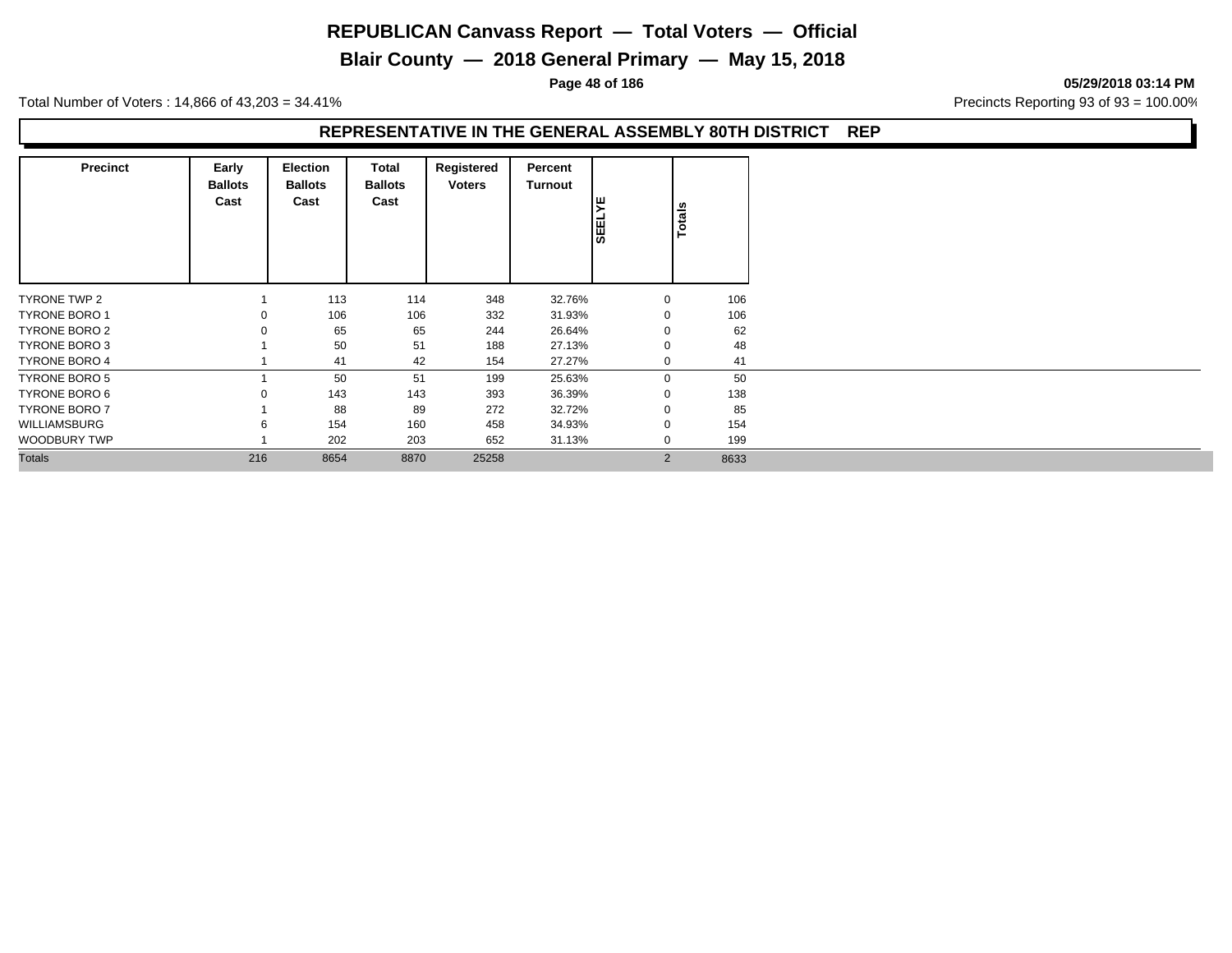**Blair County — 2018 General Primary — May 15, 2018**

**Page 48 of 186 05/29/2018 03:14 PM**

Total Number of Voters : 14,866 of 43,203 = 34.41% **Precincts Reporting 93 of 93** = 100.00%

#### **REPRESENTATIVE IN THE GENERAL ASSEMBLY 80TH DISTRICT REP**

| <b>Precinct</b>      | Early<br><b>Ballots</b><br>Cast | <b>Election</b><br><b>Ballots</b><br>Cast | Total<br><b>Ballots</b><br>Cast | Registered<br><b>Voters</b> | Percent<br><b>Turnout</b> | ▸<br><b>SEEL</b> | Totals |
|----------------------|---------------------------------|-------------------------------------------|---------------------------------|-----------------------------|---------------------------|------------------|--------|
| TYRONE TWP 2         |                                 | 113                                       | 114                             | 348                         | 32.76%                    | $\mathbf{0}$     | 106    |
| <b>TYRONE BORO 1</b> | $\Omega$                        | 106                                       | 106                             | 332                         | 31.93%                    | $\mathbf 0$      | 106    |
| TYRONE BORO 2        |                                 | 65                                        | 65                              | 244                         | 26.64%                    | 0                | 62     |
| TYRONE BORO 3        |                                 | 50                                        | 51                              | 188                         | 27.13%                    | $\mathbf 0$      | 48     |
| <b>TYRONE BORO 4</b> |                                 | 41                                        | 42                              | 154                         | 27.27%                    | $\mathbf 0$      | 41     |
| TYRONE BORO 5        |                                 | 50                                        | 51                              | 199                         | 25.63%                    | $\mathbf{0}$     | 50     |
| TYRONE BORO 6        | $\Omega$                        | 143                                       | 143                             | 393                         | 36.39%                    | $\mathbf 0$      | 138    |
| <b>TYRONE BORO 7</b> |                                 | 88                                        | 89                              | 272                         | 32.72%                    | $\mathbf 0$      | 85     |
| <b>WILLIAMSBURG</b>  | 6                               | 154                                       | 160                             | 458                         | 34.93%                    | 0                | 154    |
| WOODBURY TWP         |                                 | 202                                       | 203                             | 652                         | 31.13%                    | $\mathbf 0$      | 199    |
| <b>Totals</b>        | 216                             | 8654                                      | 8870                            | 25258                       |                           | 2                | 8633   |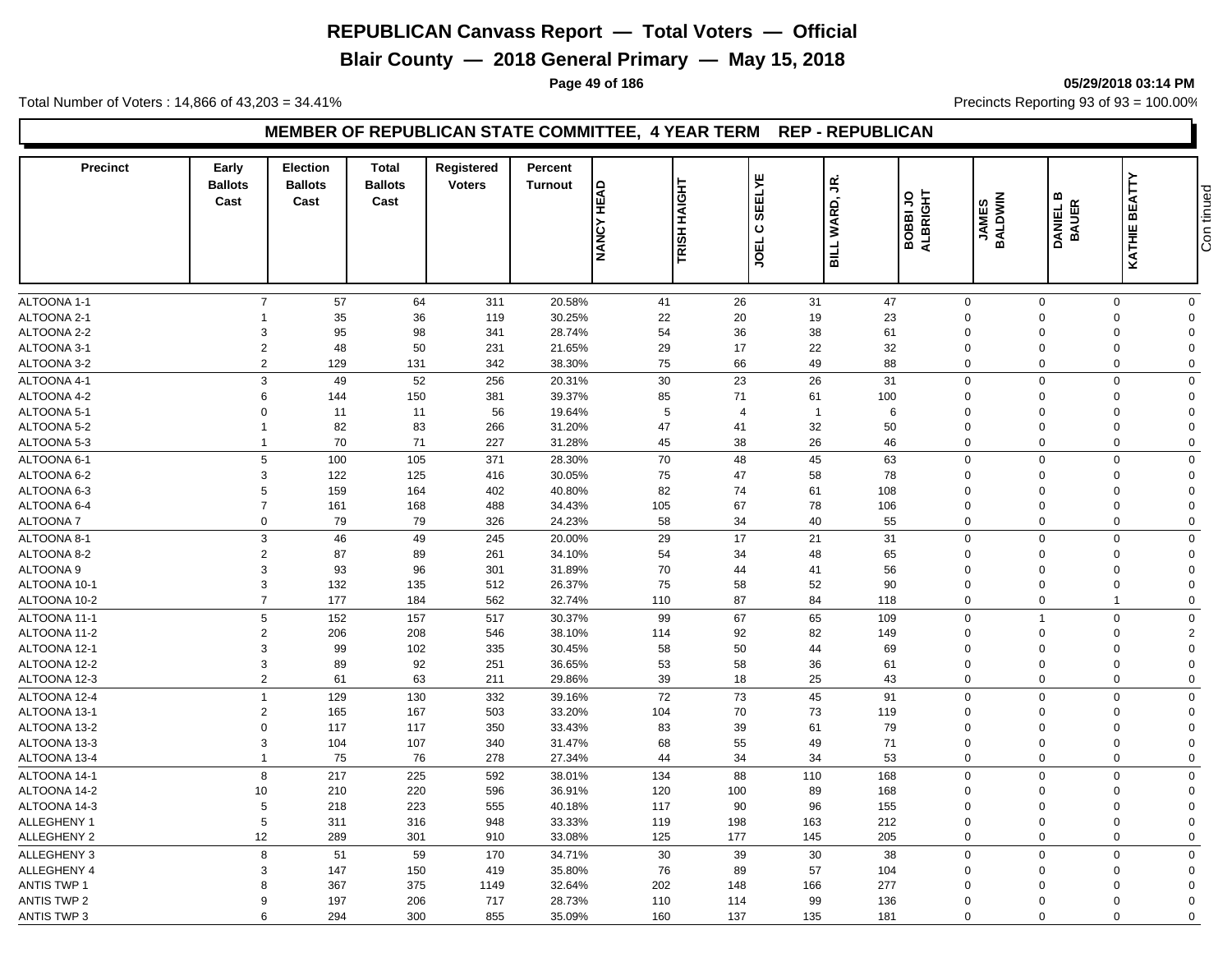**Blair County — 2018 General Primary — May 15, 2018**

**Page 49 of 186 05/29/2018 03:14 PM**

Total Number of Voters : 14,866 of 43,203 = 34.41% **Precincts Reporting 93 of 93** = 100.00%

#### **MEMBER OF REPUBLICAN STATE COMMITTEE, 4 YEAR TERM REP - REPUBLICAN**

| <b>Precinct</b>    | Early<br><b>Ballots</b><br>Cast | <b>Election</b><br><b>Ballots</b><br>Cast | <b>Total</b><br><b>Ballots</b><br>Cast | Registered<br><b>Voters</b> | Percent<br><b>Turnout</b> | TRISH HAIGHT<br><b>NANCY HEAD</b> |                | <b>ELYE</b><br>υŚ<br>WARD,<br>55<br>ပ | BOBBIJO  | ALBRIGHT<br><b>JAMES</b><br>BALDWIN | m<br>DANIEL B<br>BAUER  | <b>KATHIE BEATTY</b>       | Con tinued           |
|--------------------|---------------------------------|-------------------------------------------|----------------------------------------|-----------------------------|---------------------------|-----------------------------------|----------------|---------------------------------------|----------|-------------------------------------|-------------------------|----------------------------|----------------------|
|                    |                                 |                                           |                                        |                             |                           |                                   |                | <b>JOEL</b><br><b>BILL</b>            |          |                                     |                         |                            |                      |
| ALTOONA 1-1        | $\overline{7}$                  | 57                                        | 64                                     | 311                         | 20.58%                    | 41                                | 26             | 31                                    | 47       | $\mathbf 0$                         | $\mathbf 0$             | $\mathbf 0$                | $\mathbf 0$          |
| ALTOONA 2-1        | 1                               | 35                                        | 36                                     | 119                         | 30.25%                    | 22                                | 20             | 19                                    | 23       | $\mathbf 0$                         | $\Omega$                | 0                          | $\Omega$             |
| ALTOONA 2-2        | 3                               | 95                                        | 98                                     | 341                         | 28.74%                    | 54                                | 36             | 38                                    | 61       | $\mathbf 0$                         | $\mathbf 0$             | $\mathbf 0$                | $\Omega$             |
| ALTOONA 3-1        | $\overline{2}$                  | 48                                        | 50                                     | 231                         | 21.65%                    | 29                                | 17             | 22                                    | 32       | $\Omega$                            | $\Omega$                | 0                          | $\Omega$             |
| ALTOONA 3-2        | $\overline{2}$                  | 129                                       | 131                                    | 342                         | 38.30%                    | 75                                | 66             | 49                                    | 88       | $\Omega$                            | $\Omega$                | $\mathbf 0$                | $\mathbf 0$          |
| ALTOONA 4-1        | 3                               | 49                                        | 52                                     | 256                         | 20.31%                    | 30                                | 23             | 26                                    | 31       | $\Omega$                            | $\Omega$                | $\mathbf 0$                | $\Omega$             |
| ALTOONA 4-2        | 6                               | 144                                       | 150                                    | 381                         | 39.37%                    | 85                                | 71             | 61                                    | 100      | $\Omega$                            | $\Omega$                | $\mathbf 0$                | $\Omega$             |
| ALTOONA 5-1        | $\Omega$                        | 11                                        | 11                                     | 56                          | 19.64%                    | 5                                 | $\overline{4}$ | $\overline{1}$                        | 6        | $\Omega$                            | $\Omega$                | $\mathbf 0$                | $\Omega$             |
| ALTOONA 5-2        | $\mathbf{1}$                    | 82                                        | 83                                     | 266                         | 31.20%                    | 47                                | 41             | 32                                    | 50       | $\Omega$                            | $\Omega$                | $\mathbf 0$                | $\Omega$             |
| ALTOONA 5-3        | $\mathbf{1}$                    | 70                                        | 71                                     | 227                         | 31.28%                    | 45                                | 38             | 26                                    | 46       | $\Omega$                            | $\Omega$                | $\mathbf 0$                | $\mathbf 0$          |
| ALTOONA 6-1        | 5                               | 100                                       | 105                                    | 371                         | 28.30%                    | 70                                | 48             | 45                                    | 63       | $\Omega$                            | $\Omega$                | $\mathbf 0$                | $\Omega$             |
| ALTOONA 6-2        | 3                               | 122                                       | 125                                    | 416                         | 30.05%                    | 75                                | 47             | 58                                    | 78       | $\Omega$                            | $\Omega$                | $\mathbf 0$                | $\Omega$             |
| ALTOONA 6-3        | 5                               | 159                                       | 164                                    | 402                         | 40.80%                    | 82                                | 74             | 61                                    | 108      | $\Omega$                            | $\mathbf 0$             | 0                          | $\Omega$             |
| ALTOONA 6-4        | $\overline{7}$                  | 161                                       | 168                                    | 488                         | 34.43%                    | 105                               | 67             | 78                                    | 106      | $\Omega$                            | $\Omega$                | $\mathbf 0$                | $\Omega$             |
| <b>ALTOONA7</b>    | 0                               | 79                                        | 79                                     | 326                         | 24.23%                    | 58                                | 34             | 40                                    | 55       | $\mathbf 0$                         | $\mathbf 0$             | $\mathbf 0$                | $\Omega$             |
| ALTOONA 8-1        | 3                               | 46                                        | 49                                     | 245                         | 20.00%                    | 29                                | 17             | 21                                    | 31       | $\mathbf 0$                         | $\Omega$                | $\mathbf 0$                | $\Omega$             |
| ALTOONA 8-2        | $\overline{2}$                  | 87                                        | 89                                     | 261                         | 34.10%                    | 54                                | 34             | 48                                    | 65       | $\mathbf 0$                         | $\mathbf 0$             | $\mathbf 0$                | $\Omega$             |
| ALTOONA 9          | 3                               | 93                                        | 96                                     | 301                         | 31.89%                    | 70                                | 44             | 41                                    | 56       | $\Omega$                            | $\Omega$                | 0                          | $\Omega$             |
| ALTOONA 10-1       | 3                               | 132                                       | 135                                    | 512                         | 26.37%                    | 75                                | 58             | 52                                    | 90       | $\Omega$                            | $\Omega$                | 0                          | $\Omega$             |
| ALTOONA 10-2       | $\overline{7}$                  | 177                                       | 184                                    | 562                         | 32.74%                    | 110                               | 87             | 84                                    | 118      | $\mathbf 0$                         | $\mathbf 0$             | $\overline{1}$             | $\Omega$             |
|                    | 5                               |                                           |                                        |                             |                           |                                   |                |                                       |          |                                     | $\overline{1}$          |                            |                      |
| ALTOONA 11-1       |                                 | 152                                       | 157                                    | 517                         | 30.37%                    | 99                                | 67             | 65                                    | 109      | $\mathbf 0$                         |                         | $\mathbf 0$                | $\Omega$             |
| ALTOONA 11-2       | $\overline{2}$                  | 206                                       | 208                                    | 546                         | 38.10%                    | 114                               | 92             | 82                                    | 149      | $\mathbf 0$                         | $\mathbf 0$             | $\mathbf 0$                | 2                    |
| ALTOONA 12-1       | 3                               | 99                                        | 102                                    | 335                         | 30.45%                    | 58                                | 50             | 44                                    | 69       | $\Omega$                            | $\Omega$                | 0                          | $\Omega$             |
| ALTOONA 12-2       | 3<br>$\overline{2}$             | 89<br>61                                  | 92<br>63                               | 251<br>211                  | 36.65%<br>29.86%          | 53<br>39                          | 58<br>18       | 36<br>25                              | 61<br>43 | $\mathbf 0$<br>$\mathbf 0$          | $\Omega$<br>$\mathbf 0$ | $\mathbf 0$<br>$\mathbf 0$ | $\Omega$<br>$\Omega$ |
| ALTOONA 12-3       |                                 |                                           |                                        |                             |                           |                                   |                |                                       |          |                                     |                         |                            |                      |
| ALTOONA 12-4       | $\mathbf{1}$                    | 129                                       | 130                                    | 332                         | 39.16%                    | 72                                | 73             | 45                                    | 91       | $\mathbf 0$                         | $\mathbf 0$             | $\mathbf 0$                | $\mathbf 0$          |
| ALTOONA 13-1       | $\overline{2}$                  | 165                                       | 167                                    | 503                         | 33.20%                    | 104                               | 70             | 73                                    | 119      | $\mathbf 0$                         | $\mathbf 0$             | 0                          | $\Omega$             |
| ALTOONA 13-2       | $\Omega$                        | 117                                       | 117                                    | 350                         | 33.43%                    | 83                                | 39             | 61                                    | 79       | $\Omega$                            | $\Omega$                | 0                          | $\Omega$             |
| ALTOONA 13-3       | 3                               | 104                                       | 107                                    | 340                         | 31.47%                    | 68                                | 55             | 49                                    | 71       | $\mathbf 0$                         | $\mathbf 0$             | 0                          | $\mathbf 0$          |
| ALTOONA 13-4       | $\mathbf{1}$                    | 75                                        | 76                                     | 278                         | 27.34%                    | 44                                | 34             | 34                                    | 53       | $\mathbf 0$                         | $\mathbf 0$             | $\mathbf 0$                | $\mathbf 0$          |
| ALTOONA 14-1       | 8                               | 217                                       | 225                                    | 592                         | 38.01%                    | 134                               | 88             | 110                                   | 168      | $\Omega$                            | $\Omega$                | $\mathbf 0$                | $\mathbf 0$          |
| ALTOONA 14-2       | 10                              | 210                                       | 220                                    | 596                         | 36.91%                    | 120                               | 100            | 89                                    | 168      | $\Omega$                            | $\Omega$                | $\mathbf 0$                | $\Omega$             |
| ALTOONA 14-3       | 5                               | 218                                       | 223                                    | 555                         | 40.18%                    | 117                               | 90             | 96                                    | 155      | $\mathbf 0$                         | $\Omega$                | $\mathbf 0$                | $\Omega$             |
| ALLEGHENY 1        | 5                               | 311                                       | 316                                    | 948                         | 33.33%                    | 119                               | 198            | 163                                   | 212      | $\mathbf 0$                         | $\mathbf 0$             | $\mathbf 0$                | $\Omega$             |
| <b>ALLEGHENY 2</b> | 12                              | 289                                       | 301                                    | 910                         | 33.08%                    | 125                               | 177            | 145                                   | 205      | $\Omega$                            | $\Omega$                | $\mathbf 0$                | $\Omega$             |
| ALLEGHENY 3        | 8                               | 51                                        | 59                                     | 170                         | 34.71%                    | 30                                | 39             | 30                                    | 38       | $\Omega$                            | $\Omega$                | $\mathbf 0$                | $\Omega$             |
| ALLEGHENY 4        | 3                               | 147                                       | 150                                    | 419                         | 35.80%                    | 76                                | 89             | 57                                    | 104      | $\Omega$                            | $\Omega$                | $\mathbf 0$                | $\Omega$             |
| <b>ANTIS TWP 1</b> | 8                               | 367                                       | 375                                    | 1149                        | 32.64%                    | 202                               | 148            | 166                                   | 277      | $\Omega$                            | $\Omega$                | $\Omega$                   | $\Omega$             |
| <b>ANTIS TWP 2</b> | 9                               | 197                                       | 206                                    | 717                         | 28.73%                    | 110                               | 114            | 99                                    | 136      | $\Omega$                            | $\Omega$                | $\mathbf 0$                | $\Omega$             |
| <b>ANTIS TWP 3</b> | 6                               | 294                                       | 300                                    | 855                         | 35.09%                    | 160                               | 137            | 135                                   | 181      | $\Omega$                            | $\Omega$                | $\Omega$                   | $\mathbf 0$          |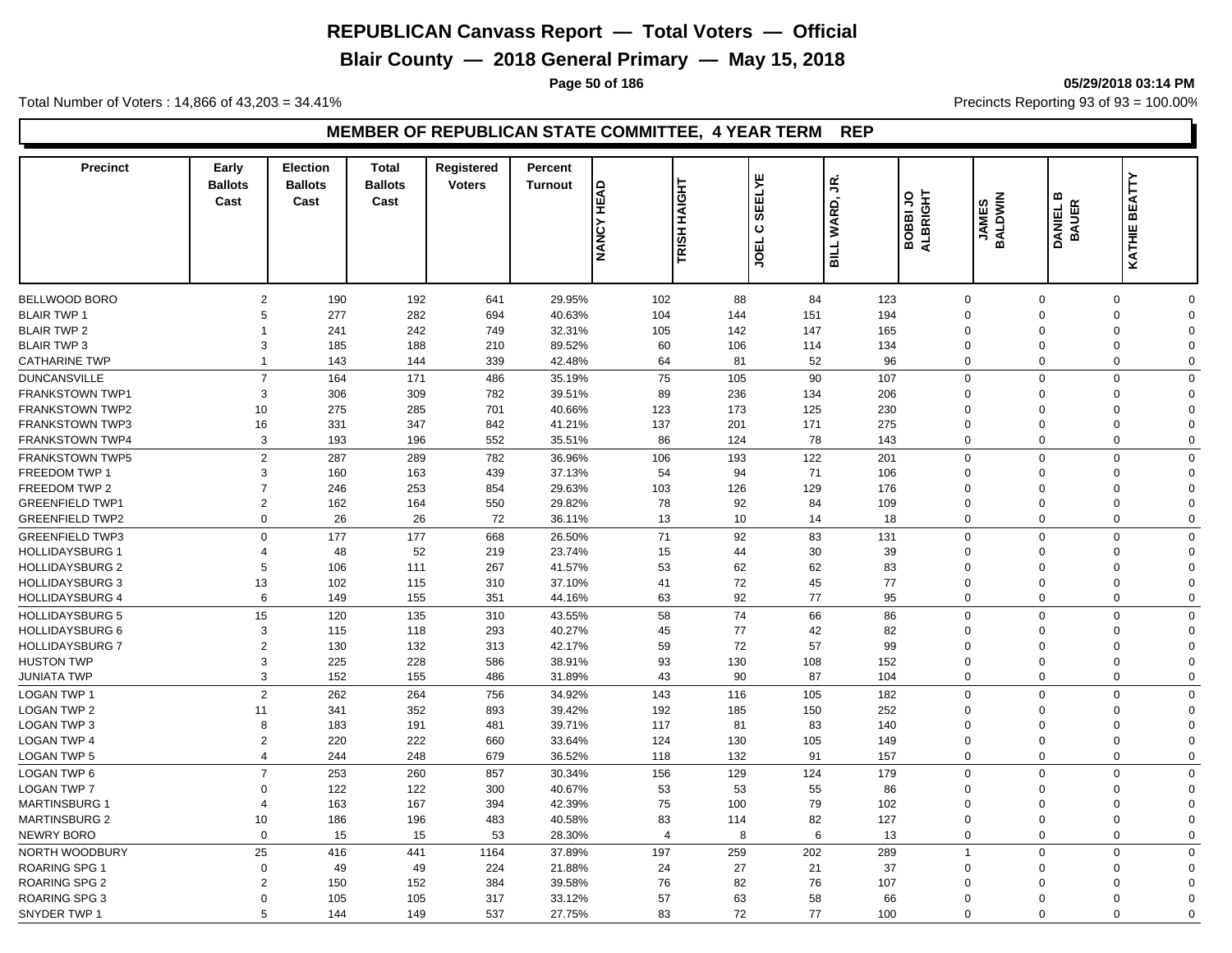**Blair County — 2018 General Primary — May 15, 2018**

**Page 50 of 186 05/29/2018 03:14 PM**

Total Number of Voters : 14,866 of 43,203 = 34.41% **Precincts Reporting 93 of 93** = 100.00%

| <b>Precinct</b>                     | Early<br><b>Ballots</b><br>Cast | <b>Election</b><br><b>Ballots</b><br>Cast | <b>Total</b><br><b>Ballots</b><br>Cast | Registered<br><b>Voters</b> | Percent<br><b>Turnout</b> | <b>HEAD</b><br><b>NANCY</b> | 보<br><b>TRISH HAIG</b> | <b>SEELYE</b><br>$\mathbf c$<br><b>JOEL</b> | £,<br>WARD,<br><b>BILL</b> | ALBRIGHT<br><b>BOBBIJO</b> | <b>BALDWIN</b><br><b>JAMES</b> | m<br>DANIEL E<br>BAUER | KATHIE BEATTY                                      |  |
|-------------------------------------|---------------------------------|-------------------------------------------|----------------------------------------|-----------------------------|---------------------------|-----------------------------|------------------------|---------------------------------------------|----------------------------|----------------------------|--------------------------------|------------------------|----------------------------------------------------|--|
|                                     | $\overline{2}$                  |                                           |                                        |                             |                           |                             |                        |                                             |                            |                            |                                |                        |                                                    |  |
| BELLWOOD BORO<br><b>BLAIR TWP 1</b> | 5                               | 190<br>277                                | 192<br>282                             | 641<br>694                  | 29.95%<br>40.63%          | 102<br>104                  | 88<br>144              | 84<br>151                                   | 123<br>194                 | $\mathbf 0$<br>$\mathbf 0$ | $\overline{0}$                 | $\mathbf 0$            | $\mathbf 0$<br>$\Omega$<br>$\mathbf 0$<br>$\Omega$ |  |
| <b>BLAIR TWP 2</b>                  | 1                               | 241                                       | 242                                    | 749                         | 32.31%                    | 105                         | 142                    | 147                                         | 165                        | $\Omega$                   |                                | $\Omega$               | $\mathbf 0$<br>$\Omega$                            |  |
| <b>BLAIR TWP 3</b>                  | 3                               | 185                                       | 188                                    | 210                         | 89.52%                    | 60                          | 106                    | 114                                         | 134                        | $\mathbf 0$                | $\mathbf 0$                    |                        | 0<br>$\Omega$                                      |  |
|                                     | 1                               |                                           | 144                                    |                             | 42.48%                    | 64                          | 81                     | 52                                          | 96                         | $\mathbf 0$                |                                | $\mathbf 0$            | $\mathbf 0$<br>$\Omega$                            |  |
| <b>CATHARINE TWP</b>                |                                 | 143                                       |                                        | 339                         |                           |                             |                        |                                             |                            |                            |                                |                        |                                                    |  |
| <b>DUNCANSVILLE</b>                 | $\overline{7}$                  | 164                                       | 171                                    | 486                         | 35.19%                    | 75                          | 105                    | 90                                          | 107                        | $\mathbf 0$                |                                | $\Omega$               | $\mathbf 0$<br>$\Omega$                            |  |
| <b>FRANKSTOWN TWP1</b>              | 3                               | 306                                       | 309                                    | 782                         | 39.51%                    | 89                          | 236                    | 134                                         | 206                        | $\Omega$                   |                                | $\Omega$               | $\mathbf 0$<br>$\Omega$                            |  |
| FRANKSTOWN TWP2                     | 10                              | 275                                       | 285                                    | 701                         | 40.66%                    | 123                         | 173                    | 125                                         | 230                        | $\Omega$                   |                                | $\Omega$               | 0<br>$\Omega$                                      |  |
| <b>FRANKSTOWN TWP3</b>              | 16                              | 331                                       | 347                                    | 842                         | 41.21%                    | 137                         | 201                    | 171                                         | 275                        | $\Omega$                   | $\Omega$                       |                        | $\mathbf 0$<br>$\Omega$                            |  |
| <b>FRANKSTOWN TWP4</b>              | $\mathbf{3}$                    | 193                                       | 196                                    | 552                         | 35.51%                    | 86                          | 124                    | 78                                          | 143                        | $\mathbf 0$                |                                | $\mathbf 0$            | $\mathbf 0$<br>$\Omega$                            |  |
| <b>FRANKSTOWN TWP5</b>              | $\overline{2}$                  | 287                                       | 289                                    | 782                         | 36.96%                    | 106                         | 193                    | 122                                         | 201                        | $\mathbf 0$                |                                | $\mathbf 0$            | $\mathbf 0$<br>$\Omega$                            |  |
| <b>FREEDOM TWP 1</b>                | 3                               | 160                                       | 163                                    | 439                         | 37.13%                    | 54                          | 94                     | 71                                          | 106                        | $\mathbf{0}$               | $\Omega$                       |                        | $\mathbf 0$<br>$\Omega$                            |  |
| FREEDOM TWP 2                       | $\overline{7}$                  | 246                                       | 253                                    | 854                         | 29.63%                    | 103                         | 126                    | 129                                         | 176                        | $\mathbf 0$                | $\overline{0}$                 |                        | $\mathbf 0$<br>$\Omega$                            |  |
| <b>GREENFIELD TWP1</b>              | $\overline{2}$                  | 162                                       | 164                                    | 550                         | 29.82%                    | 78                          | 92                     | 84                                          | 109                        | $\mathbf 0$                | $\Omega$                       |                        | 0<br>$\Omega$                                      |  |
| <b>GREENFIELD TWP2</b>              | $\mathbf 0$                     | 26                                        | 26                                     | 72                          | 36.11%                    | 13                          | 10                     | 14                                          | 18                         | $\mathbf 0$                |                                | $\mathbf 0$            | $\mathbf 0$<br>$\Omega$                            |  |
| <b>GREENFIELD TWP3</b>              | $\mathbf 0$                     | 177                                       | 177                                    | 668                         | 26.50%                    | 71                          | 92                     | 83                                          | 131                        | $\mathbf 0$                | $\Omega$                       |                        | $\mathbf 0$<br>$\Omega$                            |  |
| <b>HOLLIDAYSBURG 1</b>              | $\overline{4}$                  | 48                                        | 52                                     | 219                         | 23.74%                    | 15                          | 44                     | 30                                          | 39                         | $\Omega$                   | $\Omega$                       |                        | 0<br>$\Omega$                                      |  |
| <b>HOLLIDAYSBURG 2</b>              | 5                               | 106                                       | 111                                    | 267                         | 41.57%                    | 53                          | 62                     | 62                                          | 83                         | $\Omega$                   |                                | $\mathbf 0$            | 0<br>$\Omega$                                      |  |
| <b>HOLLIDAYSBURG 3</b>              | 13                              | 102                                       | 115                                    | 310                         | 37.10%                    | 41                          | 72                     | 45                                          | 77                         | $\Omega$                   | $\Omega$                       |                        | $\mathbf 0$<br>$\Omega$                            |  |
| <b>HOLLIDAYSBURG 4</b>              | 6                               | 149                                       | 155                                    | 351                         | 44.16%                    | 63                          | 92                     | 77                                          | 95                         | $\mathbf 0$                | $\Omega$                       |                        | $\mathbf 0$<br>$\mathbf 0$                         |  |
| <b>HOLLIDAYSBURG 5</b>              | 15                              | 120                                       | 135                                    | 310                         | 43.55%                    | 58                          | 74                     | 66                                          | 86                         | $\mathbf 0$                |                                | $\mathbf 0$            | $\mathbf 0$<br>$\Omega$                            |  |
| <b>HOLLIDAYSBURG 6</b>              | 3                               | 115                                       | 118                                    | 293                         | 40.27%                    | 45                          | 77                     | 42                                          | 82                         | $\mathbf 0$                |                                | $\Omega$               | 0<br>$\Omega$                                      |  |
| <b>HOLLIDAYSBURG 7</b>              | $\overline{2}$                  | 130                                       | 132                                    | 313                         | 42.17%                    | 59                          | 72                     | 57                                          | 99                         | $\Omega$                   |                                | $\Omega$               | $\mathbf 0$<br>$\Omega$                            |  |
| <b>HUSTON TWP</b>                   | 3                               | 225                                       | 228                                    | 586                         | 38.91%                    | 93                          | 130                    | 108                                         | 152                        | $\mathbf 0$                | $\overline{0}$                 |                        | $\mathbf 0$<br>$\Omega$                            |  |
| JUNIATA TWP                         | 3                               | 152                                       | 155                                    | 486                         | 31.89%                    | 43                          | 90                     | 87                                          | 104                        | $\Omega$                   |                                | $\mathbf 0$            | $\mathbf 0$<br>$\Omega$                            |  |
| <b>LOGAN TWP 1</b>                  | 2                               | 262                                       | 264                                    | 756                         | 34.92%                    | 143                         | 116                    | 105                                         | 182                        | $\mathbf 0$                |                                | $\mathbf 0$            | $\mathbf 0$<br>$\Omega$                            |  |
| <b>LOGAN TWP 2</b>                  | 11                              | 341                                       | 352                                    | 893                         | 39.42%                    | 192                         | 185                    | 150                                         | 252                        | $\mathbf{0}$               |                                | $\Omega$               | 0<br>$\Omega$                                      |  |
|                                     | 8                               |                                           |                                        |                             |                           | 117                         | 81                     |                                             |                            | $\Omega$                   |                                | $\Omega$               | $\mathbf 0$<br>$\Omega$                            |  |
| LOGAN TWP 3<br><b>LOGAN TWP 4</b>   | $\overline{2}$                  | 183<br>220                                | 191<br>222                             | 481<br>660                  | 39.71%<br>33.64%          | 124                         | 130                    | 83<br>105                                   | 140<br>149                 | $\mathbf 0$                | $\Omega$                       |                        | $\mathbf 0$<br>$\Omega$                            |  |
| <b>LOGAN TWP 5</b>                  | $\overline{4}$                  | 244                                       | 248                                    | 679                         | 36.52%                    | 118                         | 132                    | 91                                          | 157                        | $\mathbf 0$                |                                | $\mathbf 0$            | $\mathbf 0$<br>$\Omega$                            |  |
|                                     |                                 |                                           |                                        |                             |                           |                             |                        |                                             |                            |                            |                                |                        |                                                    |  |
| <b>LOGAN TWP 6</b>                  | $\overline{7}$                  | 253                                       | 260                                    | 857                         | 30.34%                    | 156                         | 129                    | 124                                         | 179                        | $\mathbf 0$                |                                | $\mathbf 0$            | $\mathbf 0$<br>$\Omega$                            |  |
| <b>LOGAN TWP 7</b>                  | $\Omega$                        | 122                                       | 122                                    | 300                         | 40.67%                    | 53                          | 53                     | 55                                          | 86                         | $\Omega$                   | $\Omega$                       |                        | 0<br>$\Omega$                                      |  |
| <b>MARTINSBURG 1</b>                | $\overline{4}$                  | 163                                       | 167                                    | 394                         | 42.39%                    | 75                          | 100                    | 79                                          | 102                        | $\mathbf 0$                | $\overline{0}$                 |                        | $\mathbf 0$<br>$\Omega$                            |  |
| <b>MARTINSBURG 2</b>                | 10                              | 186                                       | 196                                    | 483                         | 40.58%                    | 83                          | 114                    | 82                                          | 127                        | $\mathbf{0}$               |                                | $\mathbf 0$            | 0<br>$\Omega$                                      |  |
| <b>NEWRY BORO</b>                   | $\mathbf 0$                     | 15                                        | 15                                     | 53                          | 28.30%                    | $\overline{4}$              | 8                      | 6                                           | 13                         | $\mathbf 0$                |                                | $\mathbf 0$            | $\mathbf 0$<br>$\Omega$                            |  |
| NORTH WOODBURY                      | 25                              | 416                                       | 441                                    | 1164                        | 37.89%                    | 197                         | 259                    | 202                                         | 289                        | $\overline{1}$             | $\overline{0}$                 |                        | $\mathbf 0$<br>$\Omega$                            |  |
| <b>ROARING SPG 1</b>                | $\overline{0}$                  | 49                                        | 49                                     | 224                         | 21.88%                    | 24                          | 27                     | 21                                          | 37                         | $\mathbf 0$                | $\Omega$                       |                        | 0<br>$\Omega$                                      |  |
| <b>ROARING SPG 2</b>                | $\overline{2}$                  | 150                                       | 152                                    | 384                         | 39.58%                    | 76                          | 82                     | 76                                          | 107                        | $\Omega$                   |                                | $\Omega$               | 0<br>$\Omega$                                      |  |
| ROARING SPG 3                       | $\Omega$                        | 105                                       | 105                                    | 317                         | 33.12%                    | 57                          | 63                     | 58                                          | 66                         | $\Omega$                   |                                | $\Omega$               | $\mathbf 0$<br>$\Omega$                            |  |
| SNYDER TWP 1                        | 5                               | 144                                       | 149                                    | 537                         | 27.75%                    | 83                          | 72                     | 77                                          | 100                        | $\Omega$                   | $\Omega$                       |                        | $\Omega$<br>$\Omega$                               |  |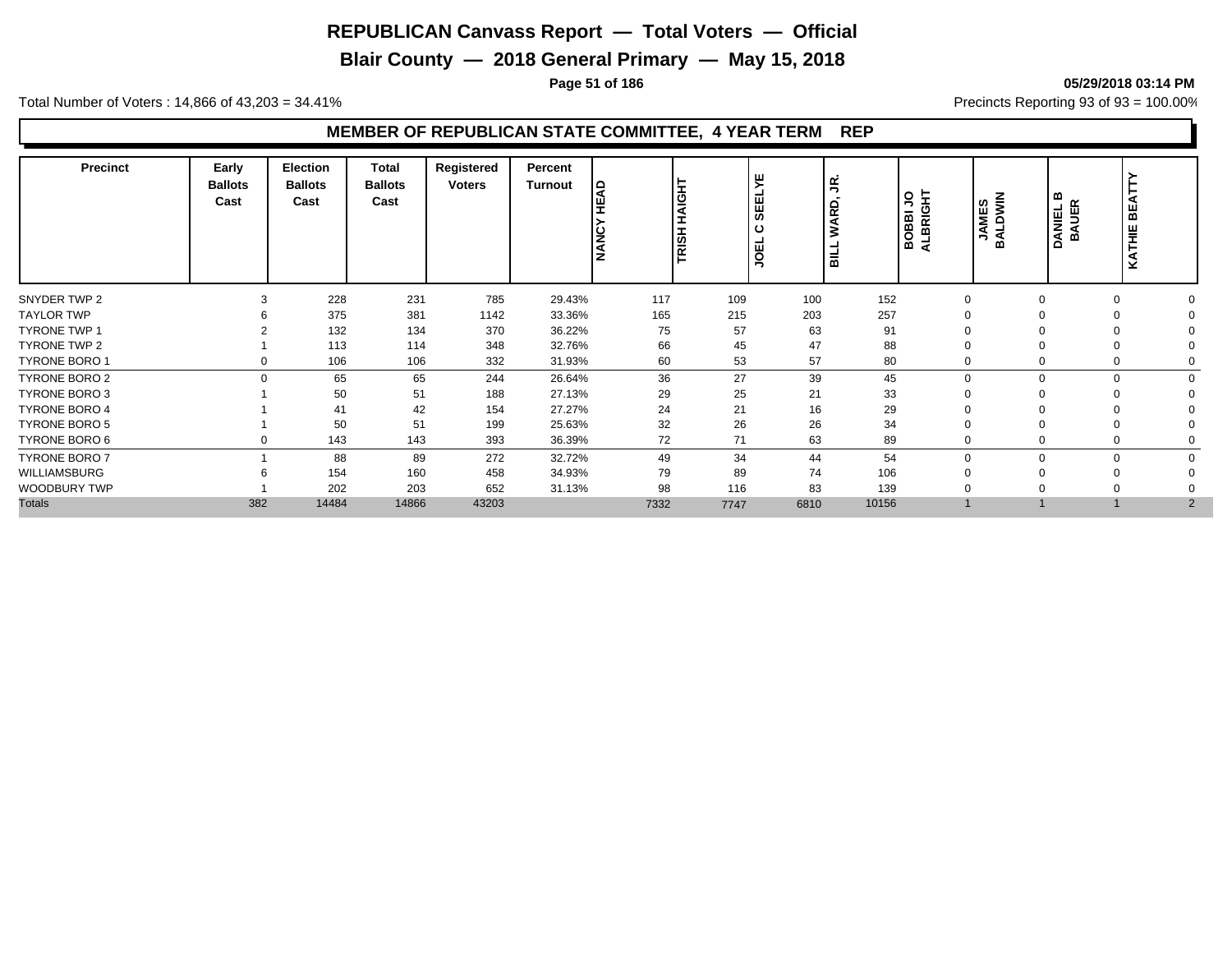**Blair County — 2018 General Primary — May 15, 2018**

**Page 51 of 186 05/29/2018 03:14 PM**

Total Number of Voters : 14,866 of 43,203 = 34.41% **Precincts Reporting 93 of 93** = 100.00%

| <b>Precinct</b>      | Early<br><b>Ballots</b><br>Cast | <b>Election</b><br><b>Ballots</b><br>Cast | <b>Total</b><br><b>Ballots</b><br>Cast | Registered<br><b>Voters</b> | Percent<br>Turnout | ę<br><b>NANC</b> | HAIGHT<br>TRISH I | ш<br>⋝<br>$\sim$<br>ш<br>ш<br>あ<br>ш<br>g | S<br>RD,<br>Š<br>۳<br>$\frac{1}{5}$ | ALBRIGHT<br>S<br>BOBBI. | <b>JAMES</b><br>BALDWIN | ≃<br>DANIEL E<br>BAUER | <b>BEA</b><br>KATHIE |  |
|----------------------|---------------------------------|-------------------------------------------|----------------------------------------|-----------------------------|--------------------|------------------|-------------------|-------------------------------------------|-------------------------------------|-------------------------|-------------------------|------------------------|----------------------|--|
| SNYDER TWP 2         | 3                               | 228                                       | 231                                    | 785                         | 29.43%             | 117              | 109               | 100                                       | 152                                 | $\Omega$                |                         | $\Omega$               |                      |  |
| <b>TAYLOR TWP</b>    |                                 | 375                                       | 381                                    | 1142                        | 33.36%             | 165              | 215               | 203                                       | 257                                 |                         |                         | $\Omega$               |                      |  |
| <b>TYRONE TWP 1</b>  |                                 | 132                                       | 134                                    | 370                         | 36.22%             | 75               | 57                | 63                                        | 91                                  |                         |                         |                        |                      |  |
| TYRONE TWP 2         |                                 | 113                                       | 114                                    | 348                         | 32.76%             | 66               | 45                | 47                                        | 88                                  |                         |                         | $\Omega$               |                      |  |
| <b>TYRONE BORO 1</b> | $\Omega$                        | 106                                       | 106                                    | 332                         | 31.93%             | 60               | 53                | 57                                        | 80                                  |                         |                         | $\Omega$               |                      |  |
| <b>TYRONE BORO 2</b> | $\Omega$                        | 65                                        | 65                                     | 244                         | 26.64%             | 36               | 27                | 39                                        | 45                                  | $\Omega$                |                         | $\Omega$               | $\Omega$             |  |
| <b>TYRONE BORO 3</b> |                                 | 50                                        | 51                                     | 188                         | 27.13%             | 29               | 25                | 21                                        | 33                                  |                         |                         |                        |                      |  |
| <b>TYRONE BORO 4</b> |                                 | 41                                        | 42                                     | 154                         | 27.27%             | 24               | 21                | 16                                        | 29                                  |                         |                         |                        |                      |  |
| <b>TYRONE BORO 5</b> |                                 | 50                                        | 51                                     | 199                         | 25.63%             | 32               | 26                | 26                                        | 34                                  |                         |                         | $\Omega$               |                      |  |
| TYRONE BORO 6        | 0                               | 143                                       | 143                                    | 393                         | 36.39%             | 72               | 71                | 63                                        | 89                                  |                         |                         | $\Omega$               |                      |  |
| <b>TYRONE BORO 7</b> |                                 | 88                                        | 89                                     | 272                         | 32.72%             | 49               | 34                | 44                                        | 54                                  | n                       |                         | $\Omega$               | $\Omega$             |  |
| WILLIAMSBURG         | 6                               | 154                                       | 160                                    | 458                         | 34.93%             | 79               | 89                | 74                                        | 106                                 |                         |                         | $\Omega$               |                      |  |
| WOODBURY TWP         |                                 | 202                                       | 203                                    | 652                         | 31.13%             | 98               | 116               | 83                                        | 139                                 |                         |                         | $\Omega$               |                      |  |
| <b>Totals</b>        | 382                             | 14484                                     | 14866                                  | 43203                       |                    | 7332             | 7747              | 6810                                      | 10156                               |                         |                         |                        | 2                    |  |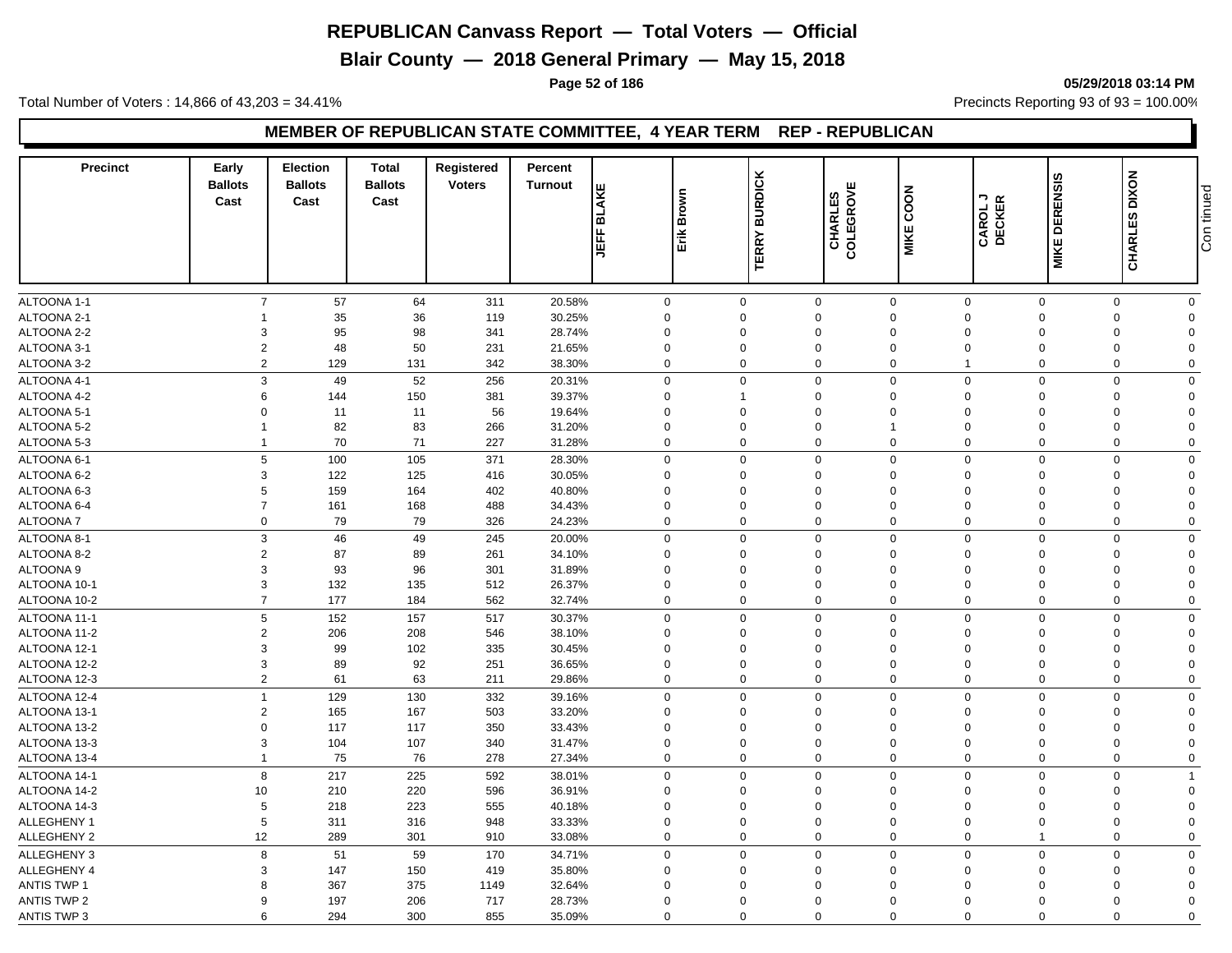**Blair County — 2018 General Primary — May 15, 2018**

**Page 52 of 186 05/29/2018 03:14 PM**

Total Number of Voters : 14,866 of 43,203 = 34.41% **Precincts Reporting 93 of 93** = 100.00%

#### **MEMBER OF REPUBLICAN STATE COMMITTEE, 4 YEAR TERM REP - REPUBLICAN**

| <b>Precinct</b>    | Early<br><b>Ballots</b><br>Cast | Election<br><b>Ballots</b><br>Cast | <b>Total</b><br><b>Ballots</b><br>Cast | <b>Registered</b><br><b>Voters</b> | Percent<br><b>Turnout</b> | <b>BLAKE</b><br><b>JEFF</b> | Brown<br>Erik | <b>BURDICK</b><br><b>TERRY</b> | ш<br>CHARLES<br>COLEGROVE | COON<br><b>MIKE</b>        | CAROL J<br>DECKER | ဖာ<br><b>MIKE DERENSI</b> | <b>CHARLES DIXON</b>        | Con tinued |
|--------------------|---------------------------------|------------------------------------|----------------------------------------|------------------------------------|---------------------------|-----------------------------|---------------|--------------------------------|---------------------------|----------------------------|-------------------|---------------------------|-----------------------------|------------|
|                    |                                 |                                    |                                        |                                    |                           |                             |               |                                |                           |                            |                   |                           |                             |            |
| ALTOONA 1-1        | $\overline{7}$                  | 57                                 | 64                                     | 311                                | 20.58%                    | $\mathsf 0$                 |               | $\mathbf 0$                    | $\mathbf 0$               | $\mathbf 0$<br>$\mathsf 0$ |                   | $\mathbf 0$               | $\mathsf{O}$<br>$\mathbf 0$ |            |
| ALTOONA 2-1        |                                 | 35                                 | 36                                     | 119                                | 30.25%                    | $\mathbf 0$                 |               | $\Omega$                       | $\Omega$                  | $\Omega$<br>$\Omega$       | $\Omega$          |                           | $\mathbf 0$<br>$\Omega$     |            |
| ALTOONA 2-2        | 3                               | 95                                 | 98                                     | 341                                | 28.74%                    | $\mathbf 0$                 |               | $\Omega$                       | $\mathbf 0$               | $\Omega$<br>$\Omega$       | $\Omega$          |                           | $\mathbf 0$<br>$\Omega$     |            |
| ALTOONA 3-1        | $\sqrt{2}$                      | 48                                 | 50                                     | 231                                | 21.65%                    | $\mathbf 0$                 |               | $\Omega$                       | $\Omega$                  | $\mathbf 0$<br>$\Omega$    | $\Omega$          |                           | $\mathbf 0$<br>$\Omega$     |            |
| ALTOONA 3-2        | $\overline{2}$                  | 129                                | 131                                    | 342                                | 38.30%                    | $\mathbf 0$                 |               | $\Omega$                       | $\mathbf 0$               | $\mathbf 0$                | $\Omega$          |                           | $\mathbf 0$<br>$\mathbf 0$  |            |
| ALTOONA 4-1        | 3                               | 49                                 | 52                                     | 256                                | 20.31%                    | $\mathbf 0$                 |               | $\Omega$                       | $\mathbf 0$               | $\mathbf 0$<br>$\mathbf 0$ |                   | $\mathbf 0$               | $\mathbf 0$<br>$\mathbf 0$  |            |
| ALTOONA 4-2        | 6                               | 144                                | 150                                    | 381                                | 39.37%                    | $\mathbf 0$                 |               | 1                              | 0                         | $\Omega$<br>$\mathbf 0$    | $\Omega$          |                           | $\mathbf 0$<br>$\Omega$     |            |
| ALTOONA 5-1        | $\mathbf 0$                     | 11                                 | 11                                     | 56                                 | 19.64%                    | $\mathbf 0$                 |               | $\Omega$                       | $\mathbf 0$               | $\mathbf 0$<br>$\Omega$    | $\Omega$          |                           | $\mathbf 0$<br>$\Omega$     |            |
| ALTOONA 5-2        | $\mathbf{1}$                    | 82                                 | 83                                     | 266                                | 31.20%                    | $\mathbf 0$                 |               | $\Omega$                       | $\Omega$                  | $\Omega$<br>$\overline{1}$ | $\Omega$          |                           | 0<br>$\Omega$               |            |
| ALTOONA 5-3        | $\mathbf{1}$                    | 70                                 | 71                                     | 227                                | 31.28%                    | $\mathbf 0$                 |               | $\Omega$                       | 0                         | $\mathbf 0$<br>$\Omega$    | $\mathbf 0$       |                           | $\mathbf 0$<br>$\mathbf 0$  |            |
| ALTOONA 6-1        | 5                               | 100                                | 105                                    | 371                                | 28.30%                    | $\mathbf 0$                 |               | $\Omega$                       | $\mathbf 0$               | $\mathbf 0$<br>$\mathbf 0$ | $\Omega$          |                           | $\mathbf 0$<br>$\Omega$     |            |
| ALTOONA 6-2        | 3                               | 122                                | 125                                    | 416                                | 30.05%                    | $\mathbf 0$                 |               | $\overline{0}$                 | $\mathbf 0$               | $\mathbf 0$<br>$\mathbf 0$ | $\mathbf 0$       |                           | $\mathbf 0$<br>$\Omega$     |            |
| ALTOONA 6-3        | 5                               | 159                                | 164                                    | 402                                | 40.80%                    | $\mathbf 0$                 |               | $\Omega$                       | $\Omega$                  | $\Omega$<br>$\Omega$       | $\Omega$          |                           | $\mathbf 0$<br>$\Omega$     |            |
| ALTOONA 6-4        | $\overline{7}$                  | 161                                | 168                                    | 488                                | 34.43%                    | $\mathbf 0$                 |               | $\Omega$                       | $\mathbf 0$               | $\mathbf 0$<br>$\mathbf 0$ | $\Omega$          |                           | $\mathbf 0$<br>$\Omega$     |            |
| <b>ALTOONA7</b>    | 0                               | 79                                 | 79                                     | 326                                | 24.23%                    | $\mathbf 0$                 |               | $\mathbf 0$                    | $\mathbf 0$               | $\mathbf 0$<br>$\mathbf 0$ | $\mathbf 0$       |                           | $\mathbf 0$<br>$\Omega$     |            |
| ALTOONA 8-1        | 3                               | 46                                 | 49                                     | 245                                | 20.00%                    | $\mathbf 0$                 |               | $\mathbf 0$                    | $\mathbf 0$               | $\mathbf 0$<br>$\mathbf 0$ | $\mathbf 0$       |                           | $\mathbf 0$<br>$\mathbf 0$  |            |
| ALTOONA 8-2        | $\overline{2}$                  | 87                                 | 89                                     | 261                                | 34.10%                    | $\mathbf 0$                 |               | $\Omega$                       | $\mathbf 0$               | $\mathbf 0$<br>$\Omega$    | $\Omega$          |                           | 0<br>$\Omega$               |            |
| ALTOONA 9          | 3                               | 93                                 | 96                                     | 301                                | 31.89%                    | $\mathbf 0$                 |               | 0                              | $\Omega$                  | $\Omega$<br>$\Omega$       | 0                 |                           | 0<br>$\Omega$               |            |
| ALTOONA 10-1       | 3                               | 132                                | 135                                    | 512                                | 26.37%                    | $\mathbf 0$                 |               | $\Omega$                       | $\mathbf 0$               | $\mathbf 0$<br>$\Omega$    | $\mathbf 0$       |                           | $\mathbf 0$<br>$\Omega$     |            |
| ALTOONA 10-2       | $\overline{7}$                  | 177                                | 184                                    | 562                                | 32.74%                    | $\mathbf 0$                 |               | $\mathbf 0$                    | $\mathbf 0$               | $\mathbf 0$<br>$\mathbf 0$ | $\mathbf 0$       |                           | $\mathbf 0$<br>$\mathbf 0$  |            |
| ALTOONA 11-1       | 5                               | 152                                | 157                                    | 517                                | 30.37%                    | $\mathbf 0$                 |               | $\mathbf 0$                    | $\mathbf 0$               | $\mathbf 0$<br>$\mathbf 0$ | $\mathbf 0$       |                           | $\mathbf 0$<br>$\mathbf 0$  |            |
| ALTOONA 11-2       | $\overline{2}$                  | 206                                | 208                                    | 546                                | 38.10%                    | $\mathbf 0$                 |               | $\Omega$                       | 0                         | $\Omega$<br>$\Omega$       | $\Omega$          |                           | 0<br>$\Omega$               |            |
| ALTOONA 12-1       | 3                               | 99                                 | 102                                    | 335                                | 30.45%                    | $\mathbf 0$                 |               | $\mathbf 0$                    | 0                         | $\Omega$<br>$\Omega$       | $\Omega$          |                           | $\mathbf 0$<br>$\Omega$     |            |
| ALTOONA 12-2       | 3                               | 89                                 | 92                                     | 251                                | 36.65%                    | $\mathbf 0$                 |               | 0                              | $\mathbf 0$               | $\mathbf 0$<br>$\mathbf 0$ | $\mathbf 0$       |                           | $\mathbf 0$<br>$\Omega$     |            |
| ALTOONA 12-3       | $\overline{2}$                  | 61                                 | 63                                     | 211                                | 29.86%                    | $\mathbf 0$                 |               | $\Omega$                       | 0                         | $\Omega$<br>$\Omega$       | $\Omega$          |                           | $\mathbf 0$<br>$\Omega$     |            |
|                    | $\overline{1}$                  |                                    |                                        |                                    |                           |                             |               |                                |                           | $\Omega$                   |                   |                           |                             |            |
| ALTOONA 12-4       |                                 | 129                                | 130                                    | 332                                | 39.16%                    | $\mathbf 0$                 |               | $\Omega$                       | $\Omega$                  | $\mathbf 0$                | $\Omega$          |                           | $\mathbf 0$<br>$\Omega$     |            |
| ALTOONA 13-1       | $\overline{2}$                  | 165                                | 167                                    | 503                                | 33.20%                    | $\mathbf 0$                 |               | 0                              | 0                         | $\Omega$<br>$\Omega$       | $\Omega$          |                           | $\mathbf 0$<br>$\Omega$     |            |
| ALTOONA 13-2       | $\mathbf 0$                     | 117                                | 117                                    | 350                                | 33.43%                    | $\mathbf 0$                 |               | $\Omega$                       | $\mathbf 0$               | $\Omega$<br>$\Omega$       | $\Omega$          |                           | $\mathbf 0$<br>$\Omega$     |            |
| ALTOONA 13-3       | 3                               | 104                                | 107                                    | 340                                | 31.47%                    | $\mathbf 0$                 |               | $\Omega$                       | $\mathbf 0$               | $\mathbf 0$<br>$\Omega$    | $\Omega$          |                           | $\mathbf 0$<br>$\Omega$     |            |
| ALTOONA 13-4       | $\mathbf{1}$                    | 75                                 | 76                                     | 278                                | 27.34%                    | $\mathbf 0$                 |               | $\Omega$                       | $\mathbf 0$               | $\mathbf 0$<br>$\Omega$    | $\mathbf 0$       |                           | $\mathbf 0$<br>$\mathbf 0$  |            |
| ALTOONA 14-1       | 8                               | 217                                | 225                                    | 592                                | 38.01%                    | $\mathbf 0$                 |               | $\Omega$                       | 0                         | $\mathbf 0$<br>$\Omega$    | $\Omega$          |                           | $\mathbf 0$<br>-1           |            |
| ALTOONA 14-2       | 10                              | 210                                | 220                                    | 596                                | 36.91%                    | $\mathbf 0$                 |               | $\Omega$                       | $\mathbf 0$               | $\mathbf 0$<br>$\Omega$    | $\Omega$          |                           | $\mathbf 0$<br>$\Omega$     |            |
| ALTOONA 14-3       | 5                               | 218                                | 223                                    | 555                                | 40.18%                    | $\mathbf 0$                 |               | $\Omega$                       | $\Omega$                  | $\Omega$<br>$\Omega$       | $\Omega$          |                           | 0<br>$\Omega$               |            |
| ALLEGHENY 1        | 5                               | 311                                | 316                                    | 948                                | 33.33%                    | $\mathbf 0$                 |               | $\Omega$                       | $\Omega$                  | $\Omega$<br>$\Omega$       | $\Omega$          |                           | $\mathbf 0$<br>$\Omega$     |            |
| ALLEGHENY 2        | 12                              | 289                                | 301                                    | 910                                | 33.08%                    | $\mathbf 0$                 |               | $\Omega$                       | $\mathbf 0$               | $\mathbf 0$<br>$\Omega$    | -1                |                           | $\mathbf 0$<br>$\Omega$     |            |
| <b>ALLEGHENY 3</b> | 8                               | 51                                 | 59                                     | 170                                | 34.71%                    | $\mathbf 0$                 |               | $\Omega$                       | $\mathbf 0$               | $\mathbf 0$<br>$\mathbf 0$ | $\Omega$          |                           | $\mathbf 0$<br>$\Omega$     |            |
| ALLEGHENY 4        | 3                               | 147                                | 150                                    | 419                                | 35.80%                    | $\mathbf 0$                 |               | $\mathbf 0$                    | $\mathbf 0$               | $\mathbf 0$<br>$\mathbf 0$ | $\mathbf 0$       |                           | $\mathbf 0$<br>$\Omega$     |            |
| <b>ANTIS TWP 1</b> | 8                               | 367                                | 375                                    | 1149                               | 32.64%                    | $\mathbf 0$                 |               | $\Omega$                       | $\Omega$                  | $\Omega$<br>$\Omega$       | $\Omega$          |                           | $\mathbf 0$<br>$\Omega$     |            |
| <b>ANTIS TWP 2</b> | 9                               | 197                                | 206                                    | 717                                | 28.73%                    | $\mathbf 0$                 |               | $\mathbf 0$                    | $\Omega$                  | $\Omega$<br>$\Omega$       | $\Omega$          |                           | $\mathbf 0$<br>$\Omega$     |            |
| <b>ANTIS TWP 3</b> | 6                               | 294                                | 300                                    | 855                                | 35.09%                    | $\mathbf 0$                 |               | $\Omega$                       | $\mathbf 0$               | $\mathbf 0$<br>$\Omega$    | $\Omega$          |                           | 0<br>$\mathbf 0$            |            |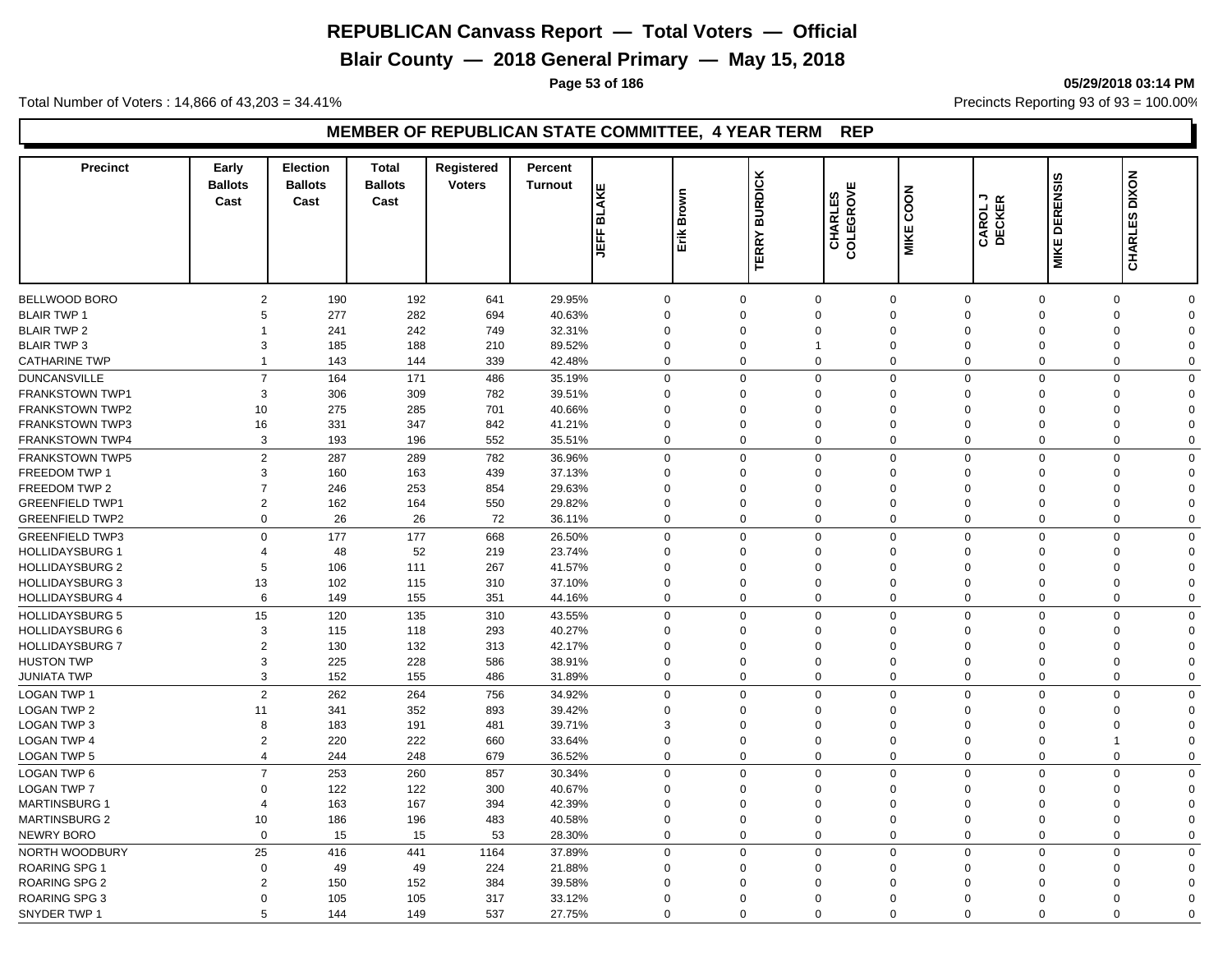**Blair County — 2018 General Primary — May 15, 2018**

**Page 53 of 186 05/29/2018 03:14 PM**

Total Number of Voters : 14,866 of 43,203 = 34.41% **Precincts Reporting 93 of 93** = 100.00%

| <b>Precinct</b>        | Early<br><b>Ballots</b><br>Cast | <b>Election</b><br><b>Ballots</b><br>Cast | <b>Total</b><br><b>Ballots</b><br>Cast | <b>Registered</b><br><b>Voters</b> | Percent<br><b>Turnout</b> | <b>BLAKE</b><br>JEFF | Brown<br>Erik | <b>BURDICK</b><br><b>TERRY</b> | ш<br><b>CHARLES</b><br>COLEGROVE | COON<br>MIKE               | א י⊃<br>CAROL<br>DECKER | <b>DERENSIS</b><br>MIKE | <b>DIXON</b><br>CHARLES    |  |
|------------------------|---------------------------------|-------------------------------------------|----------------------------------------|------------------------------------|---------------------------|----------------------|---------------|--------------------------------|----------------------------------|----------------------------|-------------------------|-------------------------|----------------------------|--|
| <b>BELLWOOD BORO</b>   | $\overline{2}$                  | 190                                       | 192                                    | 641                                | 29.95%                    | $\mathbf 0$          |               | $\Omega$                       | $\mathbf 0$                      | $\mathbf 0$<br>$\Omega$    | $\Omega$                |                         | $\mathbf 0$<br>$\mathbf 0$ |  |
| <b>BLAIR TWP 1</b>     | 5                               | 277                                       | 282                                    | 694                                | 40.63%                    | $\mathbf 0$          |               | $\Omega$                       | $\Omega$                         | $\Omega$<br>$\Omega$       | $\Omega$                |                         | $\mathbf 0$<br>$\Omega$    |  |
| <b>BLAIR TWP 2</b>     | 1                               | 241                                       | 242                                    | 749                                | 32.31%                    | $\mathbf 0$          |               | $\Omega$                       | $\Omega$                         | $\Omega$<br>$\Omega$       | $\Omega$                |                         | $\mathbf 0$<br>$\Omega$    |  |
| <b>BLAIR TWP 3</b>     | 3                               | 185                                       | 188                                    | 210                                | 89.52%                    | $\mathbf 0$          |               | 0<br>$\overline{1}$            |                                  | $\mathbf 0$<br>$\Omega$    | $\mathbf 0$             |                         | 0<br>$\Omega$              |  |
| <b>CATHARINE TWP</b>   | $\mathbf 1$                     | 143                                       | 144                                    | 339                                | 42.48%                    | $\mathbf 0$          |               | $\Omega$                       | 0                                | $\mathbf 0$<br>$\Omega$    | $\Omega$                |                         | $\mathbf 0$<br>$\Omega$    |  |
| <b>DUNCANSVILLE</b>    | $\overline{7}$                  | 164                                       | 171                                    | 486                                | 35.19%                    | $\mathbf 0$          |               | $\Omega$                       | $\mathbf 0$                      | $\mathbf 0$<br>$\Omega$    |                         | $\Omega$                | $\mathbf 0$<br>$\Omega$    |  |
| <b>FRANKSTOWN TWP1</b> | 3                               | 306                                       | 309                                    | 782                                | 39.51%                    | $\mathbf 0$          |               | $\Omega$                       | $\Omega$                         | $\Omega$<br>$\Omega$       | $\Omega$                |                         | $\mathbf 0$<br>$\Omega$    |  |
| <b>FRANKSTOWN TWP2</b> | 10                              | 275                                       | 285                                    | 701                                | 40.66%                    | $\Omega$             |               | $\Omega$                       | $\Omega$                         | $\Omega$<br>$\Omega$       | $\Omega$                |                         | 0<br>$\Omega$              |  |
| <b>FRANKSTOWN TWP3</b> | 16                              | 331                                       | 347                                    | 842                                | 41.21%                    | $\Omega$             |               | $\Omega$                       | $\Omega$                         | $\Omega$<br>$\Omega$       | $\Omega$                |                         | $\mathbf 0$<br>$\Omega$    |  |
| <b>FRANKSTOWN TWP4</b> | 3                               | 193                                       | 196                                    | 552                                | 35.51%                    | $\mathbf 0$          |               | $\Omega$                       | 0                                | $\mathbf 0$<br>$\mathbf 0$ | $\mathbf 0$             |                         | $\mathbf 0$<br>$\mathbf 0$ |  |
|                        |                                 |                                           |                                        |                                    |                           |                      |               | $\Omega$                       |                                  |                            |                         |                         | $\Omega$                   |  |
| <b>FRANKSTOWN TWP5</b> | $\overline{2}$                  | 287                                       | 289                                    | 782                                | 36.96%                    | $\mathbf 0$          |               |                                | $\mathbf 0$                      | $\mathbf 0$<br>$\mathbf 0$ | $\Omega$                |                         | $\mathbf 0$                |  |
| <b>FREEDOM TWP 1</b>   | 3                               | 160                                       | 163                                    | 439                                | 37.13%                    | $\mathbf 0$          |               | $\Omega$                       | $\Omega$                         | $\Omega$<br>$\Omega$       | $\Omega$                |                         | $\mathbf 0$<br>$\Omega$    |  |
| FREEDOM TWP 2          | $\overline{7}$                  | 246                                       | 253                                    | 854                                | 29.63%                    | $\mathbf 0$          |               | $\Omega$                       | $\mathbf 0$                      | $\mathbf 0$<br>$\Omega$    | $\Omega$                |                         | $\mathbf 0$<br>$\Omega$    |  |
| <b>GREENFIELD TWP1</b> | $\overline{2}$                  | 162                                       | 164                                    | 550                                | 29.82%                    | $\mathbf 0$          |               | $\Omega$                       | $\Omega$                         | $\Omega$<br>$\Omega$       | $\Omega$                |                         | $\mathbf 0$<br>$\Omega$    |  |
| <b>GREENFIELD TWP2</b> | 0                               | 26                                        | 26                                     | 72                                 | 36.11%                    | $\mathbf 0$          |               | $\Omega$                       | $\mathbf 0$                      | $\mathbf 0$<br>$\mathbf 0$ | $\mathbf 0$             |                         | $\mathbf 0$<br>$\Omega$    |  |
| <b>GREENFIELD TWP3</b> | $\Omega$                        | 177                                       | 177                                    | 668                                | 26.50%                    | $\mathbf 0$          |               | $\Omega$                       | $\mathbf 0$                      | $\mathbf 0$<br>$\mathbf 0$ | $\Omega$                |                         | $\mathbf 0$<br>$\Omega$    |  |
| <b>HOLLIDAYSBURG 1</b> | $\overline{4}$                  | 48                                        | 52                                     | 219                                | 23.74%                    | $\mathbf 0$          |               | $\Omega$                       | 0                                | $\mathbf 0$<br>$\Omega$    | $\Omega$                |                         | 0<br>$\Omega$              |  |
| <b>HOLLIDAYSBURG 2</b> | 5                               | 106                                       | 111                                    | 267                                | 41.57%                    | $\mathbf 0$          |               | $\Omega$                       | $\Omega$                         | $\Omega$<br>$\Omega$       | $\Omega$                |                         | 0<br>$\Omega$              |  |
| <b>HOLLIDAYSBURG 3</b> | 13                              | 102                                       | 115                                    | 310                                | 37.10%                    | $\mathsf 0$          |               | $\Omega$                       | $\Omega$                         | $\Omega$<br>$\Omega$       | $\Omega$                |                         | $\mathbf 0$<br>$\Omega$    |  |
| <b>HOLLIDAYSBURG 4</b> | 6                               | 149                                       | 155                                    | 351                                | 44.16%                    | $\mathbf 0$          |               | $\mathbf 0$                    | 0                                | $\mathbf 0$<br>$\mathbf 0$ | $\mathbf 0$             |                         | $\mathbf 0$<br>$\mathbf 0$ |  |
| <b>HOLLIDAYSBURG 5</b> | 15                              | 120                                       | 135                                    | 310                                | 43.55%                    | $\mathbf 0$          |               | $\Omega$                       | $\mathbf 0$                      | $\mathbf 0$<br>$\Omega$    | $\Omega$                |                         | $\mathbf 0$<br>$\mathbf 0$ |  |
| <b>HOLLIDAYSBURG 6</b> | 3                               | 115                                       | 118                                    | 293                                | 40.27%                    | $\mathbf 0$          |               | $\Omega$                       | $\mathbf 0$                      | $\Omega$<br>$\Omega$       | $\Omega$                |                         | 0<br>$\Omega$              |  |
| <b>HOLLIDAYSBURG 7</b> | $\overline{2}$                  | 130                                       | 132                                    | 313                                | 42.17%                    | $\mathbf 0$          |               | $\Omega$                       | $\Omega$                         | $\Omega$<br>$\Omega$       | $\Omega$                |                         | $\mathbf 0$<br>$\Omega$    |  |
| <b>HUSTON TWP</b>      | 3                               | 225                                       | 228                                    | 586                                | 38.91%                    | $\mathbf 0$          |               | $\Omega$                       | $\mathbf 0$                      | $\Omega$<br>$\Omega$       | $\Omega$                |                         | $\mathbf 0$<br>$\Omega$    |  |
| <b>JUNIATA TWP</b>     | 3                               | 152                                       | 155                                    | 486                                | 31.89%                    | $\mathbf 0$          |               | $\Omega$                       | $\mathbf 0$                      | $\mathbf 0$<br>$\Omega$    | $\Omega$                |                         | $\mathbf 0$<br>$\Omega$    |  |
| <b>LOGAN TWP 1</b>     | $\overline{2}$                  | 262                                       | 264                                    | 756                                | 34.92%                    | $\mathbf 0$          |               | $\Omega$                       | $\mathbf 0$                      | $\mathbf 0$<br>$\Omega$    | $\Omega$                |                         | $\mathbf 0$<br>$\Omega$    |  |
| <b>LOGAN TWP 2</b>     | 11                              | 341                                       | 352                                    | 893                                | 39.42%                    | $\mathbf 0$          |               | $\Omega$                       | $\mathbf 0$                      | $\mathbf 0$<br>$\Omega$    | $\Omega$                |                         | $\mathbf 0$<br>$\Omega$    |  |
| LOGAN TWP 3            | 8                               | 183                                       | 191                                    | 481                                | 39.71%                    | 3                    |               | $\Omega$                       | $\Omega$                         | $\Omega$<br>$\Omega$       | $\Omega$                |                         | $\mathbf 0$<br>$\Omega$    |  |
| <b>LOGAN TWP 4</b>     | $\overline{2}$                  | 220                                       | 222                                    | 660                                | 33.64%                    | $\mathbf 0$          |               | $\Omega$                       | 0                                | $\Omega$<br>$\Omega$       | $\Omega$                |                         | $\mathbf 1$<br>$\Omega$    |  |
| LOGAN TWP 5            | 4                               | 244                                       | 248                                    | 679                                | 36.52%                    | $\mathbf 0$          |               | $\Omega$                       | 0                                | $\mathbf 0$<br>$\Omega$    | $\Omega$                |                         | $\mathbf 0$<br>$\Omega$    |  |
| LOGAN TWP 6            | $\overline{7}$                  | 253                                       | 260                                    | 857                                | 30.34%                    | $\mathbf 0$          |               | $\Omega$                       | $\mathbf 0$                      | $\mathbf 0$<br>$\mathbf 0$ | $\Omega$                |                         | $\mathbf 0$<br>$\Omega$    |  |
| <b>LOGAN TWP 7</b>     | $\Omega$                        | 122                                       | 122                                    | 300                                | 40.67%                    | $\mathbf 0$          |               | $\Omega$                       | $\Omega$                         | $\Omega$<br>$\Omega$       | $\Omega$                |                         | 0<br>$\Omega$              |  |
| <b>MARTINSBURG 1</b>   | $\overline{4}$                  | 163                                       | 167                                    | 394                                | 42.39%                    | $\mathbf 0$          |               | $\mathbf 0$                    | $\mathbf 0$                      | $\mathbf 0$<br>$\mathbf 0$ | $\Omega$                |                         | $\mathbf 0$<br>$\Omega$    |  |
| <b>MARTINSBURG 2</b>   | 10                              | 186                                       | 196                                    | 483                                | 40.58%                    | $\mathbf 0$          |               | $\Omega$                       | 0                                | $\mathbf 0$<br>$\Omega$    | $\Omega$                |                         | 0<br>$\Omega$              |  |
| <b>NEWRY BORO</b>      | $\mathbf 0$                     | 15                                        | 15                                     | 53                                 | 28.30%                    | $\mathbf 0$          |               | $\Omega$                       | $\mathbf 0$                      | $\mathbf 0$<br>$\mathbf 0$ |                         | $\mathbf 0$             | $\mathbf 0$<br>$\Omega$    |  |
| NORTH WOODBURY         | 25                              | 416                                       | 441                                    | 1164                               | 37.89%                    | $\mathbf 0$          |               | $\Omega$                       | $\mathbf 0$                      | $\mathbf 0$<br>$\mathbf 0$ | $\mathbf 0$             |                         | $\mathbf 0$<br>$\mathbf 0$ |  |
| <b>ROARING SPG 1</b>   | $\Omega$                        | 49                                        | 49                                     | 224                                | 21.88%                    | $\mathbf 0$          |               | $\Omega$                       | $\Omega$                         | $\Omega$<br>$\Omega$       | $\Omega$                |                         | $\mathbf 0$<br>$\Omega$    |  |
| <b>ROARING SPG 2</b>   | $\overline{2}$                  | 150                                       | 152                                    | 384                                | 39.58%                    | $\mathbf 0$          |               | $\Omega$                       | $\mathbf 0$                      | $\Omega$<br>$\Omega$       | 0                       |                         | 0<br>$\Omega$              |  |
| ROARING SPG 3          | $\Omega$                        | 105                                       | 105                                    | 317                                | 33.12%                    | $\Omega$             |               | $\Omega$                       | $\Omega$                         | $\Omega$<br>$\Omega$       | $\Omega$                |                         | $\mathbf 0$<br>$\Omega$    |  |
| SNYDER TWP 1           | 5                               | 144                                       | 149                                    | 537                                | 27.75%                    | $\Omega$             |               | $\Omega$                       | $\Omega$                         | $\Omega$<br>$\Omega$       | $\Omega$                |                         | $\Omega$<br>$\Omega$       |  |
|                        |                                 |                                           |                                        |                                    |                           |                      |               |                                |                                  |                            |                         |                         |                            |  |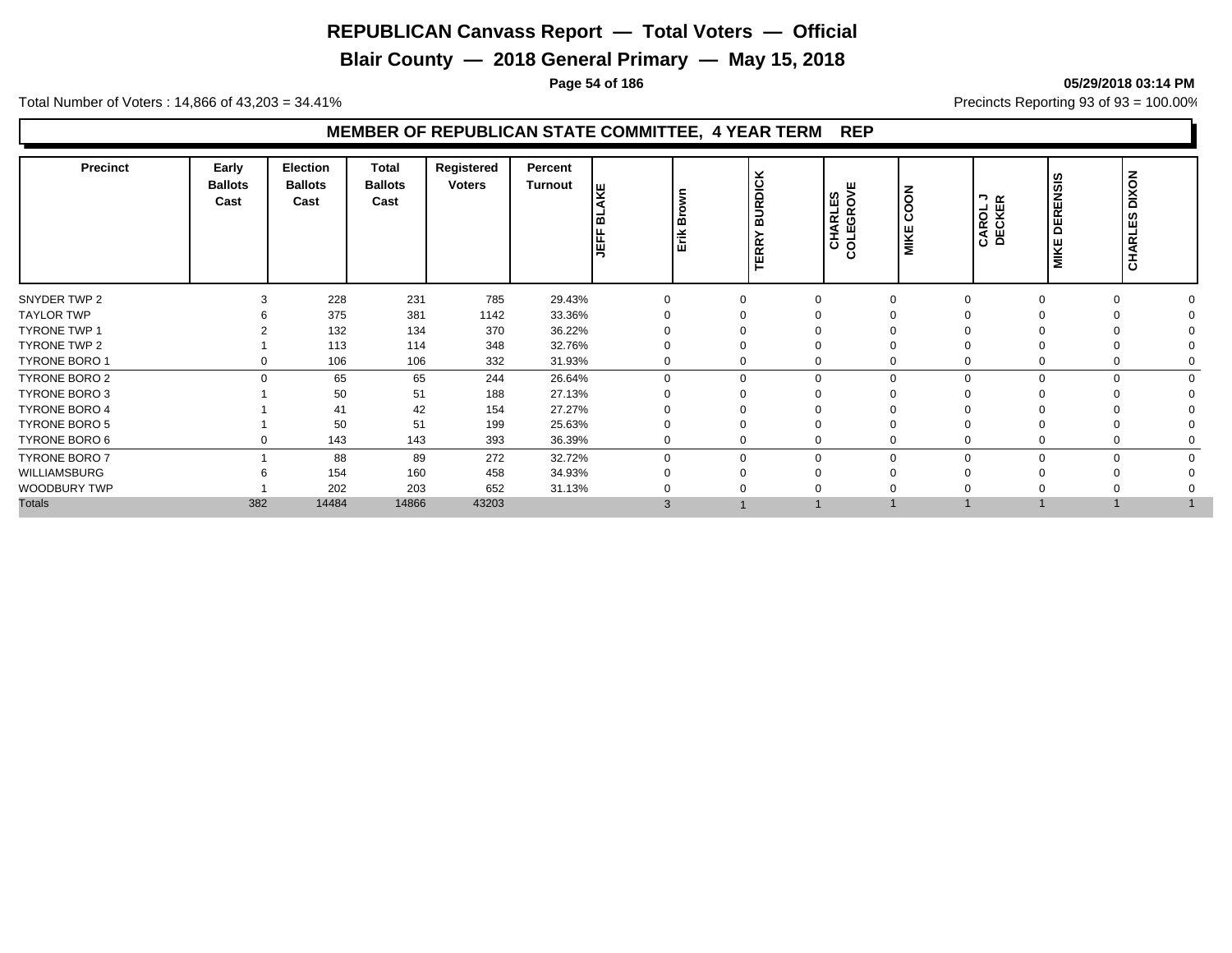**Blair County — 2018 General Primary — May 15, 2018**

**Page 54 of 186 05/29/2018 03:14 PM**

Total Number of Voters : 14,866 of 43,203 = 34.41% **Precincts Reporting 93 of 93** = 100.00%

| <b>Precinct</b>      | Early<br><b>Ballots</b><br>Cast | <b>Election</b><br><b>Ballots</b><br>Cast | <b>Total</b><br><b>Ballots</b><br>Cast | Registered<br><b>Voters</b> | Percent<br><b>Turnout</b> | řΞ<br>≃<br>JEF | Erik Brown | <b>BURDICK</b><br>$\alpha$<br>$\overline{\alpha}$<br>ш | ш<br>CHARLES<br>COLEGROVE | COON<br>MIKE | CAROL J<br>DECKER | SIS<br><b>DEREN</b><br><b>MIKE</b> | <b>DIXON</b><br>ဖာ<br>CHARLE |  |
|----------------------|---------------------------------|-------------------------------------------|----------------------------------------|-----------------------------|---------------------------|----------------|------------|--------------------------------------------------------|---------------------------|--------------|-------------------|------------------------------------|------------------------------|--|
| SNYDER TWP 2         |                                 | 228                                       | 231                                    | 785                         | 29.43%                    | $\Omega$       |            |                                                        | $\Omega$                  |              |                   | $\Omega$                           |                              |  |
| <b>TAYLOR TWP</b>    |                                 | 375                                       | 381                                    | 1142                        | 33.36%                    |                |            |                                                        |                           |              |                   |                                    |                              |  |
| <b>TYRONE TWP 1</b>  |                                 | 132                                       | 134                                    | 370                         | 36.22%                    |                |            |                                                        |                           |              |                   |                                    |                              |  |
| TYRONE TWP 2         |                                 | 113                                       | 114                                    | 348                         | 32.76%                    |                |            |                                                        |                           |              |                   |                                    |                              |  |
| TYRONE BORO 1        | 0                               | 106                                       | 106                                    | 332                         | 31.93%                    | $\mathbf 0$    |            |                                                        | 0                         |              |                   | 0                                  |                              |  |
| TYRONE BORO 2        | $\Omega$                        | 65                                        | 65                                     | 244                         | 26.64%                    | $\mathbf 0$    |            | $\Omega$                                               | $\mathbf 0$               | $\Omega$     |                   | 0<br>$\Omega$                      |                              |  |
| <b>TYRONE BORO 3</b> |                                 | 50                                        | 51                                     | 188                         | 27.13%                    | $\Omega$       |            |                                                        | $\Omega$                  |              |                   |                                    |                              |  |
| <b>TYRONE BORO 4</b> |                                 | 41                                        | 42                                     | 154                         | 27.27%                    |                |            |                                                        |                           |              |                   |                                    |                              |  |
| <b>TYRONE BORO 5</b> |                                 | 50                                        | 51                                     | 199                         | 25.63%                    | $\Omega$       |            |                                                        |                           |              |                   |                                    |                              |  |
| TYRONE BORO 6        | 0                               | 143                                       | 143                                    | 393                         | 36.39%                    | $\mathbf 0$    |            | 0                                                      | 0                         |              |                   | $\Omega$                           |                              |  |
| <b>TYRONE BORO 7</b> |                                 | 88                                        | 89                                     | 272                         | 32.72%                    | $\Omega$       |            | $\Omega$                                               | $\mathbf 0$               | $\Omega$     | O                 | $\Omega$                           |                              |  |
| WILLIAMSBURG         |                                 | 154                                       | 160                                    | 458                         | 34.93%                    | $\Omega$       |            |                                                        | ∩                         |              |                   |                                    |                              |  |
| WOODBURY TWP         |                                 | 202                                       | 203                                    | 652                         | 31.13%                    |                |            |                                                        |                           |              |                   |                                    |                              |  |
| <b>Totals</b>        | 382                             | 14484                                     | 14866                                  | 43203                       |                           | 3              |            |                                                        |                           |              |                   |                                    |                              |  |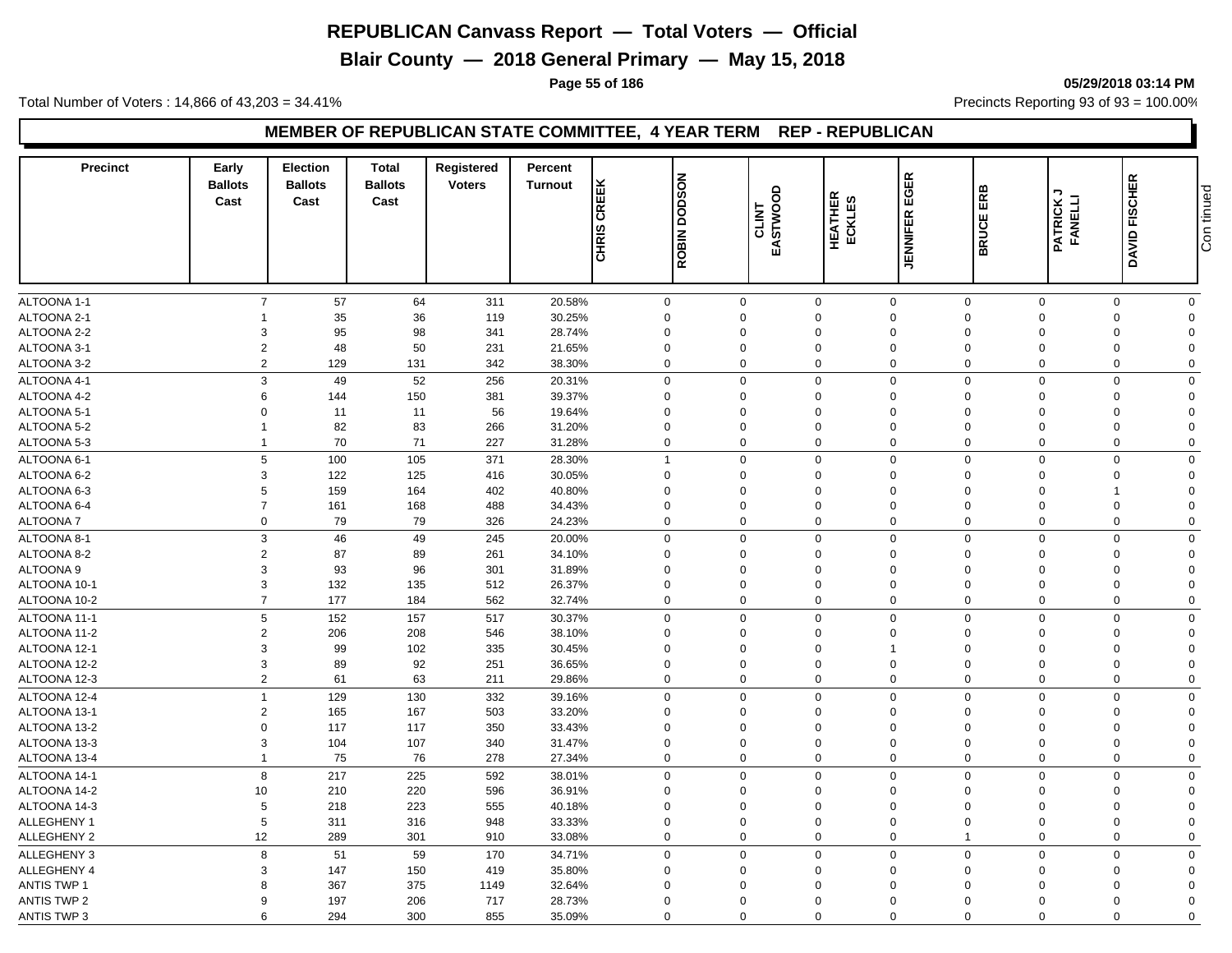**Blair County — 2018 General Primary — May 15, 2018**

**Page 55 of 186 05/29/2018 03:14 PM**

Total Number of Voters : 14,866 of 43,203 = 34.41% **Precincts Reporting 93 of 93** = 100.00%

#### **MEMBER OF REPUBLICAN STATE COMMITTEE, 4 YEAR TERM REP - REPUBLICAN**

| <b>Precinct</b>    | Early<br><b>Ballots</b><br>Cast | <b>Election</b><br><b>Ballots</b><br>Cast | <b>Total</b><br><b>Ballots</b><br>Cast | Registered<br><b>Voters</b> | Percent<br><b>Turnout</b> | <b>CHRIS CREEK</b> | <b>DODSON</b>  | $\delta$<br>EASTWOO | HEATHER<br>ECKLES | EGER           | ERB           | <b>PATRICK J<br/>FANELLI</b> | <b>FISCHER</b>             | Con tinued |
|--------------------|---------------------------------|-------------------------------------------|----------------------------------------|-----------------------------|---------------------------|--------------------|----------------|---------------------|-------------------|----------------|---------------|------------------------------|----------------------------|------------|
|                    |                                 |                                           |                                        |                             |                           |                    | <b>ROBIN</b>   |                     |                   | JENNIFER       | <b>BRUCEI</b> |                              | DAVID I                    |            |
| ALTOONA 1-1        | $\overline{7}$                  | 57                                        | 64                                     | 311                         | 20.58%                    |                    | $\mathbf 0$    | $\mathbf 0$         | $\mathsf 0$       | $\mathbf 0$    | $\mathbf 0$   | $\mathbf 0$                  | $\mathbf 0$<br>$\mathbf 0$ |            |
| ALTOONA 2-1        | 1                               | 35                                        | 36                                     | 119                         | 30.25%                    |                    | $\mathbf 0$    | $\mathbf 0$         | $\mathbf 0$       | $\mathbf 0$    | $\mathbf 0$   | $\mathbf 0$                  | $\mathbf 0$<br>$\Omega$    |            |
| ALTOONA 2-2        | 3                               | 95                                        | 98                                     | 341                         | 28.74%                    |                    | $\mathbf 0$    | $\Omega$            | $\Omega$          | $\Omega$       | $\Omega$      | $\Omega$                     | 0<br>$\Omega$              |            |
| ALTOONA 3-1        | $\overline{2}$                  | 48                                        | 50                                     | 231                         | 21.65%                    |                    | $\mathbf 0$    | 0                   | $\mathbf 0$       | $\mathbf 0$    | $\mathbf 0$   | $\mathbf 0$                  | 0<br>$\Omega$              |            |
| ALTOONA 3-2        | $\overline{2}$                  | 129                                       | 131                                    | 342                         | 38.30%                    |                    | $\mathbf 0$    | $\Omega$            | $\mathbf 0$       | $\mathbf 0$    | $\Omega$      | $\Omega$                     | $\mathbf 0$<br>$\Omega$    |            |
| ALTOONA 4-1        | 3                               | 49                                        | 52                                     | 256                         | 20.31%                    |                    | $\mathbf 0$    | $\Omega$            | $\mathbf 0$       | $\mathsf 0$    | $\Omega$      | $\Omega$                     | $\mathbf 0$<br>$\Omega$    |            |
| ALTOONA 4-2        | 6                               | 144                                       | 150                                    | 381                         | 39.37%                    |                    | $\mathbf 0$    | $\Omega$            | $\Omega$          | $\Omega$       | $\Omega$      | $\Omega$                     | $\mathbf 0$<br>$\Omega$    |            |
| ALTOONA 5-1        | $\Omega$                        | 11                                        | 11                                     | 56                          | 19.64%                    |                    | $\mathbf 0$    | $\Omega$            | $\mathbf 0$       | $\Omega$       | $\Omega$      | $\Omega$                     | $\mathbf 0$<br>$\Omega$    |            |
| ALTOONA 5-2        | $\mathbf 1$                     | 82                                        | 83                                     | 266                         | 31.20%                    |                    | $\mathbf 0$    | $\Omega$            | $\Omega$          | $\Omega$       | $\Omega$      | $\Omega$                     | $\Omega$<br>$\Omega$       |            |
| ALTOONA 5-3        | $\mathbf{1}$                    | 70                                        | 71                                     | 227                         | 31.28%                    |                    | $\mathbf 0$    | $\Omega$            | $\mathbf 0$       | $\mathbf 0$    | $\Omega$      | $\Omega$                     | $\mathbf 0$<br>$\Omega$    |            |
| ALTOONA 6-1        | 5                               | 100                                       | 105                                    | 371                         | 28.30%                    |                    | $\overline{1}$ | $\Omega$            | $\mathbf 0$       | $\mathsf 0$    | $\mathbf 0$   | $\Omega$                     | $\mathbf 0$<br>$\Omega$    |            |
| ALTOONA 6-2        | 3                               | 122                                       | 125                                    | 416                         | 30.05%                    |                    | $\mathbf 0$    | $\mathbf 0$         | $\mathbf 0$       | $\mathbf 0$    | $\mathbf 0$   | $\mathbf 0$                  | $\mathbf 0$<br>$\Omega$    |            |
| ALTOONA 6-3        | 5                               | 159                                       | 164                                    | 402                         | 40.80%                    |                    | $\mathbf 0$    | $\Omega$            | $\mathbf 0$       | $\Omega$       | $\Omega$      | $\Omega$                     | $\Omega$<br>$\overline{1}$ |            |
| ALTOONA 6-4        | $\overline{7}$                  | 161                                       | 168                                    | 488                         | 34.43%                    |                    | $\mathbf 0$    | $\Omega$            | $\mathbf 0$       | $\Omega$       | $\Omega$      | $\mathbf 0$                  | $\mathbf 0$<br>$\Omega$    |            |
| <b>ALTOONA7</b>    | 0                               | 79                                        | 79                                     | 326                         | 24.23%                    |                    | $\mathbf 0$    | $\Omega$            | 0                 | $\mathbf 0$    | $\mathbf 0$   | $\mathbf 0$                  | $\mathbf 0$<br>$\Omega$    |            |
| ALTOONA 8-1        | 3                               | 46                                        | 49                                     | 245                         | 20.00%                    |                    | $\mathbf 0$    | $\mathbf 0$         | $\mathbf 0$       | $\mathbf 0$    | $\Omega$      | $\mathbf 0$                  | $\mathbf 0$<br>$\Omega$    |            |
| ALTOONA 8-2        | $\overline{2}$                  | 87                                        | 89                                     | 261                         | 34.10%                    |                    | $\mathsf 0$    | $\Omega$            | $\Omega$          | $\mathbf 0$    | $\Omega$      | $\Omega$                     | 0<br>$\Omega$              |            |
| ALTOONA 9          | 3                               | 93                                        | 96                                     | 301                         | 31.89%                    |                    | $\mathbf 0$    | $\Omega$            | $\Omega$          | $\Omega$       | $\Omega$      | $\Omega$                     | $\mathbf 0$<br>$\Omega$    |            |
| ALTOONA 10-1       | 3                               | 132                                       | 135                                    | 512                         | 26.37%                    |                    | $\mathbf 0$    | $\mathbf 0$         | $\mathbf 0$       | $\mathbf 0$    | $\mathbf 0$   | $\mathbf 0$                  | $\mathbf 0$<br>$\Omega$    |            |
| ALTOONA 10-2       | $\overline{7}$                  | 177                                       | 184                                    | 562                         | 32.74%                    |                    | $\mathbf 0$    | $\Omega$            | $\mathbf 0$       | $\mathbf 0$    | $\mathbf 0$   | $\Omega$                     | $\mathbf 0$<br>$\Omega$    |            |
| ALTOONA 11-1       | 5                               | 152                                       | 157                                    | 517                         | 30.37%                    |                    | $\mathbf 0$    | $\Omega$            | 0                 | $\mathbf 0$    | $\Omega$      | $\Omega$                     | 0<br>$\mathbf 0$           |            |
| ALTOONA 11-2       | $\overline{2}$                  | 206                                       | 208                                    | 546                         | 38.10%                    |                    | $\mathbf 0$    | 0                   | $\mathbf 0$       | $\mathbf 0$    | $\Omega$      | $\Omega$                     | $\mathbf 0$<br>$\Omega$    |            |
| ALTOONA 12-1       | 3                               | 99                                        | 102                                    | 335                         | 30.45%                    |                    | $\mathsf 0$    | $\mathbf 0$         | $\mathbf 0$       | $\overline{1}$ | $\mathbf 0$   | $\mathbf 0$                  | 0<br>$\Omega$              |            |
| ALTOONA 12-2       | 3                               | 89                                        | 92                                     | 251                         | 36.65%                    |                    | $\mathbf 0$    | $\Omega$            | $\mathbf 0$       | $\Omega$       | $\Omega$      | $\mathbf 0$                  | 0<br>$\Omega$              |            |
| ALTOONA 12-3       | $\overline{2}$                  | 61                                        | 63                                     | 211                         | 29.86%                    |                    | $\mathbf 0$    | $\overline{0}$      | $\mathbf 0$       | $\mathbf 0$    | $\Omega$      | $\mathbf 0$                  | $\mathbf 0$<br>$\mathbf 0$ |            |
| ALTOONA 12-4       | $\mathbf{1}$                    | 129                                       | 130                                    | 332                         | 39.16%                    |                    | $\mathbf 0$    | $\Omega$            | $\mathbf 0$       | $\mathbf 0$    | $\Omega$      | $\Omega$                     | $\mathbf 0$<br>$\mathbf 0$ |            |
| ALTOONA 13-1       | $\overline{2}$                  | 165                                       | 167                                    | 503                         | 33.20%                    |                    | $\mathbf 0$    | $\Omega$            | $\mathbf 0$       | $\mathbf 0$    | $\Omega$      | $\Omega$                     | $\mathbf 0$<br>$\Omega$    |            |
| ALTOONA 13-2       | $\Omega$                        | 117                                       | 117                                    | 350                         | 33.43%                    |                    | $\mathbf 0$    | $\Omega$            | $\Omega$          | $\Omega$       | $\Omega$      | $\Omega$                     | $\mathbf 0$<br>$\Omega$    |            |
| ALTOONA 13-3       | 3                               | 104                                       | 107                                    | 340                         | 31.47%                    |                    | $\mathbf 0$    | $\mathbf 0$         | 0                 | $\mathbf 0$    | $\mathbf 0$   | $\mathbf 0$                  | $\mathbf 0$<br>$\Omega$    |            |
| ALTOONA 13-4       | $\mathbf{1}$                    | 75                                        | 76                                     | 278                         | 27.34%                    |                    | $\mathbf 0$    | $\Omega$            | $\mathbf 0$       | $\mathbf 0$    | $\Omega$      | $\Omega$                     | $\mathbf 0$<br>$\mathbf 0$ |            |
| ALTOONA 14-1       | 8                               | 217                                       | 225                                    | 592                         | 38.01%                    |                    | $\mathbf 0$    | $\Omega$            | $\mathbf 0$       | $\mathbf 0$    | $\Omega$      | $\Omega$                     | $\mathbf 0$<br>$\Omega$    |            |
| ALTOONA 14-2       | 10                              | 210                                       | 220                                    | 596                         | 36.91%                    |                    | $\mathbf 0$    | $\Omega$            | $\Omega$          | $\Omega$       | $\Omega$      | $\Omega$                     | 0<br>$\Omega$              |            |
| ALTOONA 14-3       | 5                               | 218                                       | 223                                    | 555                         | 40.18%                    |                    | $\mathbf 0$    | $\Omega$            | $\mathbf 0$       | $\Omega$       | $\Omega$      | $\Omega$                     | $\mathbf 0$<br>$\Omega$    |            |
| ALLEGHENY 1        | 5                               | 311                                       | 316                                    | 948                         | 33.33%                    |                    | $\mathbf 0$    | $\Omega$            | $\Omega$          | $\Omega$       | $\Omega$      | $\Omega$                     | $\mathbf 0$<br>$\Omega$    |            |
| ALLEGHENY 2        | 12                              | 289                                       | 301                                    | 910                         | 33.08%                    |                    | $\mathbf 0$    | $\Omega$            | $\mathbf 0$       | $\mathsf 0$    |               | $\mathbf 0$                  | $\mathbf 0$<br>$\Omega$    |            |
| ALLEGHENY 3        | 8                               | 51                                        | 59                                     | 170                         | 34.71%                    |                    | $\mathbf 0$    | $\Omega$            | $\mathbf 0$       | $\mathbf 0$    | $\mathbf 0$   | $\Omega$                     | $\mathbf 0$<br>$\Omega$    |            |
| ALLEGHENY 4        | 3                               | 147                                       | 150                                    | 419                         | 35.80%                    |                    | $\mathbf 0$    | $\mathbf 0$         | $\mathbf 0$       | $\mathbf 0$    | $\mathbf 0$   | $\mathbf 0$                  | $\mathbf 0$<br>$\Omega$    |            |
| <b>ANTIS TWP 1</b> | 8                               | 367                                       | 375                                    | 1149                        | 32.64%                    |                    | $\mathbf 0$    | $\Omega$            | $\Omega$          | $\Omega$       | $\Omega$      | $\Omega$                     | $\mathbf 0$<br>$\Omega$    |            |
| <b>ANTIS TWP 2</b> | 9                               | 197                                       | 206                                    | 717                         | 28.73%                    |                    | $\mathbf 0$    | $\Omega$            | $\Omega$          | $\Omega$       | $\Omega$      | $\Omega$                     | $\mathbf 0$<br>$\Omega$    |            |
| <b>ANTIS TWP 3</b> | 6                               | 294                                       | 300                                    | 855                         | 35.09%                    |                    | $\Omega$       | $\Omega$            | $\mathbf 0$       | $\mathbf 0$    | $\Omega$      | $\Omega$                     | $\mathbf 0$<br>$\mathbf 0$ |            |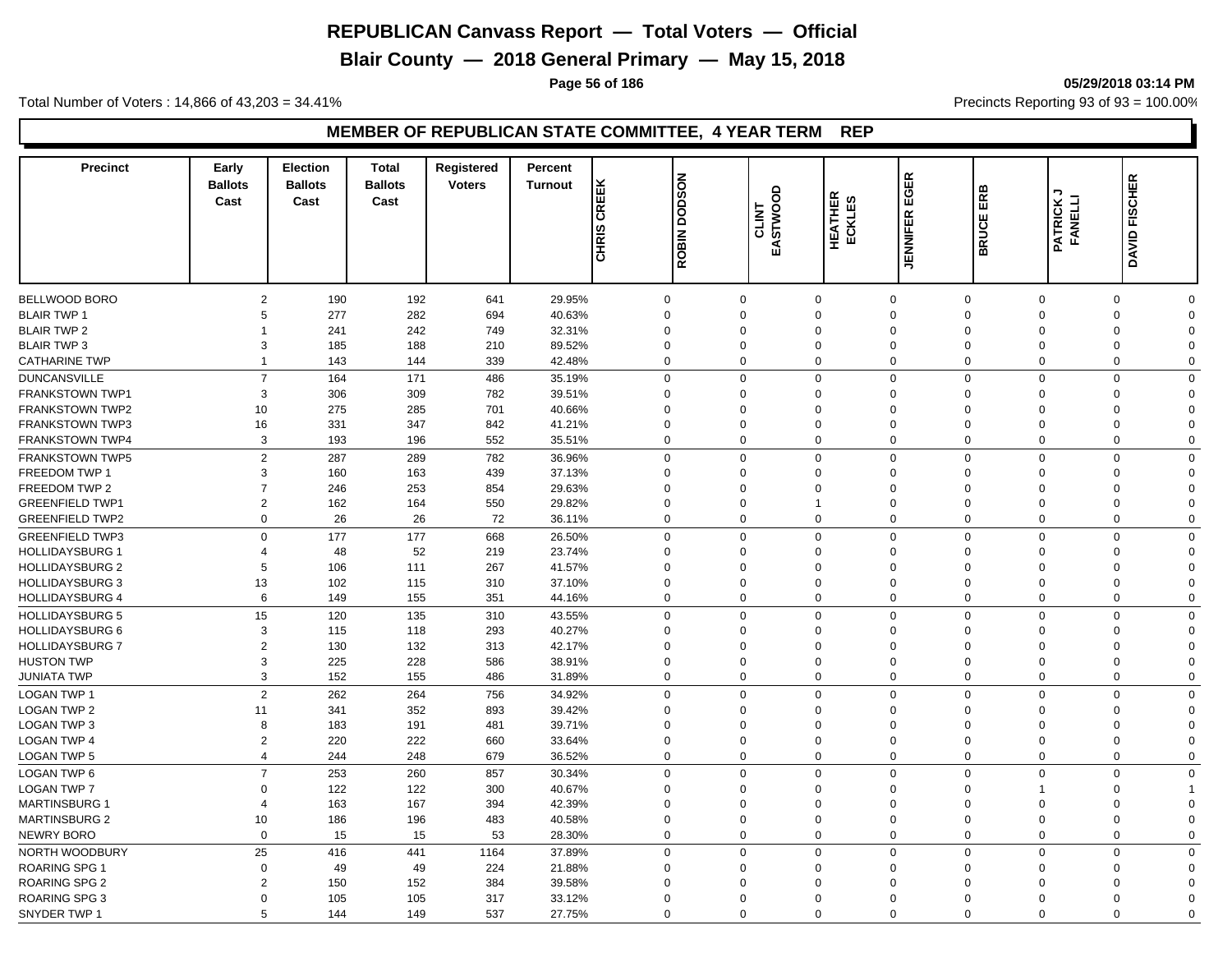**Blair County — 2018 General Primary — May 15, 2018**

**Page 56 of 186 05/29/2018 03:14 PM**

Total Number of Voters : 14,866 of 43,203 = 34.41% **Precincts Reporting 93 of 93** = 100.00%

| <b>Precinct</b>        | Early<br><b>Ballots</b><br>Cast | <b>Election</b><br><b>Ballots</b><br>Cast | <b>Total</b><br><b>Ballots</b><br>Cast | Registered<br><b>Voters</b> | Percent<br><b>Turnout</b> | <b>CREEK</b><br><b>CHRIS</b> | <b>NOSOO</b><br>ROBIN <sup>1</sup> | 9<br><b>CLINT<br/>EASTWOO</b> | <b>HEATHER</b><br>ഗ<br>ECKLES | EGER<br><b>JENNIFER</b> | ERB<br><b>BRUCE</b>           | ¬<br><b>PATRICK J<br/>FANELLI</b> | DAVID FISCHER              |  |
|------------------------|---------------------------------|-------------------------------------------|----------------------------------------|-----------------------------|---------------------------|------------------------------|------------------------------------|-------------------------------|-------------------------------|-------------------------|-------------------------------|-----------------------------------|----------------------------|--|
| BELLWOOD BORO          | $\overline{2}$                  | 190                                       | 192                                    | 641                         | 29.95%                    |                              | $\mathbf 0$                        | $\Omega$                      | $\mathbf 0$                   | $\mathbf 0$             | $\mathbf 0$                   | $\mathbf 0$                       | $\mathbf 0$<br>$\mathbf 0$ |  |
| <b>BLAIR TWP 1</b>     | 5                               | 277                                       | 282                                    | 694                         | 40.63%                    |                              | $\mathbf 0$                        | $\Omega$                      | $\Omega$                      | $\mathbf 0$             | $\Omega$                      | $\Omega$                          | $\mathbf 0$<br>$\Omega$    |  |
| <b>BLAIR TWP 2</b>     | -1                              | 241                                       | 242                                    | 749                         | 32.31%                    |                              | $\mathbf 0$                        | $\Omega$                      | $\Omega$                      | $\mathbf 0$             | $\Omega$                      | $\Omega$                          | $\mathbf 0$<br>$\Omega$    |  |
| <b>BLAIR TWP 3</b>     | 3                               | 185                                       | 188                                    | 210                         | 89.52%                    |                              | $\mathbf 0$                        | $\mathbf 0$                   | $\mathbf 0$                   | $\mathbf 0$             | $\mathbf 0$<br>$\mathbf 0$    |                                   | 0<br>$\Omega$              |  |
| <b>CATHARINE TWP</b>   | 1                               | 143                                       | 144                                    | 339                         | 42.48%                    |                              | $\mathbf 0$                        | $\Omega$                      | $\mathbf 0$                   | $\mathbf 0$             | $\Omega$<br>$\Omega$          |                                   | $\mathbf 0$<br>$\Omega$    |  |
|                        |                                 |                                           |                                        |                             |                           |                              |                                    |                               |                               |                         |                               |                                   |                            |  |
| <b>DUNCANSVILLE</b>    | $\overline{7}$                  | 164                                       | 171                                    | 486                         | 35.19%                    |                              | $\mathbf 0$                        | $\Omega$                      | $\mathbf 0$                   | $\mathbf 0$             | $\mathbf 0$                   | $\mathbf 0$                       | $\mathbf 0$<br>$\Omega$    |  |
| <b>FRANKSTOWN TWP1</b> | 3                               | 306                                       | 309                                    | 782                         | 39.51%                    |                              | $\mathbf 0$                        | $\Omega$                      | $\Omega$                      | $\mathbf 0$             | $\Omega$                      | $\Omega$                          | $\mathbf 0$<br>$\Omega$    |  |
| FRANKSTOWN TWP2        | 10                              | 275                                       | 285                                    | 701                         | 40.66%                    |                              | $\mathbf 0$                        | $\Omega$                      | $\Omega$                      | $\mathbf 0$             | $\Omega$                      | $\Omega$                          | 0<br>$\Omega$              |  |
| <b>FRANKSTOWN TWP3</b> | 16                              | 331                                       | 347                                    | 842                         | 41.21%                    |                              | $\mathbf 0$                        | $\Omega$                      | $\Omega$                      | $\mathbf 0$             | $\Omega$<br>$\Omega$          |                                   | $\Omega$<br>$\Omega$       |  |
| <b>FRANKSTOWN TWP4</b> | 3                               | 193                                       | 196                                    | 552                         | 35.51%                    |                              | $\mathbf 0$                        | $\Omega$                      | $\mathbf 0$                   | $\mathbf 0$             | $\Omega$                      | $\mathbf 0$                       | $\mathbf 0$<br>$\Omega$    |  |
| <b>FRANKSTOWN TWP5</b> | $\overline{2}$                  | 287                                       | 289                                    | 782                         | 36.96%                    |                              | $\mathbf 0$                        | $\Omega$                      | $\mathbf 0$                   | $\mathbf 0$             | $\mathbf 0$                   | $\mathbf 0$                       | $\mathbf 0$<br>$\Omega$    |  |
| <b>FREEDOM TWP 1</b>   | 3                               | 160                                       | 163                                    | 439                         | 37.13%                    |                              | $\mathbf 0$                        | $\Omega$                      | $\Omega$                      | $\mathbf 0$             | $\mathbf 0$<br>$\Omega$       |                                   | $\mathbf 0$<br>$\Omega$    |  |
| FREEDOM TWP 2          | $\overline{7}$                  | 246                                       | 253                                    | 854                         | 29.63%                    |                              | $\mathbf 0$                        | $\mathbf 0$                   | $\mathbf 0$                   | $\mathbf 0$             | $\mathbf 0$<br>$\mathbf 0$    |                                   | $\mathbf 0$<br>$\Omega$    |  |
| <b>GREENFIELD TWP1</b> | $\overline{2}$                  | 162                                       | 164                                    | 550                         | 29.82%                    |                              | $\mathbf 0$                        | $\Omega$                      | $\overline{1}$                | $\mathbf 0$             | $\mathbf 0$<br>$\Omega$       |                                   | 0<br>$\Omega$              |  |
| <b>GREENFIELD TWP2</b> | $\mathbf 0$                     | 26                                        | 26                                     | 72                          | 36.11%                    |                              | $\mathbf 0$                        | $\Omega$                      | $\mathbf 0$                   | $\mathbf 0$             | $\mathbf 0$                   | $\mathbf 0$                       | $\mathbf 0$<br>$\Omega$    |  |
| <b>GREENFIELD TWP3</b> | $\mathbf 0$                     | 177                                       | 177                                    | 668                         | 26.50%                    |                              | $\mathbf 0$                        | $\Omega$                      | $\mathbf 0$                   | $\mathbf 0$             | $\mathbf 0$<br>$\Omega$       |                                   | $\mathbf 0$<br>$\mathbf 0$ |  |
| <b>HOLLIDAYSBURG 1</b> | $\overline{4}$                  | 48                                        | 52                                     | 219                         | 23.74%                    |                              | $\mathbf 0$                        | $\Omega$                      | $\Omega$                      | $\mathbf 0$             | $\Omega$<br>$\Omega$          |                                   | 0<br>$\Omega$              |  |
| <b>HOLLIDAYSBURG 2</b> | 5                               | 106                                       | 111                                    | 267                         | 41.57%                    |                              | $\mathbf 0$                        | $\Omega$                      | $\Omega$                      | $\mathbf 0$             | $\Omega$                      | $\Omega$                          | 0<br>$\Omega$              |  |
| <b>HOLLIDAYSBURG 3</b> | 13                              | 102                                       | 115                                    | 310                         | 37.10%                    |                              | $\mathbf 0$                        | $\Omega$                      | $\Omega$                      | $\mathbf 0$             | $\Omega$<br>$\Omega$          |                                   | $\mathbf 0$<br>$\Omega$    |  |
| <b>HOLLIDAYSBURG 4</b> | 6                               | 149                                       | 155                                    | 351                         | 44.16%                    |                              | $\mathbf 0$                        | $\Omega$                      | $\Omega$                      | $\mathbf 0$             | $\mathbf 0$<br>$\mathbf 0$    |                                   | $\mathbf 0$<br>$\mathbf 0$ |  |
| <b>HOLLIDAYSBURG 5</b> | 15                              | 120                                       | 135                                    | 310                         | 43.55%                    |                              | $\mathbf 0$                        | $\Omega$                      | $\mathbf 0$                   | $\mathbf 0$             | $\mathbf 0$                   | $\mathbf 0$                       | $\mathbf 0$<br>$\Omega$    |  |
| <b>HOLLIDAYSBURG 6</b> | 3                               | 115                                       | 118                                    | 293                         | 40.27%                    |                              | $\mathbf 0$                        | $\mathbf 0$                   | $\mathbf 0$                   | $\mathbf 0$             | $\mathbf 0$                   | $\Omega$                          | 0<br>$\Omega$              |  |
| <b>HOLLIDAYSBURG 7</b> | $\overline{2}$                  | 130                                       | 132                                    | 313                         | 42.17%                    |                              | $\mathbf 0$                        | $\Omega$                      | $\Omega$                      | $\mathbf 0$             | $\Omega$                      | $\Omega$                          | $\mathbf 0$<br>$\Omega$    |  |
| <b>HUSTON TWP</b>      | 3                               | 225                                       | 228                                    | 586                         | 38.91%                    |                              | $\mathbf 0$                        | $\Omega$                      | $\mathbf 0$                   | $\mathbf 0$             | $\mathbf 0$<br>$\overline{0}$ |                                   | $\mathbf 0$<br>$\Omega$    |  |
| JUNIATA TWP            | 3                               | 152                                       | 155                                    | 486                         | 31.89%                    |                              | $\mathbf 0$                        | $\Omega$                      | $\mathbf 0$                   | $\mathbf 0$             | $\Omega$                      | $\mathbf 0$                       | $\mathbf 0$<br>$\Omega$    |  |
| <b>LOGAN TWP 1</b>     | $\overline{2}$                  | 262                                       | 264                                    | 756                         | 34.92%                    |                              | $\mathbf 0$                        | $\Omega$                      | $\mathbf 0$                   | $\mathbf 0$             | $\mathbf 0$                   | $\mathbf 0$                       | $\mathbf 0$<br>$\Omega$    |  |
| <b>LOGAN TWP 2</b>     | 11                              | 341                                       | 352                                    | 893                         | 39.42%                    |                              | $\mathbf 0$                        | $\Omega$                      | $\mathbf 0$                   | $\mathbf 0$             | $\Omega$                      | $\Omega$                          | 0<br>$\Omega$              |  |
| LOGAN TWP 3            | 8                               | 183                                       | 191                                    | 481                         | 39.71%                    |                              | $\mathbf 0$                        | $\Omega$                      | $\Omega$                      | $\mathbf 0$             | $\Omega$                      | $\Omega$                          | $\mathbf 0$<br>$\Omega$    |  |
| <b>LOGAN TWP 4</b>     | $\overline{2}$                  | 220                                       | 222                                    | 660                         | 33.64%                    |                              | $\mathbf 0$                        | $\Omega$                      | 0                             | $\mathbf 0$             | $\Omega$<br>$\mathbf 0$       |                                   | $\mathbf 0$<br>$\Omega$    |  |
| <b>LOGAN TWP 5</b>     | $\overline{4}$                  | 244                                       | 248                                    | 679                         | 36.52%                    |                              | $\mathbf 0$                        | $\Omega$                      | 0                             | $\mathbf 0$             | $\Omega$                      | $\mathbf 0$                       | $\mathbf 0$<br>$\Omega$    |  |
|                        |                                 |                                           |                                        |                             |                           |                              |                                    |                               |                               |                         |                               |                                   |                            |  |
| <b>LOGAN TWP 6</b>     | $\overline{7}$                  | 253                                       | 260                                    | 857                         | 30.34%                    |                              | $\mathbf 0$                        | $\Omega$                      | $\mathbf 0$                   | $\mathbf 0$             | $\Omega$                      | $\mathbf 0$                       | $\mathbf 0$<br>$\Omega$    |  |
| <b>LOGAN TWP 7</b>     | $\Omega$                        | 122                                       | 122                                    | 300                         | 40.67%                    |                              | $\mathbf 0$                        | $\Omega$                      | $\Omega$                      | $\mathbf 0$             | $\Omega$<br>-1                |                                   | 0                          |  |
| <b>MARTINSBURG 1</b>   | $\overline{4}$                  | 163                                       | 167                                    | 394                         | 42.39%                    |                              | $\mathbf 0$                        | $\mathbf 0$                   | $\mathbf 0$                   | $\mathbf 0$             | $\overline{0}$<br>$\mathbf 0$ |                                   | $\mathbf 0$<br>$\Omega$    |  |
| <b>MARTINSBURG 2</b>   | 10                              | 186                                       | 196                                    | 483                         | 40.58%                    |                              | $\mathbf 0$                        | $\Omega$                      | 0                             | $\mathbf 0$             | $\mathbf 0$                   | $\mathbf 0$                       | 0<br>$\Omega$              |  |
| <b>NEWRY BORO</b>      | $\mathbf 0$                     | 15                                        | 15                                     | 53                          | 28.30%                    |                              | $\mathbf 0$                        | $\Omega$                      | $\mathbf 0$                   | $\mathbf 0$             | $\mathbf 0$                   | $\mathbf 0$                       | $\mathbf 0$<br>$\Omega$    |  |
| NORTH WOODBURY         | 25                              | 416                                       | 441                                    | 1164                        | 37.89%                    |                              | $\mathbf 0$                        | $\Omega$                      | $\mathbf 0$                   | $\mathbf 0$             | $\overline{0}$<br>$\mathbf 0$ |                                   | $\mathbf 0$<br>$\mathbf 0$ |  |
| <b>ROARING SPG 1</b>   | $\overline{0}$                  | 49                                        | 49                                     | 224                         | 21.88%                    |                              | $\mathbf 0$                        | $\Omega$                      | $\Omega$                      | $\mathbf{0}$            | $\Omega$<br>$\Omega$          |                                   | 0<br>$\Omega$              |  |
| <b>ROARING SPG 2</b>   | $\overline{2}$                  | 150                                       | 152                                    | 384                         | 39.58%                    |                              | $\mathbf 0$                        | $\Omega$                      | $\Omega$                      | $\mathbf 0$             | $\Omega$                      | $\Omega$                          | 0<br>$\Omega$              |  |
| ROARING SPG 3          | $\Omega$                        | 105                                       | 105                                    | 317                         | 33.12%                    |                              | $\mathbf 0$                        | $\Omega$                      | $\Omega$                      | $\Omega$                | $\Omega$                      | $\Omega$                          | $\mathbf 0$<br>$\Omega$    |  |
| SNYDER TWP 1           | 5                               | 144                                       | 149                                    | 537                         | 27.75%                    |                              | $\Omega$                           | $\Omega$                      | $\Omega$                      | $\Omega$                | $\Omega$<br>$\Omega$          |                                   | $\Omega$<br>$\Omega$       |  |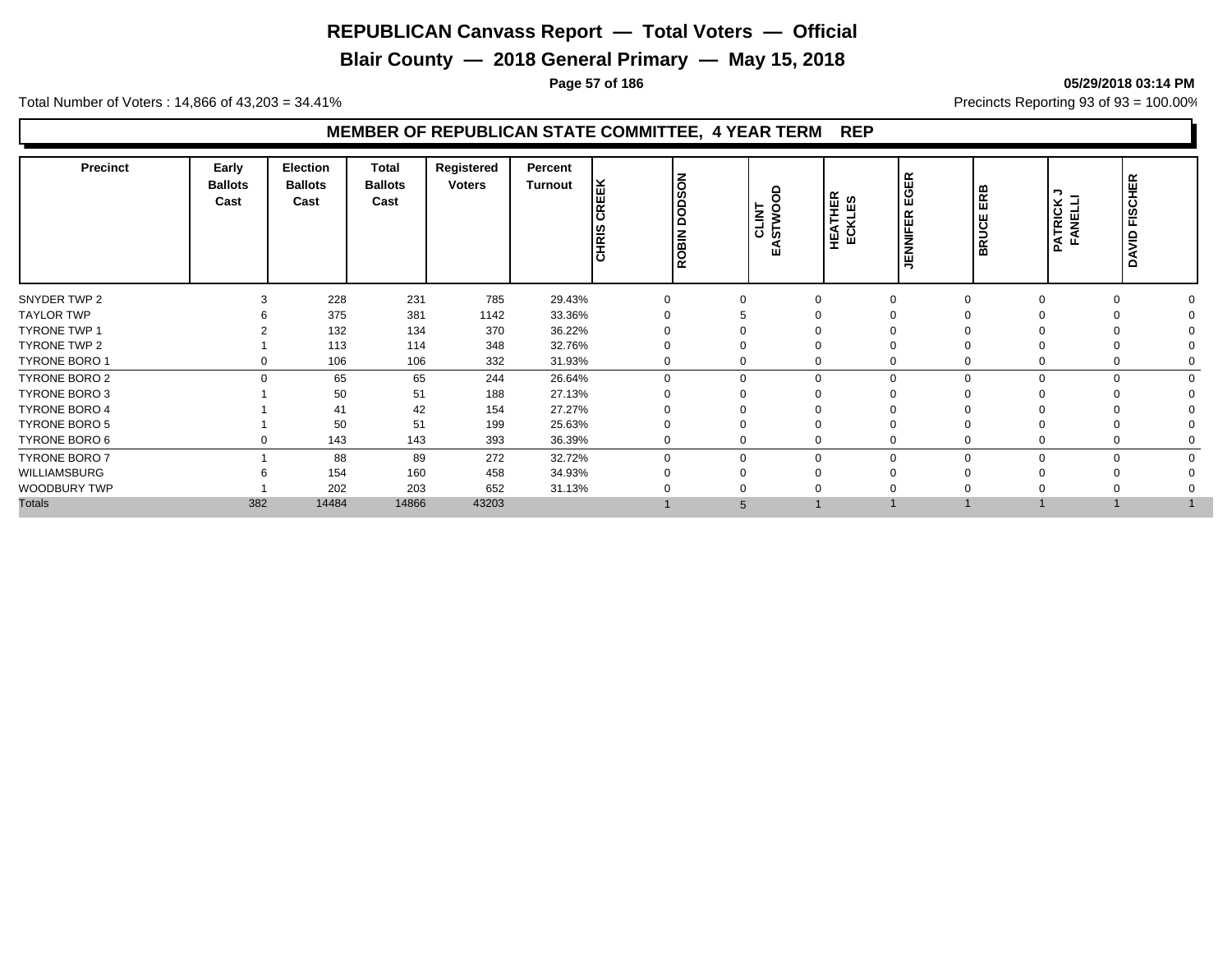**Blair County — 2018 General Primary — May 15, 2018**

**Page 57 of 186 05/29/2018 03:14 PM**

Total Number of Voters : 14,866 of 43,203 = 34.41% **Precincts Reporting 93 of 93** = 100.00%

| <b>GER</b><br>NOSOO<br>EEK<br>ERB<br>≏<br>っ<br><b>HEATHER</b><br>ECKLES<br>Cast<br>Cast<br>Cast<br><b>PATRICK<br/>FANELLI</b><br>ш<br>$\overline{\alpha}$<br>CLINT<br>STWOO<br>$\propto$<br>ಠ<br><b>BRUCE</b><br><b>NIFEI</b><br>CHRIS<br>ROBIN | HER<br>FISCI<br>$\frac{1}{2}$<br>ă |
|-------------------------------------------------------------------------------------------------------------------------------------------------------------------------------------------------------------------------------------------------|------------------------------------|
| 228<br>231<br>SNYDER TWP 2<br>785<br>29.43%<br>$\Omega$<br>$\Omega$                                                                                                                                                                             | $\Omega$                           |
| <b>TAYLOR TWP</b><br>375<br>381<br>33.36%<br>1142                                                                                                                                                                                               |                                    |
| <b>TYRONE TWP 1</b><br>132<br>134<br>370<br>36.22%                                                                                                                                                                                              |                                    |
| TYRONE TWP 2<br>113<br>348<br>114<br>32.76%                                                                                                                                                                                                     |                                    |
| <b>TYRONE BORO 1</b><br>106<br>106<br>332<br>31.93%<br>0<br>0<br>$\Omega$                                                                                                                                                                       | 0                                  |
| TYRONE BORO 2<br>65<br>26.64%<br>$\Omega$<br>65<br>244<br>$\mathbf 0$<br>$\Omega$<br>$\Omega$                                                                                                                                                   | $\Omega$                           |
| <b>TYRONE BORO 3</b><br>51<br>50<br>188<br>27.13%                                                                                                                                                                                               |                                    |
| <b>TYRONE BORO 4</b><br>42<br>27.27%<br>154<br>41                                                                                                                                                                                               |                                    |
| 50<br>51<br>TYRONE BORO 5<br>199<br>25.63%                                                                                                                                                                                                      | 0                                  |
| TYRONE BORO 6<br>143<br>143<br>393<br>36.39%<br>$\mathbf 0$<br>0                                                                                                                                                                                | 0                                  |
| 272<br><b>TYRONE BORO 7</b><br>88<br>89<br>32.72%<br>$\Omega$<br>$\mathbf 0$<br>$\Omega$                                                                                                                                                        | $\Omega$                           |
| WILLIAMSBURG<br>154<br>160<br>458<br>34.93%                                                                                                                                                                                                     |                                    |
| WOODBURY TWP<br>202<br>203<br>652<br>31.13%                                                                                                                                                                                                     |                                    |
| <b>Totals</b><br>382<br>14484<br>14866<br>43203<br>5                                                                                                                                                                                            |                                    |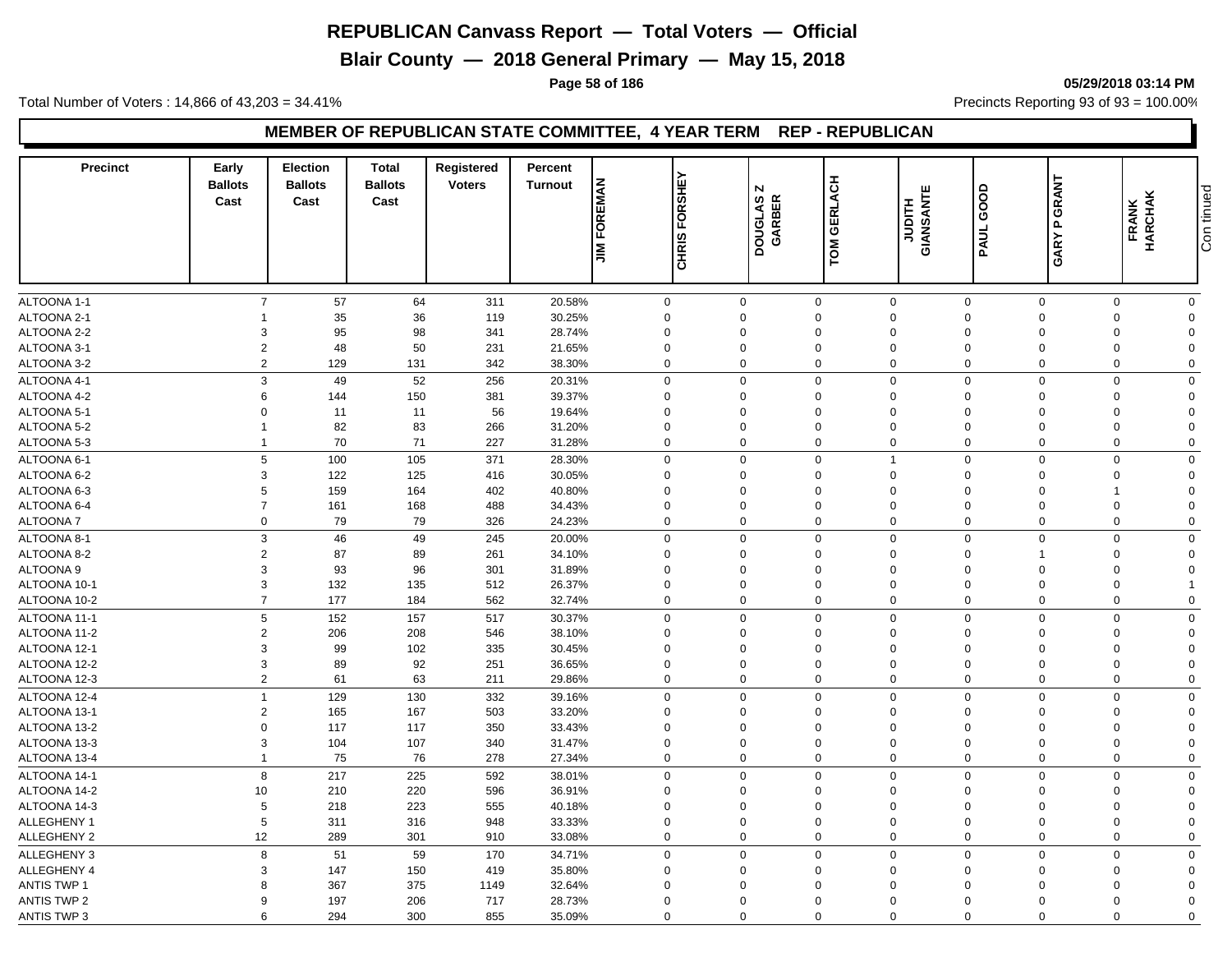**Blair County — 2018 General Primary — May 15, 2018**

**Page 58 of 186 05/29/2018 03:14 PM**

Total Number of Voters : 14,866 of 43,203 = 34.41% **Precincts Reporting 93 of 93** = 100.00%

#### **MEMBER OF REPUBLICAN STATE COMMITTEE, 4 YEAR TERM REP - REPUBLICAN**

| <b>Precinct</b>                   | Early<br><b>Ballots</b><br>Cast | <b>Election</b><br><b>Ballots</b><br>Cast | <b>Total</b><br><b>Ballots</b><br>Cast | <b>Registered</b><br><b>Voters</b> | Percent<br><b>Turnout</b> | FOREMAN<br><b>NIL</b> | CHRIS FORSHE | $\overline{\mathsf{N}}$<br>DOUGLAS<br>GARBER | TOM GERLACH                | <b>JUDITH</b><br>GIANSANTE | GOOD<br>PAUL            | GRANT<br>$\mathbf{r}$<br>GARY | FRANK<br>HARCHAK        | Con tinued              |
|-----------------------------------|---------------------------------|-------------------------------------------|----------------------------------------|------------------------------------|---------------------------|-----------------------|--------------|----------------------------------------------|----------------------------|----------------------------|-------------------------|-------------------------------|-------------------------|-------------------------|
|                                   |                                 |                                           |                                        |                                    |                           |                       |              |                                              |                            |                            |                         |                               |                         |                         |
|                                   | $\overline{7}$                  | 57                                        |                                        |                                    |                           |                       | $\mathsf 0$  |                                              |                            |                            |                         |                               |                         |                         |
| <b>ALTOONA 1-1</b><br>ALTOONA 2-1 |                                 | 35                                        | 64<br>36                               | 311<br>119                         | 20.58%<br>30.25%          |                       | $\mathbf 0$  | $\mathbf 0$<br>$\Omega$                      | $\mathbf 0$<br>$\mathbf 0$ | $\mathbf 0$<br>$\Omega$    | $\mathbf 0$<br>$\Omega$ | $\mathbf 0$<br>$\Omega$       | $\mathbf 0$<br>$\Omega$ | $\mathbf 0$<br>$\Omega$ |
| ALTOONA 2-2                       | 3                               | 95                                        | 98                                     | 341                                | 28.74%                    |                       | $\mathbf 0$  | $\Omega$                                     | $\Omega$                   | $\Omega$                   | $\Omega$                | $\Omega$                      | $\Omega$                | $\Omega$                |
| ALTOONA 3-1                       | $\overline{2}$                  | 48                                        | 50                                     | 231                                | 21.65%                    |                       | $\mathbf 0$  | $\mathbf 0$                                  | $\mathbf 0$                | 0                          | $\mathbf 0$             | $\mathbf 0$                   | $\mathbf 0$             | $\Omega$                |
| ALTOONA 3-2                       | 2                               | 129                                       | 131                                    | 342                                | 38.30%                    |                       | $\mathbf 0$  | $\mathbf 0$                                  | $\mathbf 0$                | $\Omega$                   | $\mathbf 0$             | $\mathbf 0$                   | $\mathbf 0$             | $\mathbf 0$             |
| ALTOONA 4-1                       | 3                               | 49                                        | 52                                     | 256                                | 20.31%                    |                       | $\mathbf 0$  | $\mathbf 0$                                  | $\mathbf 0$                | 0                          | $\mathbf 0$             | $\mathbf 0$                   | $\Omega$                | $\mathbf 0$             |
| ALTOONA 4-2                       | 6                               | 144                                       | 150                                    | 381                                | 39.37%                    |                       | $\Omega$     | $\Omega$                                     | $\Omega$                   | $\Omega$                   | $\Omega$                | $\Omega$                      | $\Omega$                | $\Omega$                |
| ALTOONA 5-1                       | $\Omega$                        | 11                                        | 11                                     | 56                                 | 19.64%                    |                       | $\Omega$     | $\Omega$                                     | $\Omega$                   | $\Omega$                   | $\Omega$                | $\Omega$                      | $\Omega$                | $\Omega$                |
| ALTOONA 5-2                       | $\mathbf{1}$                    | 82                                        | 83                                     | 266                                | 31.20%                    |                       | $\Omega$     | $\Omega$                                     | $\Omega$                   | $\Omega$                   | $\mathbf 0$             | $\Omega$                      | $\Omega$                | $\Omega$                |
| ALTOONA 5-3                       | $\mathbf{1}$                    | 70                                        | 71                                     | 227                                | 31.28%                    |                       | $\mathbf 0$  | $\Omega$                                     | $\Omega$                   | $\Omega$                   | $\Omega$                | $\Omega$                      | $\Omega$                | $\Omega$                |
| ALTOONA 6-1                       | 5                               | 100                                       | 105                                    | 371                                | 28.30%                    |                       | $\mathbf 0$  | $\mathbf 0$                                  | $\mathbf 0$                | 1                          | $\mathbf 0$             | $\mathbf 0$                   | $\mathbf 0$             | $\mathbf 0$             |
| ALTOONA 6-2                       | 3                               | 122                                       | 125                                    | 416                                | 30.05%                    |                       | $\mathbf 0$  | $\Omega$                                     | $\mathbf 0$                | $\Omega$                   | $\Omega$                | $\Omega$                      | $\Omega$                | $\Omega$                |
| ALTOONA 6-3                       | 5                               | 159                                       | 164                                    | 402                                | 40.80%                    |                       | $\mathbf 0$  | $\mathbf 0$                                  | $\mathbf 0$                | $\Omega$                   | $\mathbf 0$             | $\mathbf 0$                   | 1                       | $\mathbf 0$             |
| ALTOONA 6-4                       | $\overline{7}$                  | 161                                       | 168                                    | 488                                | 34.43%                    |                       | $\mathbf 0$  | 0                                            | $\overline{0}$             | 0                          | $\mathbf 0$             | $\mathbf 0$                   | $\mathbf 0$             | $\mathbf 0$             |
| <b>ALTOONA7</b>                   | $\mathbf 0$                     | 79                                        | 79                                     | 326                                | 24.23%                    |                       | $\mathbf 0$  | $\mathbf 0$                                  | $\Omega$                   | 0                          | $\mathbf 0$             | $\mathbf 0$                   | $\mathbf 0$             | $\mathbf 0$             |
| ALTOONA 8-1                       | 3                               | 46                                        | 49                                     | 245                                | 20.00%                    |                       | $\mathbf 0$  | $\Omega$                                     | $\Omega$                   | $\Omega$                   | $\Omega$                | $\mathbf 0$                   | $\Omega$                | $\mathbf 0$             |
| ALTOONA 8-2                       | $\overline{2}$                  | 87                                        | 89                                     | 261                                | 34.10%                    |                       | $\mathbf 0$  | $\mathbf 0$                                  | $\overline{0}$             | $\mathbf 0$                | $\mathbf 0$             | $\mathbf{1}$                  | $\Omega$                | $\mathbf 0$             |
| <b>ALTOONA 9</b>                  | $\mathbf{3}$                    | 93                                        | 96                                     | 301                                | 31.89%                    |                       | $\mathbf 0$  | $\Omega$                                     | $\overline{0}$             | $\mathbf 0$                | $\mathbf 0$             | $\mathbf 0$                   | $\Omega$                | $\mathbf 0$             |
| ALTOONA 10-1                      | 3                               | 132                                       | 135                                    | 512                                | 26.37%                    |                       | $\mathbf 0$  | $\Omega$                                     | $\mathbf 0$                | $\Omega$                   | $\Omega$                | $\Omega$                      | $\Omega$                | 1                       |
| ALTOONA 10-2                      | $\overline{7}$                  | 177                                       | 184                                    | 562                                | 32.74%                    |                       | $\mathbf 0$  | $\mathbf 0$                                  | $\overline{0}$             | $\Omega$                   | $\Omega$                | $\mathbf{0}$                  | $\Omega$                | $\mathbf 0$             |
| ALTOONA 11-1                      | $5\phantom{.0}$                 | 152                                       | 157                                    | 517                                | 30.37%                    |                       | $\mathbf 0$  | $\mathbf 0$                                  | $\mathbf 0$                | $\Omega$                   | $\overline{0}$          | $\mathbf 0$                   | $\Omega$                | $\mathbf 0$             |
| ALTOONA 11-2                      | $\overline{2}$                  | 206                                       | 208                                    | 546                                | 38.10%                    |                       | $\mathbf 0$  | $\mathbf 0$                                  | $\mathbf 0$                | $\mathbf 0$                | $\mathbf 0$             | $\mathbf 0$                   | $\mathbf 0$             | $\mathbf 0$             |
| ALTOONA 12-1                      | 3                               | 99                                        | 102                                    | 335                                | 30.45%                    |                       | $\mathbf 0$  | $\Omega$                                     | $\mathbf 0$                | $\Omega$                   | $\Omega$                | $\Omega$                      | $\Omega$                | $\Omega$                |
| ALTOONA 12-2                      | 3                               | 89                                        | 92                                     | 251                                | 36.65%                    |                       | $\mathbf 0$  | $\Omega$                                     | $\overline{0}$             | $\mathbf 0$                | $\mathbf 0$             | $\mathbf 0$                   | $\mathbf 0$             | $\mathbf 0$             |
| ALTOONA 12-3                      | $\overline{2}$                  | 61                                        | 63                                     | 211                                | 29.86%                    |                       | $\mathbf 0$  | $\mathbf 0$                                  | $\overline{0}$             | $\mathbf 0$                | $\mathbf 0$             | $\mathbf 0$                   | $\mathbf 0$             | $\mathbf 0$             |
| ALTOONA 12-4                      | $\overline{1}$                  | 129                                       | 130                                    | 332                                | 39.16%                    |                       | $\mathbf 0$  | $\Omega$                                     | $\mathbf 0$                | $\Omega$                   | $\Omega$                | $\Omega$                      | $\Omega$                | $\mathbf 0$             |
| ALTOONA 13-1                      | $\overline{2}$                  | 165                                       | 167                                    | 503                                | 33.20%                    |                       | $\Omega$     | $\Omega$                                     | $\Omega$                   | $\Omega$                   | $\mathbf 0$             | $\Omega$                      | $\Omega$                | $\Omega$                |
| ALTOONA 13-2                      | $\mathbf 0$                     | 117                                       | 117                                    | 350                                | 33.43%                    |                       | $\mathbf 0$  | $\Omega$                                     | $\Omega$                   | $\Omega$                   | $\Omega$                | $\Omega$                      | $\Omega$                | $\Omega$                |
| ALTOONA 13-3                      | 3                               | 104                                       | 107                                    | 340                                | 31.47%                    |                       | $\mathbf 0$  | $\mathbf 0$                                  | $\mathbf 0$                | $\mathbf 0$                | $\mathbf 0$             | $\mathbf 0$                   | $\mathbf 0$             | $\mathbf 0$             |
| ALTOONA 13-4                      | $\mathbf{1}$                    | 75                                        | 76                                     | 278                                | 27.34%                    |                       | $\mathbf 0$  | $\mathbf 0$                                  | $\overline{0}$             | $\Omega$                   | $\mathbf 0$             | $\mathbf 0$                   | $\Omega$                | $\mathbf 0$             |
| ALTOONA 14-1                      | 8                               | 217                                       | 225                                    | 592                                | 38.01%                    |                       | $\mathbf 0$  | $\mathbf 0$                                  | $\mathbf 0$                | $\Omega$                   | $\Omega$                | $\Omega$                      | $\Omega$                | $\mathbf 0$             |
| ALTOONA 14-2                      | 10                              | 210                                       | 220                                    | 596                                | 36.91%                    |                       | $\Omega$     | $\Omega$                                     | $\Omega$                   | $\Omega$                   | $\mathbf 0$             | $\mathbf 0$                   | $\Omega$                | $\mathbf{0}$            |
| ALTOONA 14-3                      | 5                               | 218                                       | 223                                    | 555                                | 40.18%                    |                       | $\mathbf 0$  | $\Omega$                                     | $\mathbf 0$                | $\mathbf 0$                | $\mathbf 0$             | $\mathbf 0$                   | $\Omega$                | $\Omega$                |
| ALLEGHENY 1                       | $\overline{5}$                  | 311                                       | 316                                    | 948                                | 33.33%                    |                       | $\mathbf 0$  | $\Omega$                                     | $\Omega$                   | $\Omega$                   | $\Omega$                | $\Omega$                      | $\Omega$                | $\Omega$                |
| ALLEGHENY 2                       | 12                              | 289                                       | 301                                    | 910                                | 33.08%                    |                       | $\mathbf 0$  | $\Omega$                                     | $\overline{0}$             | $\mathbf 0$                | $\mathbf 0$             | $\mathbf 0$                   | $\Omega$                | $\mathbf 0$             |
| <b>ALLEGHENY 3</b>                | 8                               | 51                                        | 59                                     | 170                                | 34.71%                    |                       | $\mathbf 0$  | $\mathbf 0$                                  | $\mathbf 0$                | $\Omega$                   | $\Omega$                | $\Omega$                      | $\Omega$                | $\mathbf 0$             |
| ALLEGHENY 4                       | 3                               | 147                                       | 150                                    | 419                                | 35.80%                    |                       | $\mathbf 0$  | $\mathbf 0$                                  | $\mathbf 0$                | 0                          | $\mathbf 0$             | $\Omega$                      | $\Omega$                | $\mathbf 0$             |
| <b>ANTIS TWP 1</b>                | 8                               | 367                                       | 375                                    | 1149                               | 32.64%                    |                       | $\Omega$     | $\Omega$                                     | $\Omega$                   | $\Omega$                   | $\Omega$                | $\Omega$                      | $\Omega$                | $\Omega$                |
| <b>ANTIS TWP 2</b>                | 9                               | 197                                       | 206                                    | 717                                | 28.73%                    |                       | $\Omega$     | $\Omega$                                     | $\overline{0}$             | $\Omega$                   | $\Omega$                | $\Omega$                      | $\Omega$                | $\Omega$                |
| <b>ANTIS TWP 3</b>                | 6                               | 294                                       | 300                                    | 855                                | 35.09%                    |                       | $\mathbf 0$  | $\Omega$                                     | $\Omega$                   | $\Omega$                   | $\Omega$                | $\mathbf 0$                   | $\Omega$                | $\mathbf 0$             |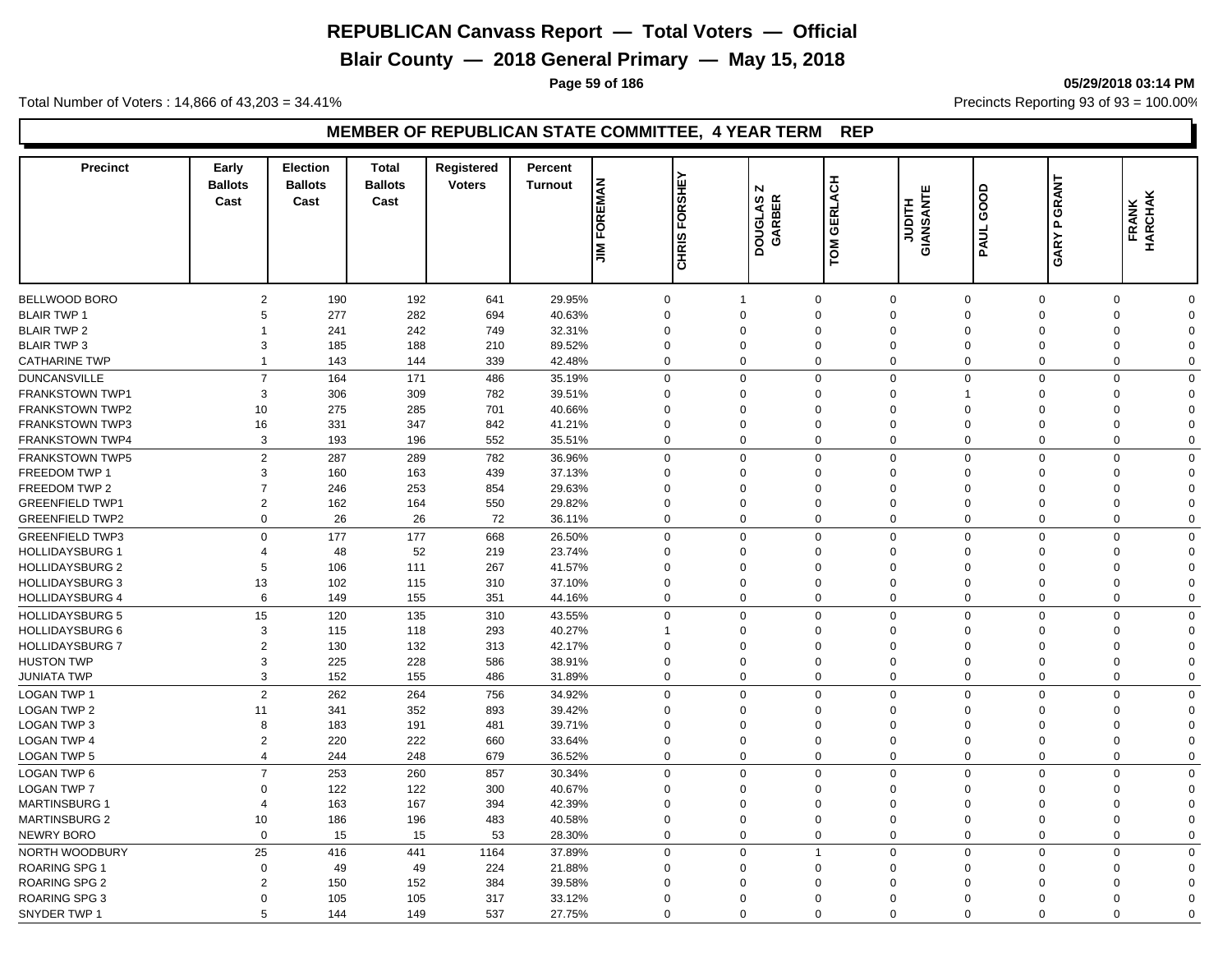**Blair County — 2018 General Primary — May 15, 2018**

**Page 59 of 186 05/29/2018 03:14 PM**

Total Number of Voters : 14,866 of 43,203 = 34.41% **Precincts Reporting 93 of 93** = 100.00%

| <b>Precinct</b>        | Early<br><b>Ballots</b><br>Cast | <b>Election</b><br><b>Ballots</b><br>Cast | <b>Total</b><br><b>Ballots</b><br>Cast | Registered<br><b>Voters</b> | Percent<br><b>Turnout</b> | FOREMAN<br><b>NIL</b> | FORSHEY<br>CHRIS | N<br>DOUGLAS<br>GARBER | TOM GERLACH    | <b>GIANSANTE</b><br>GIANSANTE | GOOD<br>PAUL   | GRANT<br>L<br>GARY | <b>FRANK</b><br>HARCHAK |              |
|------------------------|---------------------------------|-------------------------------------------|----------------------------------------|-----------------------------|---------------------------|-----------------------|------------------|------------------------|----------------|-------------------------------|----------------|--------------------|-------------------------|--------------|
|                        |                                 |                                           |                                        |                             |                           |                       |                  |                        |                |                               |                |                    |                         |              |
| <b>BELLWOOD BORO</b>   | 2                               | 190                                       | 192                                    | 641                         | 29.95%                    |                       | $\mathbf 0$      | $\overline{1}$         | $\mathbf 0$    | $\mathbf 0$                   | $\mathbf 0$    | $\Omega$           | $\mathbf 0$             | $\mathbf 0$  |
| <b>BLAIR TWP 1</b>     | 5<br>$\overline{1}$             | 277                                       | 282                                    | 694                         | 40.63%                    |                       | $\mathbf 0$      | $\Omega$               | $\mathbf 0$    | $\Omega$                      | $\Omega$       | $\Omega$           | $\Omega$                | $\Omega$     |
| <b>BLAIR TWP 2</b>     |                                 | 241                                       | 242                                    | 749                         | 32.31%                    |                       | $\mathbf 0$      | $\Omega$               | $\Omega$       | $\Omega$                      | $\Omega$       | $\Omega$           | $\Omega$                | $\Omega$     |
| <b>BLAIR TWP 3</b>     | 3                               | 185                                       | 188                                    | 210                         | 89.52%                    |                       | $\mathbf 0$      | $\mathbf 0$            | $\mathbf 0$    | $\mathbf 0$                   | $\mathbf 0$    | $\mathbf 0$        | $\mathbf 0$             | $\mathbf 0$  |
| <b>CATHARINE TWP</b>   | $\overline{1}$                  | 143                                       | 144                                    | 339                         | 42.48%                    |                       | $\mathbf 0$      | $\Omega$               | $\Omega$       | $\Omega$                      | $\Omega$       | $\Omega$           | $\Omega$                | $\Omega$     |
| <b>DUNCANSVILLE</b>    | $\overline{7}$                  | 164                                       | 171                                    | 486                         | 35.19%                    |                       | $\Omega$         | $\mathbf 0$            | $\Omega$       | $\Omega$                      | $\Omega$       | $\Omega$           | $\Omega$                | $\mathbf 0$  |
| <b>FRANKSTOWN TWP1</b> | 3                               | 306                                       | 309                                    | 782                         | 39.51%                    |                       | $\Omega$         | $\Omega$               | $\Omega$       | $\Omega$                      | 1              | $\mathbf 0$        | $\Omega$                | $\Omega$     |
| <b>FRANKSTOWN TWP2</b> | 10                              | 275                                       | 285                                    | 701                         | 40.66%                    |                       | $\Omega$         | $\Omega$               | $\Omega$       | $\Omega$                      | $\Omega$       | $\Omega$           | $\Omega$                | $\Omega$     |
| <b>FRANKSTOWN TWP3</b> | 16                              | 331                                       | 347                                    | 842                         | 41.21%                    |                       | $\Omega$         | $\Omega$               | $\Omega$       | $\Omega$                      | $\Omega$       | $\Omega$           | $\Omega$                | $\Omega$     |
| FRANKSTOWN TWP4        | 3                               | 193                                       | 196                                    | 552                         | 35.51%                    |                       | $\mathbf 0$      | $\mathbf 0$            | $\mathbf 0$    | $\mathbf 0$                   | $\mathbf 0$    | $\mathbf 0$        | $\mathbf 0$             | $\mathbf 0$  |
| <b>FRANKSTOWN TWP5</b> | $\overline{2}$                  | 287                                       | 289                                    | 782                         | 36.96%                    |                       | $\mathbf 0$      | $\mathbf 0$            | $\mathbf 0$    | $\Omega$                      | $\mathbf 0$    | $\mathbf 0$        | $\Omega$                | $\mathbf 0$  |
| FREEDOM TWP 1          | 3                               | 160                                       | 163                                    | 439                         | 37.13%                    |                       | $\mathbf 0$      | $\Omega$               | $\mathbf 0$    | $\Omega$                      | $\Omega$       | $\Omega$           | $\Omega$                | $\Omega$     |
| FREEDOM TWP 2          | $\overline{7}$                  | 246                                       | 253                                    | 854                         | 29.63%                    |                       | $\mathbf 0$      | $\mathbf 0$            | $\mathbf 0$    | $\mathbf 0$                   | $\mathbf 0$    | $\mathbf 0$        | $\Omega$                | $\mathbf 0$  |
| <b>GREENFIELD TWP1</b> | 2                               | 162                                       | 164                                    | 550                         | 29.82%                    |                       | $\mathbf 0$      | $\Omega$               | $\mathbf 0$    | $\Omega$                      | $\Omega$       | $\Omega$           | $\Omega$                | $\Omega$     |
| <b>GREENFIELD TWP2</b> | $\mathbf 0$                     | 26                                        | 26                                     | 72                          | 36.11%                    |                       | $\mathbf 0$      | $\mathbf 0$            | $\mathbf 0$    | $\mathbf 0$                   | $\mathbf 0$    | 0                  | $\mathbf 0$             | 0            |
| <b>GREENFIELD TWP3</b> | $\Omega$                        | 177                                       | 177                                    | 668                         | 26.50%                    |                       | $\mathbf 0$      | $\Omega$               | $\mathbf 0$    | $\Omega$                      | $\mathbf 0$    | $\mathbf 0$        | $\Omega$                | 0            |
| <b>HOLLIDAYSBURG 1</b> | $\overline{4}$                  | 48                                        | 52                                     | 219                         | 23.74%                    |                       | $\mathbf 0$      | $\Omega$               | $\Omega$       | $\Omega$                      | $\mathbf 0$    | $\mathbf 0$        | $\Omega$                | $\Omega$     |
| <b>HOLLIDAYSBURG 2</b> | 5                               | 106                                       | 111                                    | 267                         | 41.57%                    |                       | $\mathbf 0$      | $\Omega$               | $\Omega$       | $\mathbf 0$                   | $\mathbf 0$    | $\mathbf 0$        | $\Omega$                | $\mathbf 0$  |
| <b>HOLLIDAYSBURG 3</b> | 13                              | 102                                       | 115                                    | 310                         | 37.10%                    |                       | $\mathbf 0$      | $\Omega$               | $\Omega$       | $\Omega$                      | $\Omega$       | $\Omega$           | $\Omega$                | $\Omega$     |
| <b>HOLLIDAYSBURG 4</b> | 6                               | 149                                       | 155                                    | 351                         | 44.16%                    |                       | $\mathbf 0$      | $\mathbf{0}$           | $\mathbf 0$    | $\mathbf 0$                   | $\mathbf 0$    | $\mathbf 0$        | $\mathbf 0$             | $\mathbf 0$  |
| <b>HOLLIDAYSBURG 5</b> | 15                              | 120                                       | 135                                    | 310                         | 43.55%                    |                       | $\mathbf 0$      | $\mathbf 0$            | $\mathbf 0$    | $\Omega$                      | $\Omega$       | $\Omega$           | $\Omega$                | $\mathbf{0}$ |
| <b>HOLLIDAYSBURG 6</b> | 3                               | 115                                       | 118                                    | 293                         | 40.27%                    |                       | $\overline{1}$   | $\mathbf 0$            | $\mathbf 0$    | $\mathbf 0$                   | $\mathbf 0$    | $\mathbf 0$        | $\Omega$                | $\Omega$     |
| <b>HOLLIDAYSBURG 7</b> | $\overline{2}$                  | 130                                       | 132                                    | 313                         | 42.17%                    |                       | $\mathbf 0$      | $\Omega$               | $\mathbf 0$    | $\Omega$                      | $\Omega$       | $\Omega$           | $\Omega$                | $\Omega$     |
| <b>HUSTON TWP</b>      | 3                               | 225                                       | 228                                    | 586                         | 38.91%                    |                       | $\mathbf 0$      | $\Omega$               | $\mathbf 0$    | $\Omega$                      | $\Omega$       | $\mathbf 0$        | $\Omega$                | $\Omega$     |
| <b>JUNIATA TWP</b>     | 3                               | 152                                       | 155                                    | 486                         | 31.89%                    |                       | $\mathbf 0$      | $\Omega$               | $\mathbf 0$    | $\Omega$                      | $\Omega$       | $\mathbf 0$        | $\Omega$                | $\mathbf 0$  |
|                        |                                 |                                           |                                        |                             |                           |                       |                  |                        |                |                               |                |                    |                         |              |
| <b>LOGAN TWP 1</b>     | $\overline{2}$                  | 262                                       | 264                                    | 756                         | 34.92%                    |                       | $\Omega$         | $\mathbf{0}$           | $\Omega$       | $\Omega$                      | $\Omega$       | $\mathbf 0$        | $\Omega$                | $\mathbf 0$  |
| <b>LOGAN TWP 2</b>     | 11                              | 341                                       | 352                                    | 893                         | 39.42%                    |                       | $\Omega$         | $\Omega$               | $\Omega$       | $\Omega$                      | $\Omega$       | $\Omega$           | $\Omega$                | $\Omega$     |
| LOGAN TWP 3            | 8                               | 183                                       | 191                                    | 481                         | 39.71%                    |                       | $\Omega$         | $\Omega$               | $\Omega$       | $\Omega$                      | $\Omega$       | $\Omega$           | $\Omega$                | $\Omega$     |
| <b>LOGAN TWP 4</b>     | $\overline{2}$                  | 220                                       | 222                                    | 660                         | 33.64%                    |                       | $\Omega$         | $\Omega$               | $\mathbf 0$    | $\mathbf 0$                   | 0              | $\mathbf 0$        | $\Omega$                | $\Omega$     |
| <b>LOGAN TWP 5</b>     | 4                               | 244                                       | 248                                    | 679                         | 36.52%                    |                       | $\mathbf 0$      | $\mathbf 0$            | $\Omega$       | $\Omega$                      | $\Omega$       | $\Omega$           | $\Omega$                | $\Omega$     |
| LOGAN TWP 6            | $\overline{7}$                  | 253                                       | 260                                    | 857                         | 30.34%                    |                       | $\mathbf 0$      | $\Omega$               | $\mathbf 0$    | $\Omega$                      | $\Omega$       | $\Omega$           | $\Omega$                | 0            |
| <b>LOGAN TWP 7</b>     | $\Omega$                        | 122                                       | 122                                    | 300                         | 40.67%                    |                       | $\Omega$         | $\Omega$               | $\Omega$       | $\Omega$                      | $\Omega$       | $\Omega$           | $\Omega$                | $\Omega$     |
| <b>MARTINSBURG 1</b>   | $\overline{4}$                  | 163                                       | 167                                    | 394                         | 42.39%                    |                       | $\mathbf 0$      | $\mathbf 0$            | $\mathbf 0$    | $\mathbf 0$                   | $\overline{0}$ | $\mathbf 0$        | $\Omega$                | $\mathbf 0$  |
| <b>MARTINSBURG 2</b>   | 10                              | 186                                       | 196                                    | 483                         | 40.58%                    |                       | $\mathbf 0$      | $\Omega$               | $\mathbf 0$    | $\Omega$                      | $\mathbf 0$    | $\mathbf 0$        | $\Omega$                | $\Omega$     |
| <b>NEWRY BORO</b>      | $\mathbf 0$                     | 15                                        | 15                                     | 53                          | 28.30%                    |                       | $\mathbf 0$      | $\mathbf 0$            | $\mathbf 0$    | $\mathbf 0$                   | $\mathbf 0$    | 0                  | $\Omega$                | 0            |
| NORTH WOODBURY         | 25                              | 416                                       | 441                                    | 1164                        | 37.89%                    |                       | $\mathbf 0$      | $\mathbf 0$            | $\overline{1}$ | $\Omega$                      | $\mathbf 0$    | $\mathbf 0$        | $\mathbf 0$             | 0            |
| <b>ROARING SPG 1</b>   | $\mathbf 0$                     | 49                                        | 49                                     | 224                         | 21.88%                    |                       | $\mathbf 0$      | $\Omega$               | $\Omega$       | $\Omega$                      | $\Omega$       | $\Omega$           | $\Omega$                | $\Omega$     |
| <b>ROARING SPG 2</b>   | $\overline{2}$                  | 150                                       | 152                                    | 384                         | 39.58%                    |                       | $\Omega$         | $\Omega$               | $\Omega$       | $\Omega$                      | $\Omega$       | $\Omega$           | $\Omega$                | $\Omega$     |
| ROARING SPG 3          | $\Omega$                        | 105                                       | 105                                    | 317                         | 33.12%                    |                       | $\Omega$         | $\Omega$               | $\Omega$       | $\Omega$                      | $\Omega$       | $\Omega$           | $\Omega$                | $\Omega$     |
| SNYDER TWP 1           | 5                               | 144                                       | 149                                    | 537                         | 27.75%                    |                       | $\Omega$         | $\Omega$               | $\Omega$       | $\Omega$                      | $\Omega$       | $\Omega$           | $\Omega$                | $\Omega$     |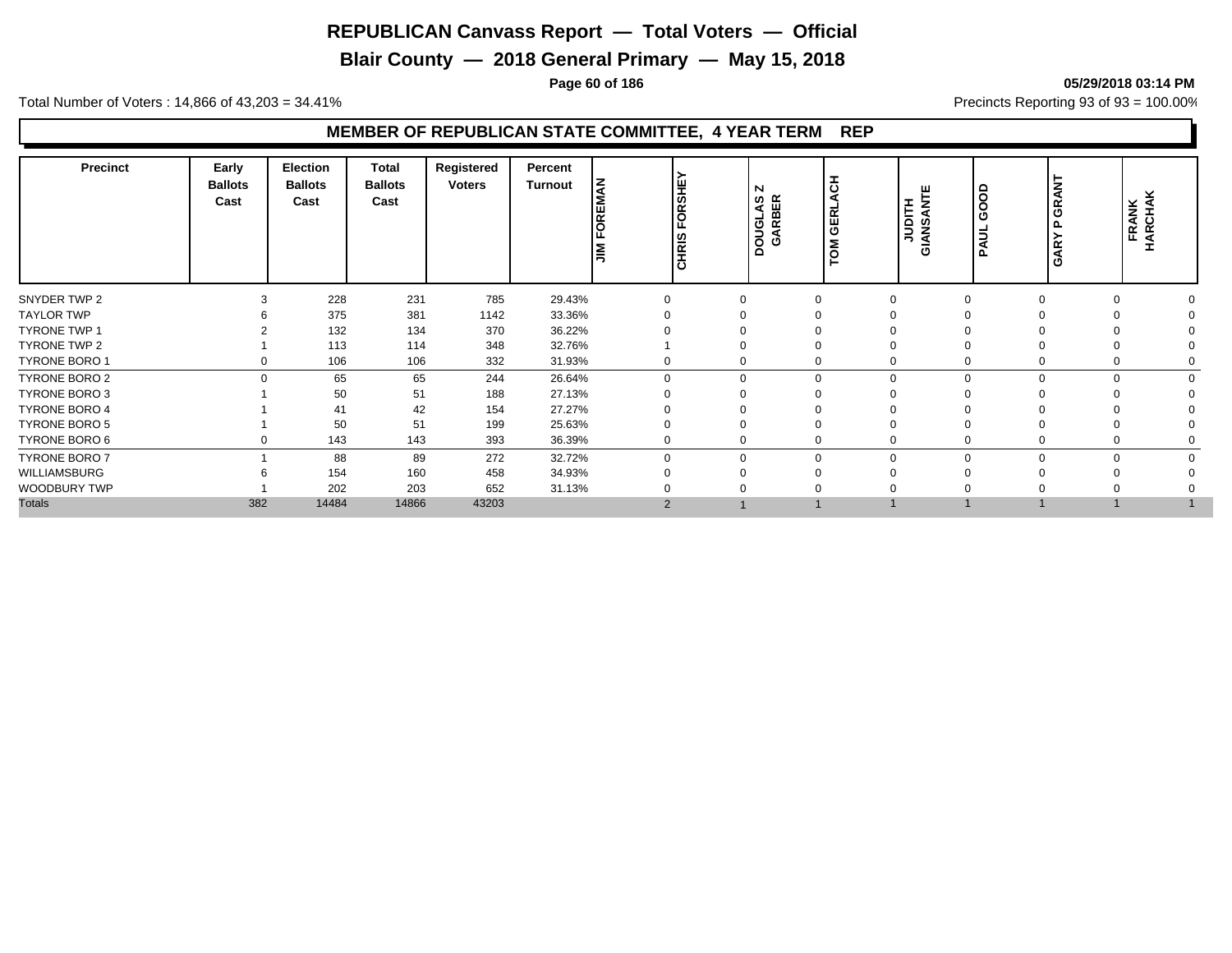**Blair County — 2018 General Primary — May 15, 2018**

**Page 60 of 186 05/29/2018 03:14 PM**

Total Number of Voters : 14,866 of 43,203 = 34.41% **Precincts Reporting 93 of 93** = 100.00%

| FORSHEY<br><b>HO</b><br><b>NAN</b><br>◀<br>Ω<br>DOUGLAS<br>GARBER<br>Cast<br>Cast<br>Cast<br><b>HILD</b><br>œ<br>GERL<br>$\circ$<br>FOREI<br>O<br>◀<br>O<br>ທ<br>௳<br>Ž<br>0<br>CHRIS<br>_⊴<br>∍<br>Σ<br>œ<br>◀<br>l≣<br>O<br>ဥ | <b>FRANK</b><br>HARCHAK |
|---------------------------------------------------------------------------------------------------------------------------------------------------------------------------------------------------------------------------------|-------------------------|
| 228<br>231<br>785<br>SNYDER TWP 2<br>29.43%<br>0                                                                                                                                                                                |                         |
| <b>TAYLOR TWP</b><br>375<br>381<br>33.36%<br>1142                                                                                                                                                                               |                         |
| <b>TYRONE TWP 1</b><br>132<br>134<br>36.22%<br>370                                                                                                                                                                              |                         |
| TYRONE TWP 2<br>113<br>114<br>348<br>32.76%                                                                                                                                                                                     |                         |
| 106<br>TYRONE BORO 1<br>106<br>31.93%<br>332                                                                                                                                                                                    |                         |
| 65<br>TYRONE BORO 2<br>65<br>244<br>26.64%<br>n<br>$\Omega$<br>0                                                                                                                                                                |                         |
| TYRONE BORO 3<br>50<br>188<br>27.13%<br>51                                                                                                                                                                                      |                         |
| 41<br>42<br>27.27%<br><b>TYRONE BORO 4</b><br>154                                                                                                                                                                               |                         |
| <b>TYRONE BORO 5</b><br>50<br>51<br>199<br>25.63%                                                                                                                                                                               |                         |
| TYRONE BORO 6<br>143<br>143<br>36.39%<br>393                                                                                                                                                                                    |                         |
| <b>TYRONE BORO 7</b><br>88<br>89<br>32.72%<br>272<br>$\Omega$<br>$\Omega$                                                                                                                                                       |                         |
| WILLIAMSBURG<br>154<br>160<br>458<br>34.93%                                                                                                                                                                                     |                         |
| WOODBURY TWP<br>202<br>203<br>31.13%<br>652                                                                                                                                                                                     |                         |
| <b>Totals</b><br>382<br>14484<br>14866<br>43203<br>2                                                                                                                                                                            |                         |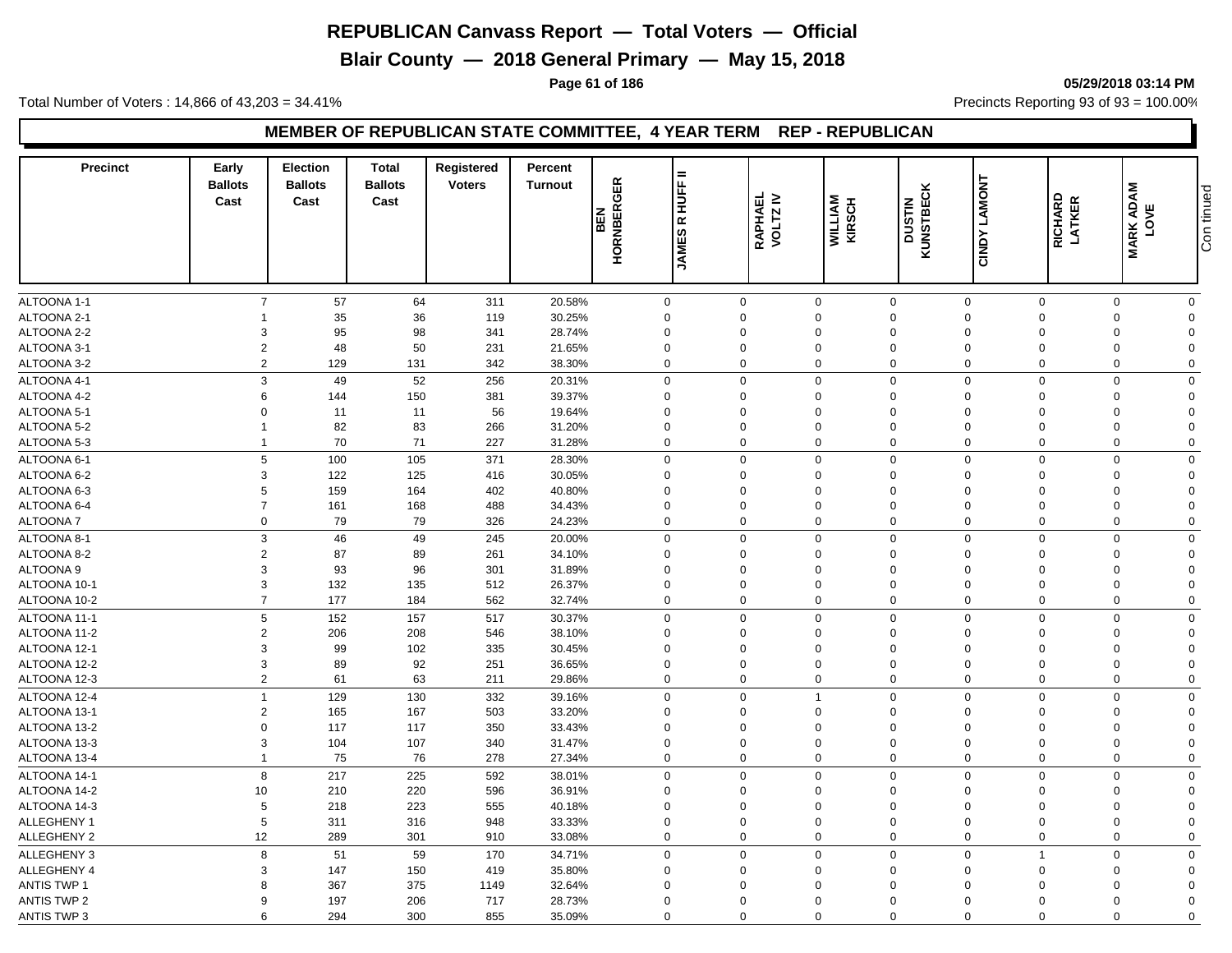**Blair County — 2018 General Primary — May 15, 2018**

#### **Page 61 of 186 05/29/2018 03:14 PM**

Total Number of Voters : 14,866 of 43,203 = 34.41% **Precincts Reporting 93 of 93** = 100.00%

#### **MEMBER OF REPUBLICAN STATE COMMITTEE, 4 YEAR TERM REP - REPUBLICAN**

| <b>Precinct</b>    | Early<br><b>Ballots</b><br>Cast | <b>Election</b><br><b>Ballots</b><br>Cast | <b>Total</b><br><b>Ballots</b><br>Cast | Registered<br><b>Voters</b> | Percent<br><b>Turnout</b> | <b>HORNBERGER</b><br><b>BEN</b> | $=$<br><b>HUFF</b><br>$\propto$<br><b>JAMES</b> | RAPHAEL<br>VOLTZ IV | <b>WILLIAM</b><br>KIRSCH | <b>KUNSTBECK</b><br>KUNSTBECK | <b>CINDY LAMONT</b> | RICHARD<br>LATKER | <b>MARK ADAM<br/>LOVE</b>  | Con tinued |
|--------------------|---------------------------------|-------------------------------------------|----------------------------------------|-----------------------------|---------------------------|---------------------------------|-------------------------------------------------|---------------------|--------------------------|-------------------------------|---------------------|-------------------|----------------------------|------------|
|                    |                                 |                                           |                                        |                             |                           |                                 |                                                 |                     |                          |                               |                     |                   |                            |            |
| ALTOONA 1-1        | $\overline{7}$                  | 57                                        | 64                                     | 311                         | 20.58%                    | $\mathbf 0$                     |                                                 | $\mathbf 0$         | $\mathbf 0$              | $\mathbf 0$                   | $\mathbf 0$         | $\mathbf 0$       | $\mathbf 0$<br>$\mathbf 0$ |            |
| ALTOONA 2-1        |                                 | 35                                        | 36                                     | 119                         | 30.25%                    | $\mathbf 0$                     |                                                 | $\Omega$            | $\Omega$                 | $\mathbf 0$                   | $\Omega$            | $\mathbf 0$       | $\Omega$<br>$\mathbf 0$    |            |
| ALTOONA 2-2        | 3                               | 95                                        | 98                                     | 341                         | 28.74%                    | $\overline{0}$                  |                                                 | $\Omega$            | $\Omega$                 | $\mathbf 0$                   | $\mathbf 0$         | $\mathbf 0$       | $\mathbf 0$<br>$\Omega$    |            |
| ALTOONA 3-1        | $\overline{2}$                  | 48                                        | 50                                     | 231                         | 21.65%                    | 0                               |                                                 | $\Omega$            | $\mathbf 0$              | $\mathbf 0$                   | $\Omega$            | $\mathbf 0$       | $\mathbf 0$<br>$\Omega$    |            |
| ALTOONA 3-2        | $\overline{2}$                  | 129                                       | 131                                    | 342                         | 38.30%                    | $\Omega$                        |                                                 | $\Omega$            | $\mathbf 0$              | $\mathbf 0$                   | $\Omega$            | $\Omega$          | $\mathbf 0$<br>$\Omega$    |            |
| ALTOONA 4-1        | 3                               | 49                                        | 52                                     | 256                         | 20.31%                    | $\Omega$                        |                                                 | $\Omega$            | $\mathbf 0$              | $\mathbf 0$                   | $\Omega$            | $\Omega$          | $\Omega$<br>$\mathbf 0$    |            |
| ALTOONA 4-2        | 6                               | 144                                       | 150                                    | 381                         | 39.37%                    | $\Omega$                        |                                                 | $\Omega$            | $\Omega$                 | $\Omega$                      | $\Omega$            | $\mathbf 0$       | $\mathbf 0$<br>$\Omega$    |            |
| ALTOONA 5-1        | $\Omega$                        | 11                                        | 11                                     | 56                          | 19.64%                    | $\overline{0}$                  |                                                 | $\Omega$            | $\Omega$                 | $\mathbf 0$                   | $\Omega$            | $\Omega$          | $\mathbf 0$<br>$\Omega$    |            |
| ALTOONA 5-2        | $\overline{1}$                  | 82                                        | 83                                     | 266                         | 31.20%                    | $\Omega$                        |                                                 | $\Omega$            | $\Omega$                 | $\Omega$                      | $\Omega$            | $\mathbf 0$       | $\mathbf 0$<br>$\Omega$    |            |
| ALTOONA 5-3        | $\overline{1}$                  | 70                                        | 71                                     | 227                         | 31.28%                    | $\mathbf 0$                     |                                                 | $\Omega$            | $\mathbf 0$              | $\mathbf 0$                   | $\Omega$            | $\mathbf 0$       | $\mathbf 0$<br>$\mathbf 0$ |            |
| ALTOONA 6-1        | 5                               | 100                                       | 105                                    | 371                         | 28.30%                    | $\Omega$                        |                                                 | $\Omega$            | $\Omega$                 | $\mathbf 0$                   | $\Omega$            | $\Omega$          | $\mathbf 0$<br>$\mathbf 0$ |            |
| ALTOONA 6-2        | 3                               | 122                                       | 125                                    | 416                         | 30.05%                    | $\mathbf 0$                     |                                                 | $\Omega$            | $\mathbf 0$              | $\mathbf 0$                   | $\Omega$            | $\mathbf 0$       | $\mathbf 0$<br>$\Omega$    |            |
| ALTOONA 6-3        | 5                               | 159                                       | 164                                    | 402                         | 40.80%                    | $\Omega$                        |                                                 | $\Omega$            | $\mathbf 0$              | $\mathbf 0$                   | $\Omega$            | $\Omega$          | $\mathbf 0$<br>$\Omega$    |            |
| ALTOONA 6-4        | $\overline{7}$                  | 161                                       | 168                                    | 488                         | 34.43%                    | $\Omega$                        |                                                 | $\Omega$            | $\Omega$                 | $\mathbf 0$                   | $\Omega$            | $\Omega$          | $\mathbf 0$<br>$\Omega$    |            |
| <b>ALTOONA7</b>    | $\mathbf 0$                     | 79                                        | 79                                     | 326                         | 24.23%                    | $\mathbf 0$                     |                                                 | $\mathbf 0$         | $\mathbf 0$              | $\mathbf 0$                   | $\mathbf 0$         | $\mathbf 0$       | $\mathbf 0$<br>$\mathbf 0$ |            |
| ALTOONA 8-1        | 3                               | 46                                        | 49                                     | 245                         | 20.00%                    | $\mathbf 0$                     |                                                 | $\mathbf 0$         | $\mathbf 0$              | $\mathbf{0}$                  | $\Omega$            | $\mathbf 0$       | $\mathbf 0$<br>$\mathbf 0$ |            |
| ALTOONA 8-2        | $\overline{2}$                  | 87                                        | 89                                     | 261                         | 34.10%                    | $\mathbf 0$                     |                                                 | $\Omega$            | $\mathbf 0$              | $\mathbf 0$                   | $\Omega$            | $\Omega$          | $\mathbf 0$<br>$\Omega$    |            |
| ALTOONA 9          | 3                               | 93                                        | 96                                     | 301                         | 31.89%                    | $\Omega$                        |                                                 | $\Omega$            | $\Omega$                 | $\Omega$                      | $\Omega$            | $\Omega$          | $\mathbf 0$<br>$\Omega$    |            |
| ALTOONA 10-1       | 3                               | 132                                       | 135                                    | 512                         | 26.37%                    | $\Omega$                        |                                                 | $\Omega$            | $\Omega$                 | $\mathbf 0$                   | $\Omega$            | $\Omega$          | $\mathbf 0$<br>$\Omega$    |            |
| ALTOONA 10-2       | $\overline{7}$                  | 177                                       | 184                                    | 562                         | 32.74%                    | $\mathbf 0$                     |                                                 | $\Omega$            | $\mathbf 0$              | $\mathbf 0$                   | $\mathbf 0$         | $\mathbf 0$       | $\mathbf 0$<br>$\mathbf 0$ |            |
| ALTOONA 11-1       | 5                               | 152                                       | 157                                    | 517                         | 30.37%                    | $\mathbf 0$                     |                                                 | $\mathbf 0$         | $\mathbf 0$              | $\mathbf 0$                   | $\Omega$            | $\mathbf 0$       | $\mathbf 0$<br>$\mathbf 0$ |            |
| ALTOONA 11-2       | $\overline{2}$                  | 206                                       | 208                                    | 546                         | 38.10%                    | $\mathbf 0$                     |                                                 | $\Omega$            | $\overline{0}$           | $\mathbf 0$                   | $\Omega$            | $\Omega$          | $\mathbf 0$<br>$\Omega$    |            |
| ALTOONA 12-1       | 3                               | 99                                        | 102                                    | 335                         | 30.45%                    | 0                               |                                                 | $\Omega$            | $\mathbf 0$              | $\mathbf 0$                   | $\Omega$            | $\Omega$          | $\mathbf 0$<br>$\Omega$    |            |
| ALTOONA 12-2       | 3                               | 89                                        | 92                                     | 251                         | 36.65%                    | $\mathbf 0$                     |                                                 | $\Omega$            | $\Omega$                 | $\mathbf 0$                   | $\Omega$            | $\mathbf 0$       | $\mathbf 0$<br>$\Omega$    |            |
| ALTOONA 12-3       | $\overline{2}$                  | 61                                        | 63                                     | 211                         | 29.86%                    | $\mathbf 0$                     |                                                 | $\Omega$            | $\mathbf 0$              | $\mathbf 0$                   | $\mathbf 0$         | $\mathbf 0$       | $\mathbf 0$<br>$\mathbf 0$ |            |
| ALTOONA 12-4       | $\overline{1}$                  | 129                                       | 130                                    | 332                         | 39.16%                    | $\mathbf 0$                     |                                                 | $\mathbf 0$         | $\overline{1}$           | $\mathbf 0$                   | $\mathbf 0$         | $\mathbf 0$       | $\mathbf 0$<br>$\mathbf 0$ |            |
| ALTOONA 13-1       | $\overline{2}$                  | 165                                       | 167                                    | 503                         | 33.20%                    | 0                               |                                                 | $\mathbf 0$         | $\mathbf 0$              | $\mathbf 0$                   | $\mathbf 0$         | $\mathbf 0$       | $\mathbf 0$<br>$\Omega$    |            |
| ALTOONA 13-2       | $\Omega$                        | 117                                       | 117                                    | 350                         | 33.43%                    | $\Omega$                        |                                                 | $\Omega$            | $\Omega$                 | $\Omega$                      | $\Omega$            | $\mathbf 0$       | $\mathbf 0$<br>$\Omega$    |            |
| ALTOONA 13-3       | 3                               | 104                                       | 107                                    | 340                         | 31.47%                    | $\mathbf 0$                     |                                                 | $\Omega$            | $\mathbf 0$              | $\mathbf 0$                   | $\Omega$            | $\mathbf 0$       | $\mathbf 0$<br>$\Omega$    |            |
| ALTOONA 13-4       | $\overline{1}$                  | 75                                        | 76                                     | 278                         | 27.34%                    | $\mathbf 0$                     |                                                 | $\Omega$            | $\overline{0}$           | $\mathbf 0$                   | $\mathbf 0$         | $\mathbf 0$       | $\pmb{0}$<br>$\Omega$      |            |
| ALTOONA 14-1       | 8                               | 217                                       | 225                                    | 592                         | 38.01%                    | $\mathbf 0$                     |                                                 | $\Omega$            | $\mathbf 0$              | $\mathbf 0$                   | $\Omega$            | $\mathbf 0$       | $\mathbf 0$<br>$\Omega$    |            |
| ALTOONA 14-2       | 10                              | 210                                       | 220                                    | 596                         | 36.91%                    | $\Omega$                        |                                                 | $\Omega$            | $\Omega$                 | $\Omega$                      | $\Omega$            | $\mathbf 0$       | $\mathbf 0$<br>$\Omega$    |            |
| ALTOONA 14-3       | 5                               | 218                                       | 223                                    | 555                         | 40.18%                    | $\mathbf 0$                     |                                                 | $\Omega$            | $\Omega$                 | $\mathbf 0$                   | $\mathbf 0$         | $\mathbf 0$       | $\mathbf 0$<br>$\Omega$    |            |
| ALLEGHENY 1        | 5                               | 311                                       | 316                                    | 948                         | 33.33%                    | $\overline{0}$                  |                                                 | $\Omega$            | $\Omega$                 | $\overline{0}$                | $\mathbf 0$         | $\mathbf 0$       | $\mathbf 0$<br>$\Omega$    |            |
| ALLEGHENY 2        | 12                              | 289                                       | 301                                    | 910                         | 33.08%                    | $\Omega$                        |                                                 | $\Omega$            | $\mathbf 0$              | $\Omega$                      | $\Omega$            | $\mathbf 0$       | $\mathbf 0$<br>$\mathbf 0$ |            |
|                    |                                 |                                           |                                        |                             |                           |                                 |                                                 | $\Omega$            |                          |                               |                     | $\overline{1}$    |                            |            |
| <b>ALLEGHENY 3</b> | 8                               | 51                                        | 59                                     | 170                         | 34.71%                    | $\mathbf 0$                     |                                                 |                     | $\mathbf 0$              | $\mathbf 0$                   | $\mathbf 0$         |                   | $\mathbf 0$<br>$\Omega$    |            |
| ALLEGHENY 4        | 3                               | 147                                       | 150                                    | 419                         | 35.80%                    | $\Omega$                        |                                                 | $\Omega$            | $\Omega$                 | $\Omega$                      | $\Omega$            | $\Omega$          | $\mathbf 0$<br>$\Omega$    |            |
| <b>ANTIS TWP 1</b> | 8                               | 367                                       | 375                                    | 1149                        | 32.64%                    | 0                               |                                                 | $\Omega$            | $\Omega$                 | $\Omega$                      | $\Omega$            | $\Omega$          | $\Omega$<br>$\Omega$       |            |
| <b>ANTIS TWP 2</b> | 9                               | 197                                       | 206                                    | 717                         | 28.73%                    | 0                               |                                                 | $\Omega$            | $\Omega$                 | $\mathbf 0$                   | $\Omega$            | $\Omega$          | $\mathbf 0$<br>$\Omega$    |            |
| <b>ANTIS TWP 3</b> | 6                               | 294                                       | 300                                    | 855                         | 35.09%                    | $\Omega$                        |                                                 | $\Omega$            | $\Omega$                 | $\Omega$                      | $\Omega$            | $\Omega$          | $\mathbf 0$<br>$\Omega$    |            |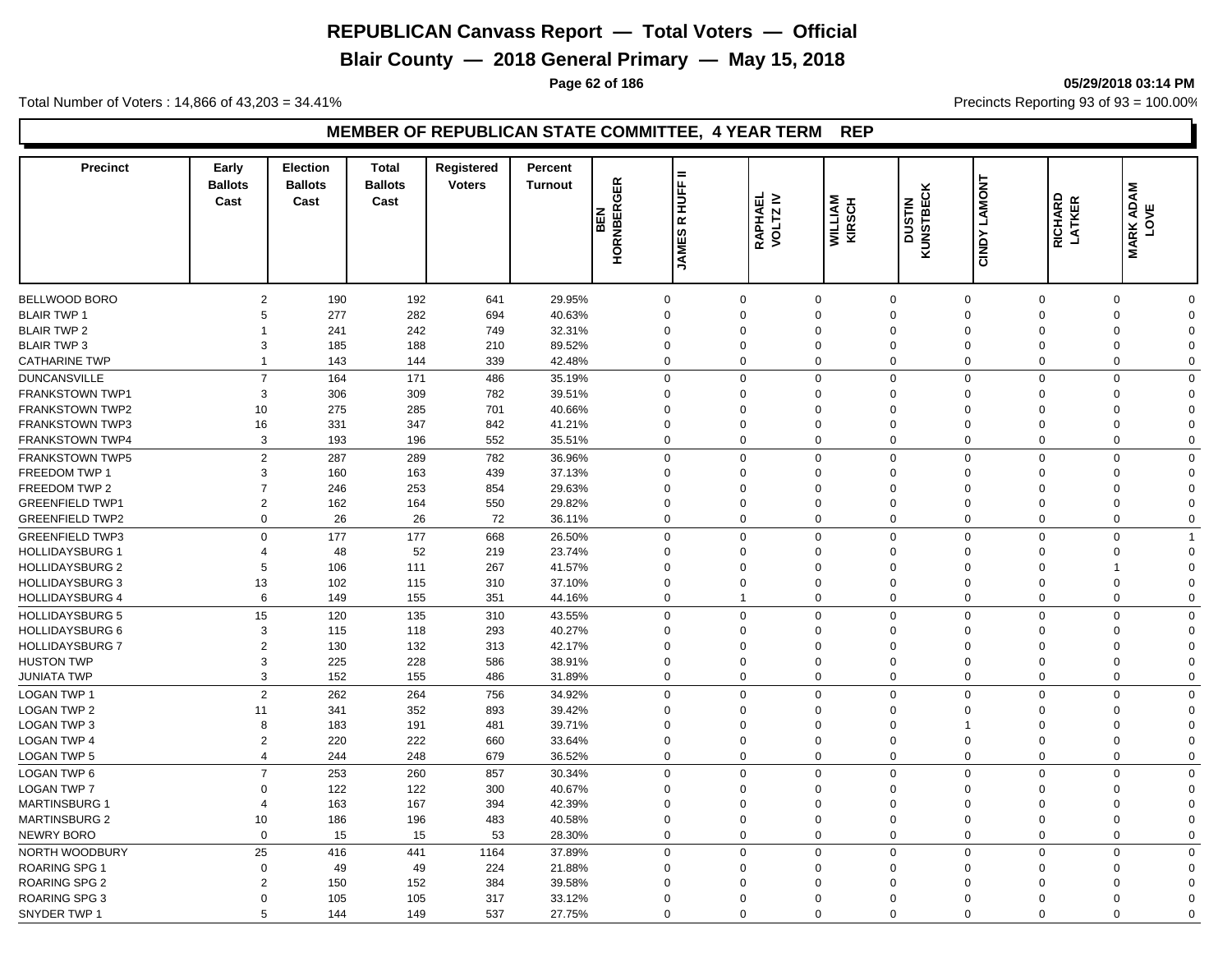**Blair County — 2018 General Primary — May 15, 2018**

**Page 62 of 186 05/29/2018 03:14 PM**

Total Number of Voters : 14,866 of 43,203 = 34.41% **Precincts Reporting 93 of 93** = 100.00%

| <b>Precinct</b>        | Early<br><b>Ballots</b><br>Cast | <b>Election</b><br><b>Ballots</b><br>Cast | <b>Total</b><br><b>Ballots</b><br>Cast | Registered<br><b>Voters</b> | Percent<br><b>Turnout</b> | <b>HORNBERGER</b><br>BEN | $=$<br><b>HUFF</b><br>$\propto$<br><b>JAMES</b> | RAPHAEL<br>VOLTZ IV | <b>WILLIAM</b><br>KIRSCH | <b>KUNSTBECK</b><br>KUNSTBECK | <b>CINDY LAMONT</b> | RICHARD<br>LATKER | <b>MARK ADAM<br/>LOVE</b>  |  |
|------------------------|---------------------------------|-------------------------------------------|----------------------------------------|-----------------------------|---------------------------|--------------------------|-------------------------------------------------|---------------------|--------------------------|-------------------------------|---------------------|-------------------|----------------------------|--|
|                        |                                 |                                           |                                        |                             |                           |                          |                                                 |                     |                          |                               |                     |                   |                            |  |
| BELLWOOD BORO          | $\overline{2}$                  | 190                                       | 192                                    | 641                         | 29.95%                    | $\mathsf 0$              |                                                 | $\mathbf 0$         | $\mathbf 0$              | $\mathbf 0$                   | $\mathbf 0$         | $\mathbf 0$       | $\Omega$<br>$\mathbf 0$    |  |
| <b>BLAIR TWP 1</b>     | 5                               | 277                                       | 282                                    | 694                         | 40.63%                    | 0                        | $\Omega$                                        |                     | $\Omega$                 | $\Omega$                      | $\Omega$            | $\mathbf 0$       | $\mathbf 0$<br>$\Omega$    |  |
| <b>BLAIR TWP 2</b>     |                                 | 241                                       | 242                                    | 749                         | 32.31%                    | 0                        | $\Omega$                                        |                     | $\Omega$                 | $\mathbf 0$                   | $\Omega$            | $\Omega$          | $\mathbf 0$<br>$\Omega$    |  |
| <b>BLAIR TWP 3</b>     | 3                               | 185                                       | 188                                    | 210                         | 89.52%                    | 0                        | $\Omega$                                        |                     | $\Omega$                 | $\mathbf 0$                   | $\Omega$            | $\Omega$          | $\mathbf 0$<br>$\Omega$    |  |
| <b>CATHARINE TWP</b>   | $\overline{1}$                  | 143                                       | 144                                    | 339                         | 42.48%                    | $\mathbf 0$              | $\Omega$                                        |                     | $\mathbf 0$              | $\mathbf 0$                   | $\mathbf 0$         | $\Omega$          | $\mathbf 0$<br>$\Omega$    |  |
| <b>DUNCANSVILLE</b>    | $\overline{7}$                  | 164                                       | 171                                    | 486                         | 35.19%                    | $\mathbf 0$              | $\Omega$                                        |                     | $\mathbf 0$              | $\mathbf 0$                   | $\Omega$            | $\mathbf 0$       | $\mathbf 0$<br>$\mathbf 0$ |  |
| <b>FRANKSTOWN TWP1</b> | 3                               | 306                                       | 309                                    | 782                         | 39.51%                    | $\Omega$                 | $\Omega$                                        |                     | $\Omega$                 | $\Omega$                      | $\Omega$            | $\mathbf 0$       | $\mathbf 0$<br>$\Omega$    |  |
| <b>FRANKSTOWN TWP2</b> | 10                              | 275                                       | 285                                    | 701                         | 40.66%                    | $\overline{0}$           | $\Omega$                                        |                     | $\Omega$                 | $\overline{0}$                | $\Omega$            | $\Omega$          | $\mathbf 0$<br>$\Omega$    |  |
| FRANKSTOWN TWP3        | 16                              | 331                                       | 347                                    | 842                         | 41.21%                    | $\Omega$                 | $\Omega$                                        |                     | $\Omega$                 | $\Omega$                      | $\Omega$            | $\mathbf 0$       | $\mathbf 0$<br>$\Omega$    |  |
| <b>FRANKSTOWN TWP4</b> | 3                               | 193                                       | 196                                    | 552                         | 35.51%                    | $\mathbf 0$              | $\Omega$                                        |                     | $\mathbf 0$              | $\mathbf 0$                   | $\Omega$            | $\mathbf 0$       | $\mathbf 0$<br>$\mathbf 0$ |  |
|                        |                                 |                                           |                                        |                             |                           |                          |                                                 |                     |                          |                               |                     |                   |                            |  |
| <b>FRANKSTOWN TWP5</b> | $\overline{2}$                  | 287                                       | 289                                    | 782                         | 36.96%                    | $\mathbf 0$              |                                                 | $\Omega$            | $\mathbf 0$              | $\mathbf 0$                   | $\mathbf 0$         | $\mathbf 0$       | $\mathbf 0$<br>$\mathbf 0$ |  |
| FREEDOM TWP 1          | 3                               | 160                                       | 163                                    | 439                         | 37.13%                    | $\mathbf 0$              | $\Omega$                                        |                     | $\Omega$                 | $\mathbf 0$                   | $\Omega$            | $\Omega$          | $\mathbf 0$<br>$\Omega$    |  |
| FREEDOM TWP 2          | $\overline{7}$                  | 246                                       | 253                                    | 854                         | 29.63%                    | 0                        | $\Omega$                                        |                     | $\Omega$                 | $\mathbf 0$                   | $\mathbf 0$         | $\Omega$          | $\mathbf 0$<br>$\Omega$    |  |
| <b>GREENFIELD TWP1</b> | $\overline{2}$                  | 162                                       | 164                                    | 550                         | 29.82%                    | $\Omega$                 | $\Omega$<br>$\Omega$                            |                     | $\Omega$                 | $\Omega$                      | $\Omega$            | $\Omega$          | $\mathbf 0$<br>$\Omega$    |  |
| <b>GREENFIELD TWP2</b> | $\mathbf 0$                     | 26                                        | 26                                     | 72                          | 36.11%                    | $\mathbf 0$              |                                                 |                     | $\mathbf 0$              | $\mathbf 0$                   | 0                   | $\mathbf 0$       | $\mathbf 0$<br>$\mathbf 0$ |  |
| <b>GREENFIELD TWP3</b> | $\Omega$                        | 177                                       | 177                                    | 668                         | 26.50%                    | $\mathbf 0$              | $\Omega$                                        |                     | $\Omega$                 | $\mathbf 0$                   | $\Omega$            | $\Omega$          | $\Omega$<br>$\mathbf{1}$   |  |
| <b>HOLLIDAYSBURG 1</b> | $\overline{4}$                  | 48                                        | 52                                     | 219                         | 23.74%                    | 0                        | $\Omega$                                        |                     | $\Omega$                 | $\mathbf 0$                   | $\Omega$            | $\Omega$          | $\mathbf 0$<br>$\Omega$    |  |
| <b>HOLLIDAYSBURG 2</b> | 5                               | 106                                       | 111                                    | 267                         | 41.57%                    | $\Omega$                 | $\Omega$                                        |                     | $\Omega$                 | $\mathbf 0$                   | $\Omega$            | $\Omega$          | $\mathbf 0$                |  |
| <b>HOLLIDAYSBURG 3</b> | 13                              | 102                                       | 115                                    | 310                         | 37.10%                    | $\Omega$                 | $\Omega$                                        |                     | $\Omega$                 | $\Omega$                      | $\Omega$            | $\mathbf 0$       | $\mathbf 0$<br>$\Omega$    |  |
| <b>HOLLIDAYSBURG 4</b> | 6                               | 149                                       | 155                                    | 351                         | 44.16%                    | $\mathbf{0}$             | $\overline{1}$                                  |                     | $\mathbf 0$              | $\mathbf 0$                   | $\Omega$            | $\mathbf 0$       | $\mathbf 0$<br>$\mathbf 0$ |  |
| <b>HOLLIDAYSBURG 5</b> | 15                              | 120                                       | 135                                    | 310                         | 43.55%                    | $\mathbf 0$              |                                                 | $\mathbf 0$         | $\mathbf 0$              | $\mathbf 0$                   | $\mathbf 0$         | $\mathbf 0$       | $\mathbf 0$<br>$\Omega$    |  |
| <b>HOLLIDAYSBURG 6</b> | 3                               | 115                                       | 118                                    | 293                         | 40.27%                    | $\mathbf 0$              | $\Omega$                                        |                     | $\Omega$                 | $\Omega$                      | $\Omega$            | $\mathbf 0$       | $\mathbf 0$<br>$\Omega$    |  |
| <b>HOLLIDAYSBURG 7</b> | $\overline{2}$                  | 130                                       | 132                                    | 313                         | 42.17%                    | $\mathbf 0$              | $\Omega$                                        |                     | $\Omega$                 | $\mathbf 0$                   | $\Omega$            | $\mathbf 0$       | $\mathbf 0$<br>$\Omega$    |  |
| <b>HUSTON TWP</b>      | 3                               | 225                                       | 228                                    | 586                         | 38.91%                    | $\Omega$                 | $\Omega$                                        |                     | $\Omega$                 | $\Omega$                      | $\Omega$            | $\mathbf 0$       | $\mathbf 0$<br>$\Omega$    |  |
| <b>JUNIATA TWP</b>     | 3                               | 152                                       | 155                                    | 486                         | 31.89%                    | $\mathbf 0$              |                                                 | $\Omega$            | $\mathbf 0$              | $\mathbf 0$                   | $\mathbf 0$         | $\Omega$          | $\mathbf 0$<br>$\mathbf 0$ |  |
| <b>LOGAN TWP 1</b>     | $\overline{2}$                  | 262                                       | 264                                    | 756                         | 34.92%                    | $\Omega$                 |                                                 | $\Omega$            | $\Omega$                 | $\mathbf 0$                   | $\Omega$            | $\Omega$          | $\Omega$<br>$\mathbf 0$    |  |
| <b>LOGAN TWP 2</b>     | 11                              | 341                                       | 352                                    | 893                         | 39.42%                    | $\Omega$                 | $\Omega$                                        |                     | $\Omega$                 | $\Omega$                      | $\Omega$            | $\Omega$          | $\mathbf 0$<br>$\Omega$    |  |
| <b>LOGAN TWP 3</b>     | 8                               | 183                                       | 191                                    | 481                         | 39.71%                    | $\Omega$                 | $\Omega$                                        |                     | $\Omega$                 | $\Omega$                      | 1                   | $\Omega$          | $\mathbf 0$<br>$\Omega$    |  |
| <b>LOGAN TWP 4</b>     | $\overline{2}$                  | 220                                       | 222                                    | 660                         | 33.64%                    | $\Omega$                 | $\Omega$                                        |                     | $\Omega$                 | $\Omega$                      | $\Omega$            | $\Omega$          | $\mathbf 0$<br>$\Omega$    |  |
| <b>LOGAN TWP 5</b>     | $\overline{4}$                  | 244                                       | 248                                    | 679                         | 36.52%                    | $\mathbf 0$              |                                                 | $\Omega$            | $\mathbf 0$              | $\mathbf 0$                   | $\Omega$            | $\mathbf 0$       | $\Omega$<br>$\mathbf 0$    |  |
| LOGAN TWP 6            | $\overline{7}$                  | 253                                       | 260                                    | 857                         | 30.34%                    | $\mathbf 0$              |                                                 | $\mathbf 0$         | $\mathbf 0$              | $\mathbf{0}$                  | $\Omega$            | $\Omega$          | $\Omega$<br>$\mathbf 0$    |  |
| <b>LOGAN TWP 7</b>     | $\Omega$                        | 122                                       | 122                                    | 300                         | 40.67%                    | $\Omega$                 | $\Omega$                                        |                     | $\Omega$                 | $\mathbf 0$                   | $\Omega$            | $\mathbf 0$       | $\mathbf 0$<br>$\Omega$    |  |
| <b>MARTINSBURG 1</b>   | $\overline{4}$                  | 163                                       | 167                                    | 394                         | 42.39%                    | $\mathbf 0$              | $\Omega$                                        |                     | $\Omega$                 | $\mathbf 0$                   | $\Omega$            | $\mathbf 0$       | $\mathbf 0$<br>$\Omega$    |  |
| <b>MARTINSBURG 2</b>   | 10                              | 186                                       | 196                                    | 483                         | 40.58%                    | $\mathbf 0$              | $\Omega$                                        |                     | $\mathbf 0$              | $\mathbf 0$                   | $\Omega$            | $\mathbf 0$       | $\mathbf 0$<br>$\Omega$    |  |
| <b>NEWRY BORO</b>      | $\mathbf 0$                     | 15                                        | 15                                     | 53                          | 28.30%                    | $\mathbf 0$              |                                                 | $\Omega$            | $\mathbf 0$              | $\mathbf 0$                   | $\mathbf 0$         | $\mathbf 0$       | $\mathbf 0$<br>$\mathbf 0$ |  |
| NORTH WOODBURY         | 25                              | 416                                       | 441                                    | 1164                        | 37.89%                    | $\mathbf 0$              |                                                 | $\mathbf 0$         | $\mathbf 0$              | $\mathbf 0$                   | $\mathbf 0$         | $\mathbf 0$       | $\mathbf 0$<br>$\mathbf 0$ |  |
| <b>ROARING SPG1</b>    | $\Omega$                        | 49                                        | 49                                     | 224                         | 21.88%                    | $\Omega$                 | $\Omega$                                        |                     | $\Omega$                 | $\Omega$                      | $\Omega$            | $\Omega$          | $\mathbf 0$<br>$\Omega$    |  |
| <b>ROARING SPG 2</b>   | $\overline{2}$                  | 150                                       | 152                                    | 384                         | 39.58%                    | 0                        | $\Omega$                                        |                     | $\Omega$                 | $\Omega$                      | $\Omega$            | $\Omega$          | $\mathbf 0$<br>$\Omega$    |  |
| <b>ROARING SPG 3</b>   | $\Omega$                        | 105                                       | 105                                    | 317                         | 33.12%                    | $\Omega$                 | $\Omega$                                        |                     | $\Omega$                 | $\Omega$                      | $\Omega$            | $\Omega$          | $\Omega$<br>$\Omega$       |  |
| SNYDER TWP 1           | 5                               | 144                                       | 149                                    | 537                         | 27.75%                    | $\Omega$                 | $\Omega$                                        |                     | $\Omega$                 | $\Omega$                      | $\Omega$            | $\Omega$          | $\Omega$<br>$\Omega$       |  |
|                        |                                 |                                           |                                        |                             |                           |                          |                                                 |                     |                          |                               |                     |                   |                            |  |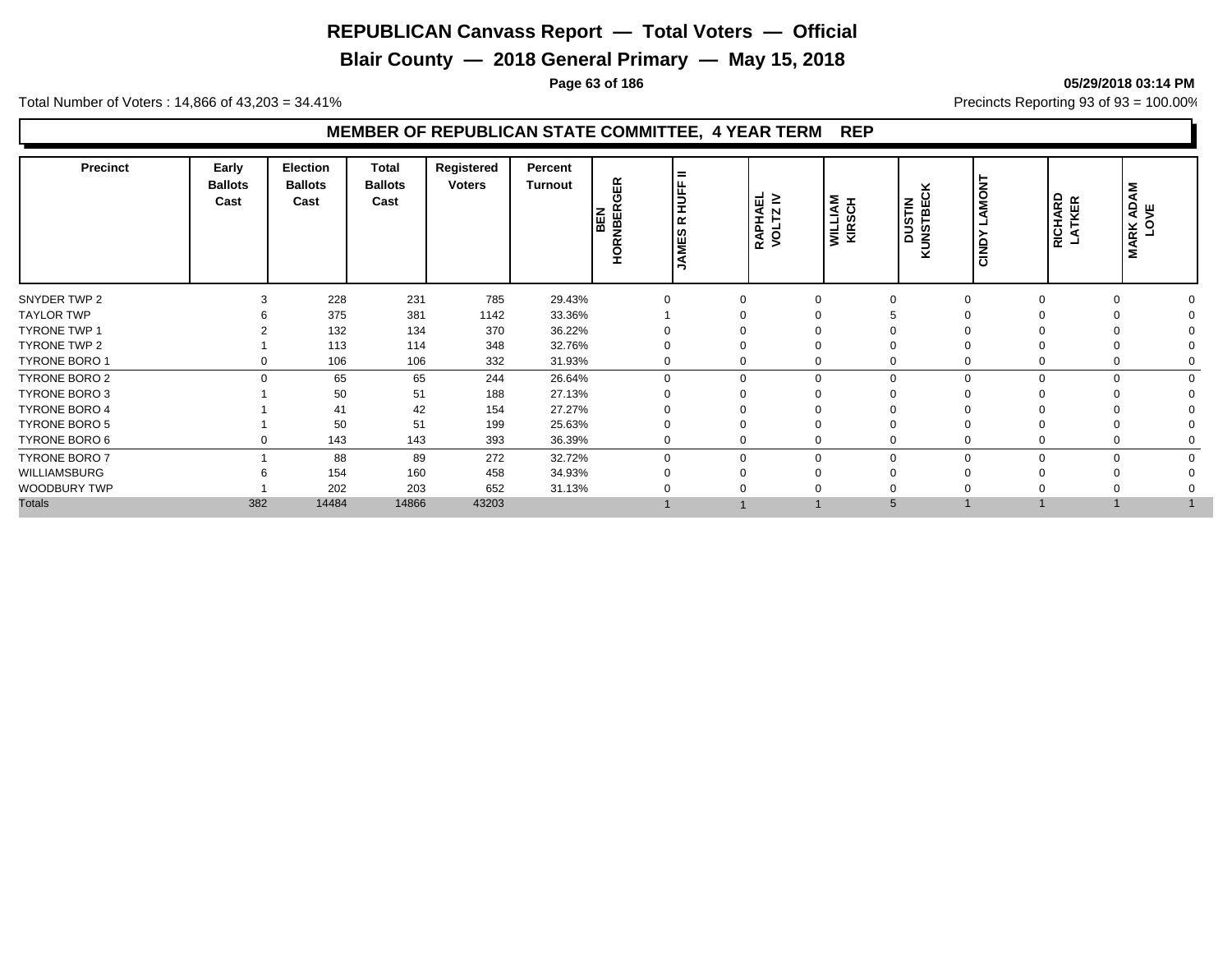**Blair County — 2018 General Primary — May 15, 2018**

**Page 63 of 186 05/29/2018 03:14 PM**

Total Number of Voters : 14,866 of 43,203 = 34.41% **Precincts Reporting 93 of 93** = 100.00%

| 228<br>231<br>785<br>SNYDER TWP 2<br>29.43%<br>3<br>$\Omega$<br>$\Omega$<br>$\Omega$<br>$\Omega$<br>375<br><b>TAYLOR TWP</b><br>381<br>33.36%<br>1142<br>132<br><b>TYRONE TWP 1</b><br>134<br>370<br>36.22% | ADAM<br>VE<br><b>MARK</b><br>LO' |
|-------------------------------------------------------------------------------------------------------------------------------------------------------------------------------------------------------------|----------------------------------|
|                                                                                                                                                                                                             | $\Omega$                         |
|                                                                                                                                                                                                             |                                  |
|                                                                                                                                                                                                             |                                  |
| <b>TYRONE TWP 2</b><br>113<br>348<br>114<br>32.76%                                                                                                                                                          |                                  |
| <b>TYRONE BORO 1</b><br>106<br>332<br>31.93%<br>106<br>$\Omega$<br>$\Omega$                                                                                                                                 |                                  |
| <b>TYRONE BORO 2</b><br>65<br>65<br>244<br>26.64%<br>$\Omega$<br>$\mathbf 0$<br>$\Omega$<br>$\Omega$<br>$\Omega$                                                                                            | $\Omega$                         |
| 50<br><b>TYRONE BORO 3</b><br>188<br>27.13%<br>51                                                                                                                                                           |                                  |
| <b>TYRONE BORO 4</b><br>41<br>42<br>154<br>27.27%                                                                                                                                                           |                                  |
| 50<br><b>TYRONE BORO 5</b><br>199<br>51<br>25.63%                                                                                                                                                           |                                  |
| TYRONE BORO 6<br>143<br>393<br>36.39%<br>143<br>0<br>$\Omega$                                                                                                                                               |                                  |
| <b>TYRONE BORO 7</b><br>88<br>89<br>272<br>32.72%<br>$\mathbf 0$<br>$\Omega$<br>$\Omega$<br>$\Omega$<br>$\Omega$<br>$\Omega$                                                                                | $\Omega$                         |
| WILLIAMSBURG<br>154<br>458<br>160<br>34.93%                                                                                                                                                                 |                                  |
| WOODBURY TWP<br>202<br>203<br>652<br>31.13%                                                                                                                                                                 |                                  |
| <b>Totals</b><br>382<br>14484<br>14866<br>43203<br>5                                                                                                                                                        |                                  |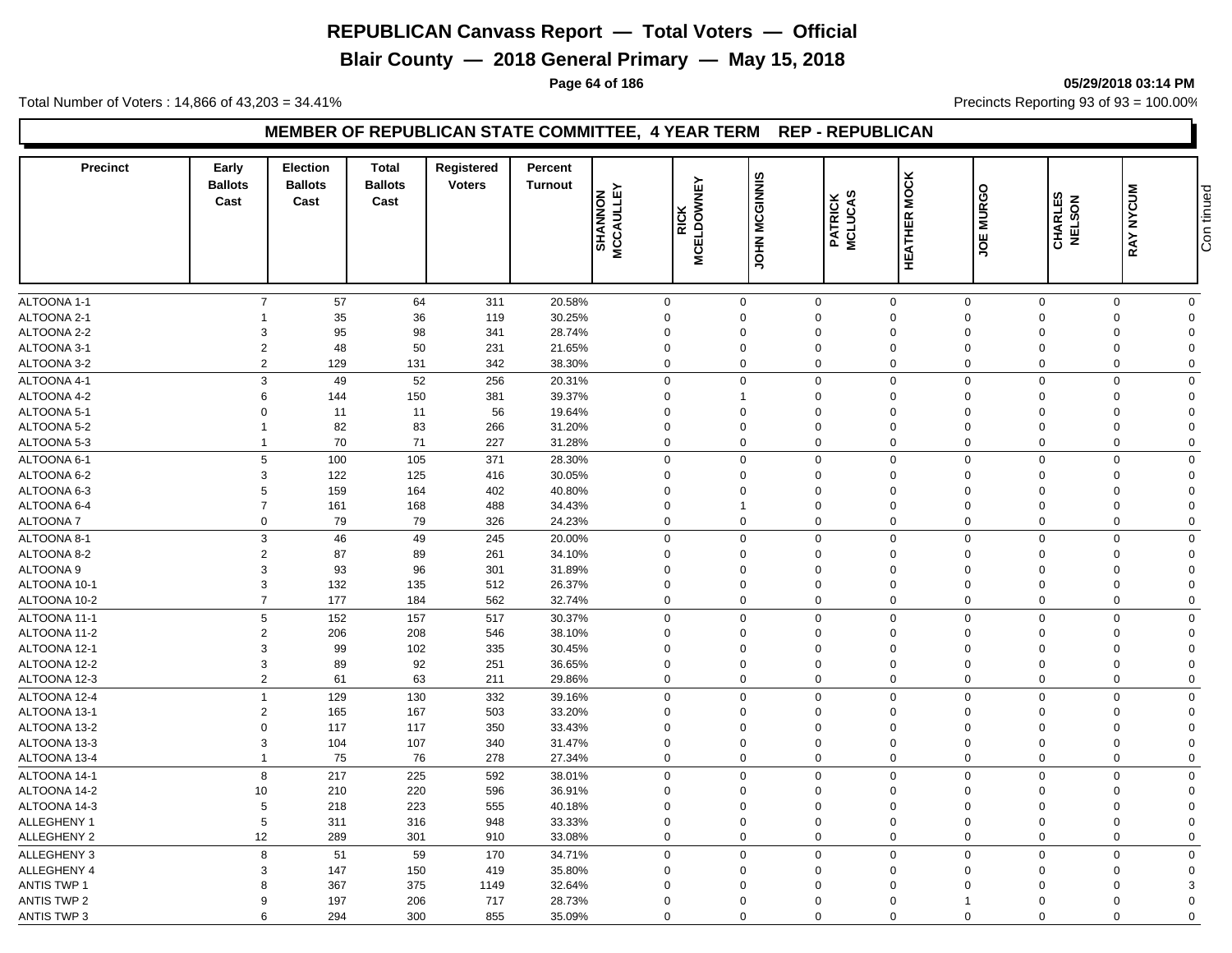**Blair County — 2018 General Primary — May 15, 2018**

**Page 64 of 186 05/29/2018 03:14 PM**

Total Number of Voters : 14,866 of 43,203 = 34.41% **Precincts Reporting 93 of 93** = 100.00%

#### **MEMBER OF REPUBLICAN STATE COMMITTEE, 4 YEAR TERM REP - REPUBLICAN**

| <b>Precinct</b>    | Early<br><b>Ballots</b><br>Cast | <b>Election</b><br><b>Ballots</b><br>Cast | <b>Total</b><br><b>Ballots</b><br>Cast | <b>Registered</b><br><b>Voters</b> | Percent<br><b>Turnout</b> | <b>SHANNON<br/>MCCAULLEY</b> | <b>MCELDOWNEY</b><br><b>RICK</b> | JOHN MCGINNIS | <b>PATRICK<br/>MCLUCAS</b> | <b>HEATHER MOCK</b> | JOE MURGO   | ິ ⊔<br>$\overline{6}$<br>CHARLI<br>NELSO | <b>NYCUM</b><br>RAY | Con tinued   |
|--------------------|---------------------------------|-------------------------------------------|----------------------------------------|------------------------------------|---------------------------|------------------------------|----------------------------------|---------------|----------------------------|---------------------|-------------|------------------------------------------|---------------------|--------------|
|                    |                                 |                                           |                                        |                                    |                           |                              |                                  |               |                            |                     |             |                                          |                     |              |
|                    |                                 |                                           |                                        |                                    |                           |                              |                                  |               |                            |                     |             |                                          |                     |              |
| ALTOONA 1-1        | $\overline{7}$                  | 57                                        | 64                                     | 311                                | 20.58%                    |                              | $\mathbf 0$                      | $\mathbf 0$   | $\mathbf 0$                | $\mathbf{0}$        | $\mathbf 0$ | $\mathbf{0}$                             | $\mathbf{0}$        | $\mathbf{0}$ |
| ALTOONA 2-1        |                                 | 35                                        | 36                                     | 119                                | 30.25%                    |                              | $\mathbf 0$                      | $\mathbf 0$   | $\Omega$                   | $\mathbf 0$         | $\Omega$    | $\mathbf 0$                              | $\mathbf 0$         | $\Omega$     |
| ALTOONA 2-2        | 3                               | 95                                        | 98                                     | 341                                | 28.74%                    |                              | $\Omega$                         | $\mathbf 0$   | $\Omega$                   | $\mathbf 0$         | $\Omega$    | $\Omega$                                 | $\Omega$            | $\Omega$     |
| ALTOONA 3-1        | $\overline{2}$                  | 48                                        | 50                                     | 231                                | 21.65%                    |                              | $\mathbf 0$                      | $\mathbf 0$   | $\Omega$                   | $\mathbf 0$         | $\Omega$    | 0                                        | $\mathbf 0$         | $\mathbf 0$  |
| ALTOONA 3-2        | $\overline{2}$                  | 129                                       | 131                                    | 342                                | 38.30%                    |                              | $\mathbf 0$                      | $\mathbf 0$   | $\Omega$                   | $\mathbf 0$         | $\mathbf 0$ | $\mathbf 0$                              | $\mathbf 0$         | $\mathbf 0$  |
| ALTOONA 4-1        | 3                               | 49                                        | 52                                     | 256                                | 20.31%                    |                              | $\mathbf 0$                      | $\Omega$      | $\Omega$                   | $\mathbf 0$         | $\Omega$    | $\Omega$                                 | $\mathbf 0$         | $\mathbf 0$  |
| ALTOONA 4-2        | 6                               | 144                                       | 150                                    | 381                                | 39.37%                    |                              | $\Omega$                         | 1             | $\Omega$                   | $\mathbf 0$         | $\Omega$    | $\Omega$                                 | $\Omega$            | $\Omega$     |
| ALTOONA 5-1        | $\Omega$                        | 11                                        | 11                                     | 56                                 | 19.64%                    |                              | $\Omega$                         | $\Omega$      | $\Omega$                   | $\mathbf 0$         | $\Omega$    | $\Omega$                                 | $\Omega$            | $\Omega$     |
| ALTOONA 5-2        |                                 | 82                                        | 83                                     | 266                                | 31.20%                    |                              | $\mathbf 0$                      | $\mathbf 0$   | $\Omega$                   | $\Omega$            | $\Omega$    | $\Omega$                                 | $\Omega$            | $\Omega$     |
| ALTOONA 5-3        |                                 | 70                                        | 71                                     | 227                                | 31.28%                    |                              | $\mathbf 0$                      | $\Omega$      | $\Omega$                   | $\Omega$            | $\Omega$    | $\mathbf 0$                              | $\Omega$            | $\mathbf 0$  |
| ALTOONA 6-1        | 5                               | 100                                       | 105                                    | 371                                | 28.30%                    |                              | $\mathbf 0$                      | $\mathbf 0$   | $\Omega$                   | $\mathbf 0$         | $\mathbf 0$ | $\Omega$                                 | $\Omega$            | 0            |
| ALTOONA 6-2        | 3                               | 122                                       | 125                                    | 416                                | 30.05%                    |                              | $\mathbf 0$                      | $\mathbf 0$   | $\Omega$                   | $\mathbf 0$         | $\Omega$    | $\Omega$                                 | $\Omega$            | $\Omega$     |
| ALTOONA 6-3        | 5                               | 159                                       | 164                                    | 402                                | 40.80%                    |                              | $\mathbf 0$                      | $\Omega$      | $\Omega$                   | $\Omega$            | $\Omega$    | $\Omega$                                 | $\mathbf 0$         | $\mathbf 0$  |
| ALTOONA 6-4        | $\overline{7}$                  | 161                                       | 168                                    | 488                                | 34.43%                    |                              | $\Omega$                         | $\mathbf{1}$  | $\Omega$                   | $\mathbf 0$         | $\Omega$    | $\Omega$                                 | $\Omega$            | $\Omega$     |
| ALTOONA 7          | $\mathbf 0$                     | 79                                        | 79                                     | 326                                | 24.23%                    |                              | $\mathbf 0$                      | $\mathbf 0$   | $\Omega$                   | $\mathbf 0$         | $\Omega$    | $\Omega$                                 | $\mathbf 0$         | $\mathbf 0$  |
| ALTOONA 8-1        | $\mathbf{3}$                    | 46                                        | 49                                     | 245                                | 20.00%                    |                              | $\mathbf 0$                      | $\Omega$      | $\Omega$                   | $\mathbf 0$         | $\Omega$    | $\mathbf 0$                              | $\Omega$            | 0            |
| ALTOONA 8-2        | $\overline{2}$                  | 87                                        | 89                                     | 261                                | 34.10%                    |                              | $\mathbf 0$                      | $\Omega$      | $\Omega$                   | $\mathbf 0$         | $\Omega$    | $\Omega$                                 | $\Omega$            | $\mathbf 0$  |
| ALTOONA 9          | 3                               | 93                                        | 96                                     | 301                                | 31.89%                    |                              | $\Omega$                         | $\mathbf 0$   | $\Omega$                   | $\mathbf 0$         | $\Omega$    | $\Omega$                                 | $\Omega$            | $\Omega$     |
| ALTOONA 10-1       | 3                               | 132                                       | 135                                    | 512                                | 26.37%                    |                              | $\mathbf 0$                      | $\mathbf 0$   | $\Omega$                   | $\mathbf 0$         | $\Omega$    | $\Omega$                                 | $\Omega$            | $\Omega$     |
| ALTOONA 10-2       | $\overline{7}$                  | 177                                       | 184                                    | 562                                | 32.74%                    |                              | $\mathbf 0$                      | $\mathbf 0$   | $\mathbf 0$                | $\mathbf 0$         | $\mathbf 0$ | $\mathbf 0$                              | $\mathbf 0$         | 0            |
| ALTOONA 11-1       | 5                               | 152                                       | 157                                    | 517                                | 30.37%                    |                              | $\mathbf 0$                      | $\mathbf 0$   | $\Omega$                   | $\mathbf 0$         | $\mathbf 0$ | $\mathbf 0$                              | $\mathbf 0$         | 0            |
| ALTOONA 11-2       | $\overline{2}$                  | 206                                       | 208                                    | 546                                | 38.10%                    |                              | $\Omega$                         | $\Omega$      | $\Omega$                   | $\mathbf 0$         | $\Omega$    | $\Omega$                                 | $\Omega$            | $\Omega$     |
| ALTOONA 12-1       | 3                               | 99                                        | 102                                    | 335                                | 30.45%                    |                              | $\mathbf 0$                      | $\Omega$      | $\Omega$                   | $\mathbf 0$         | $\Omega$    | $\mathbf 0$                              | $\Omega$            | $\mathbf 0$  |
| ALTOONA 12-2       | 3                               | 89                                        | 92                                     | 251                                | 36.65%                    |                              | $\mathbf 0$                      | $\mathbf 0$   | $\Omega$                   | $\mathbf 0$         | $\Omega$    | $\mathbf 0$                              | $\mathbf 0$         | $\mathbf 0$  |
| ALTOONA 12-3       | $\overline{2}$                  | 61                                        | 63                                     | 211                                | 29.86%                    |                              | $\Omega$                         | $\mathbf 0$   | $\Omega$                   | $\mathbf 0$         | $\Omega$    | $\mathbf 0$                              | $\Omega$            | $\mathbf 0$  |
| ALTOONA 12-4       | $\overline{1}$                  | 129                                       | 130                                    | 332                                | 39.16%                    |                              | $\mathbf 0$                      | $\Omega$      | $\Omega$                   | $\mathbf 0$         | $\Omega$    | $\mathbf 0$                              | $\Omega$            | $\mathbf 0$  |
| ALTOONA 13-1       | $\overline{2}$                  | 165                                       | 167                                    | 503                                | 33.20%                    |                              | $\Omega$                         | $\mathbf 0$   | $\Omega$                   | $\mathbf 0$         | $\Omega$    | $\Omega$                                 | $\Omega$            | $\Omega$     |
| ALTOONA 13-2       | $\mathbf 0$                     | 117                                       | 117                                    | 350                                | 33.43%                    |                              | $\mathbf 0$                      | $\mathbf 0$   | $\Omega$                   | $\mathbf 0$         | $\Omega$    | $\mathbf 0$                              | $\Omega$            | $\mathbf 0$  |
| ALTOONA 13-3       | 3                               | 104                                       | 107                                    | 340                                | 31.47%                    |                              | $\mathbf 0$                      | $\mathbf 0$   | $\Omega$                   | $\mathbf 0$         | $\Omega$    | $\Omega$                                 | 0                   | $\Omega$     |
| ALTOONA 13-4       | 1                               | 75                                        | 76                                     | 278                                | 27.34%                    |                              | $\mathbf 0$                      | $\mathbf 0$   | $\Omega$                   | $\mathbf 0$         | $\mathbf 0$ | 0                                        | $\mathbf 0$         | $\mathbf 0$  |
| ALTOONA 14-1       | 8                               | 217                                       | 225                                    | 592                                | 38.01%                    |                              | $\mathbf 0$                      | $\Omega$      | $\Omega$                   | $\mathbf 0$         | $\Omega$    | $\Omega$                                 | $\Omega$            | $\mathbf{0}$ |
| ALTOONA 14-2       | 10                              | 210                                       | 220                                    | 596                                | 36.91%                    |                              | $\Omega$                         | $\Omega$      | $\Omega$                   | $\Omega$            | $\Omega$    | $\Omega$                                 | $\mathbf 0$         | $\mathbf 0$  |
| ALTOONA 14-3       | 5                               | 218                                       | 223                                    | 555                                | 40.18%                    |                              | $\Omega$                         | $\Omega$      | $\Omega$                   | $\Omega$            | $\Omega$    | $\Omega$                                 | $\Omega$            | $\Omega$     |
| <b>ALLEGHENY 1</b> | 5                               | 311                                       | 316                                    | 948                                | 33.33%                    |                              | $\Omega$                         | $\mathbf 0$   | $\Omega$                   | $\mathbf 0$         | $\Omega$    | $\Omega$                                 | $\Omega$            | $\Omega$     |
| <b>ALLEGHENY 2</b> | 12                              | 289                                       | 301                                    | 910                                | 33.08%                    |                              | $\mathbf 0$                      | $\mathbf 0$   | $\Omega$                   | $\mathbf 0$         | $\Omega$    | $\Omega$                                 | $\Omega$            | $\mathbf 0$  |
| ALLEGHENY 3        | 8                               | 51                                        | 59                                     | 170                                | 34.71%                    |                              | $\mathbf 0$                      | $\mathbf 0$   | $\Omega$                   | $\mathbf 0$         | $\Omega$    | $\Omega$                                 | $\Omega$            | $\mathbf 0$  |
| ALLEGHENY 4        | 3                               | 147                                       | 150                                    | 419                                | 35.80%                    |                              | $\mathbf 0$                      | $\mathbf 0$   | $\Omega$                   | $\mathbf 0$         | $\mathbf 0$ | $\mathbf 0$                              | $\mathbf 0$         | $\mathbf 0$  |
| <b>ANTIS TWP 1</b> | 8                               | 367                                       | 375                                    | 1149                               | 32.64%                    |                              | $\Omega$                         | $\Omega$      | $\Omega$                   | $\Omega$            | $\Omega$    | $\Omega$                                 | $\Omega$            | 3            |
| <b>ANTIS TWP 2</b> | 9                               | 197                                       | 206                                    | 717                                | 28.73%                    |                              | $\Omega$                         | $\mathbf 0$   | $\Omega$                   | $\mathbf 0$         | -1          | $\Omega$                                 | $\Omega$            | $\Omega$     |
| <b>ANTIS TWP 3</b> | 6                               | 294                                       | 300                                    | 855                                | 35.09%                    |                              | $\mathbf 0$                      | $\Omega$      | $\Omega$                   | $\Omega$            | $\Omega$    | $\Omega$                                 | $\Omega$            | $\Omega$     |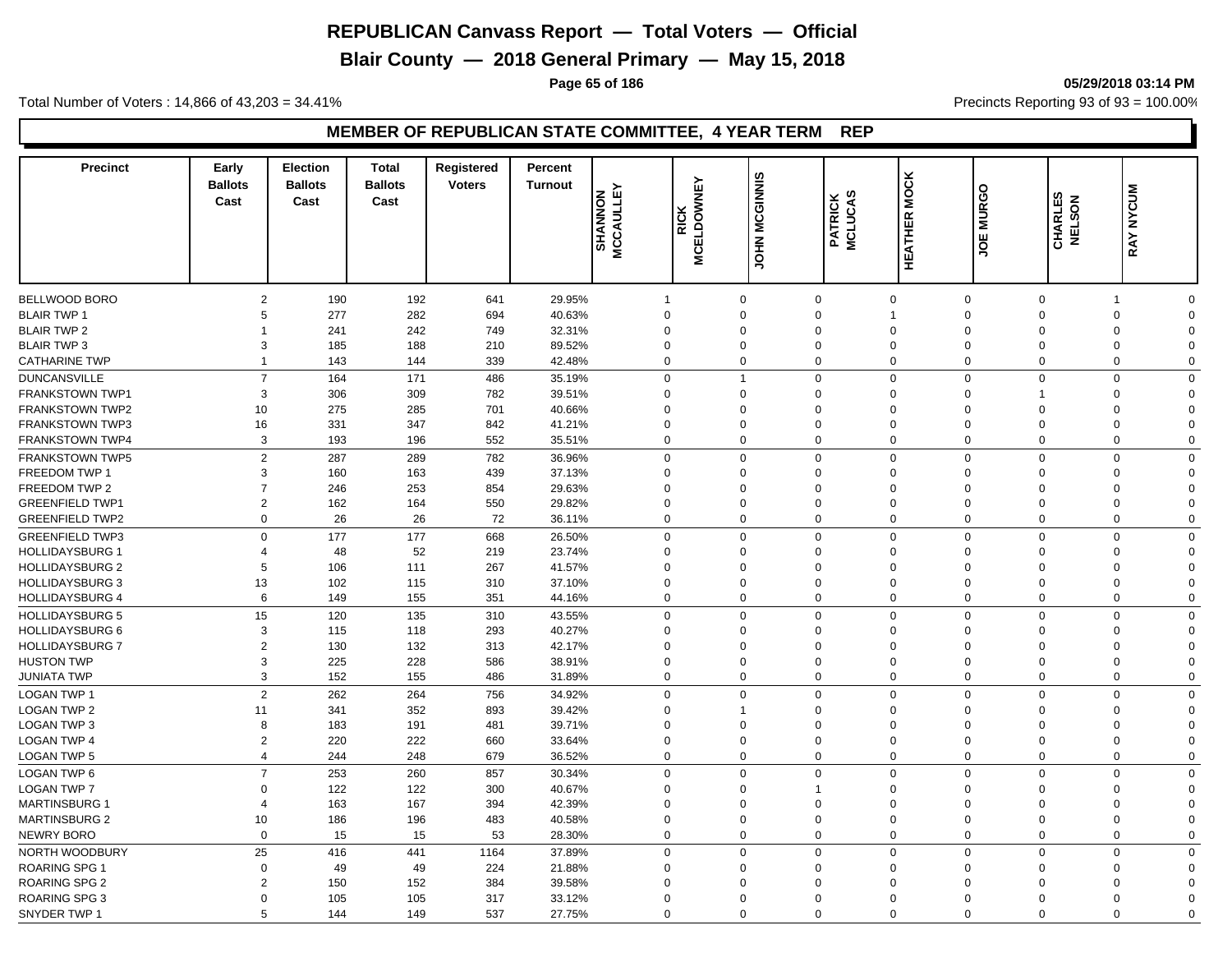**Blair County — 2018 General Primary — May 15, 2018**

**Page 65 of 186 05/29/2018 03:14 PM**

Total Number of Voters : 14,866 of 43,203 = 34.41% **Precincts Reporting 93 of 93** = 100.00%

| <b>Precinct</b>                          | Early<br><b>Ballots</b><br>Cast | <b>Election</b><br><b>Ballots</b><br>Cast | <b>Total</b><br><b>Ballots</b><br>Cast | Registered<br><b>Voters</b> | Percent<br><b>Turnout</b> | <b>MCCAULLEY</b><br><b>NONNAHS</b> | <b>MCELDOWNEY</b><br><b>RICK</b> | JOHN MCGINNIS | <b>PATRICK<br/>MCLUCAS</b> | <b>HEATHER MOCK</b>         | JOE MURGO               | ΕS<br>CHARLES<br>NELSON | <b>NYCUM</b><br><b>RAY</b>                      |  |
|------------------------------------------|---------------------------------|-------------------------------------------|----------------------------------------|-----------------------------|---------------------------|------------------------------------|----------------------------------|---------------|----------------------------|-----------------------------|-------------------------|-------------------------|-------------------------------------------------|--|
|                                          |                                 |                                           |                                        |                             |                           |                                    |                                  |               |                            |                             |                         |                         |                                                 |  |
|                                          |                                 |                                           |                                        |                             |                           |                                    |                                  |               |                            |                             |                         |                         |                                                 |  |
| BELLWOOD BORO                            | $\overline{2}$                  | 190                                       | 192                                    | 641                         | 29.95%                    | $\overline{1}$                     | $\mathbf 0$                      | $\Omega$      | $\mathbf 0$                | $\mathbf 0$<br>$\mathbf{1}$ | $\mathbf 0$<br>$\Omega$ | $\mathbf 0$<br>$\Omega$ | $\mathbf 0$<br>$\mathbf 1$                      |  |
| <b>BLAIR TWP 1</b>                       | 5                               | 277                                       | 282                                    | 694                         | 40.63%                    | $\mathbf 0$<br>$\mathbf 0$         | $\mathbf 0$<br>$\mathbf 0$       | $\Omega$      |                            | $\mathbf 0$                 | $\Omega$<br>$\mathbf 0$ |                         | $\Omega$<br>$\Omega$<br>$\mathbf 0$<br>$\Omega$ |  |
| <b>BLAIR TWP 2</b><br><b>BLAIR TWP 3</b> | 3                               | 241                                       | 242                                    | 749<br>210                  | 32.31%                    | $\mathbf 0$                        | $\mathbf 0$                      |               | $\Omega$                   | $\mathbf 0$                 | $\Omega$<br>$\mathbf 0$ |                         | $\mathbf 0$<br>$\Omega$                         |  |
|                                          | $\mathbf 1$                     | 185                                       | 188                                    |                             | 89.52%                    |                                    | $\Omega$                         |               |                            | $\Omega$                    |                         |                         |                                                 |  |
| <b>CATHARINE TWP</b>                     |                                 | 143                                       | 144                                    | 339                         | 42.48%                    | $\mathbf 0$                        |                                  |               | $\Omega$                   |                             | $\Omega$                | $\mathbf 0$             | $\mathbf 0$<br>$\pmb{0}$                        |  |
| <b>DUNCANSVILLE</b>                      | $\overline{7}$                  | 164                                       | 171                                    | 486                         | 35.19%                    | $\mathbf 0$                        | $\mathbf{1}$                     |               | $\Omega$                   | $\mathbf 0$                 | $\Omega$                | $\mathbf 0$             | $\mathbf 0$<br>$\Omega$                         |  |
| <b>FRANKSTOWN TWP1</b>                   | 3                               | 306                                       | 309                                    | 782                         | 39.51%                    | $\Omega$                           | $\mathbf 0$                      | $\Omega$      |                            | $\mathbf 0$                 | $\Omega$<br>1           |                         | $\Omega$<br>$\Omega$                            |  |
| <b>FRANKSTOWN TWP2</b>                   | 10                              | 275                                       | 285                                    | 701                         | 40.66%                    | $\Omega$                           | $\Omega$                         | $\Omega$      |                            | $\Omega$                    | $\Omega$<br>$\Omega$    |                         | $\Omega$<br>$\Omega$                            |  |
| <b>FRANKSTOWN TWP3</b>                   | 16                              | 331                                       | 347                                    | 842                         | 41.21%                    | $\Omega$                           | $\mathbf 0$                      | $\Omega$      |                            | $\mathbf 0$                 | $\Omega$<br>$\Omega$    |                         | $\Omega$<br>$\Omega$                            |  |
| <b>FRANKSTOWN TWP4</b>                   | 3                               | 193                                       | 196                                    | 552                         | 35.51%                    | $\mathbf 0$                        | $\mathbf 0$                      |               | $\Omega$                   | $\mathbf 0$                 | $\Omega$                | $\Omega$                | $\mathbf 0$<br>0                                |  |
| <b>FRANKSTOWN TWP5</b>                   | $\overline{2}$                  | 287                                       | 289                                    | 782                         | 36.96%                    | $\mathbf 0$                        | $\Omega$                         |               | $\Omega$                   | $\mathbf 0$                 | $\mathbf 0$             | $\mathbf 0$             | 0<br>$\mathbf 0$                                |  |
| FREEDOM TWP 1                            | 3                               | 160                                       | 163                                    | 439                         | 37.13%                    | $\mathbf 0$                        | $\Omega$                         |               | $\Omega$                   | $\mathbf 0$                 | $\Omega$                | $\Omega$                | $\Omega$<br>$\Omega$                            |  |
| FREEDOM TWP 2                            | $\overline{7}$                  | 246                                       | 253                                    | 854                         | 29.63%                    | $\mathbf 0$                        | $\Omega$                         | $\Omega$      |                            | $\mathbf 0$                 | $\Omega$                | $\mathbf 0$             | $\mathbf 0$<br>$\mathbf 0$                      |  |
| <b>GREENFIELD TWP1</b>                   | $\overline{2}$                  | 162                                       | 164                                    | 550                         | 29.82%                    | $\Omega$                           | $\Omega$                         |               | $\Omega$                   | $\Omega$                    | $\Omega$<br>$\Omega$    |                         | $\Omega$<br>$\Omega$                            |  |
| <b>GREENFIELD TWP2</b>                   | $\mathbf 0$                     | 26                                        | 26                                     | 72                          | 36.11%                    | $\mathbf 0$                        | $\Omega$                         |               | $\Omega$                   | $\Omega$                    | $\mathbf 0$             | $\Omega$                | $\mathbf 0$<br>$\mathbf 0$                      |  |
| <b>GREENFIELD TWP3</b>                   | $\Omega$                        | 177                                       | 177                                    | 668                         | 26.50%                    | $\mathbf 0$                        | $\mathbf 0$                      |               | $\Omega$                   | $\mathbf 0$                 | $\Omega$                | $\mathbf 0$             | $\mathbf 0$<br>$\mathbf 0$                      |  |
| <b>HOLLIDAYSBURG 1</b>                   | 4                               | 48                                        | 52                                     | 219                         | 23.74%                    | $\Omega$                           | $\Omega$                         |               | $\Omega$                   | $\Omega$                    | $\Omega$                | $\Omega$                | $\mathbf 0$<br>$\Omega$                         |  |
| <b>HOLLIDAYSBURG 2</b>                   | 5                               | 106                                       | 111                                    | 267                         | 41.57%                    | $\Omega$                           | $\Omega$                         | $\Omega$      |                            | $\Omega$                    | $\Omega$<br>$\Omega$    |                         | $\Omega$<br>$\Omega$                            |  |
| <b>HOLLIDAYSBURG 3</b>                   | 13                              | 102                                       | 115                                    | 310                         | 37.10%                    | $\Omega$                           | $\Omega$                         |               | $\Omega$                   | $\mathbf 0$                 | $\Omega$                | $\Omega$                | $\Omega$<br>$\Omega$                            |  |
| <b>HOLLIDAYSBURG 4</b>                   | 6                               | 149                                       | 155                                    | 351                         | 44.16%                    | $\mathbf 0$                        | $\mathbf 0$                      |               | $\mathbf 0$                | $\mathbf 0$                 | $\mathbf 0$             | $\mathbf 0$             | $\Omega$<br>0                                   |  |
| <b>HOLLIDAYSBURG 5</b>                   | 15                              | 120                                       | 135                                    | 310                         | 43.55%                    | $\mathbf 0$                        | $\mathbf 0$                      |               | $\Omega$                   | $\mathbf 0$                 | $\Omega$                | $\Omega$                | $\mathbf 0$<br>$\mathbf 0$                      |  |
| <b>HOLLIDAYSBURG 6</b>                   | 3                               | 115                                       | 118                                    | 293                         | 40.27%                    | $\Omega$                           | $\Omega$                         | $\Omega$      |                            | $\mathbf 0$                 | $\Omega$                | $\Omega$                | $\Omega$<br>$\Omega$                            |  |
| <b>HOLLIDAYSBURG 7</b>                   | $\overline{2}$                  | 130                                       | 132                                    | 313                         | 42.17%                    | $\mathbf 0$                        | $\mathbf 0$                      | $\Omega$      |                            | $\mathbf 0$                 | $\Omega$                | $\mathbf 0$             | $\Omega$<br>$\Omega$                            |  |
| <b>HUSTON TWP</b>                        | 3                               | 225                                       | 228                                    | 586                         | 38.91%                    | $\mathbf 0$                        | $\mathbf 0$                      | $\Omega$      |                            | $\mathbf 0$                 | $\Omega$                | $\Omega$                | $\Omega$<br>$\Omega$                            |  |
| <b>JUNIATA TWP</b>                       | 3                               | 152                                       | 155                                    | 486                         | 31.89%                    | $\mathbf 0$                        | $\Omega$                         |               | $\Omega$                   | $\mathbf 0$                 | $\Omega$                | $\mathbf 0$             | $\mathbf 0$<br>0                                |  |
| LOGAN TWP 1                              | $\overline{2}$                  | 262                                       | 264                                    | 756                         |                           | $\mathbf 0$                        | $\Omega$                         |               | $\Omega$                   | $\mathbf 0$                 | $\mathbf 0$             | $\Omega$                | $\mathbf 0$<br>$\Omega$                         |  |
|                                          |                                 |                                           |                                        |                             | 34.92%                    |                                    |                                  | $\Omega$      |                            | $\Omega$                    |                         |                         |                                                 |  |
| <b>LOGAN TWP 2</b>                       | 11                              | 341                                       | 352                                    | 893                         | 39.42%                    | $\Omega$                           | -1<br>$\Omega$                   |               |                            |                             | $\Omega$<br>$\Omega$    |                         | $\Omega$<br>$\Omega$                            |  |
| <b>LOGAN TWP 3</b>                       | 8                               | 183                                       | 191                                    | 481                         | 39.71%                    | $\Omega$                           |                                  | $\Omega$      |                            | $\Omega$                    | $\Omega$<br>$\Omega$    |                         | $\mathbf 0$<br>$\Omega$                         |  |
| LOGAN TWP 4                              | $\overline{2}$                  | 220                                       | 222                                    | 660                         | 33.64%                    | $\Omega$                           | $\Omega$                         |               | $\Omega$                   | $\mathbf 0$                 | $\Omega$                | $\Omega$                | $\Omega$<br>$\Omega$                            |  |
| <b>LOGAN TWP 5</b>                       | $\overline{\mathbf{4}}$         | 244                                       | 248                                    | 679                         | 36.52%                    | $\mathbf 0$                        | $\mathbf 0$                      |               | $\Omega$                   | $\mathbf 0$                 | $\mathbf 0$             | $\mathbf 0$             | $\mathbf 0$<br>$\Omega$                         |  |
| <b>LOGAN TWP 6</b>                       | $\overline{7}$                  | 253                                       | 260                                    | 857                         | 30.34%                    | $\mathbf 0$                        | $\Omega$                         |               | $\Omega$                   | $\mathbf 0$                 | $\mathbf 0$             | $\mathbf 0$             | $\mathbf{0}$<br>$\mathbf{0}$                    |  |
| <b>LOGAN TWP 7</b>                       | $\Omega$                        | 122                                       | 122                                    | 300                         | 40.67%                    | $\Omega$                           | $\Omega$                         | -1            |                            | $\mathbf 0$                 | $\Omega$                | $\Omega$                | $\Omega$<br>$\Omega$                            |  |
| <b>MARTINSBURG 1</b>                     | $\overline{4}$                  | 163                                       | 167                                    | 394                         | 42.39%                    | $\mathbf 0$                        | $\Omega$                         | $\Omega$      |                            | $\mathbf 0$                 | $\Omega$                | $\Omega$                | $\Omega$<br>$\Omega$                            |  |
| <b>MARTINSBURG 2</b>                     | 10                              | 186                                       | 196                                    | 483                         | 40.58%                    | 0                                  | $\mathbf 0$                      |               | $\Omega$                   | $\mathbf 0$                 | $\Omega$                | $\Omega$                | $\Omega$<br>$\Omega$                            |  |
| <b>NEWRY BORO</b>                        | $\Omega$                        | 15                                        | 15                                     | 53                          | 28.30%                    | $\mathbf 0$                        | $\mathbf 0$                      |               | $\Omega$                   | $\mathbf 0$                 | $\mathbf 0$             | $\mathbf 0$             | 0<br>0                                          |  |
| NORTH WOODBURY                           | 25                              | 416                                       | 441                                    | 1164                        | 37.89%                    | $\mathbf 0$                        | $\mathbf 0$                      |               | $\Omega$                   | $\mathbf 0$                 | $\mathbf 0$             | $\mathbf 0$             | $\mathbf 0$<br>0                                |  |
| <b>ROARING SPG 1</b>                     | $\Omega$                        | 49                                        | 49                                     | 224                         | 21.88%                    | $\Omega$                           | $\mathbf 0$                      | $\Omega$      |                            | $\Omega$                    | $\Omega$                | $\Omega$                | $\Omega$<br>$\Omega$                            |  |
| ROARING SPG 2                            | $\overline{2}$                  | 150                                       | 152                                    | 384                         | 39.58%                    | $\Omega$                           | $\Omega$                         | $\Omega$      |                            | $\mathbf 0$                 | $\Omega$                | 0                       | $\Omega$<br>$\Omega$                            |  |
| <b>ROARING SPG 3</b>                     | $\Omega$                        | 105                                       | 105                                    | 317                         | 33.12%                    | $\Omega$                           | $\Omega$                         | $\Omega$      |                            | $\Omega$                    | $\Omega$                | $\Omega$                | $\Omega$<br>$\Omega$                            |  |
| SNYDER TWP 1                             | 5                               | 144                                       | 149                                    | 537                         | 27.75%                    | $\Omega$                           | $\Omega$                         |               | $\Omega$                   | $\Omega$                    | $\Omega$                | $\Omega$                | $\Omega$<br>$\Omega$                            |  |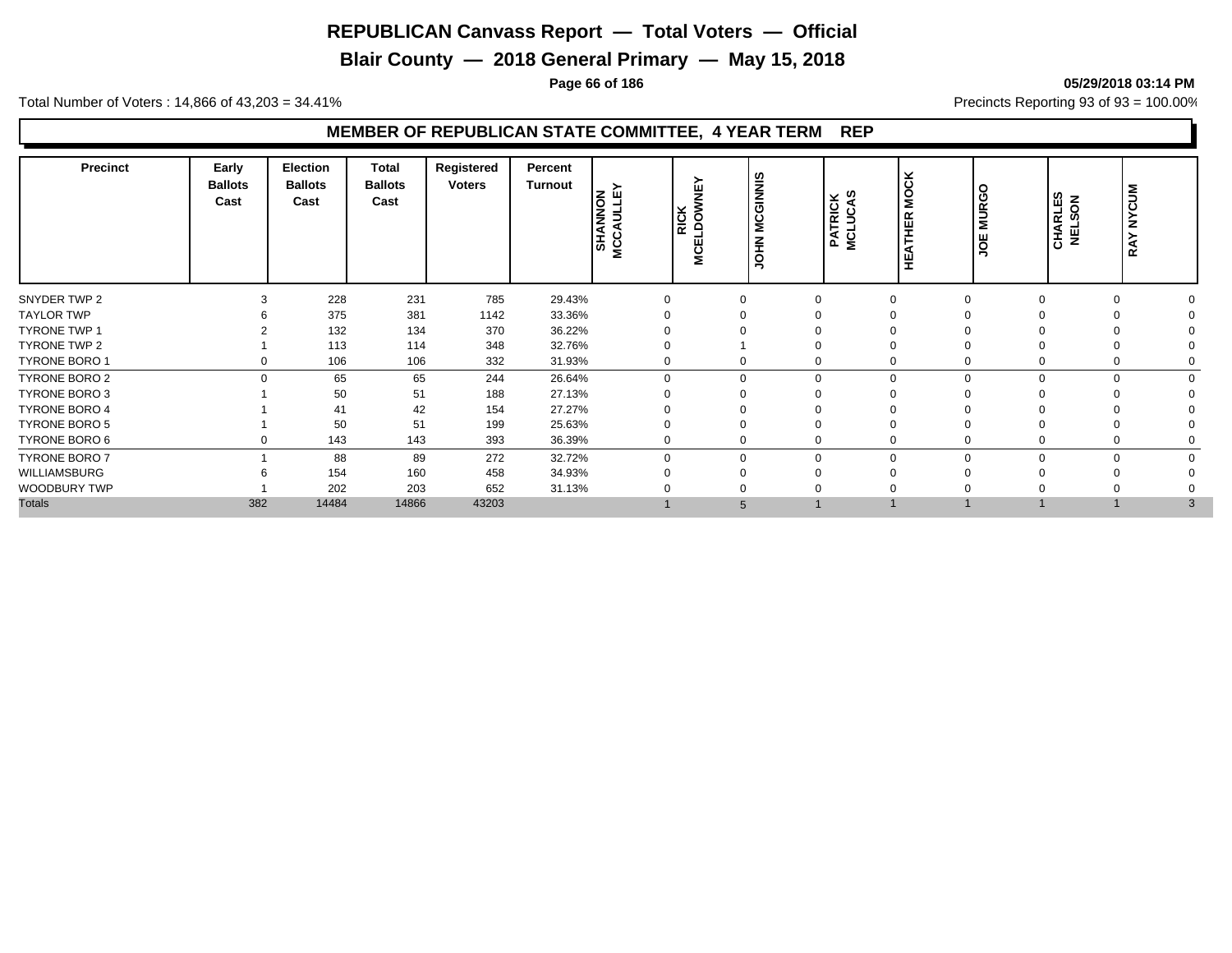**Blair County — 2018 General Primary — May 15, 2018**

**Page 66 of 186 05/29/2018 03:14 PM**

Total Number of Voters : 14,866 of 43,203 = 34.41% **Precincts Reporting 93 of 93** = 100.00%

| <b>Precinct</b>      | Early<br><b>Ballots</b><br>Cast | Election<br><b>Ballots</b><br>Cast | <b>Total</b><br><b>Ballots</b><br>Cast | Registered<br><b>Voters</b> | Percent<br>Turnout | zш<br>o<br>AULI<br><b>SHANN</b><br><b>NCC</b> | <b>MCELDOWNEY</b><br>MCELDOWNEY | <b>MCGINNIS</b><br><b>NHOL</b> | <b>PATRICK</b><br>MCLUCAS | <b>MOCK</b><br>HER<br>HEATI | <b>MURGO</b><br>JOE | ທ<br>$\overline{6}$<br>ш<br><b>CHARLI</b><br>NELSO | š<br>ن<br>z<br>≻<br>⋖<br>≃ |  |
|----------------------|---------------------------------|------------------------------------|----------------------------------------|-----------------------------|--------------------|-----------------------------------------------|---------------------------------|--------------------------------|---------------------------|-----------------------------|---------------------|----------------------------------------------------|----------------------------|--|
| SNYDER TWP 2         | $\Omega$                        | 228                                | 231                                    | 785                         | 29.43%             | $\Omega$                                      |                                 |                                |                           | $\Omega$                    | $\Omega$            | $\Omega$                                           | $\Omega$                   |  |
| <b>TAYLOR TWP</b>    |                                 | 375                                | 381                                    | 1142                        | 33.36%             |                                               |                                 |                                |                           |                             |                     |                                                    |                            |  |
| <b>TYRONE TWP 1</b>  |                                 | 132                                | 134                                    | 370                         | 36.22%             |                                               |                                 |                                |                           |                             |                     |                                                    |                            |  |
| TYRONE TWP 2         |                                 | 113                                | 114                                    | 348                         | 32.76%             |                                               |                                 |                                |                           |                             |                     |                                                    |                            |  |
| TYRONE BORO 1        |                                 | 106                                | 106                                    | 332                         | 31.93%             | $\Omega$                                      |                                 |                                |                           | $\Omega$                    | $\Omega$            | $\Omega$                                           | 0                          |  |
| TYRONE BORO 2        |                                 | 65                                 | 65                                     | 244                         | 26.64%             | $\Omega$                                      |                                 |                                | $\Omega$                  | $\Omega$                    | $\Omega$            | 0                                                  | 0                          |  |
| TYRONE BORO 3        |                                 | 50                                 | 51                                     | 188                         | 27.13%             |                                               |                                 |                                |                           |                             |                     |                                                    |                            |  |
| TYRONE BORO 4        |                                 | 41                                 | 42                                     | 154                         | 27.27%             |                                               |                                 |                                |                           |                             |                     |                                                    |                            |  |
| <b>TYRONE BORO 5</b> |                                 | 50                                 | 51                                     | 199                         | 25.63%             |                                               |                                 |                                |                           |                             |                     |                                                    |                            |  |
| TYRONE BORO 6        |                                 | 143                                | 143                                    | 393                         | 36.39%             | $\Omega$                                      |                                 |                                |                           |                             | $\Omega$            | $\Omega$                                           | 0                          |  |
| TYRONE BORO 7        |                                 | 88                                 | 89                                     | 272                         | 32.72%             | $\Omega$                                      |                                 |                                |                           | $\Omega$                    | $\Omega$            | $\Omega$                                           | 0                          |  |
| WILLIAMSBURG         |                                 | 154                                | 160                                    | 458                         | 34.93%             |                                               |                                 |                                |                           |                             |                     |                                                    |                            |  |
| WOODBURY TWP         |                                 | 202                                | 203                                    | 652                         | 31.13%             |                                               |                                 |                                |                           |                             |                     |                                                    |                            |  |
| <b>Totals</b>        | 382                             | 14484                              | 14866                                  | 43203                       |                    |                                               |                                 | 5                              |                           |                             |                     |                                                    | 3                          |  |
|                      |                                 |                                    |                                        |                             |                    |                                               |                                 |                                |                           |                             |                     |                                                    |                            |  |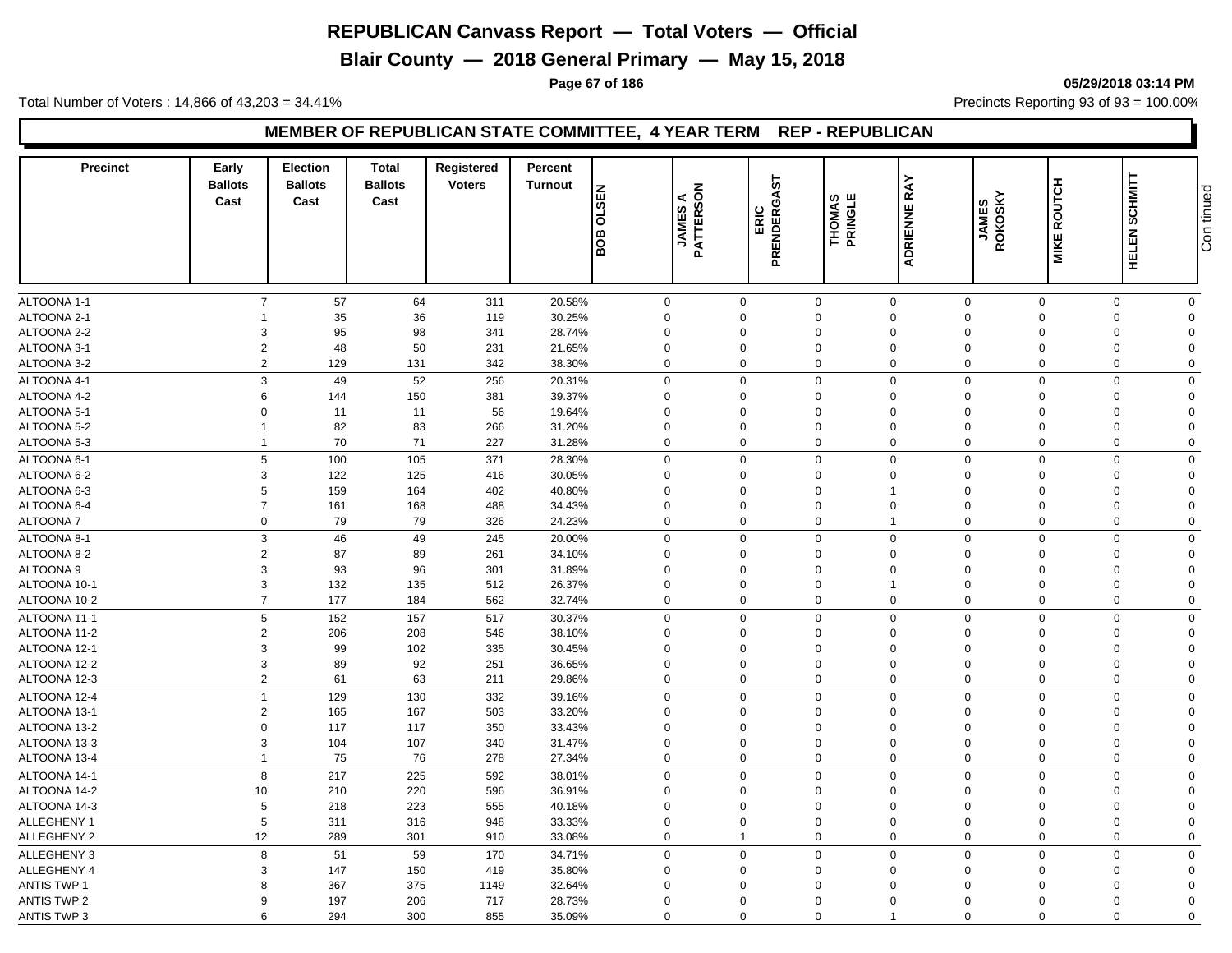**Blair County — 2018 General Primary — May 15, 2018**

**Page 67 of 186 05/29/2018 03:14 PM**

Total Number of Voters : 14,866 of 43,203 = 34.41% **Precincts Reporting 93 of 93** = 100.00%

#### **MEMBER OF REPUBLICAN STATE COMMITTEE, 4 YEAR TERM REP - REPUBLICAN**

| <b>Precinct</b>            | Early<br><b>Ballots</b><br>Cast | <b>Election</b><br><b>Ballots</b><br>Cast | <b>Total</b><br><b>Ballots</b><br>Cast | Registered<br><b>Voters</b> | Percent<br><b>Turnout</b> | <b>N3S7O</b><br>BOB        | <b>JAMES A<br/>PATTERSON</b> | GAST<br><b>ERIC</b><br>PRENDERG | THOMAS<br>PRINGLE | RAY<br>ADRIENNE                     | JAMES<br>ROKOSKY | <b>MIKE ROUTCH</b>      | HELEN SCHMITT                                         | Con tinued |
|----------------------------|---------------------------------|-------------------------------------------|----------------------------------------|-----------------------------|---------------------------|----------------------------|------------------------------|---------------------------------|-------------------|-------------------------------------|------------------|-------------------------|-------------------------------------------------------|------------|
|                            |                                 |                                           |                                        |                             |                           |                            |                              | <u>π</u>                        |                   |                                     |                  |                         |                                                       |            |
|                            |                                 | $\overline{7}$                            |                                        |                             |                           |                            |                              |                                 |                   | $\mathbf 0$                         |                  |                         |                                                       |            |
| ALTOONA 1-1<br>ALTOONA 2-1 | 1                               | 57<br>35                                  | 64<br>36                               | 311<br>119                  | 20.58%<br>30.25%          | $\mathbf 0$<br>$\mathbf 0$ | $\mathbf 0$<br>$\Omega$      | $\Omega$                        | $\mathbf 0$       | $\mathbf 0$<br>$\Omega$<br>$\Omega$ |                  | $\mathsf 0$<br>$\Omega$ | $\mathbf 0$<br>$\mathbf 0$<br>$\mathbf 0$<br>$\Omega$ |            |
| ALTOONA 2-2                | 3                               | 95                                        | 98                                     | 341                         | 28.74%                    | $\mathbf 0$                | $\Omega$                     | $\Omega$                        |                   | $\Omega$<br>$\Omega$                |                  | $\Omega$                | $\mathbf 0$<br>$\Omega$                               |            |
| ALTOONA 3-1                | $\overline{2}$                  | 48                                        | 50                                     | 231                         | 21.65%                    | $\mathbf 0$                | $\mathbf 0$                  |                                 | 0                 | $\mathbf 0$<br>$\mathbf 0$          |                  | $\mathbf 0$             | $\mathbf 0$<br>$\Omega$                               |            |
| ALTOONA 3-2                | $\overline{2}$                  | 129                                       | 131                                    | 342                         | 38.30%                    | $\mathbf 0$                | $\Omega$                     |                                 | $\mathbf 0$       | $\Omega$<br>$\Omega$                |                  | $\Omega$                | $\mathbf 0$<br>$\Omega$                               |            |
|                            |                                 |                                           |                                        |                             |                           |                            |                              |                                 |                   |                                     |                  |                         |                                                       |            |
| ALTOONA 4-1                |                                 | 3<br>49                                   | 52                                     | 256                         | 20.31%                    | $\mathbf 0$                | $\Omega$                     |                                 | $\mathbf 0$       | $\mathbf 0$<br>$\Omega$             |                  | $\mathbf 0$             | $\mathbf 0$<br>$\Omega$                               |            |
| ALTOONA 4-2                | 6                               | 144                                       | 150                                    | 381                         | 39.37%                    | $\mathbf 0$                | $\Omega$                     |                                 | 0                 | $\mathbf 0$<br>$\Omega$             |                  | $\mathbf 0$             | $\mathbf 0$<br>$\Omega$                               |            |
| ALTOONA 5-1                | $\mathbf 0$                     | 11                                        | 11                                     | 56                          | 19.64%                    | $\mathbf 0$                | $\Omega$                     |                                 | $\mathbf 0$       | $\mathbf 0$<br>$\Omega$             |                  | $\Omega$                | $\mathbf 0$<br>$\Omega$                               |            |
| ALTOONA 5-2                | $\mathbf{1}$                    | 82                                        | 83                                     | 266                         | 31.20%                    | $\mathbf 0$                | $\Omega$                     |                                 | 0                 | $\Omega$<br>$\Omega$                |                  | $\Omega$                | 0<br>$\Omega$                                         |            |
| ALTOONA 5-3                | $\mathbf{1}$                    | 70                                        | 71                                     | 227                         | 31.28%                    | $\mathbf 0$                | $\Omega$                     |                                 | 0                 | $\mathbf 0$<br>$\Omega$             |                  | $\mathbf 0$             | $\mathbf 0$<br>$\mathbf 0$                            |            |
| ALTOONA 6-1                | 5                               | 100                                       | 105                                    | 371                         | 28.30%                    | $\mathbf 0$                | $\Omega$                     |                                 | $\mathbf 0$       | $\mathsf 0$<br>$\mathbf 0$          |                  | $\mathbf 0$             | $\mathbf 0$<br>$\Omega$                               |            |
| ALTOONA 6-2                | 3                               | 122                                       | 125                                    | 416                         | 30.05%                    | $\mathbf 0$                | $\Omega$                     |                                 | $\Omega$          | $\Omega$<br>$\Omega$                |                  | $\Omega$                | $\mathbf 0$<br>$\Omega$                               |            |
| ALTOONA 6-3                | 5                               | 159                                       | 164                                    | 402                         | 40.80%                    | $\mathbf 0$                | $\Omega$                     |                                 | $\mathbf 0$       | $\Omega$<br>$\mathbf{1}$            |                  | $\Omega$                | 0<br>$\Omega$                                         |            |
| ALTOONA 6-4                | $\overline{7}$                  | 161                                       | 168                                    | 488                         | 34.43%                    | $\mathbf 0$                | $\mathbf 0$                  |                                 | $\mathbf 0$       | $\mathbf 0$<br>$\mathbf 0$          |                  | $\mathbf 0$             | $\mathbf 0$<br>$\Omega$                               |            |
| <b>ALTOONA7</b>            |                                 | 79<br>$\mathbf 0$                         | 79                                     | 326                         | 24.23%                    | $\mathbf 0$                | $\Omega$                     |                                 | $\mathbf 0$       | $\mathbf 0$<br>$\mathbf{1}$         |                  | $\Omega$                | $\mathbf 0$<br>$\mathbf 0$                            |            |
| ALTOONA 8-1                |                                 | 3<br>46                                   | 49                                     | 245                         | 20.00%                    | $\mathbf 0$                | $\Omega$                     |                                 | $\mathbf 0$       | $\mathbf 0$<br>$\Omega$             |                  | $\Omega$                | $\mathbf 0$<br>$\mathbf 0$                            |            |
| ALTOONA 8-2                | $\overline{2}$                  | 87                                        | 89                                     | 261                         | 34.10%                    | $\mathbf 0$                | 0                            |                                 | 0                 | $\mathbf 0$<br>$\Omega$             |                  | $\mathbf 0$             | $\mathbf 0$<br>$\Omega$                               |            |
| ALTOONA 9                  | 3                               | 93                                        | 96                                     | 301                         | 31.89%                    | $\mathbf 0$                | 0                            |                                 | $\mathbf 0$       | $\mathbf 0$<br>$\mathbf 0$          |                  | $\mathbf 0$             | 0<br>$\Omega$                                         |            |
| ALTOONA 10-1               | 3                               | 132                                       | 135                                    | 512                         | 26.37%                    | $\mathbf 0$                | $\Omega$                     |                                 | $\mathbf 0$       | $\Omega$<br>$\mathbf{1}$            |                  | $\mathbf 0$             | 0<br>$\Omega$                                         |            |
| ALTOONA 10-2               | $\overline{7}$                  | 177                                       | 184                                    | 562                         | 32.74%                    | $\mathbf 0$                | $\mathbf 0$                  |                                 | $\mathbf 0$       | $\mathbf 0$<br>$\mathbf 0$          |                  | $\mathbf 0$             | $\mathbf 0$<br>$\mathbf 0$                            |            |
| ALTOONA 11-1               | 5                               | 152                                       | 157                                    | 517                         | 30.37%                    | $\mathbf 0$                | $\Omega$                     |                                 | $\mathbf 0$       | $\mathbf 0$<br>$\Omega$             |                  | $\Omega$                | $\mathbf 0$<br>$\mathbf 0$                            |            |
| ALTOONA 11-2               | $\overline{2}$                  | 206                                       | 208                                    | 546                         | 38.10%                    | $\mathbf 0$                | $\Omega$                     |                                 | $\Omega$          | $\Omega$<br>$\Omega$                |                  | $\Omega$                | $\mathbf 0$<br>$\Omega$                               |            |
| ALTOONA 12-1               | 3                               | 99                                        | 102                                    | 335                         | 30.45%                    | $\mathbf 0$                | $\Omega$                     |                                 | $\Omega$          | $\Omega$<br>$\Omega$                |                  | $\Omega$                | $\mathbf 0$<br>$\Omega$                               |            |
| ALTOONA 12-2               | 3                               | 89                                        | 92                                     | 251                         | 36.65%                    | $\mathbf 0$                | $\overline{0}$               |                                 | $\mathbf 0$       | $\mathbf 0$<br>$\mathbf 0$          |                  | $\mathbf 0$             | $\mathbf 0$<br>$\Omega$                               |            |
| ALTOONA 12-3               | $\overline{2}$                  | 61                                        | 63                                     | 211                         | 29.86%                    | $\mathbf 0$                | $\Omega$                     |                                 | $\mathbf 0$       | $\mathbf 0$<br>$\Omega$             |                  | $\Omega$                | $\mathbf 0$<br>$\mathbf 0$                            |            |
| ALTOONA 12-4               | $\overline{1}$                  | 129                                       | 130                                    | 332                         | 39.16%                    | $\mathbf 0$                | $\Omega$                     |                                 | $\mathbf 0$       | $\mathbf 0$<br>$\Omega$             |                  | $\Omega$                | $\mathbf 0$<br>$\Omega$                               |            |
| ALTOONA 13-1               | $\overline{2}$                  | 165                                       | 167                                    | 503                         | 33.20%                    | $\mathbf 0$                | $\Omega$                     |                                 | 0                 | $\Omega$<br>$\Omega$                |                  | $\Omega$                | $\mathbf 0$<br>$\Omega$                               |            |
| ALTOONA 13-2               | $\Omega$                        | 117                                       | 117                                    | 350                         | 33.43%                    | $\mathbf 0$                | $\Omega$                     |                                 | 0                 | $\Omega$<br>$\Omega$                |                  | $\Omega$                | 0<br>$\Omega$                                         |            |
| ALTOONA 13-3               | 3                               | 104                                       | 107                                    | 340                         | 31.47%                    | $\mathbf 0$                | $\Omega$                     |                                 | $\Omega$          | $\Omega$<br>$\Omega$                |                  | $\Omega$                | $\mathbf 0$<br>$\Omega$                               |            |
| ALTOONA 13-4               | $\mathbf{1}$                    | 75                                        | 76                                     | 278                         | 27.34%                    | $\mathbf 0$                | $\Omega$                     |                                 | 0                 | $\mathbf 0$<br>$\Omega$             |                  | $\mathbf 0$             | $\mathbf 0$<br>$\Omega$                               |            |
| ALTOONA 14-1               | 8                               | 217                                       | 225                                    | 592                         | 38.01%                    | $\mathbf 0$                | $\Omega$                     |                                 | $\mathbf 0$       | $\mathbf 0$<br>$\mathbf 0$          |                  | $\Omega$                | $\mathbf 0$<br>$\Omega$                               |            |
| ALTOONA 14-2               | 10                              | 210                                       | 220                                    | 596                         | 36.91%                    | $\mathbf 0$                | $\Omega$                     |                                 | $\Omega$          | $\Omega$<br>$\Omega$                |                  | $\Omega$                | $\mathbf 0$<br>$\Omega$                               |            |
| ALTOONA 14-3               | 5                               | 218                                       | 223                                    | 555                         | 40.18%                    | $\mathbf 0$                | $\Omega$                     |                                 | $\Omega$          | $\Omega$<br>$\Omega$                |                  | $\Omega$                | 0<br>$\Omega$                                         |            |
| ALLEGHENY 1                | 5                               | 311                                       | 316                                    | 948                         | 33.33%                    | $\mathbf 0$                | $\Omega$                     |                                 | 0                 | $\mathbf 0$<br>$\Omega$             |                  | $\mathbf 0$             | $\mathbf 0$<br>$\Omega$                               |            |
| ALLEGHENY 2                | 12                              | 289                                       |                                        |                             | 33.08%                    | $\mathbf 0$                | $\mathbf 1$                  |                                 | $\mathbf 0$       | $\mathbf 0$<br>$\Omega$             |                  | $\Omega$                | $\mathbf 0$<br>$\Omega$                               |            |
|                            |                                 |                                           | 301                                    | 910                         |                           |                            |                              |                                 |                   |                                     |                  |                         |                                                       |            |
| ALLEGHENY 3                | 8                               | 51                                        | 59                                     | 170                         | 34.71%                    | $\mathsf{O}\xspace$        | $\Omega$                     |                                 | $\mathbf 0$       | $\mathbf 0$<br>$\Omega$             |                  | $\Omega$                | $\mathbf 0$<br>$\mathbf 0$                            |            |
| ALLEGHENY 4                | 3                               | 147                                       | 150                                    | 419                         | 35.80%                    | $\mathbf 0$                | 0                            |                                 | 0                 | $\Omega$<br>$\Omega$                |                  | $\mathbf 0$             | $\mathbf 0$<br>$\Omega$                               |            |
| <b>ANTIS TWP 1</b>         | 8                               | 367                                       | 375                                    | 1149                        | 32.64%                    | $\mathbf 0$                | 0                            |                                 | 0                 | $\mathbf 0$<br>$\Omega$             |                  | $\mathbf 0$             | 0<br>$\Omega$                                         |            |
| <b>ANTIS TWP 2</b>         | 9                               | 197                                       | 206                                    | 717                         | 28.73%                    | $\Omega$                   | $\Omega$                     | $\Omega$                        |                   | $\Omega$<br>$\Omega$                |                  | $\Omega$                | $\mathbf 0$<br>$\Omega$                               |            |
| <b>ANTIS TWP 3</b>         | 6                               | 294                                       | 300                                    | 855                         | 35.09%                    | $\Omega$                   | $\Omega$                     |                                 | $\mathbf 0$       | $\Omega$<br>$\mathbf{1}$            |                  | $\Omega$                | $\mathbf 0$<br>$\Omega$                               |            |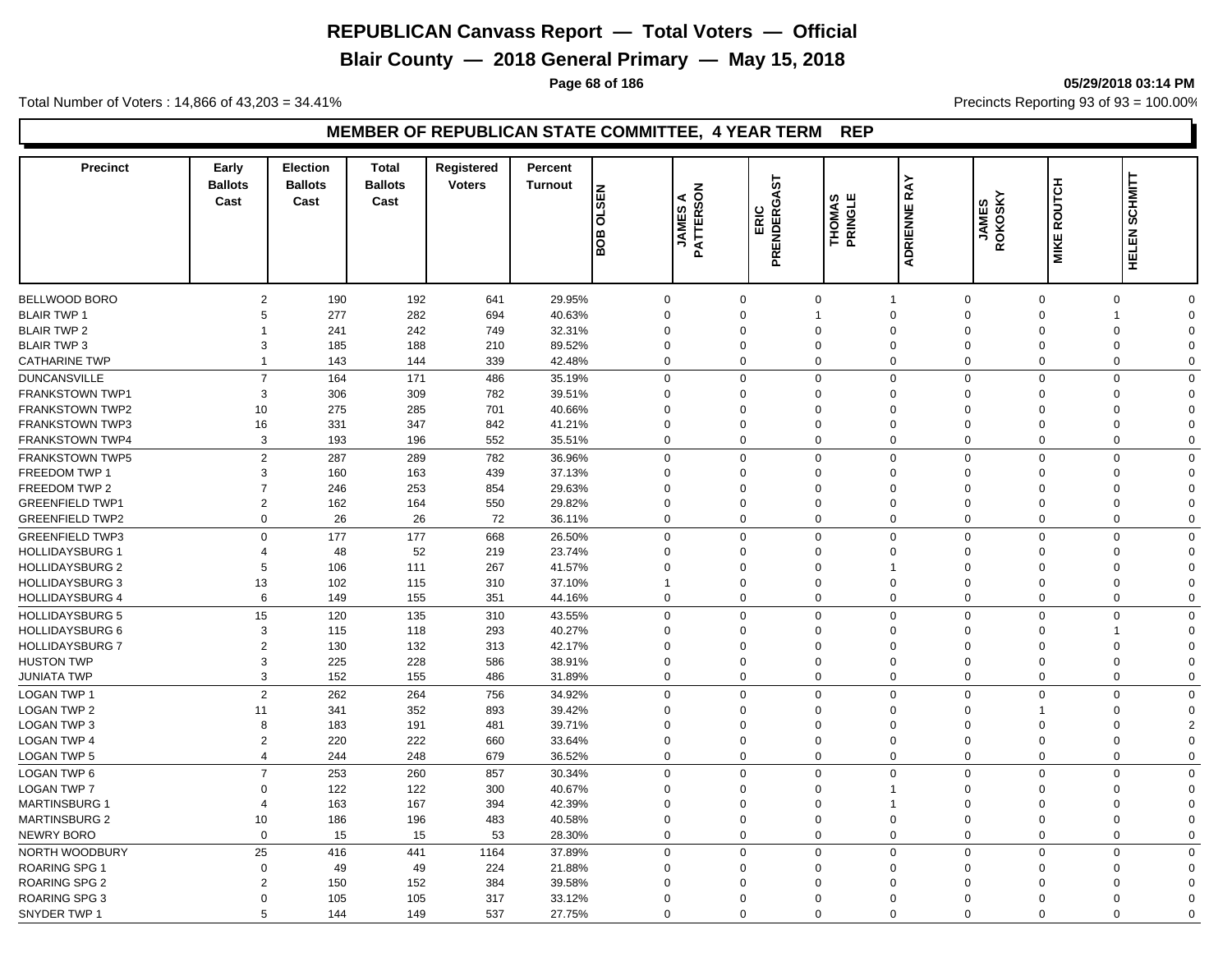**Blair County — 2018 General Primary — May 15, 2018**

**Page 68 of 186 05/29/2018 03:14 PM**

Total Number of Voters : 14,866 of 43,203 = 34.41% **Precincts Reporting 93 of 93** = 100.00%

| <b>Precinct</b>        | Early<br><b>Ballots</b><br>Cast | <b>Election</b><br><b>Ballots</b><br>Cast | <b>Total</b><br><b>Ballots</b><br>Cast | Registered<br><b>Voters</b> | Percent<br><b>Turnout</b> | <b>N3S7O</b><br>BOB | $rac{4}{20}$<br>ြို့<br><b>JAMES</b><br>PATTERS | GAST<br>ERIC<br>PRENDERG | ര ய<br><b>THOMAS</b><br>PRINGLE | ≻<br><b>RA</b><br>ADRIENNE  | SKY<br><b>JAMES</b><br>ROKOSK` | <b>MIKE ROUTCH</b> | <b>SCHMITT</b><br><b>HELEN</b> |  |
|------------------------|---------------------------------|-------------------------------------------|----------------------------------------|-----------------------------|---------------------------|---------------------|-------------------------------------------------|--------------------------|---------------------------------|-----------------------------|--------------------------------|--------------------|--------------------------------|--|
|                        |                                 |                                           |                                        |                             |                           |                     |                                                 |                          |                                 |                             |                                |                    |                                |  |
| BELLWOOD BORO          | $\overline{2}$                  | 190                                       | 192                                    | 641                         | 29.95%                    | $\mathbf 0$         | $\mathbf 0$                                     |                          | $\mathbf 0$                     | $\mathbf 0$<br>$\mathbf{1}$ | $\mathbf 0$                    |                    | $\mathbf 0$<br>$\mathbf 0$     |  |
| <b>BLAIR TWP 1</b>     | 5                               | 277                                       | 282                                    | 694                         | 40.63%                    | $\mathbf 0$         | $\Omega$                                        | $\mathbf 1$              |                                 | $\mathbf 0$<br>$\Omega$     | $\Omega$                       |                    | $\Omega$<br>1                  |  |
| <b>BLAIR TWP 2</b>     |                                 | 241                                       | 242                                    | 749                         | 32.31%                    | $\mathbf 0$         | $\Omega$                                        | $\mathbf 0$              |                                 | $\mathbf 0$<br>$\Omega$     | $\Omega$                       |                    | 0<br>$\Omega$                  |  |
| <b>BLAIR TWP 3</b>     | 3                               | 185                                       | 188                                    | 210                         | 89.52%                    | $\mathbf 0$         | $\Omega$                                        |                          | 0                               | $\mathbf 0$<br>$\Omega$     | $\Omega$                       |                    | 0<br>$\Omega$                  |  |
| <b>CATHARINE TWP</b>   | $\overline{1}$                  | 143                                       | 144                                    | 339                         | 42.48%                    | $\mathbf 0$         | $\mathbf 0$                                     |                          | $\mathbf 0$                     | $\mathbf 0$<br>$\mathbf 0$  | $\mathbf 0$                    |                    | $\mathbf 0$<br>$\mathbf 0$     |  |
| <b>DUNCANSVILLE</b>    | $\overline{7}$                  | 164                                       | 171                                    | 486                         | 35.19%                    | $\mathbf 0$         | $\Omega$                                        |                          | $\mathbf 0$                     | $\mathbf 0$<br>$\Omega$     | $\mathbf 0$                    |                    | $\mathbf 0$<br>$\Omega$        |  |
| <b>FRANKSTOWN TWP1</b> | 3                               | 306                                       | 309                                    | 782                         | 39.51%                    | $\mathbf 0$         | $\Omega$                                        |                          | $\Omega$                        | $\mathbf 0$<br>$\Omega$     | $\Omega$                       |                    | $\Omega$<br>$\Omega$           |  |
| <b>FRANKSTOWN TWP2</b> | 10                              | 275                                       | 285                                    | 701                         | 40.66%                    | $\mathbf 0$         | $\Omega$                                        | $\Omega$                 |                                 | $\mathbf 0$<br>$\Omega$     | $\Omega$                       |                    | $\mathbf 0$<br>$\Omega$        |  |
| <b>FRANKSTOWN TWP3</b> | 16                              | 331                                       | 347                                    | 842                         | 41.21%                    | $\mathbf 0$         | $\Omega$                                        | $\Omega$                 |                                 | $\mathbf 0$<br>$\Omega$     | $\Omega$                       |                    | $\Omega$<br>$\Omega$           |  |
| <b>FRANKSTOWN TWP4</b> | 3                               | 193                                       | 196                                    | 552                         | 35.51%                    | $\mathbf 0$         | $\Omega$                                        |                          | $\mathbf 0$                     | $\mathbf 0$<br>$\Omega$     | $\mathbf 0$                    |                    | $\mathbf 0$<br>$\Omega$        |  |
| <b>FRANKSTOWN TWP5</b> | $\overline{2}$                  | 287                                       | 289                                    | 782                         | 36.96%                    | $\mathbf 0$         | $\Omega$                                        |                          | $\mathbf 0$                     | $\mathbf 0$<br>$\mathbf 0$  | $\mathbf 0$                    |                    | $\mathbf 0$<br>$\Omega$        |  |
| <b>FREEDOM TWP 1</b>   | 3                               | 160                                       | 163                                    | 439                         | 37.13%                    | $\mathbf 0$         | $\Omega$                                        |                          | $\Omega$                        | $\mathbf 0$<br>$\mathbf 0$  | $\Omega$                       |                    | $\mathbf 0$<br>$\Omega$        |  |
| FREEDOM TWP 2          | $\overline{7}$                  | 246                                       | 253                                    | 854                         | 29.63%                    | $\mathbf 0$         | $\Omega$                                        |                          | $\mathbf 0$                     | $\mathbf 0$<br>$\Omega$     | $\mathbf 0$                    |                    | $\mathbf 0$<br>$\Omega$        |  |
| <b>GREENFIELD TWP1</b> | $\overline{2}$                  | 162                                       | 164                                    | 550                         | 29.82%                    | $\mathbf 0$         | $\Omega$                                        |                          | $\Omega$                        | $\mathbf 0$<br>$\Omega$     | $\Omega$                       |                    | $\mathbf 0$<br>$\Omega$        |  |
| <b>GREENFIELD TWP2</b> | $\mathbf 0$                     | 26                                        | 26                                     | 72                          | 36.11%                    | $\mathbf 0$         | $\Omega$                                        |                          | $\mathbf 0$                     | $\mathbf 0$<br>$\mathbf 0$  | $\mathbf 0$                    |                    | $\mathbf 0$<br>$\Omega$        |  |
| <b>GREENFIELD TWP3</b> | $\mathbf 0$                     | 177                                       | 177                                    | 668                         | 26.50%                    | $\mathbf 0$         | $\Omega$                                        |                          | $\mathbf 0$                     | $\mathbf 0$<br>$\mathbf 0$  | $\Omega$                       |                    | $\mathbf 0$<br>$\Omega$        |  |
| <b>HOLLIDAYSBURG 1</b> | 4                               | 48                                        | 52                                     | 219                         | 23.74%                    | $\mathbf 0$         | $\Omega$                                        |                          | $\mathbf 0$                     | $\mathbf 0$<br>$\Omega$     | $\Omega$                       |                    | 0<br>$\Omega$                  |  |
| <b>HOLLIDAYSBURG 2</b> | 5                               | 106                                       | 111                                    | 267                         | 41.57%                    | $\mathbf 0$         | $\Omega$                                        | $\Omega$                 |                                 | $\overline{1}$<br>$\Omega$  | $\mathbf 0$                    |                    | 0<br>$\Omega$                  |  |
| <b>HOLLIDAYSBURG 3</b> | 13                              | 102                                       | 115                                    | 310                         | 37.10%                    | 1                   | $\Omega$                                        |                          | $\Omega$                        | $\mathbf 0$<br>$\Omega$     | $\Omega$                       |                    | $\mathbf 0$<br>$\Omega$        |  |
| <b>HOLLIDAYSBURG 4</b> | 6                               | 149                                       | 155                                    | 351                         | 44.16%                    | $\mathbf 0$         | $\mathbf 0$                                     |                          | $\mathbf 0$                     | $\mathbf 0$<br>$\mathbf 0$  | $\overline{0}$                 |                    | $\mathbf 0$<br>$\mathbf 0$     |  |
|                        |                                 |                                           |                                        |                             |                           | $\mathbf 0$         | $\Omega$                                        |                          |                                 | $\mathbf 0$                 | $\mathbf 0$                    |                    | $\mathbf 0$<br>$\Omega$        |  |
| <b>HOLLIDAYSBURG 5</b> | 15                              | 120                                       | 135                                    | 310                         | 43.55%                    |                     |                                                 |                          | $\mathbf 0$                     | $\mathbf 0$                 |                                |                    |                                |  |
| <b>HOLLIDAYSBURG 6</b> | 3                               | 115                                       | 118                                    | 293                         | 40.27%                    | $\mathbf 0$         | $\Omega$                                        |                          | $\Omega$                        | $\mathbf 0$<br>$\Omega$     | $\Omega$                       |                    | $\Omega$<br>1                  |  |
| <b>HOLLIDAYSBURG 7</b> | $\overline{2}$                  | 130                                       | 132                                    | 313                         | 42.17%                    | $\mathbf 0$         | $\Omega$                                        | $\Omega$                 |                                 | $\mathbf 0$<br>$\Omega$     | $\Omega$                       |                    | $\mathbf 0$<br>$\Omega$        |  |
| <b>HUSTON TWP</b>      | 3                               | 225                                       | 228                                    | 586                         | 38.91%                    | $\mathbf 0$         | $\Omega$                                        |                          | $\Omega$                        | $\mathbf 0$<br>$\Omega$     | $\Omega$                       |                    | $\mathbf 0$<br>$\Omega$        |  |
| <b>JUNIATA TWP</b>     | 3                               | 152                                       | 155                                    | 486                         | 31.89%                    | $\mathbf 0$         | $\Omega$                                        |                          | $\mathbf 0$                     | $\mathbf 0$<br>$\Omega$     | $\mathbf 0$                    |                    | $\mathbf 0$<br>$\mathbf 0$     |  |
| <b>LOGAN TWP 1</b>     | $\overline{2}$                  | 262                                       | 264                                    | 756                         | 34.92%                    | $\mathbf 0$         | $\Omega$                                        |                          | $\mathbf 0$                     | $\mathbf 0$<br>$\mathbf 0$  | $\mathbf 0$                    |                    | $\mathbf 0$<br>$\mathbf 0$     |  |
| <b>LOGAN TWP 2</b>     | 11                              | 341                                       | 352                                    | 893                         | 39.42%                    | $\mathbf 0$         | $\Omega$                                        |                          | $\Omega$                        | $\mathbf 0$<br>$\Omega$     | -1                             |                    | $\mathbf 0$<br>$\Omega$        |  |
| <b>LOGAN TWP 3</b>     | 8                               | 183                                       | 191                                    | 481                         | 39.71%                    | $\mathbf 0$         | $\Omega$                                        |                          | $\Omega$                        | $\mathbf 0$<br>$\Omega$     | $\Omega$                       |                    | $\mathbf 0$<br>$\overline{2}$  |  |
| <b>LOGAN TWP 4</b>     | $\overline{2}$                  | 220                                       | 222                                    | 660                         | 33.64%                    | $\mathbf 0$         | $\Omega$                                        |                          | $\Omega$                        | $\mathbf 0$<br>$\Omega$     | $\Omega$                       |                    | $\mathbf 0$<br>$\Omega$        |  |
| <b>LOGAN TWP 5</b>     | $\overline{4}$                  | 244                                       | 248                                    | 679                         | 36.52%                    | $\mathbf 0$         | $\Omega$                                        |                          | $\mathbf{0}$                    | $\mathbf 0$<br>$\Omega$     | $\mathbf 0$                    |                    | $\mathbf 0$<br>$\Omega$        |  |
| LOGAN TWP 6            | $\overline{7}$                  | 253                                       | 260                                    | 857                         | 30.34%                    | $\mathbf 0$         | $\Omega$                                        |                          | $\mathbf 0$                     | $\mathbf 0$<br>$\mathbf 0$  | $\Omega$                       |                    | $\mathbf 0$<br>$\Omega$        |  |
| <b>LOGAN TWP 7</b>     | $\Omega$                        | 122                                       | 122                                    | 300                         | 40.67%                    | $\mathbf 0$         | $\Omega$                                        | $\Omega$                 |                                 | $\mathbf{1}$<br>$\Omega$    | $\Omega$                       |                    | $\mathbf 0$<br>$\Omega$        |  |
| <b>MARTINSBURG 1</b>   | $\overline{4}$                  | 163                                       | 167                                    | 394                         | 42.39%                    | $\mathbf 0$         | $\Omega$                                        | $\Omega$                 |                                 | $\mathbf 0$<br>$\mathbf{1}$ | $\Omega$                       |                    | $\mathbf 0$<br>$\Omega$        |  |
| <b>MARTINSBURG 2</b>   | 10                              | 186                                       | 196                                    | 483                         | 40.58%                    | $\mathbf 0$         | $\Omega$                                        |                          | $\mathbf 0$                     | $\mathbf 0$<br>$\mathbf 0$  | $\Omega$                       |                    | $\mathbf 0$<br>$\Omega$        |  |
| <b>NEWRY BORO</b>      | $\Omega$                        | 15                                        | 15                                     | 53                          | 28.30%                    | $\mathbf 0$         | $\Omega$                                        |                          | $\mathbf 0$                     | $\mathbf 0$<br>$\mathbf 0$  | $\mathbf 0$                    |                    | $\mathbf 0$<br>$\Omega$        |  |
| NORTH WOODBURY         | 25                              | 416                                       | 441                                    | 1164                        | 37.89%                    | $\mathbf 0$         | $\Omega$                                        |                          | $\mathbf 0$                     | $\mathbf 0$<br>$\Omega$     | $\mathbf 0$                    |                    | $\mathbf 0$<br>$\mathbf 0$     |  |
| ROARING SPG 1          | $\Omega$                        | 49                                        | 49                                     | 224                         | 21.88%                    | $\mathbf 0$         | $\Omega$                                        |                          | $\Omega$                        | $\mathbf 0$<br>$\Omega$     | $\Omega$                       |                    | 0<br>$\Omega$                  |  |
| <b>ROARING SPG 2</b>   | $\overline{2}$                  | 150                                       | 152                                    | 384                         | 39.58%                    | $\mathbf 0$         | $\Omega$                                        | $\Omega$                 |                                 | $\Omega$<br>$\Omega$        | $\Omega$                       |                    | 0<br>$\Omega$                  |  |
| <b>ROARING SPG 3</b>   | $\mathbf 0$                     | 105                                       | 105                                    | 317                         | 33.12%                    | $\mathbf 0$         | $\mathbf 0$                                     | $\Omega$                 |                                 | $\Omega$<br>$\Omega$        | $\mathbf 0$                    |                    | 0<br>$\Omega$                  |  |
| SNYDER TWP 1           | 5                               | 144                                       | 149                                    | 537                         | 27.75%                    | $\Omega$            | $\Omega$                                        |                          | $\Omega$                        | $\Omega$<br>$\Omega$        | $\Omega$                       |                    | $\Omega$<br>$\Omega$           |  |
|                        |                                 |                                           |                                        |                             |                           |                     |                                                 |                          |                                 |                             |                                |                    |                                |  |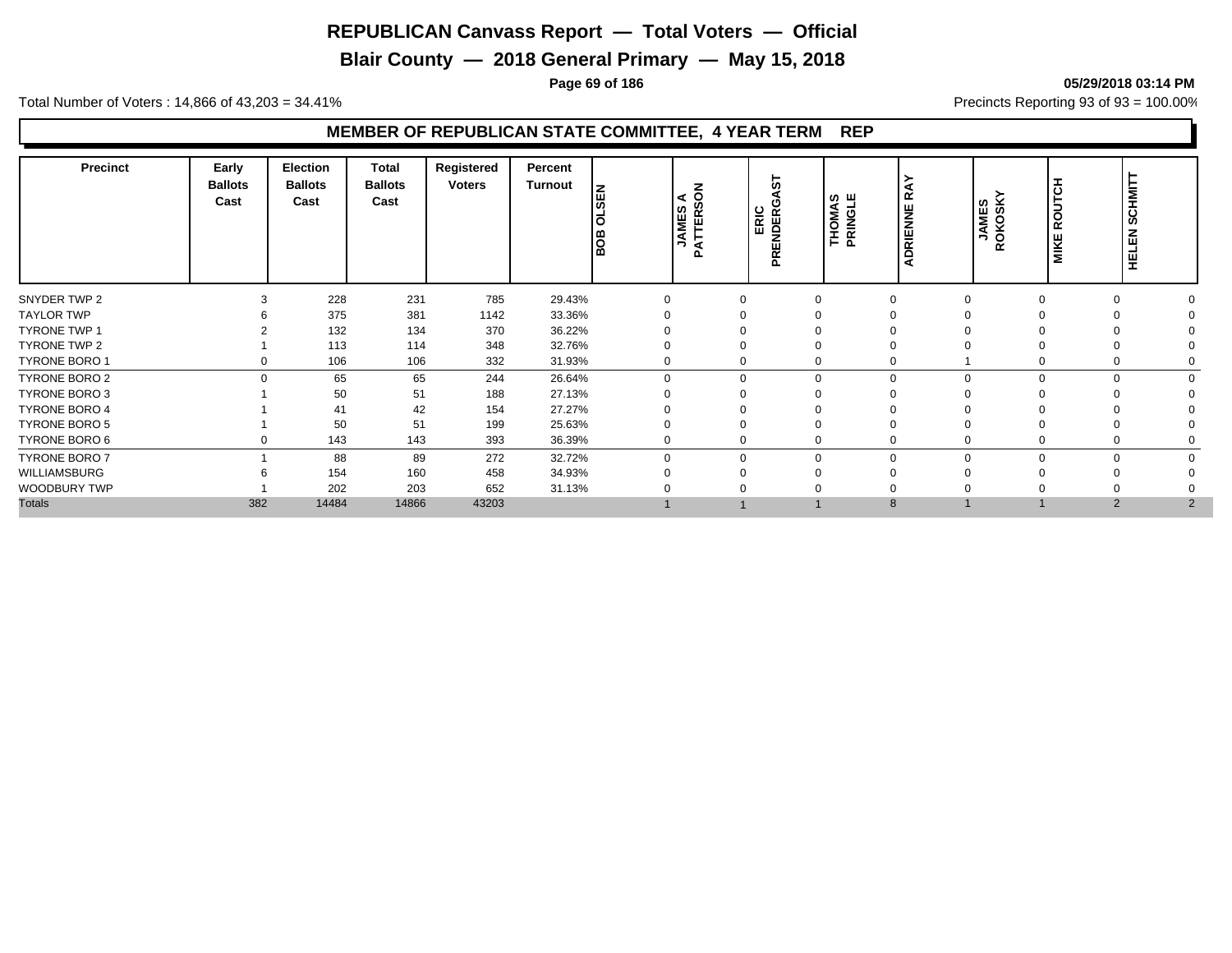**Blair County — 2018 General Primary — May 15, 2018**

**Page 69 of 186 05/29/2018 03:14 PM**

Total Number of Voters : 14,866 of 43,203 = 34.41% **Precincts Reporting 93 of 93** = 100.00%

| <b>Precinct</b>      | Early<br><b>Ballots</b><br>Cast | <b>Election</b><br><b>Ballots</b><br>Cast | <b>Total</b><br><b>Ballots</b><br>Cast | Registered<br><b>Voters</b> | Percent<br><b>Turnout</b> | 몺<br>ഁ<br>$\overline{\mathbf{o}}$<br>BOB | z<br>$\leq$ $\leq$<br>Ø<br><b>AMES</b><br>Ë<br>∍<br>$\mathbf{a}$ | 5<br>ERIC<br>œ<br>NDEI<br><b>PREI</b> | <b>THOMAS<br/>PRINGLE</b> | ≃<br>RIENNE<br>$\Omega$ | <b>JAMES</b><br>ROKOSKY | I<br>ROUTC<br><b>MIKE</b> | <b>SCHMIT</b><br><b>HELEN</b> |  |
|----------------------|---------------------------------|-------------------------------------------|----------------------------------------|-----------------------------|---------------------------|------------------------------------------|------------------------------------------------------------------|---------------------------------------|---------------------------|-------------------------|-------------------------|---------------------------|-------------------------------|--|
| SNYDER TWP 2         |                                 | 228                                       | 231                                    | 785                         | 29.43%                    | $\Omega$                                 |                                                                  |                                       | $\Omega$                  |                         |                         | $\Omega$                  |                               |  |
| <b>TAYLOR TWP</b>    |                                 | 375                                       | 381                                    | 1142                        | 33.36%                    |                                          |                                                                  |                                       |                           |                         |                         |                           |                               |  |
| <b>TYRONE TWP 1</b>  |                                 | 132                                       | 134                                    | 370                         | 36.22%                    |                                          |                                                                  |                                       |                           |                         |                         |                           |                               |  |
| TYRONE TWP 2         |                                 | 113                                       | 114                                    | 348                         | 32.76%                    | $\Omega$                                 |                                                                  |                                       |                           |                         |                         |                           |                               |  |
| TYRONE BORO 1        | 0                               | 106                                       | 106                                    | 332                         | 31.93%                    | $\mathbf 0$                              |                                                                  |                                       | 0                         |                         |                         | 0                         |                               |  |
| TYRONE BORO 2        | $\Omega$                        | 65                                        | 65                                     | 244                         | 26.64%                    | $\Omega$                                 |                                                                  | $\Omega$                              | $\mathbf 0$               | $\Omega$                |                         | $\Omega$                  |                               |  |
| <b>TYRONE BORO 3</b> |                                 | 50                                        | 51                                     | 188                         | 27.13%                    | $\Omega$                                 |                                                                  |                                       |                           |                         |                         |                           |                               |  |
| <b>TYRONE BORO 4</b> |                                 | 41                                        | 42                                     | 154                         | 27.27%                    |                                          |                                                                  |                                       |                           |                         |                         |                           |                               |  |
| <b>TYRONE BORO 5</b> |                                 | 50                                        | 51                                     | 199                         | 25.63%                    | $\Omega$                                 |                                                                  |                                       |                           |                         |                         |                           |                               |  |
| TYRONE BORO 6        | 0                               | 143                                       | 143                                    | 393                         | 36.39%                    | $\mathbf 0$                              |                                                                  |                                       | 0                         |                         |                         | 0                         |                               |  |
| <b>TYRONE BORO 7</b> |                                 | 88                                        | 89                                     | 272                         | 32.72%                    | $\Omega$                                 |                                                                  | $\Omega$                              | $\Omega$                  | $\Omega$                | O                       | $\Omega$                  |                               |  |
| <b>WILLIAMSBURG</b>  |                                 | 154                                       | 160                                    | 458                         | 34.93%                    | $\Omega$                                 |                                                                  |                                       | $\Omega$                  |                         |                         |                           |                               |  |
| WOODBURY TWP         |                                 | 202                                       | 203                                    | 652                         | 31.13%                    |                                          |                                                                  |                                       |                           |                         |                         |                           |                               |  |
| <b>Totals</b>        | 382                             | 14484                                     | 14866                                  | 43203                       |                           |                                          |                                                                  |                                       |                           | 8                       |                         | 2                         | 2                             |  |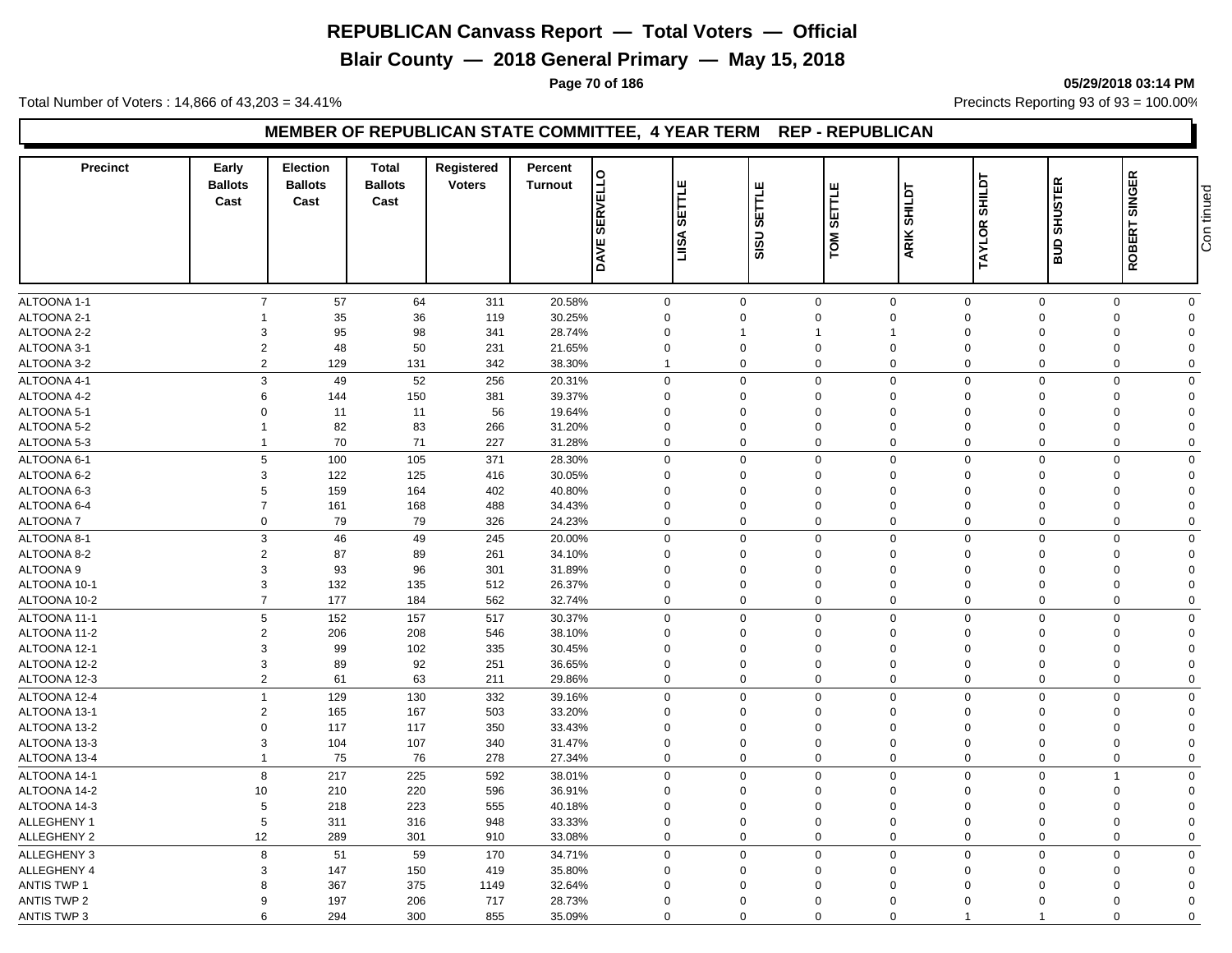**Blair County — 2018 General Primary — May 15, 2018**

**Page 70 of 186 05/29/2018 03:14 PM**

Total Number of Voters : 14,866 of 43,203 = 34.41% Precincts Reporting 93 of 93 = 100.00%

#### **MEMBER OF REPUBLICAN STATE COMMITTEE, 4 YEAR TERM REP - REPUBLICAN**

| <b>SERVELLO</b><br><b>SHILDT</b><br>SETTLE<br>SETTLE<br><b>SHILDT</b><br><b>SETTI</b><br>Cast<br>Cast<br>Cast<br><b>TAYLOR</b><br>ARIK<br><b>ASILI</b><br>SISU<br>МO.<br><b>DAVE</b>                                 | ROBERT SINGER<br><b>SHUSTER</b><br>Con tinued<br>ans |
|----------------------------------------------------------------------------------------------------------------------------------------------------------------------------------------------------------------------|------------------------------------------------------|
|                                                                                                                                                                                                                      |                                                      |
| ALTOONA 1-1<br>$\overline{7}$<br>$\mathbf 0$<br>57<br>64<br>311<br>20.58%<br>$\mathbf 0$<br>$\mathbf 0$<br>$\mathbf 0$<br>$\mathbf 0$<br>$\mathbf 0$                                                                 | $\mathbf 0$<br>$\mathbf 0$                           |
| ALTOONA 2-1<br>35<br>36<br>30.25%<br>$\mathbf 0$<br>119<br>$\Omega$<br>$\Omega$<br>$\mathbf 0$<br>$\mathbf 0$<br>$\mathbf 0$<br>98<br>$\Omega$<br>$\overline{1}$                                                     | $\mathbf 0$<br>$\Omega$<br>$\Omega$                  |
| ALTOONA 2-2<br>95<br>3<br>341<br>28.74%<br>$\mathbf 0$<br>$\Omega$<br>-1<br>$\overline{2}$<br>48<br>50<br>ALTOONA 3-1<br>231<br>21.65%<br>$\mathbf 0$<br>$\Omega$<br>$\Omega$<br>$\mathbf 0$<br>$\Omega$<br>$\Omega$ | $\Omega$<br>$\mathbf 0$<br>$\Omega$                  |
| $\overline{2}$<br>$\Omega$<br>$\Omega$<br>$\Omega$<br>$\overline{0}$<br>$\overline{1}$                                                                                                                               | $\mathbf 0$<br>$\Omega$                              |
| ALTOONA 3-2<br>129<br>131<br>342<br>38.30%<br>$\mathbf 0$                                                                                                                                                            |                                                      |
| ALTOONA 4-1<br>3<br>52<br>256<br>49<br>20.31%<br>$\mathbf 0$<br>$\mathbf 0$<br>$\mathbf 0$<br>$\mathbf 0$<br>$\mathbf 0$<br>$\mathbf 0$                                                                              | $\mathbf 0$<br>$\Omega$                              |
| ALTOONA 4-2<br>6<br>150<br>381<br>39.37%<br>144<br>$\mathbf 0$<br>$\Omega$<br>$\mathbf 0$<br>$\mathbf 0$<br>$\mathbf 0$<br>$\mathbf 0$                                                                               | 0<br>$\Omega$                                        |
| ALTOONA 5-1<br>$\Omega$<br>11<br>11<br>56<br>19.64%<br>$\mathbf 0$<br>$\Omega$<br>$\Omega$<br>$\mathbf 0$<br>$\Omega$<br>$\Omega$                                                                                    | $\mathbf 0$<br>$\Omega$                              |
| 82<br>ALTOONA 5-2<br>83<br>266<br>31.20%<br>$\mathbf 0$<br>$\Omega$<br>$\mathbf 0$<br>$\Omega$<br>$\Omega$<br>0<br>-1                                                                                                | $\mathbf 0$<br>$\Omega$                              |
| 70<br>71<br>227<br>$\mathbf 0$<br>$\mathbf 0$<br>ALTOONA 5-3<br>31.28%<br>$\Omega$<br>0<br>$\Omega$<br>$\mathbf 0$<br>$\mathbf{1}$                                                                                   | 0<br>$\Omega$                                        |
| 5<br>100<br>105<br>371<br>$\mathbf 0$<br>$\mathbf 0$<br>ALTOONA 6-1<br>28.30%<br>$\Omega$<br>$\mathbf 0$<br>$\mathbf 0$<br>$\mathbf 0$                                                                               | $\mathbf 0$<br>$\Omega$                              |
| ALTOONA 6-2<br>3<br>122<br>125<br>30.05%<br>$\mathbf 0$<br>$\mathbf 0$<br>416<br>$\mathbf 0$<br>$\mathbf 0$<br>$\mathbf 0$<br>$\mathbf 0$                                                                            | 0<br>$\Omega$                                        |
| 159<br>ALTOONA 6-3<br>5<br>164<br>402<br>40.80%<br>$\mathbf 0$<br>$\Omega$<br>$\Omega$<br>$\mathbf 0$<br>$\Omega$<br>$\Omega$                                                                                        | 0<br>$\Omega$                                        |
| ALTOONA 6-4<br>$\overline{7}$<br>161<br>168<br>488<br>34.43%<br>$\mathbf 0$<br>$\mathbf 0$<br>$\mathbf 0$<br>$\mathbf 0$<br>$\mathbf 0$<br>$\overline{0}$                                                            | $\mathbf 0$<br>$\Omega$                              |
| $\mathbf 0$<br>79<br>79<br>24.23%<br>$\mathbf 0$<br>$\mathbf 0$<br>$\mathbf 0$<br>$\mathbf 0$<br>ALTOONA 7<br>326<br>0<br>$\mathbf 0$                                                                                | $\mathbf 0$<br>$\Omega$                              |
| ALTOONA 8-1<br>3<br>46<br>49<br>245<br>20.00%<br>$\mathbf 0$<br>$\Omega$<br>$\mathbf 0$<br>$\mathbf 0$<br>$\mathbf 0$<br>$\overline{0}$                                                                              | $\mathbf 0$<br>$\mathbf 0$                           |
| $\overline{2}$<br>87<br>ALTOONA 8-2<br>89<br>261<br>34.10%<br>$\mathbf 0$<br>$\mathbf 0$<br>$\mathbf 0$<br>$\mathbf 0$<br>$\mathbf 0$<br>$\mathbf 0$                                                                 | 0<br>$\Omega$                                        |
| 3<br>93<br><b>ALTOONA 9</b><br>96<br>301<br>31.89%<br>$\mathbf 0$<br>$\mathbf 0$<br>$\Omega$<br>$\Omega$<br>$\Omega$<br>$\Omega$                                                                                     | $\mathbf 0$<br>$\Omega$                              |
| 132<br>ALTOONA 10-1<br>3<br>135<br>512<br>26.37%<br>$\mathbf 0$<br>$\Omega$<br>$\mathbf 0$<br>$\mathbf 0$<br>$\Omega$<br>$\Omega$                                                                                    | $\mathbf 0$<br>$\Omega$                              |
| $\overline{7}$<br>177<br>$\mathbf 0$<br>ALTOONA 10-2<br>184<br>562<br>32.74%<br>$\Omega$<br>$\Omega$<br>$\mathbf 0$<br>$\mathbf 0$<br>$\overline{0}$                                                                 | $\mathbf 0$<br>$\Omega$                              |
| 5<br>152<br>$\mathbf 0$<br>ALTOONA 11-1<br>157<br>517<br>30.37%<br>$\mathbf 0$<br>$\mathbf 0$<br>$\mathbf 0$<br>$\Omega$<br>$\mathbf 0$                                                                              | $\mathbf 0$<br>$\mathbf 0$                           |
| ALTOONA 11-2<br>$\overline{2}$<br>206<br>38.10%<br>208<br>546<br>$\mathbf 0$<br>$\Omega$<br>$\Omega$<br>$\mathbf 0$<br>$\Omega$<br>$\Omega$                                                                          | 0<br>$\Omega$                                        |
| 99<br>ALTOONA 12-1<br>3<br>102<br>335<br>30.45%<br>$\mathbf 0$<br>$\Omega$<br>$\mathbf 0$<br>$\mathbf 0$<br>$\Omega$<br>$\Omega$                                                                                     | 0<br>$\Omega$                                        |
| 3<br>89<br>92<br>251<br>36.65%<br>$\mathbf 0$<br>$\mathbf 0$<br>$\mathbf 0$<br>$\mathbf 0$<br>$\overline{0}$<br>ALTOONA 12-2<br>$\mathbf 0$                                                                          | $\mathbf 0$<br>$\Omega$                              |
| $\overline{2}$<br>61<br>$\mathbf 0$<br>$\mathbf 0$<br>$\mathbf 0$<br>$\overline{0}$<br>ALTOONA 12-3<br>63<br>211<br>29.86%<br>$\mathbf 0$<br>0                                                                       | 0<br>$\mathbf 0$                                     |
| 129<br>332<br>$\mathbf 0$<br>$\mathbf 0$<br>ALTOONA 12-4<br>$\overline{1}$<br>130<br>39.16%<br>$\Omega$<br>$\Omega$<br>$\mathbf 0$<br>$\mathbf 0$                                                                    | $\mathbf 0$<br>$\mathbf 0$                           |
| ALTOONA 13-1<br>$\overline{2}$<br>165<br>503<br>33.20%<br>$\mathbf 0$<br>$\mathbf 0$<br>167<br>$\Omega$<br>$\Omega$<br>$\Omega$<br>$\Omega$                                                                          | $\Omega$<br>$\Omega$                                 |
| 33.43%<br>$\mathbf 0$<br>ALTOONA 13-2<br>$\Omega$<br>117<br>117<br>350<br>$\Omega$<br>$\mathbf{0}$<br>$\Omega$<br>$\Omega$<br>$\Omega$                                                                               | $\mathbf 0$<br>$\Omega$                              |
| ALTOONA 13-3<br>3<br>104<br>107<br>340<br>31.47%<br>$\mathbf 0$<br>$\mathbf 0$<br>$\mathbf 0$<br>$\mathbf 0$<br>$\mathbf 0$<br>$\overline{0}$                                                                        | $\mathbf 0$<br>$\Omega$                              |
| 75<br>76<br>27.34%<br>$\mathbf 0$<br>$\mathbf 0$<br>$\mathbf 0$<br>$\mathbf 0$<br>ALTOONA 13-4<br>$\mathbf{1}$<br>278<br>0<br>$\mathbf 0$                                                                            | $\mathbf 0$<br>$\mathbf 0$                           |
| ALTOONA 14-1<br>8<br>217<br>225<br>592<br>$\mathbf 0$<br>$\mathbf 0$<br>$\mathbf 0$<br>$\mathbf 0$<br>$\mathbf 0$<br>38.01%<br>$\Omega$                                                                              | $\overline{1}$<br>$\mathbf 0$                        |
| ALTOONA 14-2<br>10<br>210<br>220<br>596<br>36.91%<br>$\mathbf 0$<br>$\Omega$<br>$\mathbf 0$<br>$\Omega$<br>$\Omega$<br>$\Omega$                                                                                      | 0<br>$\Omega$                                        |
| ALTOONA 14-3<br>5<br>218<br>223<br>555<br>$\mathbf 0$<br>$\mathbf 0$<br>40.18%<br>$\Omega$<br>$\Omega$<br>$\Omega$<br>$\Omega$                                                                                       | $\mathbf 0$<br>$\Omega$                              |
| <b>ALLEGHENY 1</b><br>5<br>311<br>948<br>33.33%<br>$\mathbf 0$<br>$\Omega$<br>$\mathbf 0$<br>$\Omega$<br>316<br>$\mathbf 0$<br>$\Omega$                                                                              | $\mathbf 0$<br>$\Omega$                              |
| 12<br>ALLEGHENY 2<br>289<br>301<br>$\mathbf 0$<br>$\Omega$<br>$\mathbf 0$<br>$\mathbf 0$<br>$\Omega$<br>$\mathbf 0$<br>910<br>33.08%                                                                                 | $\mathbf 0$<br>$\Omega$                              |
| 8<br>$\mathbf 0$<br>ALLEGHENY 3<br>51<br>59<br>170<br>34.71%<br>$\mathbf 0$<br>$\mathbf 0$<br>$\mathbf 0$<br>$\mathbf 0$<br>$\mathbf 0$                                                                              | $\mathbf 0$<br>$\Omega$                              |
| ALLEGHENY 4<br>3<br>147<br>150<br>419<br>35.80%<br>$\mathbf 0$<br>$\Omega$<br>$\Omega$<br>$\mathbf 0$<br>$\Omega$<br>$\Omega$                                                                                        | $\mathbf 0$<br>$\Omega$                              |
| 375<br><b>ANTIS TWP 1</b><br>367<br>1149<br>32.64%<br>$\mathbf 0$<br>$\Omega$<br>$\mathbf 0$<br>$\Omega$<br>8<br>$\Omega$<br>$\Omega$                                                                                | $\Omega$<br>0                                        |
| <b>ANTIS TWP 2</b><br>197<br>206<br>717<br>28.73%<br>$\mathbf 0$<br>9<br>$\Omega$<br>$\mathbf 0$<br>$\mathbf 0$<br>$\Omega$<br>$\Omega$                                                                              | 0<br>$\Omega$                                        |
| 300<br>855<br>$\Omega$<br><b>ANTIS TWP 3</b><br>6<br>294<br>35.09%<br>$\Omega$<br>$\Omega$<br>$\Omega$<br>-1                                                                                                         | 0<br>$\Omega$                                        |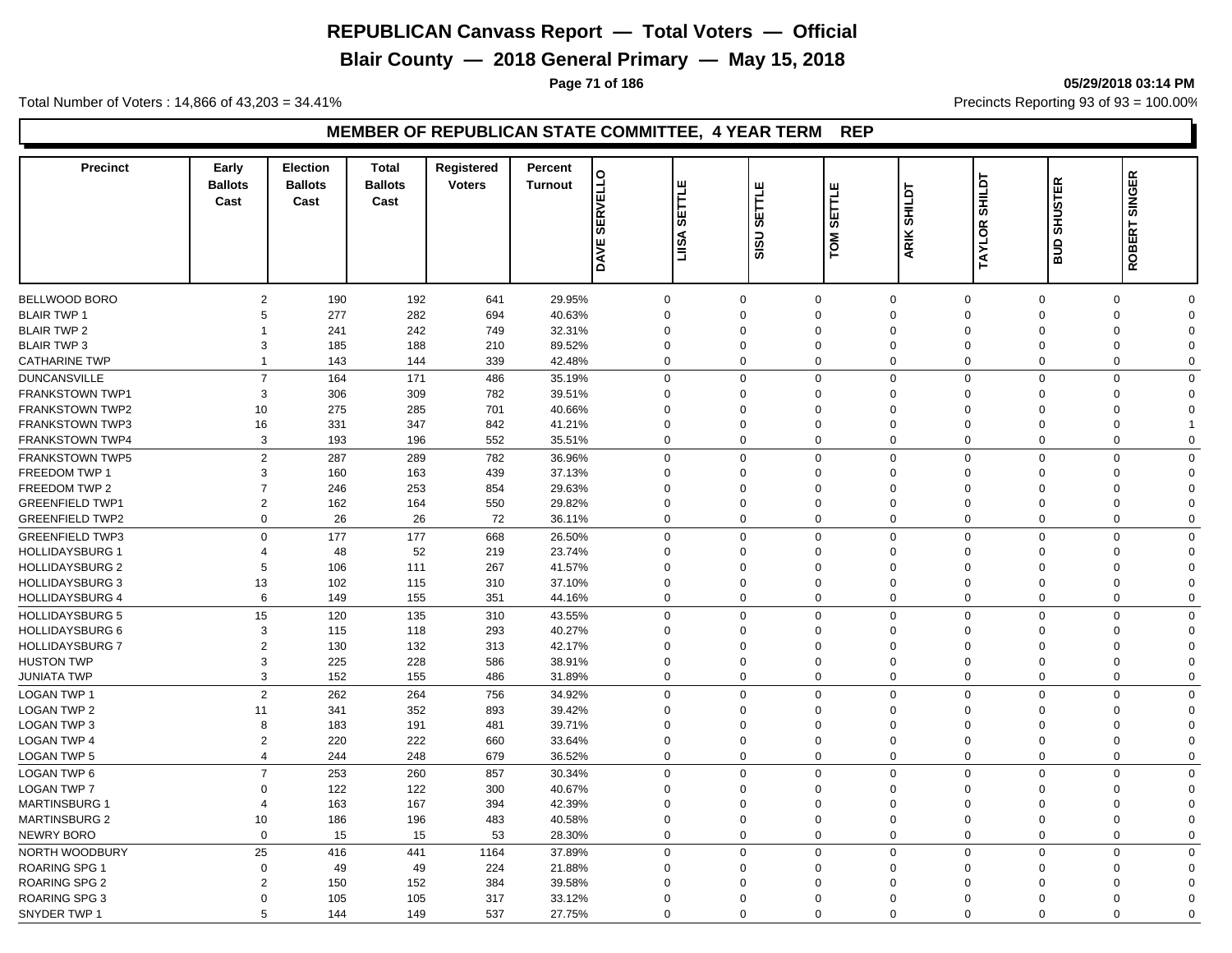**Blair County — 2018 General Primary — May 15, 2018**

**Page 71 of 186 05/29/2018 03:14 PM**

Total Number of Voters : 14,866 of 43,203 = 34.41% **Precincts Reporting 93 of 93** = 100.00%

| <b>Precinct</b>                          | Early<br><b>Ballots</b><br>Cast | <b>Election</b><br><b>Ballots</b><br>Cast | <b>Total</b><br><b>Ballots</b><br>Cast | Registered<br><b>Voters</b> | Percent<br><b>Turnout</b> | <b>SERVELLO</b><br><b>DAVE</b> | ш<br>ETLI<br>க<br>LIISA | SETTLE<br>SISU       | SETTLE<br>δ          | <b>SHILDT</b><br>ARIK      | <b>SHILDT</b><br><b>TAYLOR</b>   | <b>SHUSTER</b><br>ans | <b>SINGER</b><br><b>ROBERT</b>                     |  |
|------------------------------------------|---------------------------------|-------------------------------------------|----------------------------------------|-----------------------------|---------------------------|--------------------------------|-------------------------|----------------------|----------------------|----------------------------|----------------------------------|-----------------------|----------------------------------------------------|--|
|                                          |                                 |                                           |                                        |                             |                           |                                |                         |                      |                      |                            |                                  |                       |                                                    |  |
| BELLWOOD BORO                            | $\overline{2}$                  | 190                                       | 192                                    | 641                         | 29.95%                    | $\mathbf 0$                    |                         | $\Omega$<br>$\Omega$ | $\mathbf 0$          | $\mathbf 0$                | $\mathbf 0$<br>$\Omega$          | $\mathbf 0$           | $\mathbf 0$<br>$\Omega$                            |  |
| <b>BLAIR TWP 1</b>                       | 5                               | 277                                       | 282<br>242                             | 694                         | 40.63%                    | $\mathbf 0$<br>$\mathbf 0$     |                         | $\Omega$             | $\Omega$             | $\mathbf 0$<br>$\mathbf 0$ | $\Omega$                         | $\Omega$<br>$\Omega$  | $\mathbf 0$<br>$\Omega$<br>$\mathbf 0$<br>$\Omega$ |  |
| <b>BLAIR TWP 2</b><br><b>BLAIR TWP 3</b> | 1<br>3                          | 241                                       | 188                                    | 749                         | 32.31%                    | $\mathbf 0$                    |                         | $\Omega$             | $\Omega$<br>$\Omega$ | $\mathbf 0$                | $\Omega$<br>$\Omega$             |                       | $\mathbf 0$<br>$\Omega$                            |  |
|                                          |                                 | 185                                       |                                        | 210                         | 89.52%                    | $\mathbf 0$                    |                         | $\Omega$             |                      | $\mathbf 0$                | $\Omega$                         |                       | $\mathbf 0$                                        |  |
| <b>CATHARINE TWP</b>                     | 1                               | 143                                       | 144                                    | 339                         | 42.48%                    |                                |                         |                      | $\mathbf 0$          |                            |                                  | $\mathbf 0$           | $\Omega$                                           |  |
| <b>DUNCANSVILLE</b>                      | $\overline{7}$                  | 164                                       | 171                                    | 486                         | 35.19%                    | $\mathbf 0$                    |                         | $\Omega$             | $\mathbf 0$          | $\mathbf 0$                | $\mathbf 0$                      | $\mathbf 0$           | $\mathbf 0$<br>$\Omega$                            |  |
| <b>FRANKSTOWN TWP1</b>                   | 3                               | 306                                       | 309                                    | 782                         | 39.51%                    | $\mathbf 0$                    |                         | $\Omega$             | $\mathbf 0$          | $\mathbf 0$                | $\Omega$                         | $\mathbf 0$           | 0<br>$\Omega$                                      |  |
| <b>FRANKSTOWN TWP2</b>                   | 10                              | 275                                       | 285                                    | 701                         | 40.66%                    | $\mathbf 0$                    |                         | $\Omega$             | $\Omega$             | $\mathbf 0$                | $\Omega$<br>$\Omega$             |                       | $\mathbf 0$<br>$\Omega$                            |  |
| <b>FRANKSTOWN TWP3</b>                   | 16                              | 331                                       | 347                                    | 842                         | 41.21%                    | $\mathbf 0$                    |                         | $\Omega$             | $\mathbf 0$          | $\mathbf 0$                | $\Omega$                         | $\Omega$              | $\mathbf 0$                                        |  |
| FRANKSTOWN TWP4                          | 3                               | 193                                       | 196                                    | 552                         | 35.51%                    | $\mathbf 0$                    |                         | $\Omega$             | 0                    | $\mathbf 0$                | $\mathbf 0$                      | $\mathbf 0$           | 0<br>$\Omega$                                      |  |
| <b>FRANKSTOWN TWP5</b>                   | $\mathbf{2}$                    | 287                                       | 289                                    | 782                         | 36.96%                    | $\mathbf 0$                    |                         | $\Omega$             | 0                    | $\mathbf 0$                | $\Omega$                         | $\mathbf 0$           | $\mathbf 0$<br>$\Omega$                            |  |
| FREEDOM TWP 1                            | 3                               | 160                                       | 163                                    | 439                         | 37.13%                    | $\mathbf 0$                    |                         | $\Omega$             | $\Omega$             | $\mathbf 0$                | $\mathbf 0$<br>$\Omega$          |                       | $\mathbf 0$<br>$\Omega$                            |  |
| FREEDOM TWP 2                            | $\overline{7}$                  | 246                                       | 253                                    | 854                         | 29.63%                    | $\mathbf 0$                    |                         | $\Omega$             | $\mathbf 0$          | $\mathbf 0$                | $\Omega$                         | $\mathbf 0$           | 0<br>$\Omega$                                      |  |
| <b>GREENFIELD TWP1</b>                   | $\overline{2}$                  | 162                                       | 164                                    | 550                         | 29.82%                    | $\mathbf 0$                    |                         | $\Omega$             | $\Omega$             | $\mathbf 0$                | $\mathbf 0$<br>$\Omega$          |                       | $\mathbf 0$<br>$\Omega$                            |  |
| <b>GREENFIELD TWP2</b>                   | $\mathbf 0$                     | 26                                        | 26                                     | 72                          | 36.11%                    | $\mathbf 0$                    |                         | $\Omega$             | $\mathbf 0$          | $\mathbf 0$                | $\mathbf 0$                      | $\mathbf 0$           | $\mathbf 0$<br>$\Omega$                            |  |
| <b>GREENFIELD TWP3</b>                   | $\Omega$                        | 177                                       | 177                                    | 668                         | 26.50%                    | $\mathbf 0$                    |                         | $\Omega$             | $\mathbf 0$          | $\mathbf 0$                | $\mathbf 0$<br>$\Omega$          |                       | $\mathbf 0$<br>$\mathbf 0$                         |  |
| <b>HOLLIDAYSBURG 1</b>                   | $\overline{4}$                  | 48                                        | 52                                     | 219                         | 23.74%                    | $\mathbf 0$                    |                         | $\Omega$             | $\Omega$             | $\mathbf 0$                | $\Omega$<br>$\Omega$             |                       | 0<br>$\Omega$                                      |  |
| <b>HOLLIDAYSBURG 2</b>                   | 5                               | 106                                       | 111                                    | 267                         | 41.57%                    | $\mathbf 0$                    |                         | $\Omega$             | $\Omega$             | $\mathbf 0$                | $\Omega$                         | $\Omega$              | 0<br>$\Omega$                                      |  |
| <b>HOLLIDAYSBURG 3</b>                   | 13                              | 102                                       | 115                                    | 310                         | 37.10%                    | $\mathbf 0$                    |                         | $\Omega$             | $\mathbf 0$          | $\mathbf 0$                | $\Omega$<br>$\mathbf 0$          |                       | 0<br>$\Omega$                                      |  |
| <b>HOLLIDAYSBURG 4</b>                   | 6                               | 149                                       | 155                                    | 351                         | 44.16%                    | $\mathbf 0$                    |                         | $\Omega$             | 0                    | $\mathbf 0$                | $\Omega$<br>$\mathbf 0$          |                       | $\mathbf 0$<br>$\Omega$                            |  |
| <b>HOLLIDAYSBURG 5</b>                   | 15                              | 120                                       | 135                                    | 310                         | 43.55%                    | $\mathbf 0$                    |                         | $\Omega$             | $\Omega$             | $\mathbf 0$                | $\Omega$                         | $\mathbf 0$           | $\mathbf 0$<br>$\Omega$                            |  |
| <b>HOLLIDAYSBURG 6</b>                   | 3                               | 115                                       | 118                                    | 293                         | 40.27%                    | $\mathbf 0$                    |                         | $\Omega$             | $\Omega$             | $\mathbf 0$                | $\Omega$                         | $\Omega$              | $\mathbf 0$<br>$\Omega$                            |  |
| <b>HOLLIDAYSBURG 7</b>                   | $\overline{2}$                  | 130                                       | 132                                    | 313                         | 42.17%                    | $\mathbf 0$                    |                         | $\Omega$             | $\mathbf 0$          | $\mathbf 0$                | $\Omega$                         | $\Omega$              | $\mathbf 0$<br>$\Omega$                            |  |
| <b>HUSTON TWP</b>                        | 3                               | 225                                       | 228                                    | 586                         | 38.91%                    | $\mathbf 0$                    |                         | $\Omega$             | $\Omega$             | $\mathbf 0$                | $\Omega$<br>$\Omega$             |                       | $\mathbf 0$<br>$\Omega$                            |  |
| JUNIATA TWP                              | 3                               | 152                                       | 155                                    | 486                         | 31.89%                    | $\mathbf 0$                    |                         | $\Omega$             | $\mathbf 0$          | $\mathbf 0$                | $\Omega$                         | $\mathbf 0$           | $\mathbf 0$<br>$\Omega$                            |  |
| <b>LOGAN TWP 1</b>                       | $\overline{2}$                  |                                           | 264                                    |                             | 34.92%                    | $\mathbf 0$                    |                         | $\Omega$             | $\mathbf 0$          | $\mathbf 0$                | $\mathbf 0$                      | $\mathbf 0$           | $\mathbf 0$<br>$\Omega$                            |  |
|                                          |                                 | 262                                       |                                        | 756                         |                           |                                |                         |                      |                      |                            |                                  |                       |                                                    |  |
| <b>LOGAN TWP 2</b>                       | 11                              | 341                                       | 352                                    | 893                         | 39.42%                    | $\mathbf 0$                    |                         | $\Omega$<br>$\Omega$ | $\Omega$             | $\mathbf 0$                | $\Omega$<br>$\Omega$             | $\Omega$              | $\mathbf 0$<br>$\Omega$                            |  |
| <b>LOGAN TWP 3</b>                       | 8                               | 183                                       | 191                                    | 481                         | 39.71%                    | $\mathbf 0$                    |                         | $\Omega$             | 0                    | $\mathbf 0$                |                                  | $\Omega$              | $\mathbf 0$<br>$\Omega$                            |  |
| <b>LOGAN TWP 4</b>                       | $\overline{2}$                  | 220                                       | 222                                    | 660                         | 33.64%                    | $\mathbf 0$                    |                         | $\Omega$             | $\Omega$             | $\mathbf 0$                | $\Omega$<br>$\Omega$<br>$\Omega$ |                       | 0<br>$\Omega$                                      |  |
| <b>LOGAN TWP 5</b>                       | $\overline{4}$                  | 244                                       | 248                                    | 679                         | 36.52%                    | $\mathbf 0$                    |                         |                      | 0                    | $\mathbf 0$                |                                  | $\mathbf 0$           | $\mathbf 0$<br>$\Omega$                            |  |
| LOGAN TWP 6                              | $\overline{7}$                  | 253                                       | 260                                    | 857                         | 30.34%                    | $\mathbf 0$                    |                         | $\Omega$             | $\mathbf 0$          | $\mathbf 0$                | $\mathbf 0$<br>$\Omega$          |                       | $\mathbf 0$<br>$\Omega$                            |  |
| <b>LOGAN TWP 7</b>                       | $\mathbf 0$                     | 122                                       | 122                                    | 300                         | 40.67%                    | $\mathbf 0$                    |                         | $\Omega$             | $\Omega$             | $\mathbf 0$                | $\Omega$                         | $\mathbf 0$           | 0<br>$\Omega$                                      |  |
| <b>MARTINSBURG 1</b>                     | $\overline{4}$                  | 163                                       | 167                                    | 394                         | 42.39%                    | $\mathbf 0$                    |                         | $\Omega$             | $\Omega$             | $\mathbf 0$                | $\mathbf 0$<br>$\Omega$          |                       | $\mathbf 0$<br>$\Omega$                            |  |
| <b>MARTINSBURG 2</b>                     | 10                              | 186                                       | 196                                    | 483                         | 40.58%                    | $\mathbf 0$                    |                         | $\mathbf 0$          | $\mathbf 0$          | $\mathbf 0$                | $\mathbf 0$                      | $\mathbf 0$           | $\mathbf 0$<br>$\Omega$                            |  |
| <b>NEWRY BORO</b>                        | $\mathbf 0$                     | 15                                        | 15                                     | 53                          | 28.30%                    | $\mathbf 0$                    |                         | $\Omega$             | $\mathbf 0$          | $\mathbf 0$                | $\mathbf 0$                      | $\mathbf 0$           | $\mathbf 0$<br>$\Omega$                            |  |
| NORTH WOODBURY                           | 25                              | 416                                       | 441                                    | 1164                        | 37.89%                    | $\mathbf 0$                    |                         | $\Omega$             | $\mathbf 0$          | $\mathbf 0$                | $\overline{0}$<br>$\mathbf 0$    |                       | $\mathbf 0$<br>$\mathbf 0$                         |  |
| <b>ROARING SPG 1</b>                     | $\overline{0}$                  | 49                                        | 49                                     | 224                         | 21.88%                    | $\mathbf 0$                    |                         | $\Omega$             | $\Omega$             | $\mathbf 0$                | $\Omega$<br>$\Omega$             |                       | 0<br>$\Omega$                                      |  |
| <b>ROARING SPG 2</b>                     | $\overline{2}$                  | 150                                       | 152                                    | 384                         | 39.58%                    | $\mathbf 0$                    |                         | $\Omega$             | $\mathbf 0$          | $\mathbf 0$                | $\Omega$                         | $\Omega$              | 0<br>$\Omega$                                      |  |
| ROARING SPG 3                            | $\Omega$                        | 105                                       | 105                                    | 317                         | 33.12%                    | $\mathbf 0$                    |                         | $\Omega$             | $\Omega$             | $\Omega$                   | $\Omega$                         | $\Omega$              | $\mathbf 0$<br>$\Omega$                            |  |
| SNYDER TWP 1                             | 5                               | 144                                       | 149                                    | 537                         | 27.75%                    | $\Omega$                       |                         | $\Omega$             | $\Omega$             | $\Omega$                   | $\Omega$<br>$\Omega$             |                       | $\Omega$<br>$\Omega$                               |  |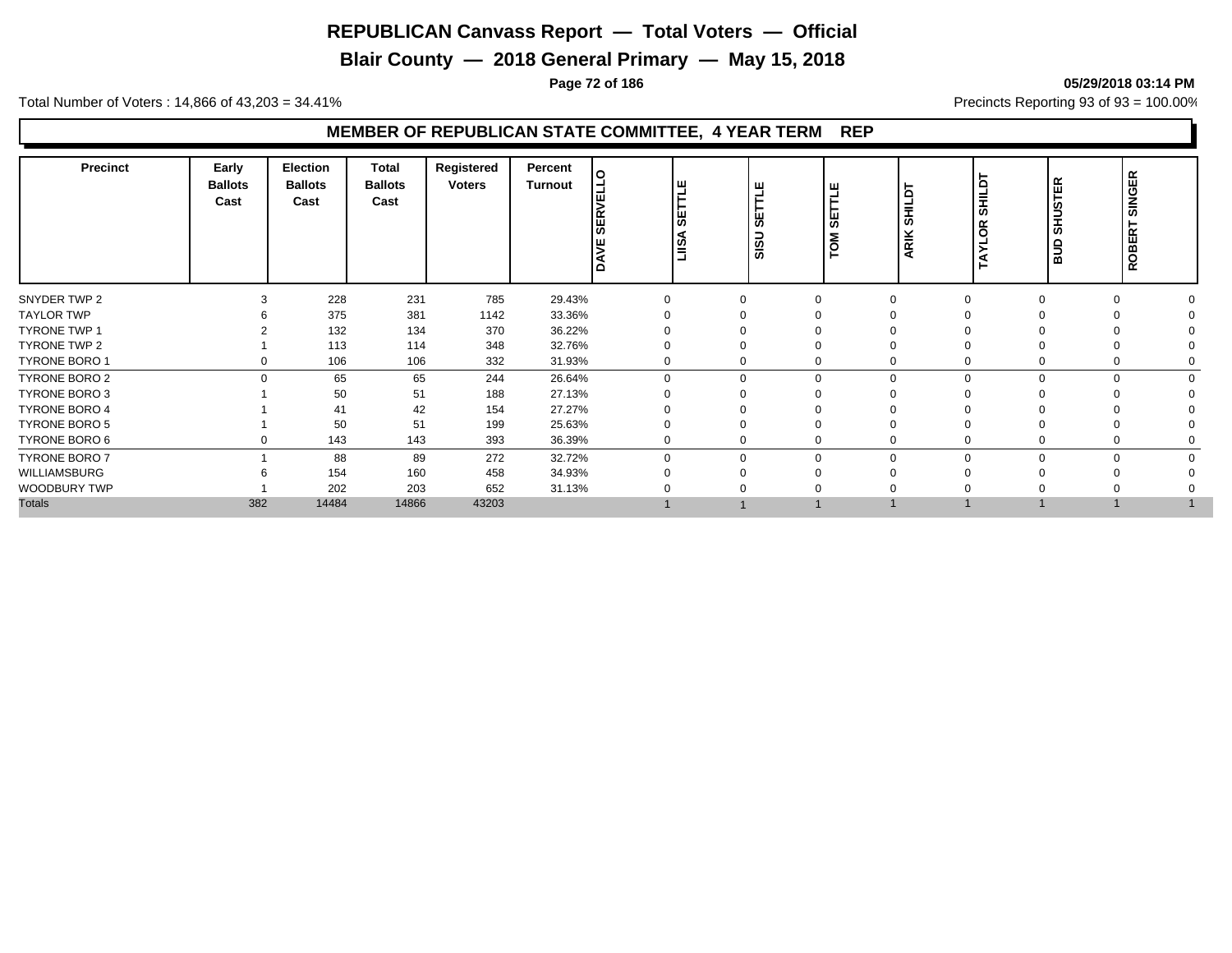**Blair County — 2018 General Primary — May 15, 2018**

**Page 72 of 186 05/29/2018 03:14 PM**

Total Number of Voters : 14,866 of 43,203 = 34.41% **Precincts Reporting 93 of 93** = 100.00%

| <b>Precinct</b>      | Early<br><b>Ballots</b><br>Cast | <b>Election</b><br><b>Ballots</b><br>Cast | <b>Total</b><br><b>Ballots</b><br>Cast | Registered<br><b>Voters</b> | Percent<br>Turnout | $\circ$<br>ב'<br>$\mathbf{H}$<br>ш<br>ட<br>$\overline{\phantom{0}}$ | <b>SETTLE</b><br><b>ASILI</b> | щ<br>あ<br>Ξ<br>SIS | 当<br>₩<br>δ<br>Ē | $\Omega$<br>룾<br>ഗ<br>⊻<br>귵 | SHILDT<br>ိ<br>◀ | 띥<br>5<br>₿<br>စ<br>aua | <b>SINGER</b><br>Н<br>ROBER <sup>-</sup> |  |
|----------------------|---------------------------------|-------------------------------------------|----------------------------------------|-----------------------------|--------------------|---------------------------------------------------------------------|-------------------------------|--------------------|------------------|------------------------------|------------------|-------------------------|------------------------------------------|--|
| SNYDER TWP 2         |                                 | 228                                       | 231                                    | 785                         | 29.43%             | $\Omega$                                                            |                               |                    | $\Omega$         |                              |                  | $\Omega$                |                                          |  |
| <b>TAYLOR TWP</b>    |                                 | 375                                       | 381                                    | 1142                        | 33.36%             |                                                                     |                               |                    |                  |                              |                  |                         |                                          |  |
| <b>TYRONE TWP 1</b>  |                                 | 132                                       | 134                                    | 370                         | 36.22%             |                                                                     |                               |                    |                  |                              |                  |                         |                                          |  |
| TYRONE TWP 2         |                                 | 113                                       | 114                                    | 348                         | 32.76%             | $\Omega$                                                            |                               |                    |                  |                              |                  |                         |                                          |  |
| <b>TYRONE BORO 1</b> | $\Omega$                        | 106                                       | 106                                    | 332                         | 31.93%             | $\Omega$                                                            |                               |                    | 0                |                              |                  | 0                       |                                          |  |
| TYRONE BORO 2        | $\Omega$                        | 65                                        | 65                                     | 244                         | 26.64%             | $\Omega$                                                            |                               | $\Omega$           | 0                | $\Omega$                     |                  | $\Omega$                |                                          |  |
| <b>TYRONE BORO 3</b> |                                 | 50                                        | 51                                     | 188                         | 27.13%             |                                                                     |                               |                    |                  |                              |                  |                         |                                          |  |
| <b>TYRONE BORO 4</b> |                                 | 41                                        | 42                                     | 154                         | 27.27%             |                                                                     |                               |                    |                  |                              |                  |                         |                                          |  |
| <b>TYRONE BORO 5</b> |                                 | 50                                        | 51                                     | 199                         | 25.63%             | $\Omega$                                                            |                               |                    |                  |                              |                  |                         |                                          |  |
| TYRONE BORO 6        | $\Omega$                        | 143                                       | 143                                    | 393                         | 36.39%             | $\Omega$                                                            |                               | 0                  | 0                |                              |                  | $\Omega$                |                                          |  |
| <b>TYRONE BORO 7</b> |                                 | 88                                        | 89                                     | 272                         | 32.72%             | $\mathbf 0$                                                         |                               | $\Omega$           | 0                | $\Omega$                     |                  | $\Omega$                | $\Omega$                                 |  |
| WILLIAMSBURG         |                                 | 154                                       | 160                                    | 458                         | 34.93%             | $\Omega$                                                            |                               |                    | ∩                |                              |                  |                         |                                          |  |
| WOODBURY TWP         |                                 | 202                                       | 203                                    | 652                         | 31.13%             |                                                                     |                               |                    | $\Omega$         |                              |                  |                         |                                          |  |
| <b>Totals</b>        | 382                             | 14484                                     | 14866                                  | 43203                       |                    |                                                                     |                               |                    |                  |                              |                  |                         |                                          |  |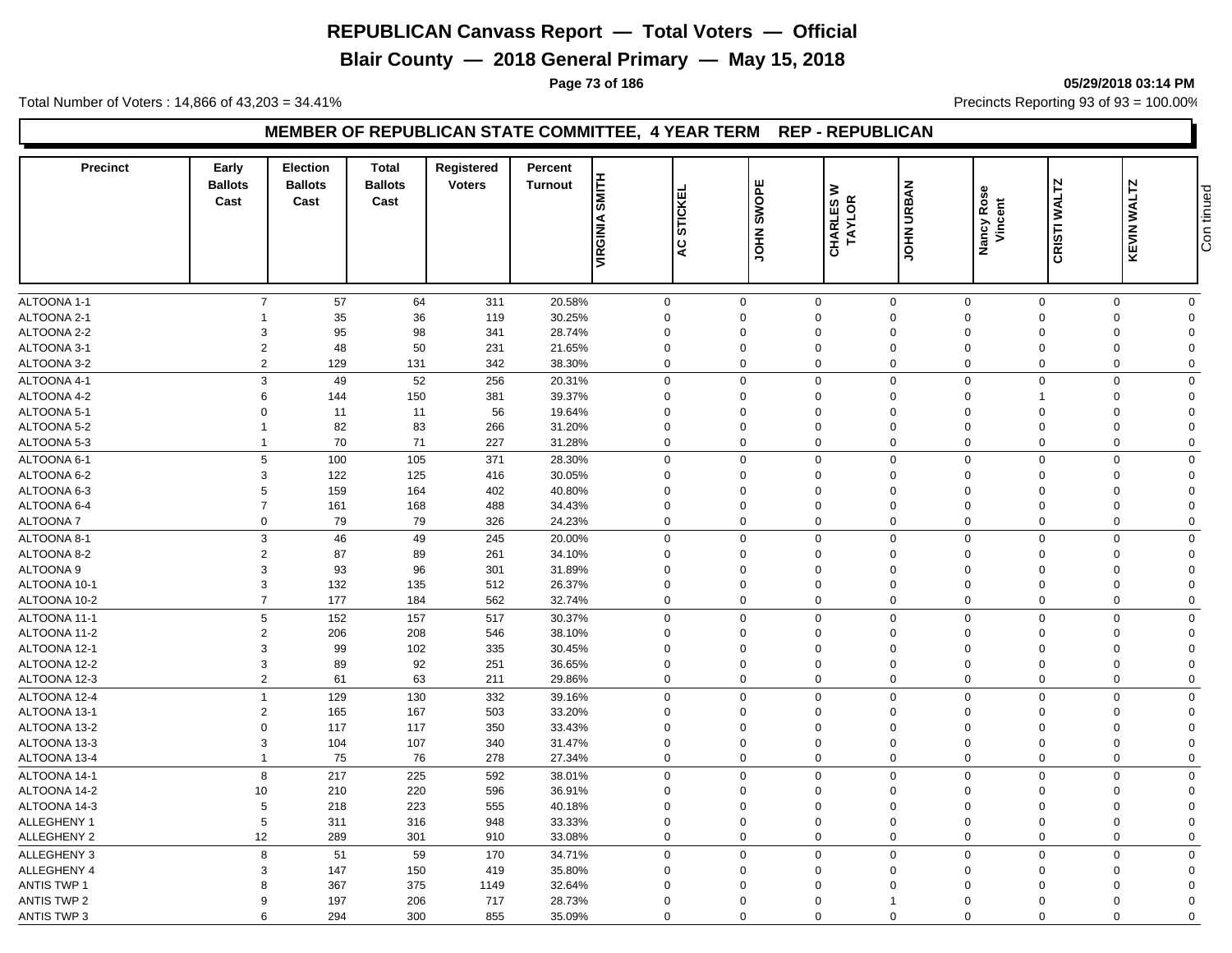**Blair County — 2018 General Primary — May 15, 2018**

#### **Page 73 of 186 05/29/2018 03:14 PM**

Total Number of Voters : 14,866 of 43,203 = 34.41% **Precincts Reporting 93 of 93** = 100.00%

#### **MEMBER OF REPUBLICAN STATE COMMITTEE, 4 YEAR TERM REP - REPUBLICAN**

| <b>Precinct</b>            | Early<br><b>Ballots</b><br>Cast | <b>Election</b><br><b>Ballots</b><br>Cast | <b>Total</b><br><b>Ballots</b><br>Cast | Registered<br><b>Voters</b> | Percent<br><b>Turnout</b> | <b>SMITH</b><br>VIRGINIA | <b>STICKEI</b><br>Q        | SWOPE<br><b>NHOL</b>       | ₹<br>TAYLOR<br><b>CHARLES</b> | <b>JOHN URBAN</b>          | Nancy Rose<br>Vincent      | CRISTI WALTZ                  | <b>KEVIN WALTZ</b> | Con tinued              |
|----------------------------|---------------------------------|-------------------------------------------|----------------------------------------|-----------------------------|---------------------------|--------------------------|----------------------------|----------------------------|-------------------------------|----------------------------|----------------------------|-------------------------------|--------------------|-------------------------|
|                            |                                 |                                           |                                        |                             |                           |                          |                            |                            |                               |                            |                            |                               |                    |                         |
|                            |                                 |                                           |                                        |                             |                           |                          |                            |                            |                               |                            |                            |                               |                    |                         |
| ALTOONA 1-1                | $\overline{7}$                  | 57                                        | 64                                     | 311                         | 20.58%                    |                          | $\mathbf{0}$               | $\mathbf 0$<br>$\mathbf 0$ | $\mathbf 0$<br>$\mathbf 0$    | $\mathbf 0$                | $\mathbf 0$<br>$\mathbf 0$ | $\mathbf 0$<br>$\overline{0}$ | $\mathbf 0$        | $\mathbf 0$<br>$\Omega$ |
| ALTOONA 2-1                | 3                               | 35<br>95                                  | 36<br>98                               | 119                         | 30.25%                    |                          | $\mathbf 0$                | $\Omega$                   | $\Omega$                      | $\mathbf 0$<br>$\mathbf 0$ | $\Omega$                   | $\Omega$                      | $\mathbf 0$        | $\Omega$                |
| ALTOONA 2-2<br>ALTOONA 3-1 | $\overline{2}$                  | 48                                        | 50                                     | 341<br>231                  | 28.74%<br>21.65%          |                          | $\mathbf 0$<br>$\mathbf 0$ | $\mathbf 0$                | 0                             | $\mathbf 0$                | $\Omega$                   | $\mathbf 0$                   | 0<br>0             | $\Omega$                |
| ALTOONA 3-2                | $\overline{2}$                  | 129                                       | 131                                    | 342                         | 38.30%                    |                          | $\mathbf 0$                | $\mathbf 0$                | $\mathbf 0$                   | $\mathbf 0$                | $\mathbf 0$                | $\overline{0}$                | $\mathbf 0$        | $\mathbf 0$             |
|                            |                                 |                                           |                                        |                             |                           |                          |                            |                            |                               |                            |                            |                               |                    |                         |
| ALTOONA 4-1                | 3                               | 49                                        | 52                                     | 256                         | 20.31%                    |                          | $\mathbf 0$                | $\Omega$                   | $\mathbf 0$                   | $\mathbf 0$                | $\Omega$                   | $\mathbf 0$                   | $\mathbf 0$        | $\Omega$                |
| ALTOONA 4-2                | 6                               | 144                                       | 150                                    | 381                         | 39.37%                    |                          | $\mathbf 0$                | $\Omega$                   | $\Omega$                      | $\mathbf 0$                | $\Omega$                   | 1                             | $\mathbf 0$        | $\Omega$                |
| ALTOONA 5-1                | $\Omega$                        | 11                                        | 11                                     | 56                          | 19.64%                    |                          | $\mathbf 0$                | $\Omega$                   | $\Omega$                      | $\mathbf 0$                | $\Omega$                   | $\Omega$                      | $\Omega$           | $\Omega$                |
| ALTOONA 5-2                |                                 | 82                                        | 83                                     | 266                         | 31.20%                    |                          | $\mathbf 0$                | $\Omega$                   | $\mathbf 0$                   | $\mathbf 0$                | $\Omega$                   | $\Omega$                      | $\mathbf 0$        | $\Omega$                |
| ALTOONA 5-3                | 1                               | 70                                        | 71                                     | 227                         | 31.28%                    |                          | $\mathbf 0$                | $\Omega$                   | $\mathbf 0$                   | $\mathbf 0$                | $\mathbf 0$                | $\mathbf 0$                   | $\mathbf 0$        | $\Omega$                |
| ALTOONA 6-1                | 5                               | 100                                       | 105                                    | 371                         | 28.30%                    |                          | $\mathbf 0$                | $\Omega$                   | $\mathbf 0$                   | $\mathbf 0$                | $\mathbf 0$                | $\mathbf 0$                   | $\mathbf 0$        | $\Omega$                |
| ALTOONA 6-2                | 3                               | 122                                       | 125                                    | 416                         | 30.05%                    |                          | $\mathbf 0$                | $\Omega$                   | $\mathbf 0$                   | $\mathbf 0$                | $\Omega$                   | $\Omega$                      | 0                  | $\Omega$                |
| ALTOONA 6-3                | 5                               | 159                                       | 164                                    | 402                         | 40.80%                    |                          | $\mathbf 0$                | $\Omega$                   | $\mathbf 0$                   | $\mathbf 0$                | $\Omega$                   | $\mathbf 0$                   | 0                  | $\Omega$                |
| ALTOONA 6-4                | $\overline{7}$                  | 161                                       | 168                                    | 488                         | 34.43%                    |                          | $\mathbf 0$                | $\Omega$                   | $\Omega$                      | $\mathbf 0$                | $\Omega$                   | $\Omega$                      | 0                  | $\Omega$                |
| <b>ALTOONA7</b>            | $\mathbf 0$                     | 79                                        | 79                                     | 326                         | 24.23%                    |                          | $\mathbf 0$                | $\Omega$                   | 0                             | $\mathbf 0$                | $\mathbf 0$                | $\mathbf 0$                   | 0                  | $\Omega$                |
| ALTOONA 8-1                | 3                               | 46                                        | 49                                     | 245                         | 20.00%                    |                          | $\mathbf 0$                | $\Omega$                   | $\Omega$                      | $\mathbf 0$                | $\mathbf 0$                | $\overline{0}$                | $\mathbf 0$        | $\Omega$                |
| ALTOONA 8-2                | $\overline{2}$                  | 87                                        | 89                                     | 261                         | 34.10%                    |                          | $\mathbf 0$                | $\Omega$                   | $\mathbf 0$                   | $\mathbf 0$                | $\Omega$                   | $\mathbf 0$                   | $\mathbf 0$        | $\Omega$                |
| ALTOONA <sub>9</sub>       | 3                               | 93                                        | 96                                     | 301                         | 31.89%                    |                          | $\mathbf 0$                | $\Omega$                   | $\Omega$                      | $\mathbf 0$                | $\Omega$                   | $\Omega$                      | $\mathbf 0$        | $\Omega$                |
| ALTOONA 10-1               | 3                               | 132                                       | 135                                    | 512                         | 26.37%                    |                          | $\mathbf 0$                | $\Omega$                   | $\mathbf 0$                   | $\mathbf 0$                | $\Omega$                   | $\mathbf 0$                   | 0                  | $\Omega$                |
| ALTOONA 10-2               | $\overline{7}$                  | 177                                       | 184                                    | 562                         | 32.74%                    |                          | $\mathbf 0$                | $\Omega$                   | $\mathbf 0$                   | $\mathbf 0$                | $\mathbf 0$                | $\mathbf 0$                   | $\mathbf 0$        | $\Omega$                |
| ALTOONA 11-1               | 5                               | 152                                       | 157                                    | 517                         | 30.37%                    |                          | $\mathbf 0$                | $\Omega$                   | $\mathbf 0$                   | $\mathbf 0$                | $\mathbf 0$                | $\mathbf 0$                   | $\mathbf 0$        | $\mathbf 0$             |
| ALTOONA 11-2               | $\overline{2}$                  | 206                                       | 208                                    | 546                         | 38.10%                    |                          | $\mathbf 0$                | $\Omega$                   | $\Omega$                      | $\mathbf 0$                | $\Omega$                   | $\Omega$                      | 0                  | $\Omega$                |
| ALTOONA 12-1               | 3                               | 99                                        | 102                                    | 335                         | 30.45%                    |                          | $\mathbf 0$                | $\Omega$                   | $\mathbf 0$                   | $\mathbf 0$                | $\Omega$                   | $\Omega$                      | 0                  | $\Omega$                |
| ALTOONA 12-2               | 3                               | 89                                        | 92                                     | 251                         | 36.65%                    |                          | $\mathbf 0$                | $\mathbf 0$                | $\mathbf 0$                   | $\mathbf 0$                | $\mathbf 0$                | $\mathbf 0$                   | $\mathbf 0$        | $\Omega$                |
| ALTOONA 12-3               | $\overline{2}$                  | 61                                        | 63                                     | 211                         | 29.86%                    |                          | $\mathbf 0$                | $\Omega$                   | $\Omega$                      | $\mathbf 0$                | $\Omega$                   | $\Omega$                      | $\mathbf 0$        | $\Omega$                |
| ALTOONA 12-4               | $\overline{1}$                  | 129                                       | 130                                    | 332                         | 39.16%                    |                          | $\mathbf 0$                | $\Omega$                   | $\mathbf 0$                   | $\mathbf 0$                | $\mathbf 0$                | $\mathbf 0$                   | $\mathbf 0$        | $\mathbf 0$             |
| ALTOONA 13-1               | $\overline{2}$                  | 165                                       | 167                                    | 503                         | 33.20%                    |                          | $\mathbf 0$                | $\Omega$                   | $\Omega$                      | $\mathbf 0$                | $\Omega$                   | $\Omega$                      | $\mathbf 0$        | $\Omega$                |
| ALTOONA 13-2               | $\overline{0}$                  | 117                                       | 117                                    | 350                         | 33.43%                    |                          | $\mathbf 0$                | $\mathbf 0$                | $\mathbf 0$                   | $\mathbf 0$                | $\Omega$                   | $\Omega$                      | $\mathbf 0$        | $\Omega$                |
| ALTOONA 13-3               | 3                               | 104                                       | 107                                    | 340                         | 31.47%                    |                          | $\mathbf 0$                | $\Omega$                   | $\mathbf 0$                   | $\mathbf 0$                | $\Omega$                   | $\Omega$                      | 0                  | $\Omega$                |
| ALTOONA 13-4               | 1                               | 75                                        | 76                                     | 278                         | 27.34%                    |                          | $\mathbf 0$                | $\mathbf 0$                | 0                             | $\mathbf 0$                | $\mathbf 0$                | $\mathbf 0$                   | 0                  | $\mathbf 0$             |
| ALTOONA 14-1               | 8                               | 217                                       | 225                                    | 592                         | 38.01%                    |                          | $\mathbf 0$                | $\Omega$                   | $\mathbf 0$                   | $\mathbf 0$                | $\mathbf 0$                | $\mathbf 0$                   | $\mathbf 0$        | $\mathbf 0$             |
| ALTOONA 14-2               | 10                              | 210                                       | 220                                    | 596                         | 36.91%                    |                          | $\mathbf 0$                | $\Omega$                   | $\mathbf 0$                   | $\mathbf 0$                | $\Omega$                   | $\Omega$                      | $\mathbf 0$        | $\Omega$                |
| ALTOONA 14-3               | 5                               | 218                                       | 223                                    | 555                         | 40.18%                    |                          | $\mathbf 0$                | $\Omega$                   | $\Omega$                      | $\mathbf 0$                | $\Omega$                   | $\Omega$                      | $\Omega$           | $\Omega$                |
| ALLEGHENY 1                | 5                               | 311                                       | 316                                    | 948                         | 33.33%                    |                          | $\mathbf 0$                | $\Omega$                   | $\Omega$                      | $\mathbf 0$                | $\Omega$                   | $\Omega$                      | $\mathbf 0$        | $\Omega$                |
| <b>ALLEGHENY 2</b>         | 12                              | 289                                       | 301                                    | 910                         | 33.08%                    |                          | $\mathbf 0$                | $\Omega$                   | $\mathbf 0$                   | $\mathbf 0$                | $\Omega$                   | $\mathbf 0$                   | $\mathbf 0$        | $\Omega$                |
| ALLEGHENY 3                | 8                               | 51                                        | 59                                     | 170                         | 34.71%                    |                          | $\mathbf 0$                | $\Omega$                   | $\mathbf 0$                   | $\mathbf 0$                | $\mathbf 0$                | $\mathbf 0$                   | $\mathbf 0$        | $\mathbf 0$             |
| ALLEGHENY 4                | 3                               | 147                                       | 150                                    | 419                         | 35.80%                    |                          | $\mathbf 0$                | $\mathbf 0$                | $\mathbf 0$                   | $\mathbf 0$                | $\Omega$                   | $\mathbf 0$                   | 0                  | $\Omega$                |
| <b>ANTIS TWP 1</b>         | 8                               | 367                                       | 375                                    | 1149                        | 32.64%                    |                          | $\mathbf 0$                | $\Omega$                   | $\Omega$                      | $\Omega$                   | $\Omega$                   | $\Omega$                      | 0                  | $\Omega$                |
| <b>ANTIS TWP 2</b>         | 9                               | 197                                       | 206                                    | 717                         | 28.73%                    |                          | $\mathbf 0$                | $\Omega$                   | $\Omega$                      | $\mathbf 1$                | $\Omega$                   | $\Omega$                      | $\mathbf 0$        | $\Omega$                |
| <b>ANTIS TWP 3</b>         | 6                               | 294                                       | 300                                    | 855                         | 35.09%                    |                          | $\Omega$                   | $\Omega$                   | $\Omega$                      | $\Omega$                   | $\Omega$                   | $\Omega$                      | $\Omega$           | $\Omega$                |

Con tinued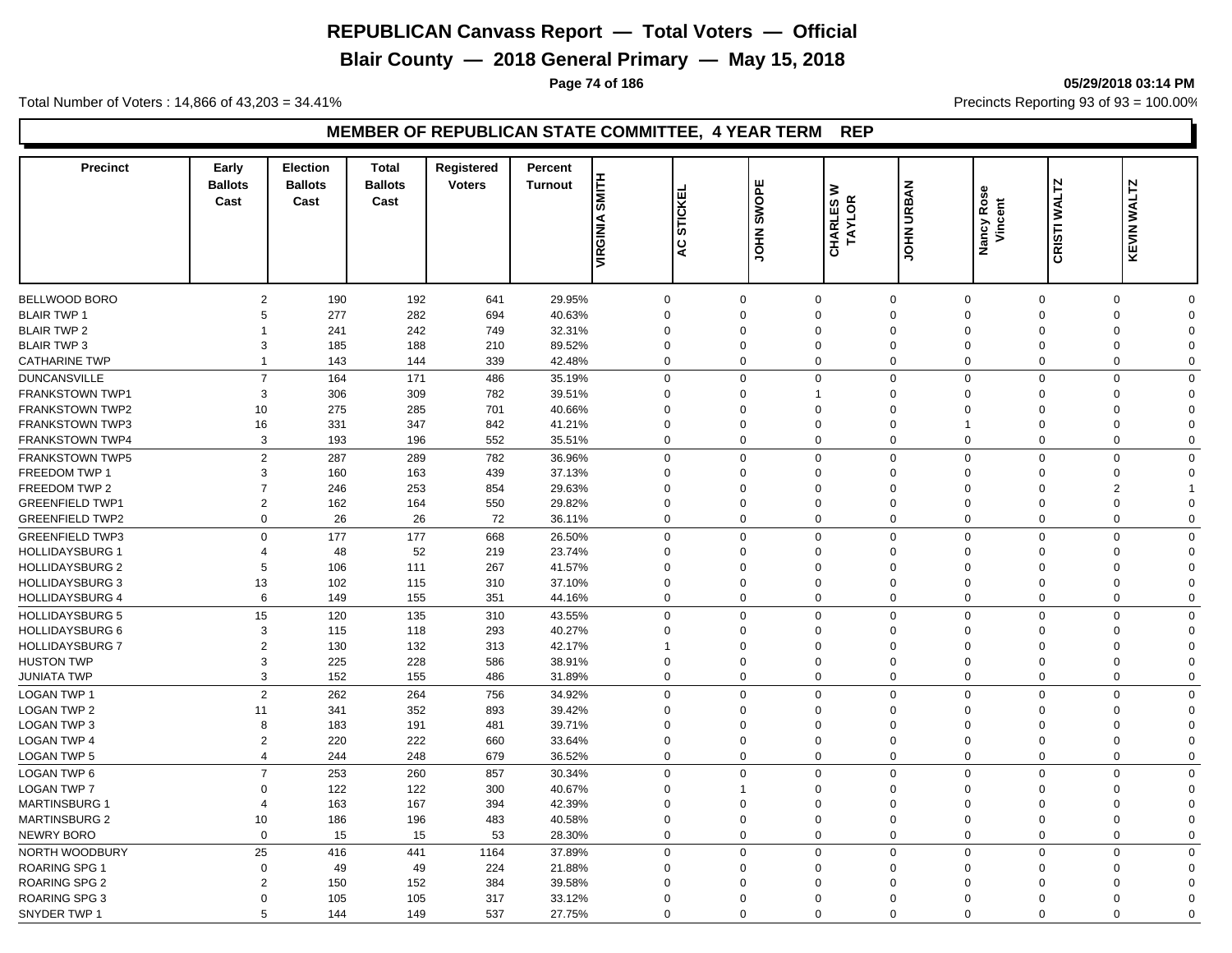**Blair County — 2018 General Primary — May 15, 2018**

**Page 74 of 186 05/29/2018 03:14 PM**

Total Number of Voters : 14,866 of 43,203 = 34.41% **Precincts Reporting 93 of 93** = 100.00%

#### **MEMBER OF REPUBLICAN STATE COMMITTEE, 4 YEAR TERM REP**

| <b>Precinct</b>        | Early<br><b>Ballots</b><br>Cast | <b>Election</b><br><b>Ballots</b><br>Cast | <b>Total</b><br><b>Ballots</b><br>Cast | Registered<br><b>Voters</b> | Percent<br><b>Turnout</b> | SMITH<br>VIRGINIA | ш<br><b>STICKE</b><br>Q | SWOPE<br>∣<br>Тон | ≥<br>TAYLOR<br>CHARLES | <b>JOHN URBAN</b>          | Nancy Rose<br>Vincent | CRISTI WALTZ | KEVIN WALTZ                |  |
|------------------------|---------------------------------|-------------------------------------------|----------------------------------------|-----------------------------|---------------------------|-------------------|-------------------------|-------------------|------------------------|----------------------------|-----------------------|--------------|----------------------------|--|
|                        |                                 |                                           |                                        |                             |                           |                   |                         |                   |                        |                            |                       |              |                            |  |
| BELLWOOD BORO          | $\overline{2}$                  | 190                                       | 192                                    | 641                         | 29.95%                    | $\mathbf 0$       |                         | $\mathbf 0$       | $\mathbf 0$            | $\mathbf 0$<br>$\mathbf 0$ |                       | $\mathbf 0$  | $\mathbf 0$<br>$\mathbf 0$ |  |
| <b>BLAIR TWP 1</b>     | 5                               | 277                                       | 282                                    | 694                         | 40.63%                    | $\mathbf 0$       |                         | $\Omega$          | $\Omega$               | $\mathbf 0$<br>$\Omega$    |                       | $\Omega$     | 0<br>$\Omega$              |  |
| <b>BLAIR TWP 2</b>     |                                 | 241                                       | 242                                    | 749                         | 32.31%                    | $\mathbf 0$       |                         | $\Omega$          | $\mathbf 0$            | $\mathbf 0$<br>$\Omega$    |                       | $\Omega$     | 0<br>$\Omega$              |  |
| <b>BLAIR TWP 3</b>     | 3                               | 185                                       | 188                                    | 210                         | 89.52%                    | $\mathbf 0$       |                         | $\Omega$          | 0                      | $\mathbf 0$<br>$\Omega$    | $\Omega$              |              | 0<br>$\Omega$              |  |
| <b>CATHARINE TWP</b>   | $\overline{1}$                  | 143                                       | 144                                    | 339                         | 42.48%                    | $\mathbf 0$       |                         | $\mathbf 0$       | $\mathbf 0$            | $\mathbf 0$<br>$\mathbf 0$ | $\overline{0}$        |              | $\mathbf 0$<br>$\mathbf 0$ |  |
| <b>DUNCANSVILLE</b>    | $\overline{7}$                  | 164                                       | 171                                    | 486                         | 35.19%                    | $\mathbf 0$       |                         | $\Omega$          | $\mathbf 0$            | $\mathbf 0$<br>$\Omega$    |                       | $\mathbf 0$  | $\mathbf 0$<br>$\Omega$    |  |
| <b>FRANKSTOWN TWP1</b> | 3                               | 306                                       | 309                                    | 782                         | 39.51%                    | $\mathbf 0$       |                         | $\Omega$          | -1                     | $\mathbf 0$<br>$\Omega$    | $\Omega$              |              | $\mathbf 0$<br>$\Omega$    |  |
| <b>FRANKSTOWN TWP2</b> | 10                              | 275                                       | 285                                    | 701                         | 40.66%                    | $\mathbf 0$       |                         | $\Omega$          | $\Omega$               | $\mathbf 0$<br>$\Omega$    |                       | $\Omega$     | $\mathbf 0$<br>$\Omega$    |  |
| <b>FRANKSTOWN TWP3</b> | 16                              | 331                                       | 347                                    | 842                         | 41.21%                    | $\mathbf 0$       |                         | $\Omega$          | $\Omega$               | $\mathbf 0$                |                       | $\Omega$     | $\Omega$<br>$\Omega$       |  |
| FRANKSTOWN TWP4        | 3                               | 193                                       | 196                                    | 552                         | 35.51%                    | $\mathbf 0$       |                         | $\Omega$          | $\mathbf 0$            | $\mathbf 0$<br>$\mathbf 0$ |                       | $\mathbf 0$  | $\mathbf 0$<br>$\Omega$    |  |
| <b>FRANKSTOWN TWP5</b> | $\overline{2}$                  | 287                                       | 289                                    | 782                         | 36.96%                    | $\mathbf 0$       |                         | $\Omega$          | $\mathbf 0$            | $\mathbf 0$<br>$\mathbf 0$ |                       | $\mathbf 0$  | $\mathbf 0$<br>$\Omega$    |  |
| <b>FREEDOM TWP 1</b>   | 3                               | 160                                       | 163                                    | 439                         | 37.13%                    | $\mathbf 0$       |                         | $\Omega$          | $\Omega$               | $\mathbf 0$<br>$\mathbf 0$ | $\Omega$              |              | $\mathbf 0$<br>$\Omega$    |  |
| FREEDOM TWP 2          | $\overline{7}$                  | 246                                       | 253                                    | 854                         | 29.63%                    | $\mathbf 0$       |                         | $\Omega$          | $\mathbf 0$            | $\mathbf 0$<br>$\Omega$    | $\mathbf 0$           |              | $\overline{2}$             |  |
| <b>GREENFIELD TWP1</b> | $\overline{2}$                  | 162                                       | 164                                    | 550                         | 29.82%                    | $\mathbf 0$       |                         | $\Omega$          | $\Omega$               | $\mathbf 0$<br>$\Omega$    | $\Omega$              |              | $\mathbf 0$<br>$\Omega$    |  |
| <b>GREENFIELD TWP2</b> | $\mathbf 0$                     | 26                                        | 26                                     | 72                          | 36.11%                    | $\mathbf 0$       |                         | $\Omega$          | $\mathbf 0$            | $\mathbf 0$<br>$\mathbf 0$ |                       | $\mathbf 0$  | $\mathbf 0$<br>$\Omega$    |  |
| <b>GREENFIELD TWP3</b> | $\mathbf 0$                     | 177                                       | 177                                    | 668                         | 26.50%                    | $\mathbf 0$       |                         | $\Omega$          | $\mathbf 0$            | $\mathbf 0$<br>$\mathbf 0$ |                       | $\Omega$     | $\mathbf 0$<br>$\Omega$    |  |
| <b>HOLLIDAYSBURG 1</b> | 4                               | 48                                        | 52                                     | 219                         | 23.74%                    | $\mathbf 0$       |                         | $\Omega$          | $\mathbf 0$            | $\mathbf 0$<br>$\Omega$    |                       | $\Omega$     | 0<br>$\Omega$              |  |
| <b>HOLLIDAYSBURG 2</b> | 5                               | 106                                       | 111                                    | 267                         | 41.57%                    | $\mathbf 0$       |                         | $\Omega$          | $\Omega$               | $\mathbf 0$<br>$\Omega$    |                       | $\mathbf 0$  | 0<br>$\Omega$              |  |
| <b>HOLLIDAYSBURG 3</b> | 13                              | 102                                       | 115                                    | 310                         | 37.10%                    | $\mathbf 0$       |                         | $\Omega$          | $\Omega$               | $\mathbf 0$<br>$\Omega$    |                       | $\Omega$     | $\mathbf 0$<br>$\Omega$    |  |
| <b>HOLLIDAYSBURG 4</b> | 6                               | 149                                       | 155                                    | 351                         | 44.16%                    | $\mathbf 0$       |                         | $\mathbf 0$       | $\mathbf 0$            | $\mathbf 0$<br>$\mathbf 0$ | $\overline{0}$        |              | $\mathbf 0$<br>$\mathbf 0$ |  |
|                        |                                 |                                           |                                        |                             |                           | $\mathbf 0$       |                         | $\Omega$          |                        | $\mathbf 0$                |                       | $\mathbf 0$  | $\mathbf 0$<br>$\Omega$    |  |
| <b>HOLLIDAYSBURG 5</b> | 15<br>3                         | 120                                       | 135                                    | 310                         | 43.55%                    |                   |                         |                   | $\mathbf 0$            | $\mathbf 0$                |                       |              |                            |  |
| <b>HOLLIDAYSBURG 6</b> |                                 | 115                                       | 118                                    | 293                         | 40.27%                    | $\mathbf 0$       |                         | $\Omega$          | $\Omega$               | $\mathbf 0$<br>$\Omega$    |                       | $\Omega$     | $\mathbf 0$<br>$\Omega$    |  |
| <b>HOLLIDAYSBURG 7</b> | $\overline{2}$                  | 130                                       | 132                                    | 313                         | 42.17%                    | $\overline{1}$    |                         | $\Omega$          | $\Omega$               | $\mathbf 0$<br>$\Omega$    |                       | $\Omega$     | $\mathbf 0$<br>$\Omega$    |  |
| <b>HUSTON TWP</b>      | 3                               | 225                                       | 228                                    | 586                         | 38.91%                    | $\mathbf 0$       |                         | $\Omega$          | $\Omega$               | $\mathbf 0$<br>$\Omega$    | $\Omega$              |              | $\mathbf 0$<br>$\Omega$    |  |
| <b>JUNIATA TWP</b>     | 3                               | 152                                       | 155                                    | 486                         | 31.89%                    | $\mathbf 0$       |                         | $\Omega$          | $\mathbf 0$            | $\mathbf 0$<br>$\Omega$    |                       | $\mathbf 0$  | $\mathbf 0$<br>$\mathbf 0$ |  |
| <b>LOGAN TWP 1</b>     | $\overline{2}$                  | 262                                       | 264                                    | 756                         | 34.92%                    | $\mathbf 0$       |                         | $\Omega$          | $\mathbf 0$            | $\mathbf 0$<br>$\mathbf 0$ |                       | $\mathbf 0$  | $\mathbf 0$<br>$\Omega$    |  |
| <b>LOGAN TWP 2</b>     | 11                              | 341                                       | 352                                    | 893                         | 39.42%                    | $\mathbf 0$       |                         | $\Omega$          | $\Omega$               | $\mathbf 0$<br>$\Omega$    |                       | $\Omega$     | $\mathbf 0$<br>$\Omega$    |  |
| <b>LOGAN TWP 3</b>     | 8                               | 183                                       | 191                                    | 481                         | 39.71%                    | $\mathbf 0$       |                         | $\Omega$          | 0                      | $\mathbf 0$<br>$\Omega$    |                       | $\Omega$     | $\mathbf 0$<br>$\Omega$    |  |
| <b>LOGAN TWP 4</b>     | $\overline{2}$                  | 220                                       | 222                                    | 660                         | 33.64%                    | $\mathbf 0$       |                         | $\Omega$          | $\Omega$               | $\mathbf 0$<br>$\Omega$    | $\Omega$              |              | $\mathbf 0$<br>$\Omega$    |  |
| <b>LOGAN TWP 5</b>     | $\overline{4}$                  | 244                                       | 248                                    | 679                         | 36.52%                    | $\mathbf 0$       |                         | $\Omega$          | $\mathbf{0}$           | $\mathbf 0$<br>$\Omega$    |                       | $\mathbf 0$  | $\mathbf 0$<br>$\Omega$    |  |
| LOGAN TWP 6            | $\overline{7}$                  | 253                                       | 260                                    | 857                         | 30.34%                    | $\mathbf 0$       |                         | $\Omega$          | $\mathbf 0$            | $\mathbf 0$<br>$\mathbf 0$ |                       | $\Omega$     | $\mathbf 0$<br>$\Omega$    |  |
| <b>LOGAN TWP 7</b>     | $\Omega$                        | 122                                       | 122                                    | 300                         | 40.67%                    | $\mathbf 0$       |                         |                   | $\Omega$               | $\mathbf 0$<br>$\Omega$    |                       | $\Omega$     | $\mathbf 0$<br>$\Omega$    |  |
| <b>MARTINSBURG 1</b>   | $\overline{4}$                  | 163                                       | 167                                    | 394                         | 42.39%                    | $\mathbf 0$       |                         | $\Omega$          | $\Omega$               | $\mathbf 0$<br>$\mathbf 0$ |                       | $\Omega$     | $\mathbf 0$<br>$\Omega$    |  |
| <b>MARTINSBURG 2</b>   | 10                              | 186                                       | 196                                    | 483                         | 40.58%                    | $\mathbf 0$       |                         | $\Omega$          | $\mathbf 0$            | $\mathbf 0$<br>$\mathbf 0$ | $\Omega$              |              | $\mathbf 0$<br>$\Omega$    |  |
| <b>NEWRY BORO</b>      | $\mathbf 0$                     | 15                                        | 15                                     | 53                          | 28.30%                    | $\mathbf 0$       |                         | $\Omega$          | $\mathbf 0$            | $\mathbf 0$<br>$\mathbf 0$ |                       | $\mathbf 0$  | $\mathbf 0$<br>$\Omega$    |  |
| NORTH WOODBURY         | 25                              | 416                                       | 441                                    | 1164                        | 37.89%                    | $\mathbf 0$       |                         | $\Omega$          | $\mathbf 0$            | $\mathbf 0$<br>$\Omega$    |                       | $\mathbf 0$  | $\mathbf 0$<br>$\mathbf 0$ |  |
| ROARING SPG 1          | $\Omega$                        | 49                                        | 49                                     | 224                         | 21.88%                    | $\mathbf 0$       |                         | $\Omega$          | $\Omega$               | $\mathbf 0$<br>$\Omega$    | $\Omega$              |              | 0<br>$\Omega$              |  |
| <b>ROARING SPG 2</b>   | $\overline{2}$                  | 150                                       | 152                                    | 384                         | 39.58%                    | $\mathbf 0$       |                         | $\Omega$          | $\Omega$               | $\Omega$<br>$\Omega$       |                       | $\Omega$     | 0<br>$\Omega$              |  |
| <b>ROARING SPG 3</b>   | $\mathbf 0$                     | 105                                       | 105                                    | 317                         | 33.12%                    | $\mathbf 0$       |                         | $\mathbf 0$       | $\mathbf 0$            | $\mathbf 0$<br>$\Omega$    |                       | $\mathbf 0$  | 0<br>$\Omega$              |  |
| SNYDER TWP 1           | 5                               | 144                                       | 149                                    | 537                         | 27.75%                    | $\Omega$          |                         | $\Omega$          | $\Omega$               | $\Omega$<br>$\Omega$       | $\Omega$              |              | $\Omega$<br>$\Omega$       |  |
|                        |                                 |                                           |                                        |                             |                           |                   |                         |                   |                        |                            |                       |              |                            |  |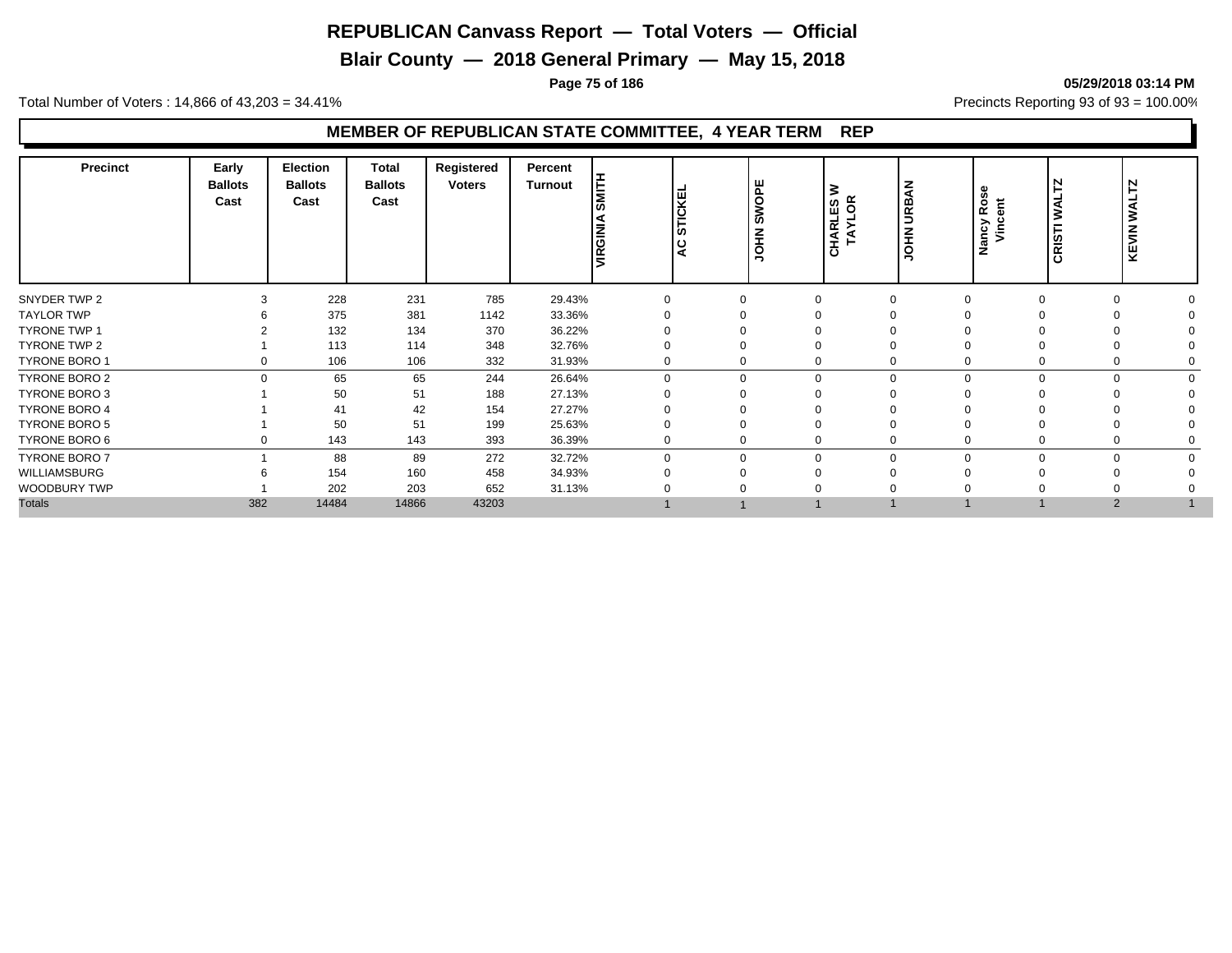**Blair County — 2018 General Primary — May 15, 2018**

**Page 75 of 186 05/29/2018 03:14 PM**

Total Number of Voters : 14,866 of 43,203 = 34.41% **Precincts Reporting 93 of 93** = 100.00%

## **MEMBER OF REPUBLICAN STATE COMMITTEE, 4 YEAR TERM REP**

| <b>HILM</b><br><b>Ballots</b><br><b>Ballots</b><br><b>Ballots</b><br><b>Voters</b><br>ш<br><b>Turnout</b><br>z<br>3<br>Rose<br>$\overline{6}$<br>⋖<br><b>STICKEI</b><br><b>HAN</b><br>Cast<br>CHARLES \<br>TAYLOR<br>Cast<br>Cast<br>Ĕ<br><b>URB</b><br>ທ<br>ŠŇ<br>Nancy<br>Vince<br>CRISTI<br><b>URGINI</b><br>좊<br>z<br>ᆂ<br> ೪<br>$\overline{\mathbf{o}}$<br>$\circ$<br>∍ | N<br>⊢<br><b>UAL</b><br><b>KEVIN</b> |
|------------------------------------------------------------------------------------------------------------------------------------------------------------------------------------------------------------------------------------------------------------------------------------------------------------------------------------------------------------------------------|--------------------------------------|
| 228<br>231<br>785<br>29.43%<br>SNYDER TWP 2<br>$\Omega$<br>$\Omega$                                                                                                                                                                                                                                                                                                          | $\Omega$                             |
| 375<br>33.36%<br><b>TAYLOR TWP</b><br>381<br>1142<br>$\Omega$                                                                                                                                                                                                                                                                                                                |                                      |
| 132<br><b>TYRONE TWP 1</b><br>370<br>36.22%<br>134                                                                                                                                                                                                                                                                                                                           |                                      |
| TYRONE TWP 2<br>113<br>348<br>32.76%<br>114<br>$\Omega$                                                                                                                                                                                                                                                                                                                      |                                      |
| TYRONE BORO 1<br>106<br>332<br>106<br>31.93%<br>0<br>$\Omega$<br>0<br>$\Omega$                                                                                                                                                                                                                                                                                               | 0                                    |
| 65<br>65<br><b>TYRONE BORO 2</b><br>244<br>26.64%<br>$\Omega$<br>$\mathbf 0$<br>0<br>0<br>$\Omega$                                                                                                                                                                                                                                                                           | $\Omega$                             |
| 51<br><b>TYRONE BORO 3</b><br>50<br>188<br>27.13%<br>$\Omega$                                                                                                                                                                                                                                                                                                                |                                      |
| <b>TYRONE BORO 4</b><br>42<br>27.27%<br>41<br>154                                                                                                                                                                                                                                                                                                                            |                                      |
| <b>TYRONE BORO 5</b><br>50<br>51<br>199<br>25.63%<br>$\Omega$                                                                                                                                                                                                                                                                                                                |                                      |
| TYRONE BORO 6<br>143<br>143<br>393<br>36.39%<br>0<br>0<br>$\Omega$<br>0                                                                                                                                                                                                                                                                                                      |                                      |
| <b>TYRONE BORO 7</b><br>88<br>272<br>89<br>32.72%<br>$\Omega$<br>$\Omega$<br>0<br>$\Omega$                                                                                                                                                                                                                                                                                   | $\Omega$                             |
| WILLIAMSBURG<br>154<br>160<br>458<br>34.93%                                                                                                                                                                                                                                                                                                                                  |                                      |
| WOODBURY TWP<br>202<br>203<br>652<br>31.13%                                                                                                                                                                                                                                                                                                                                  |                                      |
| <b>Totals</b><br>382<br>14484<br>14866<br>43203                                                                                                                                                                                                                                                                                                                              | 2                                    |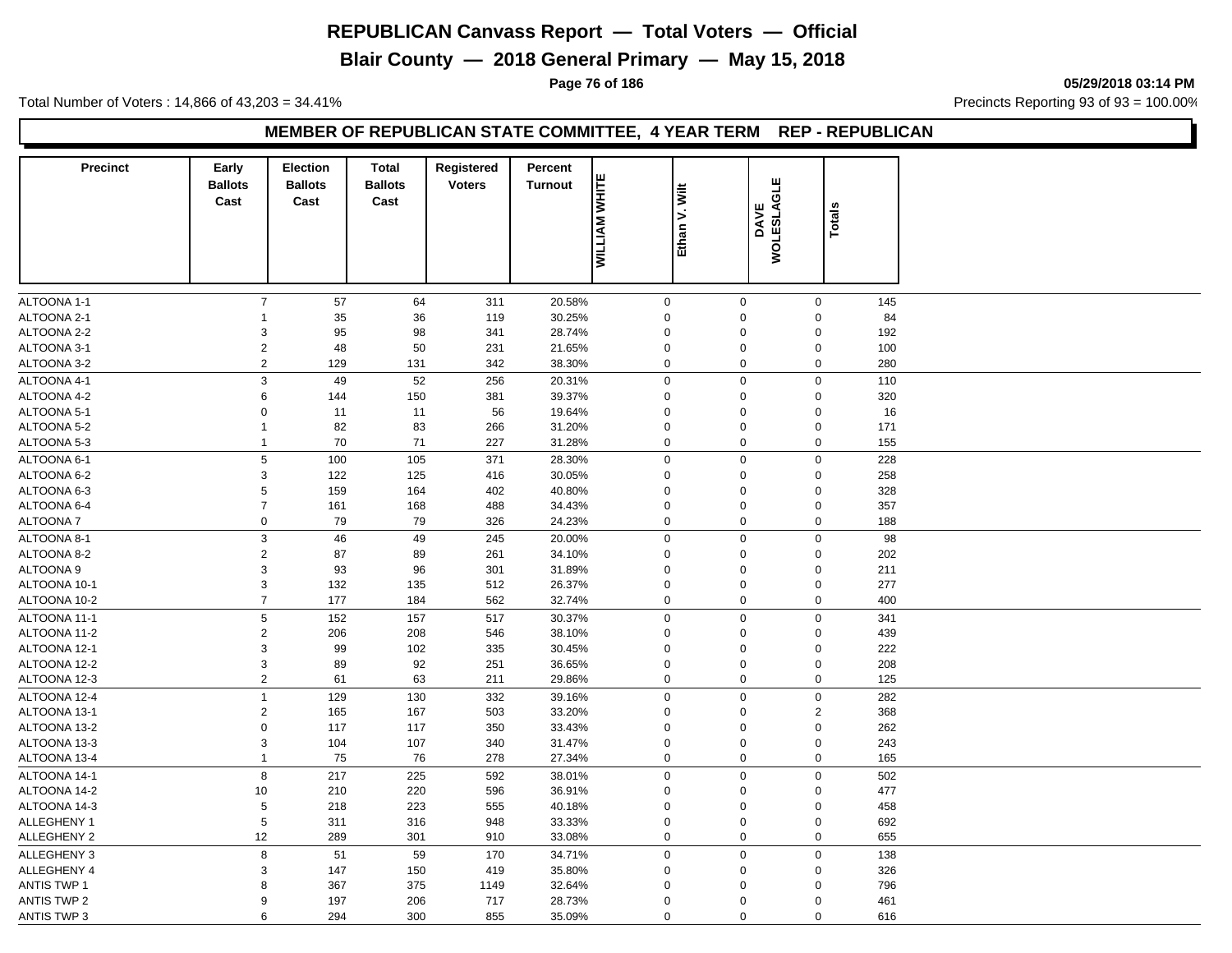**Blair County — 2018 General Primary — May 15, 2018**

**Page 76 of 186 05/29/2018 03:14 PM**

Total Number of Voters : 14,866 of 43,203 = 34.41% **Precincts Reporting 93 of 93** = 100.00%

#### **MEMBER OF REPUBLICAN STATE COMMITTEE, 4 YEAR TERM REP - REPUBLICAN**

| <b>Precinct</b>    | Early                  | <b>Election</b>        | <b>Total</b>           | Registered    | Percent        |                      |               | ш                        |                |     |  |
|--------------------|------------------------|------------------------|------------------------|---------------|----------------|----------------------|---------------|--------------------------|----------------|-----|--|
|                    | <b>Ballots</b><br>Cast | <b>Ballots</b><br>Cast | <b>Ballots</b><br>Cast | <b>Voters</b> | <b>Turnout</b> | <b>MILLIAM WHITE</b> | Ethan V. Wilt |                          |                |     |  |
|                    |                        |                        |                        |               |                |                      |               | <b>WOLESLAGL</b><br>DAVE | <b>Totals</b>  |     |  |
|                    |                        |                        |                        |               |                |                      |               |                          |                |     |  |
|                    |                        |                        |                        |               |                |                      |               |                          |                |     |  |
|                    |                        |                        |                        |               |                |                      |               |                          |                |     |  |
|                    |                        |                        |                        |               |                |                      |               |                          |                |     |  |
| ALTOONA 1-1        | $\overline{7}$         | 57                     | 64                     | 311           | 20.58%         | $\mathbf 0$          | $\mathbf 0$   |                          | $\mathbf 0$    | 145 |  |
| ALTOONA 2-1        | $\mathbf{1}$           | 35                     | 36                     | 119           | 30.25%         | $\mathbf 0$          | $\Omega$      |                          | $\mathbf 0$    | 84  |  |
| ALTOONA 2-2        | 3                      | 95                     | 98                     | 341           | 28.74%         | $\boldsymbol{0}$     | $\Omega$      |                          | $\mathbf 0$    | 192 |  |
| ALTOONA 3-1        | $\overline{2}$         | 48                     | 50                     | 231           | 21.65%         | $\boldsymbol{0}$     | $\mathbf 0$   |                          | $\mathbf 0$    | 100 |  |
| ALTOONA 3-2        | $\overline{2}$         | 129                    | 131                    | 342           | 38.30%         | $\mathbf 0$          | $\mathsf 0$   |                          | $\mathbf 0$    | 280 |  |
| ALTOONA 4-1        | $\mathsf 3$            | 49                     | 52                     | 256           | 20.31%         | $\mathbf 0$          | $\Omega$      |                          | $\mathsf 0$    | 110 |  |
| ALTOONA 4-2        | 6                      | 144                    | 150                    | 381           | 39.37%         | $\mathbf 0$          | $\Omega$      |                          | $\mathbf 0$    | 320 |  |
| ALTOONA 5-1        | $\mathbf 0$            | 11                     | 11                     | 56            | 19.64%         | $\mathbf 0$          | $\Omega$      |                          | $\mathbf 0$    | 16  |  |
| ALTOONA 5-2        | $\mathbf{1}$           | 82                     | 83                     | 266           | 31.20%         | $\mathbf 0$          | $\Omega$      |                          | $\mathbf 0$    | 171 |  |
| ALTOONA 5-3        | $\mathbf{1}$           | 70                     | 71                     | 227           | 31.28%         | $\mathbf 0$          | $\mathsf 0$   |                          | $\mathbf 0$    | 155 |  |
| ALTOONA 6-1        | 5                      | 100                    | 105                    | 371           | 28.30%         | $\mathbf 0$          | $\mathsf 0$   |                          | $\mathbf 0$    | 228 |  |
| ALTOONA 6-2        | 3                      | 122                    | 125                    | 416           | 30.05%         | $\mathbf 0$          | $\mathbf 0$   |                          | $\mathbf 0$    | 258 |  |
| ALTOONA 6-3        | $\,$ 5 $\,$            | 159                    | 164                    | 402           | 40.80%         | $\mathbf 0$          | $\Omega$      |                          | $\mathbf 0$    | 328 |  |
| ALTOONA 6-4        | $\overline{7}$         | 161                    | 168                    | 488           | 34.43%         | $\mathbf 0$          | $\Omega$      |                          | $\mathbf 0$    | 357 |  |
| ALTOONA 7          | $\mathbf 0$            | 79                     | 79                     | 326           | 24.23%         | $\mathbf 0$          | 0             |                          | $\mathbf 0$    | 188 |  |
| ALTOONA 8-1        | $\mathbf{3}$           | 46                     | 49                     | 245           | 20.00%         | $\mathbf 0$          | $\mathbf 0$   |                          | $\mathbf 0$    | 98  |  |
| ALTOONA 8-2        | $\overline{c}$         | 87                     | 89                     | 261           | 34.10%         | $\boldsymbol{0}$     | $\Omega$      |                          | $\mathbf 0$    | 202 |  |
| ALTOONA 9          | $\mathbf{3}$           | 93                     | 96                     | 301           | 31.89%         | $\mathbf 0$          | $\Omega$      |                          | $\mathbf 0$    | 211 |  |
| ALTOONA 10-1       | 3                      | 132                    | 135                    | 512           | 26.37%         | $\mathbf 0$          | $\Omega$      |                          | $\mathbf 0$    | 277 |  |
| ALTOONA 10-2       | $\overline{7}$         | 177                    | 184                    | 562           | 32.74%         | $\mathbf 0$          | 0             |                          | $\mathbf 0$    | 400 |  |
| ALTOONA 11-1       | $\,$ 5 $\,$            | 152                    | 157                    | 517           | 30.37%         | $\mathbf 0$          | $\mathbf 0$   |                          | $\mathsf 0$    | 341 |  |
| ALTOONA 11-2       | $\sqrt{2}$             | 206                    | 208                    | 546           | 38.10%         | $\mathbf 0$          | $\Omega$      |                          | $\mathbf 0$    | 439 |  |
| ALTOONA 12-1       | $\mathbf{3}$           | 99                     | 102                    | 335           | 30.45%         | $\mathbf 0$          | $\Omega$      |                          | $\mathbf 0$    | 222 |  |
| ALTOONA 12-2       | $\mathbf{3}$           | 89                     | 92                     | 251           | 36.65%         | $\boldsymbol{0}$     | $\Omega$      |                          | $\mathbf 0$    | 208 |  |
| ALTOONA 12-3       | 2                      | 61                     | 63                     | 211           | 29.86%         | $\mathbf 0$          | $\Omega$      |                          | $\mathbf 0$    | 125 |  |
| ALTOONA 12-4       | $\mathbf{1}$           | 129                    | 130                    | 332           | 39.16%         | $\mathbf 0$          | $\mathsf 0$   |                          | $\mathbf 0$    | 282 |  |
| ALTOONA 13-1       | 2                      | 165                    | 167                    | 503           | 33.20%         | $\mathbf 0$          | $\Omega$      |                          | $\overline{2}$ | 368 |  |
| ALTOONA 13-2       | $\mathbf 0$            | 117                    | 117                    | 350           | 33.43%         | $\mathbf 0$          | $\Omega$      |                          | $\mathbf 0$    | 262 |  |
| ALTOONA 13-3       | 3                      | 104                    | 107                    | 340           | 31.47%         | $\boldsymbol{0}$     | $\mathbf 0$   |                          | $\mathbf 0$    | 243 |  |
| ALTOONA 13-4       | $\mathbf{1}$           | 75                     | 76                     | 278           | 27.34%         | $\mathbf 0$          | $\Omega$      |                          | $\mathbf 0$    | 165 |  |
| ALTOONA 14-1       | 8                      | 217                    | 225                    | 592           | 38.01%         | $\boldsymbol{0}$     | $\Omega$      |                          | $\mathbf 0$    | 502 |  |
| ALTOONA 14-2       | 10                     | 210                    | 220                    | 596           | 36.91%         | $\mathbf 0$          | $\Omega$      |                          | $\mathbf 0$    | 477 |  |
| ALTOONA 14-3       | $\sqrt{5}$             | 218                    | 223                    | 555           | 40.18%         | $\mathbf 0$          | $\Omega$      |                          | $\mathbf 0$    | 458 |  |
| ALLEGHENY 1        | $\sqrt{5}$             | 311                    | 316                    | 948           | 33.33%         | $\boldsymbol{0}$     | $\mathbf 0$   |                          | $\mathbf 0$    | 692 |  |
| <b>ALLEGHENY 2</b> | 12                     | 289                    | 301                    | 910           | 33.08%         | $\mathbf 0$          | $\Omega$      |                          | $\mathbf 0$    | 655 |  |
| ALLEGHENY 3        | $\,8\,$                | 51                     | 59                     | 170           | 34.71%         | $\Omega$             | $\Omega$      |                          | $\mathsf 0$    | 138 |  |
| <b>ALLEGHENY 4</b> | $\mathsf 3$            | 147                    | 150                    | 419           | 35.80%         | $\Omega$             | $\Omega$      |                          | $\mathbf 0$    | 326 |  |
| <b>ANTIS TWP 1</b> | 8                      | 367                    | 375                    | 1149          | 32.64%         | $\Omega$             | $\Omega$      |                          | $\mathbf 0$    | 796 |  |
| ANTIS TWP 2        | 9                      | 197                    | 206                    | 717           | 28.73%         | $\mathbf 0$          | $\Omega$      |                          | $\mathbf 0$    | 461 |  |
| <b>ANTIS TWP 3</b> | 6                      | 294                    | 300                    | 855           | 35.09%         | $\mathbf 0$          | $\mathbf 0$   |                          | $\mathbf 0$    | 616 |  |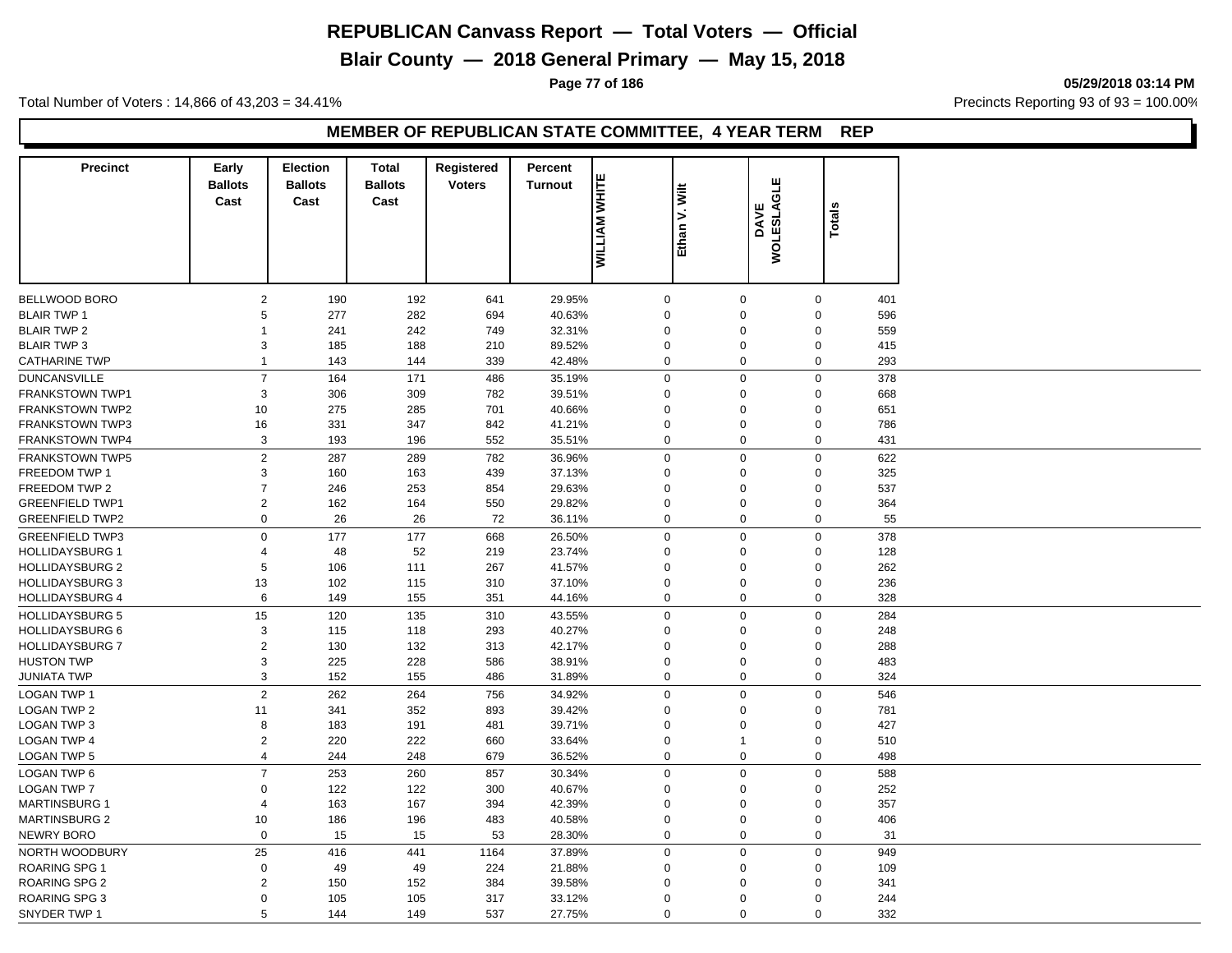**Blair County — 2018 General Primary — May 15, 2018**

**Page 77 of 186 05/29/2018 03:14 PM**

Total Number of Voters : 14,866 of 43,203 = 34.41% **Precincts Reporting 93 of 93** = 100.00%

#### **MEMBER OF REPUBLICAN STATE COMMITTEE, 4 YEAR TERM REP**

| <b>Precinct</b>        | Early<br><b>Ballots</b><br>Cast | <b>Election</b><br><b>Ballots</b><br>Cast | <b>Total</b><br><b>Ballots</b><br>Cast | Registered<br><b>Voters</b> | Percent<br><b>Turnout</b> | <b>MILLIAM WHITE</b> | V. Wilt<br>Ethan | <b>GLE</b><br>DAVE<br>WOLESLAO | ≝<br>Total       |     |
|------------------------|---------------------------------|-------------------------------------------|----------------------------------------|-----------------------------|---------------------------|----------------------|------------------|--------------------------------|------------------|-----|
|                        |                                 |                                           |                                        |                             |                           |                      |                  |                                |                  |     |
| <b>BELLWOOD BORO</b>   | $\overline{2}$                  | 190                                       | 192                                    | 641                         | 29.95%                    | $\mathsf 0$          | $\mathbf 0$      |                                | $\mathbf 0$      | 401 |
| <b>BLAIR TWP 1</b>     | 5                               | 277                                       | 282                                    | 694                         | 40.63%                    | $\mathbf 0$          | $\Omega$         |                                | $\boldsymbol{0}$ | 596 |
| <b>BLAIR TWP 2</b>     | $\mathbf{1}$                    | 241                                       | 242                                    | 749                         | 32.31%                    | $\mathbf 0$          | $\overline{0}$   |                                | $\boldsymbol{0}$ | 559 |
| <b>BLAIR TWP 3</b>     | 3                               | 185                                       | 188                                    | 210                         | 89.52%                    | $\mathbf 0$          | $\Omega$         |                                | $\mathbf 0$      | 415 |
| <b>CATHARINE TWP</b>   | $\mathbf{1}$                    | 143                                       | 144                                    | 339                         | 42.48%                    | $\mathbf 0$          | $\mathbf 0$      |                                | $\mathbf 0$      | 293 |
| <b>DUNCANSVILLE</b>    | $\overline{7}$                  | 164                                       | 171                                    | 486                         | 35.19%                    | $\mathbf 0$          | $\overline{0}$   |                                | $\mathbf 0$      | 378 |
| <b>FRANKSTOWN TWP1</b> | 3                               | 306                                       | 309                                    | 782                         | 39.51%                    | $\mathbf 0$          | $\mathbf 0$      |                                | $\mathbf 0$      | 668 |
| <b>FRANKSTOWN TWP2</b> | 10                              | 275                                       | 285                                    | 701                         | 40.66%                    | $\mathbf 0$          | $\overline{0}$   |                                | $\boldsymbol{0}$ | 651 |
| <b>FRANKSTOWN TWP3</b> | 16                              | 331                                       | 347                                    | 842                         | 41.21%                    | $\mathbf 0$          | $\mathbf 0$      |                                | $\mathbf 0$      | 786 |
| <b>FRANKSTOWN TWP4</b> | 3                               | 193                                       | 196                                    | 552                         | 35.51%                    | $\mathbf 0$          | $\overline{0}$   |                                | $\mathbf 0$      | 431 |
| <b>FRANKSTOWN TWP5</b> | $\sqrt{2}$                      | 287                                       | 289                                    | 782                         | 36.96%                    | $\boldsymbol{0}$     | $\overline{0}$   |                                | $\mathbf 0$      | 622 |
| FREEDOM TWP 1          | 3                               | 160                                       | 163                                    | 439                         | 37.13%                    | $\Omega$             | $\mathbf 0$      |                                | $\mathbf 0$      | 325 |
| FREEDOM TWP 2          | $\overline{7}$                  | 246                                       | 253                                    | 854                         | 29.63%                    | $\mathbf 0$          | $\overline{0}$   |                                | $\boldsymbol{0}$ | 537 |
| <b>GREENFIELD TWP1</b> | 2                               | 162                                       | 164                                    | 550                         | 29.82%                    | $\Omega$             | $\Omega$         |                                | 0                | 364 |
| <b>GREENFIELD TWP2</b> | $\mathbf 0$                     | 26                                        | 26                                     | 72                          | 36.11%                    | $\mathbf 0$          | $\mathbf 0$      |                                | $\mathbf 0$      | 55  |
| <b>GREENFIELD TWP3</b> | $\mathsf 0$                     | 177                                       | 177                                    | 668                         | 26.50%                    | $\mathbf 0$          | $\Omega$         |                                | $\mathsf 0$      | 378 |
| <b>HOLLIDAYSBURG 1</b> | 4                               | 48                                        | 52                                     | 219                         | 23.74%                    | $\mathbf 0$          | $\overline{0}$   |                                | $\mathbf 0$      | 128 |
| <b>HOLLIDAYSBURG 2</b> | 5                               | 106                                       | 111                                    | 267                         | 41.57%                    | $\Omega$             | $\Omega$         |                                | $\mathbf 0$      | 262 |
| <b>HOLLIDAYSBURG 3</b> | 13                              | 102                                       | 115                                    | 310                         | 37.10%                    | $\mathbf 0$          | $\overline{0}$   |                                | $\boldsymbol{0}$ | 236 |
| <b>HOLLIDAYSBURG 4</b> | 6                               | 149                                       | 155                                    | 351                         | 44.16%                    | $\mathbf 0$          | $\mathbf 0$      |                                | $\mathbf 0$      | 328 |
| <b>HOLLIDAYSBURG 5</b> | 15                              | 120                                       | 135                                    | 310                         | 43.55%                    | $\mathbf 0$          | $\overline{0}$   |                                | $\mathsf 0$      | 284 |
| <b>HOLLIDAYSBURG 6</b> | 3                               | 115                                       | 118                                    | 293                         | 40.27%                    | $\mathbf 0$          | $\overline{0}$   |                                | $\boldsymbol{0}$ | 248 |
| <b>HOLLIDAYSBURG 7</b> | $\overline{2}$                  | 130                                       | 132                                    | 313                         | 42.17%                    | $\Omega$             | $\overline{0}$   |                                | $\pmb{0}$        | 288 |
| <b>HUSTON TWP</b>      | $\mathsf 3$                     | 225                                       | 228                                    | 586                         | 38.91%                    | $\mathbf 0$          | $\mathbf 0$      |                                | $\boldsymbol{0}$ | 483 |
| JUNIATA TWP            | 3                               | 152                                       | 155                                    | 486                         | 31.89%                    | $\mathbf 0$          | $\mathbf 0$      |                                | $\mathbf 0$      | 324 |
| <b>LOGAN TWP 1</b>     | $\overline{2}$                  | 262                                       | 264                                    | 756                         | 34.92%                    | $\mathbf 0$          | $\mathbf 0$      |                                | $\mathbf 0$      | 546 |
| <b>LOGAN TWP 2</b>     | 11                              | 341                                       | 352                                    | 893                         | 39.42%                    | $\Omega$             | $\overline{0}$   |                                | $\boldsymbol{0}$ | 781 |
| <b>LOGAN TWP 3</b>     | 8                               | 183                                       | 191                                    | 481                         | 39.71%                    | $\Omega$             | $\Omega$         |                                | $\mathbf 0$      | 427 |
| <b>LOGAN TWP 4</b>     | $\sqrt{2}$                      | 220                                       | 222                                    | 660                         | 33.64%                    | $\mathbf 0$          | $\overline{1}$   |                                | $\boldsymbol{0}$ | 510 |
| <b>LOGAN TWP 5</b>     | $\overline{4}$                  | 244                                       | 248                                    | 679                         | 36.52%                    | $\mathbf 0$          | $\overline{0}$   |                                | $\mathbf 0$      | 498 |
| <b>LOGAN TWP 6</b>     | $\overline{7}$                  | 253                                       | 260                                    | 857                         | 30.34%                    | $\mathbf 0$          | $\mathbf 0$      |                                | $\mathbf 0$      | 588 |
| <b>LOGAN TWP 7</b>     | $\mathbf 0$                     | 122                                       | 122                                    | 300                         | 40.67%                    | $\mathbf 0$          | $\overline{0}$   |                                | $\mathbf 0$      | 252 |
| <b>MARTINSBURG 1</b>   | 4                               | 163                                       | 167                                    | 394                         | 42.39%                    | $\Omega$             | $\overline{0}$   |                                | $\mathbf 0$      | 357 |
| <b>MARTINSBURG 2</b>   | 10                              | 186                                       | 196                                    | 483                         | 40.58%                    | $\mathbf 0$          | $\Omega$         |                                | $\mathbf 0$      | 406 |
| <b>NEWRY BORO</b>      | $\mathsf 0$                     | 15                                        | 15                                     | 53                          | 28.30%                    | $\mathbf 0$          | $\mathbf 0$      |                                | $\mathbf 0$      | 31  |
| NORTH WOODBURY         | 25                              | 416                                       | 441                                    | 1164                        | 37.89%                    | $\boldsymbol{0}$     | $\overline{0}$   |                                | $\mathsf 0$      | 949 |
| <b>ROARING SPG 1</b>   | $\boldsymbol{0}$                | 49                                        | 49                                     | 224                         | 21.88%                    | $\mathbf 0$          | $\Omega$         |                                | $\mathbf 0$      | 109 |
| <b>ROARING SPG 2</b>   | $\overline{2}$                  | 150                                       | 152                                    | 384                         | 39.58%                    | $\Omega$             | $\mathbf 0$      |                                | $\Omega$         | 341 |
| <b>ROARING SPG 3</b>   | $\mathbf 0$                     | 105                                       | 105                                    | 317                         | 33.12%                    | $\Omega$             | $\Omega$         |                                | $\Omega$         | 244 |
| SNYDER TWP 1           | 5                               | 144                                       | 149                                    | 537                         | 27.75%                    | $\Omega$             | $\Omega$         |                                | $\mathbf 0$      | 332 |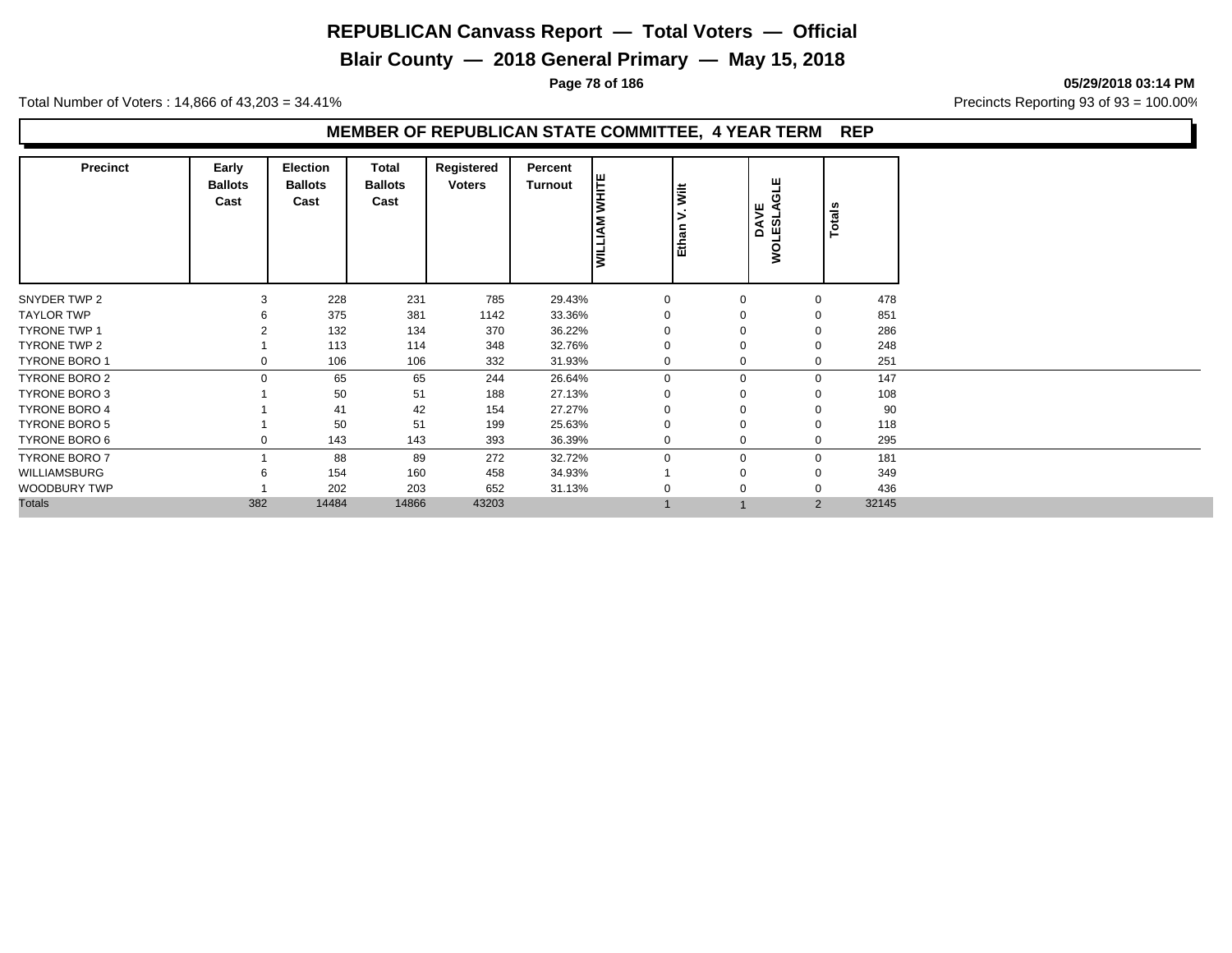**Blair County — 2018 General Primary — May 15, 2018**

**Page 78 of 186 05/29/2018 03:14 PM**

Total Number of Voters : 14,866 of 43,203 = 34.41% **Precincts Reporting 93 of 93** = 100.00%

#### **MEMBER OF REPUBLICAN STATE COMMITTEE, 4 YEAR TERM REP**

| <b>Precinct</b>      | Early<br><b>Ballots</b><br>Cast | <b>Election</b><br><b>Ballots</b><br>Cast | Total<br><b>Ballots</b><br>Cast | Registered<br><b>Voters</b> | Percent<br><b>Turnout</b> | <b>WHITE</b><br><b>MILLIAM</b> | <b>Wilt</b><br>><br>Ethan | щ<br>ಕ<br>DAVE<br>ESLA<br><b>WOLE:</b> | <b>Totals</b>  |       |
|----------------------|---------------------------------|-------------------------------------------|---------------------------------|-----------------------------|---------------------------|--------------------------------|---------------------------|----------------------------------------|----------------|-------|
| SNYDER TWP 2         | 3                               | 228                                       | 231                             | 785                         | 29.43%                    | 0                              | 0                         |                                        | 0              | 478   |
| <b>TAYLOR TWP</b>    |                                 | 375                                       | 381                             | 1142                        | 33.36%                    | 0                              | 0                         |                                        | 0              | 851   |
| <b>TYRONE TWP 1</b>  |                                 | 132                                       | 134                             | 370                         | 36.22%                    | $\mathbf 0$                    | $\Omega$                  |                                        | 0              | 286   |
| TYRONE TWP 2         |                                 | 113                                       | 114                             | 348                         | 32.76%                    | $\mathbf 0$                    | $\Omega$                  |                                        | 0              | 248   |
| <b>TYRONE BORO 1</b> | 0                               | 106                                       | 106                             | 332                         | 31.93%                    | $\mathbf{0}$                   | $\Omega$                  |                                        | 0              | 251   |
| <b>TYRONE BORO 2</b> | $\Omega$                        | 65                                        | 65                              | 244                         | 26.64%                    | $\mathbf{0}$                   | $\mathbf 0$               |                                        | 0              | 147   |
| <b>TYRONE BORO 3</b> |                                 | 50                                        | 51                              | 188                         | 27.13%                    | 0                              | 0                         |                                        | 0              | 108   |
| <b>TYRONE BORO 4</b> |                                 | 41                                        | 42                              | 154                         | 27.27%                    | $\Omega$                       | $\Omega$                  |                                        | 0              | 90    |
| <b>TYRONE BORO 5</b> |                                 | 50                                        | 51                              | 199                         | 25.63%                    | $\mathbf 0$                    | $\Omega$                  |                                        | 0              | 118   |
| TYRONE BORO 6        | 0                               | 143                                       | 143                             | 393                         | 36.39%                    | $\mathbf{0}$                   | 0                         |                                        | 0              | 295   |
| <b>TYRONE BORO 7</b> |                                 | 88                                        | 89                              | 272                         | 32.72%                    | $\mathbf 0$                    | $\mathbf 0$               |                                        | 0              | 181   |
| WILLIAMSBURG         | 6                               | 154                                       | 160                             | 458                         | 34.93%                    |                                | $\Omega$                  |                                        | 0              | 349   |
| WOODBURY TWP         |                                 | 202                                       | 203                             | 652                         | 31.13%                    | $\Omega$                       | $\Omega$                  |                                        | 0              | 436   |
| <b>Totals</b>        | 382                             | 14484                                     | 14866                           | 43203                       |                           |                                |                           |                                        | $\overline{2}$ | 32145 |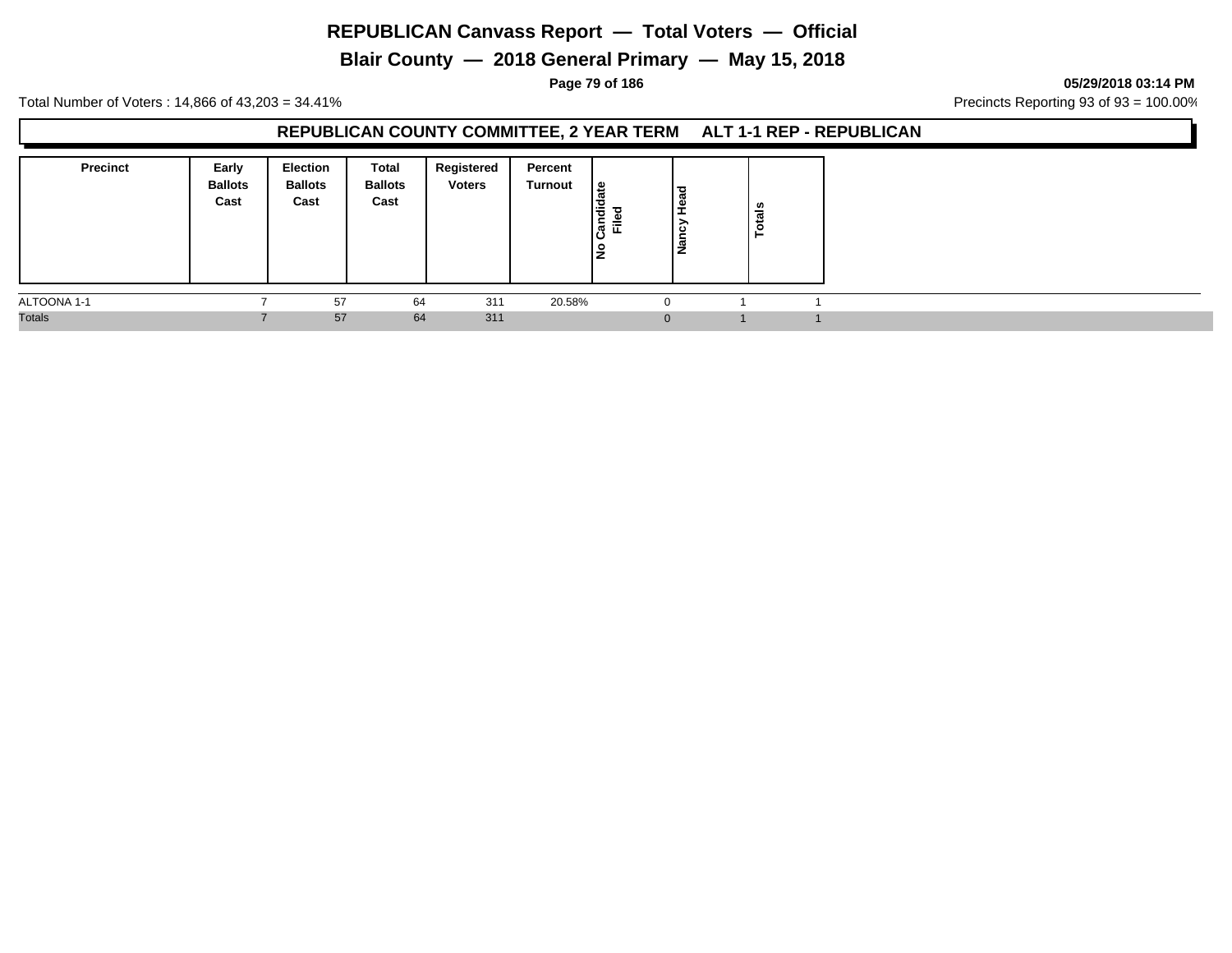**Blair County — 2018 General Primary — May 15, 2018**

**Page 79 of 186 05/29/2018 03:14 PM**

Total Number of Voters : 14,866 of 43,203 = 34.41% Precincts Reporting 93 of 93 = 100.00%

## **REPUBLICAN COUNTY COMMITTEE, 2 YEAR TERM ALT 1-1 REP - REPUBLICAN**

| <b>Precinct</b> | Early<br><b>Ballots</b><br>Cast | <b>Election</b><br><b>Ballots</b><br>Cast | Total<br><b>Ballots</b><br>Cast | Registered<br><b>Voters</b> | Percent<br>Turnout | ¦ ⊕<br>Candid<br>ு<br>≓<br>١z | ಇ<br>י ≗<br>౿<br>∎ًa | ៖<br>ت<br>ö |  |
|-----------------|---------------------------------|-------------------------------------------|---------------------------------|-----------------------------|--------------------|-------------------------------|----------------------|-------------|--|
| ALTOONA 1-1     |                                 | 57                                        | 64                              | 311                         | 20.58%             |                               |                      |             |  |
| <b>Totals</b>   |                                 | 57                                        | 64                              | 311                         |                    |                               |                      |             |  |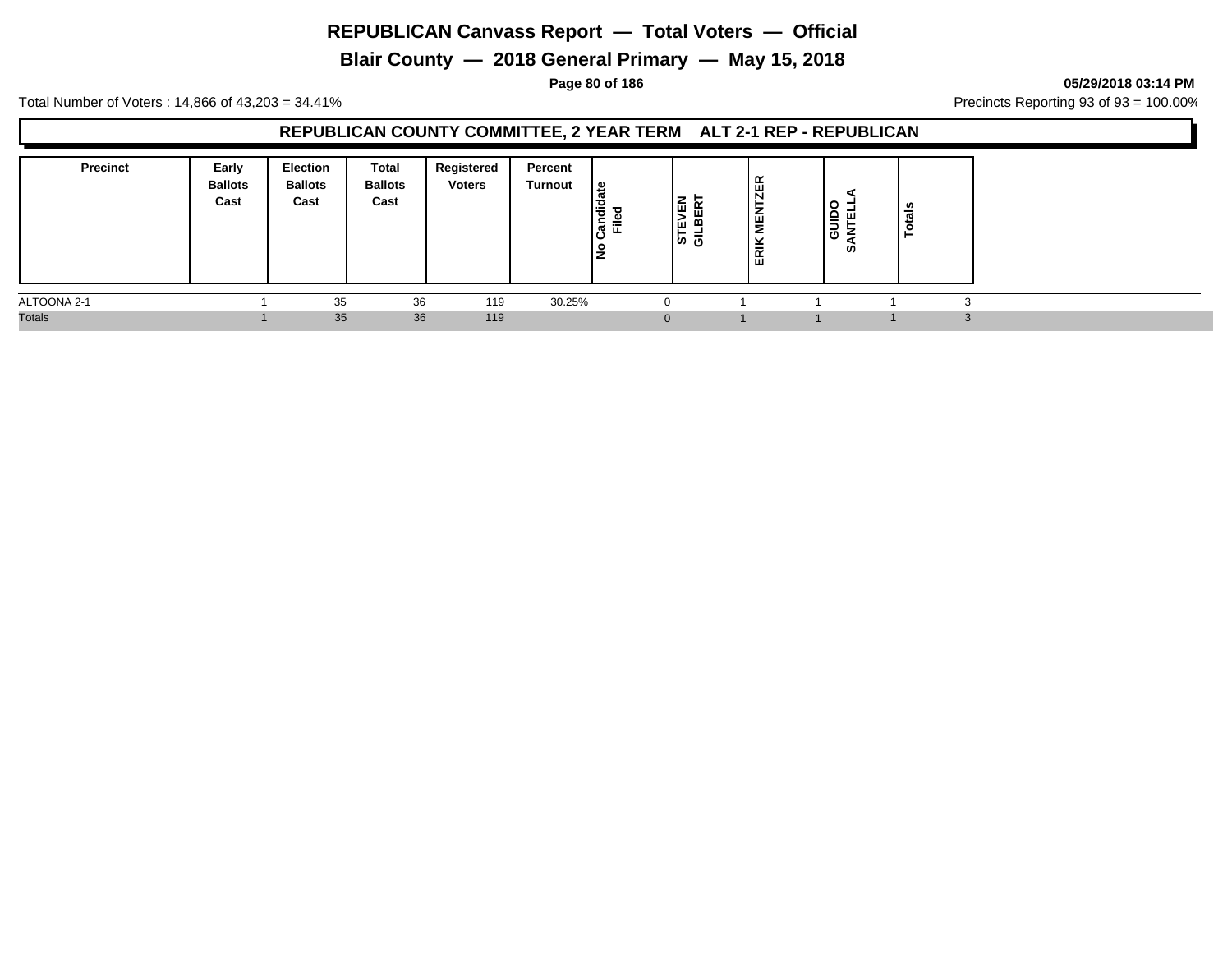**Blair County — 2018 General Primary — May 15, 2018**

**Page 80 of 186 05/29/2018 03:14 PM**

Total Number of Voters : 14,866 of 43,203 = 34.41% **Precincts Reporting 93 of 93** = 100.00%

## **REPUBLICAN COUNTY COMMITTEE, 2 YEAR TERM ALT 2-1 REP - REPUBLICAN**

| <b>Precinct</b> | Early<br><b>Ballots</b><br>Cast | <b>Election</b><br><b>Ballots</b><br>Cast | Total<br><b>Ballots</b><br>Cast | Registered<br><b>Voters</b> | Percent<br>Turnout | ate<br>$\frac{1}{2}$<br>ъ<br>ြွမ္မ<br>Ē<br>š | ∣ա<br>≆<br>Tш<br>ய<br> و ہ | 띥<br>$\overline{\mathsf{N}}$<br>−<br>–<br>Ê<br>ERIK | ັ<br>≘<br>ш<br>-<br>O<br>ທ | - 67<br>ಕ |  |
|-----------------|---------------------------------|-------------------------------------------|---------------------------------|-----------------------------|--------------------|----------------------------------------------|----------------------------|-----------------------------------------------------|----------------------------|-----------|--|
| ALTOONA 2-1     |                                 | 35                                        | 36                              | 119                         | 30.25%             | 0                                            |                            |                                                     |                            |           |  |
| <b>Totals</b>   |                                 | 35                                        | 36                              | 119                         |                    | $\Omega$                                     |                            |                                                     |                            |           |  |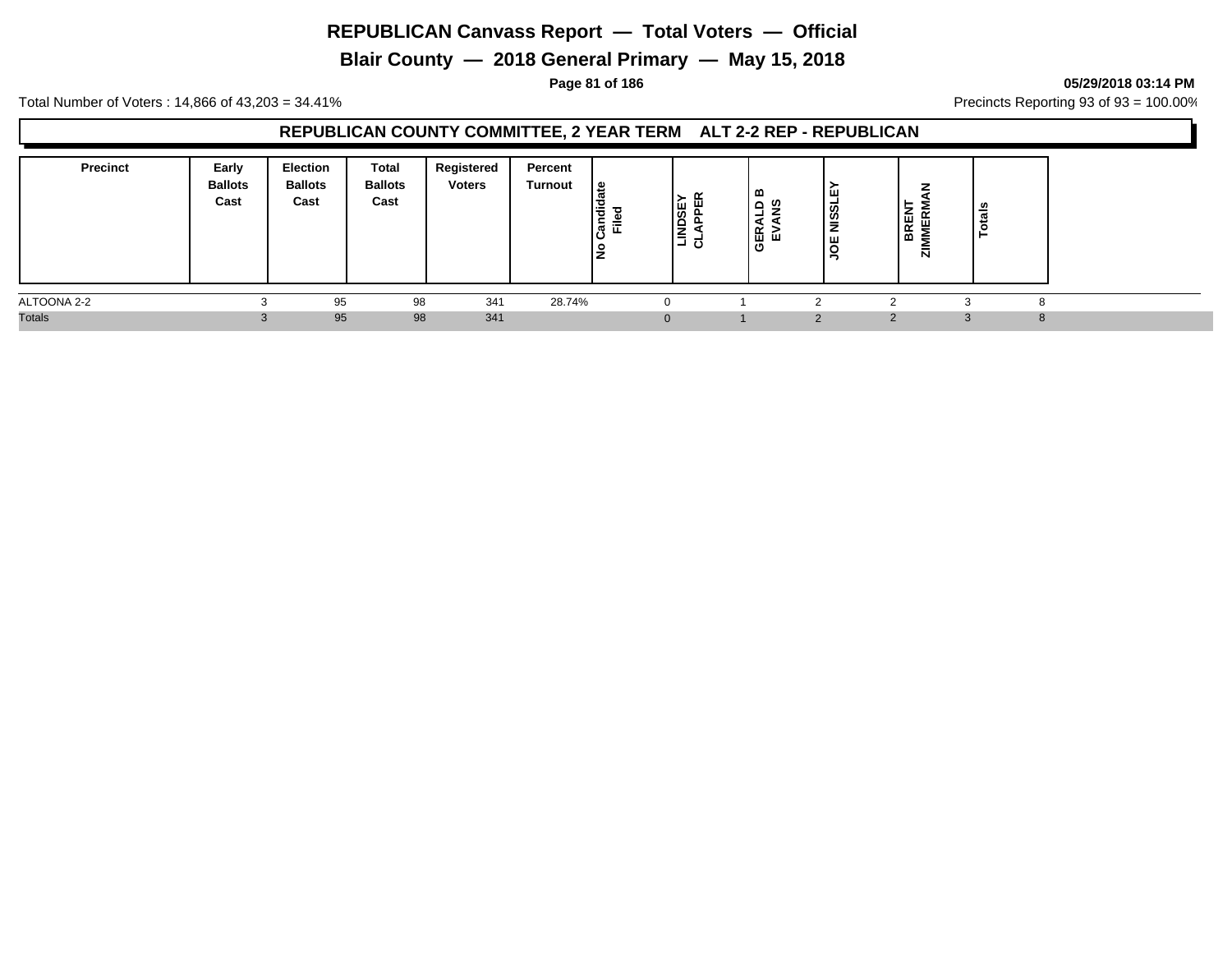**Blair County — 2018 General Primary — May 15, 2018**

**Page 81 of 186 05/29/2018 03:14 PM**

Total Number of Voters : 14,866 of 43,203 = 34.41% **Precincts Reporting 93 of 93** = 100.00%

## **REPUBLICAN COUNTY COMMITTEE, 2 YEAR TERM ALT 2-2 REP - REPUBLICAN**

| <b>Precinct</b> | Early<br><b>Ballots</b><br>Cast | <b>Election</b><br><b>Ballots</b><br>Cast | Total<br><b>Ballots</b><br>Cast | Registered<br><b>Voters</b> | Percent<br>Turnout | ہ ا<br>F<br>έ<br>Ē<br>P.<br><u>ੁ</u> | l§e<br>Ιe<br>⋐<br>⊐ ರ | m<br>$\Omega$<br>מ<br>명망<br>Ō | Iш<br><b>NISSL</b><br>Iш | BREN<br>ш<br>⋍<br>ត | ਜ਼ |  |
|-----------------|---------------------------------|-------------------------------------------|---------------------------------|-----------------------------|--------------------|--------------------------------------|-----------------------|-------------------------------|--------------------------|---------------------|----|--|
| ALTOONA 2-2     |                                 | 95                                        | 98                              | 341                         | 28.74%             |                                      |                       |                               |                          |                     |    |  |
| <b>Totals</b>   |                                 | 95                                        | 98                              | 341                         |                    |                                      |                       |                               | $\sim$                   |                     |    |  |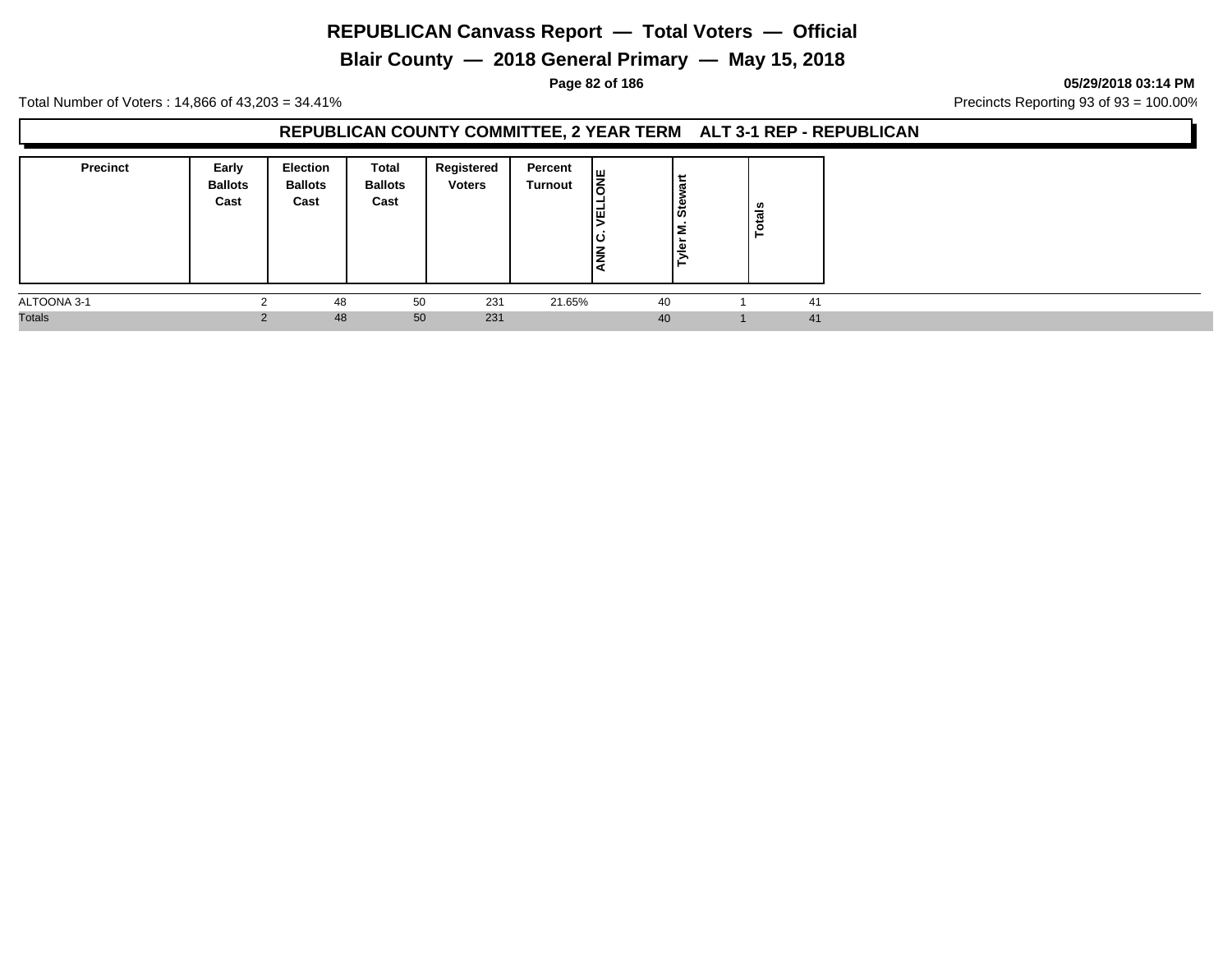**Blair County — 2018 General Primary — May 15, 2018**

**Page 82 of 186 05/29/2018 03:14 PM**

Total Number of Voters : 14,866 of 43,203 = 34.41% **Precincts Reporting 93 of 93** = 100.00%

## **REPUBLICAN COUNTY COMMITTEE, 2 YEAR TERM ALT 3-1 REP - REPUBLICAN**

| <b>Precinct</b> | Early<br><b>Ballots</b><br>Cast | <b>Election</b><br><b>Ballots</b><br>Cast | Total<br><b>Ballots</b><br>Cast | Registered<br><b>Voters</b> | Percent<br>Turnout | $\frac{1}{8}$<br>l₫<br>ιပ<br><b>NNA</b> | سه<br>ੌਰ<br>ခြီး<br>¦e∣ | ៖<br>ت<br>$\bullet$<br>► |    |  |
|-----------------|---------------------------------|-------------------------------------------|---------------------------------|-----------------------------|--------------------|-----------------------------------------|-------------------------|--------------------------|----|--|
| ALTOONA 3-1     |                                 | 48                                        | 50                              | 231                         | 21.65%             | 40                                      |                         |                          | 41 |  |
| <b>Totals</b>   |                                 | 48                                        | 50                              | 231                         |                    | 40                                      |                         |                          | 41 |  |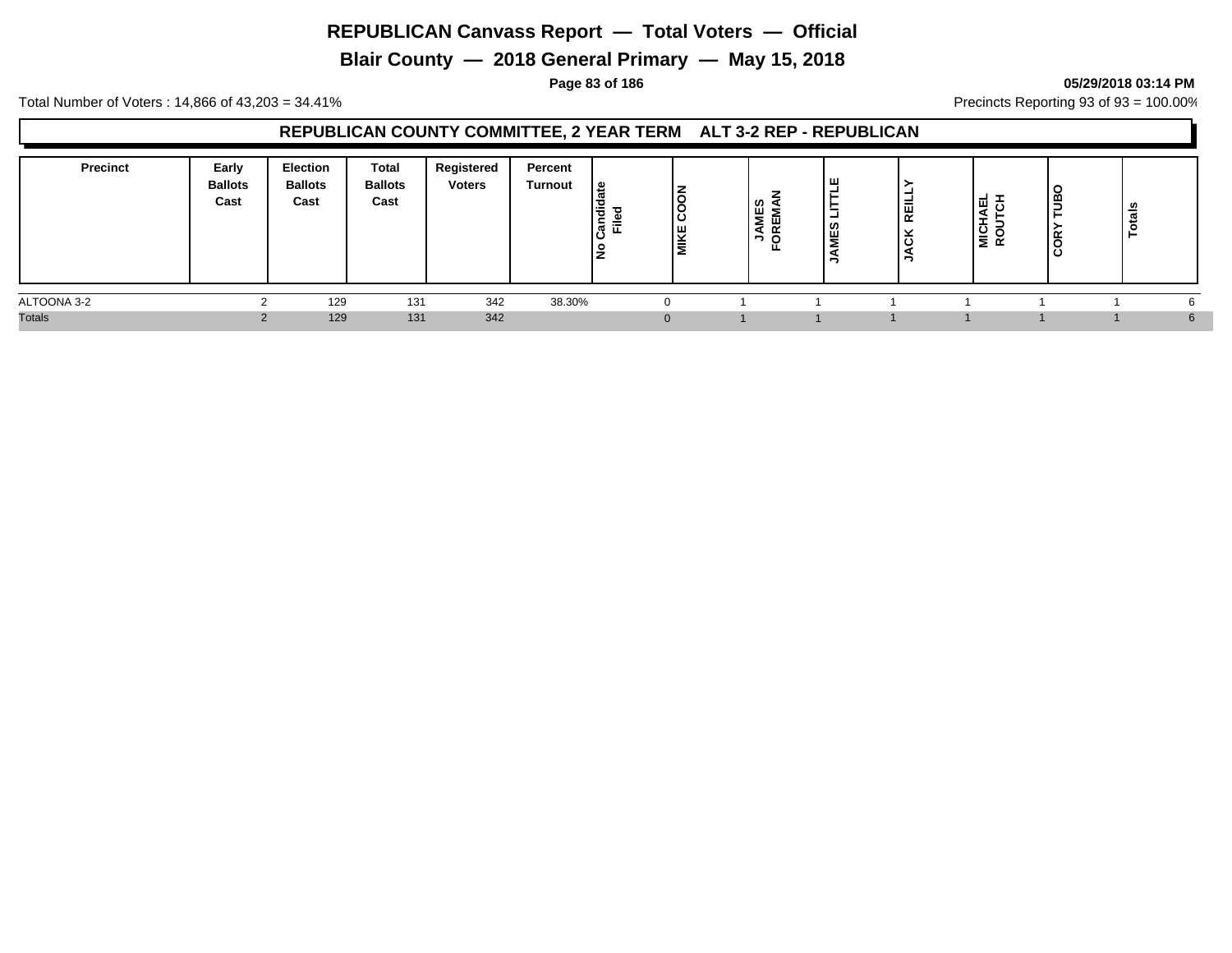**Blair County — 2018 General Primary — May 15, 2018**

#### **Page 83 of 186 05/29/2018 03:14 PM**

Total Number of Voters : 14,866 of 43,203 = 34.41% **Precincts Reporting 93 of 93** = 100.00%

## **REPUBLICAN COUNTY COMMITTEE, 2 YEAR TERM ALT 3-2 REP - REPUBLICAN**

| <b>Precinct</b> | Early<br><b>Ballots</b><br>Cast | <b>Election</b><br><b>Ballots</b><br>Cast | <b>Total</b><br><b>Ballots</b><br>Cast | Registered<br><b>Voters</b> | Percent<br><b>Turnout</b> | ہ ا<br>등<br>-<br>.<br>이 드<br>o | $\overline{5}$<br><b>MIKE</b> | u<br>∶ ≥ L | ш<br>-<br>ທ<br>٣ | -<br>REI<br>. . | 同<br>MICHAI<br>ROUTC | -<br>۰<br>≃<br>ີ | ឹ<br>Ĕ |    |
|-----------------|---------------------------------|-------------------------------------------|----------------------------------------|-----------------------------|---------------------------|--------------------------------|-------------------------------|------------|------------------|-----------------|----------------------|------------------|--------|----|
| ALTOONA 3-2     |                                 | 129                                       | 131                                    | 342                         | 38.30%                    |                                |                               |            |                  |                 |                      |                  |        |    |
| <b>Totals</b>   |                                 | 129                                       | 131                                    | 342                         |                           |                                |                               |            |                  |                 |                      |                  |        | 6. |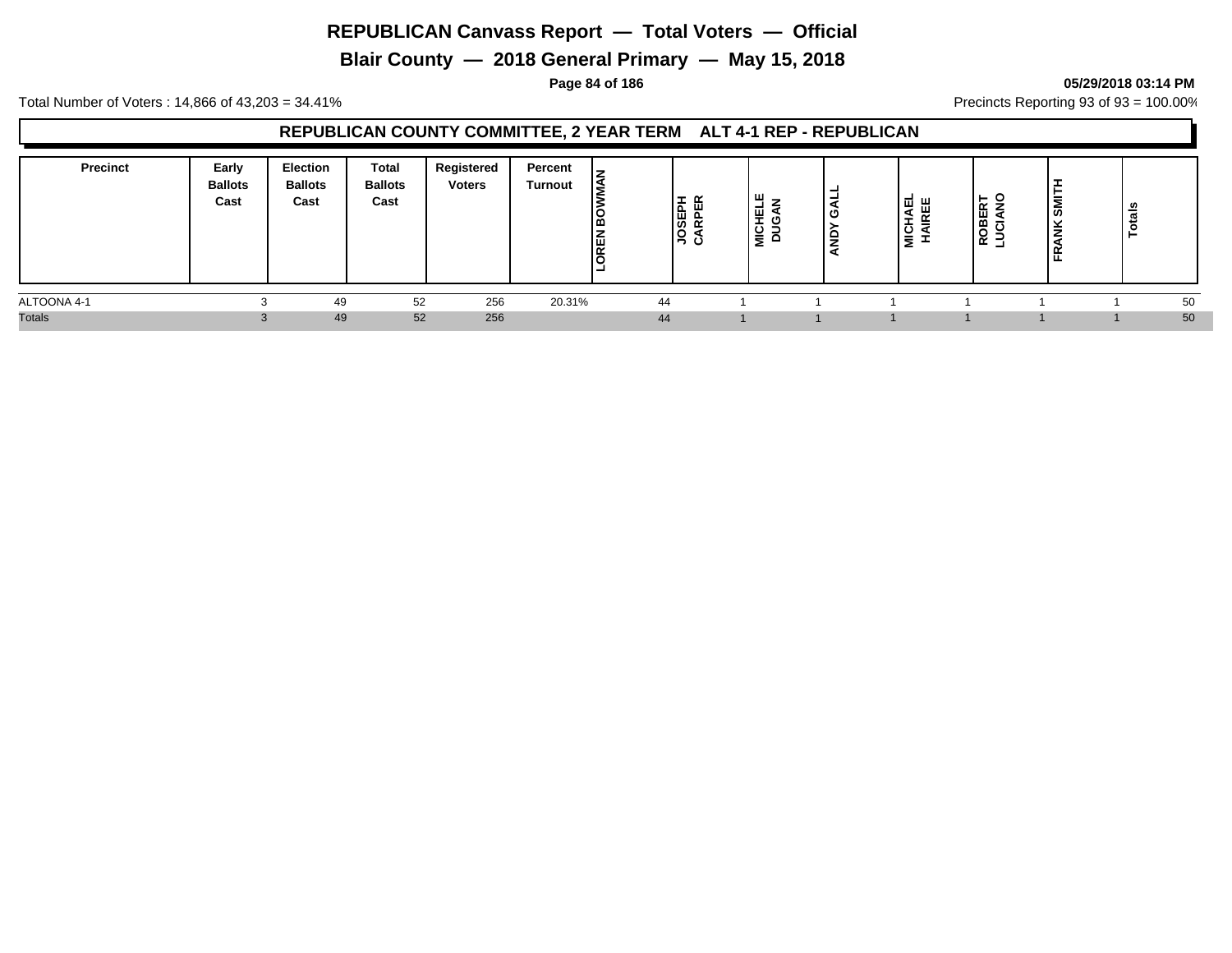**Blair County — 2018 General Primary — May 15, 2018**

## **Page 84 of 186 05/29/2018 03:14 PM**

Total Number of Voters : 14,866 of 43,203 = 34.41% **Precincts Reporting 93 of 93** = 100.00%

## **REPUBLICAN COUNTY COMMITTEE, 2 YEAR TERM ALT 4-1 REP - REPUBLICAN**

| <b>Precinct</b> | Early<br><b>Ballots</b><br>Cast | <b>Election</b><br><b>Ballots</b><br>Cast | <b>Total</b><br><b>Ballots</b><br>Cast | Registered<br><b>Voters</b> | Percent<br><b>Turnout</b> | -<br>۱ă<br><b>JEE</b> | $-$<br>œ<br><b>JOSEPH</b><br>CARPER | x.<br>ŝ | ≒ | <b>HAEL</b><br>IREE<br>MICH<br>HAII | ∣⊢ O<br>۱œ<br>ROBEI<br><b>1</b> | Σ<br>ທ<br>$\checkmark$<br>-<br>-<br>щ | ≗<br>æ<br>Ĕ |    |
|-----------------|---------------------------------|-------------------------------------------|----------------------------------------|-----------------------------|---------------------------|-----------------------|-------------------------------------|---------|---|-------------------------------------|---------------------------------|---------------------------------------|-------------|----|
| ALTOONA 4-1     |                                 | 49                                        | 52                                     | 256                         | 20.31%                    |                       | 44                                  |         |   |                                     |                                 |                                       |             | 50 |
| <b>Totals</b>   |                                 | 49                                        | 52                                     | 256                         |                           |                       | 44                                  |         |   |                                     |                                 |                                       |             | 50 |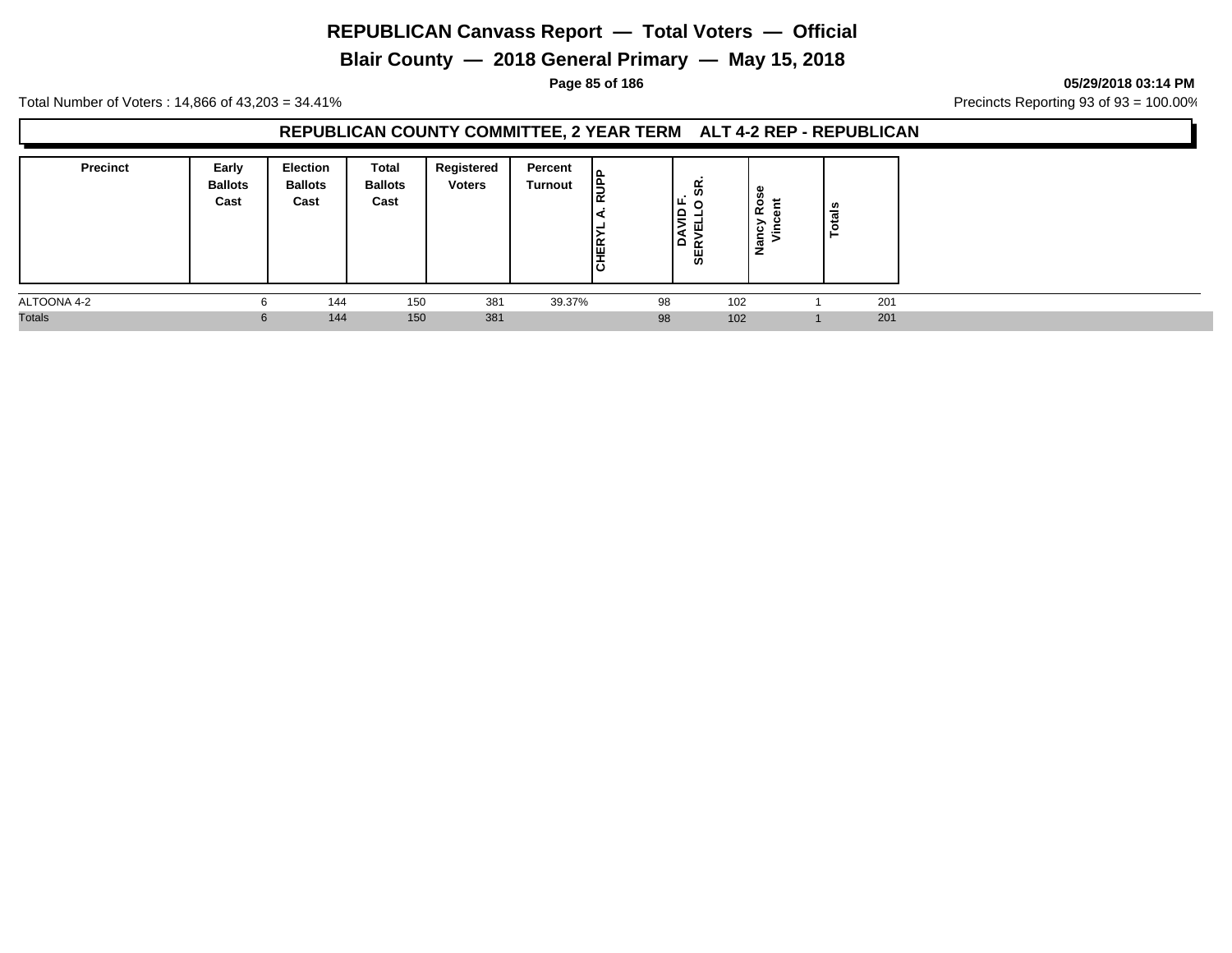**Blair County — 2018 General Primary — May 15, 2018**

**Page 85 of 186 05/29/2018 03:14 PM**

Total Number of Voters : 14,866 of 43,203 = 34.41% **Precincts Reporting 93 of 93** = 100.00%

## **REPUBLICAN COUNTY COMMITTEE, 2 YEAR TERM ALT 4-2 REP - REPUBLICAN**

| <b>Precinct</b> | Early<br><b>Ballots</b><br>Cast | <b>Election</b><br><b>Ballots</b><br>Cast | Total<br><b>Ballots</b><br>Cast | Registered<br><b>Voters</b> | Percent<br>Turnout | lЭ<br>$\alpha$<br><b>CHERY</b> | . ິ<br>LЕ<br>0<br>∣≘<br>۵<br>œ<br>55 | $\circ$<br>≃<br>∽<br>Nanc <sub>i</sub><br>Vin<br>$\equiv$ | ៖<br>تسعد<br>_ |
|-----------------|---------------------------------|-------------------------------------------|---------------------------------|-----------------------------|--------------------|--------------------------------|--------------------------------------|-----------------------------------------------------------|----------------|
| ALTOONA 4-2     | 6                               | 144                                       | 150                             | 381                         | 39.37%             | 98                             |                                      | 102                                                       | 201            |
| <b>Totals</b>   | 6                               | 144                                       | 150                             | 381                         |                    | 98                             |                                      | 102                                                       | 201            |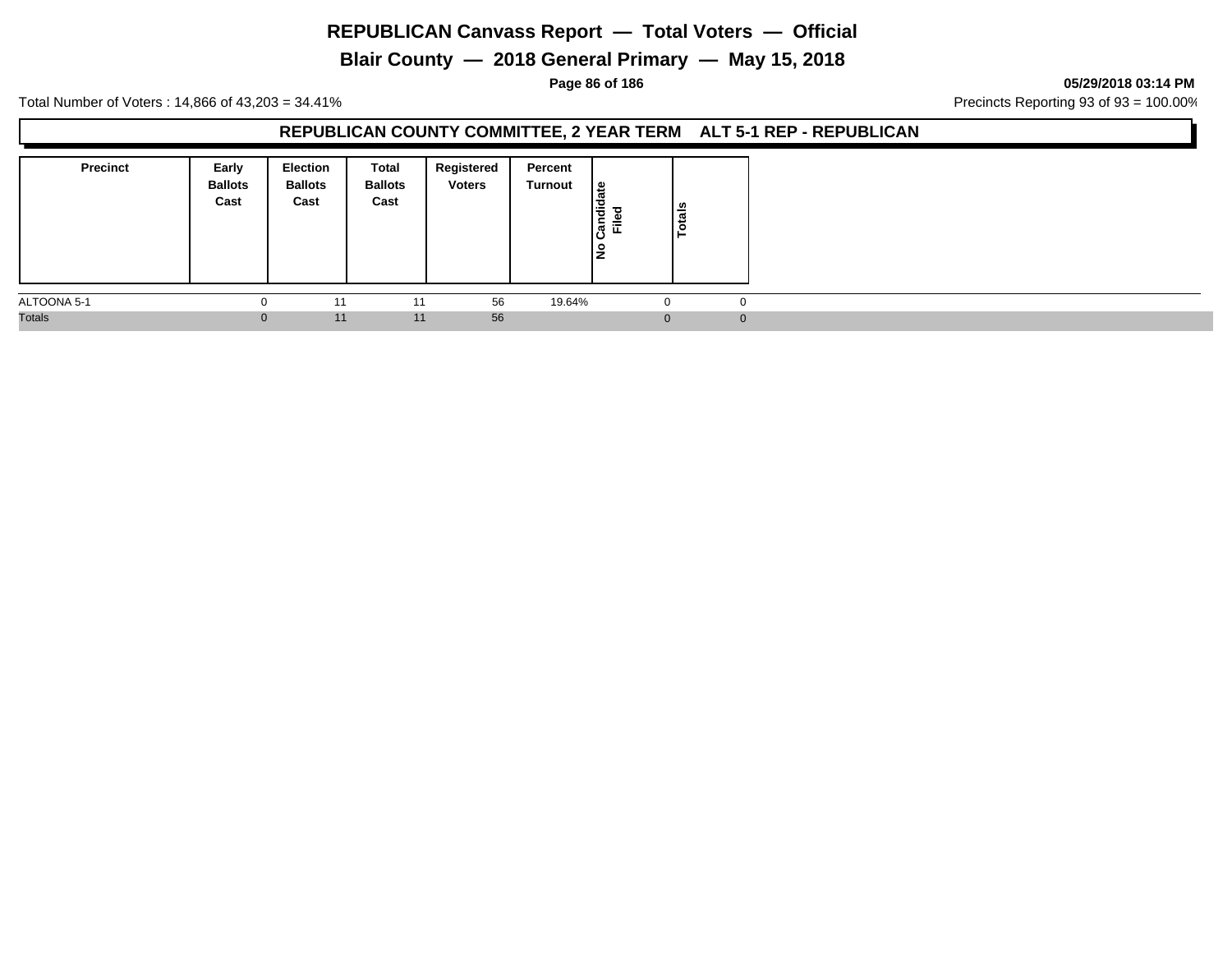# **Blair County — 2018 General Primary — May 15, 2018**

#### **Page 86 of 186 05/29/2018 03:14 PM**

Total Number of Voters : 14,866 of 43,203 = 34.41% **Precincts Reporting 93 of 93** = 100.00%

#### **REPUBLICAN COUNTY COMMITTEE, 2 YEAR TERM ALT 5-1 REP - REPUBLICAN**

| <b>Precinct</b> | Early<br><b>Ballots</b><br>Cast | <b>Election</b><br><b>Ballots</b><br>Cast | Total<br><b>Ballots</b><br>Cast | Registered<br><b>Voters</b> | Percent<br>Turnout | ١e<br>Candid<br>ᇃ<br>≓<br>١z | Totals |   |
|-----------------|---------------------------------|-------------------------------------------|---------------------------------|-----------------------------|--------------------|------------------------------|--------|---|
| ALTOONA 5-1     | U                               | 11                                        | 11                              | 56                          | 19.64%             |                              |        |   |
| <b>Totals</b>   | $\bf{0}$                        | 11                                        | 11                              | 56                          |                    |                              |        | o |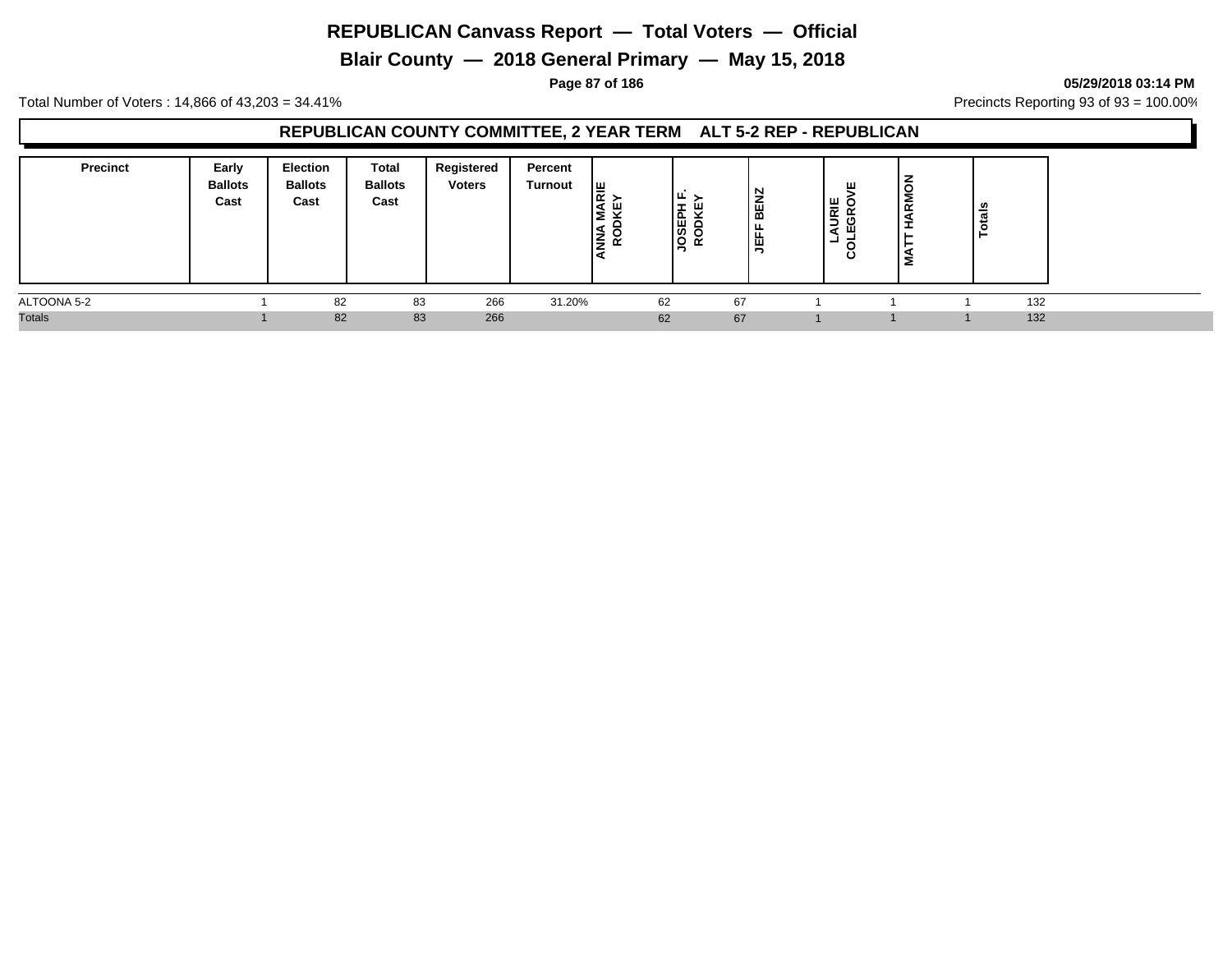**Blair County — 2018 General Primary — May 15, 2018**

**Page 87 of 186 05/29/2018 03:14 PM**

Total Number of Voters : 14,866 of 43,203 = 34.41% **Precincts Reporting 93 of 93** = 100.00%

## **REPUBLICAN COUNTY COMMITTEE, 2 YEAR TERM ALT 5-2 REP - REPUBLICAN**

| <b>Precinct</b> | Early<br><b>Ballots</b><br>Cast | <b>Election</b><br><b>Ballots</b><br>Cast | Total<br><b>Ballots</b><br>Cast | Registered<br><b>Voters</b> | Percent<br><b>Turnout</b> | 쁥<br>ш<br>-<br>÷ | Iш<br>÷<br><b>JOSEPH</b><br>RODKE | N<br>BEN;<br>LEFE | ш<br>뽇<br>- 9<br>$\propto$<br>÷<br>∍<br>ඏ<br>ď<br>-<br>O | -<br><b>RMO</b><br>-<br>Σ | tais<br><b>O</b> |
|-----------------|---------------------------------|-------------------------------------------|---------------------------------|-----------------------------|---------------------------|------------------|-----------------------------------|-------------------|----------------------------------------------------------|---------------------------|------------------|
| ALTOONA 5-2     |                                 | 82                                        | 83                              | 266                         | 31.20%                    | 62               |                                   | 67                |                                                          |                           | 132              |
| <b>Totals</b>   |                                 | 82                                        | 83                              | 266                         |                           | 62               |                                   | 67                |                                                          |                           | 132              |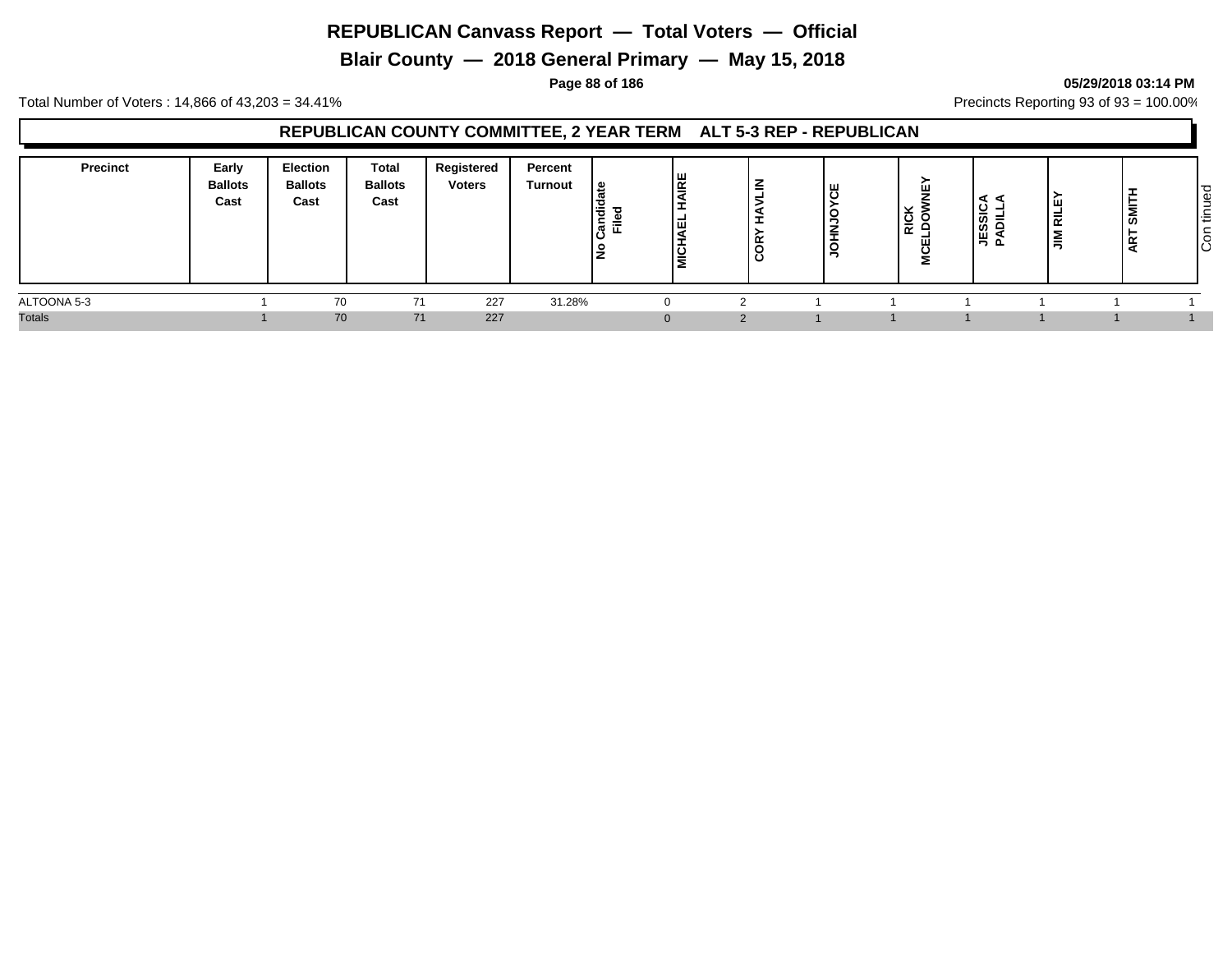**Blair County — 2018 General Primary — May 15, 2018**

#### **Page 88 of 186 05/29/2018 03:14 PM**

Total Number of Voters : 14,866 of 43,203 = 34.41% **Precincts Reporting 93 of 93** = 100.00%

## **REPUBLICAN COUNTY COMMITTEE, 2 YEAR TERM ALT 5-3 REP - REPUBLICAN**

| Precinct      | Early<br><b>Ballots</b><br>Cast | <b>Election</b><br><b>Ballots</b><br>Cast | <b>Total</b><br><b>Ballots</b><br>Cast | Registered<br><b>Voters</b> | Percent<br>Turnout | <u> ഉ</u><br>Candie<br>Filed<br>≗ | AIRE<br>١Ξ<br>١ă<br><b>THE</b> | ⇁<br>-<br>≃ | ப<br>ం<br>- - | $\overline{R}$<br>ш<br>2 | ◀<br>⋖<br>SSIC<br>≓<br>≏<br>≒<br>௨ | ш<br>晨<br>$\tilde{=}$ | ᆂ<br><b>SM</b> | $\overline{\sigma}$<br>₫<br>-<br><b>_</b><br>l÷<br>┶<br>$\overline{\circ}$<br>IО |
|---------------|---------------------------------|-------------------------------------------|----------------------------------------|-----------------------------|--------------------|-----------------------------------|--------------------------------|-------------|---------------|--------------------------|------------------------------------|-----------------------|----------------|----------------------------------------------------------------------------------|
| ALTOONA 5-3   |                                 | 70                                        | 71                                     | 227                         | 31.28%             |                                   |                                |             |               |                          |                                    |                       |                |                                                                                  |
| <b>Totals</b> |                                 | 70                                        | 71                                     | 227                         |                    |                                   | $\Omega$                       | $\Omega$    |               |                          |                                    |                       |                |                                                                                  |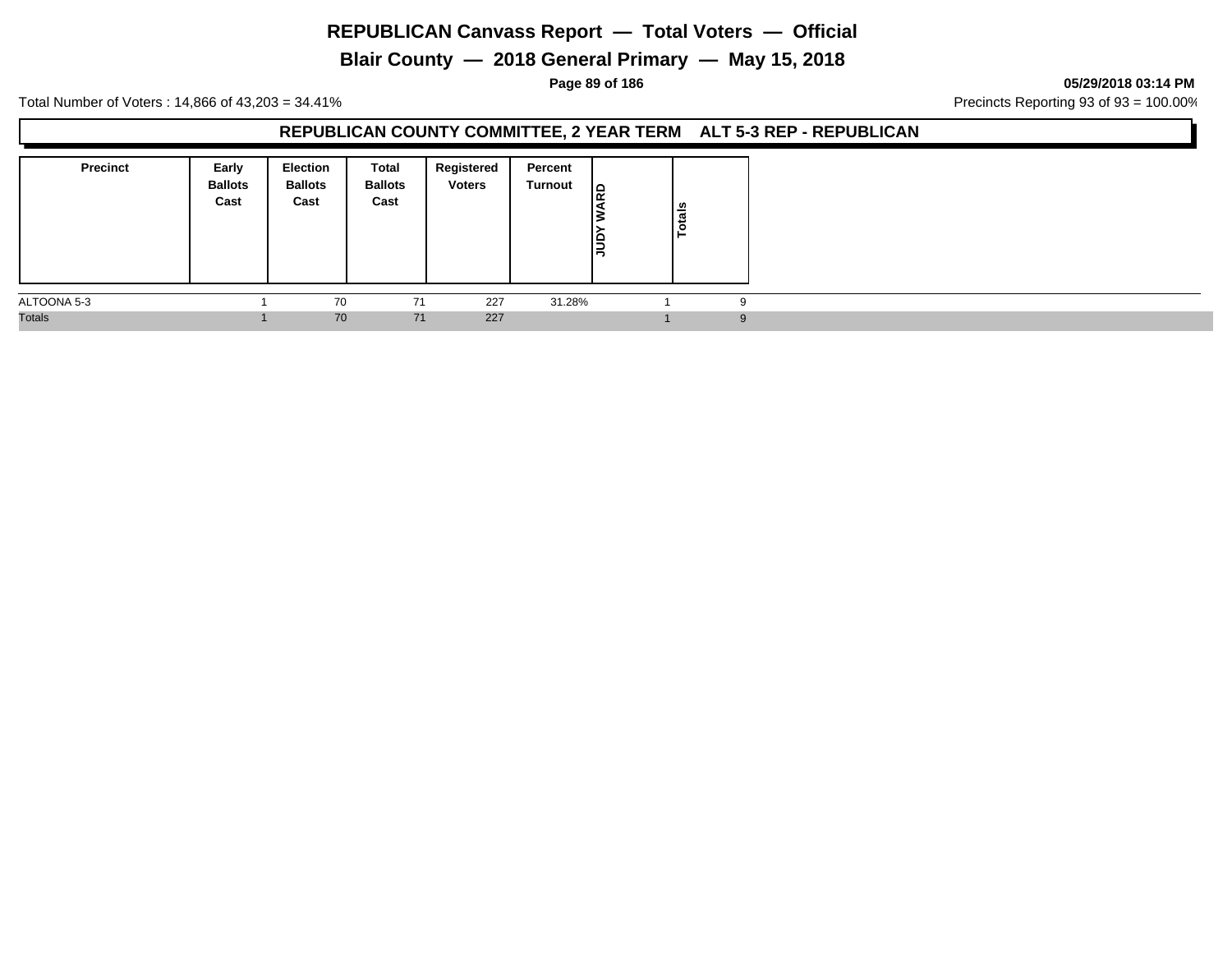**Blair County — 2018 General Primary — May 15, 2018**

**Page 89 of 186 05/29/2018 03:14 PM**

Total Number of Voters : 14,866 of 43,203 = 34.41% **Precincts Reporting 93 of 93** = 100.00%

#### **REPUBLICAN COUNTY COMMITTEE, 2 YEAR TERM ALT 5-3 REP - REPUBLICAN**

| <b>Precinct</b> | Early<br><b>Ballots</b><br>Cast | <b>Election</b><br><b>Ballots</b><br>Cast | Total<br><b>Ballots</b><br>Cast | Registered<br><b>Voters</b> | Percent<br>Turnout | lg<br>ΙS<br>Nann | Totals |
|-----------------|---------------------------------|-------------------------------------------|---------------------------------|-----------------------------|--------------------|------------------|--------|
| ALTOONA 5-3     |                                 | 70                                        | 71                              | 227                         | 31.28%             |                  |        |
| <b>Totals</b>   |                                 | 70                                        | 71                              | 227                         |                    |                  |        |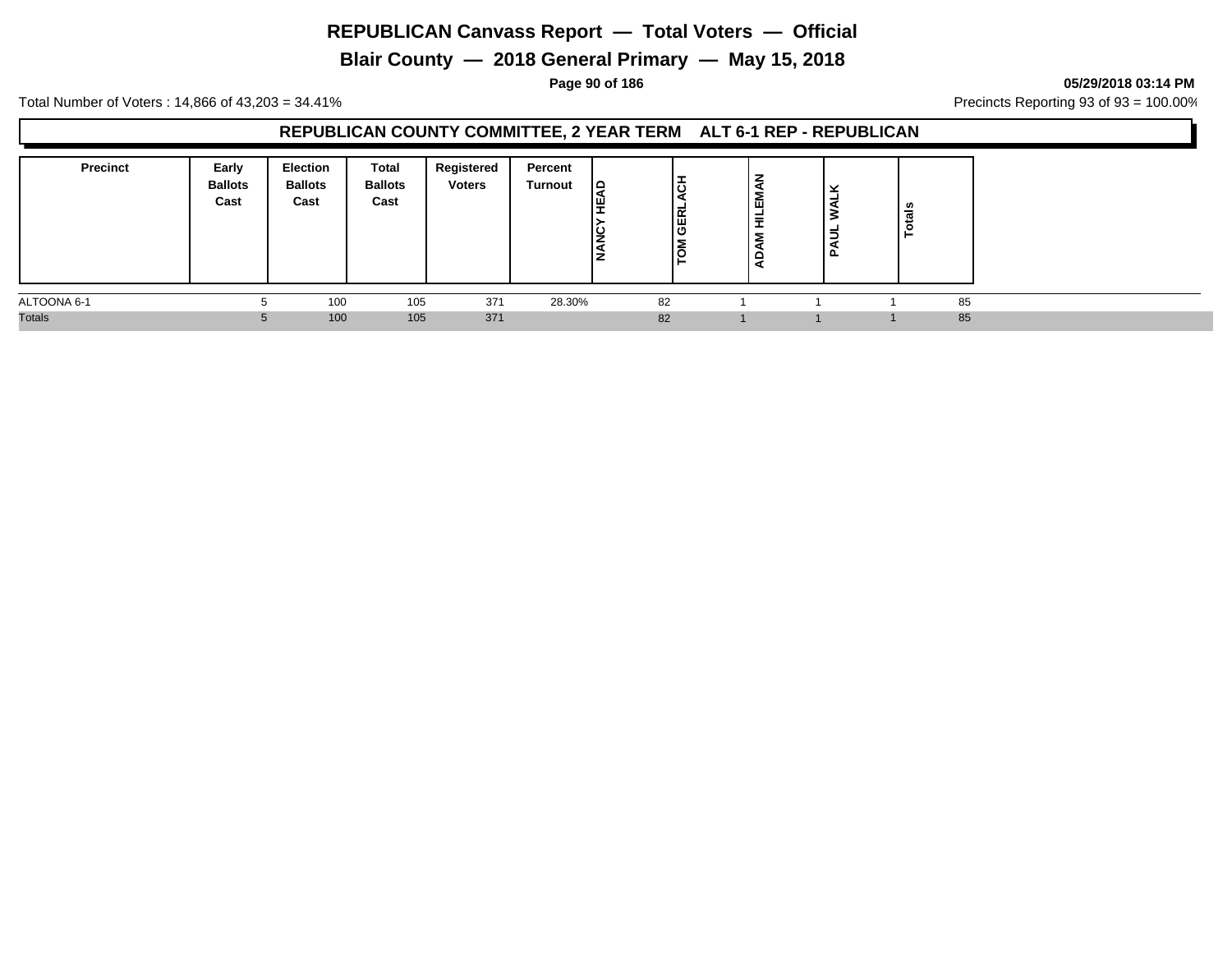**Blair County — 2018 General Primary — May 15, 2018**

**Page 90 of 186 05/29/2018 03:14 PM**

Total Number of Voters : 14,866 of 43,203 = 34.41% **Precincts Reporting 93 of 93** = 100.00%

## **REPUBLICAN COUNTY COMMITTEE, 2 YEAR TERM ALT 6-1 REP - REPUBLICAN**

| <b>Precinct</b> | Early<br><b>Ballots</b><br>Cast | <b>Election</b><br><b>Ballots</b><br>Cast | Total<br><b>Ballots</b><br>Cast | Registered<br><b>Voters</b> | Percent<br>Turnout | $\Box$<br><b>IS</b><br>- | lö<br><b>GERL</b><br>۱o | z<br>EM<br>뤂<br>Σ | ີ<br>-<br>-<br>௨ | tals<br>Ĕ |  |
|-----------------|---------------------------------|-------------------------------------------|---------------------------------|-----------------------------|--------------------|--------------------------|-------------------------|-------------------|------------------|-----------|--|
| ALTOONA 6-1     | Ð                               | 100                                       | 105                             | 371                         | 28.30%             |                          | 82                      |                   |                  | 85        |  |
| <b>Totals</b>   | $\mathbf{D}$                    | 100                                       | 105                             | 371                         |                    |                          | 82                      |                   |                  | 85        |  |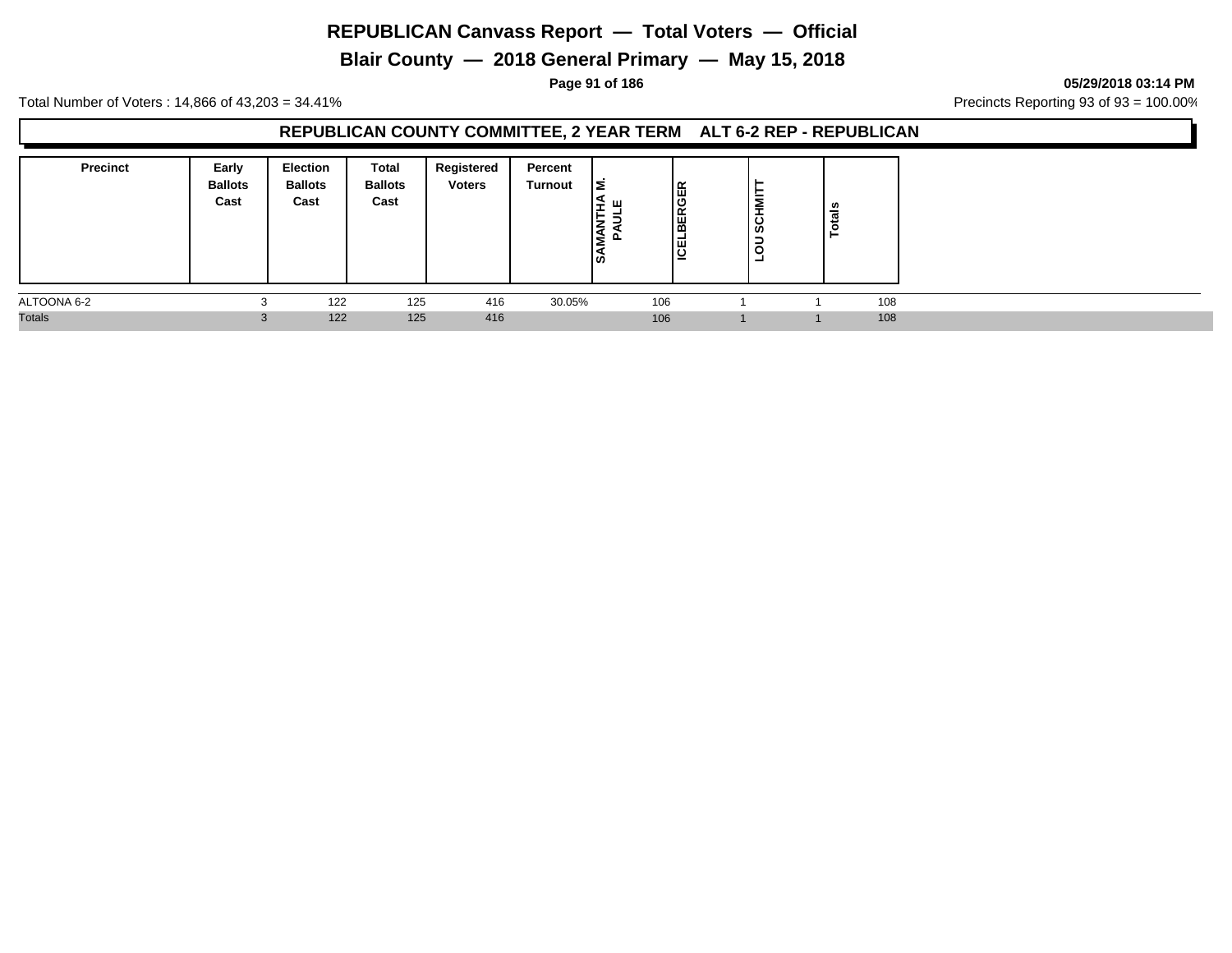**Blair County — 2018 General Primary — May 15, 2018**

**Page 91 of 186 05/29/2018 03:14 PM**

Total Number of Voters : 14,866 of 43,203 = 34.41% **Precincts Reporting 93 of 93** = 100.00%

## **REPUBLICAN COUNTY COMMITTEE, 2 YEAR TERM ALT 6-2 REP - REPUBLICAN**

| <b>Precinct</b> | Early<br><b>Ballots</b><br>Cast | <b>Election</b><br><b>Ballots</b><br>Cast | Total<br><b>Ballots</b><br>Cast | Registered<br><b>Voters</b> | Percent<br>Turnout | lΣ<br>-<br>∣\$ | lස<br> ပ<br><b>BEK</b><br>פֿ∣ | <b>SCHMI</b><br>$\overline{5}$<br>− | ឹ<br>ن . |     |
|-----------------|---------------------------------|-------------------------------------------|---------------------------------|-----------------------------|--------------------|----------------|-------------------------------|-------------------------------------|----------|-----|
| ALTOONA 6-2     | $\sqrt{2}$                      | 122                                       | 125                             | 416                         | 30.05%             | 106            |                               |                                     |          | 108 |
| <b>Totals</b>   |                                 | 122                                       | 125                             | 416                         |                    | 106            |                               |                                     |          | 108 |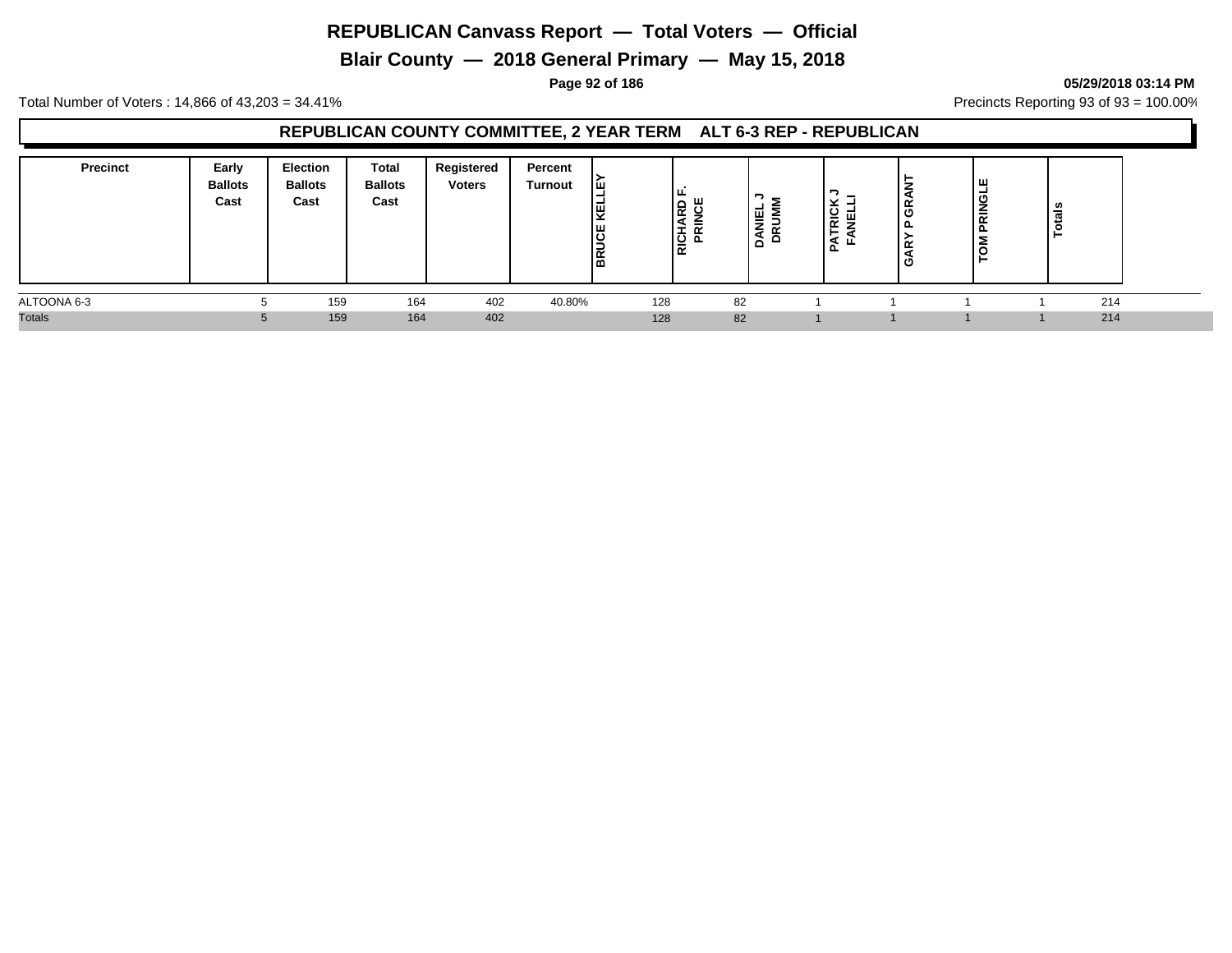**Blair County — 2018 General Primary — May 15, 2018**

**Page 92 of 186 05/29/2018 03:14 PM**

Total Number of Voters : 14,866 of 43,203 = 34.41% **Precincts Reporting 93 of 93** = 100.00%

## **REPUBLICAN COUNTY COMMITTEE, 2 YEAR TERM ALT 6-3 REP - REPUBLICAN**

| <b>Precinct</b> | Early<br><b>Ballots</b><br>Cast | Election<br><b>Ballots</b><br>Cast | Total<br><b>Ballots</b><br>Cast | Registered<br><b>Voters</b> | Percent<br><b>Turnout</b> | Iш<br><b>DAR</b> | I ш.<br>١S<br><b>RIC</b> | ! 팔<br>⋸<br>B<br>ুহ<br>- | ×<br>로 국<br>-<br>ш<br>௨ | န္<br>௨<br>iκ<br>ט | ш<br>$\overline{9}$<br>$\sim$ | ਜ਼  |  |
|-----------------|---------------------------------|------------------------------------|---------------------------------|-----------------------------|---------------------------|------------------|--------------------------|--------------------------|-------------------------|--------------------|-------------------------------|-----|--|
| ALTOONA 6-3     |                                 | 159                                | 164                             | 402                         | 40.80%                    | 128              | 82                       |                          |                         |                    |                               | 214 |  |
| <b>Totals</b>   |                                 | 159                                | 164                             | 402                         |                           | 128              | 82                       |                          |                         |                    |                               | 214 |  |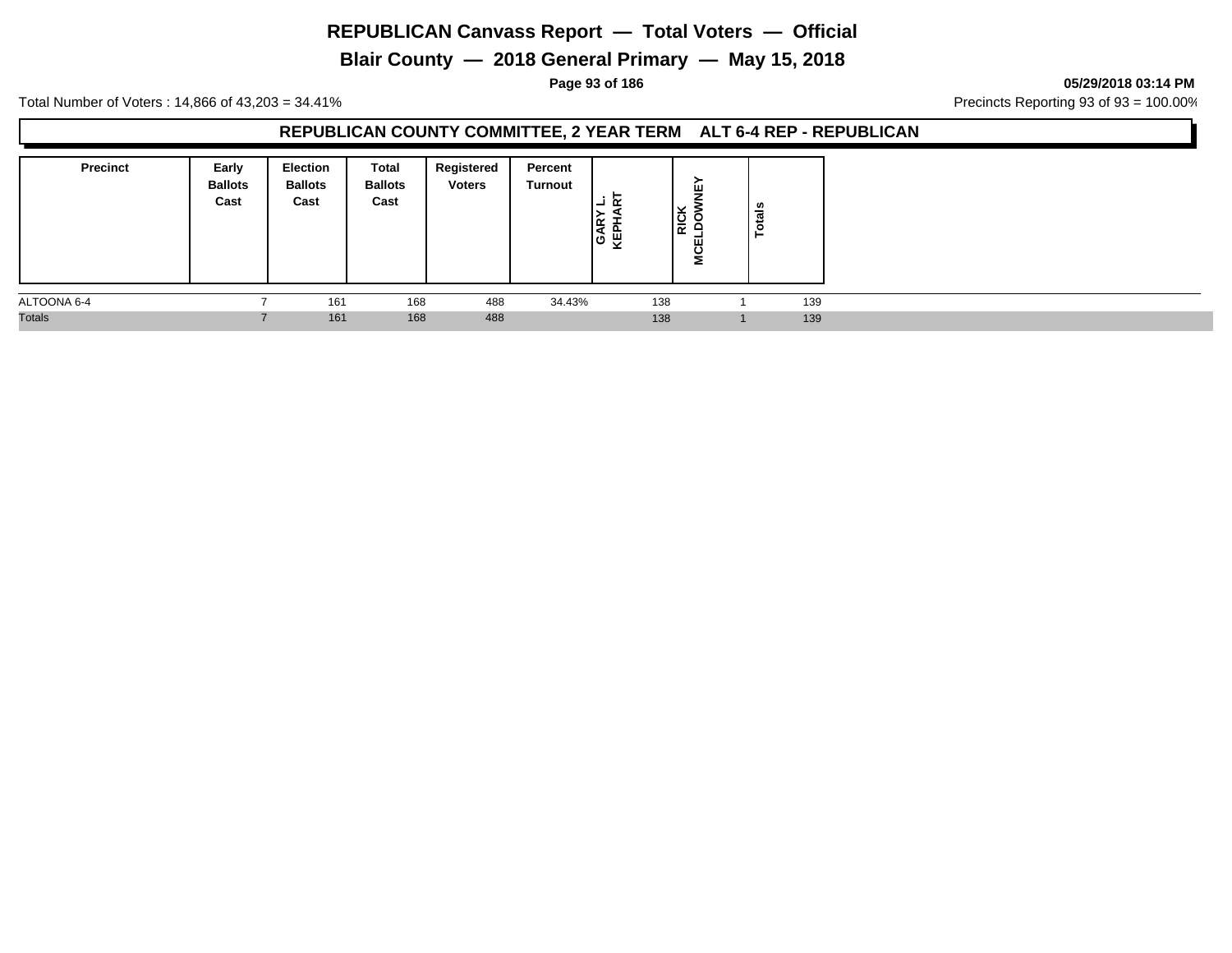# **Blair County — 2018 General Primary — May 15, 2018**

**Page 93 of 186 05/29/2018 03:14 PM**

Total Number of Voters : 14,866 of 43,203 = 34.41% **Precincts Reporting 93 of 93** = 100.00%

## **REPUBLICAN COUNTY COMMITTEE, 2 YEAR TERM ALT 6-4 REP - REPUBLICAN**

| <b>Precinct</b> | Early<br><b>Ballots</b><br>Cast | <b>Election</b><br><b>Ballots</b><br>Cast | Total<br><b>Ballots</b><br>Cast | Registered<br><b>Voters</b> | Percent<br>Turnout | œ<br>-<br>∣≃<br>Ιś<br>ਜ਼ਿ<br>- | 粤<br><b>RICK</b><br>╺<br><b>MCEL</b> | $\frac{1}{2}$<br>°. |     |
|-----------------|---------------------------------|-------------------------------------------|---------------------------------|-----------------------------|--------------------|--------------------------------|--------------------------------------|---------------------|-----|
| ALTOONA 6-4     |                                 | 161                                       | 168                             | 488                         | 34.43%             | 138                            |                                      |                     | 139 |
| <b>Totals</b>   |                                 | 161                                       | 168                             | 488                         |                    | 138                            |                                      |                     | 139 |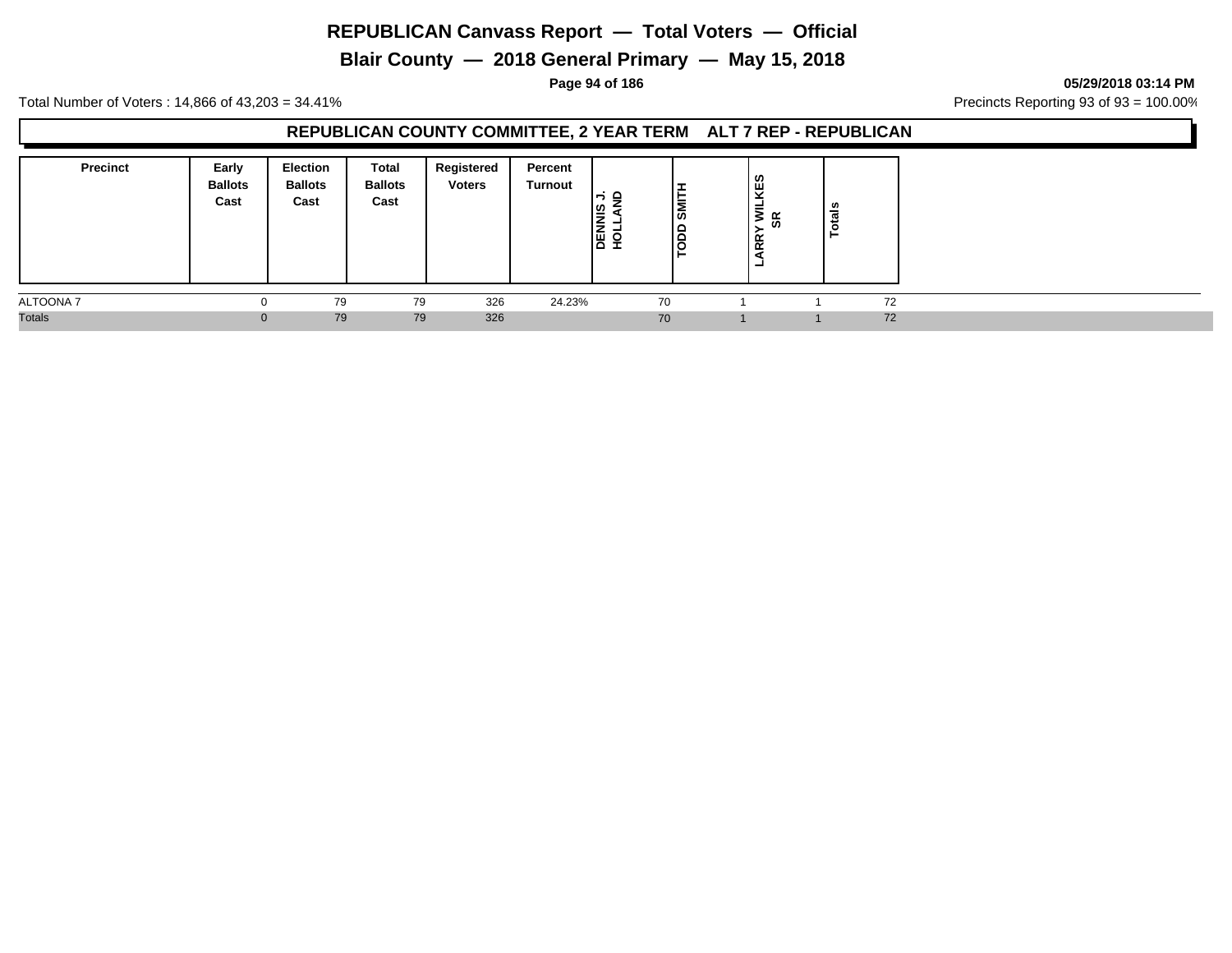**Blair County — 2018 General Primary — May 15, 2018**

**Page 94 of 186 05/29/2018 03:14 PM**

Total Number of Voters : 14,866 of 43,203 = 34.41% **Precincts Reporting 93 of 93** = 100.00%

## **REPUBLICAN COUNTY COMMITTEE, 2 YEAR TERM ALT 7 REP - REPUBLICAN**

| <b>Precinct</b>  | Early<br><b>Ballots</b><br>Cast | <b>Election</b><br><b>Ballots</b><br>Cast | <b>Total</b><br><b>Ballots</b><br>Cast | Registered<br><b>Voters</b> | Percent<br>Turnout | —<br>—<br>≏<br><b>DENNIS</b><br>HOLLAN | ∣ॾ<br>≏<br>≏<br>u | <b>WILKES</b><br>SR<br>ഗ<br>≻<br>ARR <sup>'</sup><br>- | ≝ |    |
|------------------|---------------------------------|-------------------------------------------|----------------------------------------|-----------------------------|--------------------|----------------------------------------|-------------------|--------------------------------------------------------|---|----|
| <b>ALTOONA 7</b> |                                 | 79                                        | 79                                     | 326                         | 24.23%             |                                        | 70                |                                                        |   | 72 |
| <b>Totals</b>    |                                 | 79                                        | 79                                     | 326                         |                    |                                        | 70                |                                                        |   | 72 |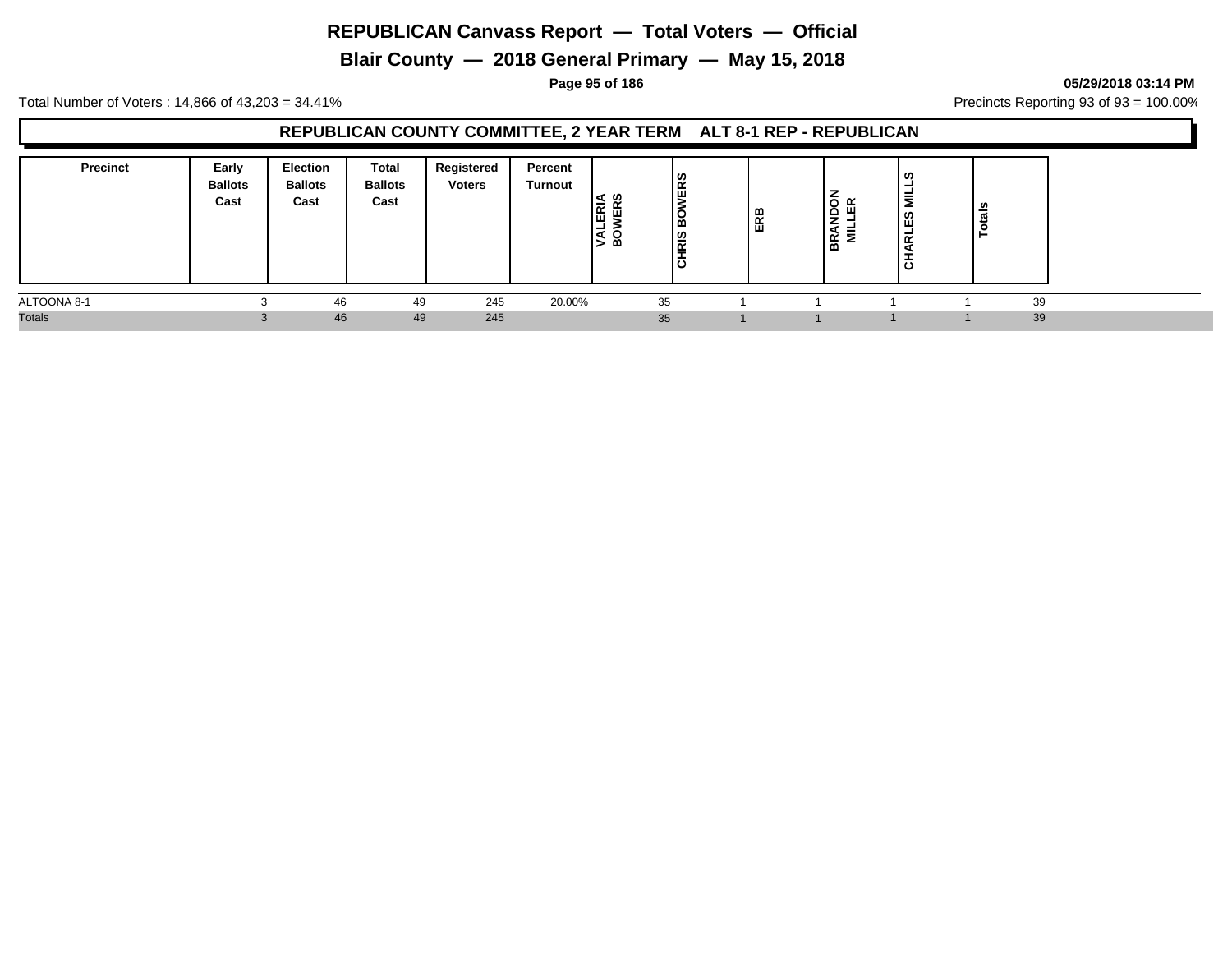**Blair County — 2018 General Primary — May 15, 2018**

**Page 95 of 186 05/29/2018 03:14 PM**

Total Number of Voters : 14,866 of 43,203 = 34.41% **Precincts Reporting 93 of 93** = 100.00%

## **REPUBLICAN COUNTY COMMITTEE, 2 YEAR TERM ALT 8-1 REP - REPUBLICAN**

| <b>Precinct</b> | Early<br><b>Ballots</b><br>Cast | <b>Election</b><br><b>Ballots</b><br>Cast | Total<br><b>Ballots</b><br>Cast | Registered<br><b>Voters</b> | Percent<br>Turnout | - ഗ<br>뎖<br>画<br>≃ | <b>ERS</b><br>◡<br>ه ا<br> ഇ<br>í∝<br>-<br>ں ا | ERB | œ<br>≏<br>-<br>중<br>-- | ທ<br>릏<br>ΕS<br>-<br>$\propto$<br>ರ | tais<br>$\circ$ |  |
|-----------------|---------------------------------|-------------------------------------------|---------------------------------|-----------------------------|--------------------|--------------------|------------------------------------------------|-----|------------------------|-------------------------------------|-----------------|--|
| ALTOONA 8-1     |                                 | 46                                        | 49                              | 245                         | 20.00%             |                    | 35                                             |     |                        |                                     | 39              |  |
| <b>Totals</b>   |                                 | 46                                        | 49                              | 245                         |                    |                    | 35                                             |     |                        |                                     | 39              |  |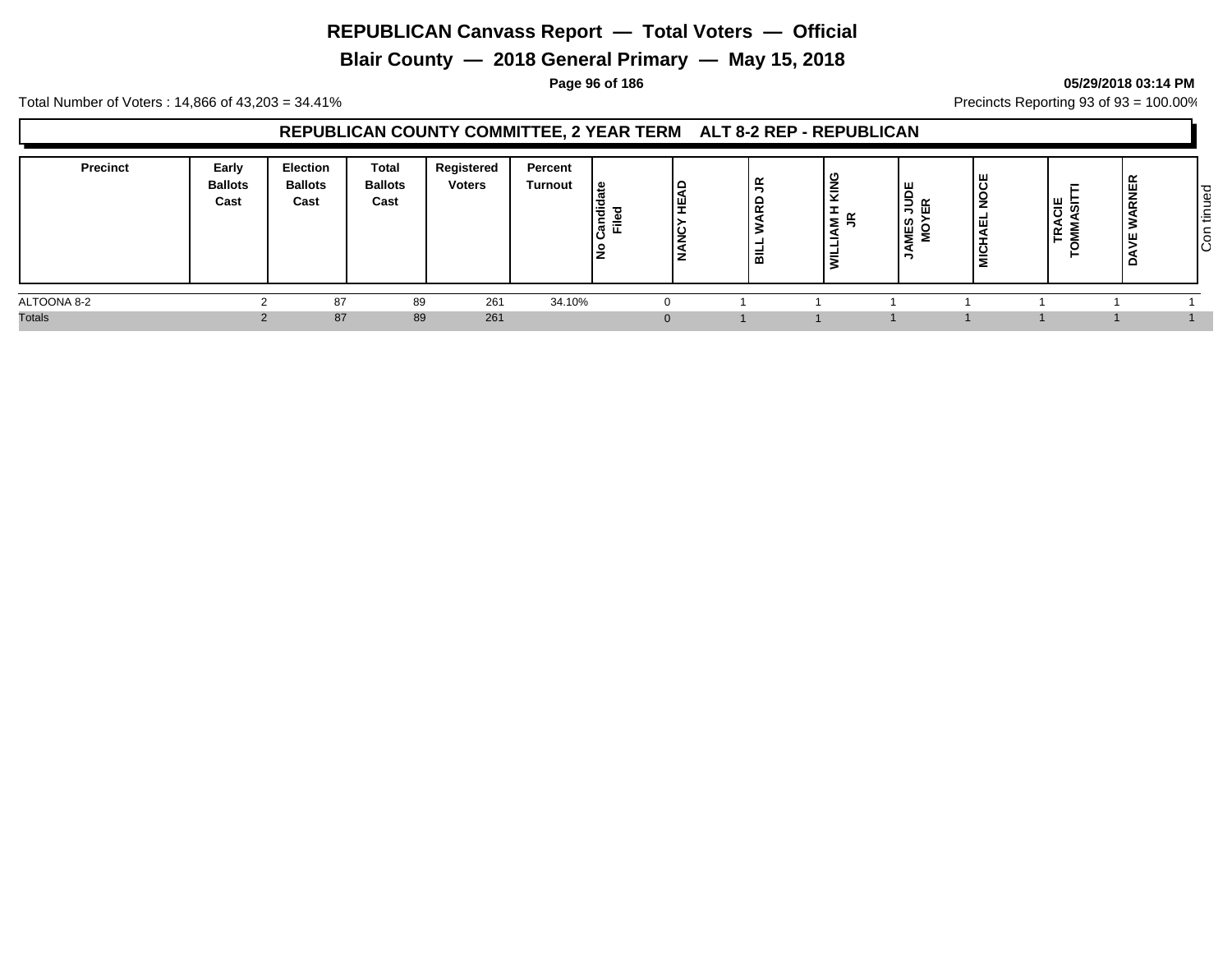**Blair County — 2018 General Primary — May 15, 2018**

#### **Page 96 of 186 05/29/2018 03:14 PM**

Total Number of Voters : 14,866 of 43,203 = 34.41% **Precincts Reporting 93 of 93** = 100.00%

## **REPUBLICAN COUNTY COMMITTEE, 2 YEAR TERM ALT 8-2 REP - REPUBLICAN**

| <b>Precinct</b> | Early<br><b>Ballots</b><br>Cast | <b>Election</b><br><b>Ballots</b><br>Cast | <b>Total</b><br><b>Ballots</b><br>Cast | Registered<br><b>Voters</b> | Percent<br>Turnout | ு<br>Candi<br>≔<br>١ş | ∣≏<br>!≝.<br>ا ب<br>ız | ≃<br>-<br>$\alpha$<br>-<br>-<br>⋒ | --<br>ל ≥ | IΨ<br>ទី $\frac{6}{15}$<br><b>MES</b><br>> | ≍ | ခြို့ ခြိ<br>ব<br>$\tilde{\phantom{a}}$<br><u>.</u><br>— | RNE | $\overline{\mathbf{C}}$<br>Φ<br>-<br>◡<br>$\sim$<br>造<br>-<br>∽<br>Ιē |
|-----------------|---------------------------------|-------------------------------------------|----------------------------------------|-----------------------------|--------------------|-----------------------|------------------------|-----------------------------------|-----------|--------------------------------------------|---|----------------------------------------------------------|-----|-----------------------------------------------------------------------|
| ALTOONA 8-2     |                                 | 87                                        | 89                                     | 261                         | 34.10%             |                       |                        |                                   |           |                                            |   |                                                          |     |                                                                       |
| <b>Totals</b>   |                                 | 87                                        | 89                                     | 261                         |                    |                       | $\Omega$               |                                   |           |                                            |   |                                                          |     |                                                                       |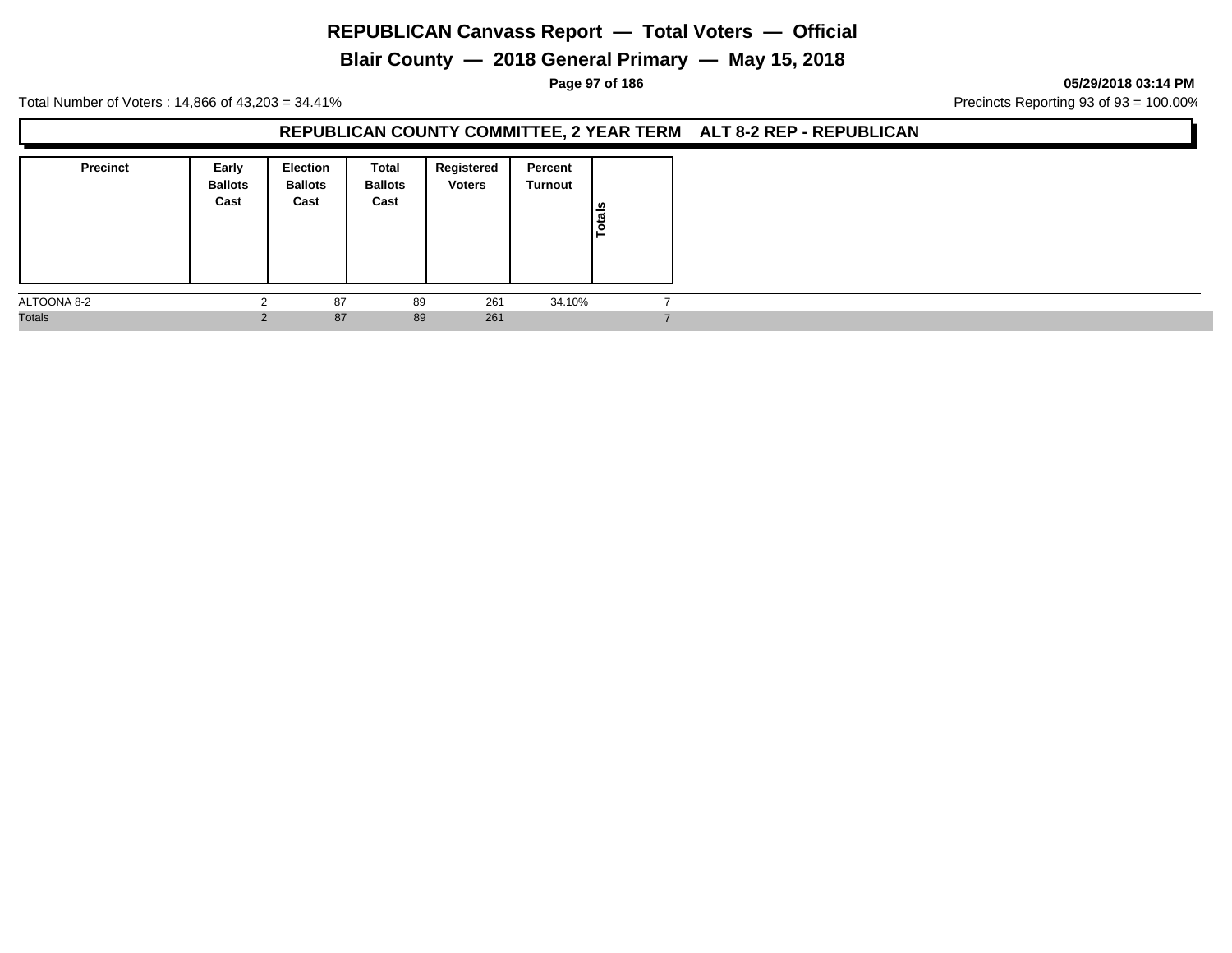# **Blair County — 2018 General Primary — May 15, 2018**

#### **Page 97 of 186 05/29/2018 03:14 PM**

Total Number of Voters : 14,866 of 43,203 = 34.41% **Precincts Reporting 93 of 93** = 100.00%

#### **REPUBLICAN COUNTY COMMITTEE, 2 YEAR TERM ALT 8-2 REP - REPUBLICAN**

| <b>Precinct</b> | Early<br><b>Ballots</b><br>Cast | <b>Election</b><br><b>Ballots</b><br>Cast | Total<br><b>Ballots</b><br>Cast | Registered<br><b>Voters</b> | Percent<br>Turnout | Totals |  |
|-----------------|---------------------------------|-------------------------------------------|---------------------------------|-----------------------------|--------------------|--------|--|
| ALTOONA 8-2     |                                 | 87                                        | 89                              | 261                         | 34.10%             |        |  |
| <b>Totals</b>   | $\Omega$                        | 87                                        | 89                              | 261                         |                    |        |  |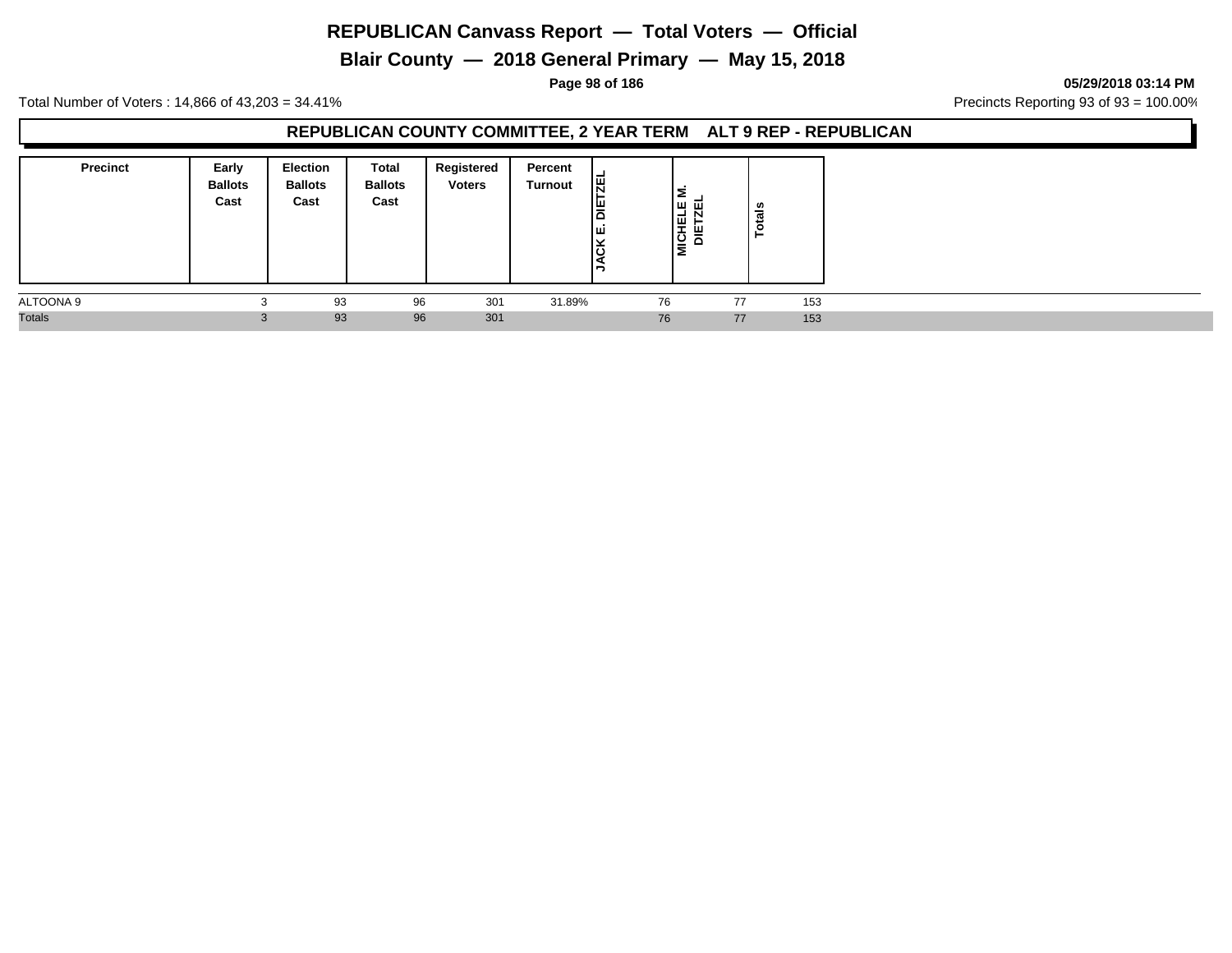# **Blair County — 2018 General Primary — May 15, 2018**

**Page 98 of 186 05/29/2018 03:14 PM**

Total Number of Voters : 14,866 of 43,203 = 34.41% **Precincts Reporting 93 of 93** = 100.00%

## **REPUBLICAN COUNTY COMMITTEE, 2 YEAR TERM ALT 9 REP - REPUBLICAN**

| <b>Precinct</b> | Early<br><b>Ballots</b><br>Cast | <b>Election</b><br><b>Ballots</b><br>Cast | Total<br><b>Ballots</b><br>Cast | Registered<br><b>Voters</b> | Percent<br>Turnout | <b>TZEL</b><br>۱۳<br>Iш<br><b>JACK</b> | Σ<br> ש ⊡<br><b>ICHEL</b><br>DIETZ<br>Ξ | ន់<br>ت<br>ō, |     |  |
|-----------------|---------------------------------|-------------------------------------------|---------------------------------|-----------------------------|--------------------|----------------------------------------|-----------------------------------------|---------------|-----|--|
| ALTOONA 9       |                                 | 93                                        | 96                              | 301                         | 31.89%             | 76                                     |                                         | 77            | 153 |  |
| <b>Totals</b>   |                                 | 93                                        | 96                              | 301                         |                    | 76                                     |                                         | 77            | 153 |  |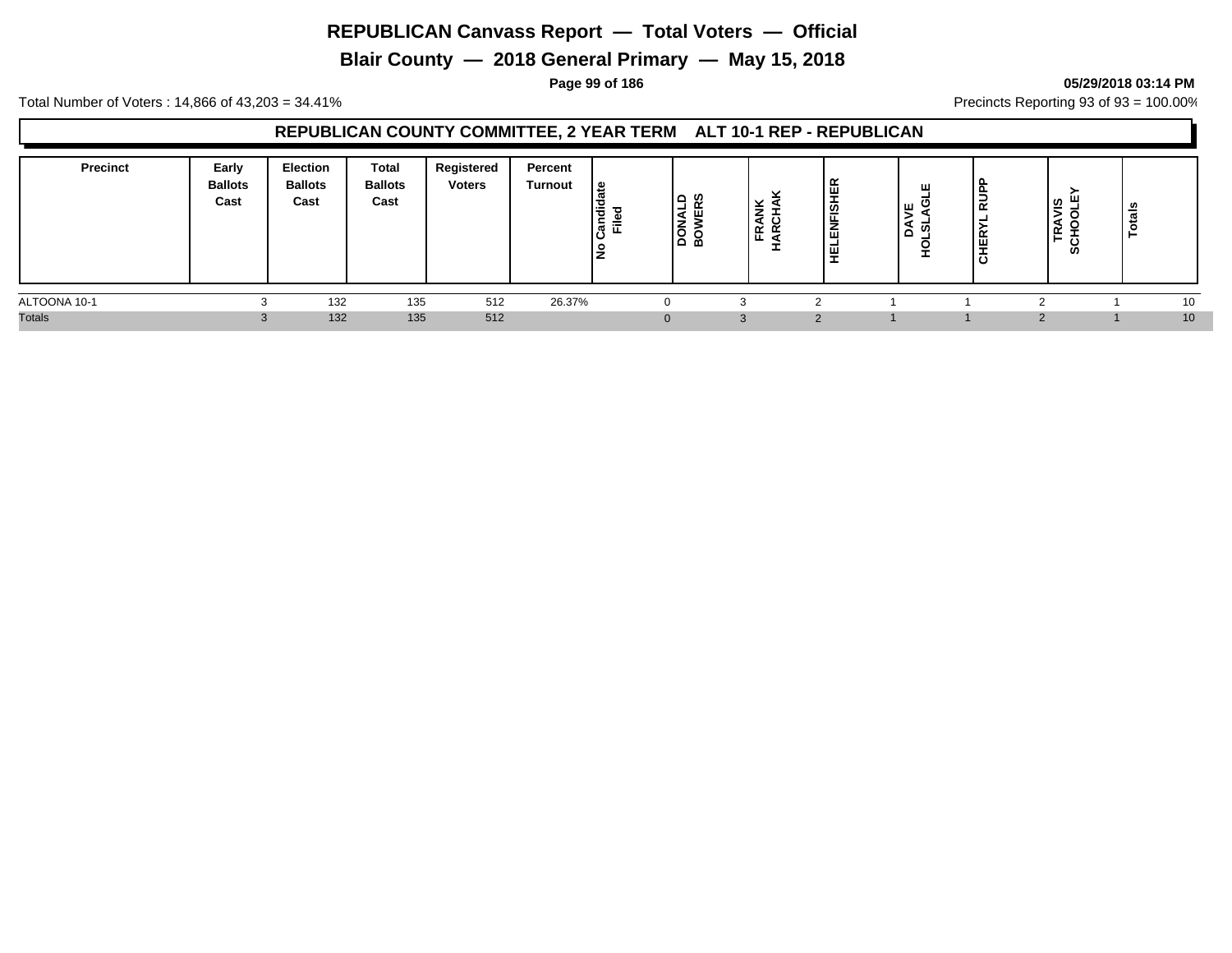**Blair County — 2018 General Primary — May 15, 2018**

#### **Page 99 of 186 05/29/2018 03:14 PM**

Total Number of Voters : 14,866 of 43,203 = 34.41% **Precincts Reporting 93 of 93** = 100.00%

## **REPUBLICAN COUNTY COMMITTEE, 2 YEAR TERM ALT 10-1 REP - REPUBLICAN**

| <b>Precinct</b> | Early<br><b>Ballots</b><br>Cast | <b>Election</b><br><b>Ballots</b><br>Cast | <b>Total</b><br><b>Ballots</b><br>Cast | Registered<br><b>Voters</b> | Percent<br><b>Turnout</b> | ي  <br>$\equiv$<br>$\overline{\sigma}$<br>-<br> 열 뜨<br>o | ن ۱<br>- -<br>ခြင်း | -<br>$\propto \propto$ | 画<br>-<br>흐<br>-<br>-<br>ш<br>-<br>画<br>- | ш<br>ΤШ.<br>--<br>-<br><b>_</b> | ∣⊋<br> 팂<br>ا ة | <b>S</b><br>∸<br>œ<br>$\sim$ $\sim$<br>ທ | ≝<br>ت<br>ಿ<br>⊢ |  |
|-----------------|---------------------------------|-------------------------------------------|----------------------------------------|-----------------------------|---------------------------|----------------------------------------------------------|---------------------|------------------------|-------------------------------------------|---------------------------------|-----------------|------------------------------------------|------------------|--|
| ALTOONA 10-1    |                                 | 132                                       | 135                                    | 512                         | 26.37%                    |                                                          |                     |                        |                                           |                                 |                 |                                          | 10               |  |
| <b>Totals</b>   |                                 | 132                                       | 135                                    | 512                         |                           |                                                          |                     |                        | $\sim$                                    |                                 |                 |                                          | 10               |  |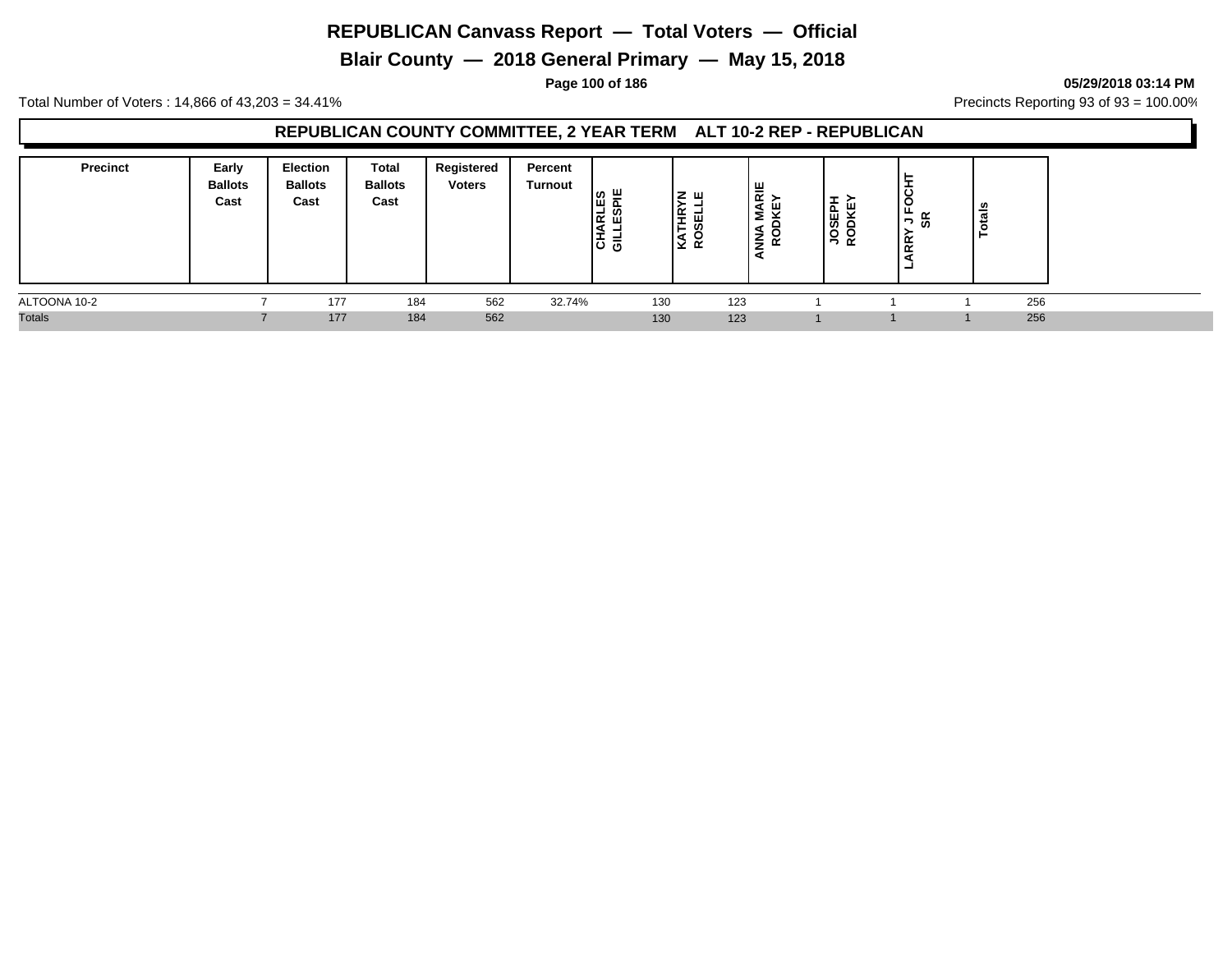**Blair County — 2018 General Primary — May 15, 2018**

**Page 100 of 186 05/29/2018 03:14 PM**

Total Number of Voters : 14,866 of 43,203 = 34.41% Precincts Reporting 93 of 93 = 100.00%

## **REPUBLICAN COUNTY COMMITTEE, 2 YEAR TERM ALT 10-2 REP - REPUBLICAN**

| <b>Precinct</b> | Early<br><b>Ballots</b><br>Cast | <b>Election</b><br><b>Ballots</b><br>Cast | Total<br><b>Ballots</b><br>Cast | Registered<br><b>Voters</b> | Percent<br>Turnout | ш<br>o<br> ដី តួ<br>≂<br>⋍<br> ㅎ ᄛ | <b>Z</b> W<br>THR <sup>'</sup><br>-<br>ᄴ | $\frac{12}{5}$<br>ய<br>z | ∸<br>ш<br>ທ<br>٠<br>유 운 | ġ<br>$\tilde{\phantom{a}}$<br>5ة ר<br><b>RR</b><br>- | tais |  |
|-----------------|---------------------------------|-------------------------------------------|---------------------------------|-----------------------------|--------------------|------------------------------------|------------------------------------------|--------------------------|-------------------------|------------------------------------------------------|------|--|
| ALTOONA 10-2    |                                 | 177                                       | 184                             | 562                         | 32.74%             | 130                                | 123                                      |                          |                         |                                                      | 256  |  |
| <b>Totals</b>   |                                 | 177                                       | 184                             | 562                         |                    | 130                                | 123                                      |                          |                         |                                                      | 256  |  |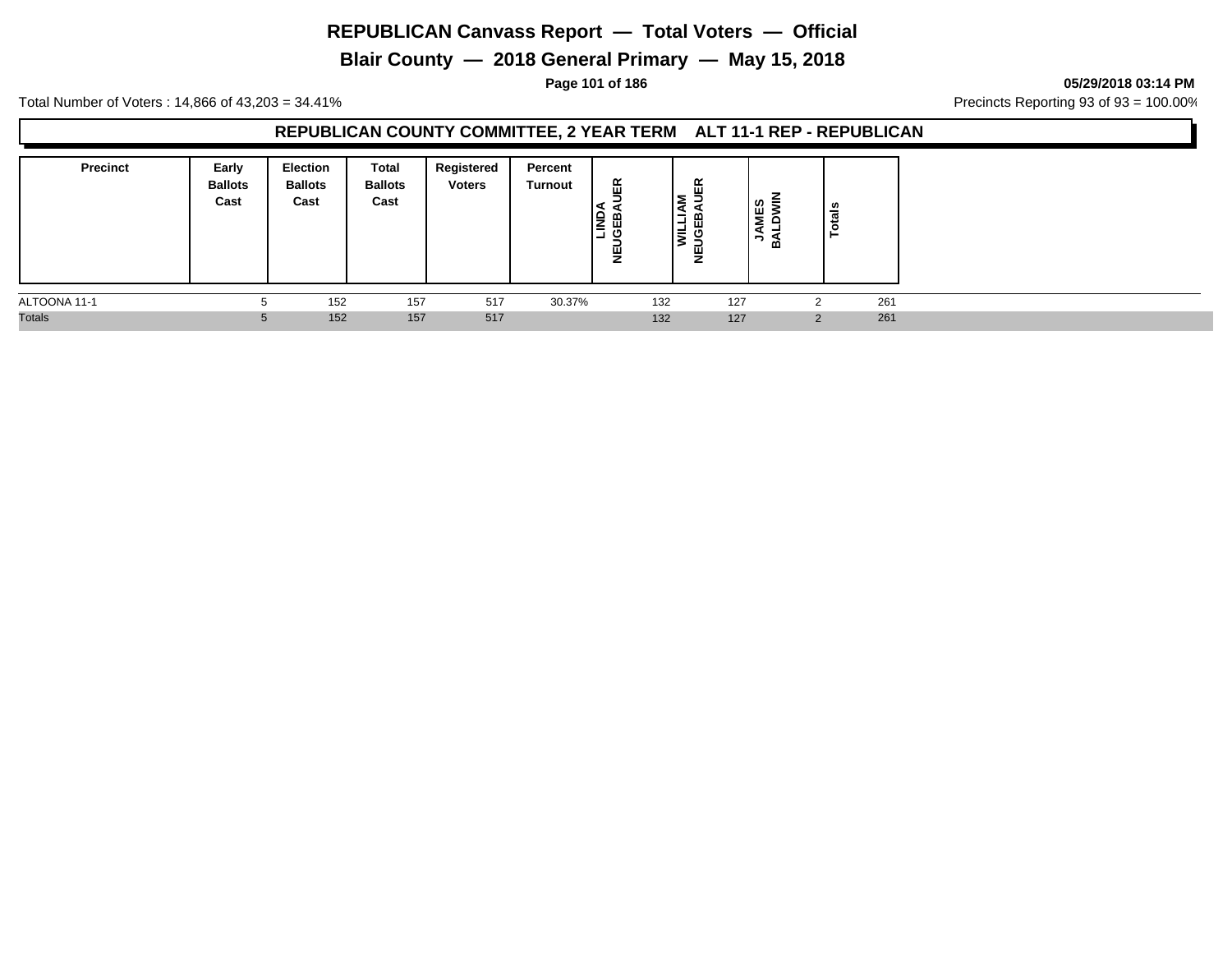**Blair County — 2018 General Primary — May 15, 2018**

**Page 101 of 186 05/29/2018 03:14 PM**

Total Number of Voters : 14,866 of 43,203 = 34.41% Precincts Reporting 93 of 93 = 100.00%

## **REPUBLICAN COUNTY COMMITTEE, 2 YEAR TERM ALT 11-1 REP - REPUBLICAN**

| <b>Precinct</b> | Early<br><b>Ballots</b><br>Cast | Election<br><b>Ballots</b><br>Cast | Total<br><b>Ballots</b><br>Cast | Registered<br><b>Voters</b> | Percent<br>Turnout | 띥<br><b>SEB</b><br>ш<br>~ | 띥<br>-<br>⋍<br>-<br>–.<br>꽁<br>Ξ.<br>Ξ<br>y | ທ<br>Ë<br>$\overline{z}$<br>る | ≗<br>m         |     |
|-----------------|---------------------------------|------------------------------------|---------------------------------|-----------------------------|--------------------|---------------------------|---------------------------------------------|-------------------------------|----------------|-----|
| ALTOONA 11-1    | :5                              | 152                                | 157                             | 517                         | 30.37%             | 132                       | 127                                         |                               |                | 261 |
| <b>Totals</b>   | 5                               | 152                                | 157                             | 517                         |                    | 132                       | 127                                         |                               | $\overline{2}$ | 261 |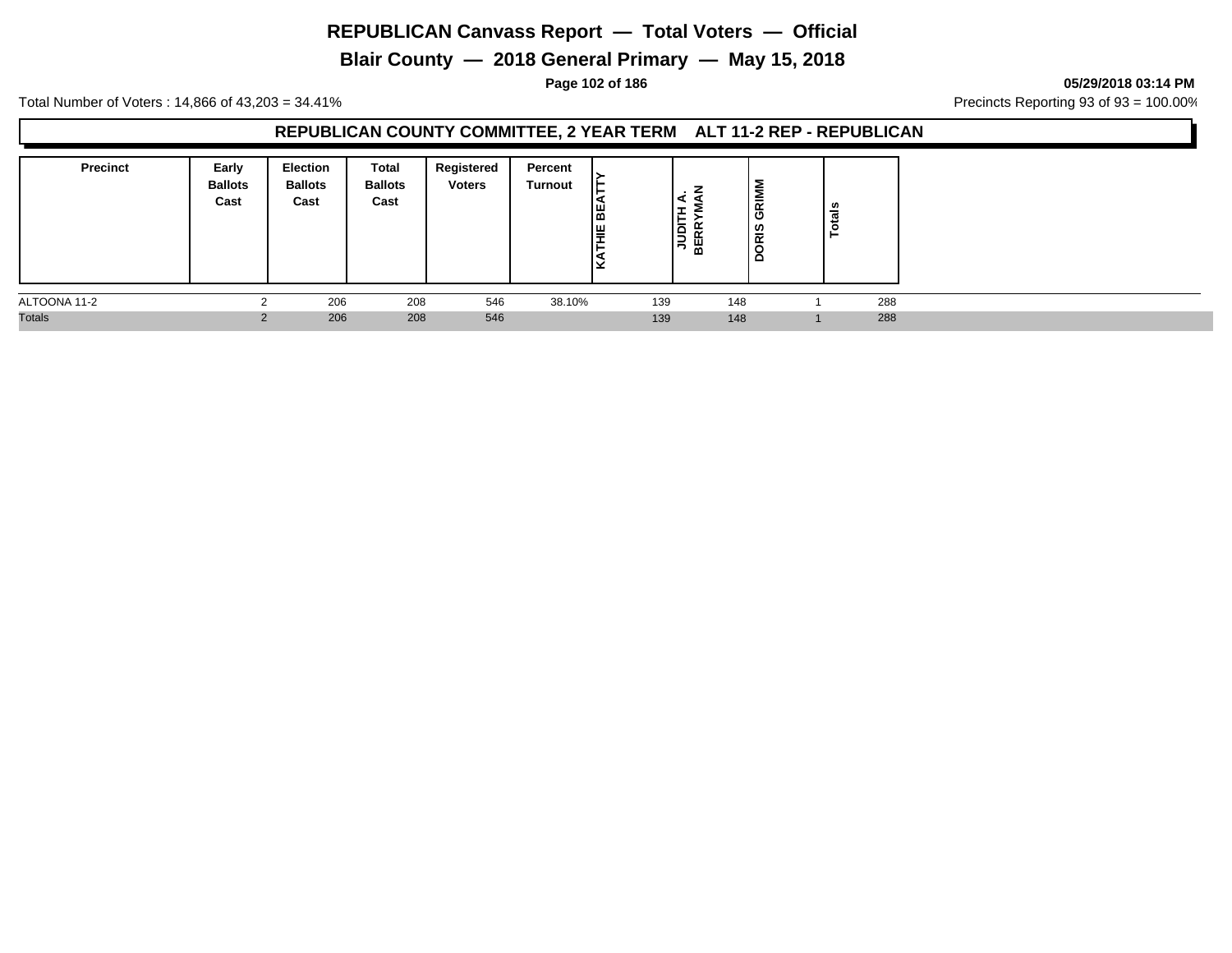**Blair County — 2018 General Primary — May 15, 2018**

**Page 102 of 186 05/29/2018 03:14 PM**

Total Number of Voters : 14,866 of 43,203 = 34.41% Precincts Reporting 93 of 93 = 100.00%

## **REPUBLICAN COUNTY COMMITTEE, 2 YEAR TERM ALT 11-2 REP - REPUBLICAN**

| <b>Precinct</b> | Early<br><b>Ballots</b><br>Cast | <b>Election</b><br><b>Ballots</b><br>Cast | Total<br><b>Ballots</b><br>Cast | Registered<br><b>Voters</b> | Percent<br>Turnout | l≋<br>岸 | 匡<br>jau<br>BE<br>B | GRIMI<br>DRIS | . ഗ<br>ਨੌ |  |
|-----------------|---------------------------------|-------------------------------------------|---------------------------------|-----------------------------|--------------------|---------|---------------------|---------------|-----------|--|
| ALTOONA 11-2    |                                 | 206                                       | 208                             | 546                         | 38.10%             | 139     | 148                 |               | 288       |  |
| <b>Totals</b>   |                                 | 206                                       | 208                             | 546                         |                    | 139     | 148                 |               | 288       |  |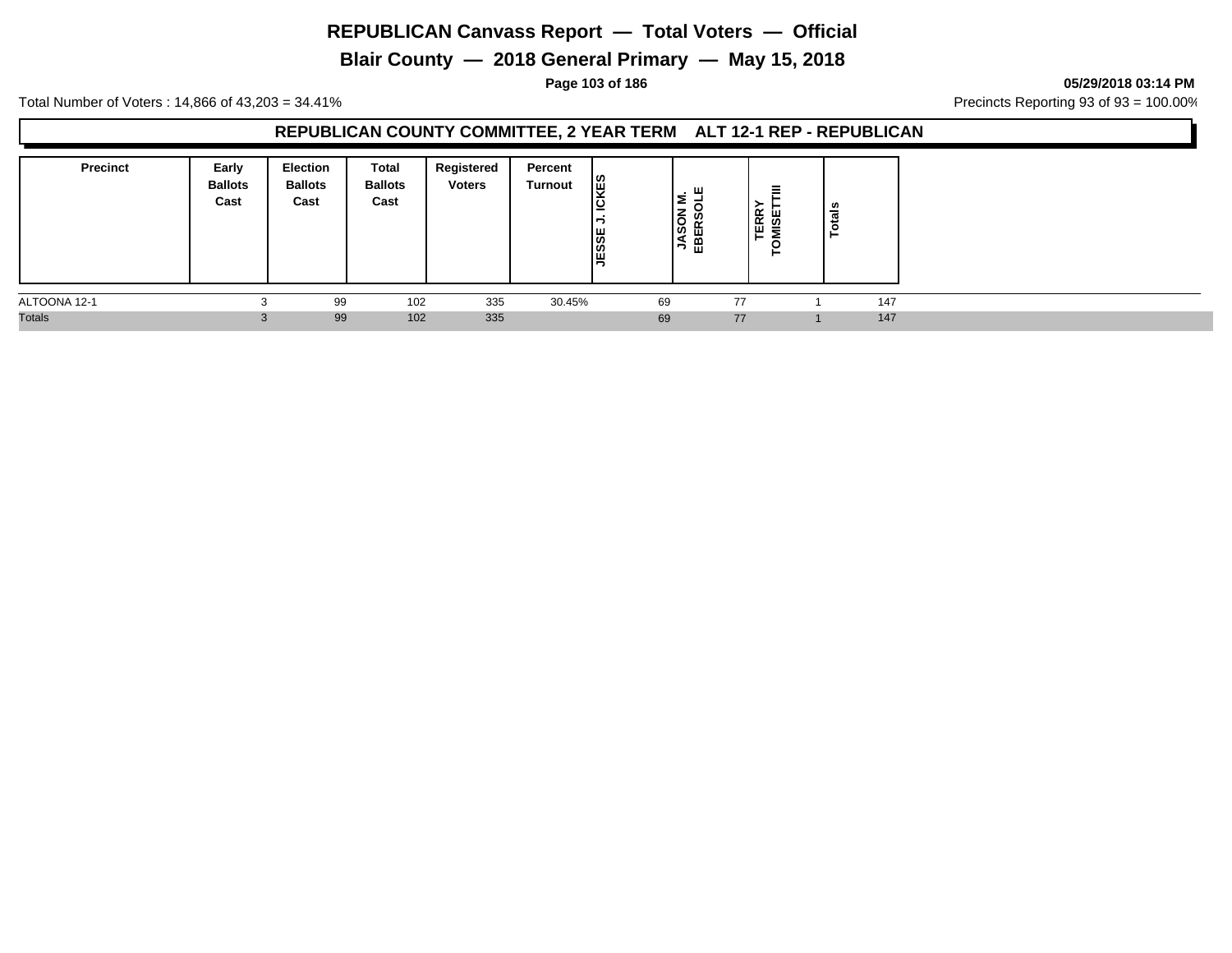**Blair County — 2018 General Primary — May 15, 2018**

**Page 103 of 186 05/29/2018 03:14 PM**

Total Number of Voters : 14,866 of 43,203 = 34.41% **Precincts Reporting 93 of 93** = 100.00%

## **REPUBLICAN COUNTY COMMITTEE, 2 YEAR TERM ALT 12-1 REP - REPUBLICAN**

| <b>Precinct</b> | Early<br><b>Ballots</b><br>Cast | <b>Election</b><br><b>Ballots</b><br>Cast | Total<br><b>Ballots</b><br>Cast | Registered<br><b>Voters</b> | Percent<br>Turnout | k€<br>⊇<br><b>JESSE</b> | ∣≅<br><b>JASON</b><br>EBERSC | EE<br>SET<br>щ | ័ត<br>تندر<br>⊢ |     |
|-----------------|---------------------------------|-------------------------------------------|---------------------------------|-----------------------------|--------------------|-------------------------|------------------------------|----------------|-----------------|-----|
| ALTOONA 12-1    |                                 | 99                                        | 102                             | 335                         | 30.45%             | 69                      | 77                           |                |                 | 147 |
| <b>Totals</b>   | .C                              | 99                                        | 102                             | 335                         |                    | 69                      | 77                           |                |                 | 147 |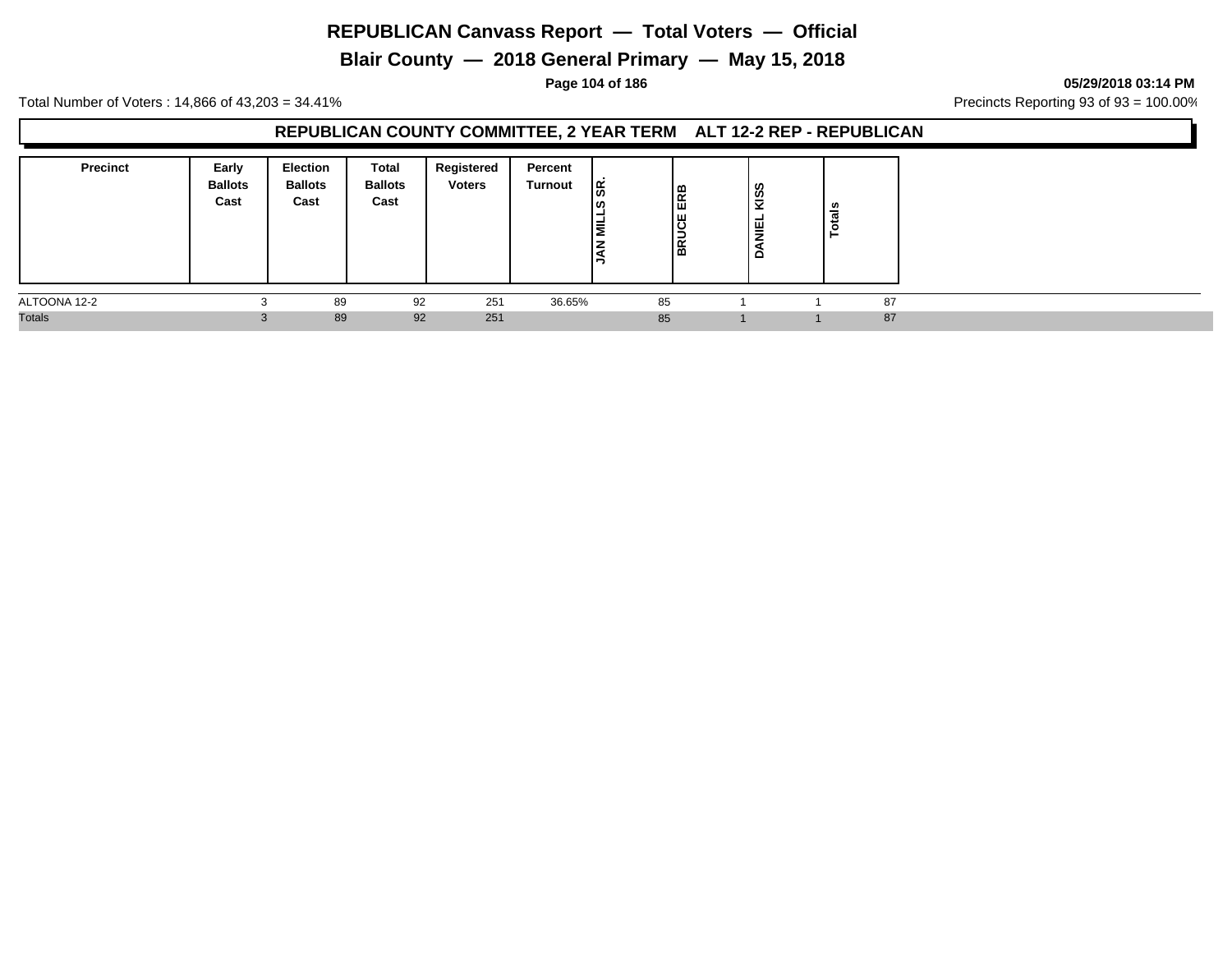**Blair County — 2018 General Primary — May 15, 2018**

**Page 104 of 186 05/29/2018 03:14 PM**

Total Number of Voters : 14,866 of 43,203 = 34.41% **Precincts Reporting 93 of 93** = 100.00%

## **REPUBLICAN COUNTY COMMITTEE, 2 YEAR TERM ALT 12-2 REP - REPUBLICAN**

| <b>Precinct</b> | Early<br><b>Ballots</b><br>Cast | <b>Election</b><br><b>Ballots</b><br>Cast | Total<br><b>Ballots</b><br>Cast | Registered<br><b>Voters</b> | Percent<br>Turnout | ခြိ<br>מט ו<br>-<br>İ≣<br><b>NAL</b> | മ<br>E<br>lg<br>S<br>≃<br>ه ا | KISS<br><b>DANIEL</b> | ្លឺ<br>ت |  |
|-----------------|---------------------------------|-------------------------------------------|---------------------------------|-----------------------------|--------------------|--------------------------------------|-------------------------------|-----------------------|----------|--|
| ALTOONA 12-2    |                                 | 89                                        | 92                              | 251                         | 36.65%             | 85                                   |                               |                       | 87       |  |
| <b>Totals</b>   | .C                              | 89                                        | 92                              | 251                         |                    | 85                                   |                               |                       | 87       |  |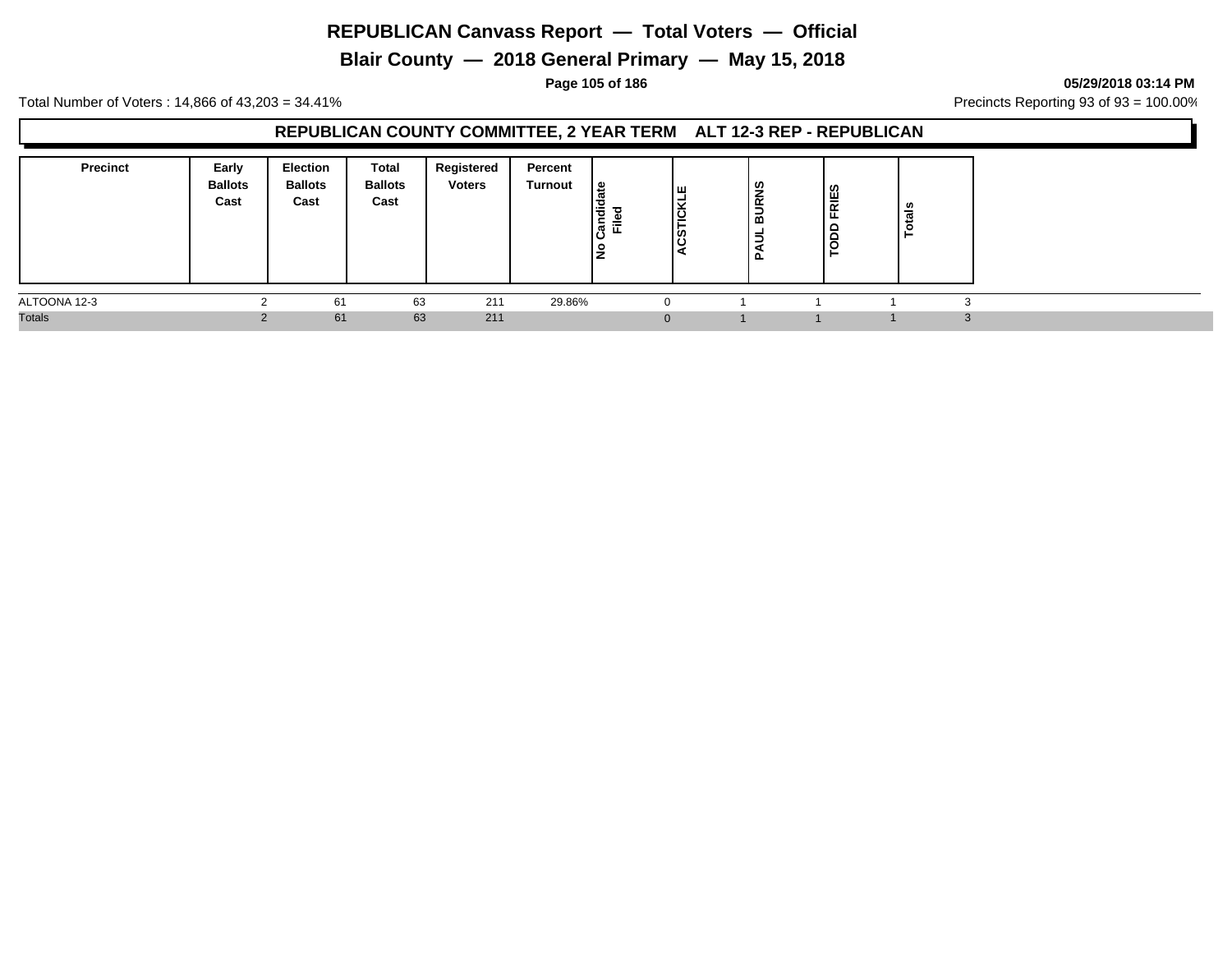**Blair County — 2018 General Primary — May 15, 2018**

**Page 105 of 186 05/29/2018 03:14 PM**

Total Number of Voters : 14,866 of 43,203 = 34.41% Precincts Reporting 93 of 93 = 100.00%

## **REPUBLICAN COUNTY COMMITTEE, 2 YEAR TERM ALT 12-3 REP - REPUBLICAN**

| <b>Precinct</b> | Early<br><b>Ballots</b><br>Cast | <b>Election</b><br><b>Ballots</b><br>Cast | Total<br><b>Ballots</b><br>Cast | Registered<br><b>Voters</b> | Percent<br>Turnout | ہ  <br>idic<br>ъ<br> ಕ<br>≔<br>ш.<br>Ρs | ш<br>၂ ဟု | <b>BURNS</b><br>Б<br>آΣ<br>ב | RIES<br>ΙL.<br>$\overline{5}$ | ឹ<br>تند<br>o |  |
|-----------------|---------------------------------|-------------------------------------------|---------------------------------|-----------------------------|--------------------|-----------------------------------------|-----------|------------------------------|-------------------------------|---------------|--|
| ALTOONA 12-3    |                                 | 61                                        | 63                              | 211                         | 29.86%             |                                         |           |                              |                               |               |  |
| <b>Totals</b>   |                                 | 61                                        | 63                              | 211                         |                    | $\Omega$                                |           |                              |                               |               |  |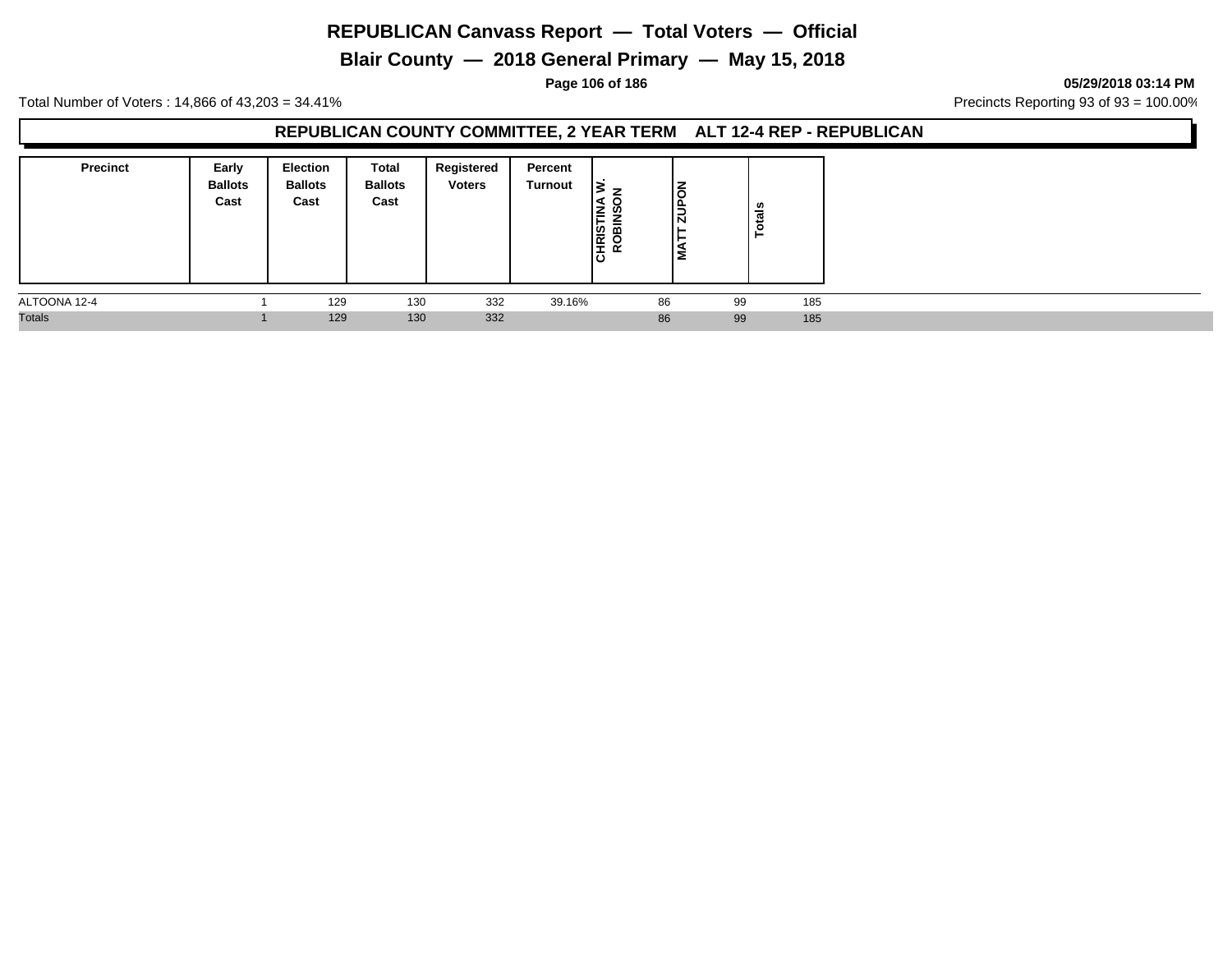**Blair County — 2018 General Primary — May 15, 2018**

**Page 106 of 186 05/29/2018 03:14 PM**

Total Number of Voters : 14,866 of 43,203 = 34.41% Precincts Reporting 93 of 93 = 100.00%

## **REPUBLICAN COUNTY COMMITTEE, 2 YEAR TERM ALT 12-4 REP - REPUBLICAN**

| <b>Precinct</b> | Early<br><b>Ballots</b><br>Cast | <b>Election</b><br><b>Ballots</b><br>Cast | Total<br><b>Ballots</b><br>Cast | Registered<br><b>Voters</b> | Percent<br><b>Turnout</b> | –<br>CHRISTIN<br>ROBINSO | Ιる<br>$\frac{1}{2}$ |    | ឹ<br>ت<br>o. |
|-----------------|---------------------------------|-------------------------------------------|---------------------------------|-----------------------------|---------------------------|--------------------------|---------------------|----|--------------|
| ALTOONA 12-4    |                                 | 129                                       | 130                             | 332                         | 39.16%                    |                          | 86                  | 99 | 185          |
| <b>Totals</b>   |                                 | 129                                       | 130                             | 332                         |                           |                          | 86                  | 99 | 185          |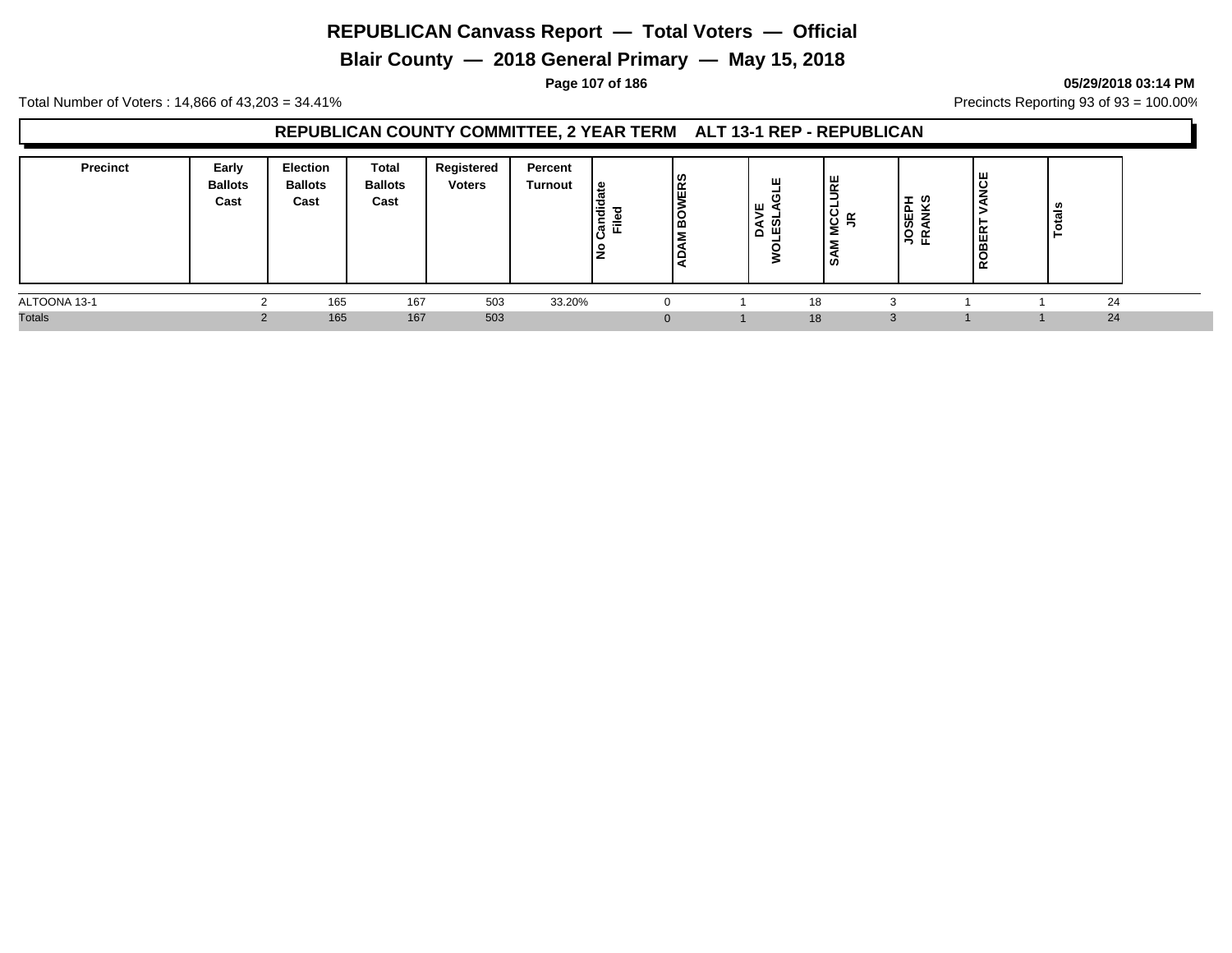**Blair County — 2018 General Primary — May 15, 2018**

**Page 107 of 186 05/29/2018 03:14 PM**

Total Number of Voters : 14,866 of 43,203 = 34.41% **Precincts Reporting 93 of 93** = 100.00%

## **REPUBLICAN COUNTY COMMITTEE, 2 YEAR TERM ALT 13-1 REP - REPUBLICAN**

| <b>Precinct</b> | Early<br><b>Ballots</b><br>Cast | Election<br><b>Ballots</b><br>Cast | Total<br><b>Ballots</b><br>Cast | Registered<br><b>Voters</b> | Percent<br><b>Turnout</b> | ூ<br>۱ą<br>≂<br>ੱਕ<br>$\rightarrow$ | <b>WERS</b><br> ဥ<br>∣⊆ | ш<br>۱ш<br><b>ഗ</b><br>Ã<br>щ | ш<br>$\overline{\mathbf{r}}$<br>∍<br>-<br>$\cdot$<br>U<br>s<br>Š<br>ഗ | -<br>m<br>岛<br><u>ှ</u><br>'응 f | ш<br>ᅩ<br>ш<br>≃ | $\overline{a}$<br>- |  |
|-----------------|---------------------------------|------------------------------------|---------------------------------|-----------------------------|---------------------------|-------------------------------------|-------------------------|-------------------------------|-----------------------------------------------------------------------|---------------------------------|------------------|---------------------|--|
| ALTOONA 13-1    |                                 | 165                                | 167                             | 503                         | 33.20%                    |                                     |                         | 18                            |                                                                       |                                 |                  | 24                  |  |
| <b>Totals</b>   |                                 | 165                                | 167                             | 503                         |                           |                                     |                         |                               | 18                                                                    |                                 |                  | 24                  |  |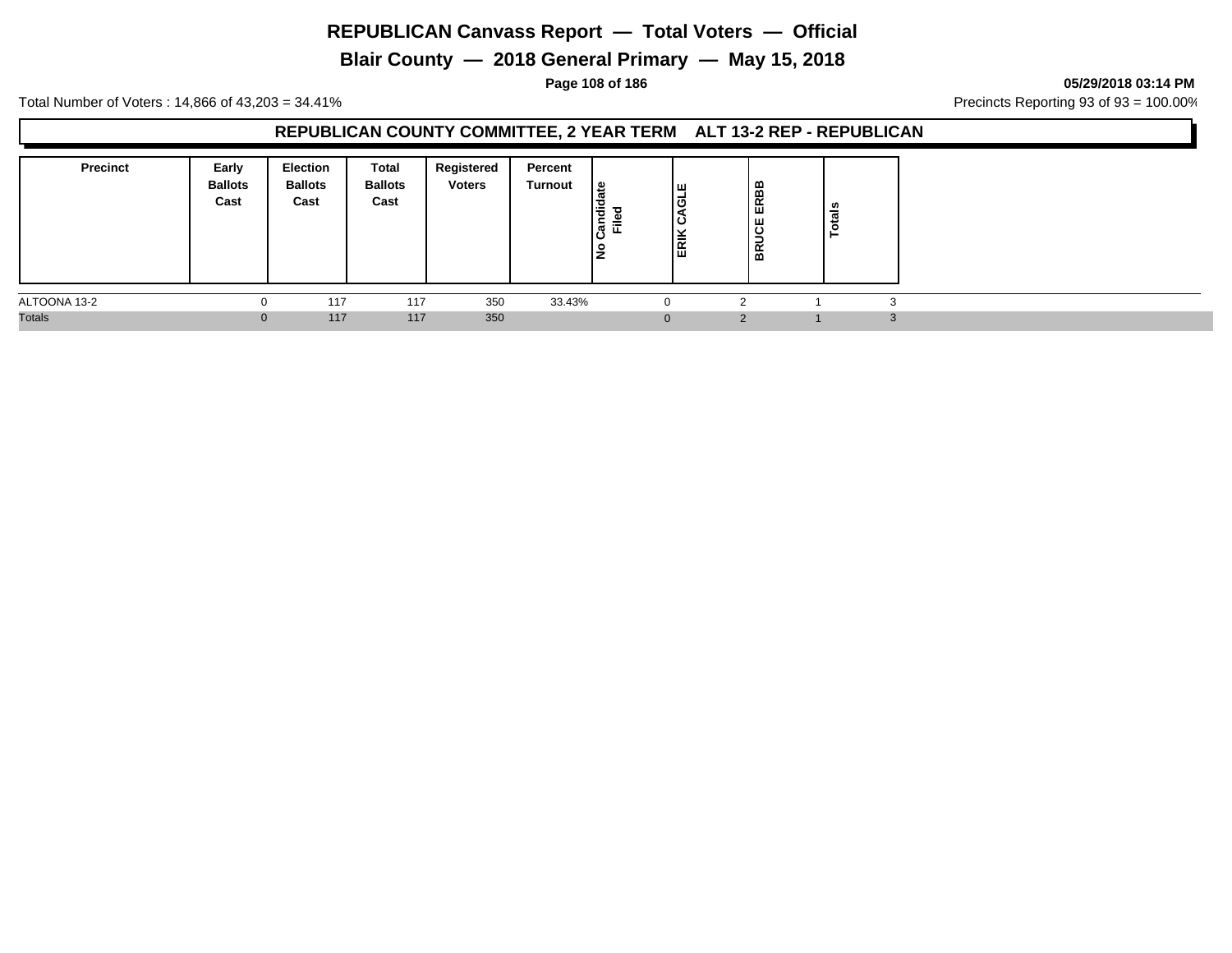**Blair County — 2018 General Primary — May 15, 2018**

**Page 108 of 186 05/29/2018 03:14 PM**

Total Number of Voters : 14,866 of 43,203 = 34.41% **Precincts Reporting 93 of 93** = 100.00%

## **REPUBLICAN COUNTY COMMITTEE, 2 YEAR TERM ALT 13-2 REP - REPUBLICAN**

| <b>Precinct</b> | Early<br><b>Ballots</b><br>Cast | <b>Election</b><br><b>Ballots</b><br>Cast | Total<br><b>Ballots</b><br>Cast | Registered<br><b>Voters</b> | Percent<br><b>Turnout</b> | ی  <br>Candi<br>≂<br>ட<br>$\circ$<br>-<br>∼ | ıш<br>۱ō<br>၊ ပ<br>◡<br>ERIK | ∣≃<br>ERBI<br><b>BRUCE</b> | tals |      |
|-----------------|---------------------------------|-------------------------------------------|---------------------------------|-----------------------------|---------------------------|---------------------------------------------|------------------------------|----------------------------|------|------|
| ALTOONA 13-2    | 0                               | 117                                       | 117                             | 350                         | 33.43%                    |                                             |                              |                            |      |      |
| <b>Totals</b>   | $\mathbf{0}$                    | 117                                       | 117                             | 350                         |                           |                                             | $\Omega$                     |                            |      | - 31 |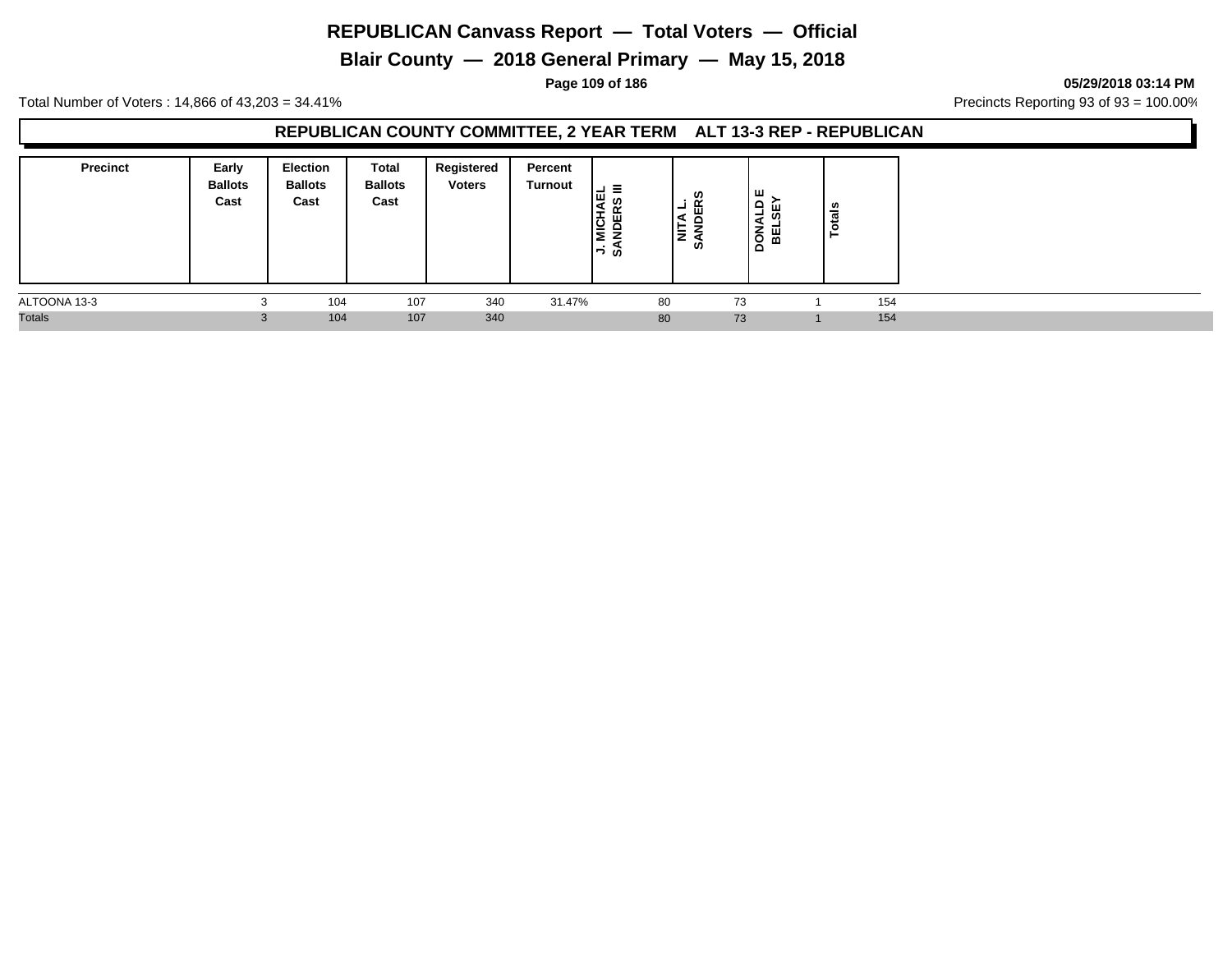**Blair County — 2018 General Primary — May 15, 2018**

**Page 109 of 186 05/29/2018 03:14 PM**

Total Number of Voters : 14,866 of 43,203 = 34.41% **Precincts Reporting 93 of 93** = 100.00%

## **REPUBLICAN COUNTY COMMITTEE, 2 YEAR TERM ALT 13-3 REP - REPUBLICAN**

| <b>Precinct</b> | Early<br><b>Ballots</b><br>Cast | <b>Election</b><br><b>Ballots</b><br>Cast | Total<br><b>Ballots</b><br>Cast | Registered<br><b>Voters</b> | Percent<br>Turnout | Ξ<br>-<br>Iш<br>Ξ<br>≂<br>زه ڌ−ا | ທ<br>岛<br>-<br>로<br>ဖ | ш<br>≏<br>ς<br>nsa<br>이 | U.<br>÷ |  |
|-----------------|---------------------------------|-------------------------------------------|---------------------------------|-----------------------------|--------------------|----------------------------------|-----------------------|-------------------------|---------|--|
| ALTOONA 13-3    | $\sim$                          | 104                                       | 107                             | 340                         | 31.47%             |                                  | 80                    | 73                      | 154     |  |
| <b>Totals</b>   | $\sim$<br>5.                    | 104                                       | 107                             | 340                         |                    |                                  | 80                    | 73                      | 154     |  |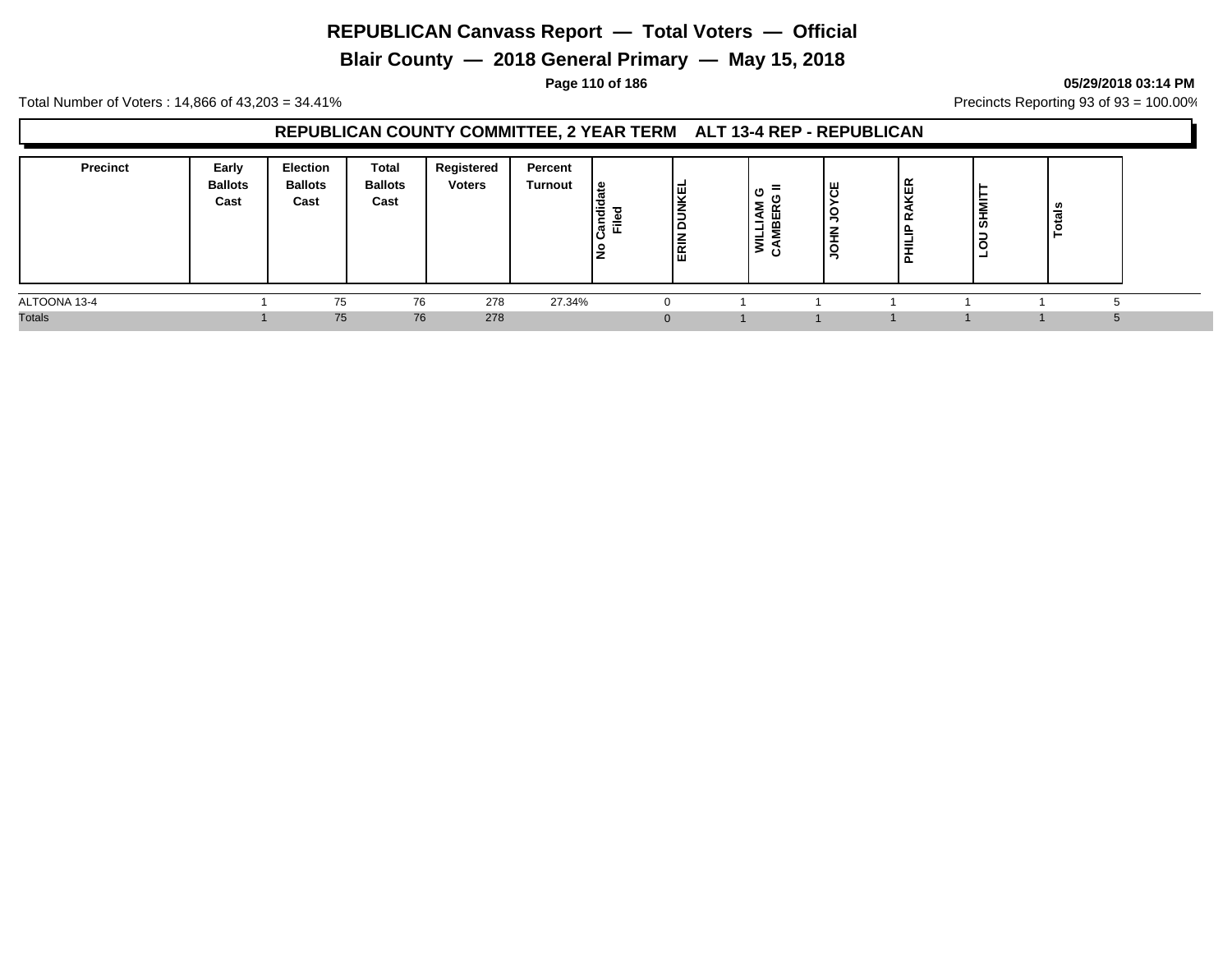**Blair County — 2018 General Primary — May 15, 2018**

**Page 110 of 186 05/29/2018 03:14 PM**

Total Number of Voters : 14,866 of 43,203 = 34.41% **Precincts Reporting 93 of 93** = 100.00%

## **REPUBLICAN COUNTY COMMITTEE, 2 YEAR TERM ALT 13-4 REP - REPUBLICAN**

| <b>Precinct</b> | Early<br><b>Ballots</b><br>Cast | Election<br><b>Ballots</b><br>Cast | Total<br><b>Ballots</b><br>Cast | Registered<br><b>Voters</b> | Percent<br><b>Turnout</b> | ၊ ဗ<br>Candie<br>Filed | <b>DUNKEL</b><br><b>ERIN</b> | $\equiv$<br>υ<br>₹<br>ш<br>을<br>⊣<br>≝<br>><br>O | ۳Ļ.<br>◡<br>-<br>≐<br>ġ | RAKER<br>PHILIP | v,<br>- | - |  |
|-----------------|---------------------------------|------------------------------------|---------------------------------|-----------------------------|---------------------------|------------------------|------------------------------|--------------------------------------------------|-------------------------|-----------------|---------|---|--|
| ALTOONA 13-4    |                                 | 75                                 | 76                              | 278                         | 27.34%                    |                        |                              |                                                  |                         |                 |         |   |  |
| <b>Totals</b>   |                                 | 75                                 | 76                              | 278                         |                           |                        |                              |                                                  |                         |                 |         |   |  |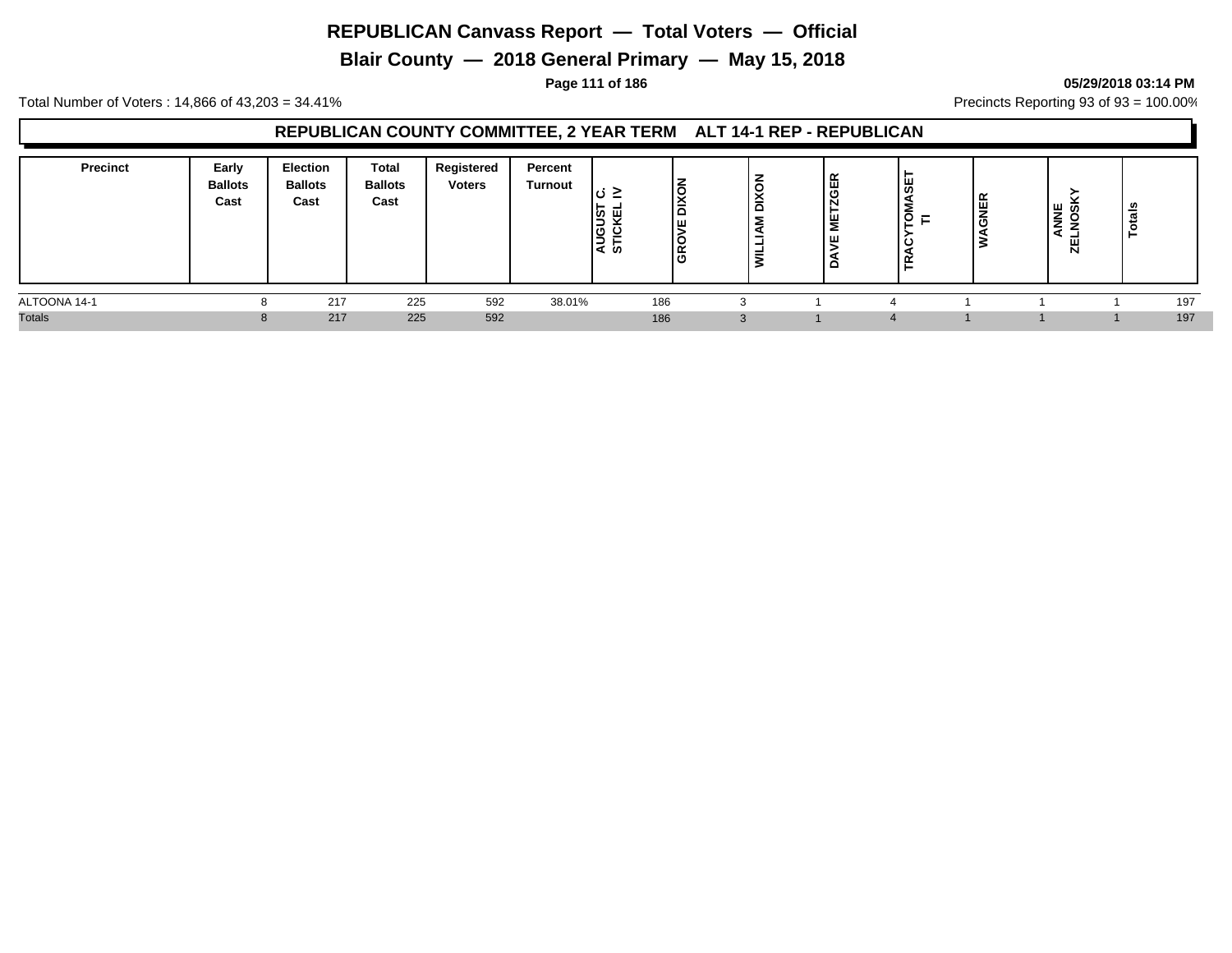**Blair County — 2018 General Primary — May 15, 2018**

**Page 111 of 186 05/29/2018 03:14 PM**

Total Number of Voters : 14,866 of 43,203 = 34.41% Precincts Reporting 93 of 93 = 100.00%

## **REPUBLICAN COUNTY COMMITTEE, 2 YEAR TERM ALT 14-1 REP - REPUBLICAN**

| <b>Precinct</b> | Early<br><b>Ballots</b><br>Cast | <b>Election</b><br><b>Ballots</b><br>Cast | <b>Total</b><br><b>Ballots</b><br>Cast | Registered<br><b>Voters</b> | Percent<br><b>Turnout</b> | $\rightarrow$<br>.ပ<br><u>—</u><br>່ທ ⊔<br><b>AUGUS</b><br>STICKI | $\frac{1}{2}$<br>Ιш<br>GRO | Σ<br>- | $\sim$<br>ட<br>画<br>N<br>۳<br>ш<br>o | .<br><b>S</b><br>E<br>ັ<br>–<br>ш. | ∣≃<br><b>BINE</b><br>- | <b>NNE</b><br>NOSI<br>cr | ≝   |
|-----------------|---------------------------------|-------------------------------------------|----------------------------------------|-----------------------------|---------------------------|-------------------------------------------------------------------|----------------------------|--------|--------------------------------------|------------------------------------|------------------------|--------------------------|-----|
| ALTOONA 14-1    |                                 | 217                                       | 225                                    | 592                         | 38.01%                    |                                                                   | 186                        |        |                                      |                                    |                        |                          | 197 |
| <b>Totals</b>   | 8                               | 217                                       | 225                                    | 592                         |                           |                                                                   | 186                        |        |                                      |                                    |                        |                          | 197 |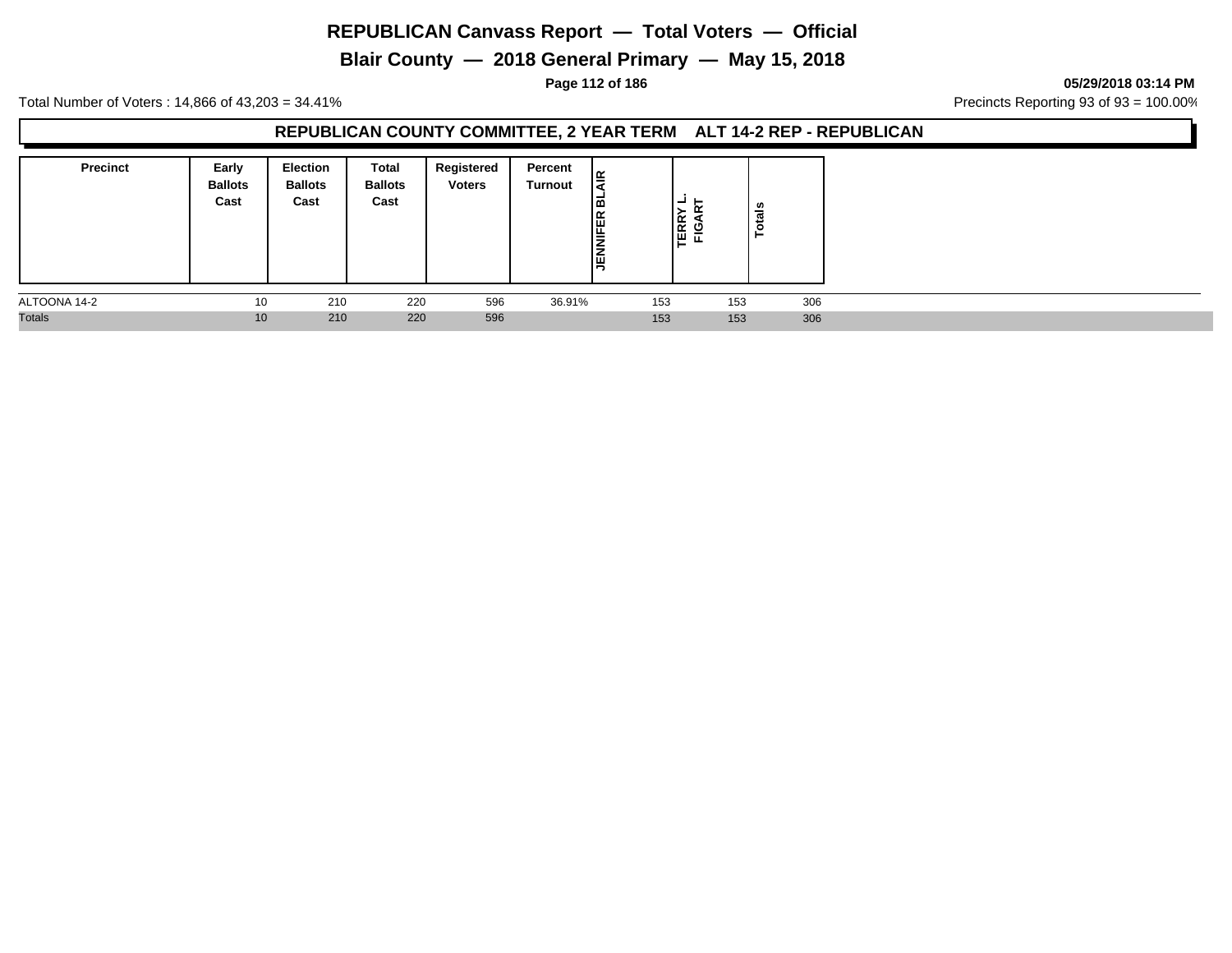**Blair County — 2018 General Primary — May 15, 2018**

**Page 112 of 186 05/29/2018 03:14 PM**

Total Number of Voters : 14,866 of 43,203 = 34.41% **Precincts Reporting 93 of 93** = 100.00%

## **REPUBLICAN COUNTY COMMITTEE, 2 YEAR TERM ALT 14-2 REP - REPUBLICAN**

| <b>Precinct</b> | Early<br><b>Ballots</b><br>Cast | <b>Election</b><br><b>Ballots</b><br>Cast | Total<br><b>Ballots</b><br>Cast | Registered<br><b>Voters</b> | Percent<br>Turnout | lg<br>౹ౚ<br><b>JENNIFER</b> | FIGA<br>FIGA | tais<br>.o |  |
|-----------------|---------------------------------|-------------------------------------------|---------------------------------|-----------------------------|--------------------|-----------------------------|--------------|------------|--|
| ALTOONA 14-2    | 10                              | 210                                       | 220                             | 596                         | 36.91%             | 153                         | 153          | 306        |  |
| <b>Totals</b>   | 10                              | 210                                       | 220                             | 596                         |                    | 153                         | 153          | 306        |  |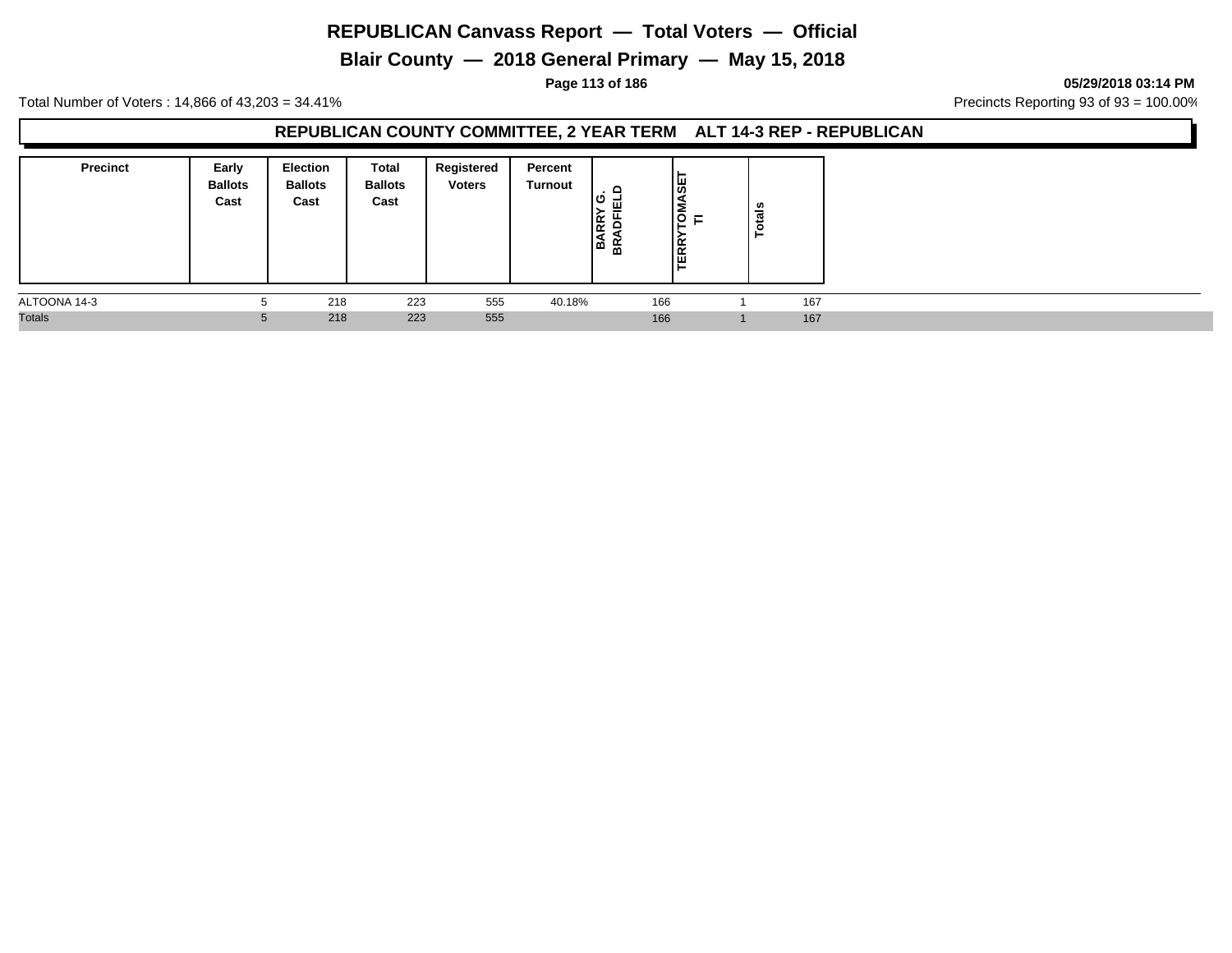**Blair County — 2018 General Primary — May 15, 2018**

**Page 113 of 186 05/29/2018 03:14 PM**

Total Number of Voters : 14,866 of 43,203 = 34.41% Precincts Reporting 93 of 93 = 100.00%

## **REPUBLICAN COUNTY COMMITTEE, 2 YEAR TERM ALT 14-3 REP - REPUBLICAN**

| <b>Precinct</b> | Early<br><b>Ballots</b><br>Cast | <b>Election</b><br><b>Ballots</b><br>Cast | Total<br><b>Ballots</b><br>Cast | Registered<br><b>Voters</b> | Percent<br><b>Turnout</b> | ≏<br>ு<br>ᇤ<br>Ig.<br>∣ਕੋ ਛੰ | ASET<br><b>ISD</b><br>-<br>╺╺<br><b>TERR</b> | tais<br>Ö |  |
|-----------------|---------------------------------|-------------------------------------------|---------------------------------|-----------------------------|---------------------------|------------------------------|----------------------------------------------|-----------|--|
| ALTOONA 14-3    |                                 | 218                                       | 223                             | 555                         | 40.18%                    |                              | 166                                          | 167       |  |
| <b>Totals</b>   | $\mathbf b$                     | 218                                       | 223                             | 555                         |                           |                              | 166                                          | 167       |  |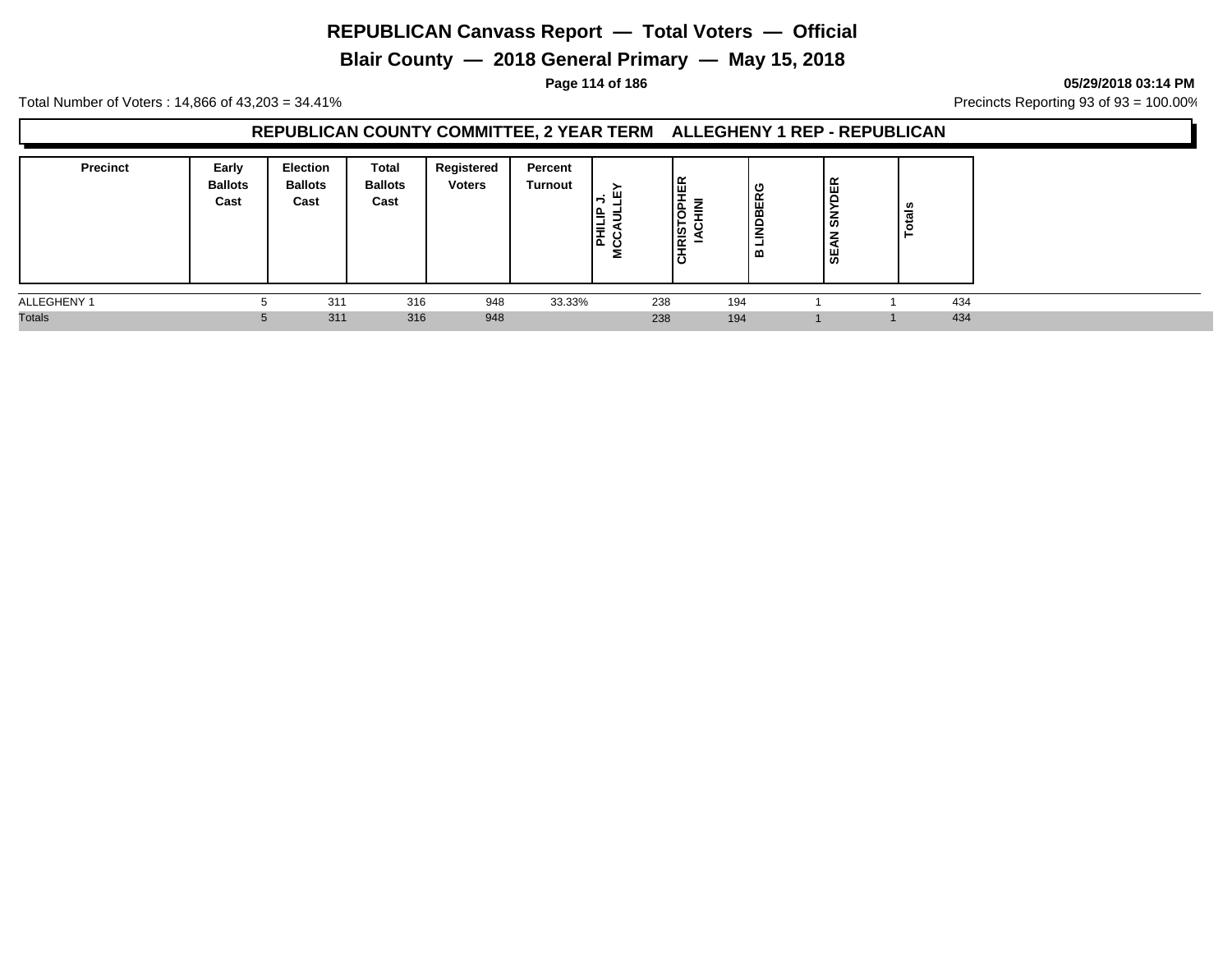**Blair County — 2018 General Primary — May 15, 2018**

**Page 114 of 186 05/29/2018 03:14 PM**

Total Number of Voters : 14,866 of 43,203 = 34.41% **Precincts Reporting 93 of 93** = 100.00%

## **REPUBLICAN COUNTY COMMITTEE, 2 YEAR TERM ALLEGHENY 1 REP - REPUBLICAN**

| <b>Precinct</b> | Early<br><b>Ballots</b><br>Cast | Election<br><b>Ballots</b><br>Cast | Total<br><b>Ballots</b><br>Cast | Registered<br><b>Voters</b> | Percent<br>Turnout | I≞<br>톲<br>ပ<br>ت | ∣⊞<br>௨<br><b>RIS</b><br>ة، | ≂<br>-<br>=<br>ັ<br>⊢ | с<br><b>INDBER</b><br>-<br>≃ | ≃<br>뷤<br>ທ<br>₩ | tais |  |
|-----------------|---------------------------------|------------------------------------|---------------------------------|-----------------------------|--------------------|-------------------|-----------------------------|-----------------------|------------------------------|------------------|------|--|
| ALLEGHENY 1     |                                 | 311                                | 316                             | 948                         | 33.33%             |                   | 238                         | 194                   |                              |                  | 434  |  |
| <b>Totals</b>   |                                 | 311                                | 316                             | 948                         |                    |                   | 238                         | 194                   |                              |                  | 434  |  |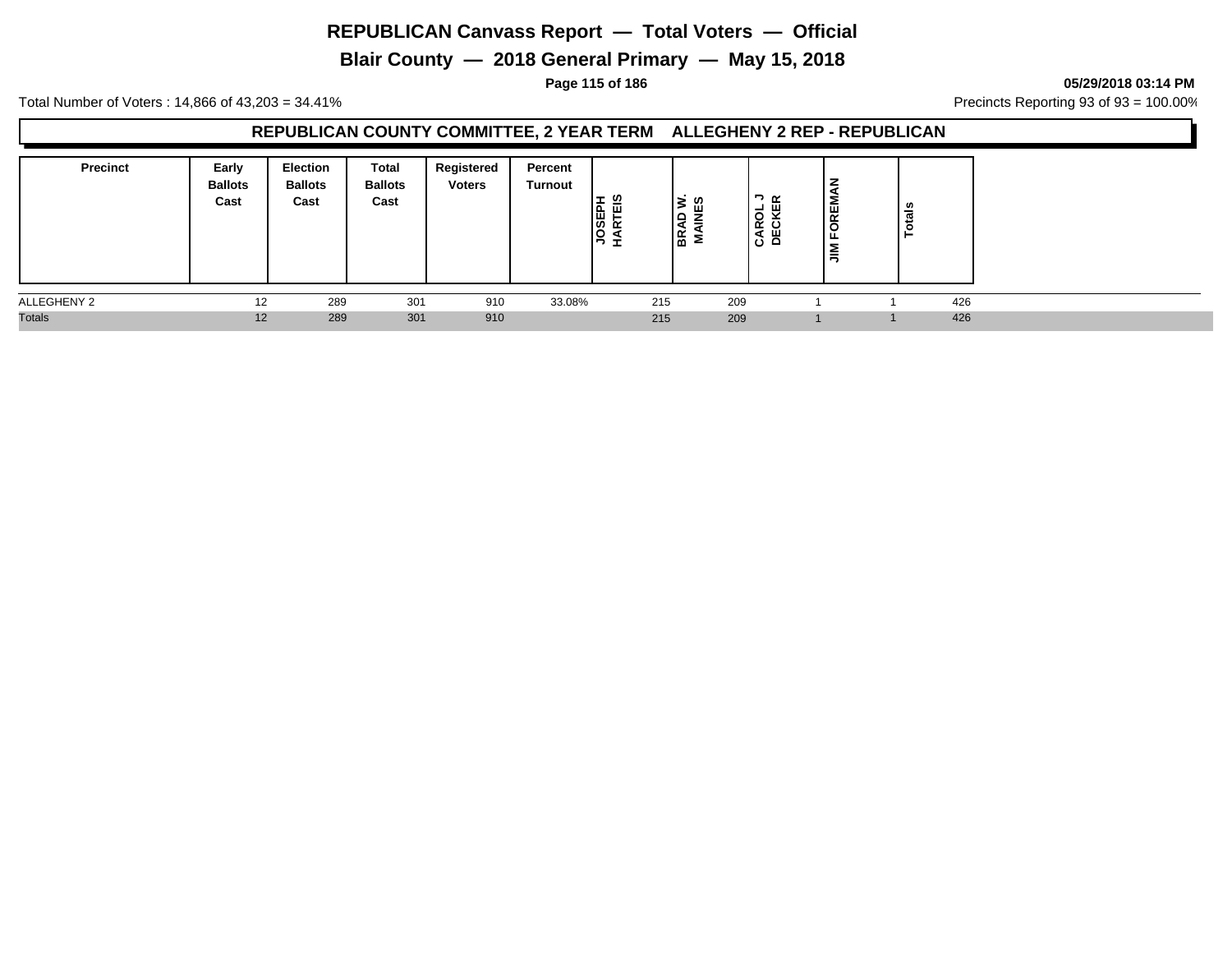**Blair County — 2018 General Primary — May 15, 2018**

**Page 115 of 186 05/29/2018 03:14 PM**

Total Number of Voters : 14,866 of 43,203 = 34.41% **Precincts Reporting 93 of 93** = 100.00%

# **REPUBLICAN COUNTY COMMITTEE, 2 YEAR TERM ALLEGHENY 2 REP - REPUBLICAN**

| <b>Precinct</b> | Early<br><b>Ballots</b><br>Cast | <b>Election</b><br><b>Ballots</b><br>Cast | <b>Total</b><br><b>Ballots</b><br>Cast | Registered<br><b>Voters</b> | Percent<br>Turnout | ທ<br><b>OSEPI</b><br>ARTEI<br>בי | 1g  |     | א ⊂<br>-<br>$\circ$<br>CAR<br>DECI | Σ<br>퓓<br>$\circ$<br>- | នឹ<br>تند<br>$\circ$ |     |  |
|-----------------|---------------------------------|-------------------------------------------|----------------------------------------|-----------------------------|--------------------|----------------------------------|-----|-----|------------------------------------|------------------------|----------------------|-----|--|
| ALLEGHENY 2     | 12                              | 289                                       | 301                                    | 910                         | 33.08%             |                                  | 215 | 209 |                                    |                        |                      | 426 |  |
| <b>Totals</b>   | 12                              | 289                                       | 301                                    | 910                         |                    |                                  | 215 | 209 |                                    |                        |                      | 426 |  |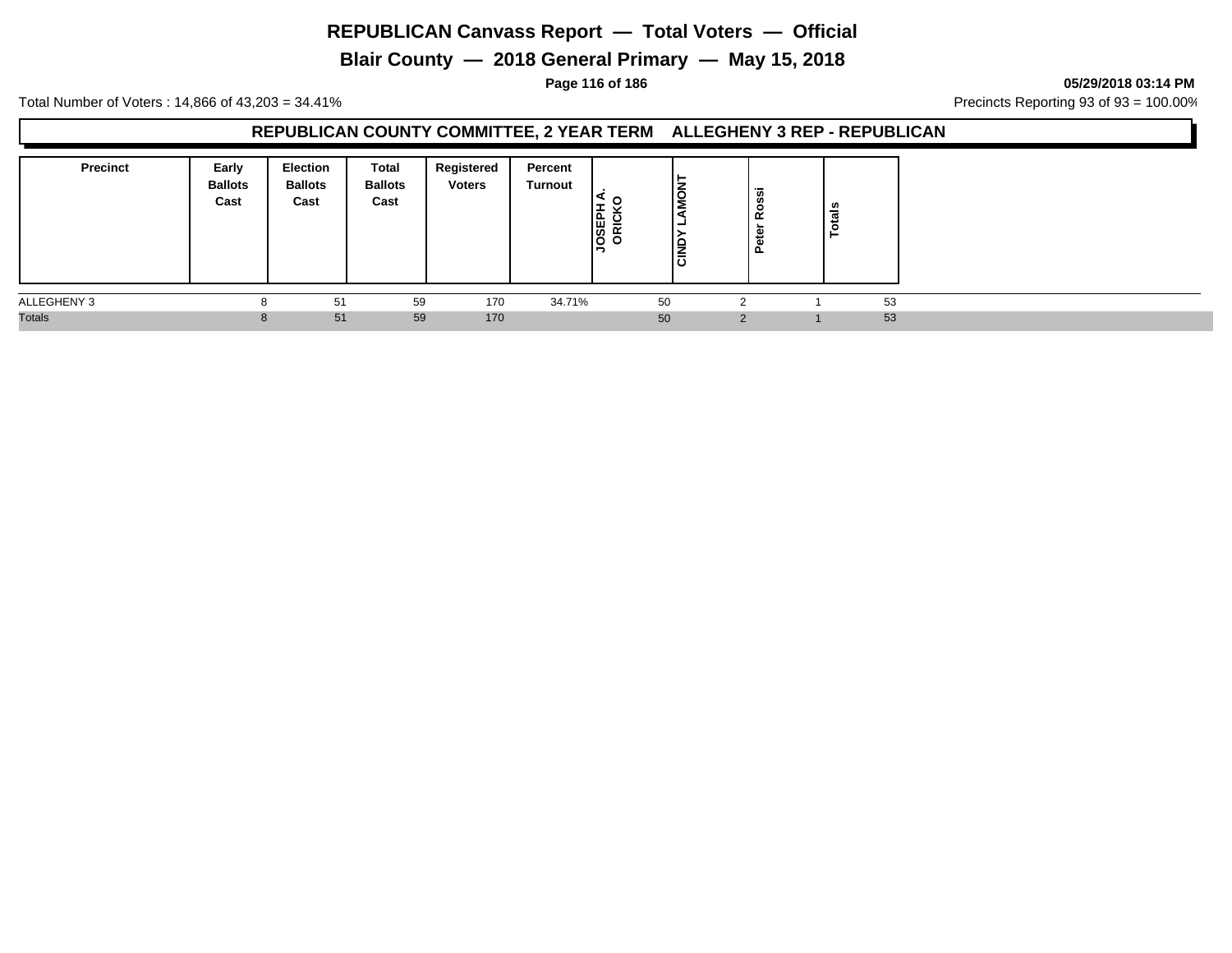**Blair County — 2018 General Primary — May 15, 2018**

**Page 116 of 186 05/29/2018 03:14 PM**

Total Number of Voters : 14,866 of 43,203 = 34.41% **Precincts Reporting 93 of 93** = 100.00%

#### **REPUBLICAN COUNTY COMMITTEE, 2 YEAR TERM ALLEGHENY 3 REP - REPUBLICAN**

| <b>Precinct</b> | Early<br><b>Ballots</b><br>Cast | <b>Election</b><br><b>Ballots</b><br>Cast | Total<br><b>Ballots</b><br>Cast | Registered<br><b>Voters</b> | Percent<br>Turnout | <b>JOSEPH</b><br>ORICK | □<br>云 | $\overline{\phantom{0}}$<br>Rossi<br>ିକ<br>قع | ≝  |
|-----------------|---------------------------------|-------------------------------------------|---------------------------------|-----------------------------|--------------------|------------------------|--------|-----------------------------------------------|----|
| ALLEGHENY 3     | o                               | 51                                        | 59                              | 170                         | 34.71%             |                        | 50     |                                               | 53 |
| <b>Totals</b>   | 8                               | 51                                        | 59                              | 170                         |                    |                        | 50     | ာ                                             | 53 |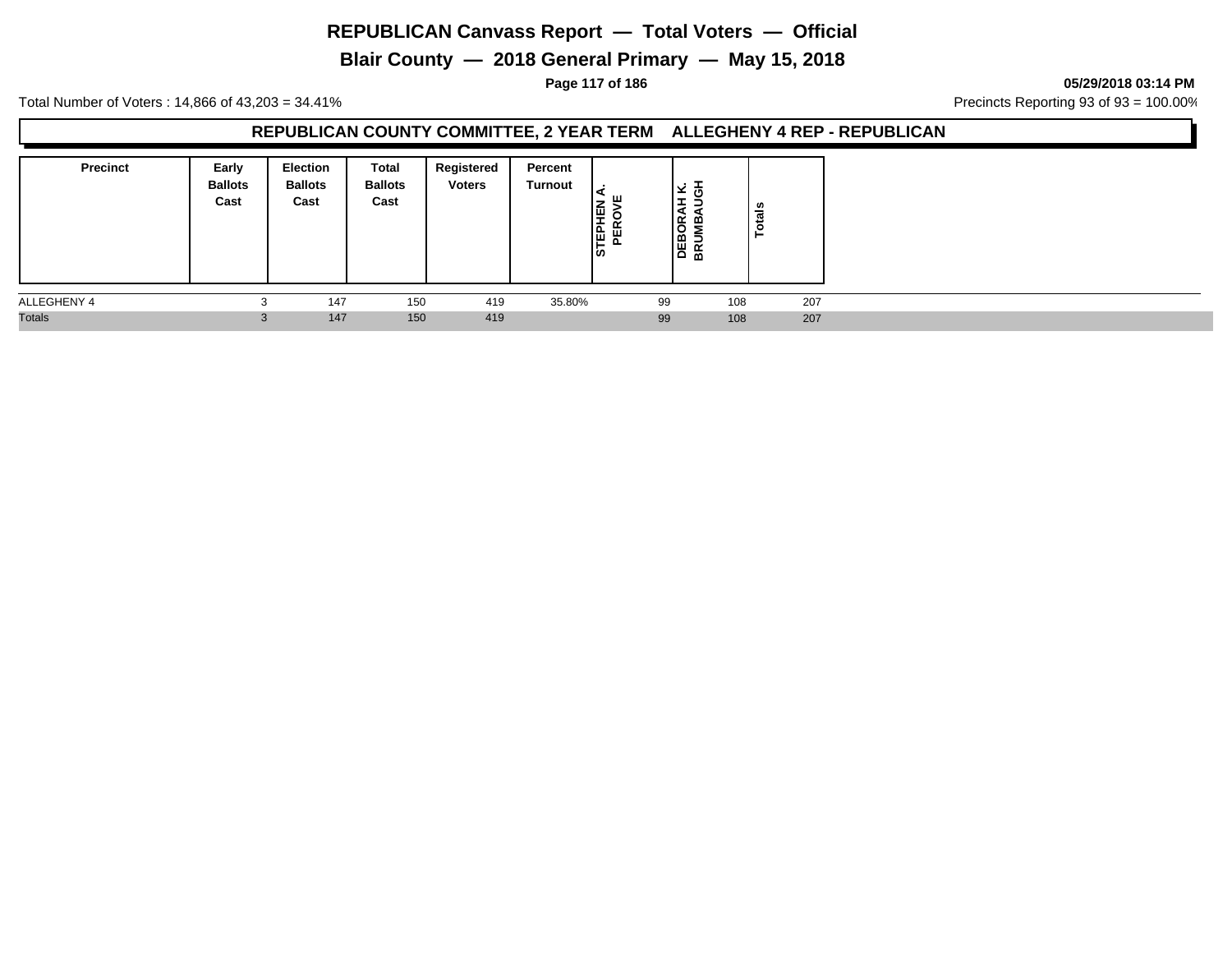**Blair County — 2018 General Primary — May 15, 2018**

**Page 117 of 186 05/29/2018 03:14 PM**

Total Number of Voters : 14,866 of 43,203 = 34.41% **Precincts Reporting 93 of 93** = 100.00%

# **REPUBLICAN COUNTY COMMITTEE, 2 YEAR TERM ALLEGHENY 4 REP - REPUBLICAN**

| <b>Precinct</b> | Early<br><b>Ballots</b><br>Cast | Election<br><b>Ballots</b><br>Cast | Total<br><b>Ballots</b><br>Cast | Registered<br><b>Voters</b> | Percent<br>Turnout | l₫<br><b>AED</b><br>퓓 |    | ≃<br>O<br>DEB<br>BRUI | U,<br>ಕ<br>$\vec{5}$<br>► |
|-----------------|---------------------------------|------------------------------------|---------------------------------|-----------------------------|--------------------|-----------------------|----|-----------------------|---------------------------|
| ALLEGHENY 4     |                                 | 147                                | 150                             | 419                         | 35.80%             |                       | 99 | 108                   | 207                       |
| <b>Totals</b>   |                                 | 147                                | 150                             | 419                         |                    |                       | 99 | 108                   | 207                       |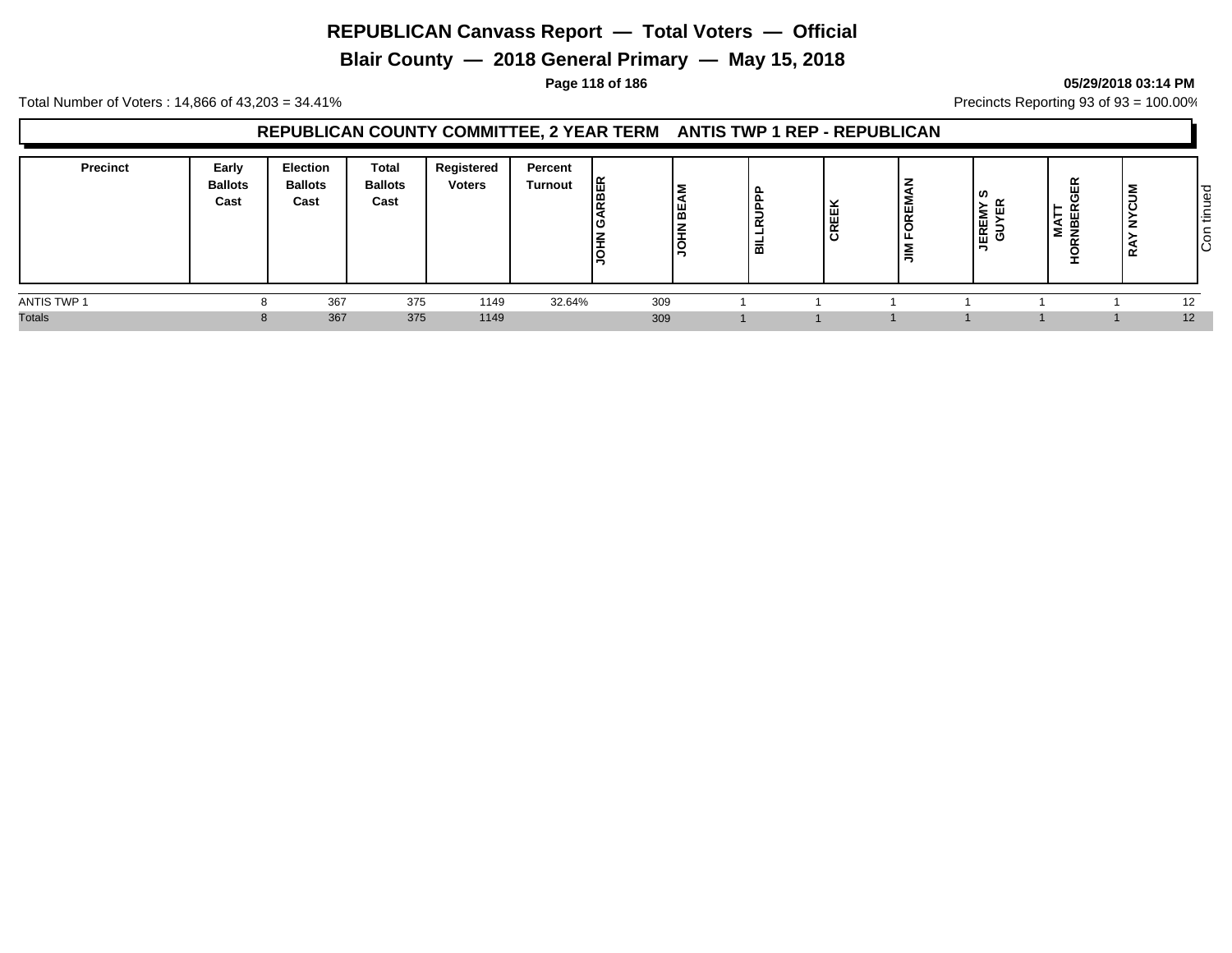**Blair County — 2018 General Primary — May 15, 2018**

#### **Page 118 of 186 05/29/2018 03:14 PM**

Total Number of Voters : 14,866 of 43,203 = 34.41% **Precincts Reporting 93 of 93** = 100.00%

## **REPUBLICAN COUNTY COMMITTEE, 2 YEAR TERM ANTIS TWP 1 REP - REPUBLICAN**

| <b>Precinct</b> | Early<br><b>Ballots</b><br>Cast | <b>Election</b><br><b>Ballots</b><br>Cast | <b>Total</b><br><b>Ballots</b><br>Cast | Registered<br><b>Voters</b> | Percent<br><b>Turnout</b> | <b>BER</b><br>l≃<br>טו<br>l≆<br>١ㅎ | ÷<br><br>◡ | ட<br>≒<br>ᇎ<br>-<br>룹 | CREEK | FOREMA<br>$\tilde{z}$ | ဖာ<br><b>JEREMY</b><br>GUYER | $\propto$ | $\alpha$ | ರ<br>l÷<br>ΙĊ |
|-----------------|---------------------------------|-------------------------------------------|----------------------------------------|-----------------------------|---------------------------|------------------------------------|------------|-----------------------|-------|-----------------------|------------------------------|-----------|----------|---------------|
| ANTIS TWP 1     |                                 | 367                                       | 375                                    | 1149                        | 32.64%                    | 309                                |            |                       |       |                       |                              |           |          | 12            |
| <b>Totals</b>   |                                 | 367                                       | 375                                    | 1149                        |                           | 309                                |            |                       |       |                       |                              |           |          | 12            |

# Con tinued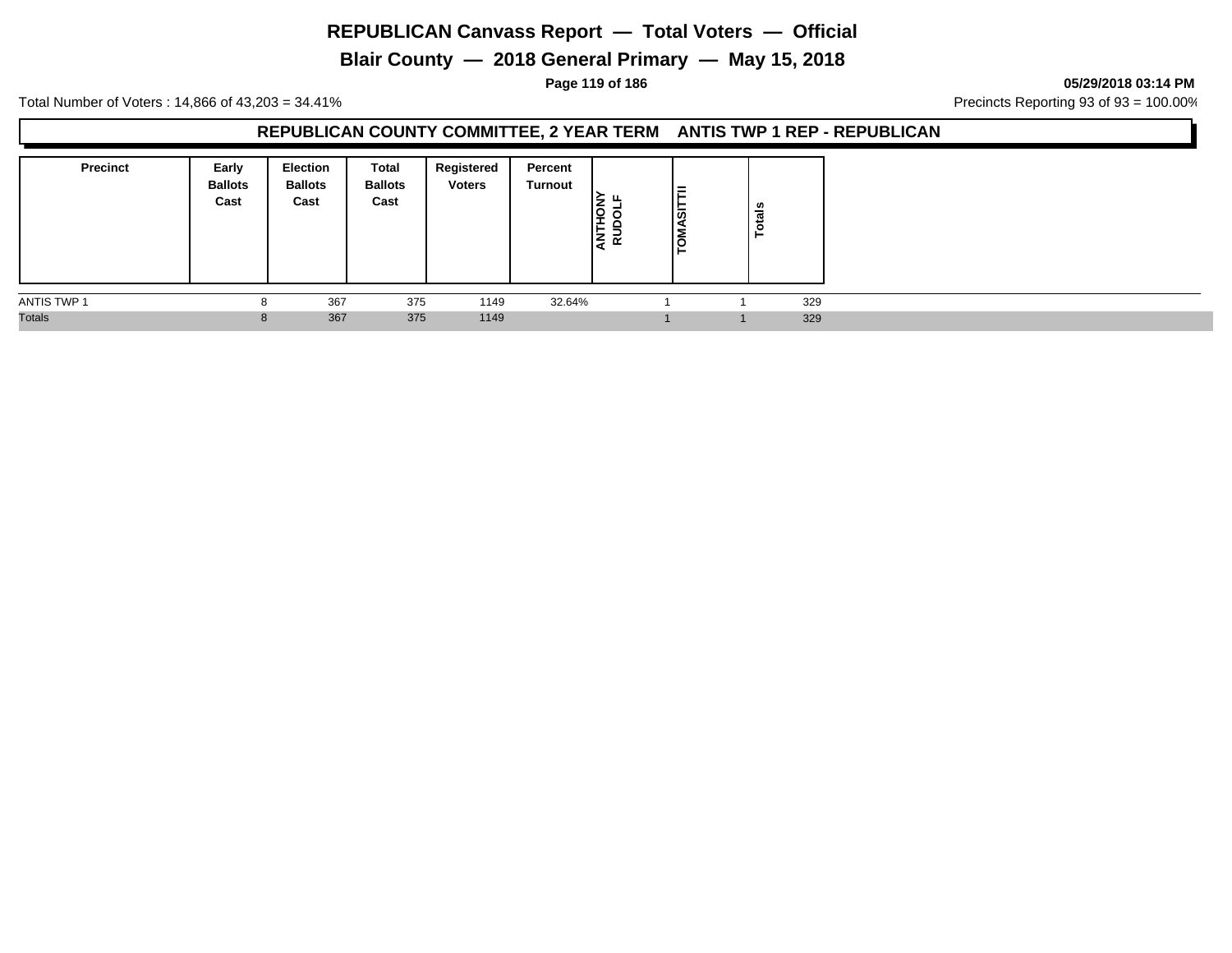**Blair County — 2018 General Primary — May 15, 2018**

**Page 119 of 186 05/29/2018 03:14 PM**

Total Number of Voters : 14,866 of 43,203 = 34.41% **Precincts Reporting 93 of 93** = 100.00%

## **REPUBLICAN COUNTY COMMITTEE, 2 YEAR TERM ANTIS TWP 1 REP - REPUBLICAN**

| <b>Precinct</b> | Early<br><b>Ballots</b><br>Cast | <b>Election</b><br><b>Ballots</b><br>Cast | Total<br><b>Ballots</b><br>Cast | Registered<br><b>Voters</b> | Percent<br>Turnout | O<br>⊢<br>$\propto$<br>гe н | $=$<br>l∞<br>۱o<br>╺ | Totals |  |
|-----------------|---------------------------------|-------------------------------------------|---------------------------------|-----------------------------|--------------------|-----------------------------|----------------------|--------|--|
| ANTIS TWP 1     | ŏ                               | 367                                       | 375                             | 1149                        | 32.64%             |                             |                      | 329    |  |
| <b>Totals</b>   | 8                               | 367                                       | 375                             | 1149                        |                    |                             |                      | 329    |  |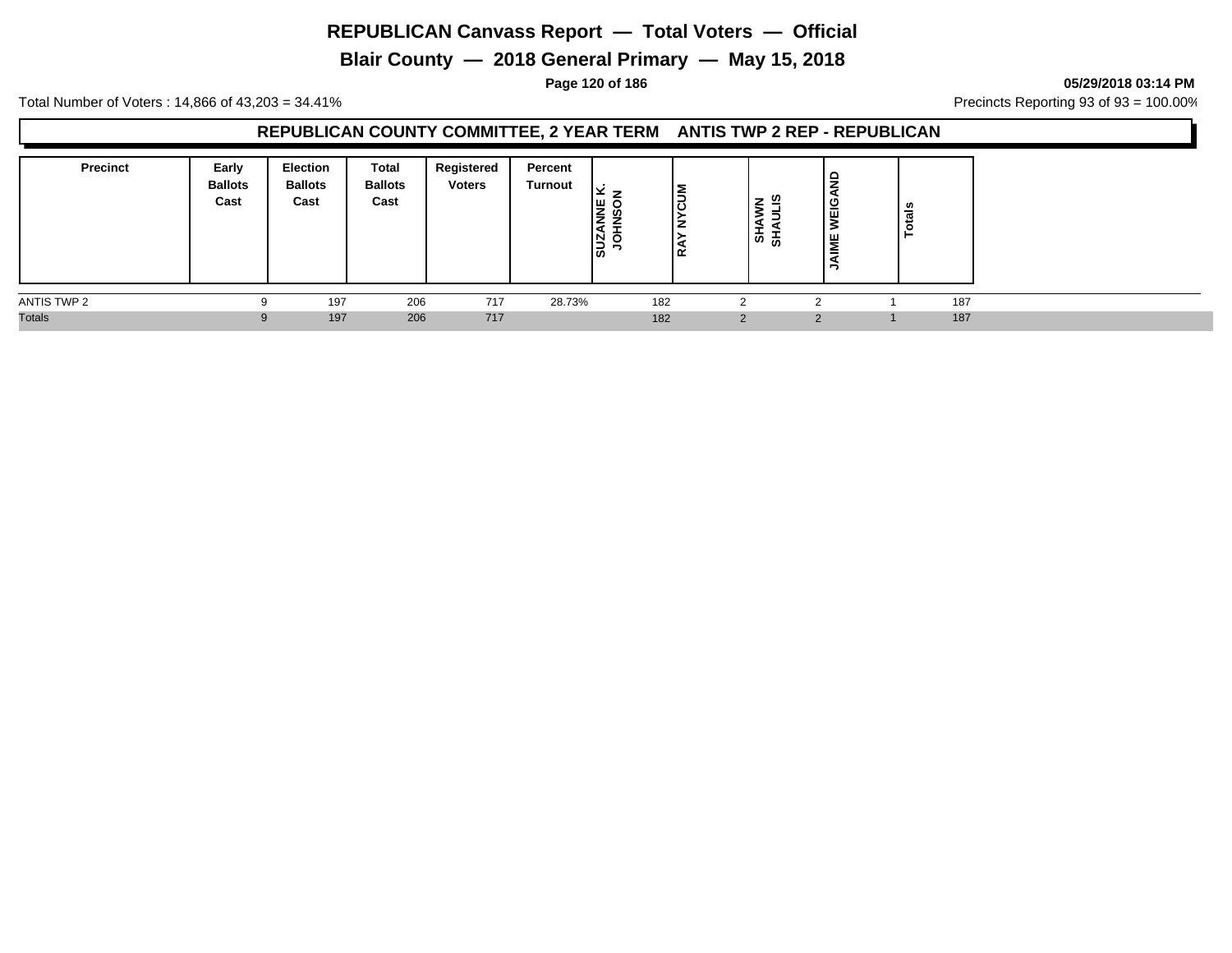**Blair County — 2018 General Primary — May 15, 2018**

**Page 120 of 186 05/29/2018 03:14 PM**

Total Number of Voters : 14,866 of 43,203 = 34.41% **Precincts Reporting 93 of 93** = 100.00%

## **REPUBLICAN COUNTY COMMITTEE, 2 YEAR TERM ANTIS TWP 2 REP - REPUBLICAN**

| <b>Precinct</b> | Early<br><b>Ballots</b><br>Cast | <b>Election</b><br><b>Ballots</b><br>Cast | Total<br><b>Ballots</b><br>Cast | Registered<br><b>Voters</b> | Percent<br><b>Turnout</b> | ×<br>-<br>နဲ့ စွဲ<br>$\frac{20}{3}$<br>O<br>- | 3<br>ں ا<br>ے ا | z ≌<br>,<br>$\blacktriangleleft$<br>÷<br>'စ္ ႜ | 읍<br>ய<br>- | នឹ<br>نب<br>$\circ$ |     |
|-----------------|---------------------------------|-------------------------------------------|---------------------------------|-----------------------------|---------------------------|-----------------------------------------------|-----------------|------------------------------------------------|-------------|---------------------|-----|
| ANTIS TWP 2     |                                 | 197                                       | 206                             | 717                         | 28.73%                    | 182                                           |                 |                                                |             |                     | 187 |
| <b>Totals</b>   |                                 | 197                                       | 206                             | 717                         |                           | 182                                           |                 | $\mathcal{P}$                                  | $\Omega$    |                     | 187 |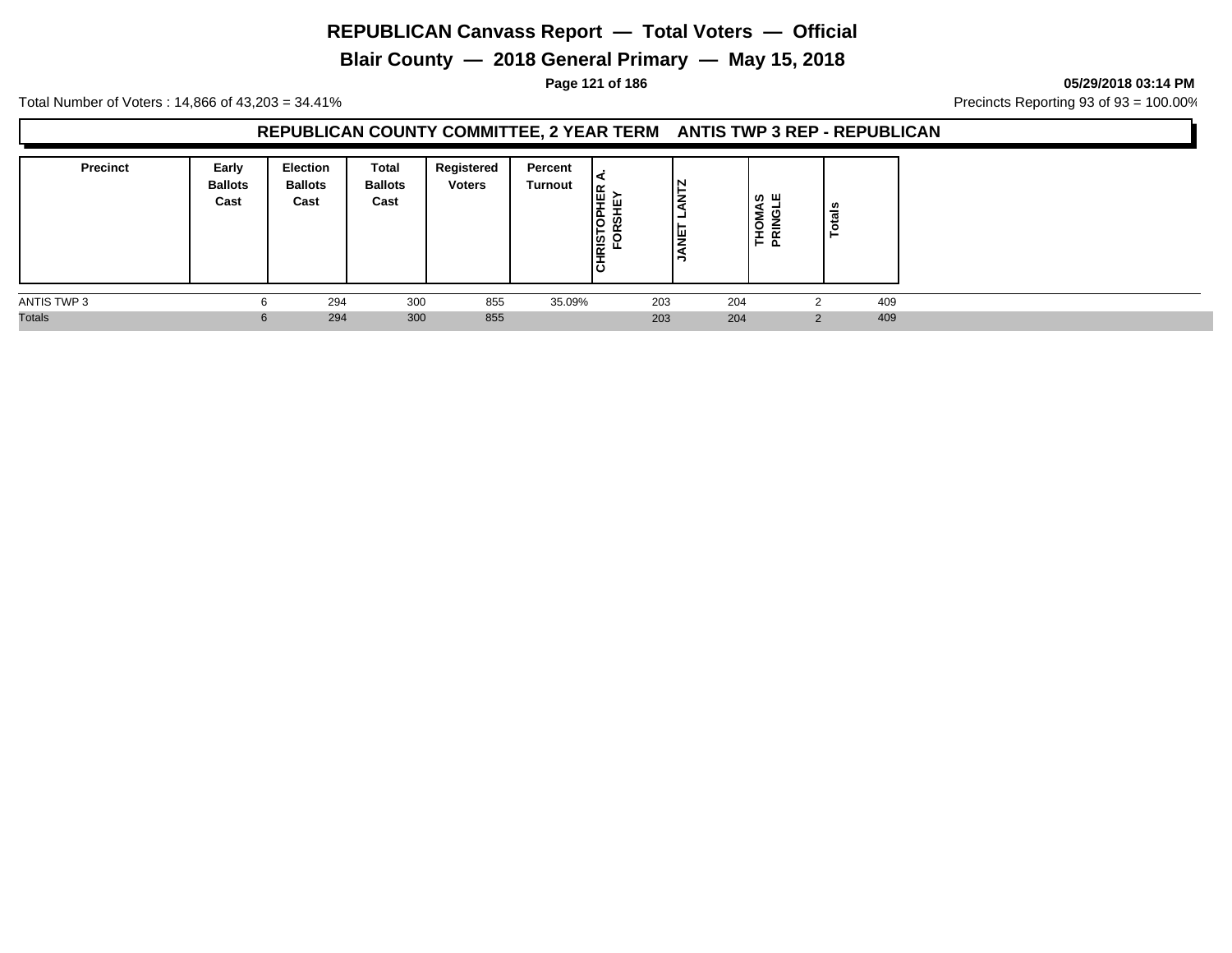**Blair County — 2018 General Primary — May 15, 2018**

**Page 121 of 186 05/29/2018 03:14 PM**

Total Number of Voters : 14,866 of 43,203 = 34.41% **Precincts Reporting 93 of 93** = 100.00%

## **REPUBLICAN COUNTY COMMITTEE, 2 YEAR TERM ANTIS TWP 3 REP - REPUBLICAN**

| <b>Precinct</b> | Early<br><b>Ballots</b><br>Cast | <b>Election</b><br><b>Ballots</b><br>Cast | Total<br><b>Ballots</b><br>Cast | Registered<br><b>Voters</b> | Percent<br>Turnout | <b>DPHER</b><br>SHEY<br>ш<br>ဖာ<br>CHRIST<br>FOI | IN<br>⇁<br>-<br>lщ | ∼<br>- | ∣ ທ ш<br>ᄒᄒ | -   |
|-----------------|---------------------------------|-------------------------------------------|---------------------------------|-----------------------------|--------------------|--------------------------------------------------|--------------------|--------|-------------|-----|
| ANTIS TWP 3     |                                 | 294                                       | 300                             | 855                         | 35.09%             | 203                                              |                    | 204    |             | 409 |
| <b>Totals</b>   |                                 | 294                                       | 300                             | 855                         |                    | 203                                              |                    | 204    | ົ           | 409 |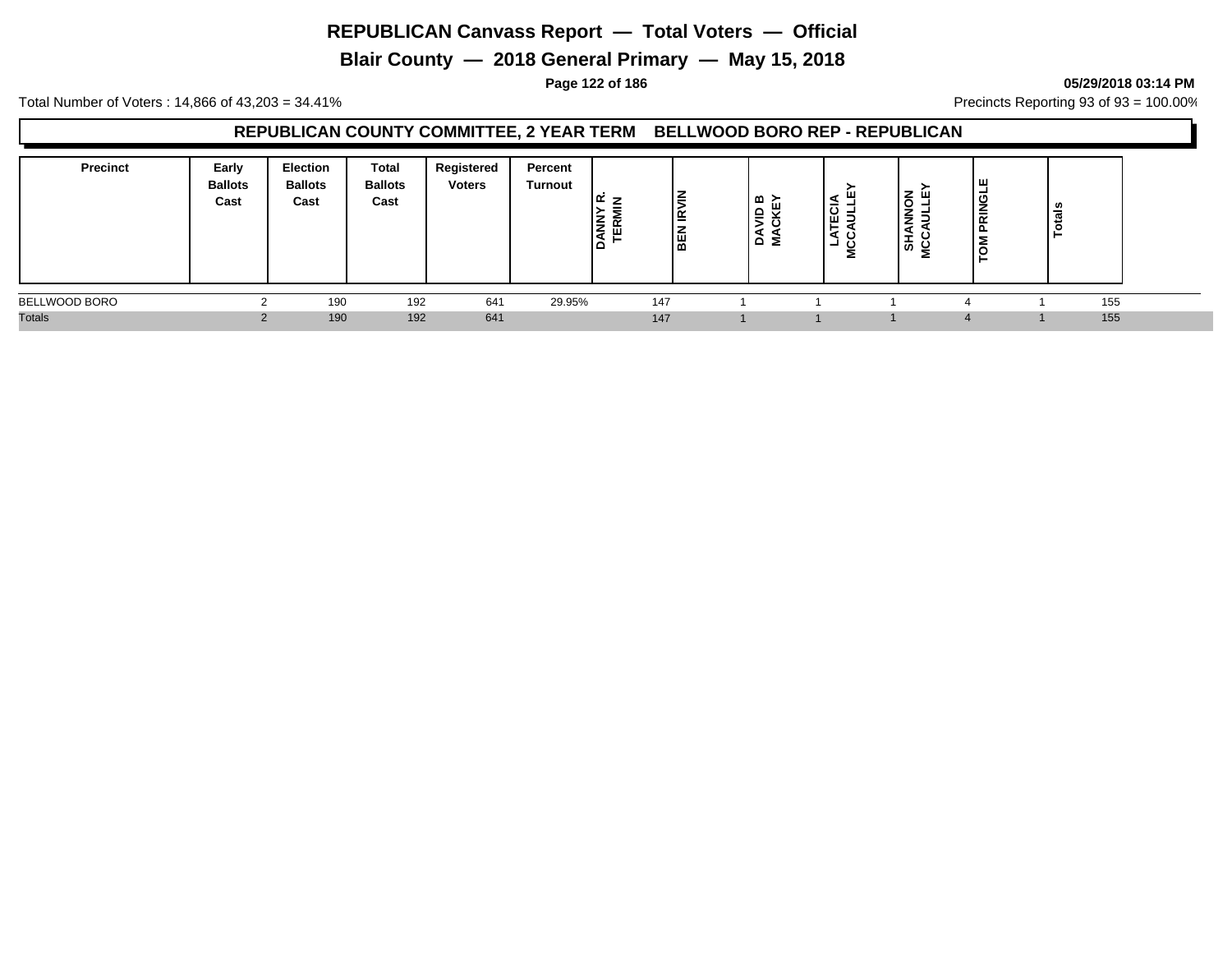**Blair County — 2018 General Primary — May 15, 2018**

#### **Page 122 of 186 05/29/2018 03:14 PM**

Total Number of Voters : 14,866 of 43,203 = 34.41% **Precincts Reporting 93 of 93** = 100.00%

## **REPUBLICAN COUNTY COMMITTEE, 2 YEAR TERM BELLWOOD BORO REP - REPUBLICAN**

| <b>Precinct</b> | Early<br><b>Ballots</b><br>Cast | Election<br><b>Ballots</b><br>Cast | Total<br><b>Ballots</b><br>Cast | Registered<br><b>Voters</b> | Percent<br>Turnout | $\propto$<br><b>DANNY</b><br>TERMI | l≧<br>≝ا<br><b>BEN</b> | ≃ ≿<br>'을 봈<br>6 ≅ | ٩<br>ಕ<br>ш<br>. —<br>◀<br>O<br>ᆜ<br>் | -<br>O<br>-<br>∍<br>-<br>ぁ | ш<br>-<br>ပ<br>-<br>-<br>$\overline{\phantom{a}}$<br>C | u<br>ਜ਼<br>⊢ |  |
|-----------------|---------------------------------|------------------------------------|---------------------------------|-----------------------------|--------------------|------------------------------------|------------------------|--------------------|----------------------------------------|----------------------------|--------------------------------------------------------|--------------|--|
| BELLWOOD BORO   |                                 | 190                                | 192                             | 641                         | 29.95%             | 147                                |                        |                    |                                        |                            |                                                        | 155          |  |
| <b>Totals</b>   |                                 | 190                                | 192                             | 641                         |                    | 147                                |                        |                    |                                        |                            |                                                        | 155          |  |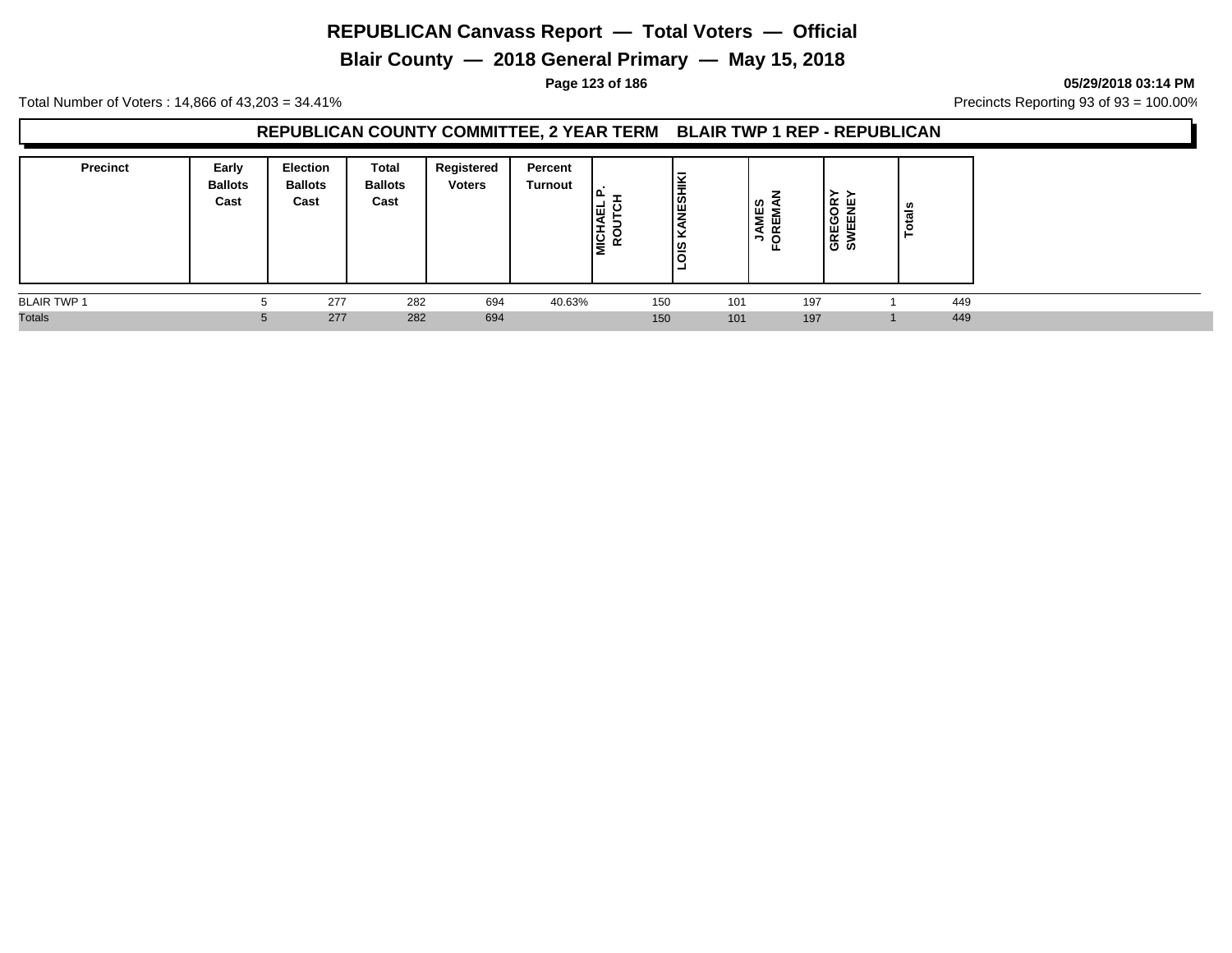**Blair County — 2018 General Primary — May 15, 2018**

**Page 123 of 186 05/29/2018 03:14 PM**

Total Number of Voters : 14,866 of 43,203 = 34.41% **Precincts Reporting 93 of 93** = 100.00%

## **REPUBLICAN COUNTY COMMITTEE, 2 YEAR TERM BLAIR TWP 1 REP - REPUBLICAN**

| <b>Precinct</b>    | Early<br><b>Ballots</b><br>Cast | Election<br><b>Ballots</b><br>Cast | Total<br><b>Ballots</b><br>Cast | Registered<br><b>Voters</b> | Percent<br>Turnout | 囤<br><b>NICH</b><br>ROL | Ι¥<br>-<br>∥ื่ย<br> ഇ<br>- |     | ທ<br>ш<br>- 11<br>⋖<br>∍ | ≻<br>≃<br>: ш<br>ີ<br>ш.<br>ш<br>ш<br>≃<br>ဖေဖ | ਨ |     |
|--------------------|---------------------------------|------------------------------------|---------------------------------|-----------------------------|--------------------|-------------------------|----------------------------|-----|--------------------------|------------------------------------------------|---|-----|
| <b>BLAIR TWP 1</b> |                                 | 277                                | 282                             | 694                         | 40.63%             |                         | 150                        | 101 | 197                      |                                                |   | 449 |
| <b>Totals</b>      | 5                               | 277                                | 282                             | 694                         |                    |                         | 150                        | 101 | 197                      |                                                |   | 449 |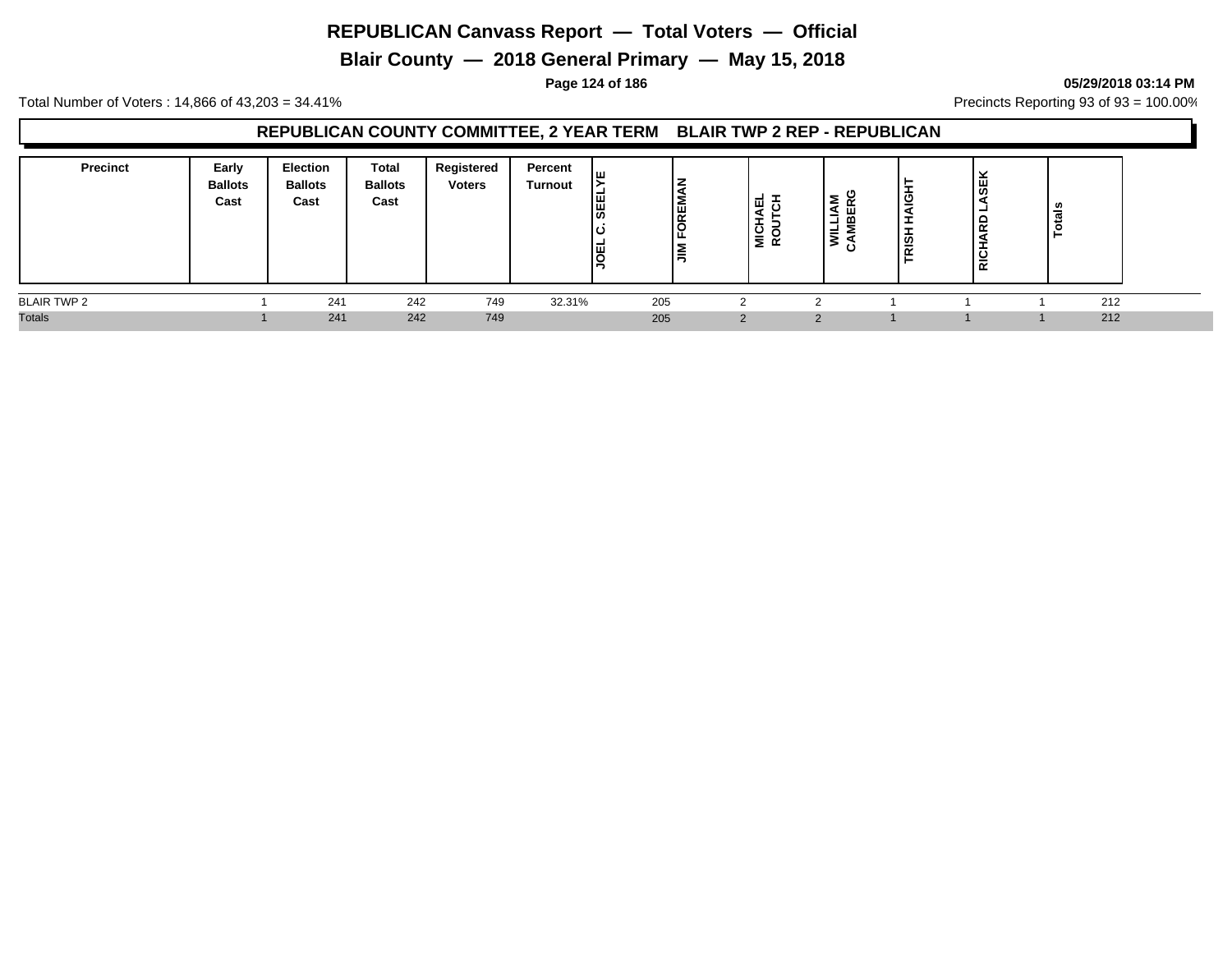**Blair County — 2018 General Primary — May 15, 2018**

#### **Page 124 of 186 05/29/2018 03:14 PM**

Total Number of Voters : 14,866 of 43,203 = 34.41% **Precincts Reporting 93 of 93** = 100.00%

## **REPUBLICAN COUNTY COMMITTEE, 2 YEAR TERM BLAIR TWP 2 REP - REPUBLICAN**

| <b>Precinct</b>    | Early<br><b>Ballots</b><br>Cast | <b>Election</b><br><b>Ballots</b><br>Cast | <b>Total</b><br><b>Ballots</b><br>Cast | Registered<br><b>Voters</b> | Percent<br>Turnout | ш<br><b>SEE</b><br> ፱ | ╺<br>╺<br>FOREM<br>l≣ | -<br>ш<br><b>NO</b> | ≅ ≥ّ<br>≃<br>┙<br>≃<br>글<br>⋧ | ۳<br> <br>АІGН'<br>÷<br>÷<br>$\frac{1}{2}$ | ₩<br>□<br>$\alpha$<br>$\overline{c}$<br>$\overline{\alpha}$ | ਜ਼<br>- |  |
|--------------------|---------------------------------|-------------------------------------------|----------------------------------------|-----------------------------|--------------------|-----------------------|-----------------------|---------------------|-------------------------------|--------------------------------------------|-------------------------------------------------------------|---------|--|
| <b>BLAIR TWP 2</b> |                                 | 241                                       | 242                                    | 749                         | 32.31%             |                       | 205                   | $\sqrt{2}$          |                               |                                            |                                                             | 212     |  |
| <b>Totals</b>      |                                 | 241                                       | 242                                    | 749                         |                    |                       | 205                   | 2                   | ◠                             |                                            |                                                             | 212     |  |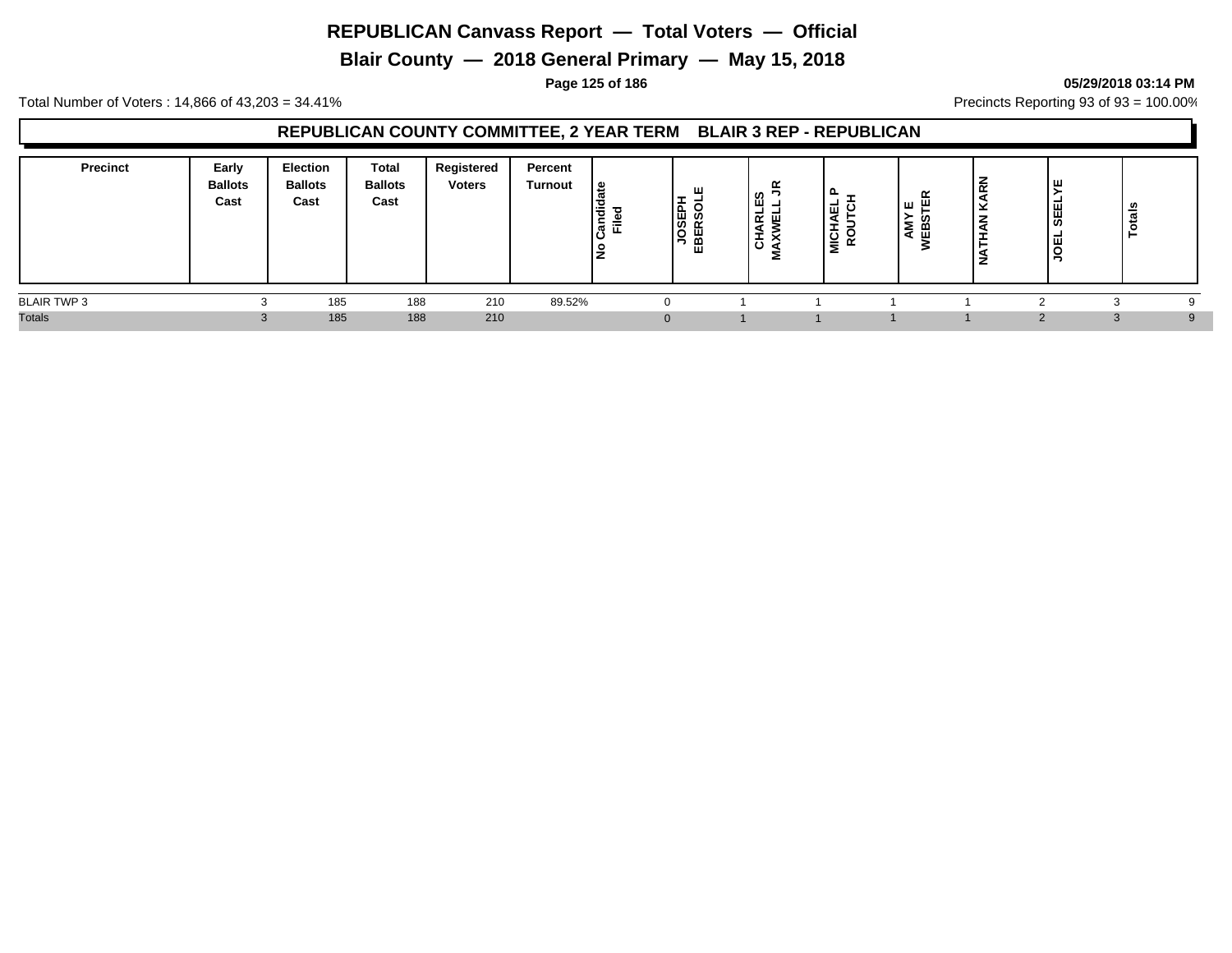**Blair County — 2018 General Primary — May 15, 2018**

**Page 125 of 186 05/29/2018 03:14 PM**

Total Number of Voters : 14,866 of 43,203 = 34.41% **Precincts Reporting 93 of 93** = 100.00%

## **REPUBLICAN COUNTY COMMITTEE, 2 YEAR TERM BLAIR 3 REP - REPUBLICAN**

| <b>Precinct</b>    | Early<br><b>Ballots</b><br>Cast | <b>Election</b><br><b>Ballots</b><br>Cast | <b>Total</b><br><b>Ballots</b><br>Cast | Registered<br><b>Voters</b> | Percent<br><b>Turnout</b> | ہ ا<br>ibr<br>.<br>대<br>$\circ$ | ш<br>–<br>JOSEPH<br>IBERSOL<br>ш | $\sim$<br>u<br><u>_</u><br><u>_</u><br>-<br>ᇎᄤ<br>ᆂ | -<br>ш<br>q<br>-<br>¶ ¤<br>$\tilde{ }$ | œ<br>面<br>பய<br>ഗ<br>-<br>മ<br>ш | z<br>$\overline{\phantom{a}}$<br>뜻<br>- 22<br>z | SEEL<br>-<br>ш | ឹ<br>$\vec{p}$ |          |
|--------------------|---------------------------------|-------------------------------------------|----------------------------------------|-----------------------------|---------------------------|---------------------------------|----------------------------------|-----------------------------------------------------|----------------------------------------|----------------------------------|-------------------------------------------------|----------------|----------------|----------|
| <b>BLAIR TWP 3</b> |                                 | 185                                       | 188                                    | 210                         | 89.52%                    |                                 |                                  |                                                     |                                        |                                  |                                                 |                |                |          |
| <b>Totals</b>      |                                 | 185                                       | 188                                    | 210                         |                           |                                 |                                  |                                                     |                                        |                                  |                                                 |                | $\sim$<br>.n   | $\alpha$ |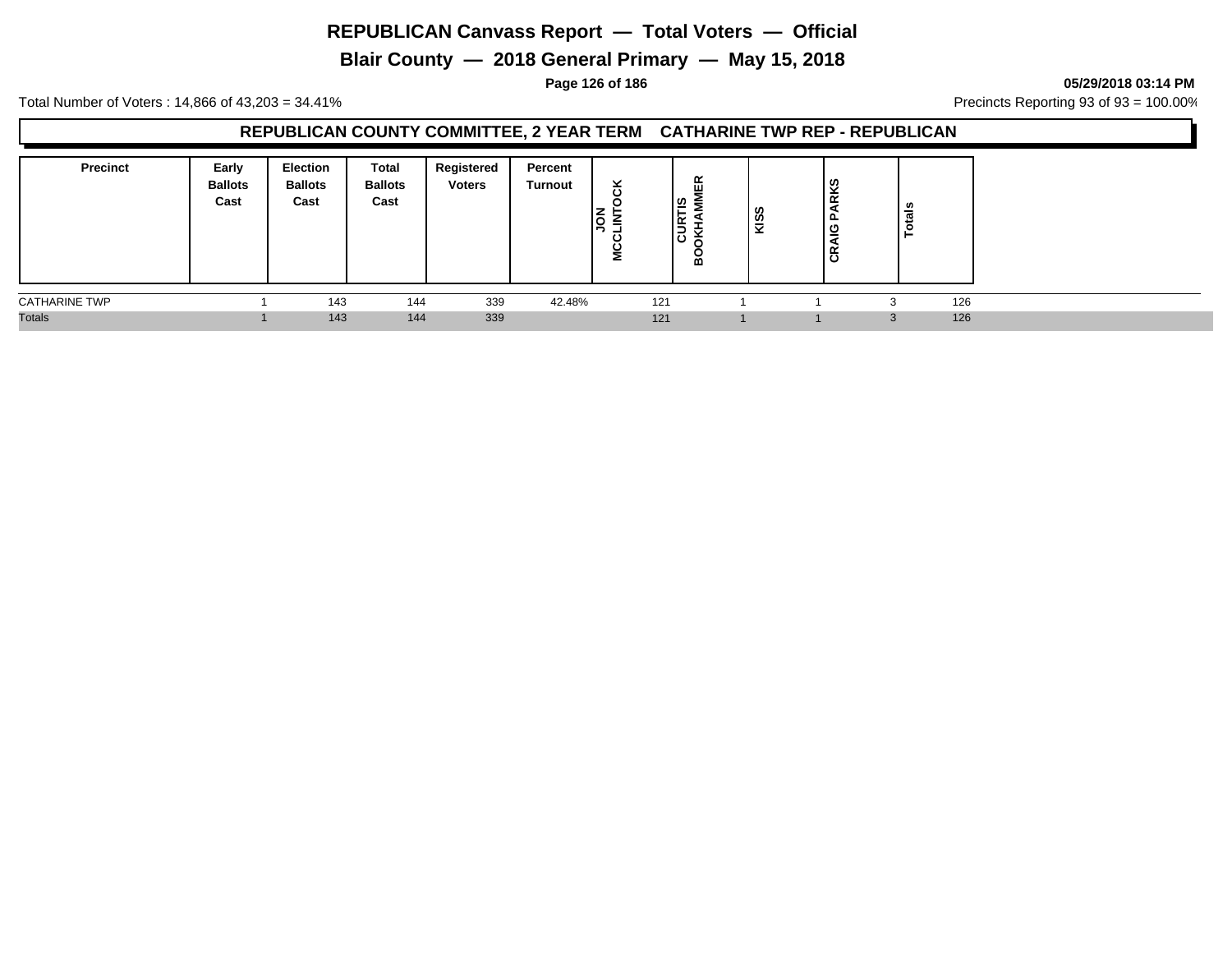**Blair County — 2018 General Primary — May 15, 2018**

**Page 126 of 186 05/29/2018 03:14 PM**

Total Number of Voters : 14,866 of 43,203 = 34.41% **Precincts Reporting 93 of 93** = 100.00%

## **REPUBLICAN COUNTY COMMITTEE, 2 YEAR TERM CATHARINE TWP REP - REPUBLICAN**

| <b>Precinct</b>      | Early<br><b>Ballots</b><br>Cast | <b>Election</b><br><b>Ballots</b><br>Cast | Total<br><b>Ballots</b><br>Cast | Registered<br><b>Voters</b> | Percent<br>Turnout | ×<br>ັ | ίĘΚ<br>∣ႊ<br>∍<br>∣≃<br>$\overline{\phantom{0}}$<br>ے<br>$\overline{\phantom{a}}$<br>ں<br>≃ | KISS | ΚS<br>$\propto$<br>௨<br>ט<br>-<br>≃<br>$\overline{\phantom{a}}$<br>് | tals<br>$\circ$<br>− |     |
|----------------------|---------------------------------|-------------------------------------------|---------------------------------|-----------------------------|--------------------|--------|---------------------------------------------------------------------------------------------|------|----------------------------------------------------------------------|----------------------|-----|
| <b>CATHARINE TWP</b> |                                 | 143                                       | 144                             | 339                         | 42.48%             | 121    |                                                                                             |      |                                                                      | ⌒                    | 126 |
| <b>Totals</b>        |                                 | 143                                       | 144                             | 339                         |                    | 121    |                                                                                             |      |                                                                      | 3                    | 126 |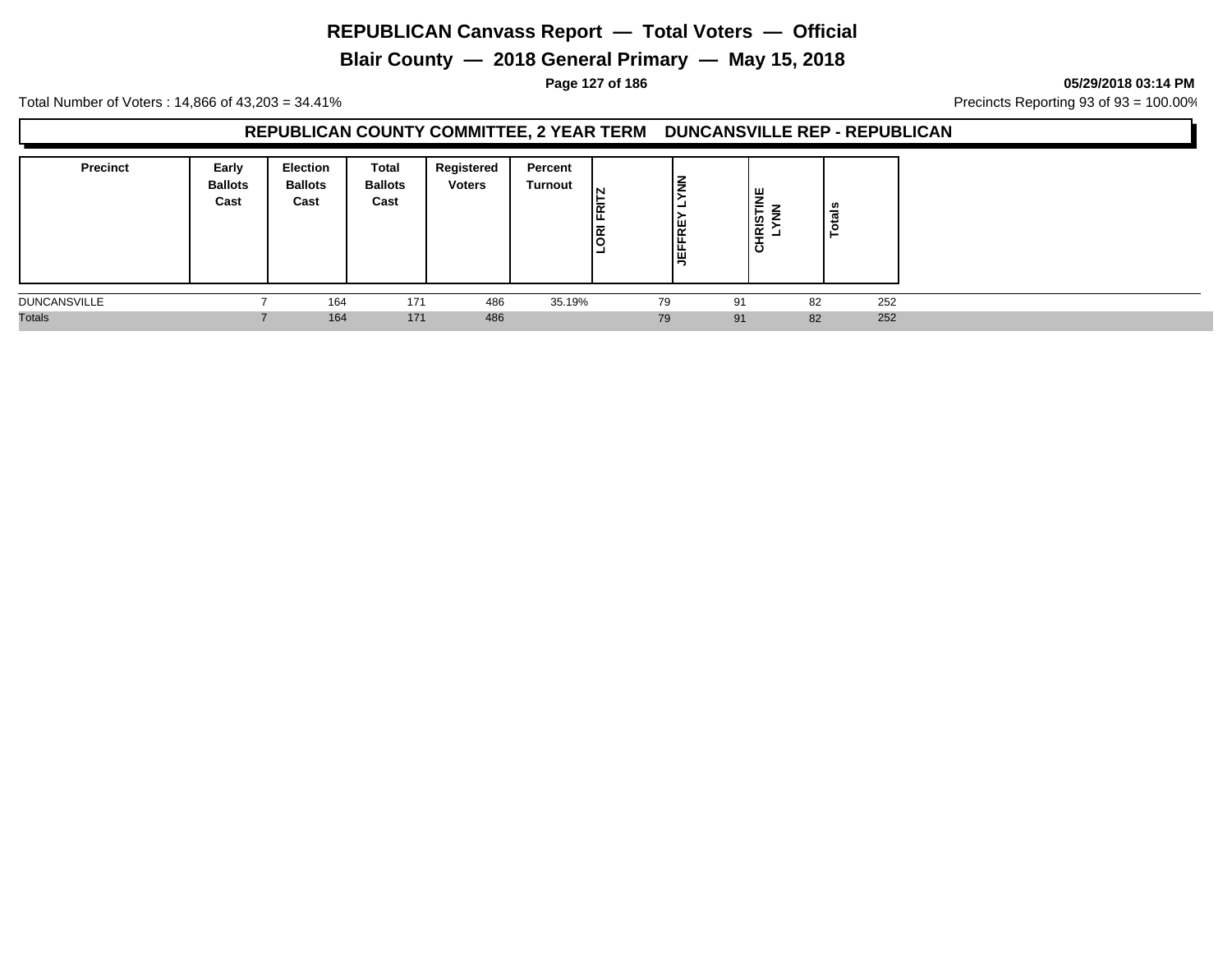**Blair County — 2018 General Primary — May 15, 2018**

**Page 127 of 186 05/29/2018 03:14 PM**

Total Number of Voters : 14,866 of 43,203 = 34.41% **Precincts Reporting 93 of 93** = 100.00%

## **REPUBLICAN COUNTY COMMITTEE, 2 YEAR TERM DUNCANSVILLE REP - REPUBLICAN**

| <b>Precinct</b>     | Early<br><b>Ballots</b><br>Cast | <b>Election</b><br><b>Ballots</b><br>Cast | Total<br><b>Ballots</b><br>Cast | Registered<br><b>Voters</b> | Percent<br><b>Turnout</b> | IN<br>Ιğ<br>E<br>- | <b>JEFFRE</b> | ।<br>≌<br>CHRIST |    | -   |
|---------------------|---------------------------------|-------------------------------------------|---------------------------------|-----------------------------|---------------------------|--------------------|---------------|------------------|----|-----|
| <b>DUNCANSVILLE</b> |                                 | 164                                       | 171                             | 486                         | 35.19%                    |                    | 79            | 91               | 82 | 252 |
| <b>Totals</b>       |                                 | 164                                       | 171                             | 486                         |                           |                    | 79            | 91               | 82 | 252 |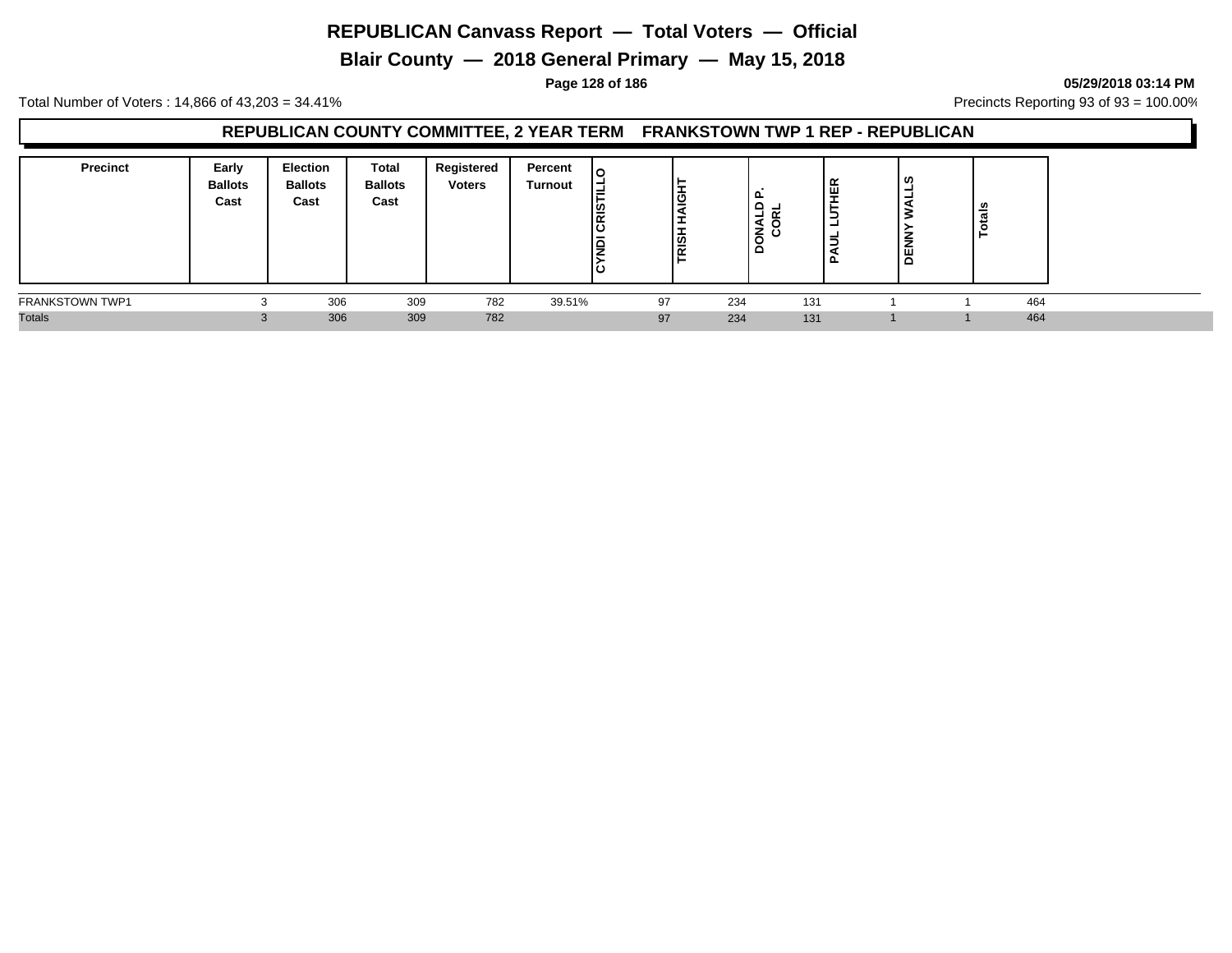**Blair County — 2018 General Primary — May 15, 2018**

**Page 128 of 186 05/29/2018 03:14 PM**

Total Number of Voters : 14,866 of 43,203 = 34.41% **Precincts Reporting 93 of 93** = 100.00%

## **REPUBLICAN COUNTY COMMITTEE, 2 YEAR TERM FRANKSTOWN TWP 1 REP - REPUBLICAN**

| <b>Precinct</b> | Early<br><b>Ballots</b><br>Cast | <b>Election</b><br><b>Ballots</b><br>Cast | Total<br><b>Ballots</b><br>Cast | Registered<br><b>Voters</b> | Percent<br>Turnout | ۱o<br>⋍<br><b>CRIS</b><br>lē<br>ن | ୁ<br>၊ ဟ |     | ௨<br>-<br>$\tilde{\phantom{a}}$<br>-<br>ΪZŏ<br>≏ | ≃<br>щ<br>-<br>-<br>ட | U.<br>≂<br>붐 | त्त<br>.o |  |
|-----------------|---------------------------------|-------------------------------------------|---------------------------------|-----------------------------|--------------------|-----------------------------------|----------|-----|--------------------------------------------------|-----------------------|--------------|-----------|--|
| FRANKSTOWN TWP1 | ◠                               | 306                                       | 309                             | 782                         | 39.51%             |                                   | 97       | 234 | 131                                              |                       |              | 464       |  |
| <b>Totals</b>   | $\sim$                          | 306                                       | 309                             | 782                         |                    |                                   | 97       | 234 | 131                                              |                       |              | 464       |  |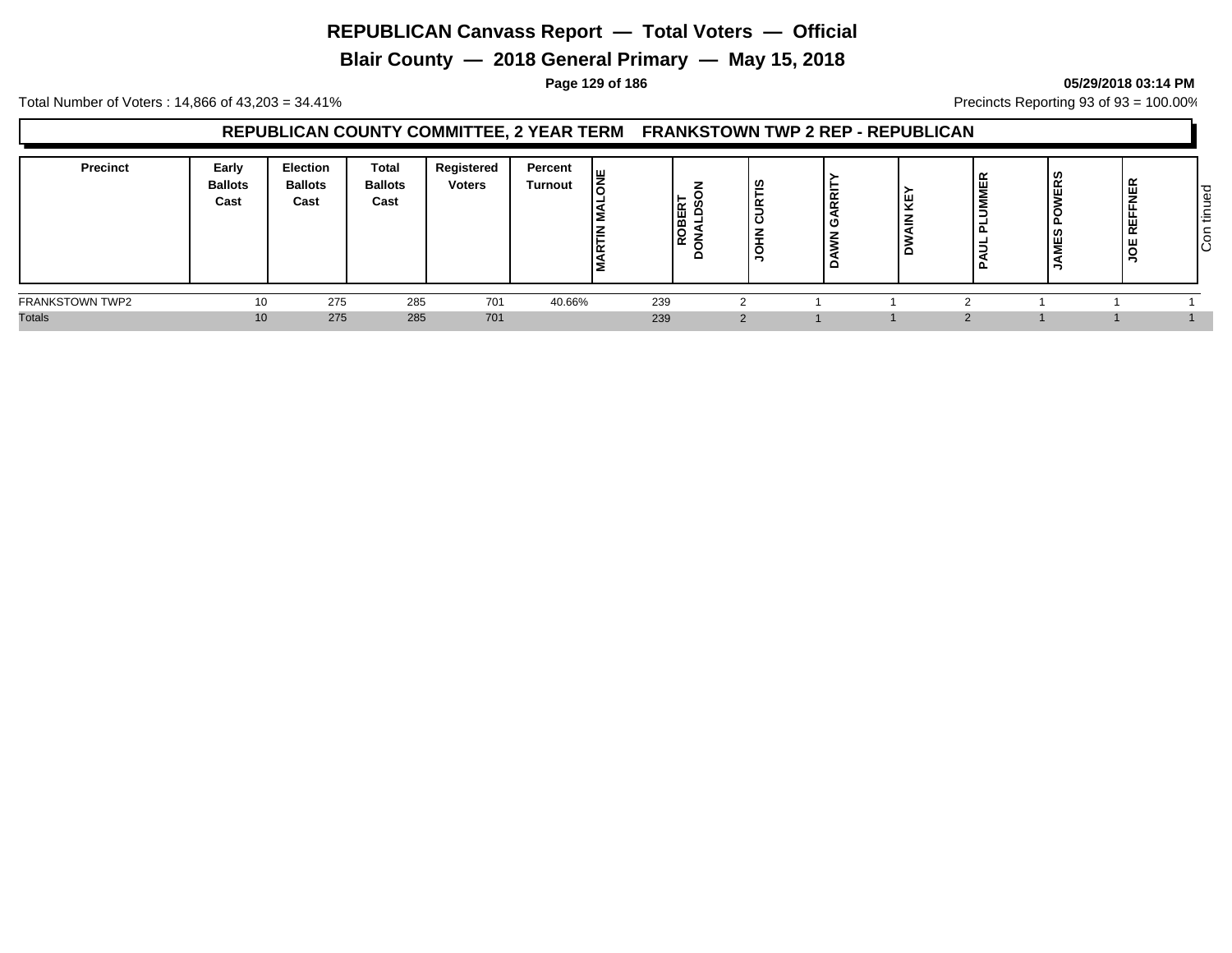**Blair County — 2018 General Primary — May 15, 2018**

#### **Page 129 of 186 05/29/2018 03:14 PM**

Total Number of Voters : 14,866 of 43,203 = 34.41% **Precincts Reporting 93 of 93** = 100.00%

## **REPUBLICAN COUNTY COMMITTEE, 2 YEAR TERM FRANKSTOWN TWP 2 REP - REPUBLICAN**

| <b>Precinct</b>        | Early<br><b>Ballots</b><br>Cast | <b>Election</b><br><b>Ballots</b><br>Cast | <b>Total</b><br><b>Ballots</b><br>Cast | Registered<br><b>Voters</b> | Percent<br>Turnout | ıш<br>–<br>œ | ROBER <sup>-</sup> | l U<br>-<br>≃<br>-<br>-<br>ن ا<br>₽<br>- | $\propto$<br>$\alpha$<br>с | Ψ | -<br>- | $\overline{\phantom{a}}$<br>ш | <b>NER</b><br><b>REFFI</b><br>∣ g | tinued<br>$\overline{c}$ |
|------------------------|---------------------------------|-------------------------------------------|----------------------------------------|-----------------------------|--------------------|--------------|--------------------|------------------------------------------|----------------------------|---|--------|-------------------------------|-----------------------------------|--------------------------|
| <b>FRANKSTOWN TWP2</b> | 10                              | 275                                       | 285                                    | 701                         | 40.66%             |              | 239                |                                          |                            |   |        |                               |                                   |                          |
| <b>Totals</b>          | 10 <sup>°</sup>                 | 275                                       | 285                                    | 701                         |                    |              | 239                |                                          |                            |   |        |                               |                                   |                          |

# Con tinued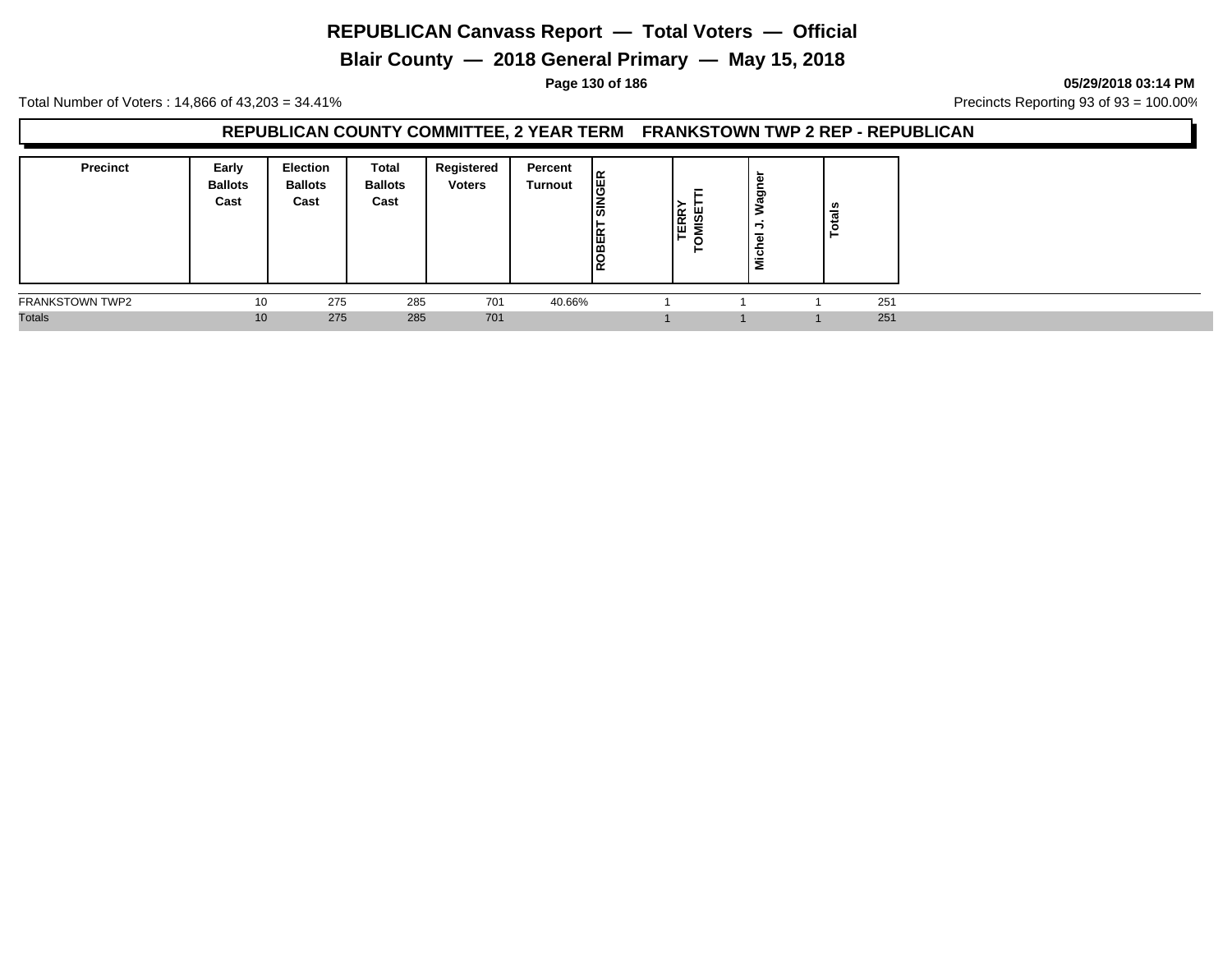**Blair County — 2018 General Primary — May 15, 2018**

**Page 130 of 186 05/29/2018 03:14 PM**

Total Number of Voters : 14,866 of 43,203 = 34.41% **Precincts Reporting 93 of 93** = 100.00%

#### **REPUBLICAN COUNTY COMMITTEE, 2 YEAR TERM FRANKSTOWN TWP 2 REP - REPUBLICAN**

| <b>Precinct</b>        | Early<br><b>Ballots</b><br>Cast | <b>Election</b><br><b>Ballots</b><br>Cast | Total<br><b>Ballots</b><br>Cast | Registered<br><b>Voters</b> | Percent<br>Turnout | <b>GER</b><br>∣ଈ<br>$\vdash$<br>ROBER <sup>-</sup> | Е<br>ERR <sup>'</sup><br>MISE<br>⊢<br>o<br>► | Wagı<br>∍<br>$\overline{a}$<br><b>Nich</b> | ≝ |     |  |
|------------------------|---------------------------------|-------------------------------------------|---------------------------------|-----------------------------|--------------------|----------------------------------------------------|----------------------------------------------|--------------------------------------------|---|-----|--|
| <b>FRANKSTOWN TWP2</b> | 10                              | 275                                       | 285                             | 701                         | 40.66%             |                                                    |                                              |                                            |   | 251 |  |
| <b>Totals</b>          | 10                              | 275                                       | 285                             | 701                         |                    |                                                    |                                              |                                            |   | 251 |  |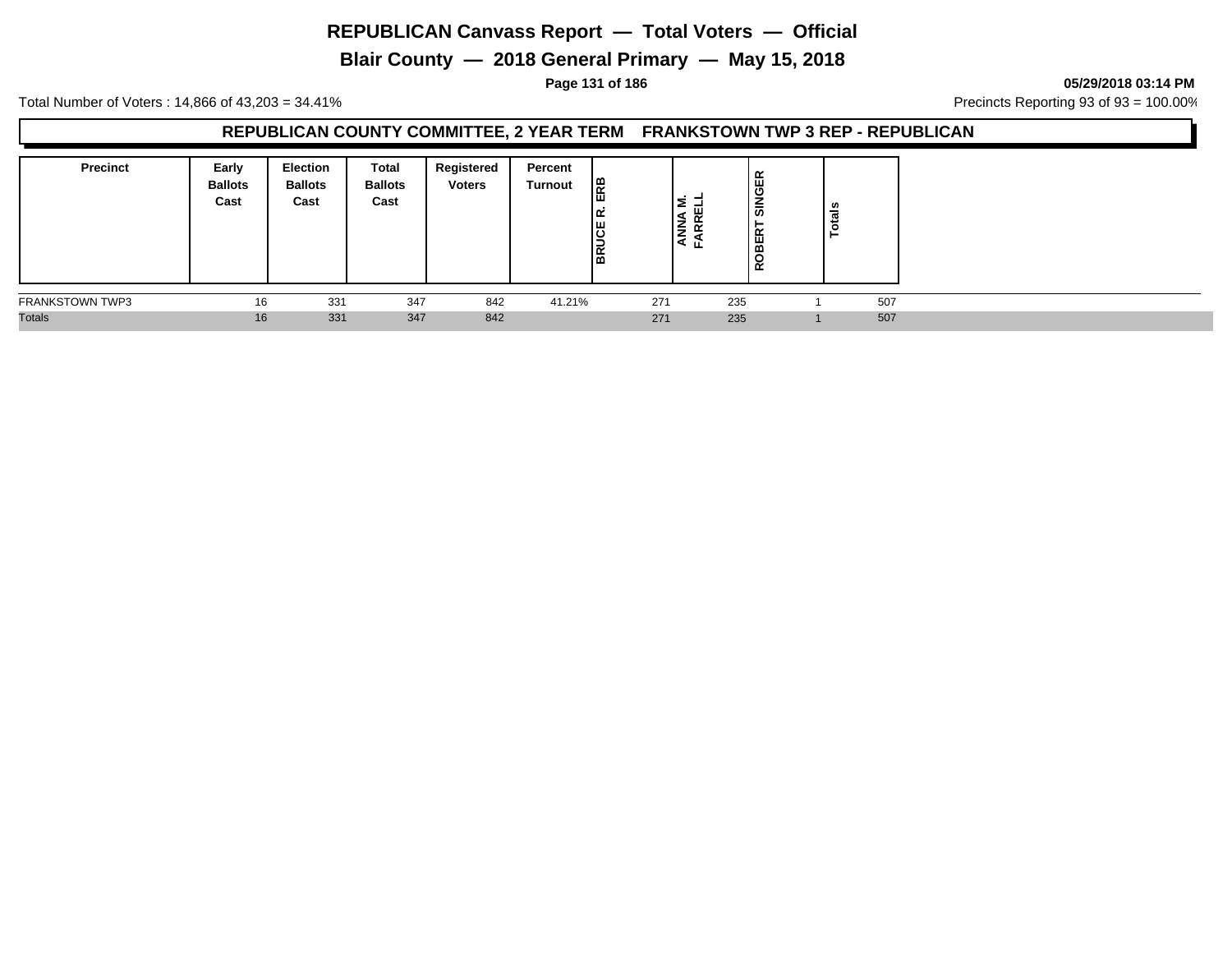**Blair County — 2018 General Primary — May 15, 2018**

**Page 131 of 186 05/29/2018 03:14 PM**

Total Number of Voters : 14,866 of 43,203 = 34.41% **Precincts Reporting 93 of 93** = 100.00%

#### **REPUBLICAN COUNTY COMMITTEE, 2 YEAR TERM FRANKSTOWN TWP 3 REP - REPUBLICAN**

| <b>Precinct</b>        | Early<br><b>Ballots</b><br>Cast | <b>Election</b><br><b>Ballots</b><br>Cast | <b>Total</b><br><b>Ballots</b><br>Cast | Registered<br><b>Voters</b> | Percent<br>Turnout | Eg<br>౹≃<br><b>BRUCE</b> | ζ<br>$\overline{\phantom{a}}$<br>a.<br>ட | ≃<br>SINGEI<br>OBER <sup>-</sup><br>$\alpha$ | ឹ   |  |
|------------------------|---------------------------------|-------------------------------------------|----------------------------------------|-----------------------------|--------------------|--------------------------|------------------------------------------|----------------------------------------------|-----|--|
| <b>FRANKSTOWN TWP3</b> | 16                              | 331                                       | 347                                    | 842                         | 41.21%             | 271                      | 235                                      |                                              | 507 |  |
| <b>Totals</b>          | 16                              | 331                                       | 347                                    | 842                         |                    | 271                      | 235                                      |                                              | 507 |  |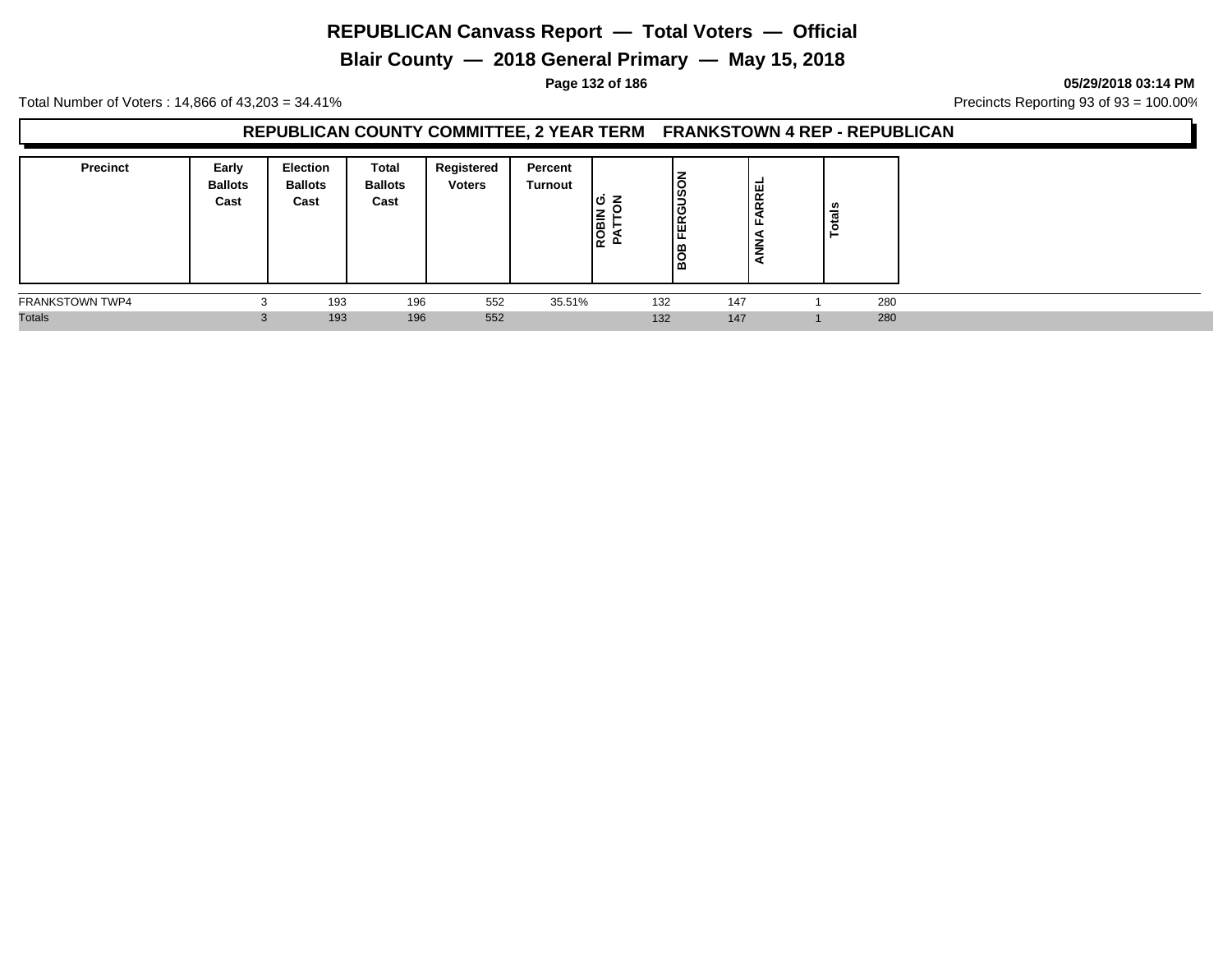**Blair County — 2018 General Primary — May 15, 2018**

**Page 132 of 186 05/29/2018 03:14 PM**

Total Number of Voters : 14,866 of 43,203 = 34.41% **Precincts Reporting 93 of 93** = 100.00%

## **REPUBLICAN COUNTY COMMITTEE, 2 YEAR TERM FRANKSTOWN 4 REP - REPUBLICAN**

| <b>Precinct</b><br>Early<br><b>Ballots</b><br>Cast |                   | <b>Election</b><br><b>Ballots</b><br>Cast | Total<br><b>Ballots</b><br>Cast | Registered<br><b>Voters</b> | Percent<br>Turnout | lဟ<br>▵<br><b>ROBIN</b><br>PATTC | ღ<br>Ι ပ<br>lœ<br>щ.<br>▥<br>. m |     | FARREL<br>ANNA | ≝ |     |
|----------------------------------------------------|-------------------|-------------------------------------------|---------------------------------|-----------------------------|--------------------|----------------------------------|----------------------------------|-----|----------------|---|-----|
| <b>FRANKSTOWN TWP4</b>                             | ◠<br>ъD           | 193                                       | 196                             | 552                         | 35.51%             |                                  | 132                              | 147 |                |   | 280 |
| <b>Totals</b>                                      | $\sim$<br>$\cdot$ | 193                                       | 196                             | 552                         |                    |                                  | 132                              | 147 |                |   | 280 |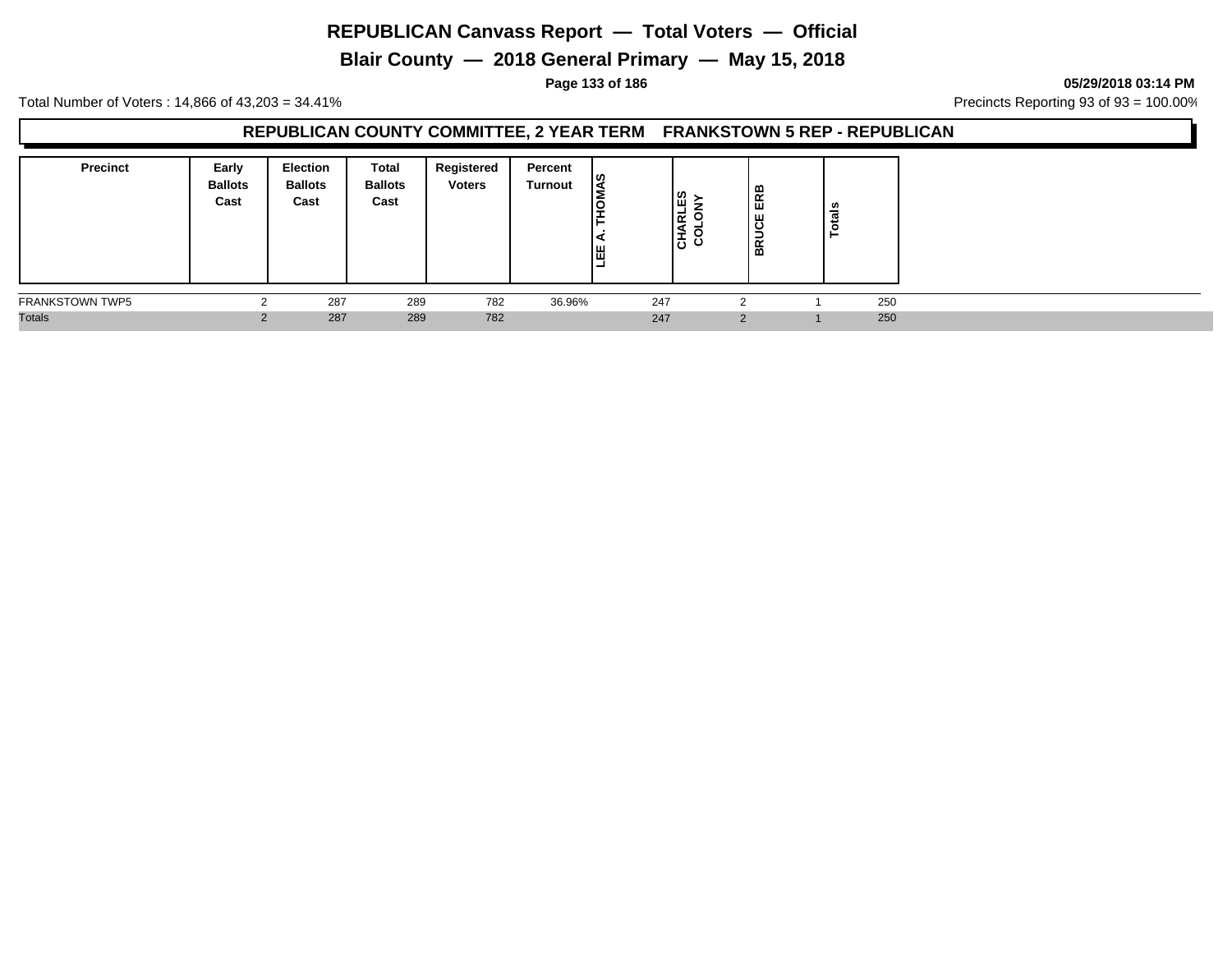**Blair County — 2018 General Primary — May 15, 2018**

**Page 133 of 186 05/29/2018 03:14 PM**

Total Number of Voters : 14,866 of 43,203 = 34.41% **Precincts Reporting 93 of 93** = 100.00%

## **REPUBLICAN COUNTY COMMITTEE, 2 YEAR TERM FRANKSTOWN 5 REP - REPUBLICAN**

| <b>Precinct</b>        | Early<br><b>Ballots</b><br>Cast | <b>Election</b><br><b>Ballots</b><br>Cast | Total<br><b>Ballots</b><br>Cast | Registered<br><b>Voters</b> | Percent<br>Turnout | ୲ଝ<br>間<br>- | ິ ≥<br>౹๔<br>١ō | ≃<br>ER<br>ш<br>g<br>BŔ | ៉ូទី |  |
|------------------------|---------------------------------|-------------------------------------------|---------------------------------|-----------------------------|--------------------|--------------|-----------------|-------------------------|------|--|
| <b>FRANKSTOWN TWP5</b> |                                 | 287                                       | 289                             | 782                         | 36.96%             | 247          |                 |                         | 250  |  |
| <b>Totals</b>          |                                 | 287                                       | 289                             | 782                         |                    | 247          |                 | $\Omega$                | 250  |  |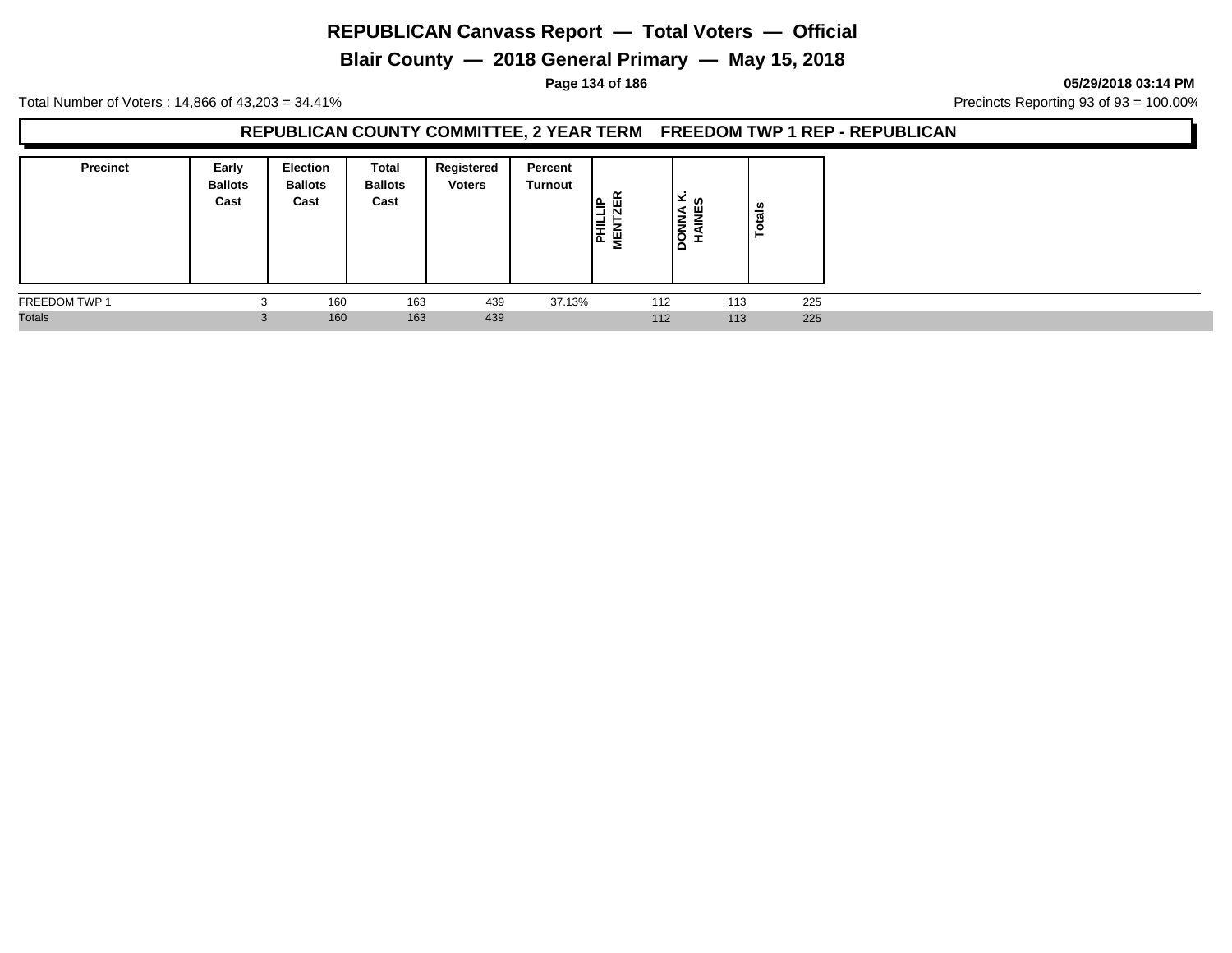**Blair County — 2018 General Primary — May 15, 2018**

**Page 134 of 186 05/29/2018 03:14 PM**

Total Number of Voters : 14,866 of 43,203 = 34.41% **Precincts Reporting 93 of 93** = 100.00%

#### **REPUBLICAN COUNTY COMMITTEE, 2 YEAR TERM FREEDOM TWP 1 REP - REPUBLICAN**

| <b>Precinct</b> | Early<br><b>Ballots</b><br>Cast | <b>Election</b><br><b>Ballots</b><br>Cast | Total<br><b>Ballots</b><br>Cast | Registered<br><b>Voters</b> | Percent<br>Turnout | 띥<br>뜨<br>-<br><b>HIL</b><br>NEN<br>MEN | ‰ ⊻ا<br>ч<br>١Ż<br>≐<br>lģ<br>-<br>▫ | tais<br>$\bullet$ |  |
|-----------------|---------------------------------|-------------------------------------------|---------------------------------|-----------------------------|--------------------|-----------------------------------------|--------------------------------------|-------------------|--|
| FREEDOM TWP 1   | ъ.                              | 160                                       | 163                             | 439                         | 37.13%             | 112                                     | 113                                  | 225               |  |
| <b>Totals</b>   | 3                               | 160                                       | 163                             | 439                         |                    | 112                                     | 113                                  | 225               |  |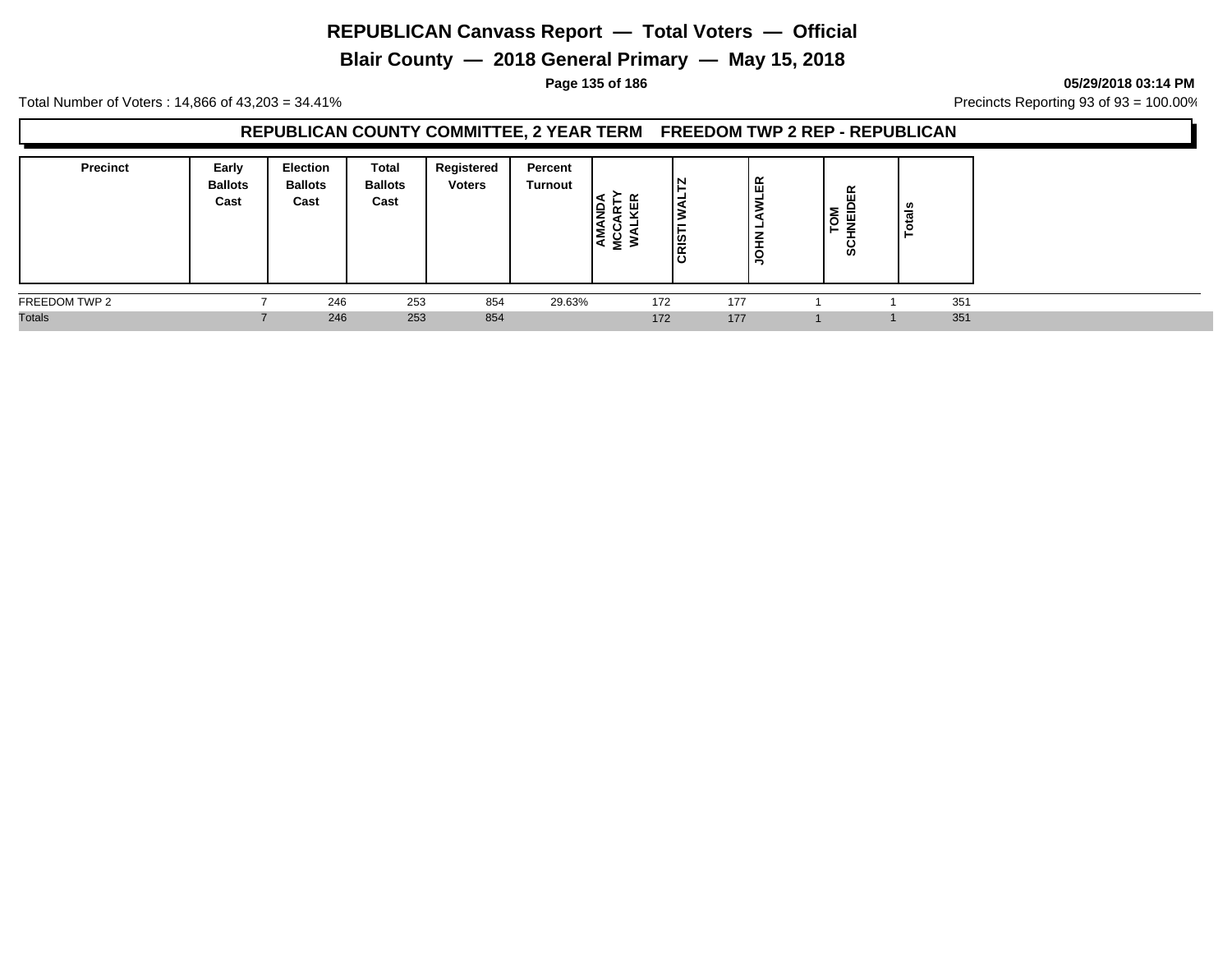**Blair County — 2018 General Primary — May 15, 2018**

**Page 135 of 186 05/29/2018 03:14 PM**

Total Number of Voters : 14,866 of 43,203 = 34.41% **Precincts Reporting 93 of 93** = 100.00%

## **REPUBLICAN COUNTY COMMITTEE, 2 YEAR TERM FREEDOM TWP 2 REP - REPUBLICAN**

| <b>Precinct</b> | Early<br><b>Ballots</b><br>Cast | <b>Election</b><br><b>Ballots</b><br>Cast | Total<br><b>Ballots</b><br>Cast | Registered<br><b>Voters</b> | Percent<br>Turnout | s   | IN<br>∣່ຫຼ<br>ıα | 띥<br>-<br>z<br>-<br>C | Σ<br>$\circ$ | œ<br>=<br>_<br>≘<br><b>S</b> | ឹ<br>- 11 |     |
|-----------------|---------------------------------|-------------------------------------------|---------------------------------|-----------------------------|--------------------|-----|------------------|-----------------------|--------------|------------------------------|-----------|-----|
| FREEDOM TWP 2   |                                 | 246                                       | 253                             | 854                         | 29.63%             | 172 |                  | 177                   |              |                              |           | 351 |
| <b>Totals</b>   |                                 | 246                                       | 253                             | 854                         |                    | 172 |                  | 177                   |              |                              |           | 351 |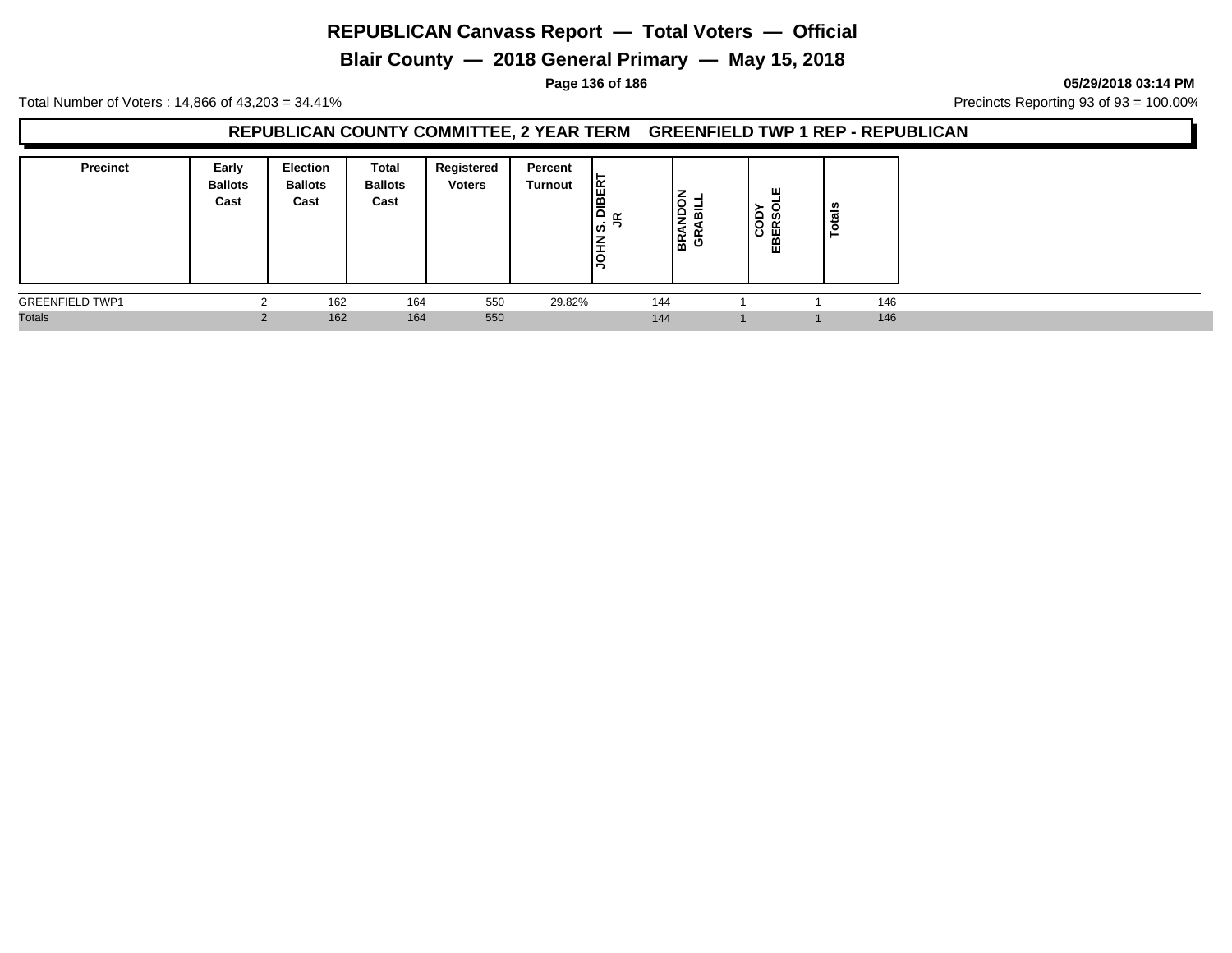**Blair County — 2018 General Primary — May 15, 2018**

**Page 136 of 186 05/29/2018 03:14 PM**

Total Number of Voters : 14,866 of 43,203 = 34.41% Precincts Reporting 93 of 93 = 100.00%

## **REPUBLICAN COUNTY COMMITTEE, 2 YEAR TERM GREENFIELD TWP 1 REP - REPUBLICAN**

| <b>Precinct</b>        | Early<br><b>Ballots</b><br>Cast | <b>Election</b><br><b>Ballots</b><br>Cast | <b>Total</b><br><b>Ballots</b><br>Cast | Registered<br><b>Voters</b> | Percent<br><b>Turnout</b> | lã<br>١ā<br>$\alpha$<br>ျ⁄ာ<br><b>NHQ</b> | m<br>18 윤 | ш<br>≏<br>ທ<br>$\circ$<br>$\alpha$<br>⊞ | n,<br>त्त<br>- |  |
|------------------------|---------------------------------|-------------------------------------------|----------------------------------------|-----------------------------|---------------------------|-------------------------------------------|-----------|-----------------------------------------|----------------|--|
| <b>GREENFIELD TWP1</b> |                                 | 162                                       | 164                                    | 550                         | 29.82%                    | 144                                       |           |                                         | 146            |  |
| <b>Totals</b>          |                                 | 162                                       | 164                                    | 550                         |                           | 144                                       |           |                                         | 146            |  |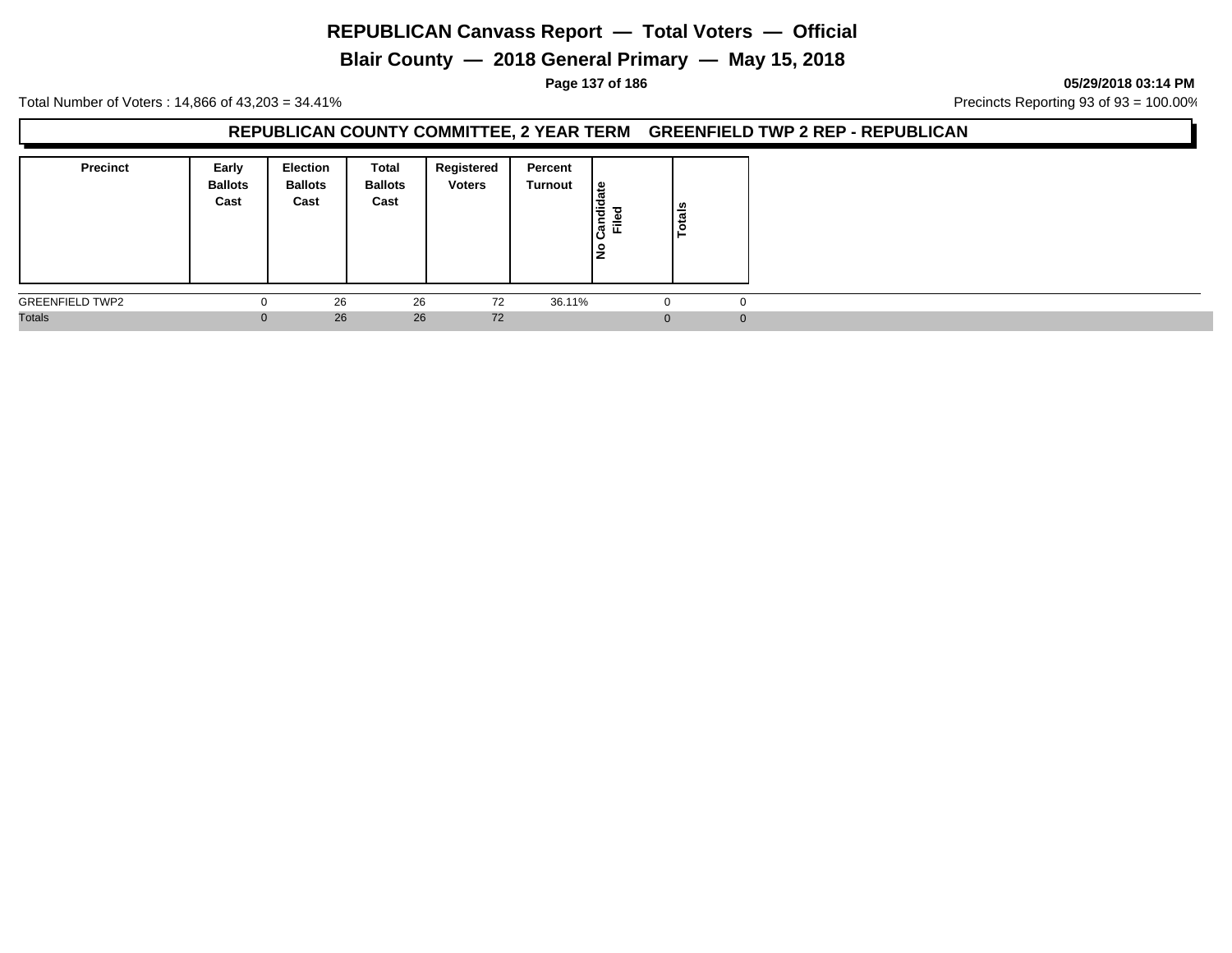**Blair County — 2018 General Primary — May 15, 2018**

**Page 137 of 186 05/29/2018 03:14 PM**

Total Number of Voters : 14,866 of 43,203 = 34.41% Precincts Reporting 93 of 93 = 100.00%

#### **REPUBLICAN COUNTY COMMITTEE, 2 YEAR TERM GREENFIELD TWP 2 REP - REPUBLICAN**

| <b>Precinct</b>        | Early<br><b>Ballots</b><br>Cast | Election<br><b>Ballots</b><br>Cast | Total<br><b>Ballots</b><br>Cast | Registered<br><b>Voters</b> | Percent<br>Turnout | late<br>Candida<br>≔<br>щ<br>lş | Totals   |
|------------------------|---------------------------------|------------------------------------|---------------------------------|-----------------------------|--------------------|---------------------------------|----------|
| <b>GREENFIELD TWP2</b> |                                 | 26                                 | 26                              | 72                          | 36.11%             |                                 |          |
| <b>Totals</b>          |                                 | 26                                 | 26                              | 72                          |                    |                                 | $\Omega$ |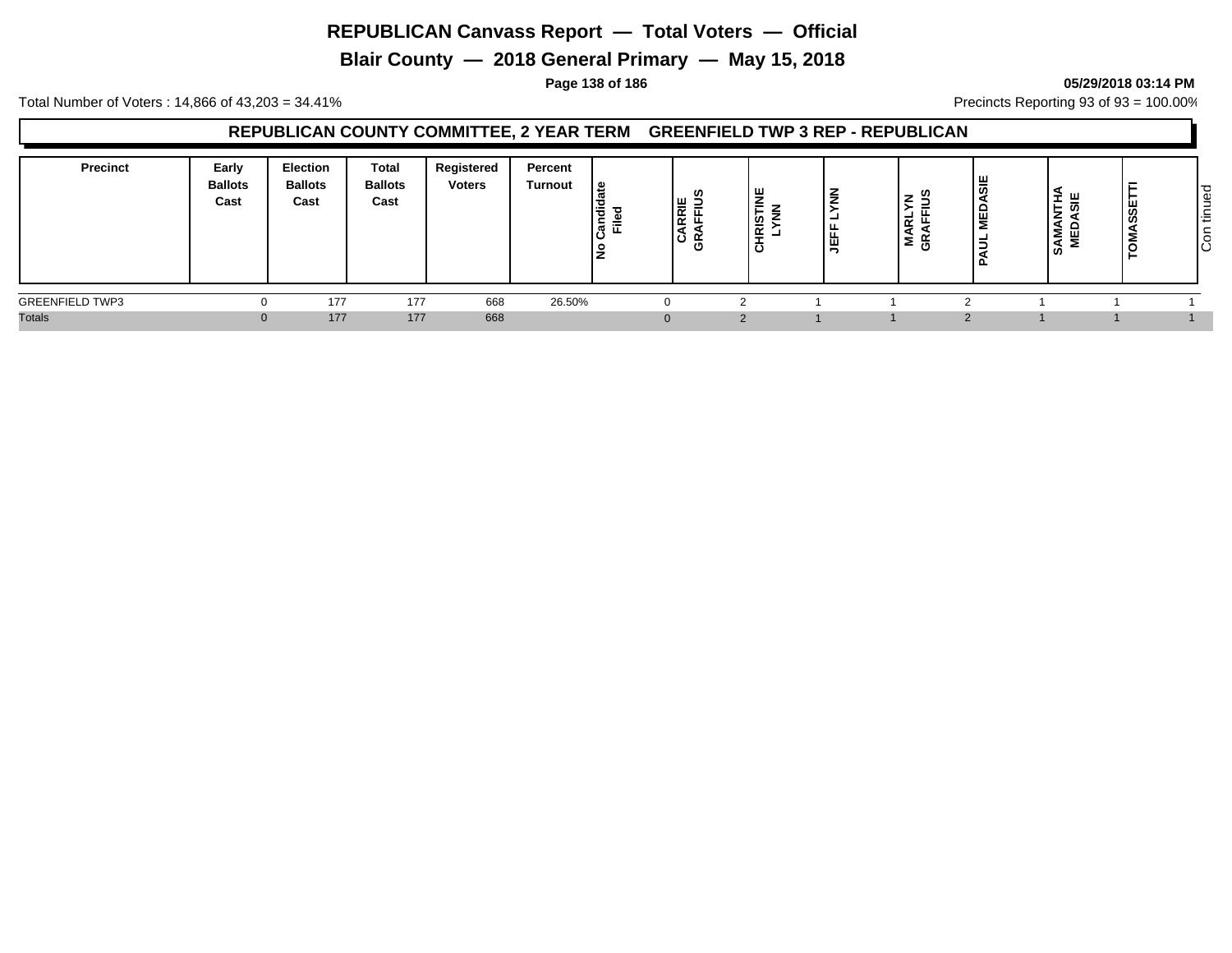**Blair County — 2018 General Primary — May 15, 2018**

#### **Page 138 of 186 05/29/2018 03:14 PM**

Total Number of Voters : 14,866 of 43,203 = 34.41% **Precincts Reporting 93 of 93** = 100.00%

## **REPUBLICAN COUNTY COMMITTEE, 2 YEAR TERM GREENFIELD TWP 3 REP - REPUBLICAN**

| Precinct               | Early<br><b>Ballots</b><br>Cast | Election<br><b>Ballots</b><br>Cast | Total<br><b>Ballots</b><br>Cast | Registered<br><b>Voters</b> | Percent<br><b>Turnout</b> | <u>.e</u><br>Candid<br>Filed<br>o | ഗ<br>$\frac{1}{R}$<br>0١ | ш<br>-<br>ഗ<br>-<br>≅<br>Ω | z<br>一面 | ۔<br><u>_</u><br>定<br>≥ັ ⊕ັ | ш<br>٩ | ব<br>œ.<br>-<br><b>SAMANTI</b><br>MEDASI | $\overline{\sigma}$<br>Φ<br>-<br>-<br><b>_</b><br>ا ≓<br>င်္ပြ |
|------------------------|---------------------------------|------------------------------------|---------------------------------|-----------------------------|---------------------------|-----------------------------------|--------------------------|----------------------------|---------|-----------------------------|--------|------------------------------------------|----------------------------------------------------------------|
| <b>GREENFIELD TWP3</b> |                                 | 177                                | 177                             | 668                         | 26.50%                    |                                   |                          |                            |         |                             |        |                                          |                                                                |
| <b>Totals</b>          |                                 | 177                                | 177                             | 668                         |                           |                                   | $\mathbf{0}$             | $\Omega$                   |         |                             |        |                                          |                                                                |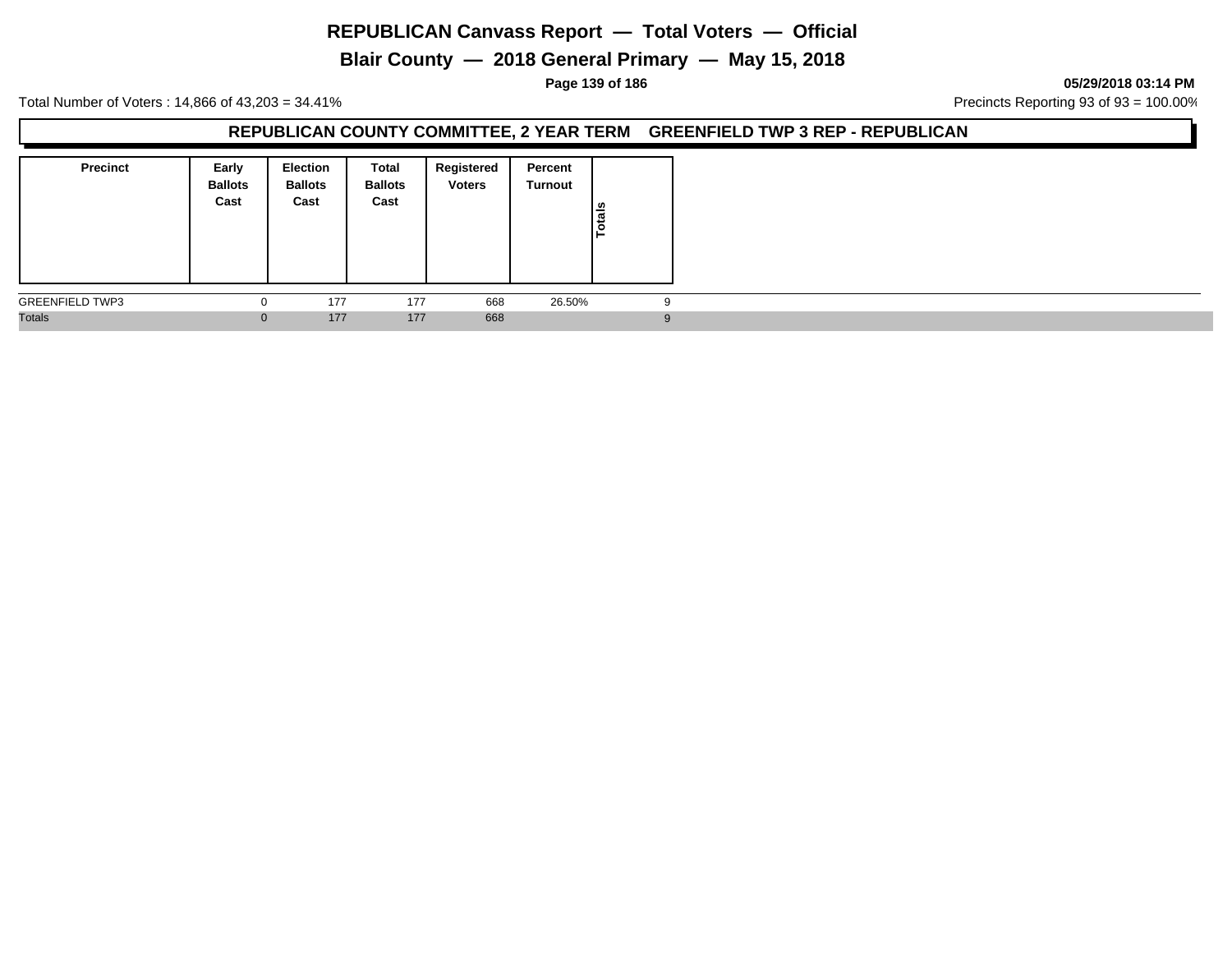**Blair County — 2018 General Primary — May 15, 2018**

#### **Page 139 of 186 05/29/2018 03:14 PM**

Total Number of Voters : 14,866 of 43,203 = 34.41% Precincts Reporting 93 of 93 = 100.00%

#### **REPUBLICAN COUNTY COMMITTEE, 2 YEAR TERM GREENFIELD TWP 3 REP - REPUBLICAN**

| <b>Precinct</b>        | Early<br><b>Ballots</b><br>Cast | <b>Election</b><br><b>Ballots</b><br>Cast | Total<br><b>Ballots</b><br>Cast | Registered<br><b>Voters</b> | Percent<br>Turnout | Totals |   |
|------------------------|---------------------------------|-------------------------------------------|---------------------------------|-----------------------------|--------------------|--------|---|
| <b>GREENFIELD TWP3</b> |                                 | 177                                       | 177                             | 668                         | 26.50%             |        |   |
| <b>Totals</b>          |                                 | 177                                       | 177                             | 668                         |                    |        | 9 |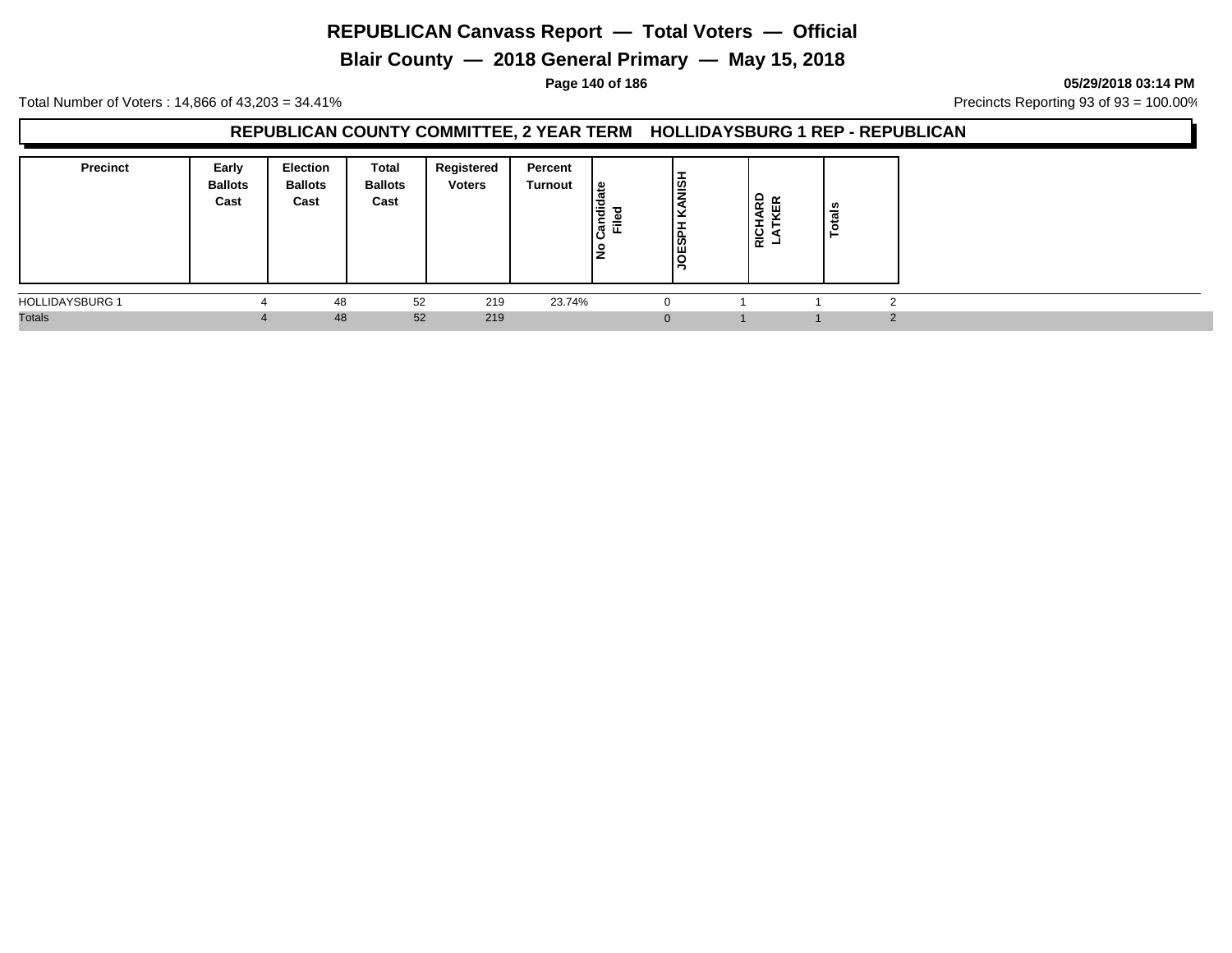**Blair County — 2018 General Primary — May 15, 2018**

**Page 140 of 186 05/29/2018 03:14 PM**

Total Number of Voters : 14,866 of 43,203 = 34.41% **Precincts Reporting 93 of 93** = 100.00%

## **REPUBLICAN COUNTY COMMITTEE, 2 YEAR TERM HOLLIDAYSBURG 1 REP - REPUBLICAN**

| <b>Precinct</b>        | Early<br><b>Ballots</b><br>Cast | Election<br><b>Ballots</b><br>Cast | <b>Total</b><br><b>Ballots</b><br>Cast | Registered<br><b>Voters</b> | Percent<br>Turnout | 읊<br>Candid<br>≂<br>ட<br>lŁ | -<br> ਭੂੰ<br>JOESPI | $\mathbf{P}$ $\mathbf{R}$<br>≃<br>ш<br>) 동<br>  동 | ឹ |
|------------------------|---------------------------------|------------------------------------|----------------------------------------|-----------------------------|--------------------|-----------------------------|---------------------|---------------------------------------------------|---|
| <b>HOLLIDAYSBURG 1</b> |                                 | 48                                 | 52                                     | 219                         | 23.74%             | $\Omega$                    |                     |                                                   |   |
| <b>Totals</b>          |                                 | 48                                 | 52                                     | 219                         |                    | $\mathbf{0}$                |                     |                                                   |   |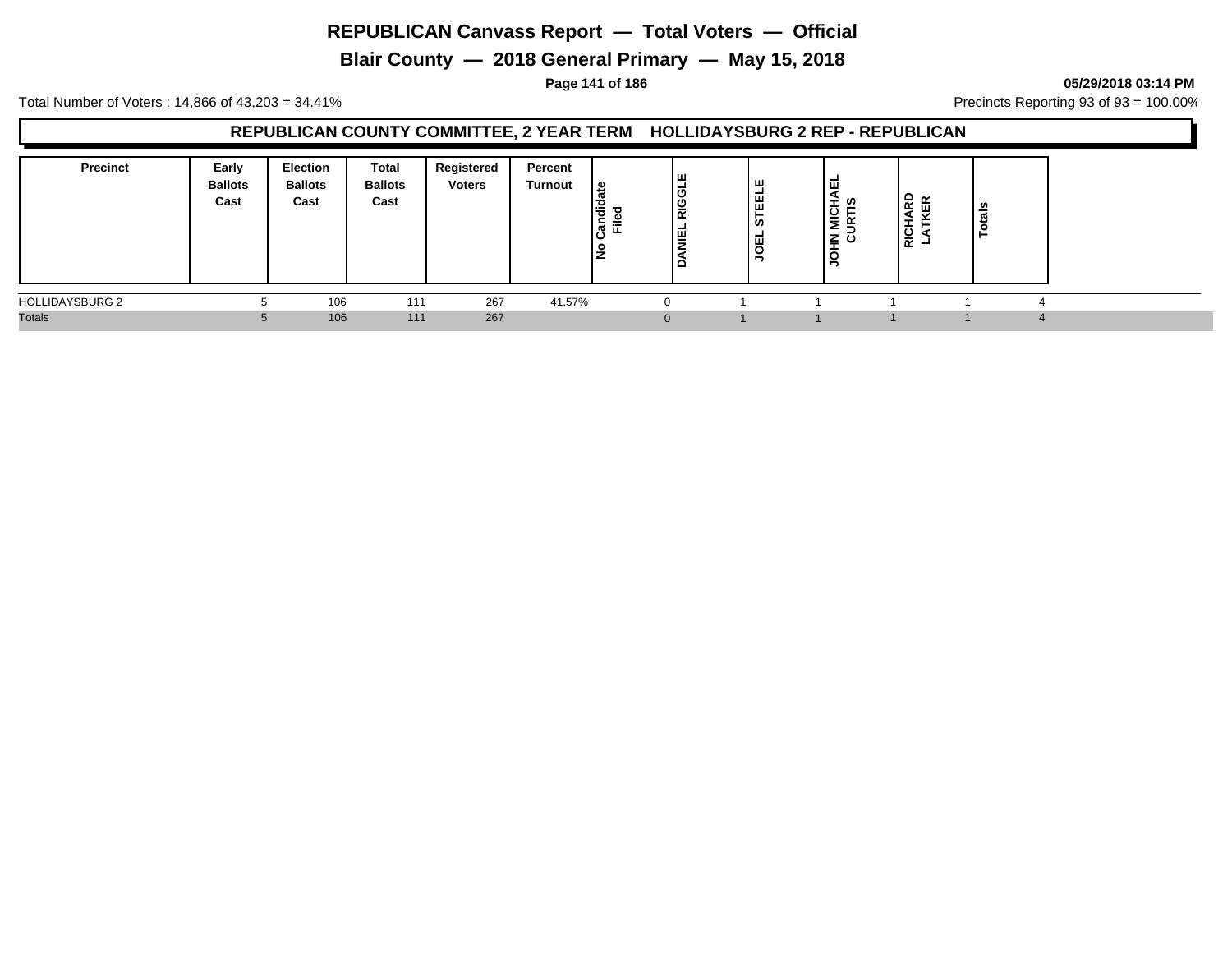**Blair County — 2018 General Primary — May 15, 2018**

#### **Page 141 of 186 05/29/2018 03:14 PM**

Total Number of Voters : 14,866 of 43,203 = 34.41% **Precincts Reporting 93 of 93** = 100.00%

## **REPUBLICAN COUNTY COMMITTEE, 2 YEAR TERM HOLLIDAYSBURG 2 REP - REPUBLICAN**

| <b>Precinct</b>        | Early<br><b>Ballots</b><br>Cast | <b>Election</b><br><b>Ballots</b><br>Cast | Total<br><b>Ballots</b><br>Cast | Registered<br><b>Voters</b> | Percent<br>Turnout | ¦ ≌<br>등<br>ີ<br>ເສົ<br>$=$<br>щ<br>$\circ$ | Iш<br>-<br>ن ا<br>RIG<br>l≣ | щ<br>। ⊞<br>ທ<br>щ<br>⊻ | ᇳ<br>÷<br>U)<br>ᅩ<br>₫<br>-<br>zō<br>-<br>-<br>◡<br>∍ | 운 FE<br>я<br><b>RICH</b> | tais<br><b>O</b><br>- |
|------------------------|---------------------------------|-------------------------------------------|---------------------------------|-----------------------------|--------------------|---------------------------------------------|-----------------------------|-------------------------|-------------------------------------------------------|--------------------------|-----------------------|
| <b>HOLLIDAYSBURG 2</b> | n                               | 106                                       | 111                             | 267                         | 41.57%             |                                             |                             |                         |                                                       |                          |                       |
| <b>Totals</b>          |                                 | 106                                       | 111                             | 267                         |                    |                                             |                             |                         |                                                       |                          |                       |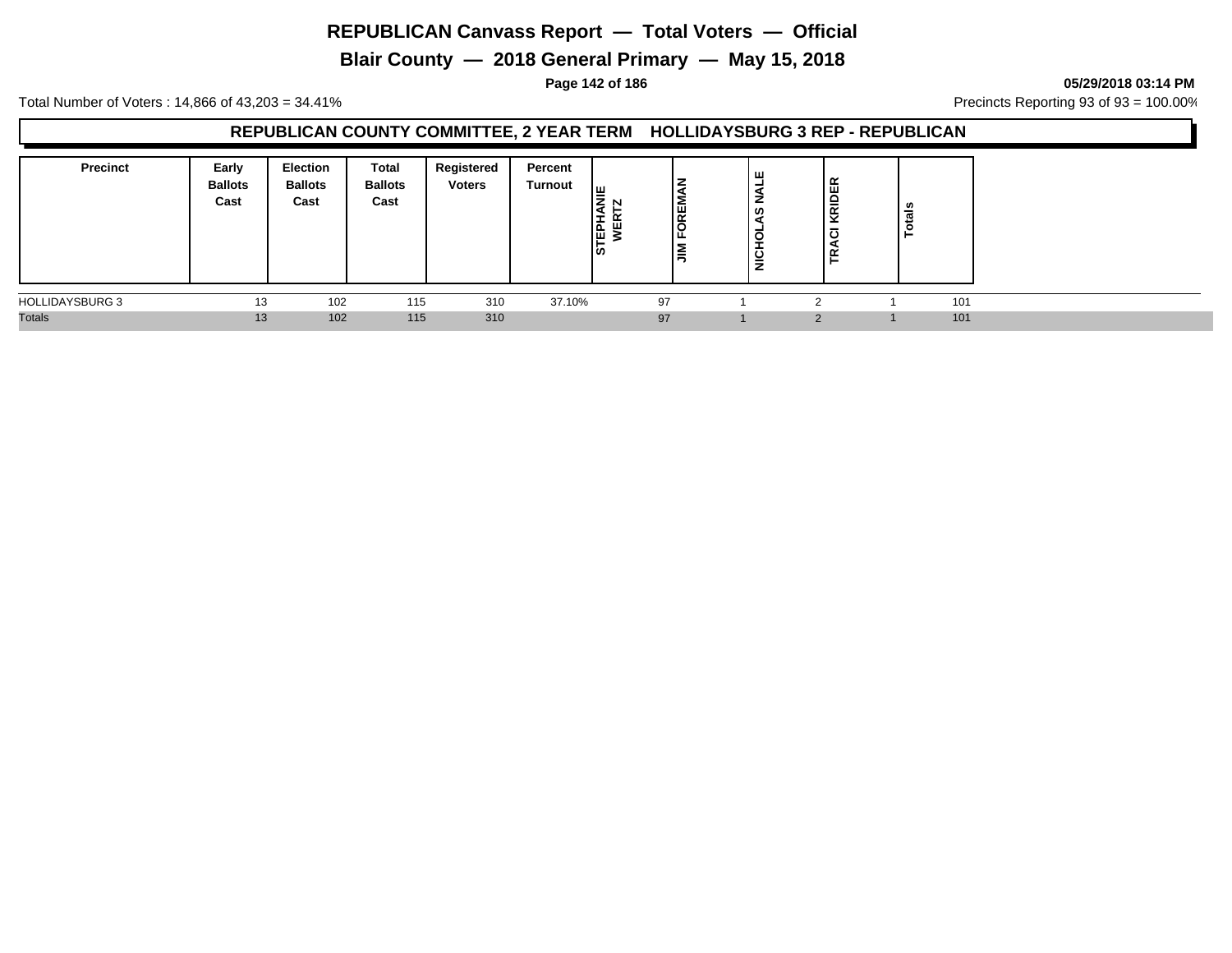**Blair County — 2018 General Primary — May 15, 2018**

**Page 142 of 186 05/29/2018 03:14 PM**

Total Number of Voters : 14,866 of 43,203 = 34.41% **Precincts Reporting 93 of 93** = 100.00%

## **REPUBLICAN COUNTY COMMITTEE, 2 YEAR TERM HOLLIDAYSBURG 3 REP - REPUBLICAN**

| <b>Precinct</b>        | Early<br><b>Ballots</b><br>Cast | <b>Election</b><br><b>Ballots</b><br>Cast | Total<br><b>Ballots</b><br>Cast | Registered<br><b>Voters</b> | Percent<br><b>Turnout</b> | שן<br>N<br><b>STEPH</b><br>面 | <b>OREM</b><br>ш<br>╺<br>Ξ | щ<br>z<br>S,<br>NICHO | <b>RIDER</b><br>ပ<br>່≃<br>∽ | tals<br>Ğ |  |
|------------------------|---------------------------------|-------------------------------------------|---------------------------------|-----------------------------|---------------------------|------------------------------|----------------------------|-----------------------|------------------------------|-----------|--|
| <b>HOLLIDAYSBURG 3</b> | 13                              | 102                                       | 115                             | 310                         | 37.10%                    | 97                           |                            |                       | $\sim$                       | 101       |  |
| <b>Totals</b>          | 13                              | 102                                       | 115                             | 310                         |                           | 97                           |                            |                       | റ                            | 101       |  |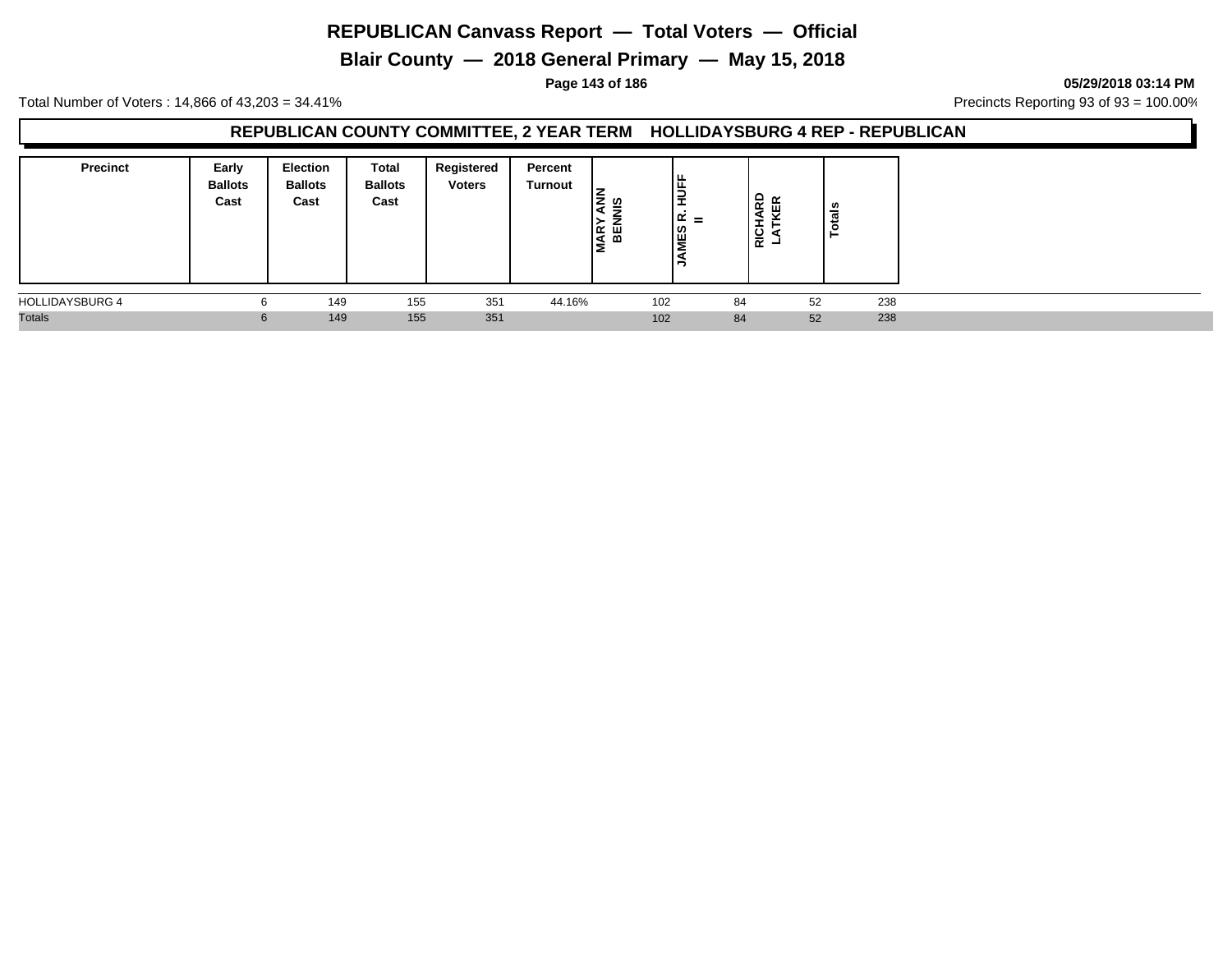**Blair County — 2018 General Primary — May 15, 2018**

**Page 143 of 186 05/29/2018 03:14 PM**

Total Number of Voters : 14,866 of 43,203 = 34.41% Precincts Reporting 93 of 93 = 100.00%

#### **REPUBLICAN COUNTY COMMITTEE, 2 YEAR TERM HOLLIDAYSBURG 4 REP - REPUBLICAN**

| <b>Precinct</b>        | Early<br><b>Ballots</b><br>Cast | Election<br><b>Ballots</b><br>Cast | <b>Total</b><br><b>Ballots</b><br>Cast | Registered<br><b>Voters</b> | Percent<br><b>Turnout</b> | ທ<br>MAR <sup>'</sup><br>BEI | l≝<br>ب<br>-<br>$\alpha =$<br>∣≌ | ≏<br>$\alpha$<br>$\propto$<br>) 등 국 | ៖   |  |
|------------------------|---------------------------------|------------------------------------|----------------------------------------|-----------------------------|---------------------------|------------------------------|----------------------------------|-------------------------------------|-----|--|
| <b>HOLLIDAYSBURG 4</b> |                                 | 149                                | 155                                    | 351                         | 44.16%                    | 102                          | 84                               | 52                                  | 238 |  |
| <b>Totals</b>          | $\mathbf{p}$                    | 149                                | 155                                    | 351                         |                           | 102                          | 84                               | 52                                  | 238 |  |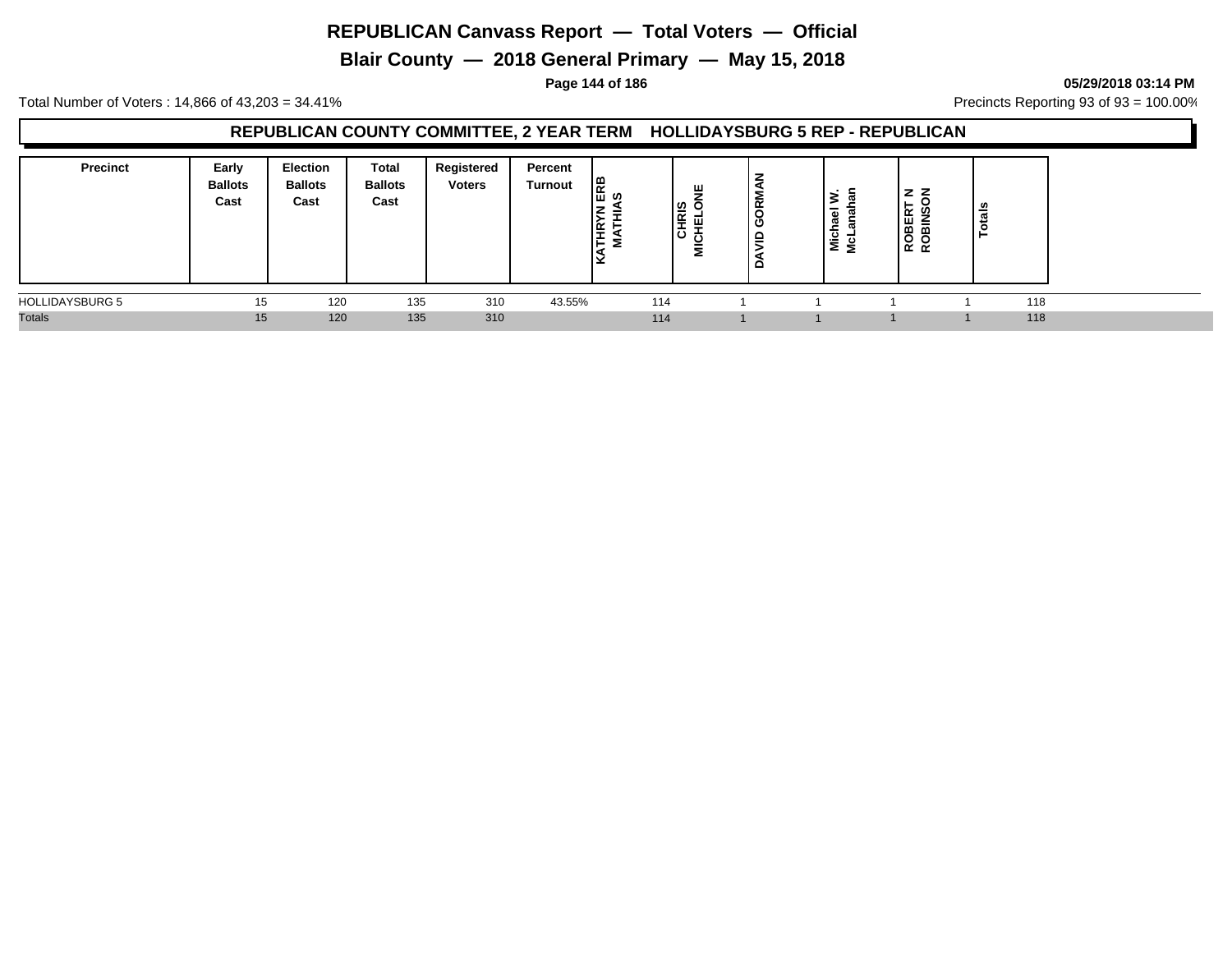**Blair County — 2018 General Primary — May 15, 2018**

#### **Page 144 of 186 05/29/2018 03:14 PM**

Total Number of Voters : 14,866 of 43,203 = 34.41% **Precincts Reporting 93 of 93** = 100.00%

## **REPUBLICAN COUNTY COMMITTEE, 2 YEAR TERM HOLLIDAYSBURG 5 REP - REPUBLICAN**

| <b>Precinct</b>        | Early<br><b>Ballots</b><br>Cast | Election<br><b>Ballots</b><br>Cast | Total<br><b>Ballots</b><br>Cast | Registered<br><b>Voters</b> | Percent<br>Turnout | $\frac{1}{2}$<br>l∉<br>E. | ш<br>≂<br>CHRIS<br>펱<br><b>NIC</b> | Σ<br>ิ≃<br>C<br>-<br>- | $\overline{\mathbf{a}}$<br>π<br>~<br>$\frac{1}{2}$ $\frac{1}{2}$ | <b>ROBINS</b><br>ROBINS | ន់  |
|------------------------|---------------------------------|------------------------------------|---------------------------------|-----------------------------|--------------------|---------------------------|------------------------------------|------------------------|------------------------------------------------------------------|-------------------------|-----|
| <b>HOLLIDAYSBURG 5</b> | 15                              | 120                                | 135                             | 310                         | 43.55%             | 114                       |                                    |                        |                                                                  |                         | 118 |
| <b>Totals</b>          | 15                              | 120                                | 135                             | 310                         |                    | 114                       |                                    |                        |                                                                  |                         | 118 |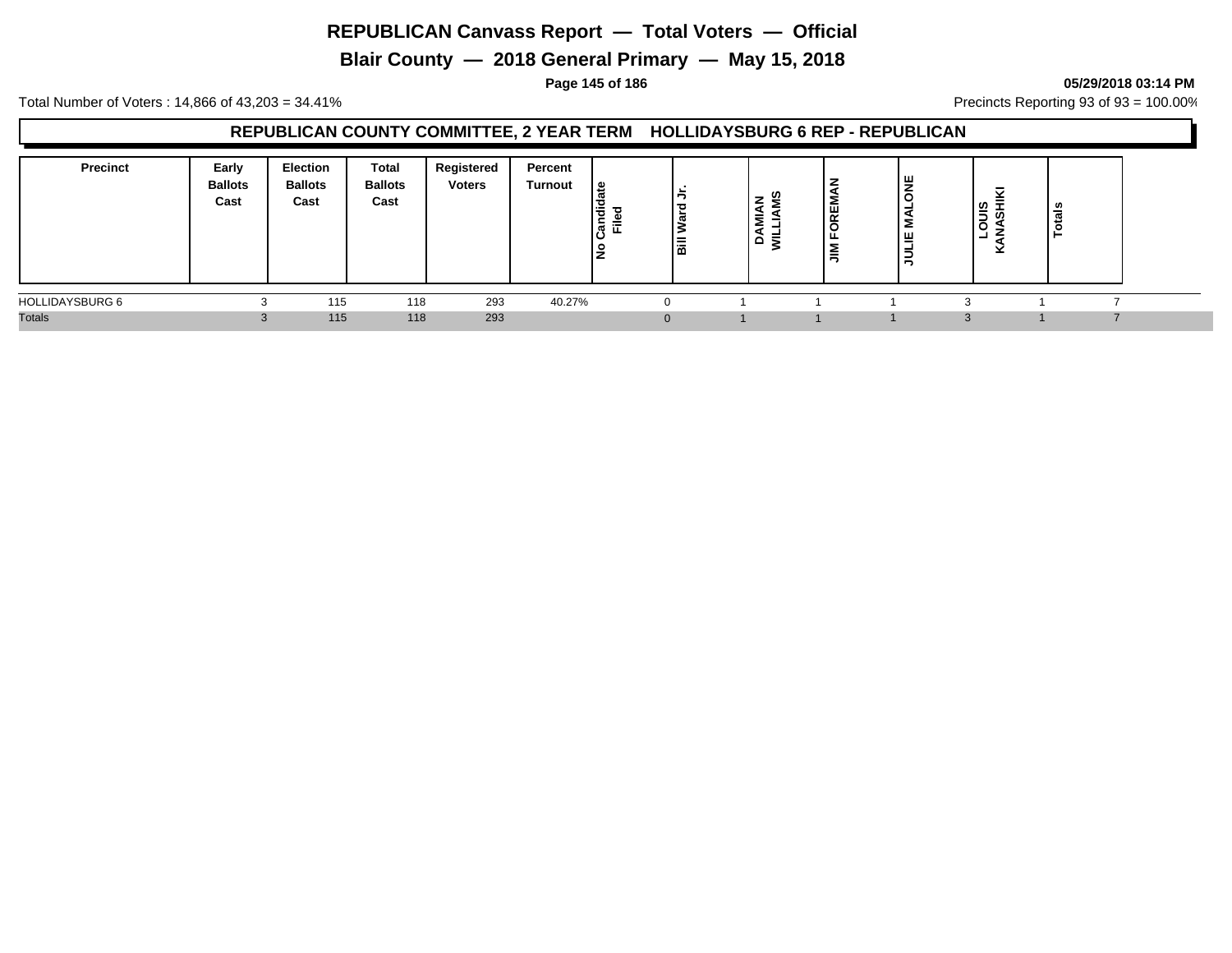**Blair County — 2018 General Primary — May 15, 2018**

#### **Page 145 of 186 05/29/2018 03:14 PM**

Total Number of Voters : 14,866 of 43,203 = 34.41% **Precincts Reporting 93 of 93** = 100.00%

### **REPUBLICAN COUNTY COMMITTEE, 2 YEAR TERM HOLLIDAYSBURG 6 REP - REPUBLICAN**

| <b>Precinct</b><br>Early<br><b>Ballots</b><br>Cast | Election<br><b>Ballots</b><br>Cast | <b>Total</b><br><b>Ballots</b><br>Cast | Registered<br><b>Voters</b> | Percent<br>Turnout | ூ<br><br>ᅙ<br>⋍<br>ਛ | l≣ | U<br>⇁<br>∼<br>Ξ<br>ΑĒ | <b>REN</b><br>∼<br>ட<br>$\sum_{i=1}^{\infty}$ | <b>B</b><br>- -<br>Σ<br>lщ<br>$\overline{5}$ | $rac{8}{5}$<br>∽<br>◡ | - |  |
|----------------------------------------------------|------------------------------------|----------------------------------------|-----------------------------|--------------------|----------------------|----|------------------------|-----------------------------------------------|----------------------------------------------|-----------------------|---|--|
| <b>HOLLIDAYSBURG 6</b>                             | 115                                | 118                                    | 293                         | 40.27%             |                      |    |                        |                                               |                                              |                       |   |  |
| <b>Totals</b>                                      | 115                                | 118                                    | 293                         |                    |                      |    |                        |                                               |                                              |                       |   |  |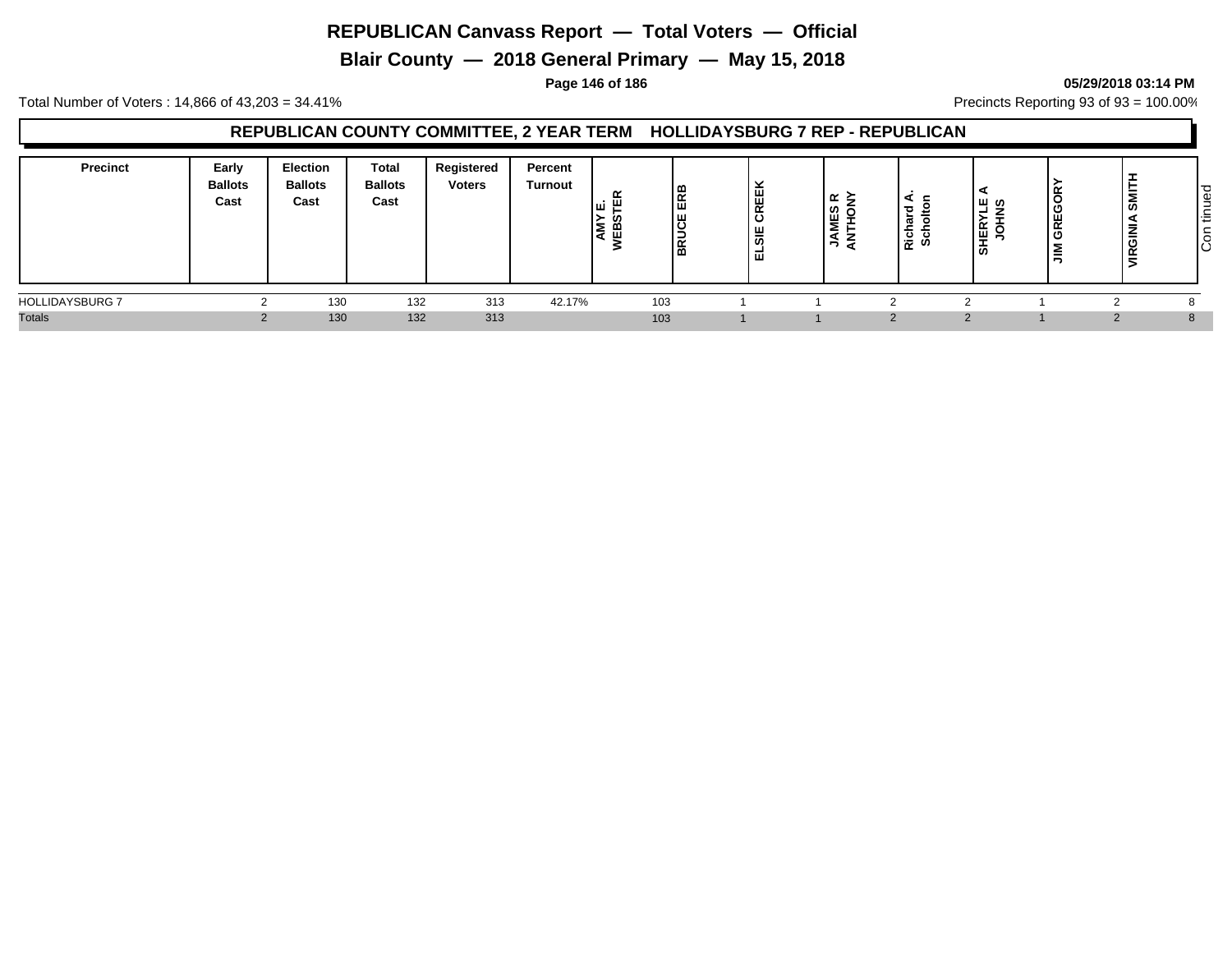**Blair County — 2018 General Primary — May 15, 2018**

#### **Page 146 of 186 05/29/2018 03:14 PM**

Total Number of Voters : 14,866 of 43,203 = 34.41% **Precincts Reporting 93 of 93** = 100.00%

### **REPUBLICAN COUNTY COMMITTEE, 2 YEAR TERM HOLLIDAYSBURG 7 REP - REPUBLICAN**

| Precinct               | Early<br><b>Ballots</b><br>Cast | <b>Election</b><br><b>Ballots</b><br>Cast | Total<br><b>Ballots</b><br>Cast | Registered<br><b>Voters</b> | Percent<br>Turnout | œ<br>.: ш<br>ய<br>≻<br>ن ع∣<br>$\overline{\phantom{a}}$ | ERB<br><b>BRUCE</b> | ີ<br><b>.</b><br>CREE<br>ш<br>-<br>ഄ<br>-<br>ш | ? ∠ء ا<br>THO<br>기원<br>₹<br>◢ | ∼<br>$\overline{\phantom{a}}$<br>تتعا<br>nich<br>Sch | ທ<br>ш.<br>۰.<br>-<br>$\overline{\phantom{a}}$<br>Æ<br>≝<br>ဖ | GREGO<br>言 | Ē<br>ഗ<br>-<br>≧<br>$\alpha$<br>≂<br>э. | ס ו<br>₫<br>-<br>$\sim$<br>造<br>ခြ |
|------------------------|---------------------------------|-------------------------------------------|---------------------------------|-----------------------------|--------------------|---------------------------------------------------------|---------------------|------------------------------------------------|-------------------------------|------------------------------------------------------|---------------------------------------------------------------|------------|-----------------------------------------|------------------------------------|
| <b>HOLLIDAYSBURG 7</b> |                                 | 130                                       | 132                             | 313                         | 42.17%             | 103                                                     |                     |                                                |                               |                                                      |                                                               |            |                                         |                                    |
| <b>Totals</b>          |                                 | 130                                       | 132                             | 313                         |                    | 103                                                     |                     |                                                |                               |                                                      |                                                               |            |                                         | 8                                  |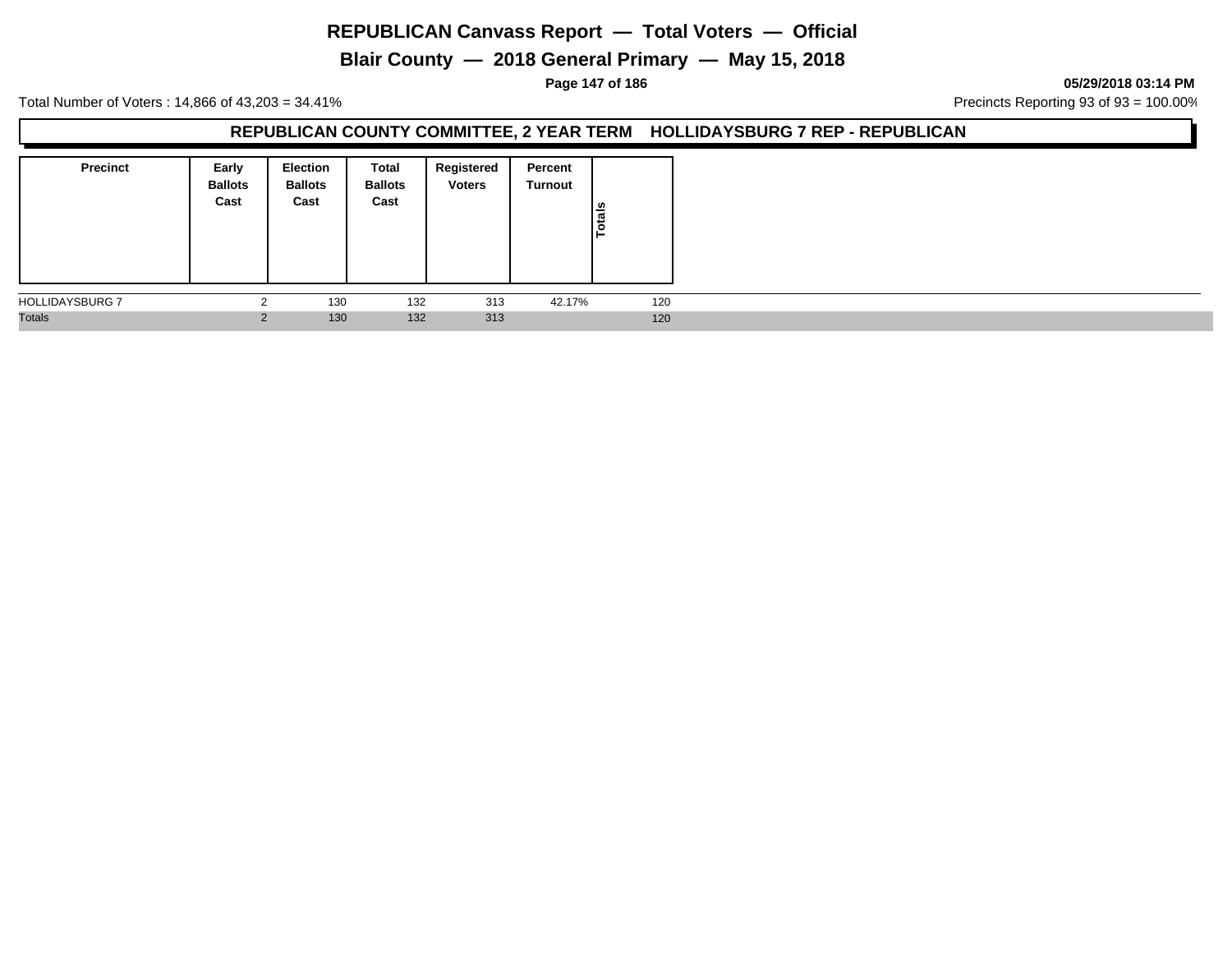**Blair County — 2018 General Primary — May 15, 2018**

#### **Page 147 of 186 05/29/2018 03:14 PM**

Total Number of Voters : 14,866 of 43,203 = 34.41% Precincts Reporting 93 of 93 = 100.00%

### **REPUBLICAN COUNTY COMMITTEE, 2 YEAR TERM HOLLIDAYSBURG 7 REP - REPUBLICAN**

| <b>Precinct</b>        | Early<br><b>Ballots</b><br>Cast | <b>Election</b><br><b>Ballots</b><br>Cast | Total<br><b>Ballots</b><br>Cast | Registered<br><b>Voters</b> | Percent<br>Turnout | Totals |
|------------------------|---------------------------------|-------------------------------------------|---------------------------------|-----------------------------|--------------------|--------|
| <b>HOLLIDAYSBURG 7</b> |                                 | 130                                       | 132                             | 313                         | 42.17%             | 120    |
| <b>Totals</b>          |                                 | 130                                       | 132                             | 313                         |                    | 120    |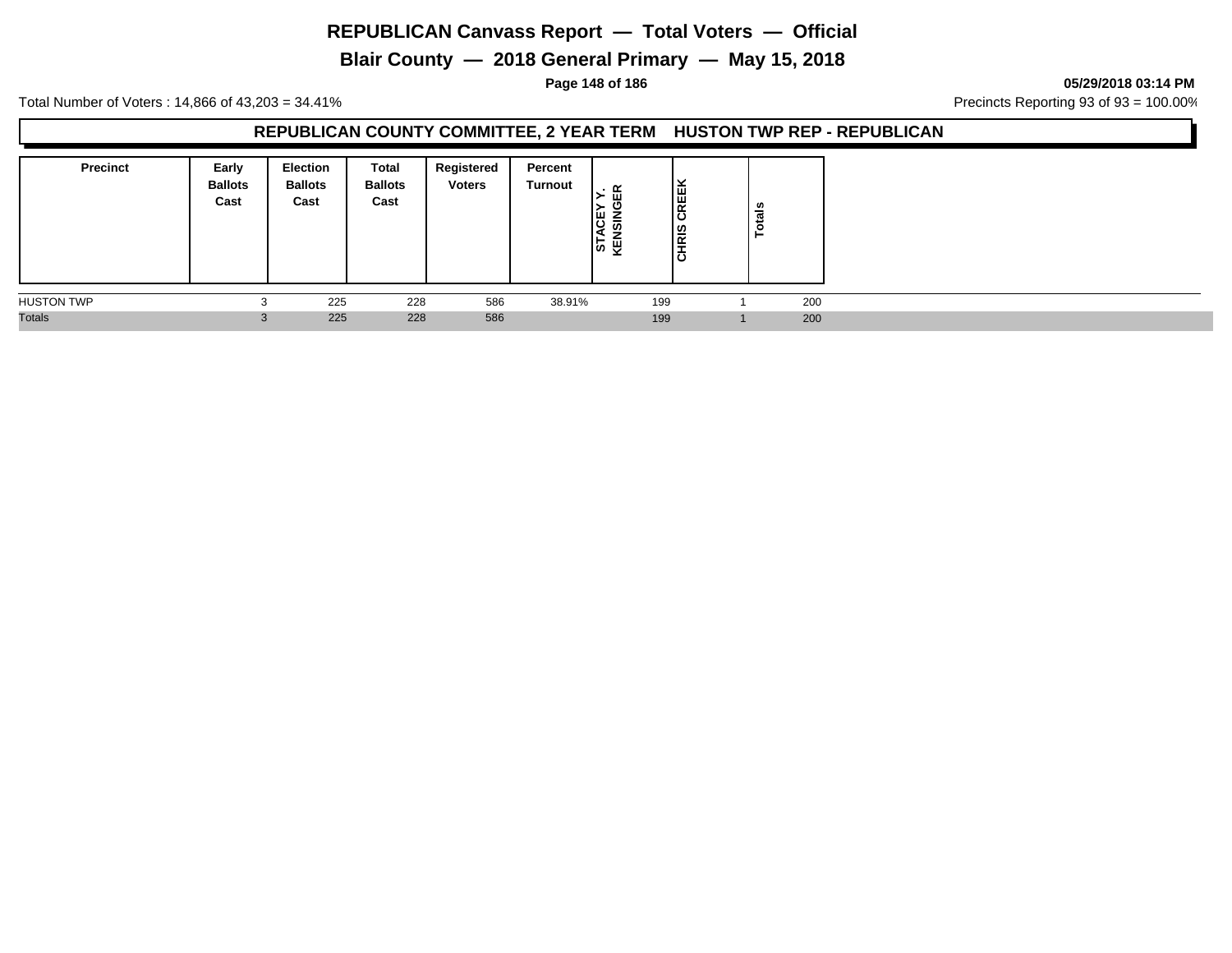**Blair County — 2018 General Primary — May 15, 2018**

**Page 148 of 186 05/29/2018 03:14 PM**

Total Number of Voters : 14,866 of 43,203 = 34.41% **Precincts Reporting 93 of 93** = 100.00%

### **REPUBLICAN COUNTY COMMITTEE, 2 YEAR TERM HUSTON TWP REP - REPUBLICAN**

| <b>Precinct</b>   | Early<br><b>Ballots</b><br>Cast | <b>Election</b><br><b>Ballots</b><br>Cast | Total<br><b>Ballots</b><br>Cast | Registered<br><b>Voters</b> | Percent<br><b>Turnout</b> | ≃<br>ш<br>쁫<br>등 준 | CREEK<br>∣≌<br>I≅<br>lö | tais<br>c |
|-------------------|---------------------------------|-------------------------------------------|---------------------------------|-----------------------------|---------------------------|--------------------|-------------------------|-----------|
| <b>HUSTON TWP</b> |                                 | 225                                       | 228                             | 586                         | 38.91%                    |                    | 199                     | 200       |
| <b>Totals</b>     | $\sim$                          | 225                                       | 228                             | 586                         |                           |                    | 199                     | 200       |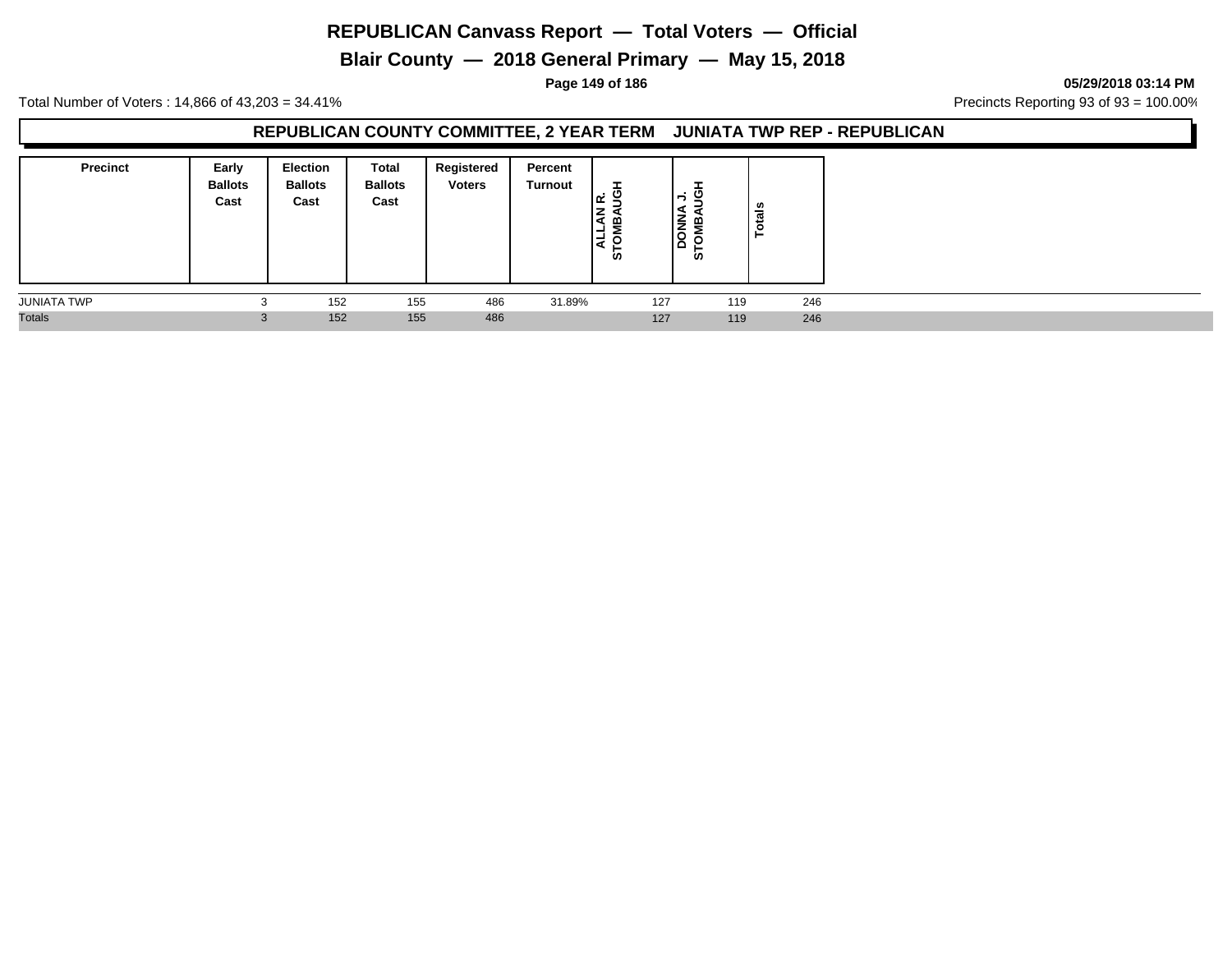**Blair County — 2018 General Primary — May 15, 2018**

**Page 149 of 186 05/29/2018 03:14 PM**

Total Number of Voters : 14,866 of 43,203 = 34.41% **Precincts Reporting 93 of 93** = 100.00%

### **REPUBLICAN COUNTY COMMITTEE, 2 YEAR TERM JUNIATA TWP REP - REPUBLICAN**

| <b>Precinct</b>    | Early<br><b>Ballots</b><br>Cast | <b>Election</b><br><b>Ballots</b><br>Cast | Total<br><b>Ballots</b><br>Cast | Registered<br><b>Voters</b> | Percent<br>Turnout | ᆂ<br>. O<br>$\propto$<br>≞<br>−<br><b>in</b> |     | ᆂ<br>ں ۔<br>$\overline{\phantom{0}}$<br><b>DONN</b><br>$=$<br><b>in</b> | otals |
|--------------------|---------------------------------|-------------------------------------------|---------------------------------|-----------------------------|--------------------|----------------------------------------------|-----|-------------------------------------------------------------------------|-------|
| <b>JUNIATA TWP</b> | $\sim$<br>د.                    | 152                                       | 155                             | 486                         | 31.89%             |                                              | 127 | 119                                                                     | 246   |
| <b>Totals</b>      | $\sim$<br>3                     | 152                                       | 155                             | 486                         |                    |                                              | 127 | 119                                                                     | 246   |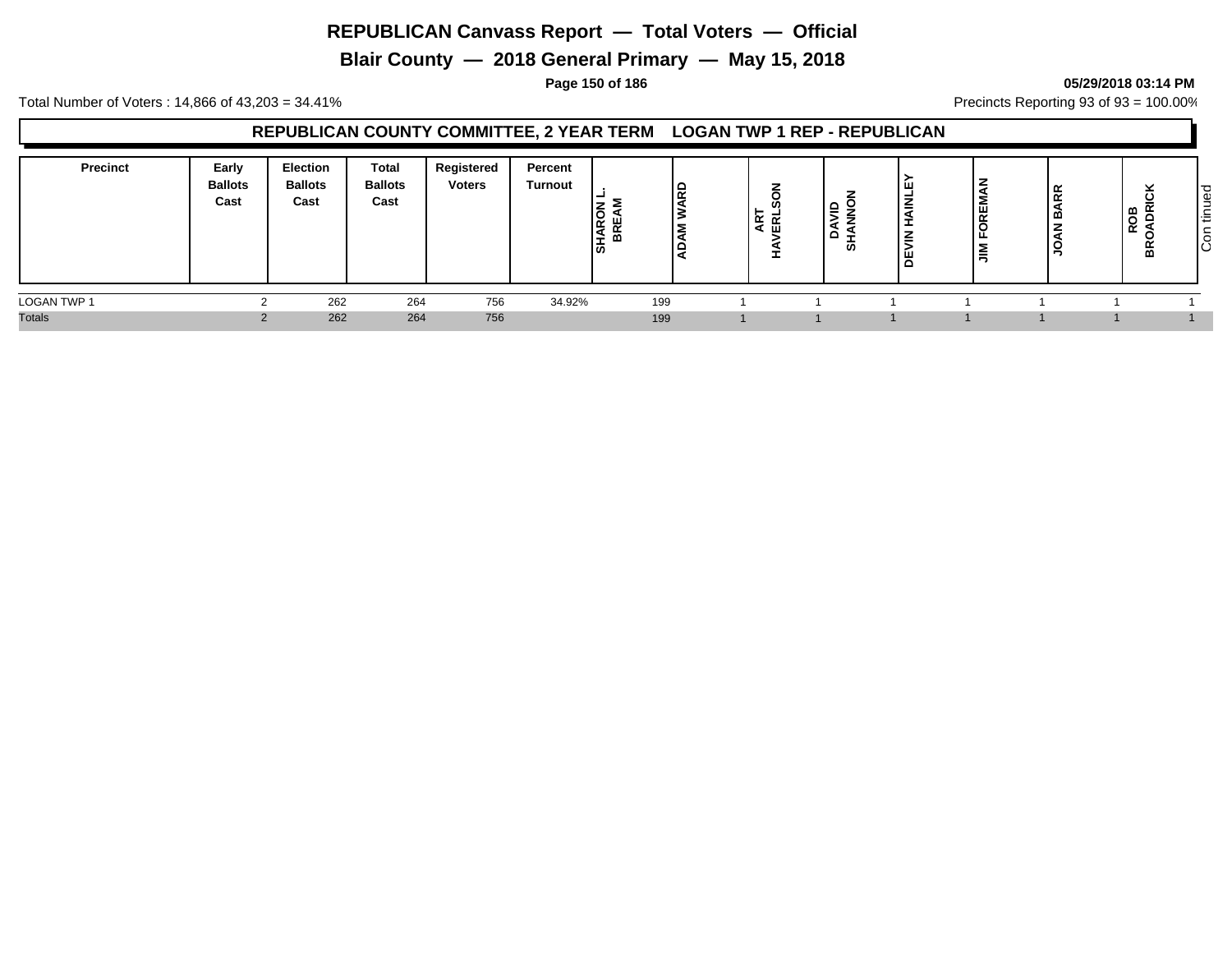**Blair County — 2018 General Primary — May 15, 2018**

#### **Page 150 of 186 05/29/2018 03:14 PM**

Total Number of Voters : 14,866 of 43,203 = 34.41% **Precincts Reporting 93 of 93** = 100.00%

### **REPUBLICAN COUNTY COMMITTEE, 2 YEAR TERM LOGAN TWP 1 REP - REPUBLICAN**

| <b>Precinct</b> | Early<br><b>Ballots</b><br>Cast | Election<br><b>Ballots</b><br>Cast | Total<br><b>Ballots</b><br>Cast | Registered<br><b>Voters</b> | Percent<br><b>Turnout</b> | z<br>lS.<br><b>SHAF</b> | -<br>►<br>≃<br>-<br>ш | $\overline{\phantom{0}}$<br>-<br>ທ | ш<br>≐<br>∣ш<br>▭ | ப<br>$\overline{\phantom{a}}$<br>∼<br>- | ۶Ř<br>മ<br>Ξ<br>◡<br>∍ | ∣≃<br>$\overline{\phantom{0}}$<br>ີ<br>≃<br>ᄒ | ס י<br>Φ<br>-<br><b>_</b><br>l÷<br>∽<br>$\circ$<br>ΙÖ |
|-----------------|---------------------------------|------------------------------------|---------------------------------|-----------------------------|---------------------------|-------------------------|-----------------------|------------------------------------|-------------------|-----------------------------------------|------------------------|-----------------------------------------------|-------------------------------------------------------|
| LOGAN TWP 1     |                                 | 262                                | 264                             | 756                         | 34.92%                    | 199                     |                       |                                    |                   |                                         |                        |                                               |                                                       |
| <b>Totals</b>   |                                 | 262                                | 264                             | 756                         |                           | 199                     |                       |                                    |                   |                                         |                        |                                               |                                                       |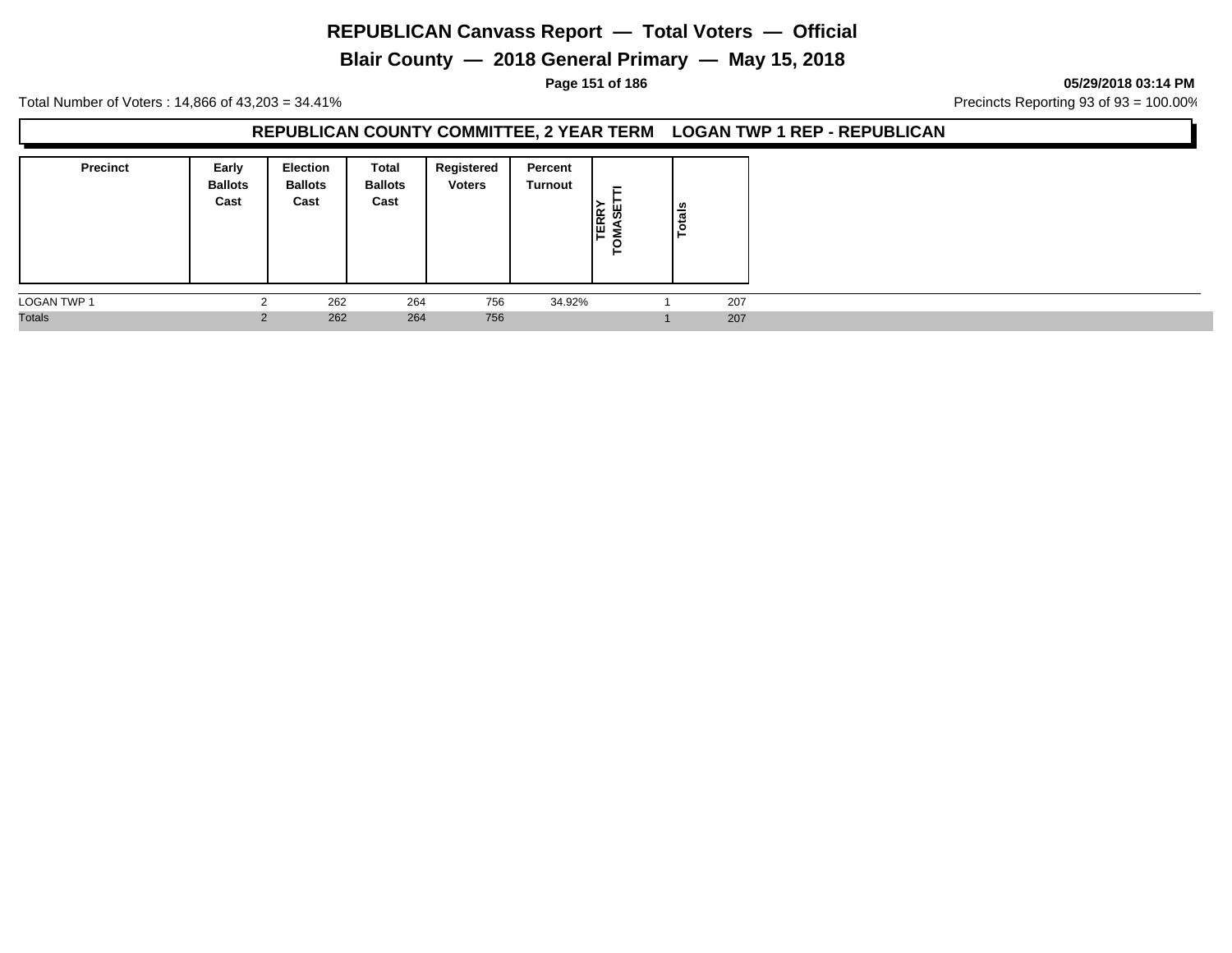**Blair County — 2018 General Primary — May 15, 2018**

#### **Page 151 of 186 05/29/2018 03:14 PM**

Total Number of Voters : 14,866 of 43,203 = 34.41% Precincts Reporting 93 of 93 = 100.00%

### **REPUBLICAN COUNTY COMMITTEE, 2 YEAR TERM LOGAN TWP 1 REP - REPUBLICAN**

| <b>Precinct</b>    | Early<br><b>Ballots</b><br>Cast | Election<br><b>Ballots</b><br>Cast | Total<br><b>Ballots</b><br>Cast | Registered<br><b>Voters</b> | Percent<br><b>Turnout</b> | $\overline{\phantom{0}}$<br><b>TERRY</b><br>မ္တ<br>O<br>► | Totals |  |  |
|--------------------|---------------------------------|------------------------------------|---------------------------------|-----------------------------|---------------------------|-----------------------------------------------------------|--------|--|--|
| <b>LOGAN TWP 1</b> |                                 | 262                                | 264                             | 756                         | 34.92%                    |                                                           | 207    |  |  |
| <b>Totals</b>      | $\sim$                          | 262                                | 264                             | 756                         |                           |                                                           | 207    |  |  |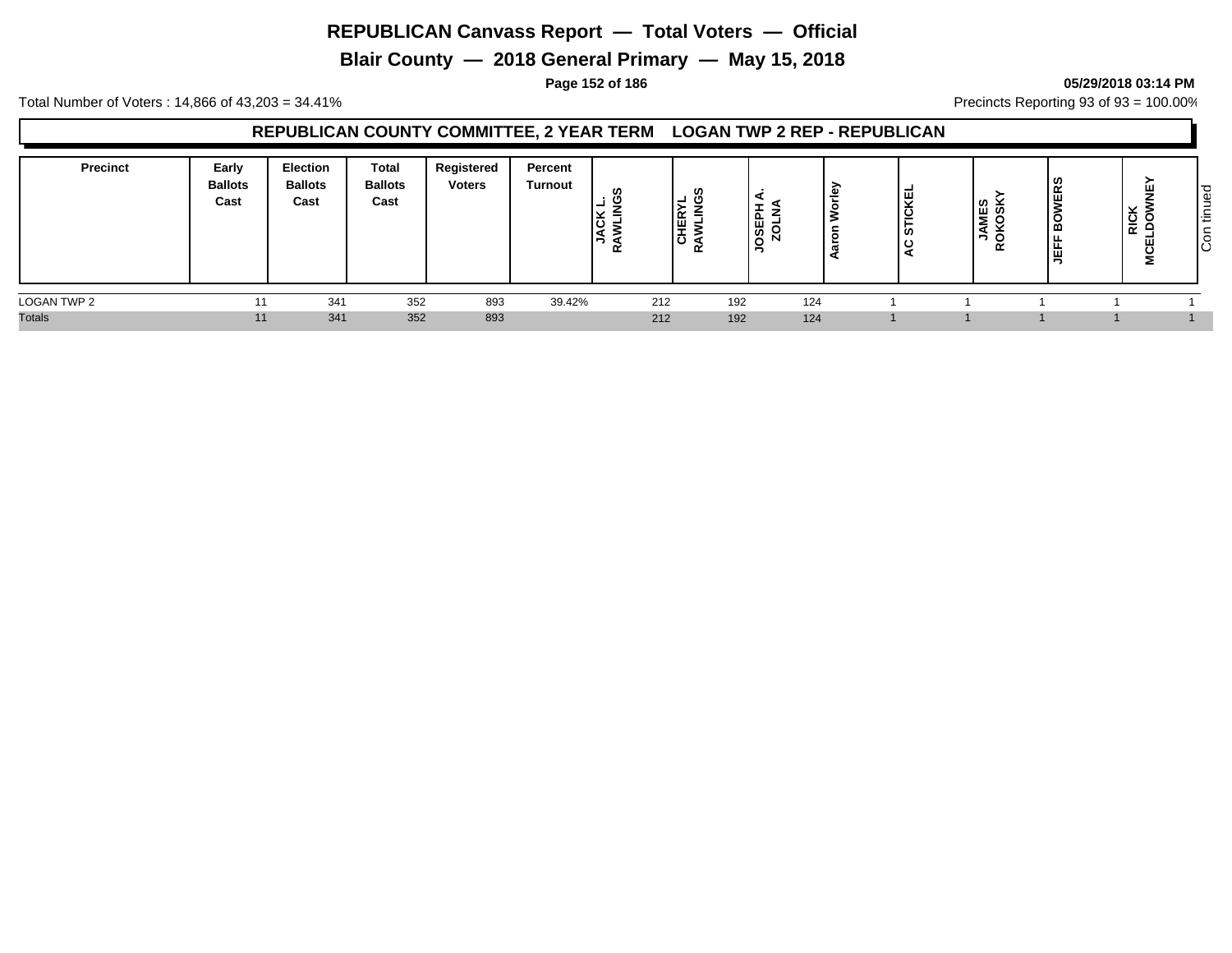**Blair County — 2018 General Primary — May 15, 2018**

#### **Page 152 of 186 05/29/2018 03:14 PM**

Total Number of Voters : 14,866 of 43,203 = 34.41% **Precincts Reporting 93 of 93** = 100.00%

### **REPUBLICAN COUNTY COMMITTEE, 2 YEAR TERM LOGAN TWP 2 REP - REPUBLICAN**

| <b>Precinct</b> | Early<br><b>Ballots</b><br>Cast | Election<br><b>Ballots</b><br>Cast | Total<br><b>Ballots</b><br>Cast | Registered<br><b>Voters</b> | Percent<br><b>Turnout</b> | ທ<br>⊻<br>RC<br>- 2<br>$\overline{\phantom{a}}$ | ທ<br>-<br>堂 | ௨<br>ဖာ<br>∽ |     | <b>IGKEL</b><br>ره ا<br>ם ו | <b>JAMES</b><br>OKOSK`<br>R <sub>O</sub> | ဖာ<br>$\alpha$<br>y<br><b>G</b><br>画<br>∍ | ш<br>⊻<br>$\cdot$<br>⊻<br>≃<br>ш<br>2 | ס י<br>Φ<br>-<br>$\sim$<br>ŀΞ<br> s |
|-----------------|---------------------------------|------------------------------------|---------------------------------|-----------------------------|---------------------------|-------------------------------------------------|-------------|--------------|-----|-----------------------------|------------------------------------------|-------------------------------------------|---------------------------------------|-------------------------------------|
| LOGAN TWP 2     | 11                              | 341                                | 352                             | 893                         | 39.42%                    | 212                                             |             | 192          | 124 |                             |                                          |                                           |                                       |                                     |
| <b>Totals</b>   | 11                              | 341                                | 352                             | 893                         |                           | 212                                             |             | 192          | 124 |                             |                                          |                                           |                                       |                                     |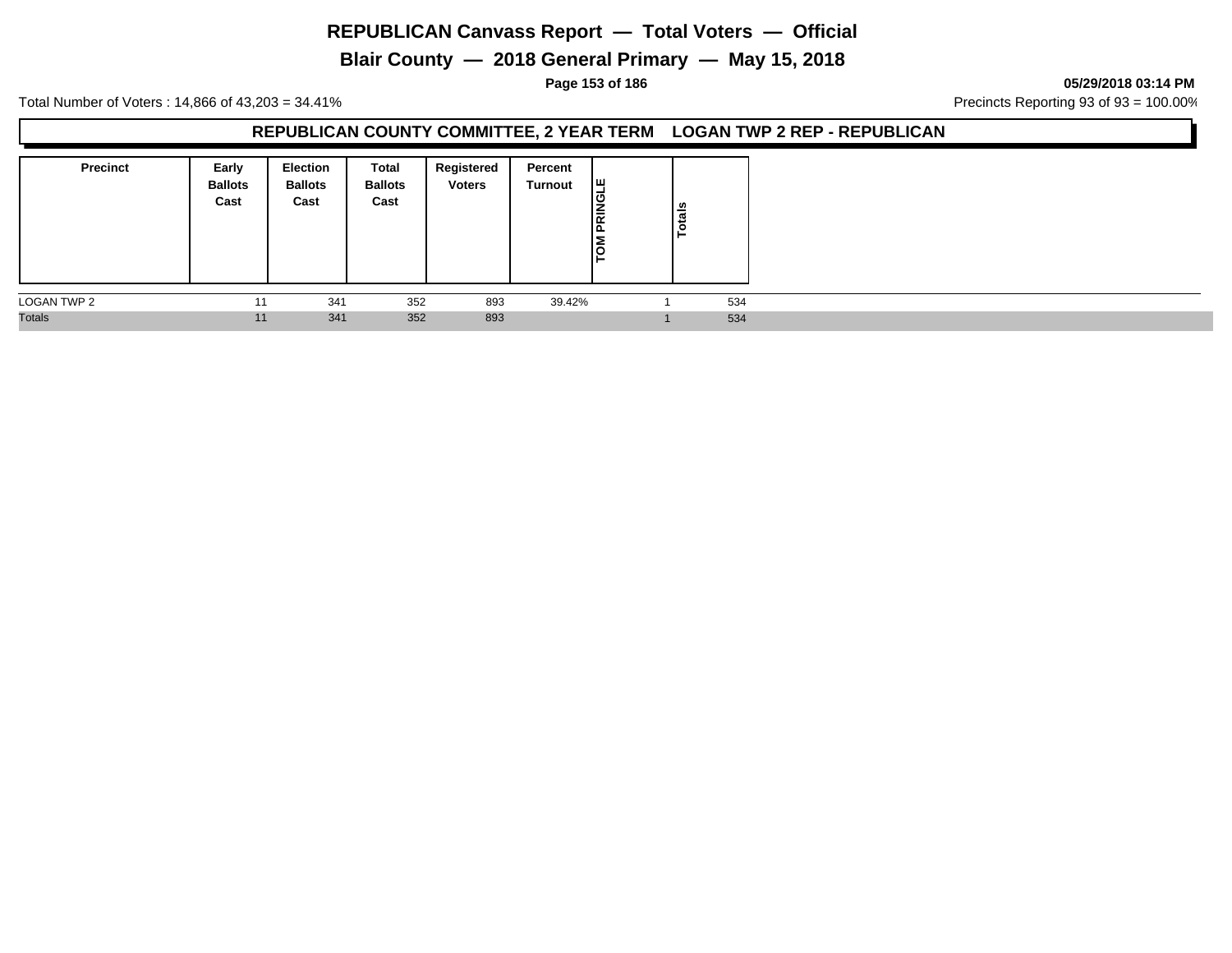**Blair County — 2018 General Primary — May 15, 2018**

**Page 153 of 186 05/29/2018 03:14 PM**

Total Number of Voters : 14,866 of 43,203 = 34.41% Precincts Reporting 93 of 93 = 100.00%

#### **REPUBLICAN COUNTY COMMITTEE, 2 YEAR TERM LOGAN TWP 2 REP - REPUBLICAN**

| <b>Precinct</b> | Early<br><b>Ballots</b><br>Cast | <b>Election</b><br><b>Ballots</b><br>Cast | Total<br><b>Ballots</b><br>Cast | Registered<br><b>Voters</b> | Percent<br>Turnout | ¦щ<br>PRINGL<br><b>NOV</b> | <b>Totals</b> |  |
|-----------------|---------------------------------|-------------------------------------------|---------------------------------|-----------------------------|--------------------|----------------------------|---------------|--|
| LOGAN TWP 2     | 11                              | 341                                       | 352                             | 893                         | 39.42%             |                            | 534           |  |
| <b>Totals</b>   | 11                              | 341                                       | 352                             | 893                         |                    |                            | 534           |  |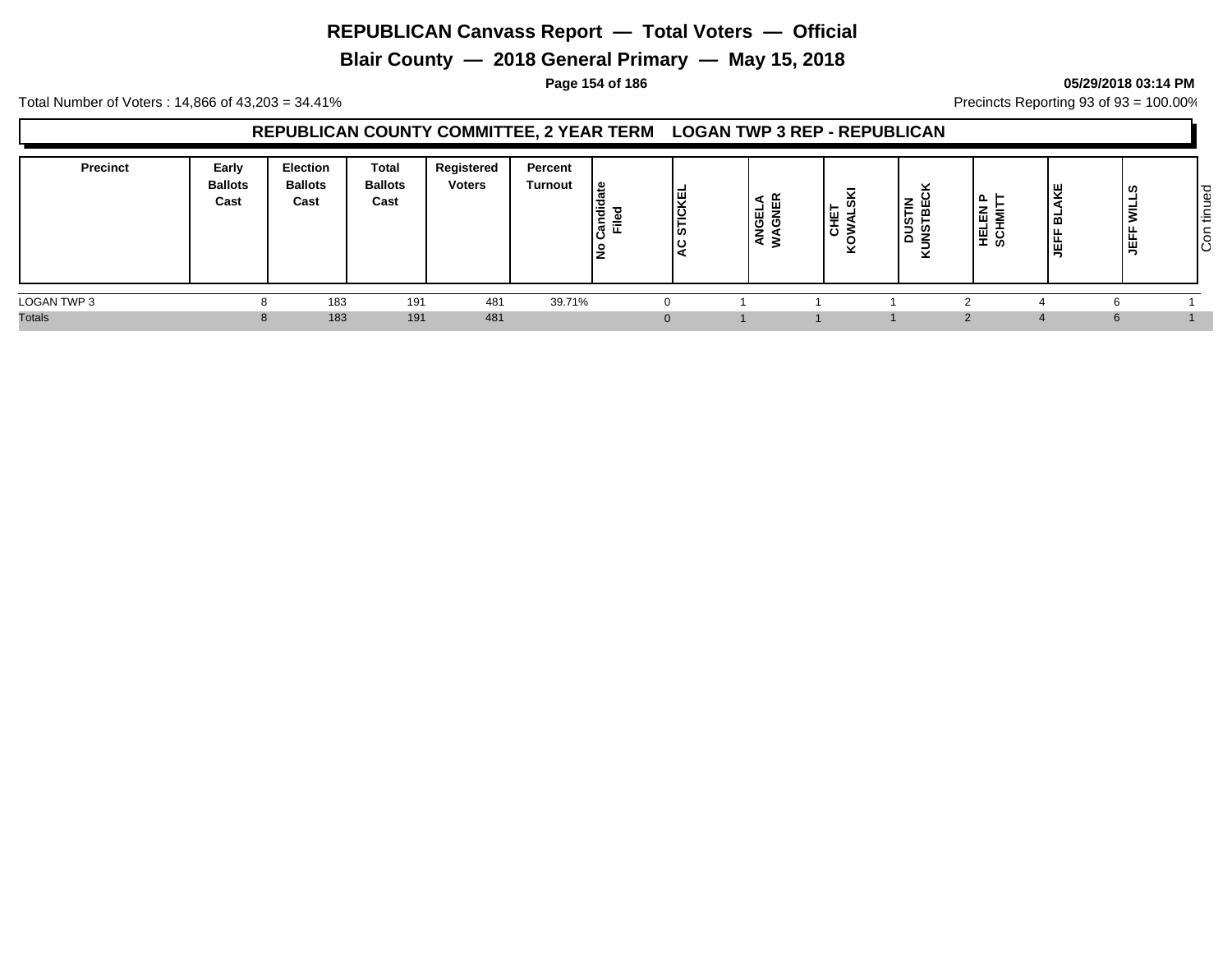**Blair County — 2018 General Primary — May 15, 2018**

#### **Page 154 of 186 05/29/2018 03:14 PM**

Total Number of Voters : 14,866 of 43,203 = 34.41% **Precincts Reporting 93 of 93** = 100.00%

### **REPUBLICAN COUNTY COMMITTEE, 2 YEAR TERM LOGAN TWP 3 REP - REPUBLICAN**

| <b>Precinct</b> | Early<br><b>Ballots</b><br>Cast | Election<br><b>Ballots</b><br>Cast | Total<br><b>Ballots</b><br>Cast | Registered<br><b>Voters</b> | Percent<br><b>Turnout</b> | ہ  <br>∣ਤੋਂ<br>$=$<br>. ल<br>$\cdot$ | -<br>.<br>보<br>ທ | <br>ш<br>ш<br>ල ප<br>-<br>- | ີ<br>$L = \omega$<br>ாய் -<br>工厂<br>$\overline{O}$ | ×<br>$\overline{\phantom{a}}$<br><b>DUSTIN</b><br>MSTBEC<br>× | ௳<br>-<br>몺<br>≍<br>. ≊<br> 툐 옾 | ₩<br>ᆱ<br>÷<br>茑 | -<br>÷<br>э.<br>- | ס י<br>Φ<br>-<br>-<br><b>_</b><br>l÷<br>$\circ$<br>ΙÖ |
|-----------------|---------------------------------|------------------------------------|---------------------------------|-----------------------------|---------------------------|--------------------------------------|------------------|-----------------------------|----------------------------------------------------|---------------------------------------------------------------|---------------------------------|------------------|-------------------|-------------------------------------------------------|
| LOGAN TWP 3     |                                 | 183                                | 191                             | 481                         | 39.71%                    |                                      |                  |                             |                                                    |                                                               |                                 |                  |                   |                                                       |
| <b>Totals</b>   |                                 | 183                                | 191                             | 481                         |                           |                                      |                  |                             |                                                    |                                                               |                                 |                  |                   |                                                       |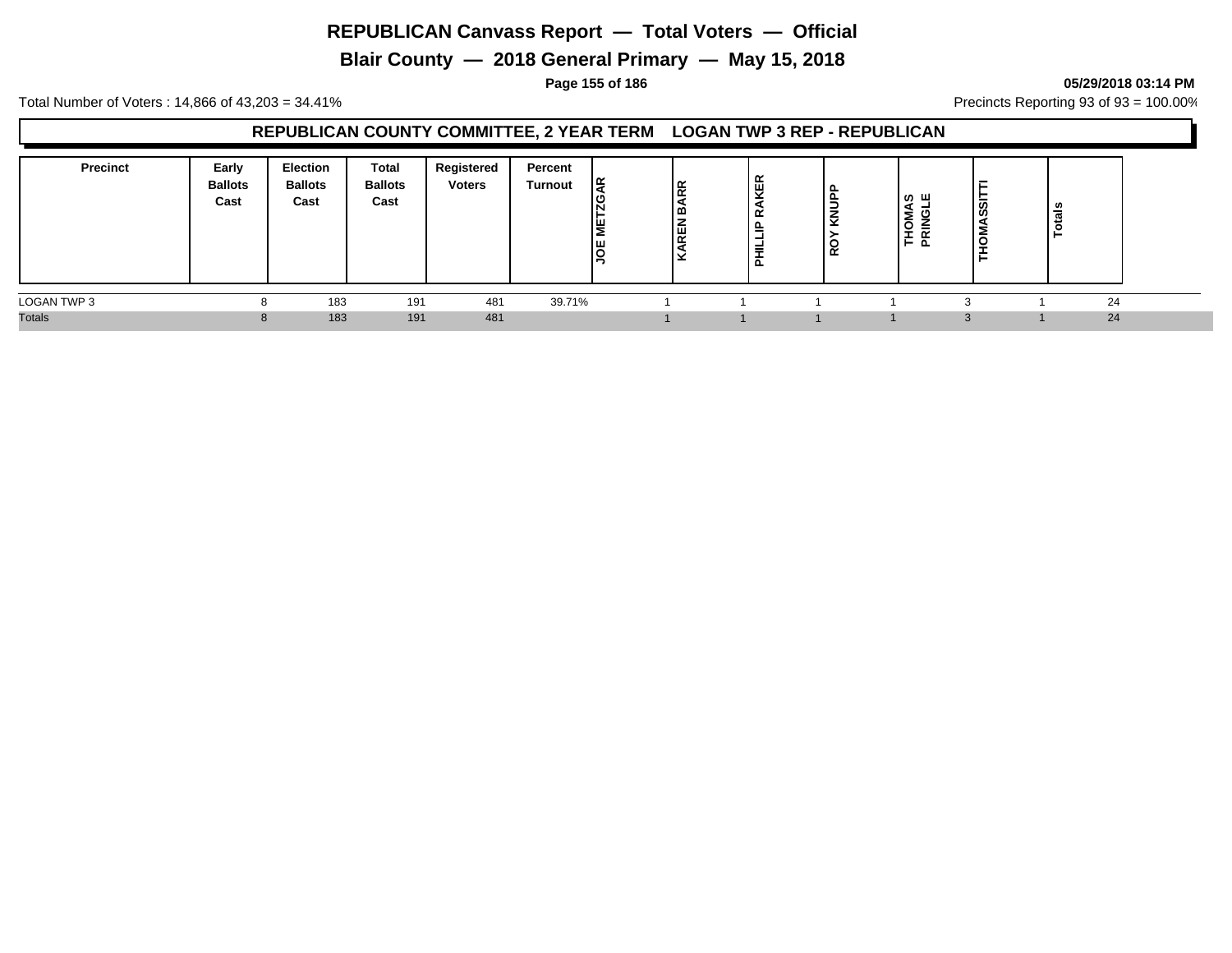**Blair County — 2018 General Primary — May 15, 2018**

#### **Page 155 of 186 05/29/2018 03:14 PM**

Total Number of Voters : 14,866 of 43,203 = 34.41% **Precincts Reporting 93 of 93** = 100.00%

### **REPUBLICAN COUNTY COMMITTEE, 2 YEAR TERM LOGAN TWP 3 REP - REPUBLICAN**

| <b>Precinct</b> | Early<br><b>Ballots</b><br>Cast | <b>Election</b><br><b>Ballots</b><br>Cast | <b>Total</b><br><b>Ballots</b><br>Cast | Registered<br><b>Voters</b> | Percent<br>Turnout | ١č<br>ا≝<br>IШ<br>ıо | <b>BARR</b><br><b>AREN</b><br>l v | ត្ថ<br>້<br>௨<br>_<br>௨ | ₹<br>◡<br>≃ | Σ<br>O<br>-<br>╒╘ | <u>ັ</u> ທ<br>ທ<br>- | U.<br>ਜ਼<br>- |  |
|-----------------|---------------------------------|-------------------------------------------|----------------------------------------|-----------------------------|--------------------|----------------------|-----------------------------------|-------------------------|-------------|-------------------|----------------------|---------------|--|
| LOGAN TWP 3     |                                 | 183                                       | 191                                    | 481                         | 39.71%             |                      |                                   |                         |             |                   |                      | 24            |  |
| <b>Totals</b>   |                                 | 183                                       | 191                                    | 481                         |                    |                      |                                   |                         |             |                   | $\Omega$             | 24            |  |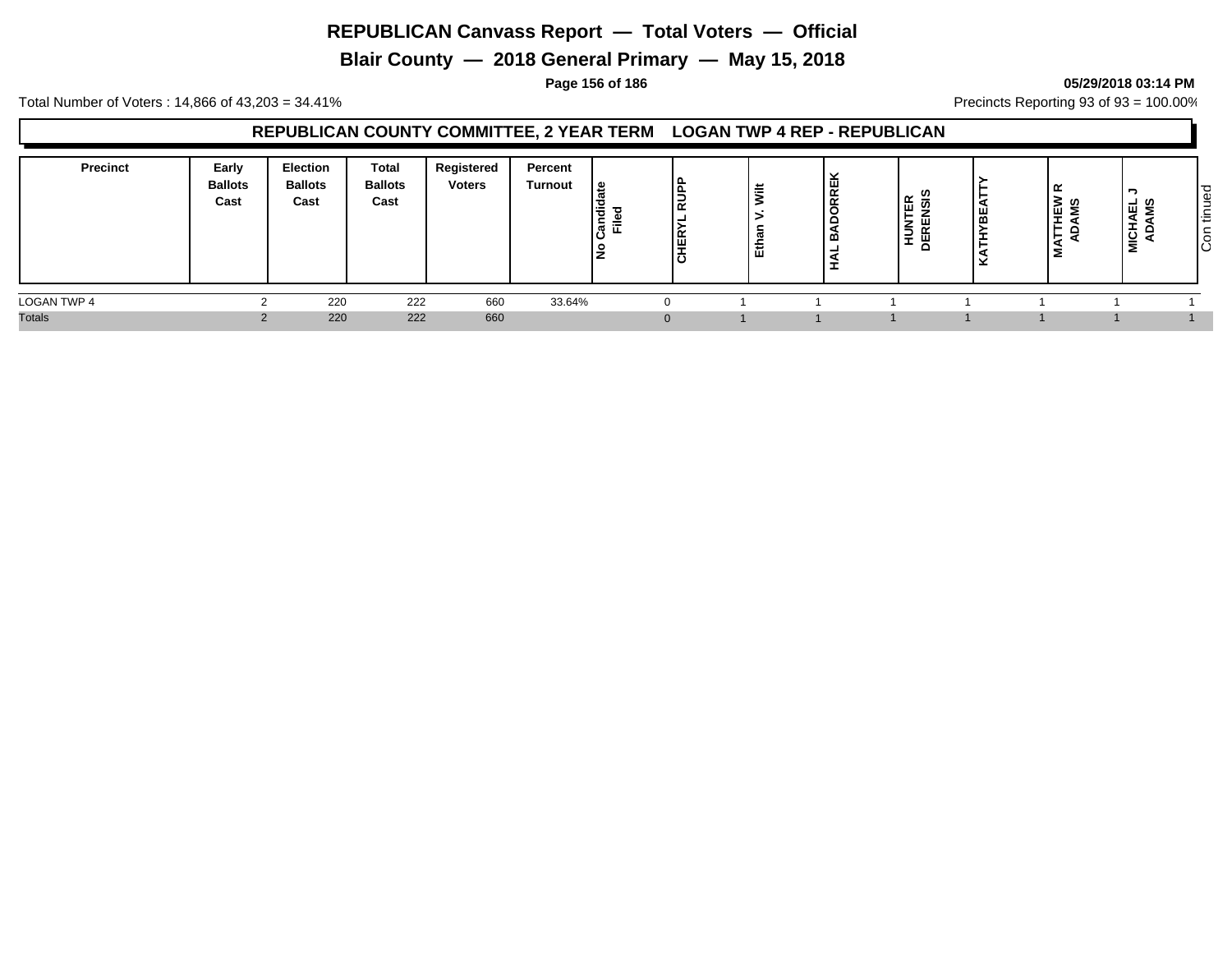**Blair County — 2018 General Primary — May 15, 2018**

#### **Page 156 of 186 05/29/2018 03:14 PM**

Total Number of Voters : 14,866 of 43,203 = 34.41% **Precincts Reporting 93 of 93** = 100.00%

### **REPUBLICAN COUNTY COMMITTEE, 2 YEAR TERM LOGAN TWP 4 REP - REPUBLICAN**

| <b>Precinct</b> | Early<br><b>Ballots</b><br>Cast | Election<br><b>Ballots</b><br>Cast | <b>Total</b><br><b>Ballots</b><br>Cast | Registered<br><b>Voters</b> | Percent<br><b>Turnout</b> | ی ا<br>,ਚੋ<br>-<br>$=$<br>. ल<br>$\cdot$ | l s<br>$\propto$<br>≝<br>ة، | <b>*</b><br>专<br>ш | , ш<br>$\propto$<br>$\overline{\alpha}$<br>$\overline{c}$<br>മ | E ଛୁ<br>. —<br>'할 띷<br><b>ـــ</b> | 닖 | ≃<br><b>THEW<br/>DAMS</b><br>-<br>ᄫ<br>5 | -<br>– ഗ<br><u>ទ្រី ទ</u> | $\overline{\sigma}$<br>Φ<br><b>_</b><br>l÷<br>$\circ$<br>ΙÖ |
|-----------------|---------------------------------|------------------------------------|----------------------------------------|-----------------------------|---------------------------|------------------------------------------|-----------------------------|--------------------|----------------------------------------------------------------|-----------------------------------|---|------------------------------------------|---------------------------|-------------------------------------------------------------|
| LOGAN TWP 4     |                                 | 220                                | 222                                    | 660                         | 33.64%                    |                                          |                             |                    |                                                                |                                   |   |                                          |                           |                                                             |
| <b>Totals</b>   |                                 | 220                                | 222                                    | 660                         |                           |                                          |                             |                    |                                                                |                                   |   |                                          |                           |                                                             |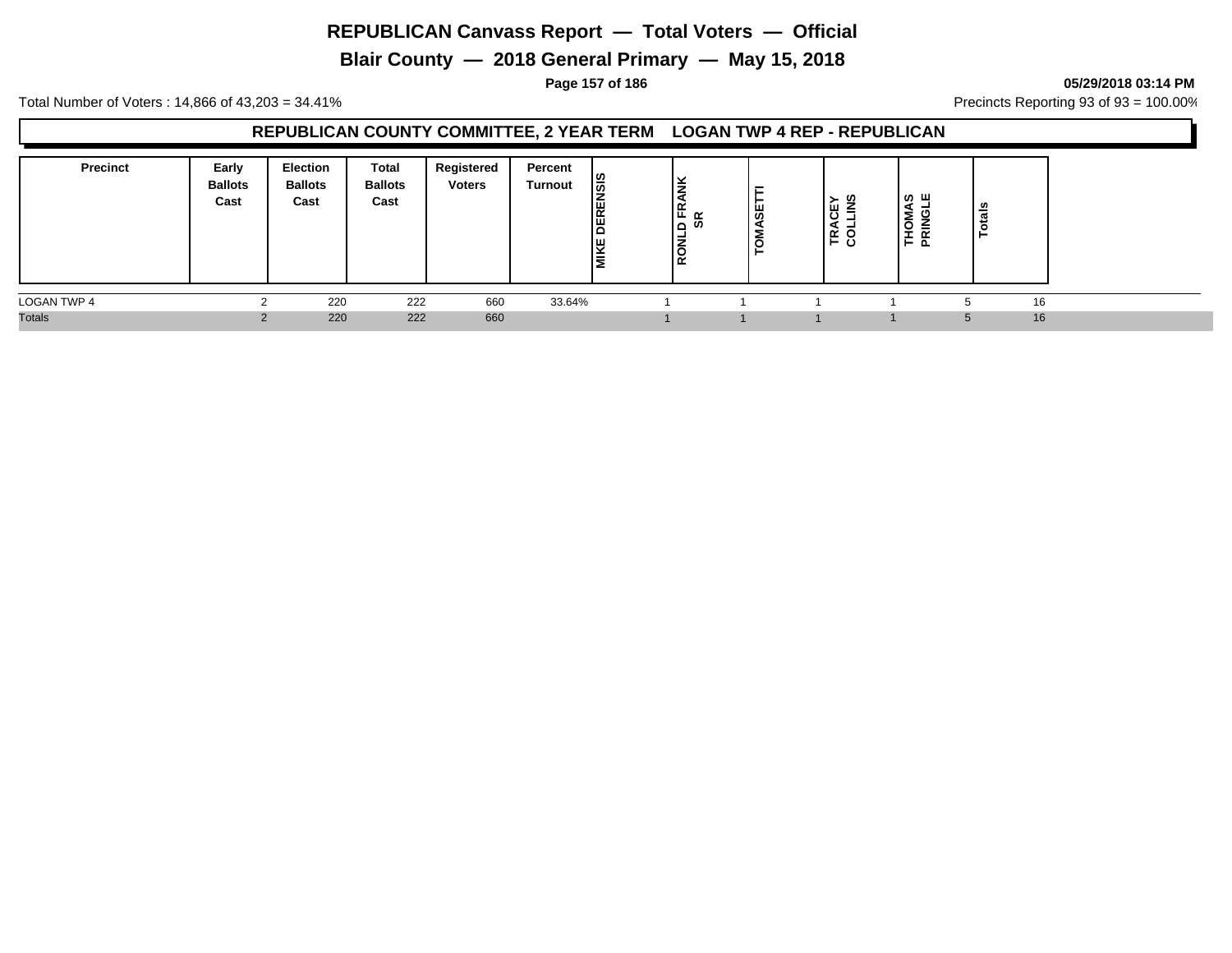**Blair County — 2018 General Primary — May 15, 2018**

**Page 157 of 186 05/29/2018 03:14 PM**

Total Number of Voters : 14,866 of 43,203 = 34.41% **Precincts Reporting 93 of 93** = 100.00%

### **REPUBLICAN COUNTY COMMITTEE, 2 YEAR TERM LOGAN TWP 4 REP - REPUBLICAN**

| <b>Precinct</b> | Early<br><b>Ballots</b><br>Cast | <b>Election</b><br><b>Ballots</b><br>Cast | Total<br><b>Ballots</b><br>Cast | Registered<br><b>Voters</b> | Percent<br>Turnout | <b>DERENSIS</b><br><b>MIKE</b> | ١¥<br>╺<br>∣∉ ∝<br>∞ ۱∟<br>l S | ö<br>5 | ≻ ග<br>မြ<br>⋍<br>LE <u>S</u> | ്ധ ш<br>Σ<br>웊<br>=<br>$\vdash$ $\uparrow$ | ಿಕೆ<br>ت<br>Ö |  |
|-----------------|---------------------------------|-------------------------------------------|---------------------------------|-----------------------------|--------------------|--------------------------------|--------------------------------|--------|-------------------------------|--------------------------------------------|---------------|--|
| LOGAN TWP 4     |                                 | 220                                       | 222                             | 660                         | 33.64%             |                                |                                |        |                               |                                            | 16            |  |
| <b>Totals</b>   |                                 | 220                                       | 222                             | 660                         |                    |                                |                                |        |                               |                                            | 16<br>ᄃ       |  |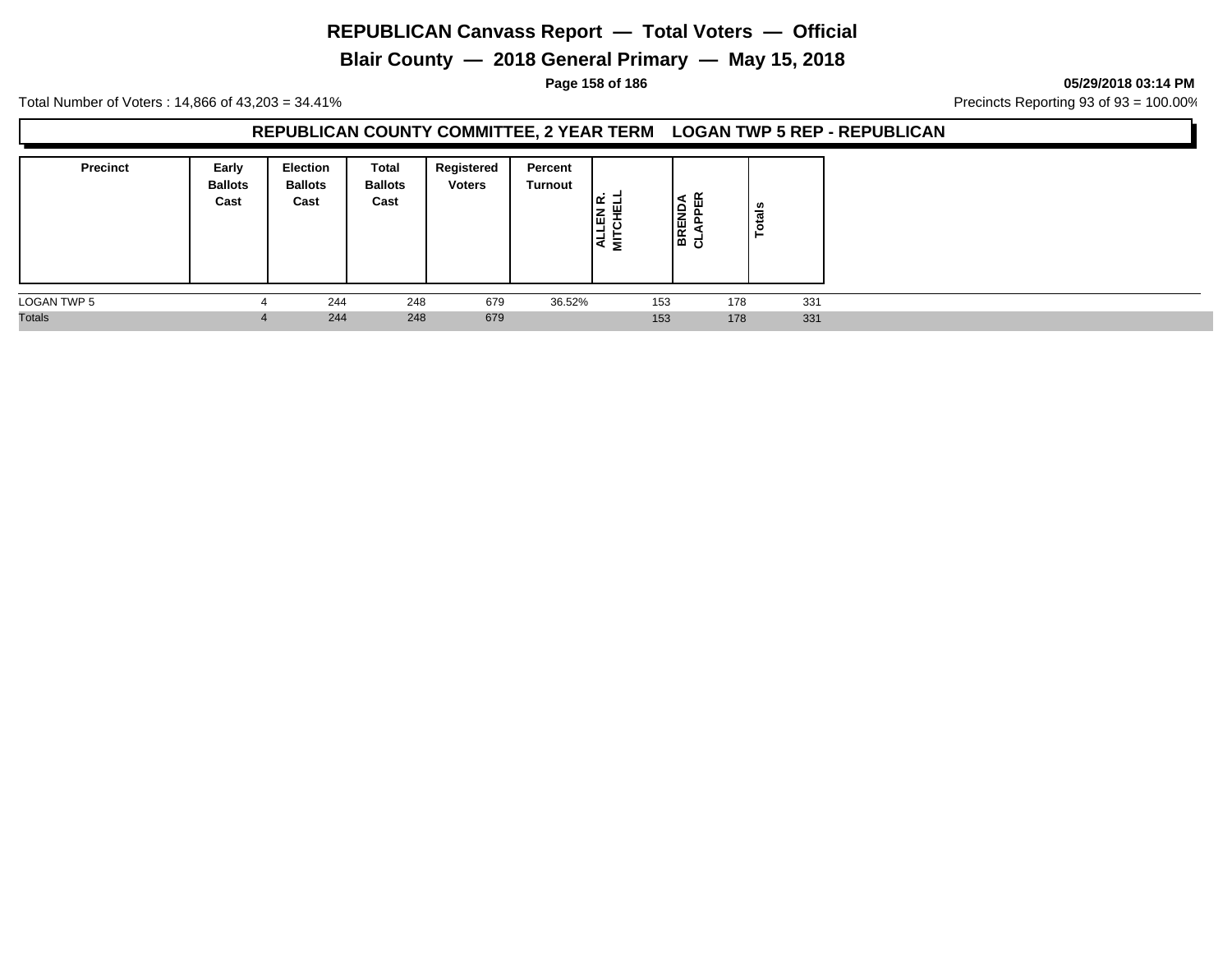**Blair County — 2018 General Primary — May 15, 2018**

**Page 158 of 186 05/29/2018 03:14 PM**

Total Number of Voters : 14,866 of 43,203 = 34.41% **Precincts Reporting 93 of 93** = 100.00%

### **REPUBLICAN COUNTY COMMITTEE, 2 YEAR TERM LOGAN TWP 5 REP - REPUBLICAN**

| <b>Precinct</b> | Early<br><b>Ballots</b><br>Cast | <b>Election</b><br><b>Ballots</b><br>Cast | Total<br><b>Ballots</b><br>Cast | Registered<br><b>Voters</b> | Percent<br><b>Turnout</b> | ے .<br>١û<br>-<br>I₹<br>ᄛ |     | 띥<br>È<br>이 이 시<br>이 모두 | otals |
|-----------------|---------------------------------|-------------------------------------------|---------------------------------|-----------------------------|---------------------------|---------------------------|-----|-------------------------|-------|
| LOGAN TWP 5     |                                 | 244                                       | 248                             | 679                         | 36.52%                    |                           | 153 | 178                     | 331   |
| <b>Totals</b>   | $\overline{a}$                  | 244                                       | 248                             | 679                         |                           |                           | 153 | 178                     | 331   |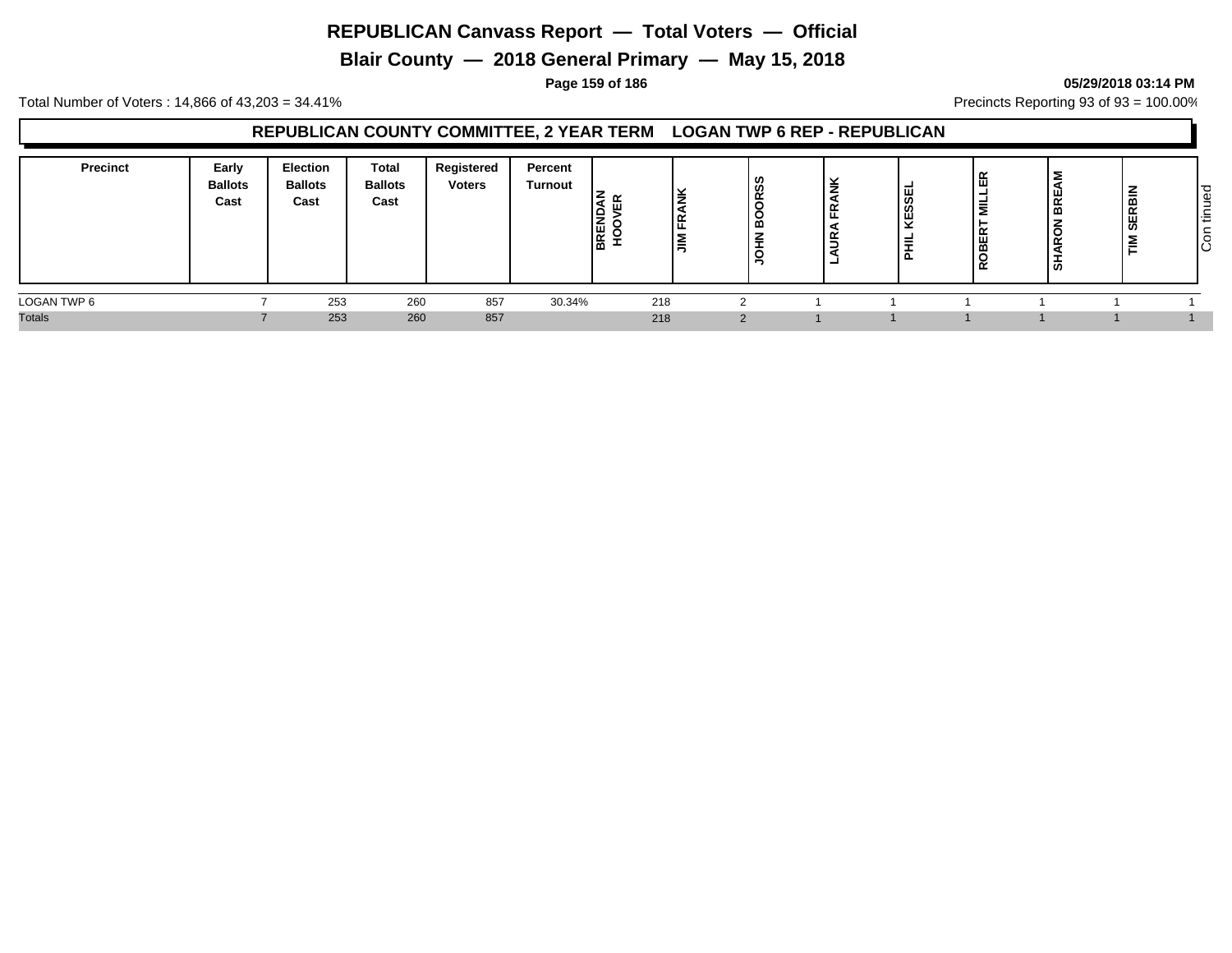**Blair County — 2018 General Primary — May 15, 2018**

#### **Page 159 of 186 05/29/2018 03:14 PM**

Total Number of Voters : 14,866 of 43,203 = 34.41% Precincts Reporting 93 of 93 = 100.00%

### **REPUBLICAN COUNTY COMMITTEE, 2 YEAR TERM LOGAN TWP 6 REP - REPUBLICAN**

| Precinct      | Early<br><b>Ballots</b><br>Cast | <b>Election</b><br><b>Ballots</b><br>Cast | Total<br><b>Ballots</b><br>Cast | Registered<br><b>Voters</b> | Percent<br>Turnout | <b>BKEND</b><br>HOOVE | <b>ANK</b><br>١Ę<br>l≣ | ഗ<br>≃<br>œ | $\overline{\phantom{a}}$<br>. . | -<br><b>ESSEI</b><br>$\overline{\phantom{0}}$ | - | ш<br>BR<br>–<br>∼<br>$\tilde{\phantom{a}}$<br>ぁ | ∣≧<br>മ<br>$\propto$<br>ш<br>2 | ס ו<br>Φ<br>-<br>-<br><b>_</b><br>造<br>┶<br>lŜ |
|---------------|---------------------------------|-------------------------------------------|---------------------------------|-----------------------------|--------------------|-----------------------|------------------------|-------------|---------------------------------|-----------------------------------------------|---|-------------------------------------------------|--------------------------------|------------------------------------------------|
| LOGAN TWP 6   |                                 | 253                                       | 260                             | 857                         | 30.34%             | 218                   |                        |             |                                 |                                               |   |                                                 |                                |                                                |
| <b>Totals</b> |                                 | 253                                       | 260                             | 857                         |                    | 218                   |                        | $\Omega$    |                                 |                                               |   |                                                 |                                |                                                |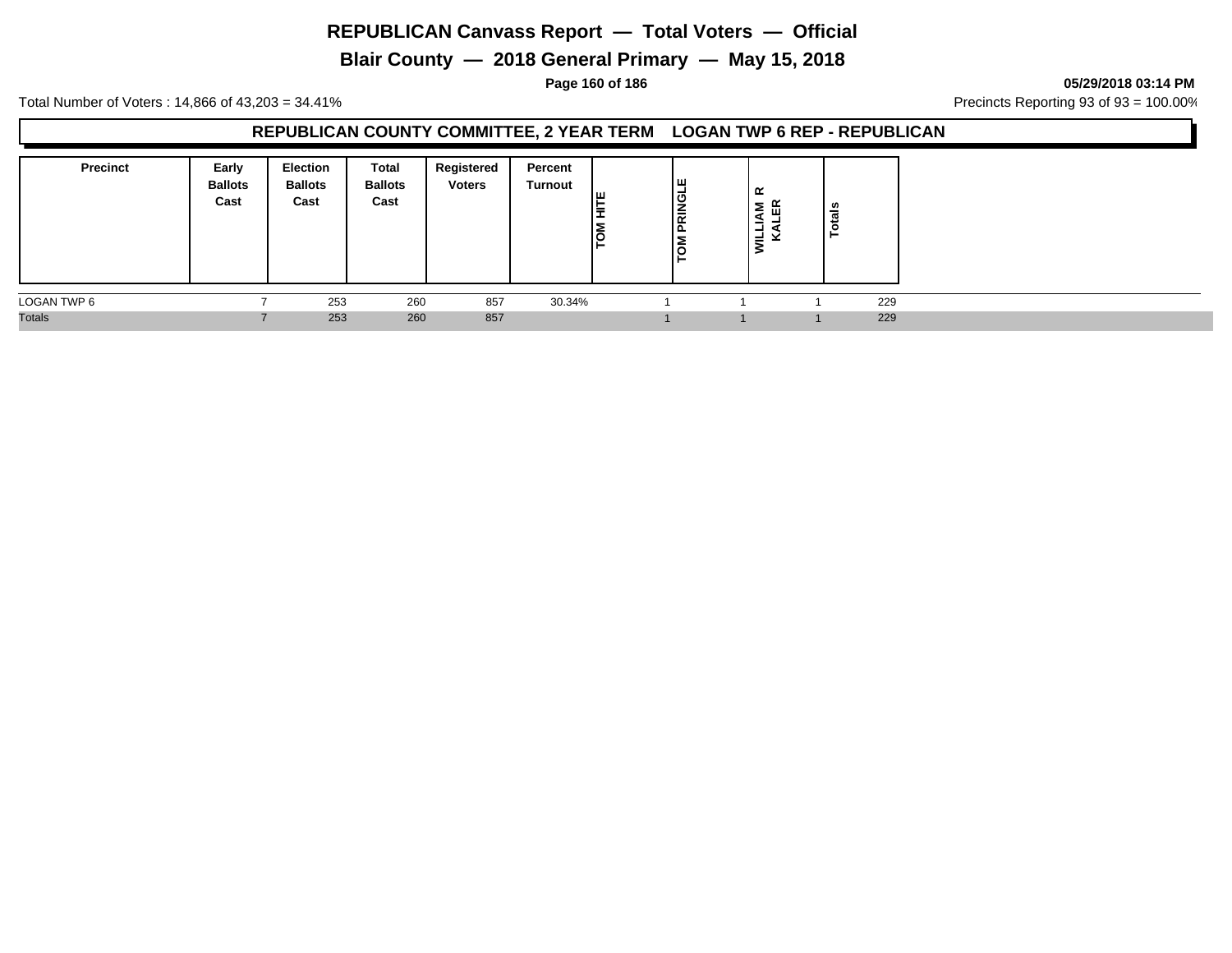**Blair County — 2018 General Primary — May 15, 2018**

**Page 160 of 186 05/29/2018 03:14 PM**

Total Number of Voters : 14,866 of 43,203 = 34.41% **Precincts Reporting 93 of 93** = 100.00%

### **REPUBLICAN COUNTY COMMITTEE, 2 YEAR TERM LOGAN TWP 6 REP - REPUBLICAN**

| <b>Precinct</b> | Early<br><b>Ballots</b><br>Cast | Election<br><b>Ballots</b><br>Cast | Total<br><b>Ballots</b><br>Cast | Registered<br><b>Voters</b> | Percent<br>Turnout | Tш<br>≒<br>Įş | ய<br><b>PRINGL</b><br>u | ≃<br>≅ ⊮<br>-111<br>-<br>ιĔ | $\frac{1}{2}$<br>► |     |
|-----------------|---------------------------------|------------------------------------|---------------------------------|-----------------------------|--------------------|---------------|-------------------------|-----------------------------|--------------------|-----|
| LOGAN TWP 6     |                                 | 253                                | 260                             | 857                         | 30.34%             |               |                         |                             |                    | 229 |
| <b>Totals</b>   |                                 | 253                                | 260                             | 857                         |                    |               |                         |                             |                    | 229 |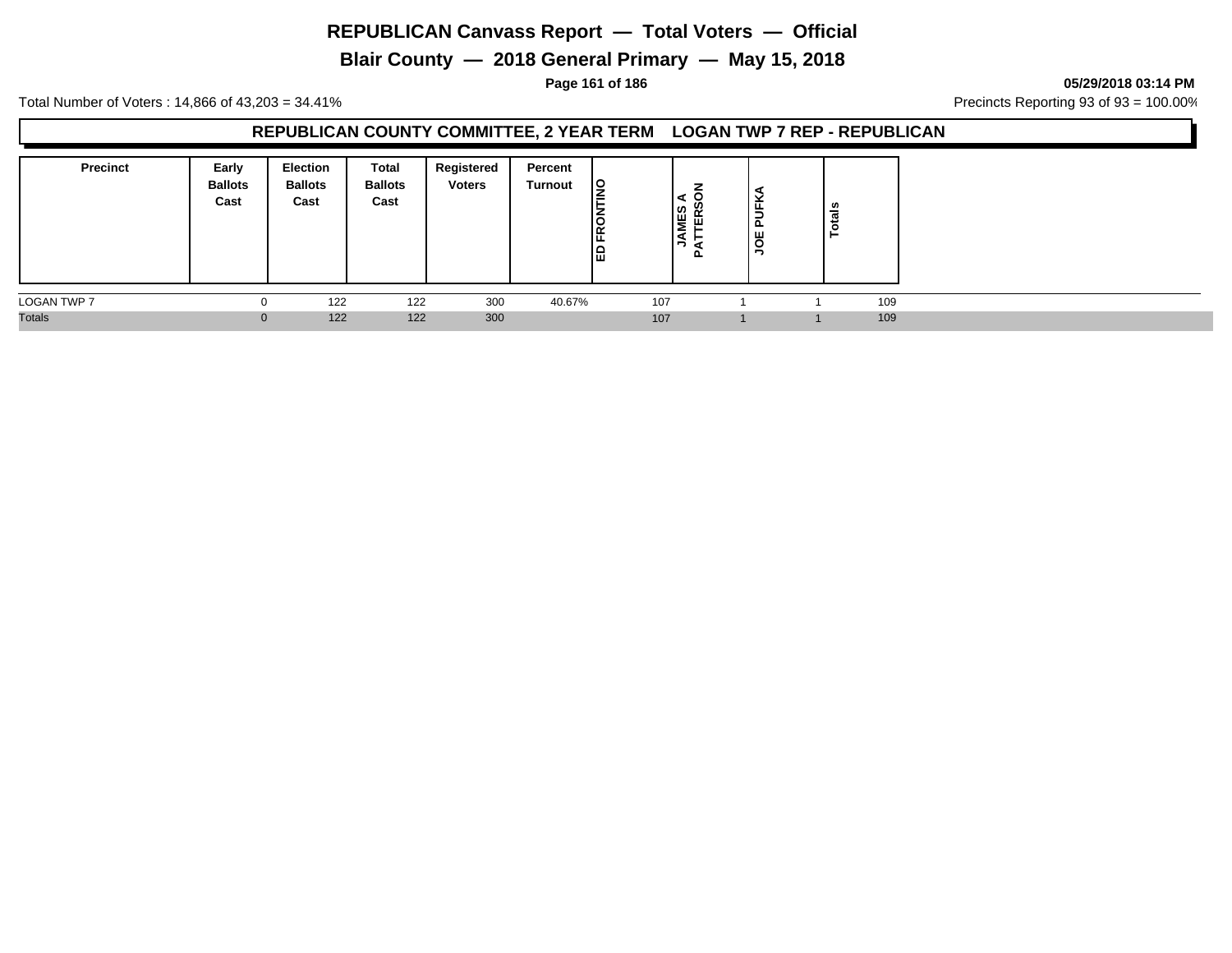**Blair County — 2018 General Primary — May 15, 2018**

**Page 161 of 186 05/29/2018 03:14 PM**

Total Number of Voters : 14,866 of 43,203 = 34.41% **Precincts Reporting 93 of 93** = 100.00%

### **REPUBLICAN COUNTY COMMITTEE, 2 YEAR TERM LOGAN TWP 7 REP - REPUBLICAN**

| <b>Precinct</b>    | Early<br><b>Ballots</b><br>Cast | <b>Election</b><br><b>Ballots</b><br>Cast | <b>Total</b><br><b>Ballots</b><br>Cast | Registered<br><b>Voters</b> | Percent<br>Turnout | <u>lg</u><br><b>ERO</b><br>岡 | ⇁<br>l≌<br>Ë<br>ու | <b>UFK</b><br>ᅀ<br>ш<br>l s | $\frac{1}{2}$ |     |
|--------------------|---------------------------------|-------------------------------------------|----------------------------------------|-----------------------------|--------------------|------------------------------|--------------------|-----------------------------|---------------|-----|
| <b>LOGAN TWP 7</b> |                                 | 122                                       | 122                                    | 300                         | 40.67%             | 107                          |                    |                             |               | 109 |
| <b>Totals</b>      |                                 | 122                                       | 122                                    | 300                         |                    | 107                          |                    |                             |               | 109 |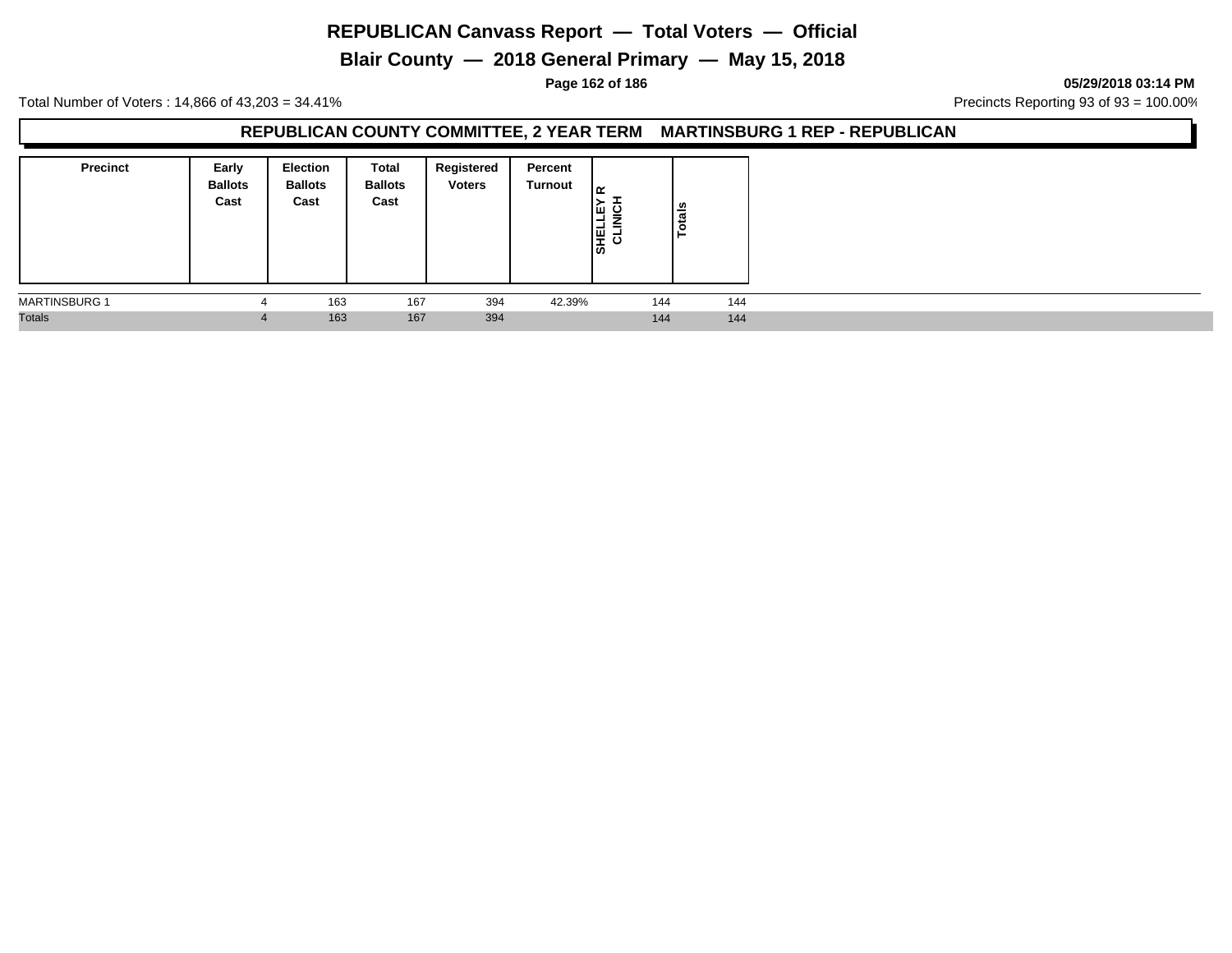# **Blair County — 2018 General Primary — May 15, 2018**

**Page 162 of 186 05/29/2018 03:14 PM**

Total Number of Voters : 14,866 of 43,203 = 34.41% **Precincts Reporting 93 of 93** = 100.00%

#### **REPUBLICAN COUNTY COMMITTEE, 2 YEAR TERM MARTINSBURG 1 REP - REPUBLICAN**

| <b>Precinct</b>      | Early<br><b>Ballots</b><br>Cast | <b>Election</b><br><b>Ballots</b><br>Cast | Total<br><b>Ballots</b><br>Cast | Registered<br><b>Voters</b> | Percent<br>Turnout | ౹≃<br>Iщ<br>ັ<br>-<br>⇁<br>ــ<br>물 일 | tais<br>$\circ$<br>► |  |
|----------------------|---------------------------------|-------------------------------------------|---------------------------------|-----------------------------|--------------------|--------------------------------------|----------------------|--|
| <b>MARTINSBURG 1</b> |                                 | 163                                       | 167                             | 394                         | 42.39%             | 144                                  | 144                  |  |
| <b>Totals</b>        | 4                               | 163                                       | 167                             | 394                         |                    | 144                                  | 144                  |  |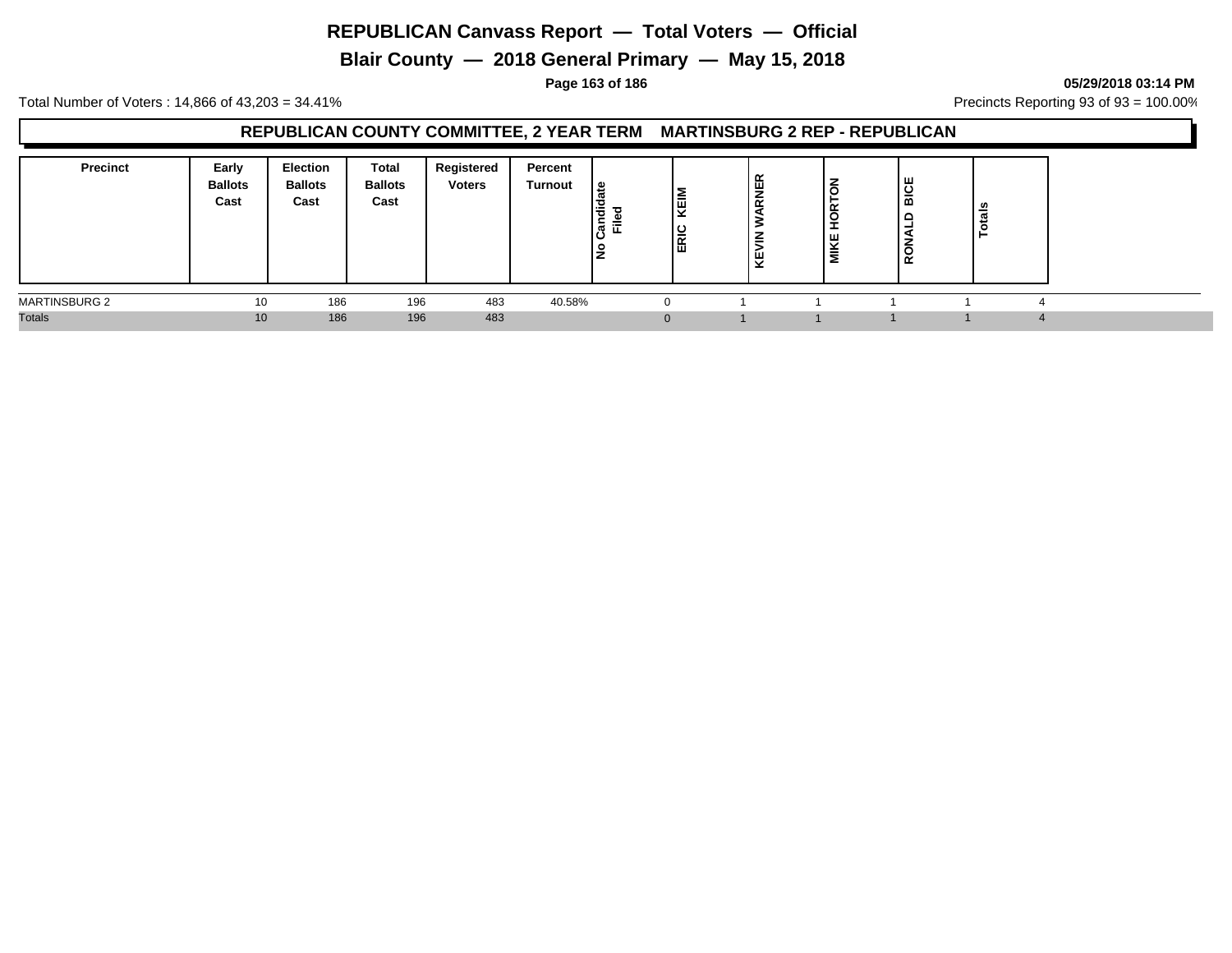**Blair County — 2018 General Primary — May 15, 2018**

**Page 163 of 186 05/29/2018 03:14 PM**

Total Number of Voters : 14,866 of 43,203 = 34.41% **Precincts Reporting 93 of 93** = 100.00%

### **REPUBLICAN COUNTY COMMITTEE, 2 YEAR TERM MARTINSBURG 2 REP - REPUBLICAN**

| <b>Precinct</b>      | Early<br><b>Ballots</b><br>Cast | <b>Election</b><br><b>Ballots</b><br>Cast | Total<br><b>Ballots</b><br>Cast | Registered<br><b>Voters</b> | Percent<br>Turnout | ی ا<br>も<br>≔<br>∽<br>ື<br>ட<br>ັບ | ∣≣<br><b>ERIC</b> | $\alpha$<br>罢<br>$\propto$<br>z<br>-<br>$\ddot{\phantom{1}}$ | ⇁<br>≃<br>-<br>-<br>ш<br>ᇦ<br>-<br>Σ | <b>BICE</b><br>RO | Ë<br>$\ddot{\mathbf{c}}$ |
|----------------------|---------------------------------|-------------------------------------------|---------------------------------|-----------------------------|--------------------|------------------------------------|-------------------|--------------------------------------------------------------|--------------------------------------|-------------------|--------------------------|
| <b>MARTINSBURG 2</b> | 10                              | 186                                       | 196                             | 483                         | 40.58%             |                                    |                   |                                                              |                                      |                   |                          |
| <b>Totals</b>        | 10 <sup>1</sup>                 | 186                                       | 196                             | 483                         |                    |                                    |                   |                                                              |                                      |                   |                          |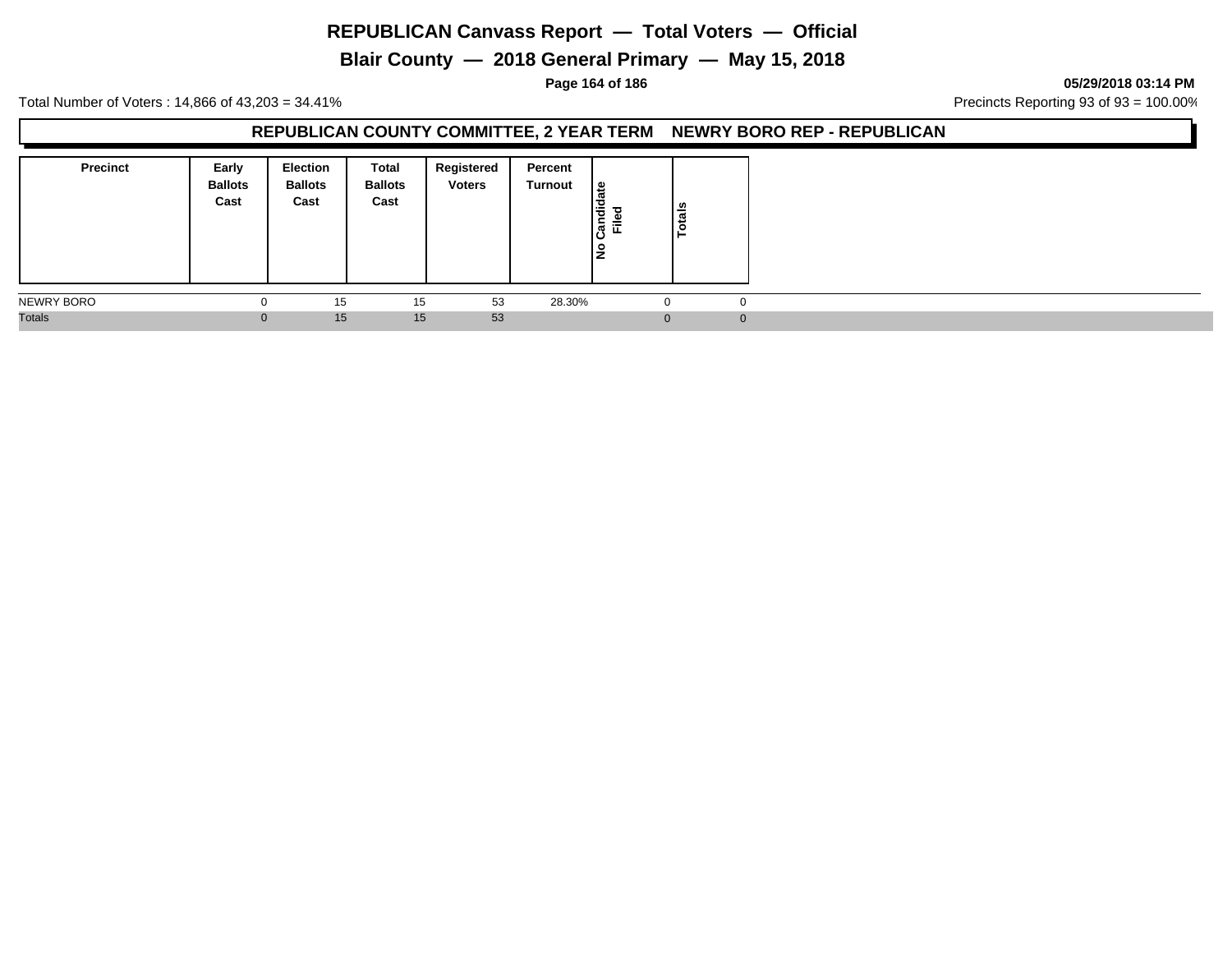**Blair County — 2018 General Primary — May 15, 2018**

#### **Page 164 of 186 05/29/2018 03:14 PM**

Total Number of Voters : 14,866 of 43,203 = 34.41% **Precincts Reporting 93 of 93** = 100.00%

#### **REPUBLICAN COUNTY COMMITTEE, 2 YEAR TERM NEWRY BORO REP - REPUBLICAN**

| <b>Precinct</b> | Early<br><b>Ballots</b><br>Cast | <b>Election</b><br><b>Ballots</b><br>Cast | Total<br><b>Ballots</b><br>Cast | Registered<br><b>Voters</b> | Percent<br>Turnout | Candidate<br>$=$<br>ட<br>lş | tais<br>ق |             |
|-----------------|---------------------------------|-------------------------------------------|---------------------------------|-----------------------------|--------------------|-----------------------------|-----------|-------------|
| NEWRY BORO      | 0                               | 15                                        | 15                              | 53                          | 28.30%             | -0                          |           | $\mathbf 0$ |
| <b>Totals</b>   | $\mathbf{0}$                    | 15                                        | 15                              | 53                          |                    | $\Omega$                    |           | $\Omega$    |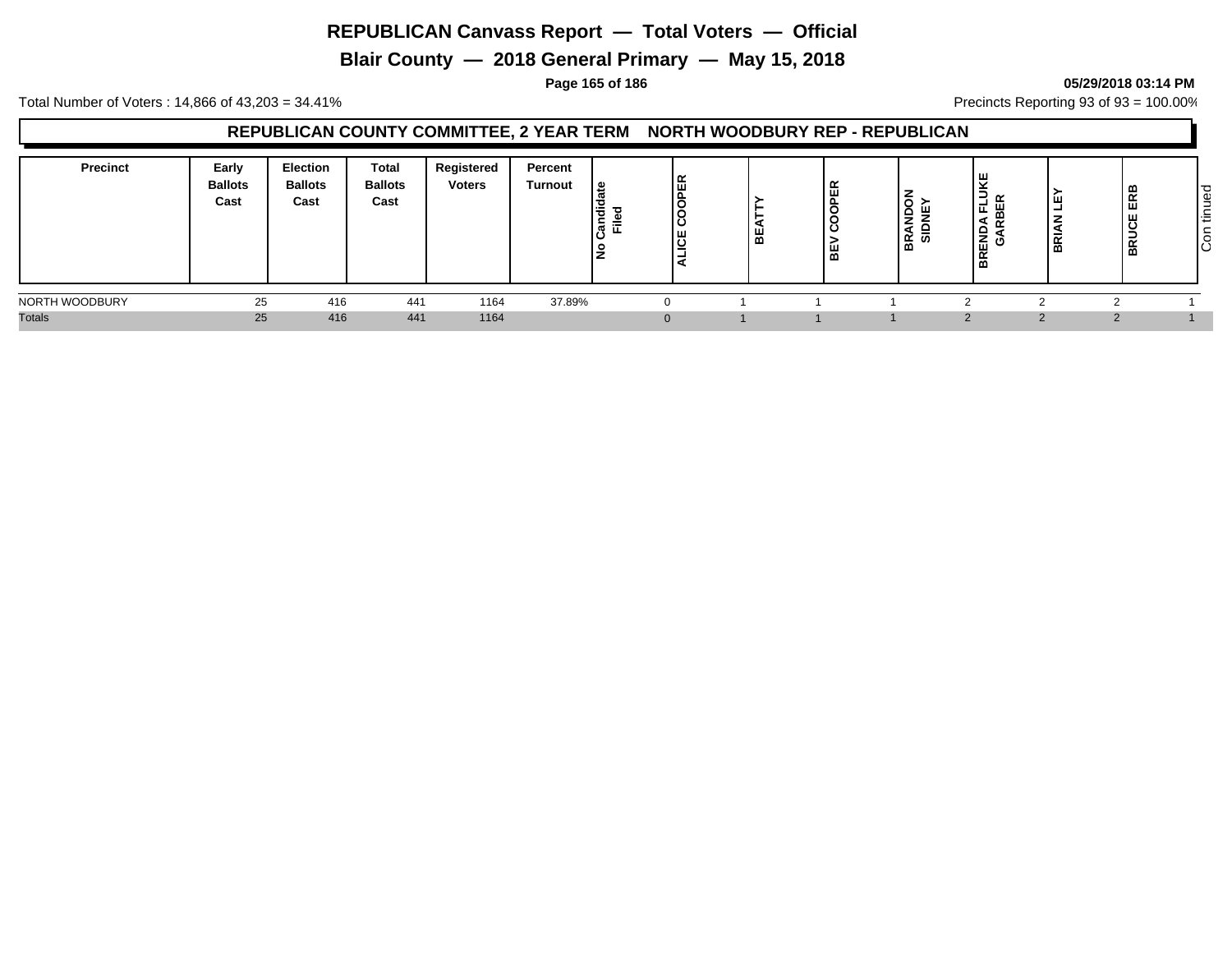**Blair County — 2018 General Primary — May 15, 2018**

#### **Page 165 of 186 05/29/2018 03:14 PM**

Total Number of Voters : 14,866 of 43,203 = 34.41% **Precincts Reporting 93 of 93** = 100.00%

### **REPUBLICAN COUNTY COMMITTEE, 2 YEAR TERM NORTH WOODBURY REP - REPUBLICAN**

| <b>Precinct</b> | Early<br><b>Ballots</b><br>Cast | Election<br><b>Ballots</b><br>Cast | Total<br><b>Ballots</b><br>Cast | Registered<br><b>Voters</b> | Percent<br>Turnout | ہ ا<br>, ਚ<br>$\equiv$<br>ಕ | ш,<br>മ | $\sim$<br>ш<br>. L<br><b>C</b><br>$\overline{\phantom{a}}$<br>മ | ۱ć<br>∽<br>÷.<br>÷.<br> ္ကို ၐ | ய<br>≃<br>∹<br>п<br>핆<br>$\overline{ }$<br>⋖<br>붎<br>୴<br>$\sim$<br>œ | ш<br>-<br>–<br>÷<br>BRI | œ<br>$\alpha$<br>$\propto$<br>$\overline{a}$ | ס י<br>Φ<br>-<br>$\sim$<br>l÷<br> g |
|-----------------|---------------------------------|------------------------------------|---------------------------------|-----------------------------|--------------------|-----------------------------|---------|-----------------------------------------------------------------|--------------------------------|-----------------------------------------------------------------------|-------------------------|----------------------------------------------|-------------------------------------|
| NORTH WOODBURY  | 25                              | 416                                | 441                             | 1164                        | 37.89%             |                             |         |                                                                 |                                |                                                                       |                         |                                              |                                     |
| <b>Totals</b>   | 25                              | 416                                | 441                             | 1164                        |                    |                             |         |                                                                 |                                |                                                                       |                         |                                              |                                     |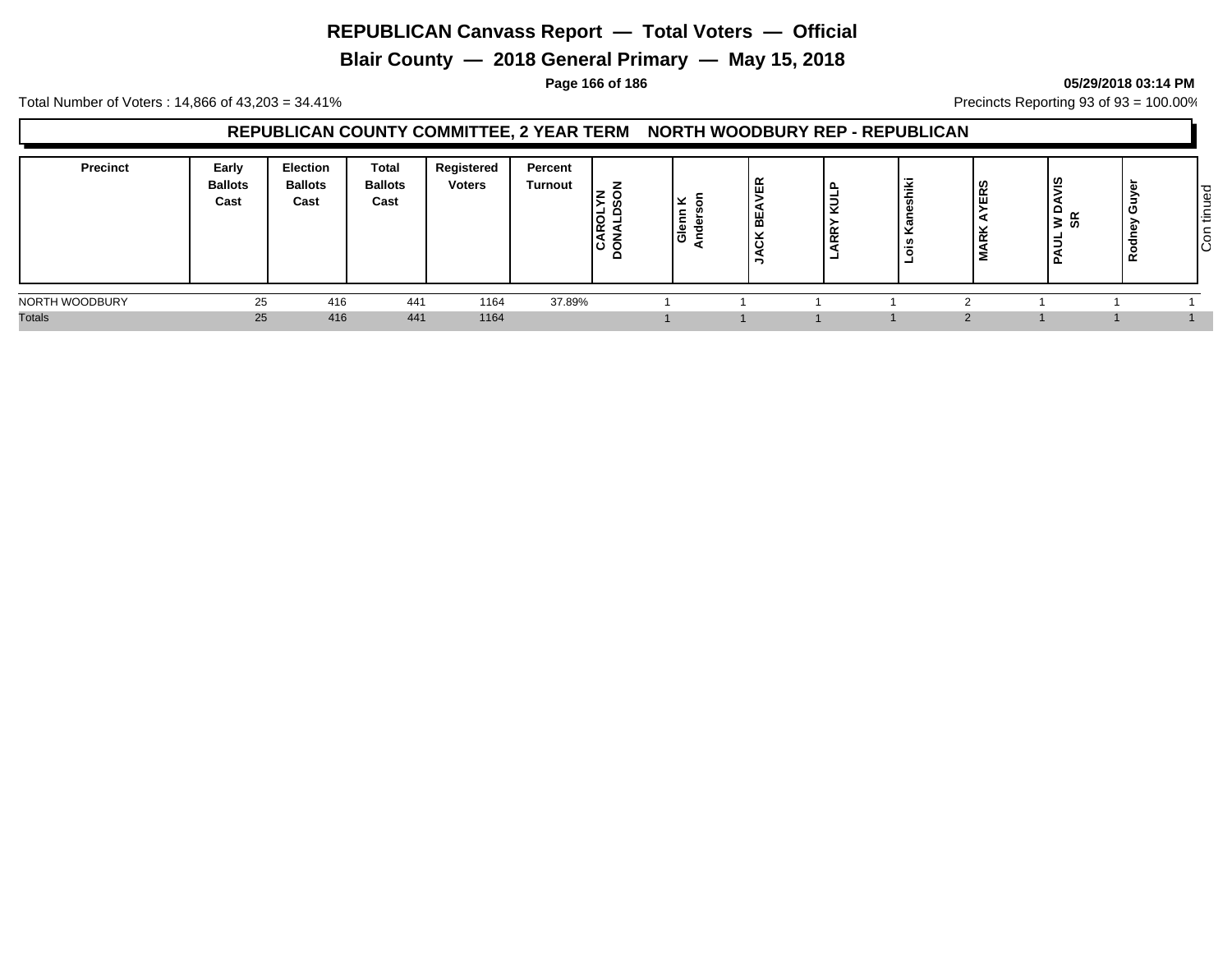**Blair County — 2018 General Primary — May 15, 2018**

#### **Page 166 of 186 05/29/2018 03:14 PM**

Total Number of Voters : 14,866 of 43,203 = 34.41% **Precincts Reporting 93 of 93** = 100.00%

### **REPUBLICAN COUNTY COMMITTEE, 2 YEAR TERM NORTH WOODBURY REP - REPUBLICAN**

| Precinct       | Early<br><b>Ballots</b><br>Cast | Election<br><b>Ballots</b><br>Cast | Total<br><b>Ballots</b><br>Cast | Registered<br><b>Voters</b> | Percent<br>Turnout | $\sim$<br>. .<br>$\overline{\mathsf{R}}$<br>၊ပ ဝ<br>□ | ∣⊻<br>- 52<br>ခြီ | ≃<br>--<br>œ | -<br>-4 | 17<br>≚ | ີ | စ္ဆ<br>-<br>ି≊<br>ବ<br>-<br>- | -<br>$\alpha$ | ு<br>ധ<br>-<br><b>110</b><br><b>_</b><br>l÷<br>┶<br>lŜ |
|----------------|---------------------------------|------------------------------------|---------------------------------|-----------------------------|--------------------|-------------------------------------------------------|-------------------|--------------|---------|---------|---|-------------------------------|---------------|--------------------------------------------------------|
| NORTH WOODBURY | 25                              | 416                                | 441                             | 1164                        | 37.89%             |                                                       |                   |              |         |         |   |                               |               |                                                        |
| <b>Totals</b>  | 25                              | 416                                | 441                             | 1164                        |                    |                                                       |                   |              |         |         |   |                               |               |                                                        |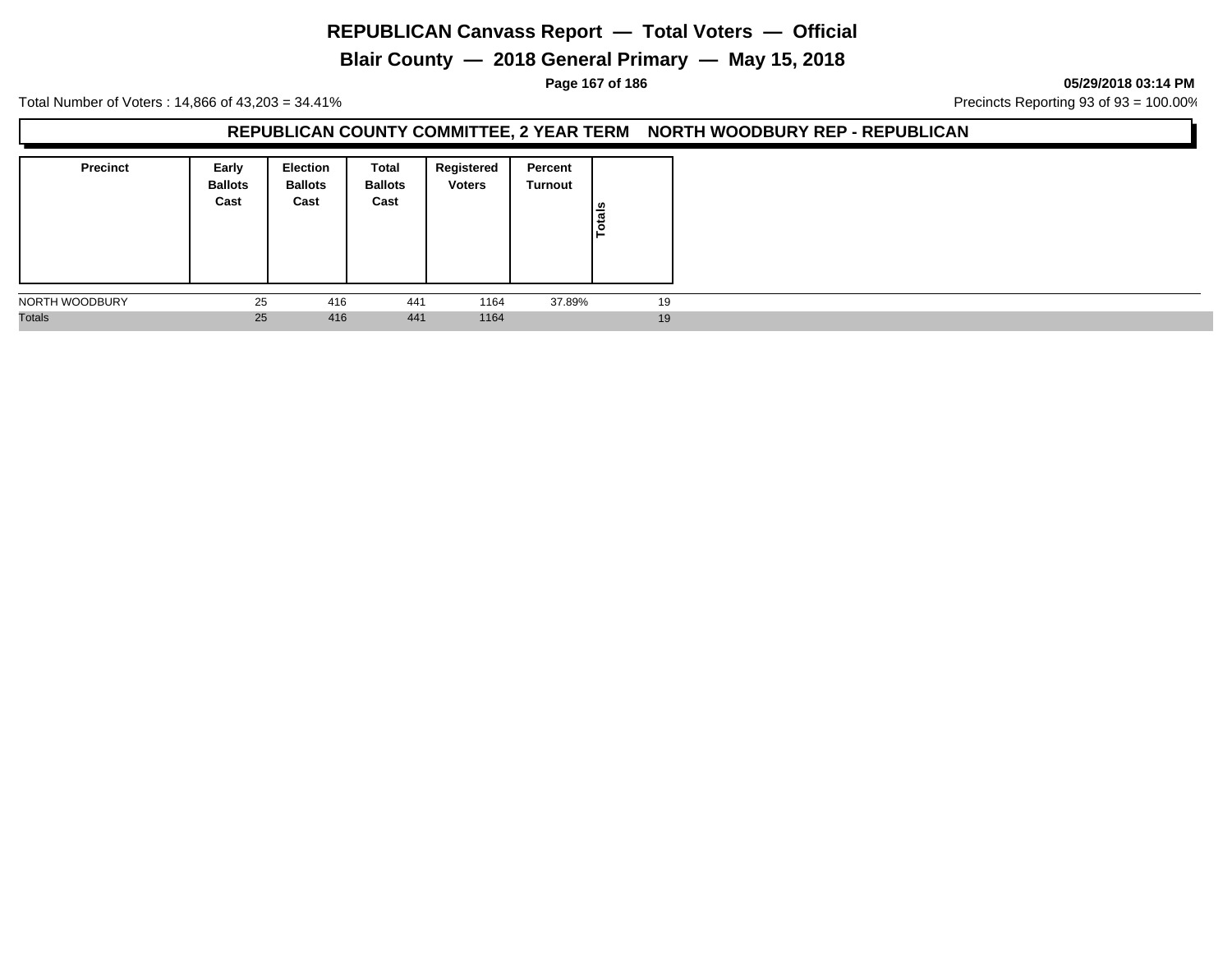**Blair County — 2018 General Primary — May 15, 2018**

#### **Page 167 of 186 05/29/2018 03:14 PM**

Total Number of Voters : 14,866 of 43,203 = 34.41% **Precincts Reporting 93 of 93** = 100.00%

#### **REPUBLICAN COUNTY COMMITTEE, 2 YEAR TERM NORTH WOODBURY REP - REPUBLICAN**

| <b>Precinct</b> | Early<br><b>Ballots</b><br>Cast | Election<br><b>Ballots</b><br>Cast | Total<br><b>Ballots</b><br>Cast | Registered<br><b>Voters</b> | Percent<br>Turnout | Totals |
|-----------------|---------------------------------|------------------------------------|---------------------------------|-----------------------------|--------------------|--------|
| NORTH WOODBURY  | 25                              | 416                                | 441                             | 1164                        | 37.89%             | 19     |
| <b>Totals</b>   | 25                              | 416                                | 441                             | 1164                        |                    | 19     |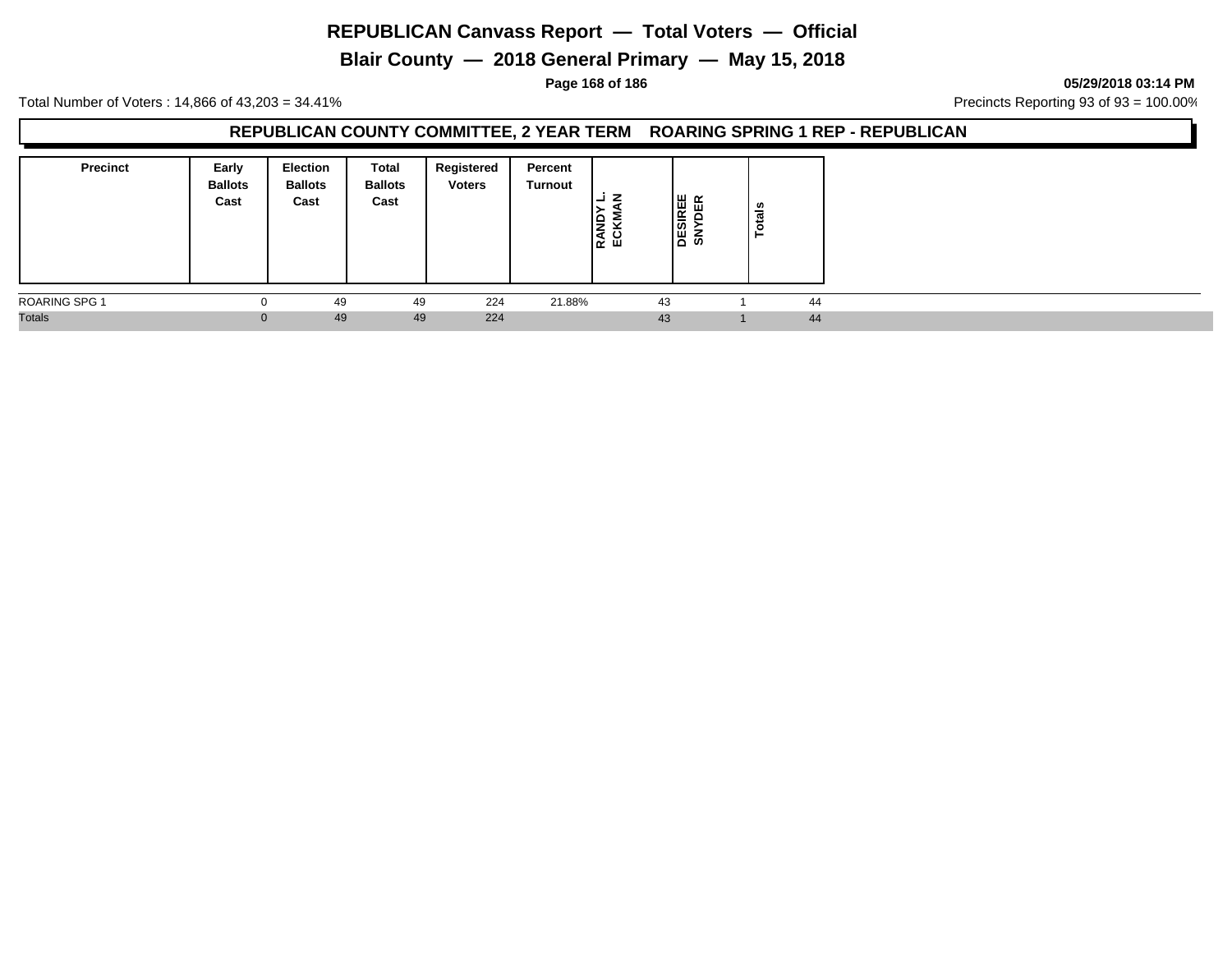# **Blair County — 2018 General Primary — May 15, 2018**

**Page 168 of 186 05/29/2018 03:14 PM**

Total Number of Voters : 14,866 of 43,203 = 34.41% **Precincts Reporting 93 of 93** = 100.00%

### **REPUBLICAN COUNTY COMMITTEE, 2 YEAR TERM ROARING SPRING 1 REP - REPUBLICAN**

| <b>Precinct</b>      | Early<br><b>Ballots</b><br>Cast | <b>Election</b><br><b>Ballots</b><br>Cast | Total<br><b>Ballots</b><br>Cast | Registered<br><b>Voters</b> | Percent<br>Turnout | e<br>중 있 | DESIREE<br>SNYDER | ctals<br>- |    |
|----------------------|---------------------------------|-------------------------------------------|---------------------------------|-----------------------------|--------------------|----------|-------------------|------------|----|
| <b>ROARING SPG 1</b> | $\Omega$                        | 49                                        | 49                              | 224                         | 21.88%             | 43       |                   |            | 44 |
| <b>Totals</b>        | $\mathbf{0}$                    | 49                                        | 49                              | 224                         |                    | 43       |                   |            | 44 |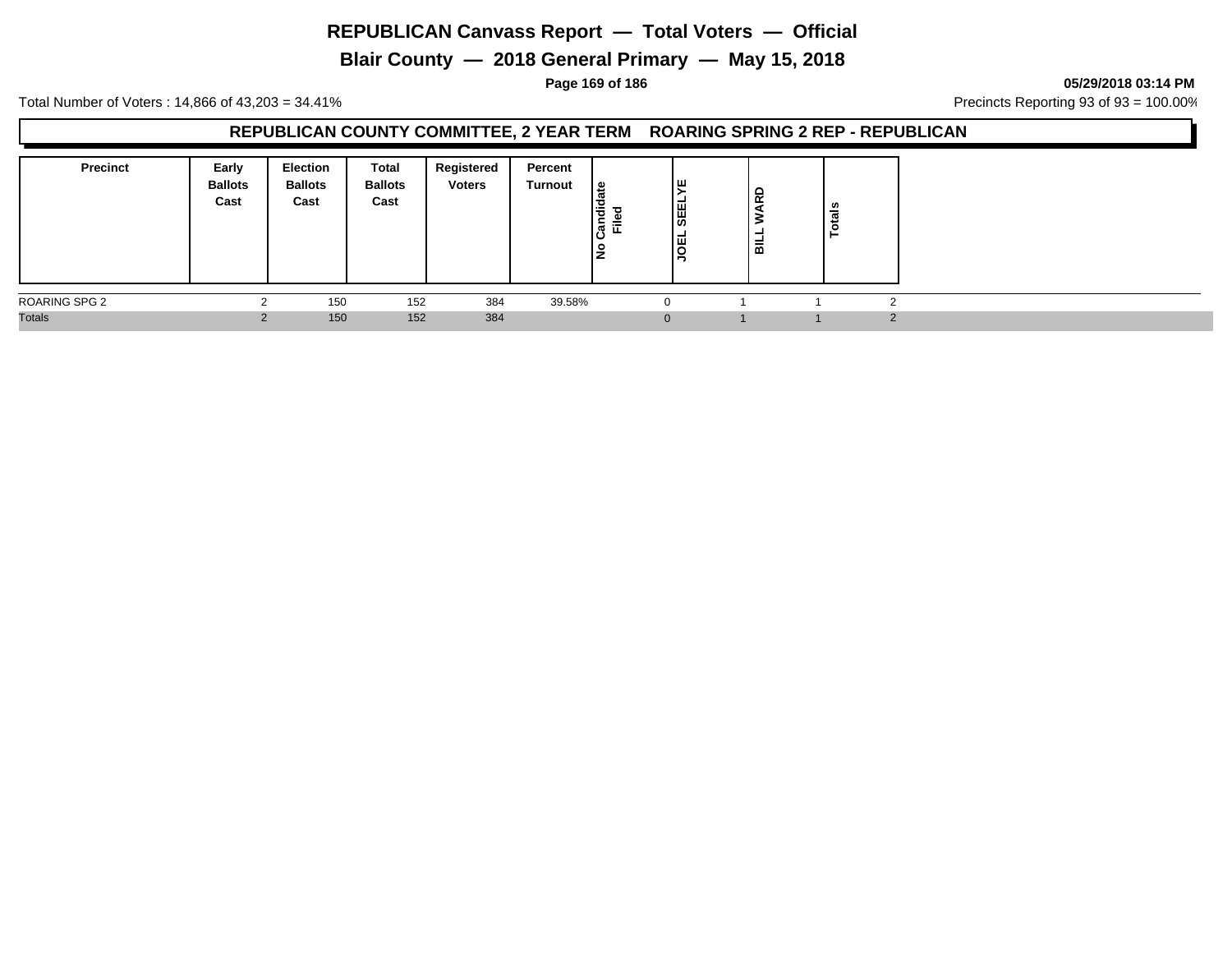**Blair County — 2018 General Primary — May 15, 2018**

**Page 169 of 186 05/29/2018 03:14 PM**

Total Number of Voters : 14,866 of 43,203 = 34.41% **Precincts Reporting 93 of 93** = 100.00%

#### **REPUBLICAN COUNTY COMMITTEE, 2 YEAR TERM ROARING SPRING 2 REP - REPUBLICAN**

| <b>Precinct</b> | Early<br><b>Ballots</b><br>Cast | Election<br><b>Ballots</b><br>Cast | <b>Total</b><br><b>Ballots</b><br>Cast | Registered<br><b>Voters</b> | Percent<br>Turnout | 읊<br> ਛੋ<br>nec<br>≈<br>ட<br>١ş | ╹<br><b>SEEL</b><br> 핑 | ARD<br>∣ਛ | ≝ |
|-----------------|---------------------------------|------------------------------------|----------------------------------------|-----------------------------|--------------------|---------------------------------|------------------------|-----------|---|
| ROARING SPG 2   |                                 | 150                                | 152                                    | 384                         | 39.58%             |                                 | $\Omega$               |           |   |
| <b>Totals</b>   |                                 | 150                                | 152                                    | 384                         |                    |                                 | $\mathbf{0}$           |           |   |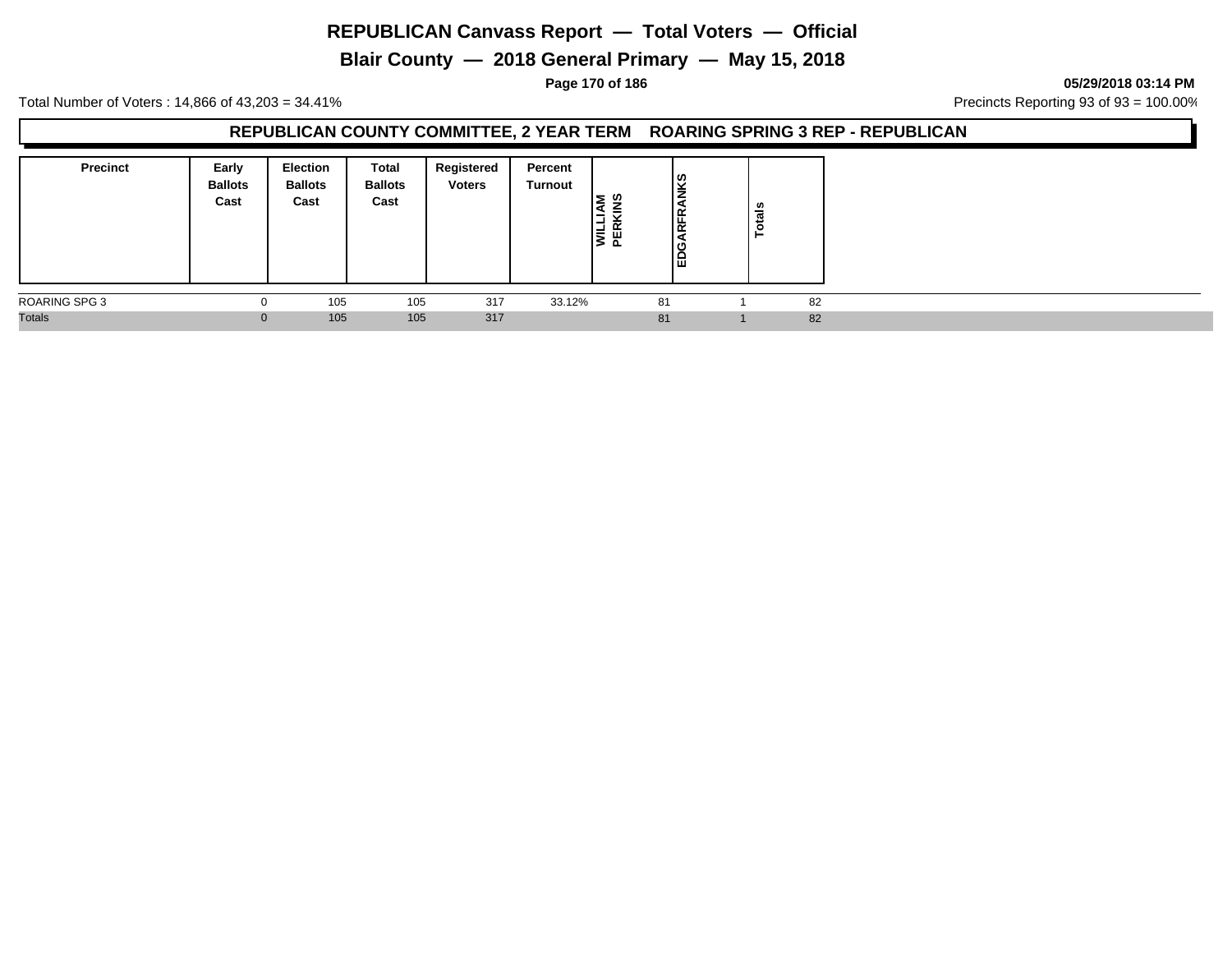**Blair County — 2018 General Primary — May 15, 2018**

**Page 170 of 186 05/29/2018 03:14 PM**

Total Number of Voters : 14,866 of 43,203 = 34.41% **Precincts Reporting 93 of 93** = 100.00%

#### **REPUBLICAN COUNTY COMMITTEE, 2 YEAR TERM ROARING SPRING 3 REP - REPUBLICAN**

| <b>Precinct</b> | Early<br><b>Ballots</b><br>Cast | <b>Election</b><br><b>Ballots</b><br>Cast | Total<br><b>Ballots</b><br>Cast | Registered<br><b>Voters</b> | Percent<br>Turnout | <b>U)</b><br>-<br>-<br>$\propto$<br>Ħ.<br>ш<br>മ | ၂ဖွ<br>⇒<br>١Ę<br>ι∝<br>ك ا<br>lē | <b>otals</b> |    |  |
|-----------------|---------------------------------|-------------------------------------------|---------------------------------|-----------------------------|--------------------|--------------------------------------------------|-----------------------------------|--------------|----|--|
| ROARING SPG 3   | $\Omega$                        | 105                                       | 105                             | 317                         | 33.12%             |                                                  | 81                                |              | 82 |  |
| <b>Totals</b>   | $\Omega$                        | 105                                       | 105                             | 317                         |                    |                                                  | 81                                |              | 82 |  |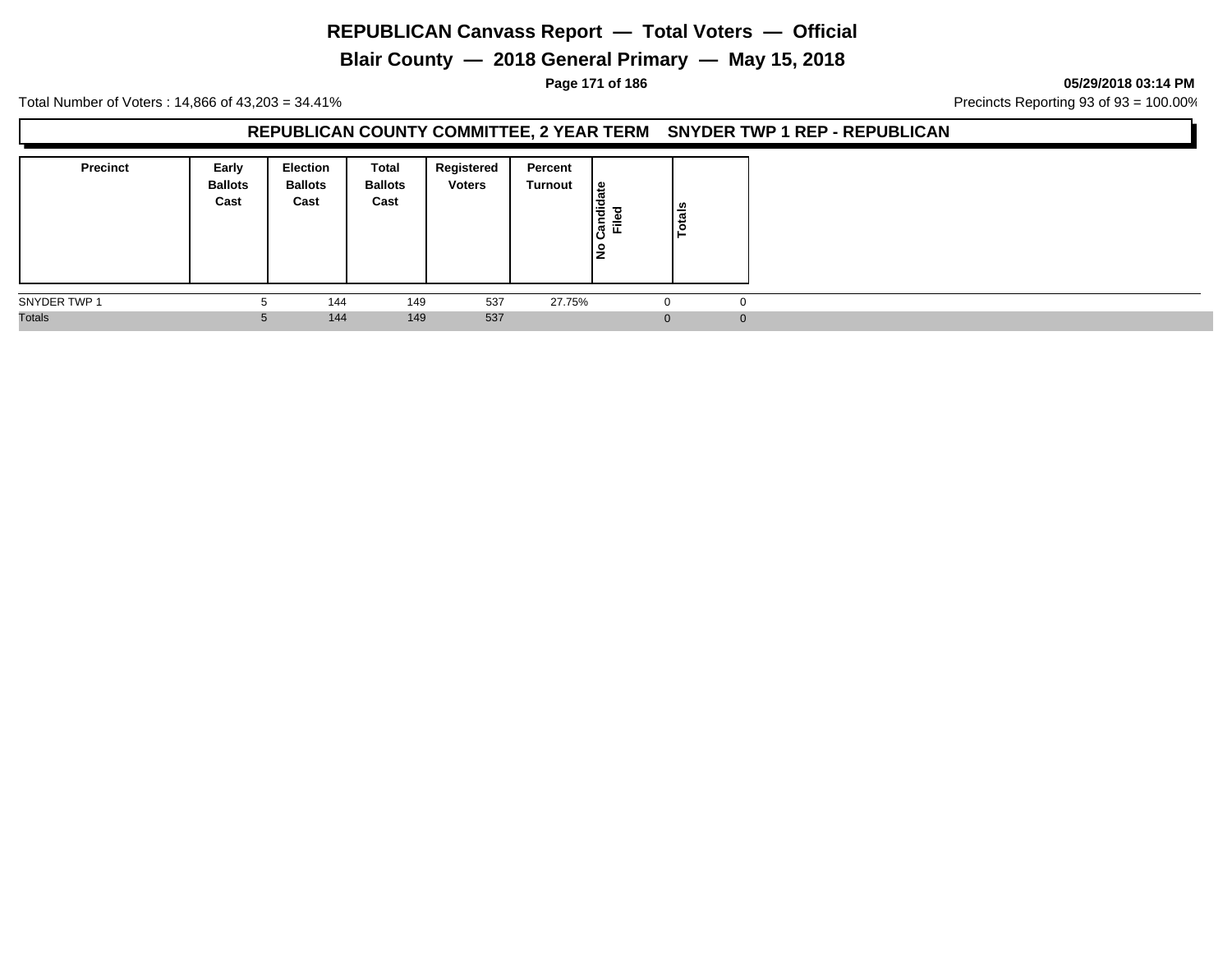**Blair County — 2018 General Primary — May 15, 2018**

**Page 171 of 186 05/29/2018 03:14 PM**

Total Number of Voters : 14,866 of 43,203 = 34.41% **Precincts Reporting 93 of 93** = 100.00%

#### **REPUBLICAN COUNTY COMMITTEE, 2 YEAR TERM SNYDER TWP 1 REP - REPUBLICAN**

| <b>Precinct</b> | Early<br><b>Ballots</b><br>Cast | <b>Election</b><br><b>Ballots</b><br>Cast | Total<br><b>Ballots</b><br>Cast | Registered<br><b>Voters</b> | Percent<br>Turnout | ہ  <br>Candid<br>≓<br>١ş | Totals |
|-----------------|---------------------------------|-------------------------------------------|---------------------------------|-----------------------------|--------------------|--------------------------|--------|
| SNYDER TWP 1    | 5                               | 144                                       | 149                             | 537                         | 27.75%             |                          |        |
| <b>Totals</b>   | 5                               | 144                                       | 149                             | 537                         |                    |                          |        |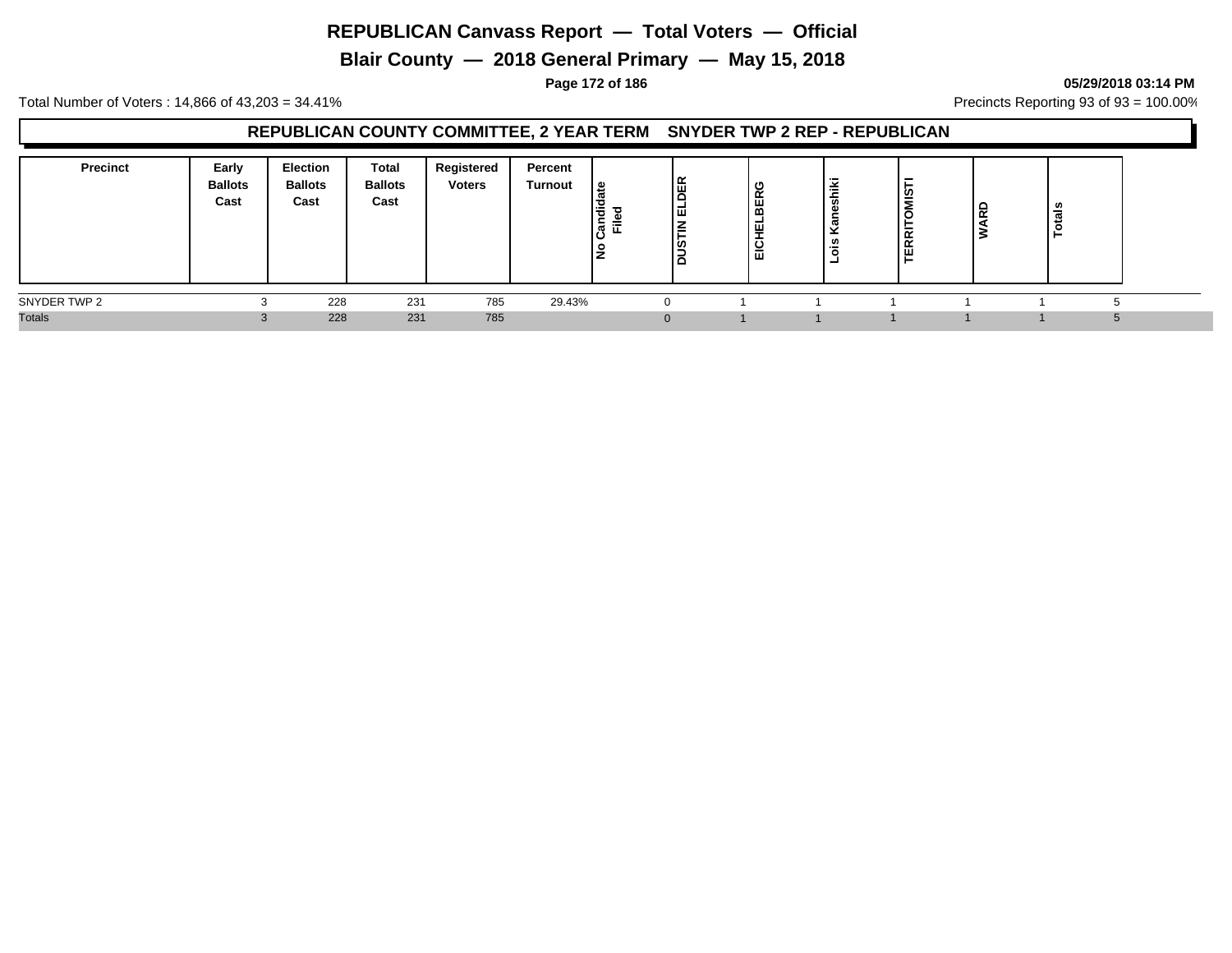**Blair County — 2018 General Primary — May 15, 2018**

#### **Page 172 of 186 05/29/2018 03:14 PM**

Total Number of Voters : 14,866 of 43,203 = 34.41% **Precincts Reporting 93 of 93** = 100.00%

### **REPUBLICAN COUNTY COMMITTEE, 2 YEAR TERM SNYDER TWP 2 REP - REPUBLICAN**

| <b>Precinct</b> | Early<br><b>Ballots</b><br>Cast | Election<br><b>Ballots</b><br>Cast | Total<br><b>Ballots</b><br>Cast | Registered<br><b>Voters</b> | Percent<br>Turnout | ூ<br>$\overline{\phantom{0}}$<br>효 로 | DER<br>同<br>ΙĒ<br>sua | ט<br>BER<br>ш<br>-<br>∣ ѿ | ≚<br>-<br>$\pi$<br>ີ<br>$\sim$ | <b>TERRITOMIST</b> | <b>1</b><br>$\overline{\phantom{a}}$ | - |  |
|-----------------|---------------------------------|------------------------------------|---------------------------------|-----------------------------|--------------------|--------------------------------------|-----------------------|---------------------------|--------------------------------|--------------------|--------------------------------------|---|--|
| SNYDER TWP 2    |                                 | 228                                | 231                             | 785                         | 29.43%             |                                      |                       |                           |                                |                    |                                      |   |  |
| <b>Totals</b>   |                                 | 228                                | 231                             | 785                         |                    |                                      |                       |                           |                                |                    |                                      |   |  |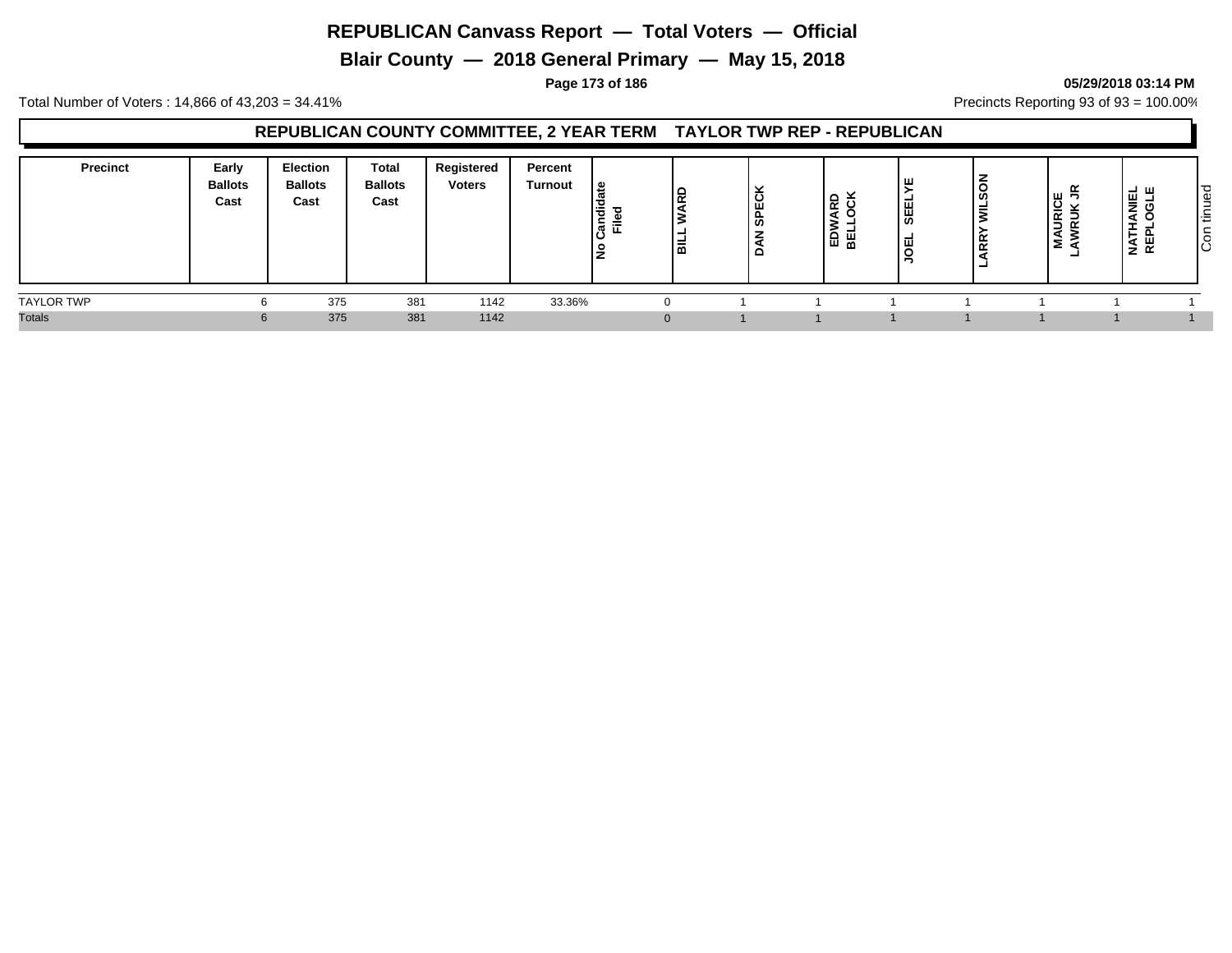**Blair County — 2018 General Primary — May 15, 2018**

#### **Page 173 of 186 05/29/2018 03:14 PM**

Total Number of Voters : 14,866 of 43,203 = 34.41% Precincts Reporting 93 of 93 = 100.00%

### **REPUBLICAN COUNTY COMMITTEE, 2 YEAR TERM TAYLOR TWP REP - REPUBLICAN**

| <b>Precinct</b>   | Early<br><b>Ballots</b><br>Cast | Election<br><b>Ballots</b><br>Cast | <b>Total</b><br><b>Ballots</b><br>Cast | Registered<br><b>Voters</b> | Percent<br>Turnout | ہ ا<br>lā<br>$=$<br>lar | l۵<br>高 | č<br>ш<br> န္တ<br>-<br>- | $\frac{1}{2}$ $\frac{1}{2}$<br>1記 띮 | ıш<br><b>SEEL</b> | ≓<br>È | <b>MAURICE</b><br>AWRUK JR<br>۰ | . – ⊔ ⊔<br>Ë<br>◀<br>÷<br>ш<br>◀<br>Ź. | ၊ ငွှ<br>ے<br>$\overline{\phantom{a}}$<br>÷<br>- S |
|-------------------|---------------------------------|------------------------------------|----------------------------------------|-----------------------------|--------------------|-------------------------|---------|--------------------------|-------------------------------------|-------------------|--------|---------------------------------|----------------------------------------|----------------------------------------------------|
| <b>TAYLOR TWP</b> |                                 | 375                                | 381                                    | 1142                        | 33.36%             |                         |         |                          |                                     |                   |        |                                 |                                        |                                                    |
| <b>Totals</b>     |                                 | 375                                | 381                                    | 1142                        |                    |                         |         |                          |                                     |                   |        |                                 |                                        |                                                    |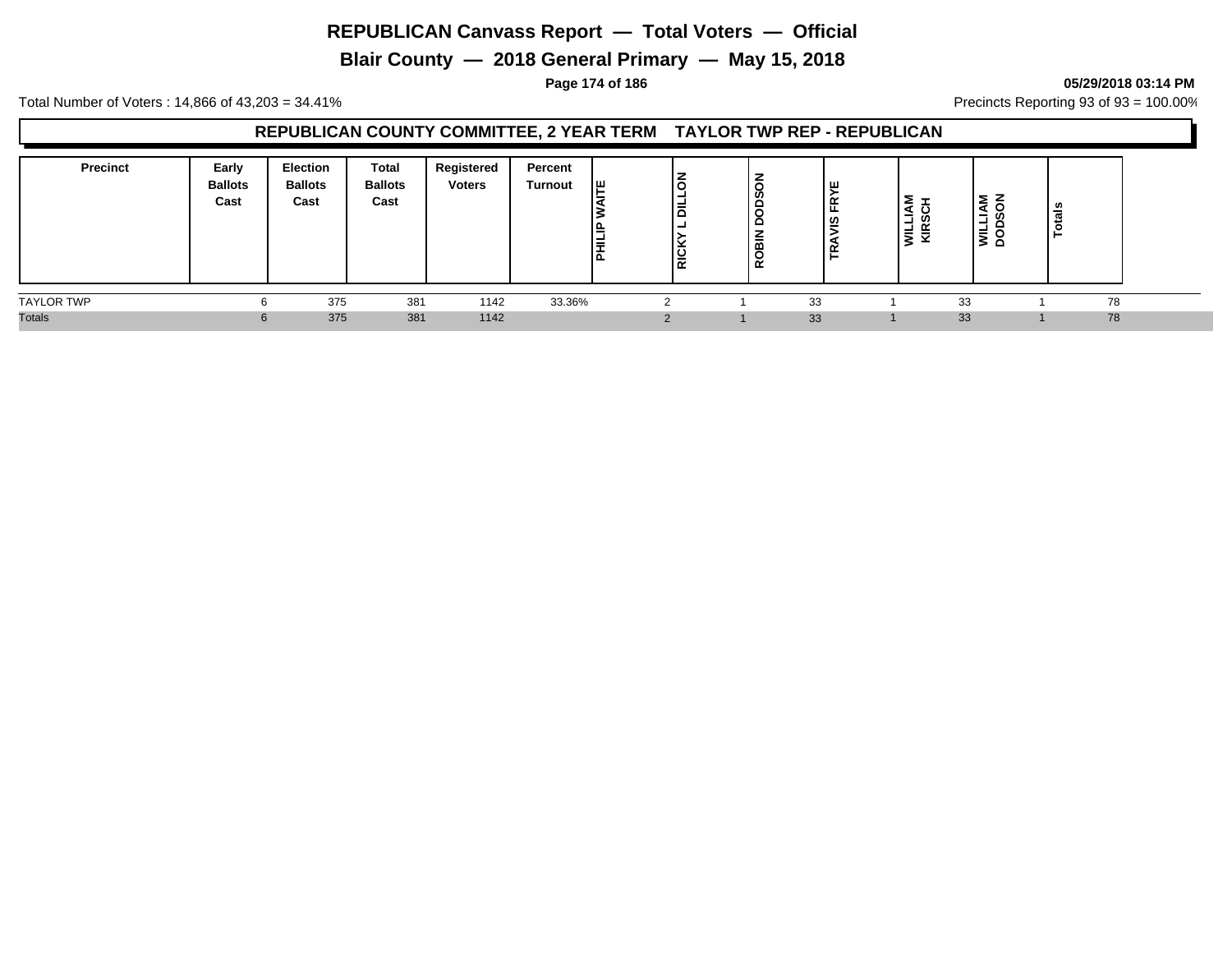**Blair County — 2018 General Primary — May 15, 2018**

#### **Page 174 of 186 05/29/2018 03:14 PM**

Total Number of Voters : 14,866 of 43,203 = 34.41% Precincts Reporting 93 of 93 = 100.00%

### **REPUBLICAN COUNTY COMMITTEE, 2 YEAR TERM TAYLOR TWP REP - REPUBLICAN**

| <b>Precinct</b>   | Early<br><b>Ballots</b><br>Cast | <b>Election</b><br><b>Ballots</b><br>Cast | <b>Total</b><br><b>Ballots</b><br>Cast | Registered<br><b>Voters</b> | Percent<br>Turnout | I۳<br>≝<br>텵 | Ιõ<br>١ă<br>RICK | ဟ<br>$\overline{\phantom{0}}$<br>≃<br>۲ء | $\alpha$<br>ഇ | 5<br>-<br>m<br>ᆜ<br><b>NE</b> | ΣΖ<br>e<br>-<br>┙<br>$\overline{\phantom{0}}$<br>≥ ¤ | ਜ਼<br>► |  |
|-------------------|---------------------------------|-------------------------------------------|----------------------------------------|-----------------------------|--------------------|--------------|------------------|------------------------------------------|---------------|-------------------------------|------------------------------------------------------|---------|--|
| <b>TAYLOR TWP</b> |                                 | 375                                       | 381                                    | 1142                        | 33.36%             |              |                  | 33                                       |               | 33                            |                                                      | 78      |  |
| <b>Totals</b>     |                                 | 375                                       | 381                                    | 1142                        |                    |              |                  | 33                                       |               | 33                            |                                                      | 78      |  |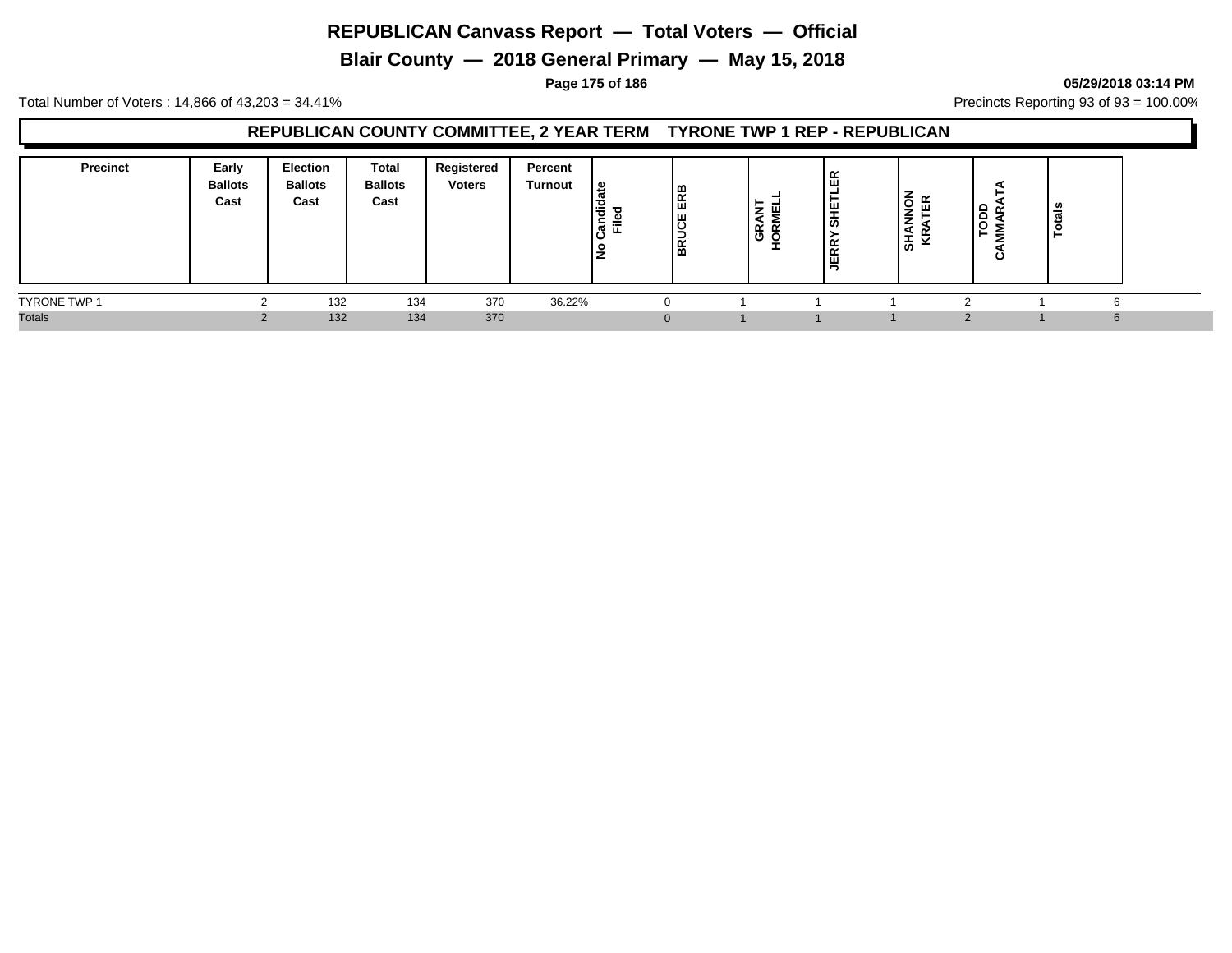**Blair County — 2018 General Primary — May 15, 2018**

#### **Page 175 of 186 05/29/2018 03:14 PM**

Total Number of Voters : 14,866 of 43,203 = 34.41% **Precincts Reporting 93 of 93** = 100.00%

### **REPUBLICAN COUNTY COMMITTEE, 2 YEAR TERM TYRONE TWP 1 REP - REPUBLICAN**

| <b>Precinct</b>     | Early<br><b>Ballots</b><br>Cast | Election<br><b>Ballots</b><br>Cast | Total<br><b>Ballots</b><br>Cast | Registered<br><b>Voters</b> | Percent<br><b>Turnout</b> | 으<br>ㅎ<br>-<br>≂<br>ਨ<br>$\rightarrow$ | ERB<br><b>BRUCE</b> | <b>GRANT</b><br>HORMEL | ≃<br>ш<br>₩<br>  あ<br>≃<br>$\propto$<br>삊 | $\overline{Q}$<br>ш<br>≒<br>あ | $\Omega$<br>∼ | $\overline{a}$ |  |
|---------------------|---------------------------------|------------------------------------|---------------------------------|-----------------------------|---------------------------|----------------------------------------|---------------------|------------------------|-------------------------------------------|-------------------------------|---------------|----------------|--|
| <b>TYRONE TWP 1</b> |                                 | 132                                | 134                             | 370                         | 36.22%                    |                                        |                     |                        |                                           |                               |               |                |  |
| <b>Totals</b>       |                                 | 132                                | 134                             | 370                         |                           |                                        |                     |                        |                                           |                               |               |                |  |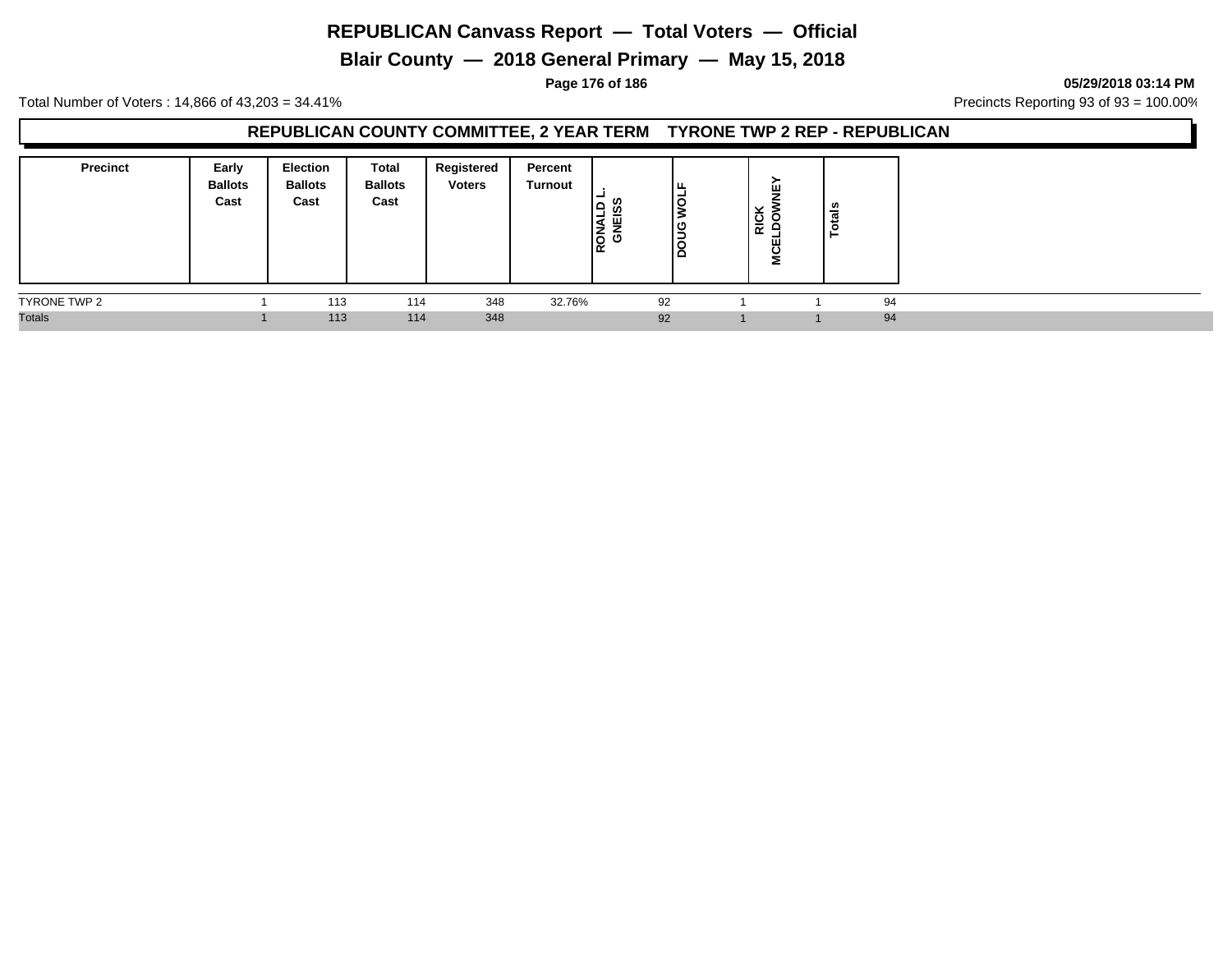**Blair County — 2018 General Primary — May 15, 2018**

**Page 176 of 186 05/29/2018 03:14 PM**

Total Number of Voters : 14,866 of 43,203 = 34.41% **Precincts Reporting 93 of 93** = 100.00%

### **REPUBLICAN COUNTY COMMITTEE, 2 YEAR TERM TYRONE TWP 2 REP - REPUBLICAN**

| <b>Precinct</b> | Early<br><b>Ballots</b><br>Cast | Election<br><b>Ballots</b><br>Cast | <b>Total</b><br><b>Ballots</b><br>Cast | Registered<br><b>Voters</b> | Percent<br><b>Turnout</b> | <b>U)</b><br>RONAL<br>GNEIS | ╹╙<br>۱ō<br>ں  <br>ں ا<br>ه ا | $\checkmark$<br><b>RIC</b> | ш<br>ш<br>⋍ | ≌<br>$\overline{a}$ |
|-----------------|---------------------------------|------------------------------------|----------------------------------------|-----------------------------|---------------------------|-----------------------------|-------------------------------|----------------------------|-------------|---------------------|
| TYRONE TWP 2    |                                 | 113                                | 114                                    | 348                         | 32.76%                    |                             | 92                            |                            |             | 94                  |
| <b>Totals</b>   |                                 | 113                                | 114                                    | 348                         |                           |                             | 92                            |                            |             | 94                  |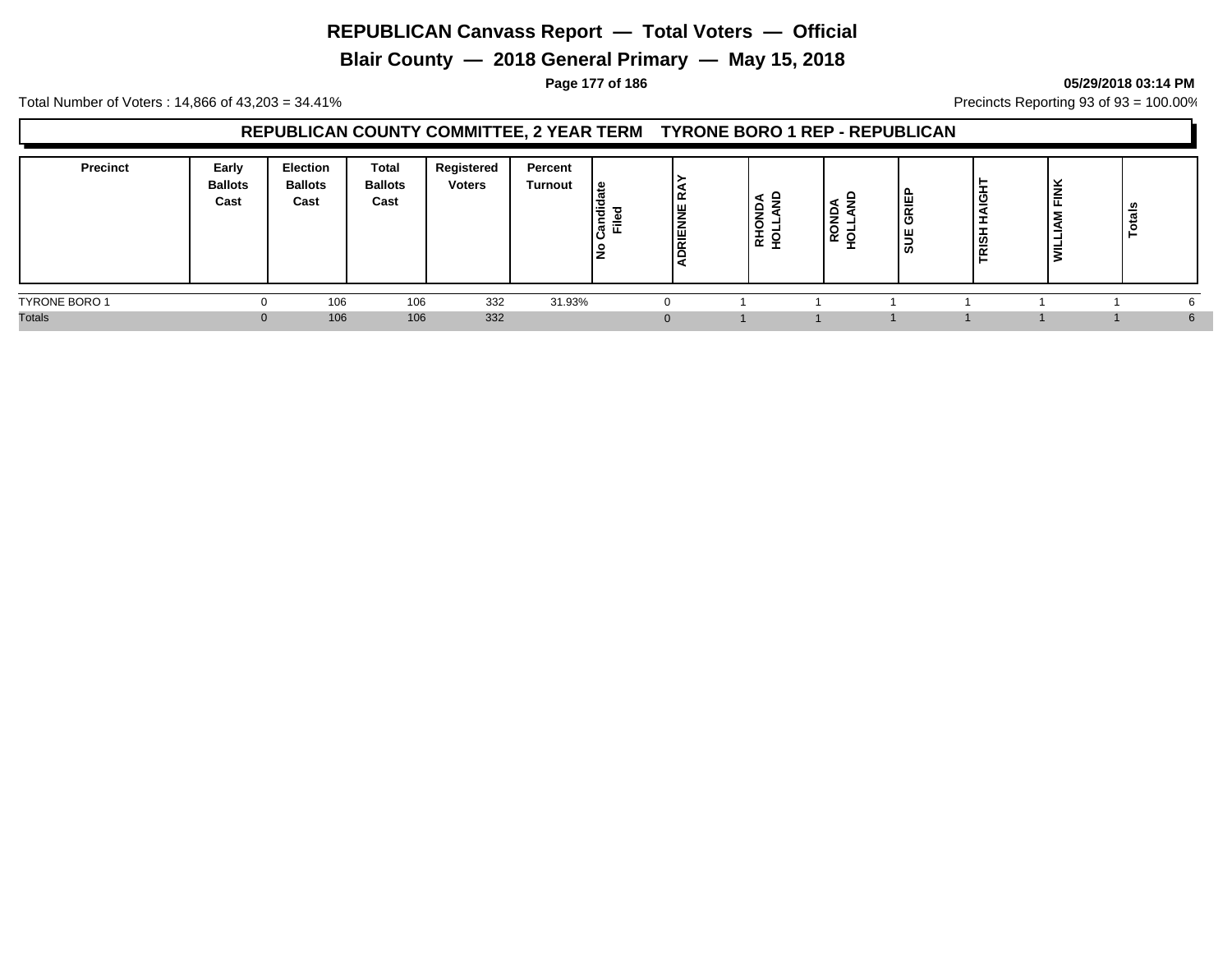**Blair County — 2018 General Primary — May 15, 2018**

#### **Page 177 of 186 05/29/2018 03:14 PM**

Total Number of Voters : 14,866 of 43,203 = 34.41% **Precincts Reporting 93 of 93** = 100.00%

### **REPUBLICAN COUNTY COMMITTEE, 2 YEAR TERM TYRONE BORO 1 REP - REPUBLICAN**

| <b>Precinct</b>      | Early<br><b>Ballots</b><br>Cast | <b>Election</b><br><b>Ballots</b><br>Cast | <b>Total</b><br><b>Ballots</b><br>Cast | Registered<br><b>Voters</b> | Percent<br><b>Turnout</b> | ي  <br>$\equiv$<br>ಕ<br>$=$<br>교 회 | ╹<br>IЧ<br>DRIENN | -<br>Ĩ.<br>≃ ≍ | ≏<br>-<br>O<br>$\sim$<br>ັ | ₩<br>≃<br>-<br>' ທ | ا ⊽<br>-<br>ခြွ | $\overline{\phantom{a}}$<br>-<br>€<br>ட | ≗<br>œ<br>ت |  |
|----------------------|---------------------------------|-------------------------------------------|----------------------------------------|-----------------------------|---------------------------|------------------------------------|-------------------|----------------|----------------------------|--------------------|-----------------|-----------------------------------------|-------------|--|
| <b>TYRONE BORO 1</b> | $\Omega$                        | 106                                       | 106                                    | 332                         | 31.93%                    |                                    |                   |                |                            |                    |                 |                                         |             |  |
| <b>Totals</b>        | $\Omega$                        | 106                                       | 106                                    | 332                         |                           |                                    |                   |                |                            |                    |                 |                                         |             |  |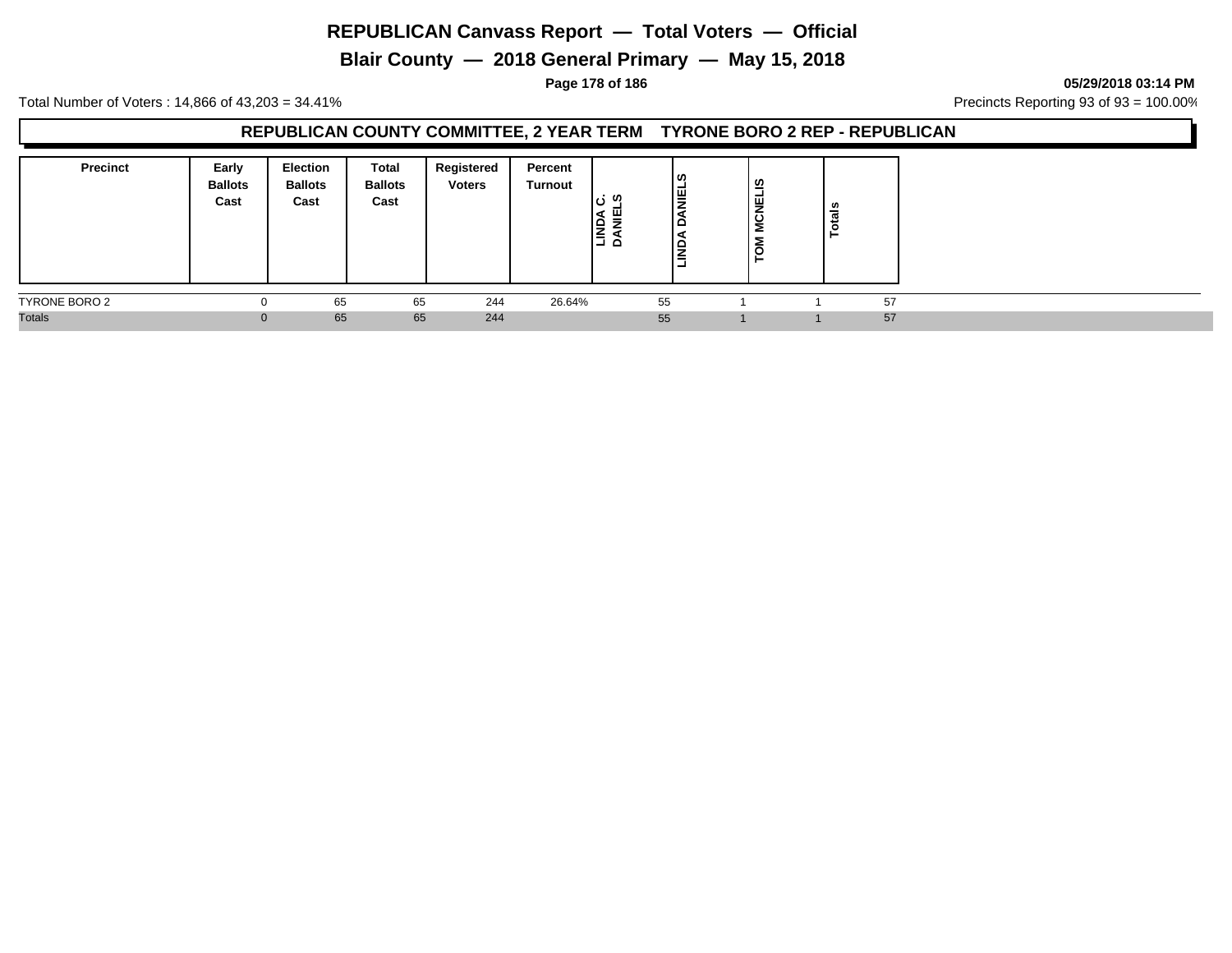**Blair County — 2018 General Primary — May 15, 2018**

**Page 178 of 186 05/29/2018 03:14 PM**

Total Number of Voters : 14,866 of 43,203 = 34.41% **Precincts Reporting 93 of 93** = 100.00%

#### **REPUBLICAN COUNTY COMMITTEE, 2 YEAR TERM TYRONE BORO 2 REP - REPUBLICAN**

| <b>Precinct</b> | Early<br><b>Ballots</b><br>Cast | Election<br><b>Ballots</b><br>Cast | Total<br><b>Ballots</b><br>Cast | Registered<br><b>Voters</b> | Percent<br>Turnout | : ທ<br>ш<br><b>NASI</b><br>San | ၊ ဟ<br>l≣<br>▭<br>≏<br>=<br>=<br>- | <b>MCNELIS</b><br>$\overline{5}$<br>⊢ | - |    |
|-----------------|---------------------------------|------------------------------------|---------------------------------|-----------------------------|--------------------|--------------------------------|------------------------------------|---------------------------------------|---|----|
| TYRONE BORO 2   |                                 | 65                                 | 65                              | 244                         | 26.64%             | 55                             |                                    |                                       |   | 57 |
| <b>Totals</b>   | $\Omega$                        | 65                                 | 65                              | 244                         |                    | 55                             |                                    |                                       |   | 57 |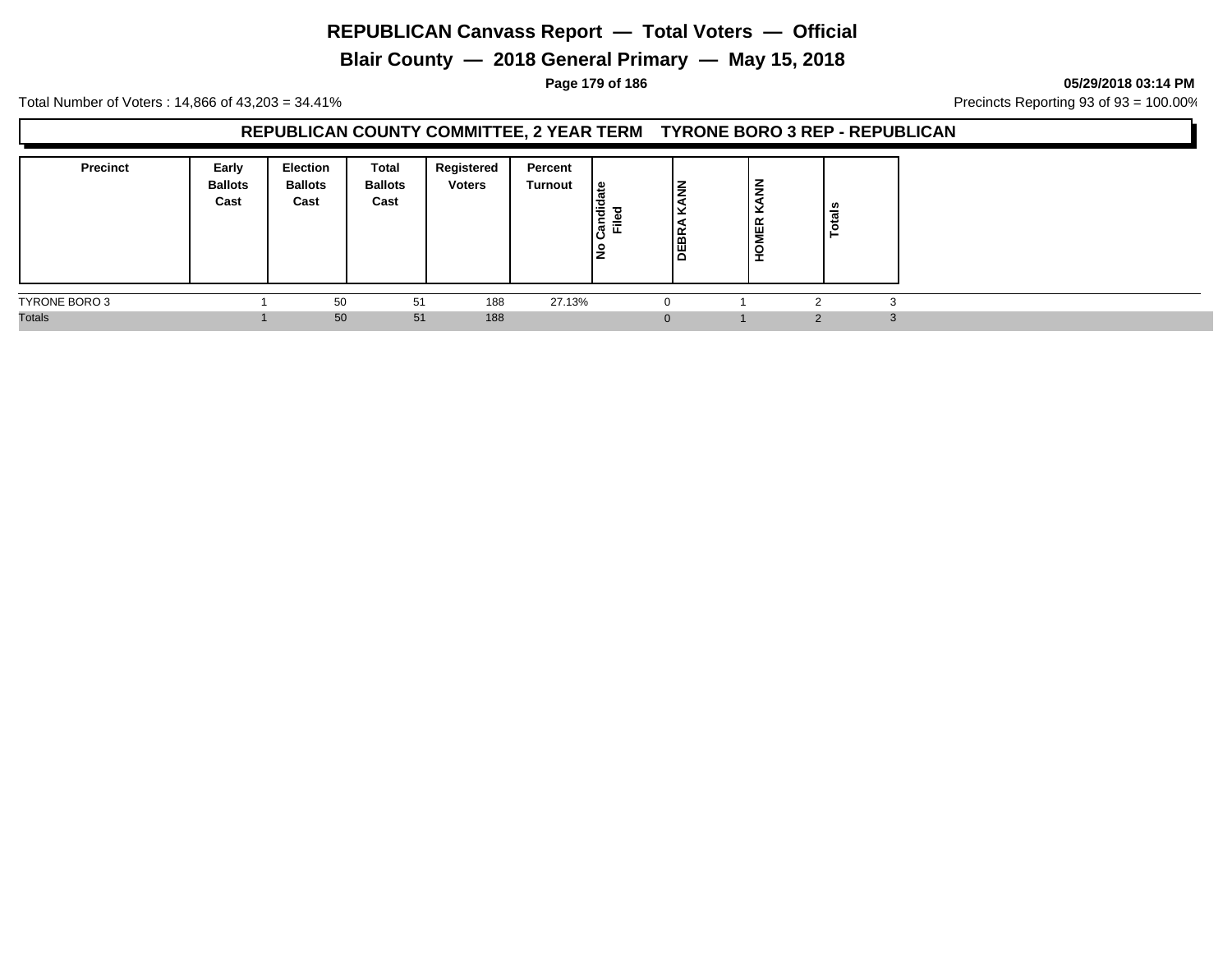**Blair County — 2018 General Primary — May 15, 2018**

**Page 179 of 186 05/29/2018 03:14 PM**

Total Number of Voters : 14,866 of 43,203 = 34.41% **Precincts Reporting 93 of 93** = 100.00%

#### **REPUBLICAN COUNTY COMMITTEE, 2 YEAR TERM TYRONE BORO 3 REP - REPUBLICAN**

| <b>Precinct</b> | Early<br><b>Ballots</b><br>Cast | Election<br><b>Ballots</b><br>Cast | <b>Total</b><br><b>Ballots</b><br>Cast | Registered<br><b>Voters</b> | Percent<br><b>Turnout</b> | 읊<br>1응<br>$\bar{\mathbb{F}}$<br>≈<br>ட<br>lŁ | <b>–</b><br>-<br>-<br>-<br><b>DEBR</b> | -<br>∍<br>ৱি<br>$\overline{\phantom{a}}$<br><b>OMER</b><br>- | <u>្យ</u> |              |
|-----------------|---------------------------------|------------------------------------|----------------------------------------|-----------------------------|---------------------------|-----------------------------------------------|----------------------------------------|--------------------------------------------------------------|-----------|--------------|
| TYRONE BORO 3   |                                 | 50                                 | 51                                     | 188                         | 27.13%                    |                                               | 0                                      |                                                              |           |              |
| <b>Totals</b>   |                                 | 50                                 | 51                                     | 188                         |                           |                                               | $\mathbf{0}$                           |                                                              |           | $\sim$<br>-3 |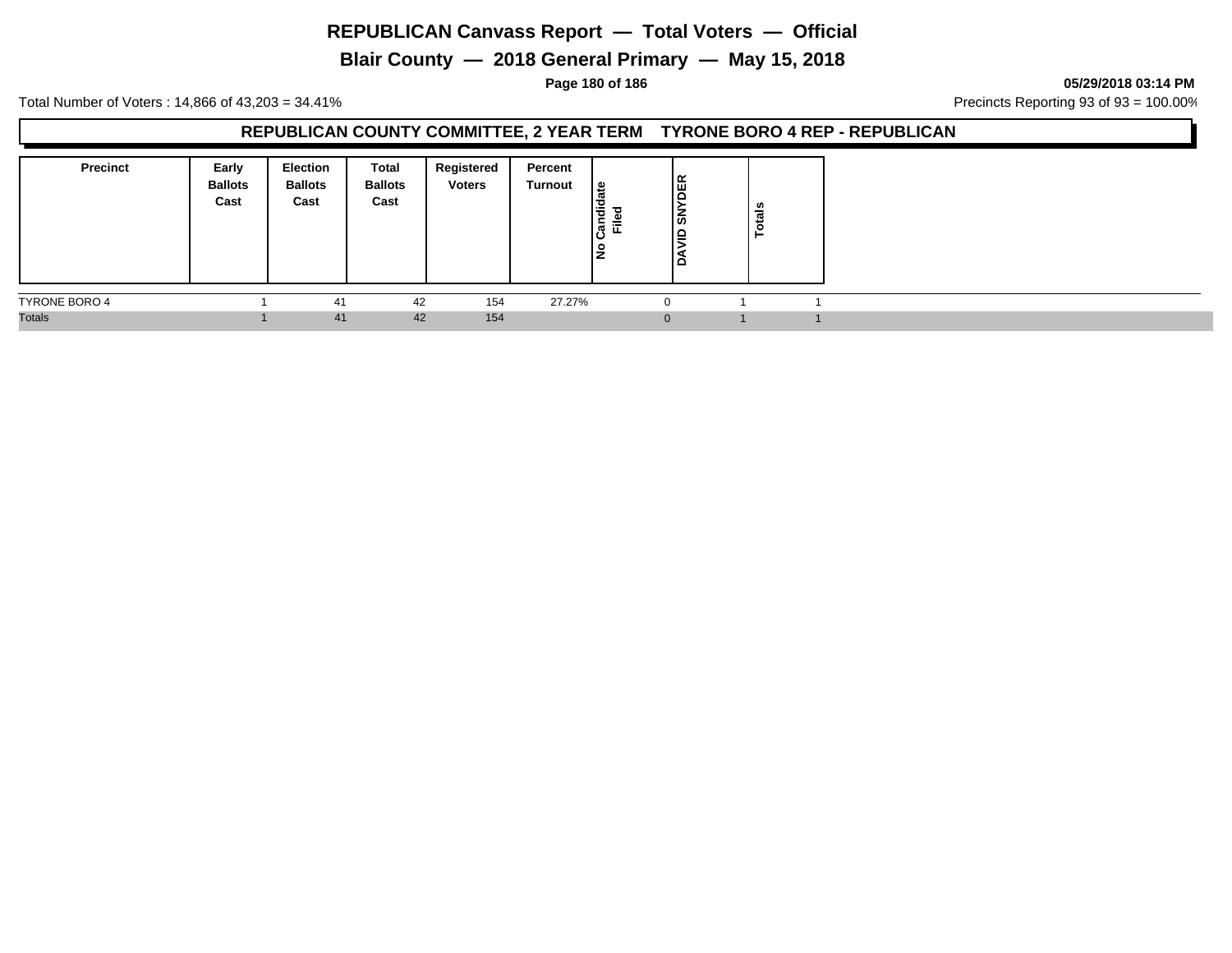# **Blair County — 2018 General Primary — May 15, 2018**

**Page 180 of 186 05/29/2018 03:14 PM**

Total Number of Voters : 14,866 of 43,203 = 34.41% **Precincts Reporting 93 of 93** = 100.00%

### **REPUBLICAN COUNTY COMMITTEE, 2 YEAR TERM TYRONE BORO 4 REP - REPUBLICAN**

| <b>Precinct</b> | Early<br><b>Ballots</b><br>Cast | <b>Election</b><br><b>Ballots</b><br>Cast | Total<br><b>Ballots</b><br>Cast | Registered<br><b>Voters</b> | Percent<br>Turnout | ١e<br>Candid<br>≔<br>ட<br>l是 | DER<br>ر ا<br>ہ∟<br>▭ | tals<br>ō, |  |
|-----------------|---------------------------------|-------------------------------------------|---------------------------------|-----------------------------|--------------------|------------------------------|-----------------------|------------|--|
| TYRONE BORO 4   |                                 | 41                                        | 42                              | 154                         | 27.27%             |                              | - 0                   |            |  |
| <b>Totals</b>   |                                 | 41                                        | 42                              | 154                         |                    |                              | $\Omega$              |            |  |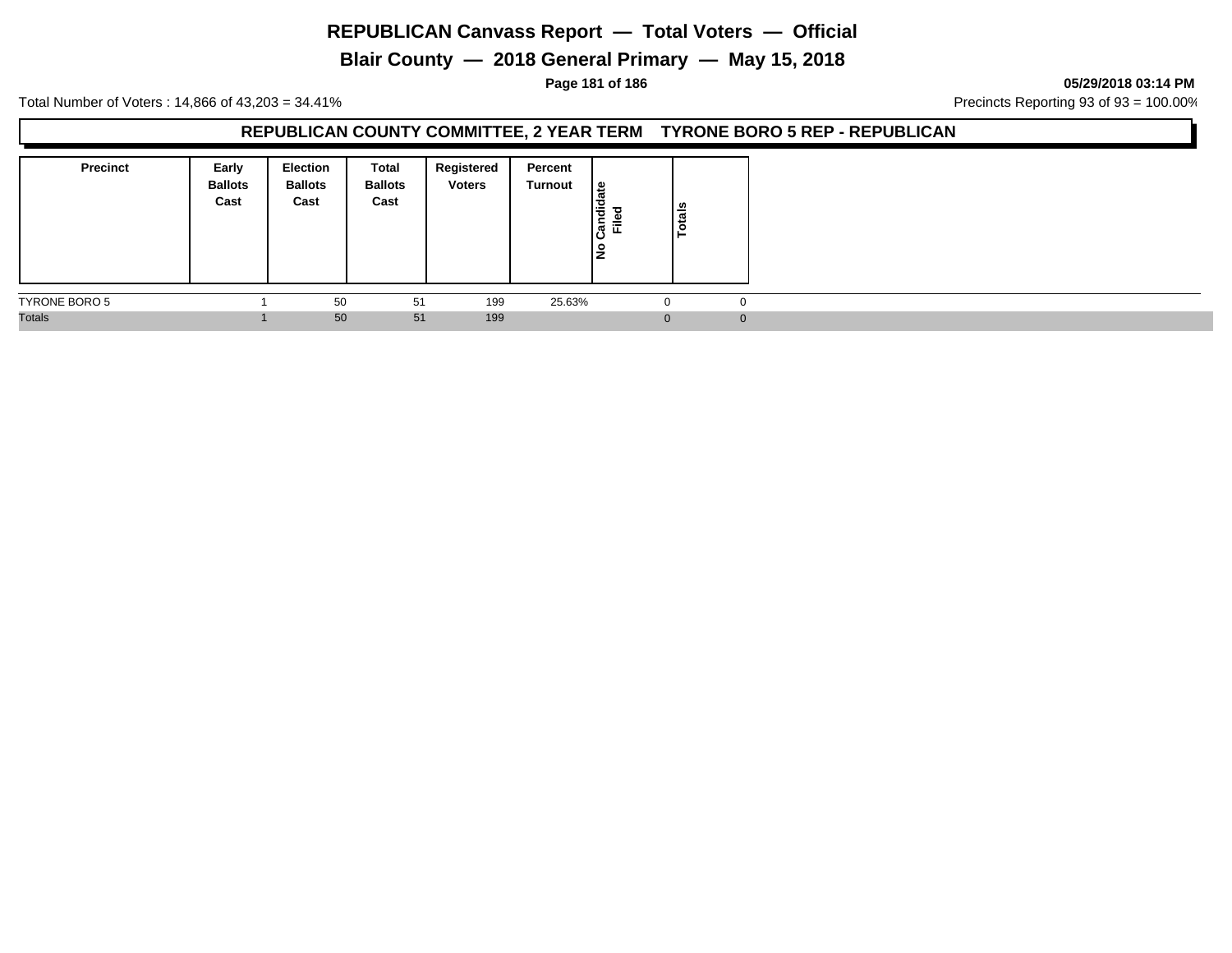# **Blair County — 2018 General Primary — May 15, 2018**

**Page 181 of 186 05/29/2018 03:14 PM**

Total Number of Voters : 14,866 of 43,203 = 34.41% **Precincts Reporting 93 of 93** = 100.00%

#### **REPUBLICAN COUNTY COMMITTEE, 2 YEAR TERM TYRONE BORO 5 REP - REPUBLICAN**

| <b>Precinct</b> | Early<br><b>Ballots</b><br>Cast | <b>Election</b><br><b>Ballots</b><br>Cast | Total<br><b>Ballots</b><br>Cast | Registered<br><b>Voters</b> | Percent<br>Turnout | 9  <br>Candid<br>$\equiv$<br>١ş | <b>Totals</b> |
|-----------------|---------------------------------|-------------------------------------------|---------------------------------|-----------------------------|--------------------|---------------------------------|---------------|
| TYRONE BORO 5   |                                 | 50                                        | 51                              | 199                         | 25.63%             | $\Omega$                        |               |
| <b>Totals</b>   |                                 | 50                                        | 51                              | 199                         |                    | $\Omega$                        |               |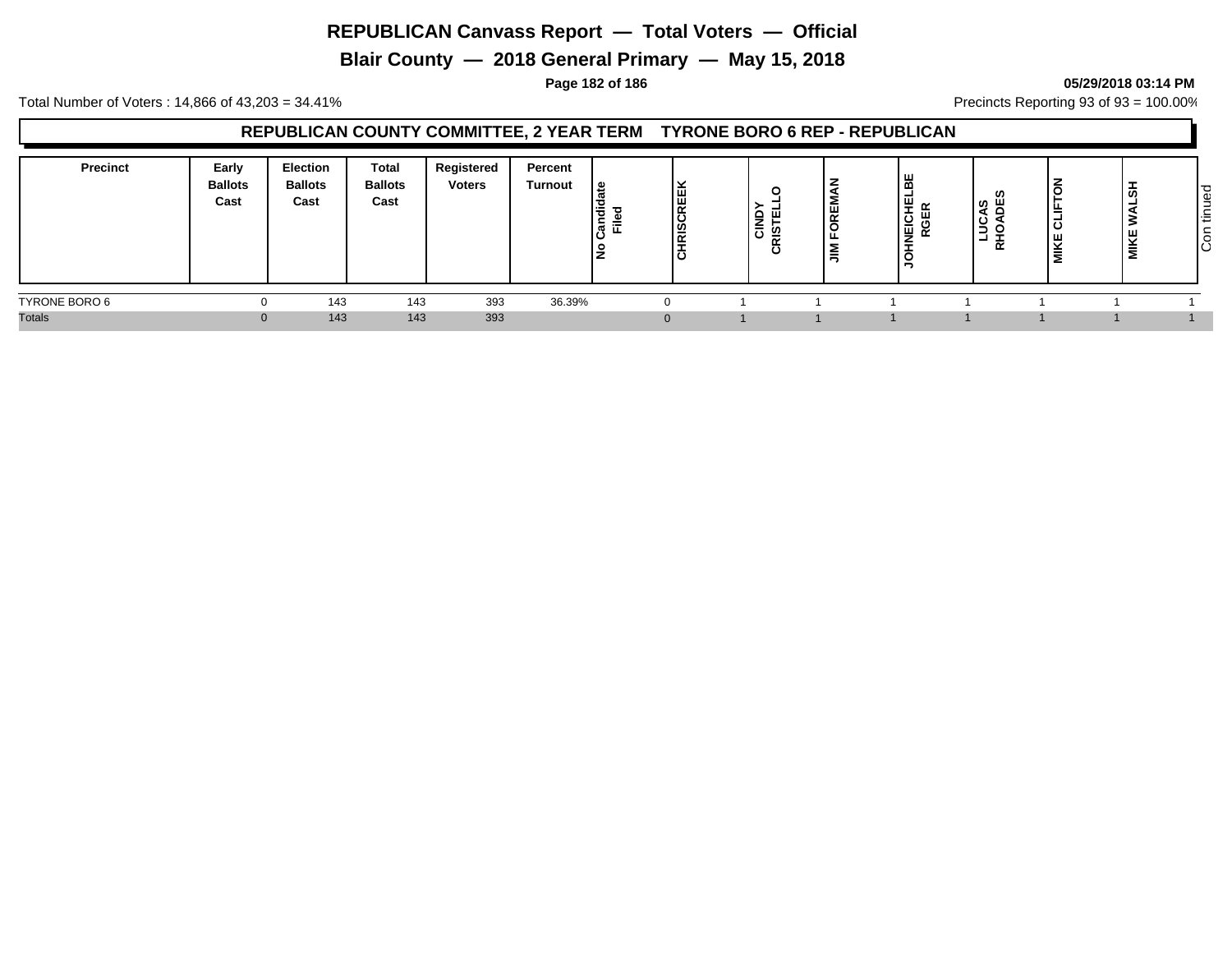**Blair County — 2018 General Primary — May 15, 2018**

#### **Page 182 of 186 05/29/2018 03:14 PM**

Total Number of Voters : 14,866 of 43,203 = 34.41% **Precincts Reporting 93 of 93** = 100.00%

#### **REPUBLICAN COUNTY COMMITTEE, 2 YEAR TERM TYRONE BORO 6 REP - REPUBLICAN**

| <b>Precinct</b> | Early<br><b>Ballots</b><br>Cast | <b>Election</b><br><b>Ballots</b><br>Cast | Total<br><b>Ballots</b><br>Cast | Registered<br><b>Voters</b> | Percent<br><b>Turnout</b> | ீ<br>Candie<br>Filed | <b>CHRISCREEK</b> | ⌒<br>.<br>₩.<br>≤<br>ပ<br>-<br>$\mathbf c$ | ∣ш<br>$\overline{\phantom{a}}$<br>-- | 造<br>-<br>ਾ ⊞ੂ ∝<br>이 있습니다.<br>이 모습니다.<br>이 모습니다.<br>≐ | U.<br> ပွိ ဗို<br>ۊ<br>. .<br>-<br>- 11<br>œ | $\overline{\phantom{a}}$<br>◡<br>⋍<br>ರ<br>IΚΕ<br>Σ | ã<br>$\frac{1}{2}$ | ಾ<br>Φ<br>-<br>$\sim$<br>造<br>┶<br>$\circ$<br>ΙO |
|-----------------|---------------------------------|-------------------------------------------|---------------------------------|-----------------------------|---------------------------|----------------------|-------------------|--------------------------------------------|--------------------------------------|--------------------------------------------------------|----------------------------------------------|-----------------------------------------------------|--------------------|--------------------------------------------------|
| TYRONE BORO 6   |                                 | 143                                       | 143                             | 393                         | 36.39%                    |                      |                   |                                            |                                      |                                                        |                                              |                                                     |                    |                                                  |
| <b>Totals</b>   |                                 | 143                                       | 143                             | 393                         |                           |                      | $\Omega$          |                                            |                                      |                                                        |                                              |                                                     |                    |                                                  |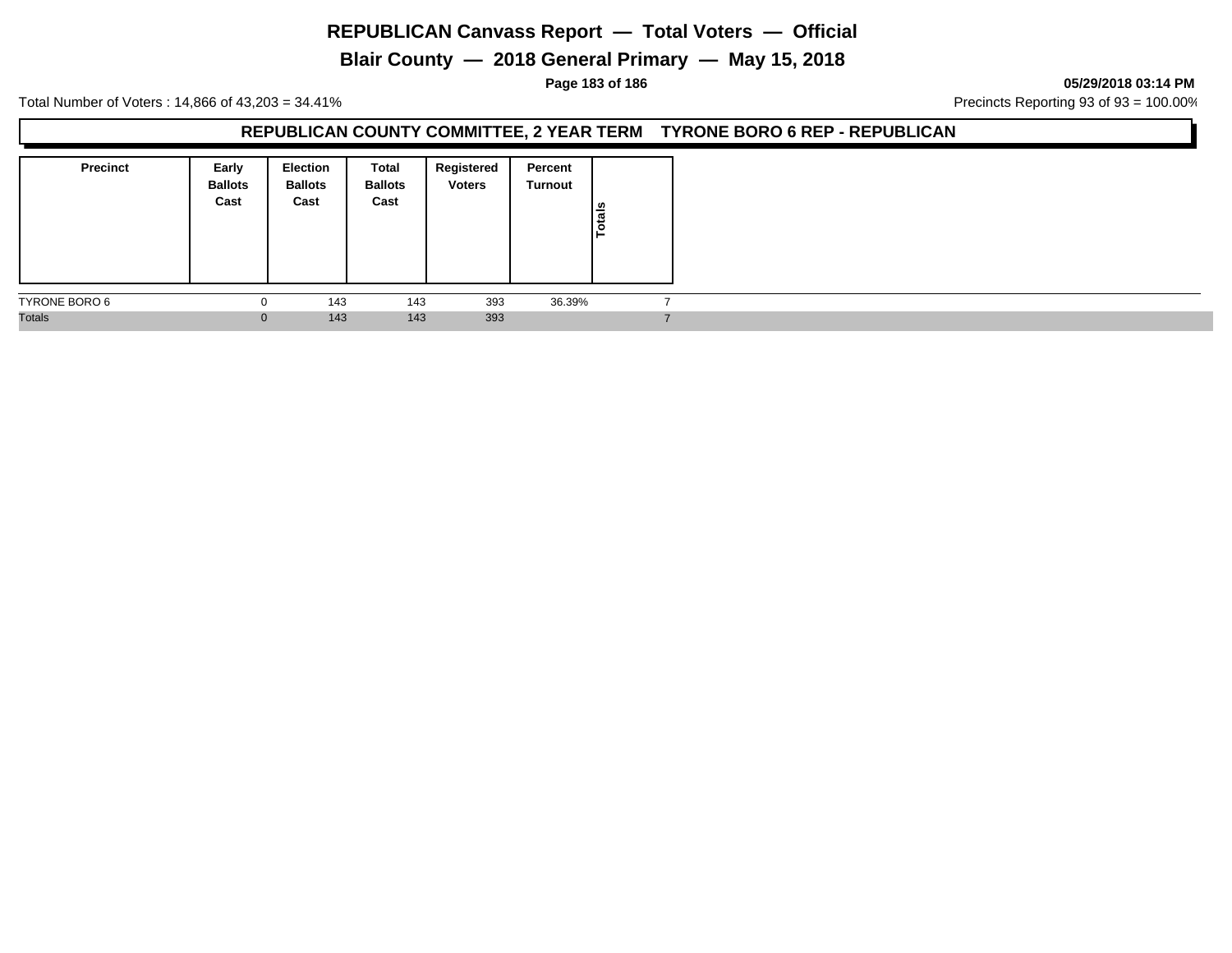# **Blair County — 2018 General Primary — May 15, 2018**

#### **Page 183 of 186 05/29/2018 03:14 PM**

Total Number of Voters : 14,866 of 43,203 = 34.41% **Precincts Reporting 93 of 93** = 100.00%

#### **REPUBLICAN COUNTY COMMITTEE, 2 YEAR TERM TYRONE BORO 6 REP - REPUBLICAN**

| <b>Precinct</b> | Early<br><b>Ballots</b><br>Cast | <b>Election</b><br><b>Ballots</b><br>Cast | Total<br><b>Ballots</b><br>Cast | Registered<br><b>Voters</b> | Percent<br>Turnout | Totals |
|-----------------|---------------------------------|-------------------------------------------|---------------------------------|-----------------------------|--------------------|--------|
| TYRONE BORO 6   | υ                               | 143                                       | 143                             | 393                         | 36.39%             |        |
| <b>Totals</b>   | 0                               | 143                                       | 143                             | 393                         |                    |        |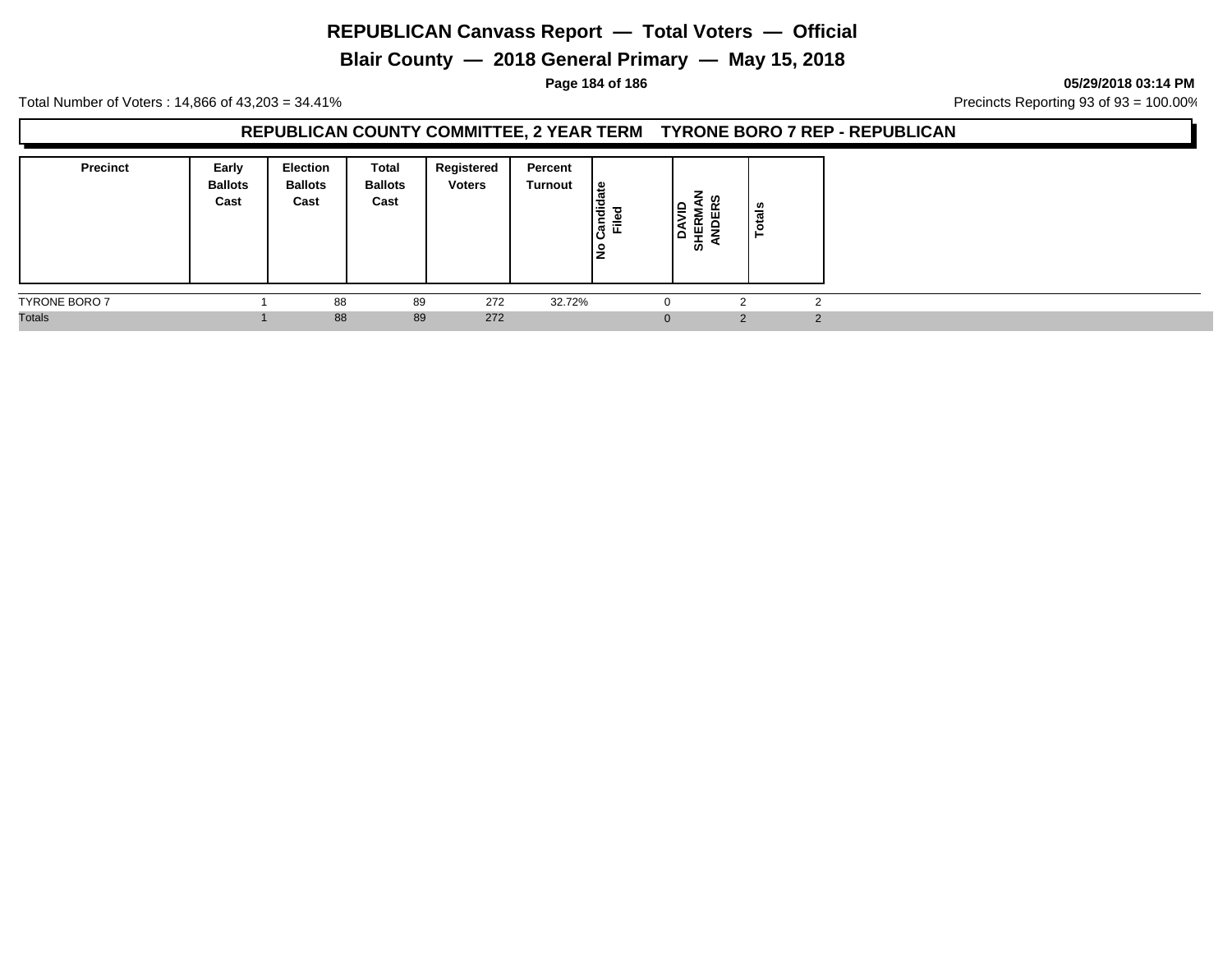# **Blair County — 2018 General Primary — May 15, 2018**

**Page 184 of 186 05/29/2018 03:14 PM**

Total Number of Voters : 14,866 of 43,203 = 34.41% **Precincts Reporting 93 of 93** = 100.00%

#### **REPUBLICAN COUNTY COMMITTEE, 2 YEAR TERM TYRONE BORO 7 REP - REPUBLICAN**

| <b>Precinct</b>      | Early<br><b>Ballots</b><br>Cast | <b>Election</b><br><b>Ballots</b><br>Cast | Total<br><b>Ballots</b><br>Cast | Registered<br><b>Voters</b> | Percent<br><b>Turnout</b> | <u>.e</u><br>Candid<br>Filed<br>٩ | -<br>ທ<br>١ę<br>Ιå<br>-<br>₩<br>ぁ | ័ត<br>ㅎ |          |
|----------------------|---------------------------------|-------------------------------------------|---------------------------------|-----------------------------|---------------------------|-----------------------------------|-----------------------------------|---------|----------|
| <b>TYRONE BORO 7</b> |                                 | 88                                        | 89                              | 272                         | 32.72%                    |                                   |                                   |         |          |
| <b>Totals</b>        |                                 | 88                                        | 89                              | 272                         |                           | $\Omega$                          |                                   | $\sim$  | $\Omega$ |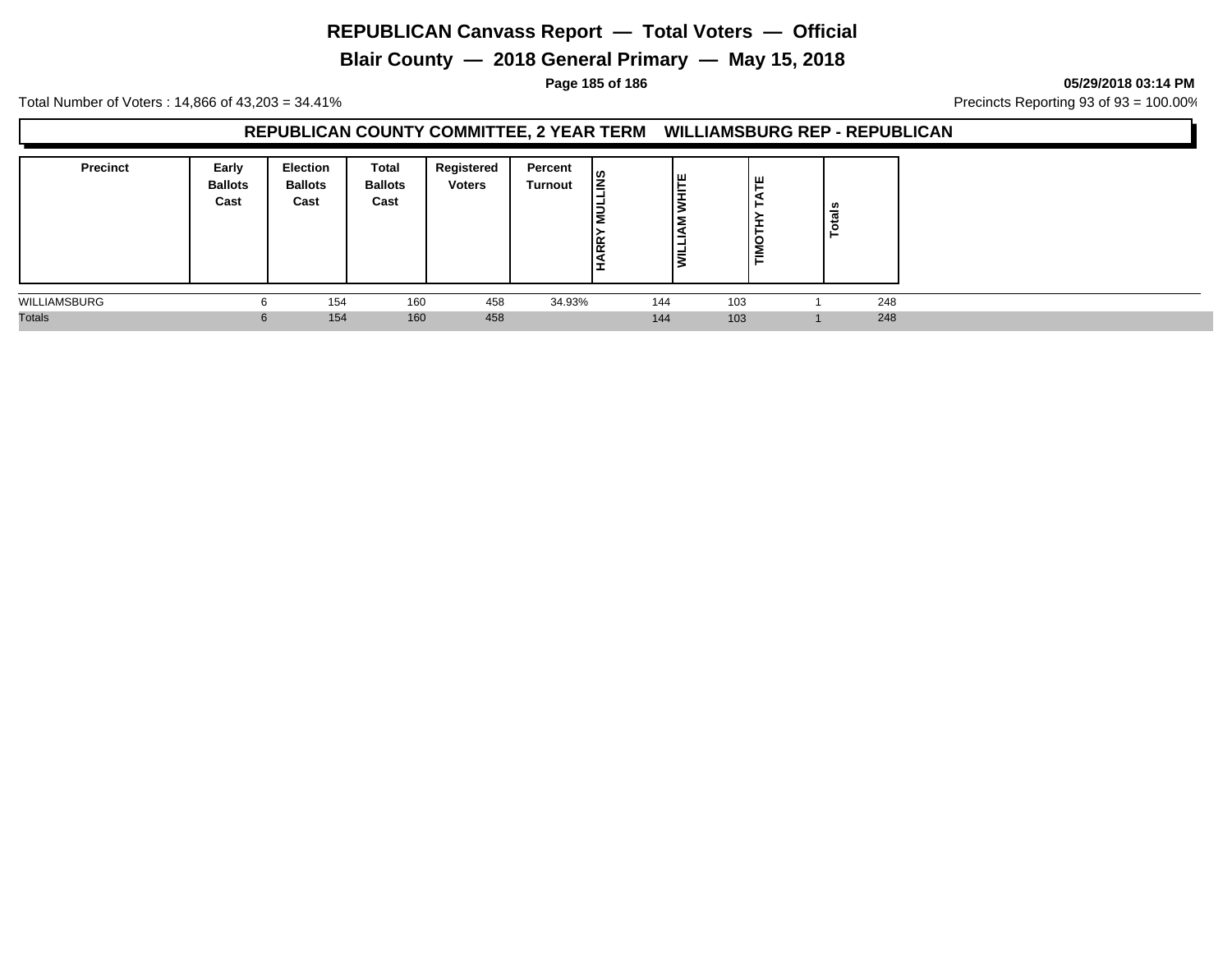**Blair County — 2018 General Primary — May 15, 2018**

**Page 185 of 186 05/29/2018 03:14 PM**

Total Number of Voters : 14,866 of 43,203 = 34.41% **Precincts Reporting 93 of 93** = 100.00%

#### **REPUBLICAN COUNTY COMMITTEE, 2 YEAR TERM WILLIAMSBURG REP - REPUBLICAN**

| <b>Precinct</b> | Early<br><b>Ballots</b><br>Cast | <b>Election</b><br><b>Ballots</b><br>Cast | Total<br><b>Ballots</b><br>Cast | Registered<br><b>Voters</b> | Percent<br>Turnout | l≌<br>ıΞ<br>Ig. | ١Ë<br>-<br>- | ш<br><b>TIMO</b> | ៉ូទី |     |
|-----------------|---------------------------------|-------------------------------------------|---------------------------------|-----------------------------|--------------------|-----------------|--------------|------------------|------|-----|
| WILLIAMSBURG    | b                               | 154                                       | 160                             | 458                         | 34.93%             | 144             |              | 103              |      | 248 |
| <b>Totals</b>   | 6                               | 154                                       | 160                             | 458                         |                    | 144             |              | 103              |      | 248 |